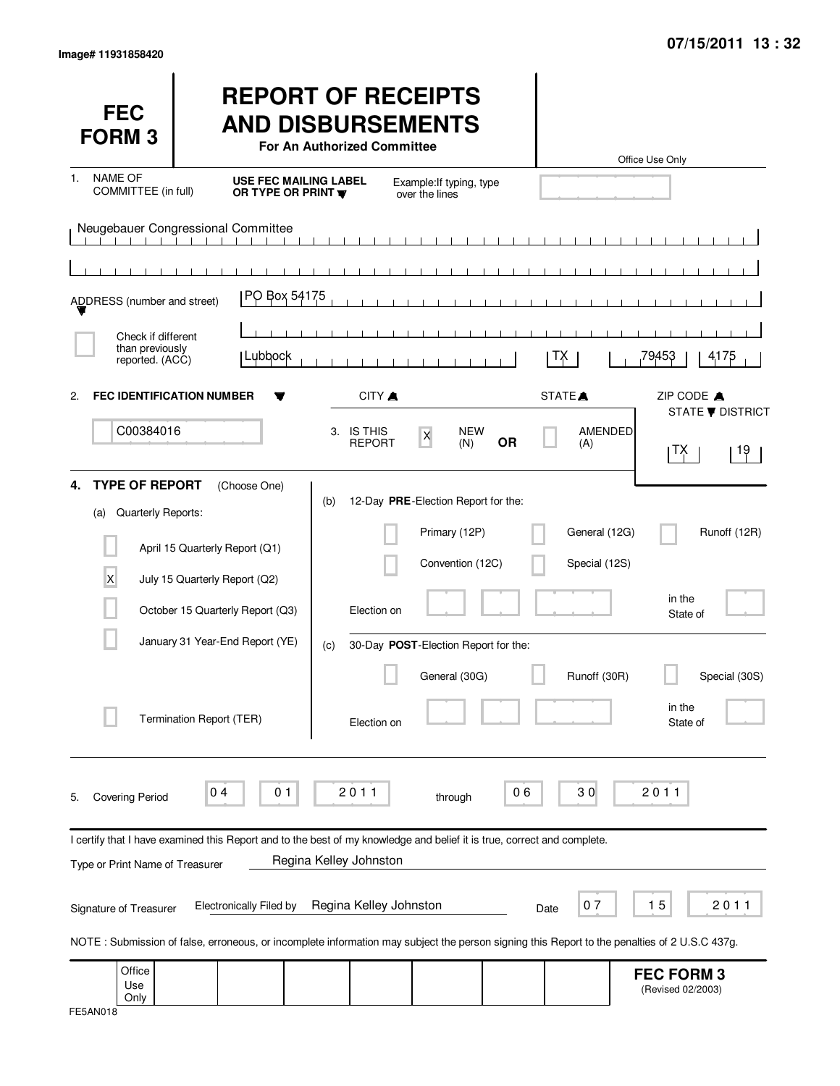| <b>FEC</b><br><b>FORM3</b>                                                                                                                                             |                                                                   |                                                    | <b>REPORT OF RECEIPTS</b><br><b>AND DISBURSEMENTS</b><br>For An Authorized Committee |                                            |                   |           |                    | Office Use Only |                                        |                         |
|------------------------------------------------------------------------------------------------------------------------------------------------------------------------|-------------------------------------------------------------------|----------------------------------------------------|--------------------------------------------------------------------------------------|--------------------------------------------|-------------------|-----------|--------------------|-----------------|----------------------------------------|-------------------------|
| <b>NAME OF</b><br>1.<br>COMMITTEE (in full)                                                                                                                            |                                                                   | <b>USE FEC MAILING LABEL</b><br>OR TYPE OR PRINT W |                                                                                      | Example: If typing, type<br>over the lines |                   |           |                    |                 |                                        |                         |
| Neugebauer Congressional Committee                                                                                                                                     |                                                                   |                                                    |                                                                                      |                                            |                   |           |                    |                 |                                        |                         |
| ADDRESS (number and street)                                                                                                                                            |                                                                   | PO Box 54175                                       |                                                                                      |                                            |                   |           |                    |                 |                                        |                         |
| Check if different<br>than previously<br>reported. (ACC)                                                                                                               |                                                                   | Lubbock                                            |                                                                                      |                                            |                   |           | TХ                 | 79453           |                                        | 4175                    |
| <b>FEC IDENTIFICATION NUMBER</b><br>$\mathbf{2}$                                                                                                                       |                                                                   |                                                    | CITY A                                                                               |                                            |                   |           | STATE <sup>A</sup> |                 | ZIP CODE A                             | <b>STATE ▼ DISTRICT</b> |
| C00384016                                                                                                                                                              |                                                                   |                                                    | 3. IS THIS<br><b>REPORT</b>                                                          | $\pmb{\mathsf{X}}$                         | <b>NEW</b><br>(N) | <b>OR</b> | (A)                | AMENDED         | ∣ TX.                                  | 19                      |
| <b>TYPE OF REPORT</b><br>4.<br>Quarterly Reports:<br>(a)                                                                                                               | (Choose One)<br>April 15 Quarterly Report (Q1)                    |                                                    | (b)                                                                                  | 12-Day PRE-Election Report for the:        | Primary (12P)     |           | General (12G)      |                 |                                        | Runoff (12R)            |
| X                                                                                                                                                                      | July 15 Quarterly Report (Q2)<br>October 15 Quarterly Report (Q3) |                                                    | Election on                                                                          |                                            | Convention (12C)  |           | Special (12S)      |                 | in the<br>State of                     |                         |
|                                                                                                                                                                        | January 31 Year-End Report (YE)                                   |                                                    | (c)                                                                                  | 30-Day POST-Election Report for the:       |                   |           |                    |                 |                                        |                         |
|                                                                                                                                                                        | Termination Report (TER)                                          |                                                    | Election on                                                                          |                                            | General (30G)     |           | Runoff (30R)       |                 | in the<br>State of                     | Special (30S)           |
| <b>Covering Period</b><br>5.                                                                                                                                           | 04                                                                | 0 <sub>1</sub>                                     | 2011                                                                                 |                                            | through           | 06        | 30                 |                 | 2011                                   |                         |
| I certify that I have examined this Report and to the best of my knowledge and belief it is true, correct and complete.<br>Type or Print Name of Treasurer             |                                                                   |                                                    | Regina Kelley Johnston                                                               |                                            |                   |           |                    |                 |                                        |                         |
| Signature of Treasurer<br>NOTE: Submission of false, erroneous, or incomplete information may subject the person signing this Report to the penalties of 2 U.S.C 437g. | <b>Electronically Filed by</b>                                    |                                                    | Regina Kelley Johnston                                                               |                                            |                   |           | 07<br>Date         | 15              |                                        | 2011                    |
| Office<br>Use<br>Only                                                                                                                                                  |                                                                   |                                                    |                                                                                      |                                            |                   |           |                    |                 | <b>FEC FORM 3</b><br>(Revised 02/2003) |                         |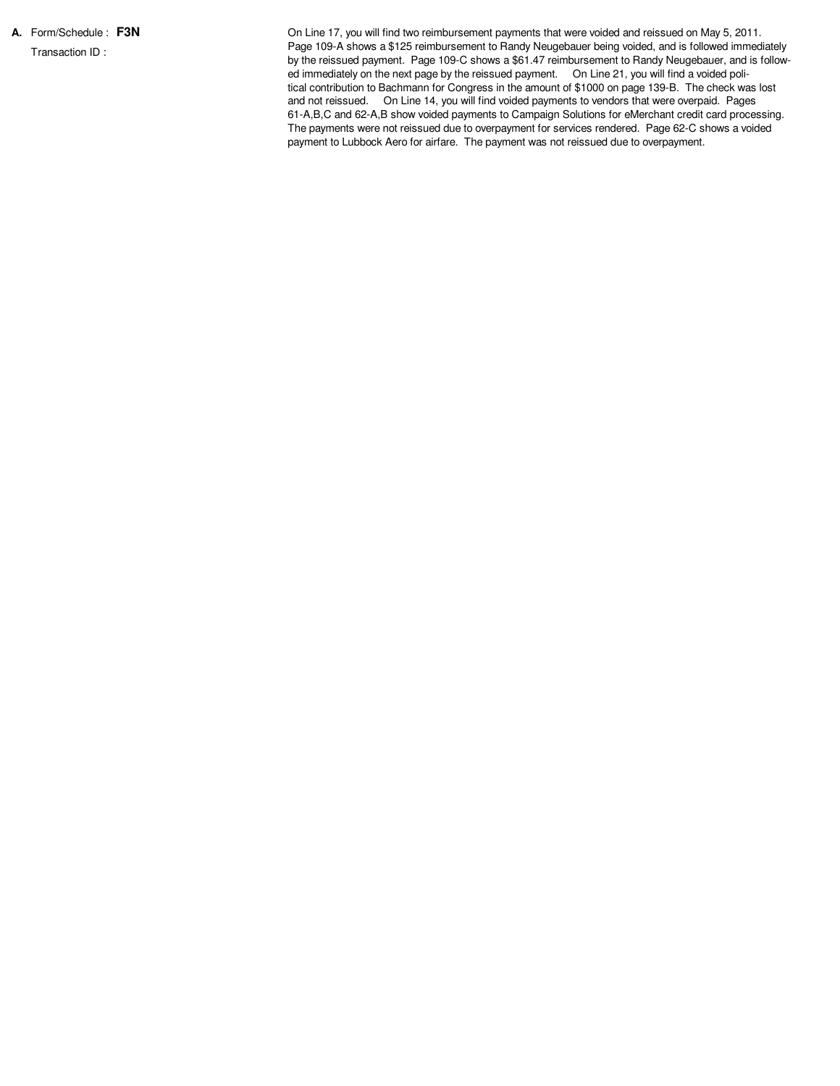**A.** Form/Schedule : **F3N** Transaction ID :

On Line 17, you will find two reimbursement payments that were voided and reissued on May 5, 2011. Page 109-A shows a \$125 reimbursement to Randy Neugebauer being voided, and is followed immediately by the reissued payment. Page 109-C shows a \$61.47 reimbursement to Randy Neugebauer, and is followed immediately on the next page by the reissued payment. On Line 21, you will find a voided political contribution to Bachmann for Congress in the amount of \$1000 on page 139-B. The check was lost and not reissued. On Line 14, you will find voided payments to vendors that were overpaid. Pages 61-A,B,C and 62-A,B show voided payments to Campaign Solutions for eMerchant credit card processing. The payments were not reissued due to overpayment for services rendered. Page 62-C shows a voided payment to Lubbock Aero for airfare. The payment was not reissued due to overpayment.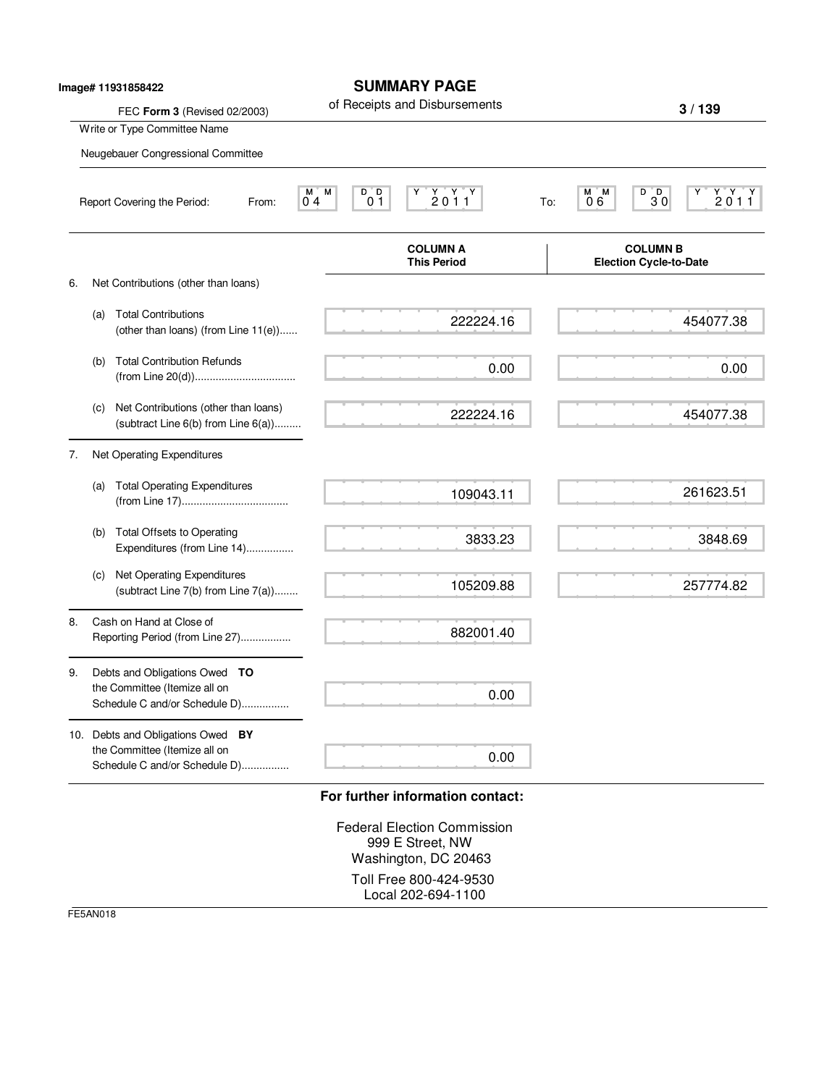|    |                                                                    | lmage# 11931858422<br>FEC Form 3 (Revised 02/2003)                                                  | <b>SUMMARY PAGE</b><br>of Receipts and Disbursements |                                                                                                                                     |     |           | 3/139                                                                                                                                                     |
|----|--------------------------------------------------------------------|-----------------------------------------------------------------------------------------------------|------------------------------------------------------|-------------------------------------------------------------------------------------------------------------------------------------|-----|-----------|-----------------------------------------------------------------------------------------------------------------------------------------------------------|
|    | Write or Type Committee Name<br>Neugebauer Congressional Committee |                                                                                                     |                                                      |                                                                                                                                     |     |           |                                                                                                                                                           |
|    |                                                                    | Report Covering the Period:<br>From:                                                                | D D<br>M.<br>М<br>0 <sub>4</sub><br>0 <sub>1</sub>   | $\begin{array}{c} \mathsf{Y} \quad \mathsf{Y} \quad \mathsf{Y} \\ \mathsf{2} \; \mathsf{0} \; \mathsf{1} \; \mathsf{1} \end{array}$ | To: | M M<br>06 | $B$ <sub>D</sub> <sub>0</sub><br>$\begin{array}{c} \mathsf{Y} \ \mathsf{Y} \ \mathsf{Y} \\ \mathsf{2} \ \mathsf{0} \ \mathsf{1} \ \mathsf{1} \end{array}$ |
|    |                                                                    |                                                                                                     |                                                      | <b>COLUMN A</b><br><b>This Period</b>                                                                                               |     |           | <b>COLUMN B</b><br><b>Election Cycle-to-Date</b>                                                                                                          |
| 6. |                                                                    | Net Contributions (other than loans)                                                                |                                                      |                                                                                                                                     |     |           |                                                                                                                                                           |
|    | (a)                                                                | <b>Total Contributions</b><br>(other than loans) (from Line 11(e))                                  |                                                      | 222224.16                                                                                                                           |     |           | 454077.38                                                                                                                                                 |
|    | (b)                                                                | <b>Total Contribution Refunds</b>                                                                   |                                                      | 0.00                                                                                                                                |     |           | 0.00                                                                                                                                                      |
|    | (c)                                                                | Net Contributions (other than loans)<br>(subtract Line 6(b) from Line 6(a))                         |                                                      | 222224.16                                                                                                                           |     |           | 454077.38                                                                                                                                                 |
| 7. |                                                                    | Net Operating Expenditures                                                                          |                                                      |                                                                                                                                     |     |           |                                                                                                                                                           |
|    | (a)                                                                | <b>Total Operating Expenditures</b>                                                                 |                                                      | 109043.11                                                                                                                           |     |           | 261623.51                                                                                                                                                 |
|    | (b)                                                                | <b>Total Offsets to Operating</b><br>Expenditures (from Line 14)                                    |                                                      | 3833.23                                                                                                                             |     |           | 3848.69                                                                                                                                                   |
|    | (c)                                                                | Net Operating Expenditures<br>(subtract Line 7(b) from Line 7(a))                                   |                                                      | 105209.88                                                                                                                           |     |           | 257774.82                                                                                                                                                 |
| 8. |                                                                    | Cash on Hand at Close of<br>Reporting Period (from Line 27)                                         |                                                      | 882001.40                                                                                                                           |     |           |                                                                                                                                                           |
| 9. |                                                                    | Debts and Obligations Owed TO<br>the Committee (Itemize all on<br>Schedule C and/or Schedule D)     |                                                      | 0.00                                                                                                                                |     |           |                                                                                                                                                           |
|    |                                                                    | 10. Debts and Obligations Owed BY<br>the Committee (Itemize all on<br>Schedule C and/or Schedule D) |                                                      | 0.00                                                                                                                                |     |           |                                                                                                                                                           |
|    |                                                                    |                                                                                                     |                                                      | For further information contact:                                                                                                    |     |           |                                                                                                                                                           |

Federal Election Commission 999 E Street, NW Washington, DC 20463 Toll Free 800-424-9530 Local 202-694-1100

FE5AN018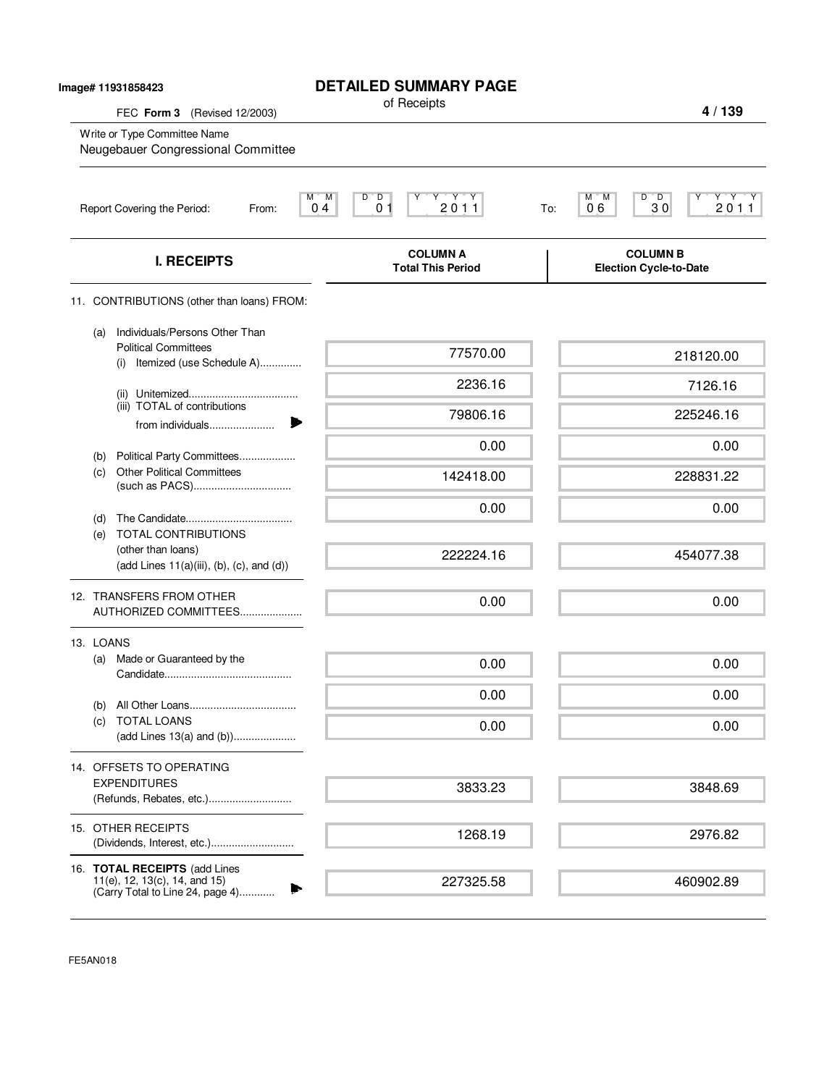| lmage# 11931858423<br>FEC Form 3<br>(Revised 12/2003)                                                    | <b>DETAILED SUMMARY PAGE</b><br>of Receipts                                  | 4/139                                                           |
|----------------------------------------------------------------------------------------------------------|------------------------------------------------------------------------------|-----------------------------------------------------------------|
| Write or Type Committee Name<br>Neugebauer Congressional Committee                                       |                                                                              |                                                                 |
| Report Covering the Period:<br>From:                                                                     | $Y - Y + Y$<br>М<br>M<br>$\overline{D}$<br>D<br>2011<br>0 <sub>1</sub><br>04 | Y'Y'Y<br>$D^{\bullet}$ $D$<br>М<br>м<br>2011<br>06<br>30<br>To: |
| <b>I. RECEIPTS</b>                                                                                       | <b>COLUMN A</b><br><b>Total This Period</b>                                  | <b>COLUMN B</b><br><b>Election Cycle-to-Date</b>                |
| 11. CONTRIBUTIONS (other than loans) FROM:                                                               |                                                                              |                                                                 |
| Individuals/Persons Other Than<br>(a)<br><b>Political Committees</b><br>Itemized (use Schedule A)<br>(i) | 77570.00                                                                     | 218120.00                                                       |
|                                                                                                          | 2236.16                                                                      | 7126.16                                                         |
| (iii) TOTAL of contributions<br>from individuals                                                         | 79806.16                                                                     | 225246.16                                                       |
|                                                                                                          | 0.00                                                                         | 0.00                                                            |
| Political Party Committees<br>(b)<br><b>Other Political Committees</b><br>(c)                            | 142418.00                                                                    | 228831.22                                                       |
|                                                                                                          | 0.00                                                                         | 0.00                                                            |
| (d)<br>TOTAL CONTRIBUTIONS<br>(e)                                                                        |                                                                              |                                                                 |
| (other than loans)<br>$(add Lines 11(a)(iii), (b), (c), and (d))$                                        | 222224.16                                                                    | 454077.38                                                       |
| 12. TRANSFERS FROM OTHER<br>AUTHORIZED COMMITTEES                                                        | 0.00                                                                         | 0.00                                                            |
| 13. LOANS                                                                                                |                                                                              |                                                                 |
| Made or Guaranteed by the<br>(a)                                                                         | 0.00                                                                         | 0.00                                                            |
|                                                                                                          | 0.00                                                                         | 0.00                                                            |
| (b)<br><b>TOTAL LOANS</b><br>(C)<br>(add Lines 13(a) and (b))                                            | 0.00                                                                         | 0.00                                                            |
|                                                                                                          |                                                                              |                                                                 |
| 14. OFFSETS TO OPERATING<br><b>EXPENDITURES</b><br>(Refunds, Rebates, etc.)                              | 3833.23                                                                      | 3848.69                                                         |
| 15. OTHER RECEIPTS<br>(Dividends, Interest, etc.)                                                        | 1268.19                                                                      | 2976.82                                                         |
| 16. TOTAL RECEIPTS (add Lines<br>11(e), 12, 13(c), 14, and 15)<br>(Carry Total to Line 24, page 4)       | 227325.58                                                                    | 460902.89                                                       |

FE5AN018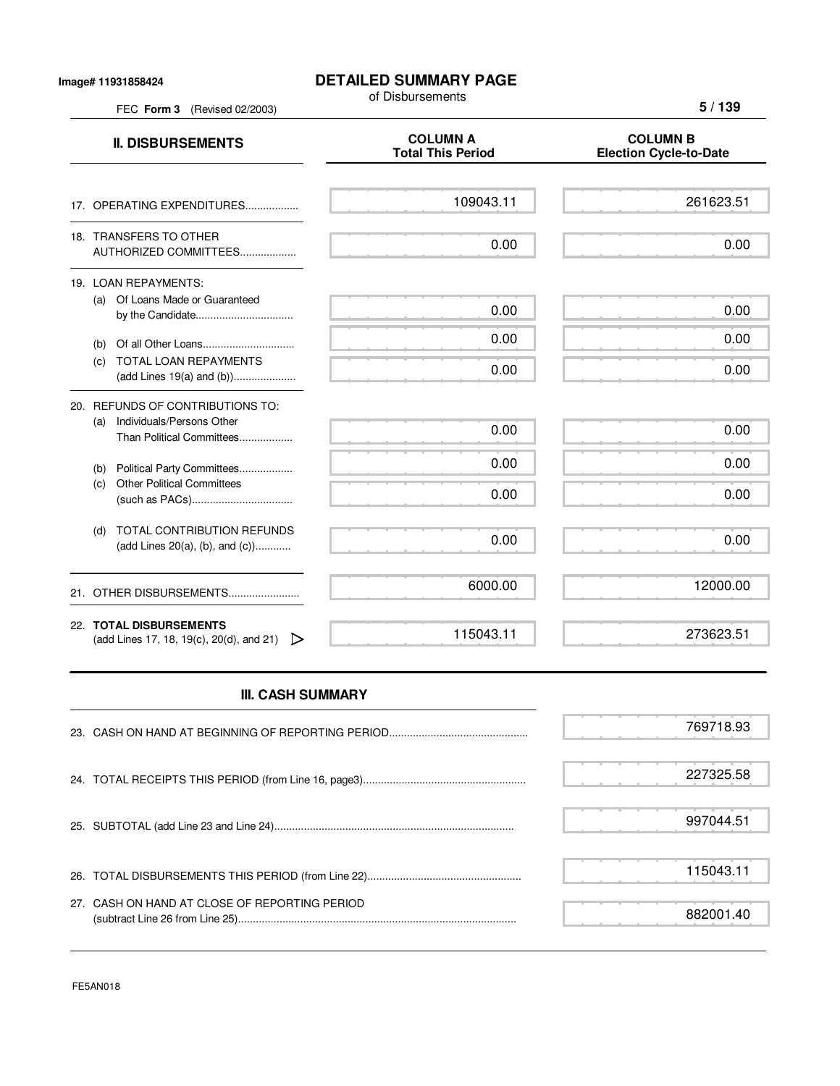## **Image# 11931858424**

FEC **Form 3** (Revised 02/2003)

## **DETAILED SUMMARY PAGE**

of Disbursements

**5 / 139**

| <b>II. DISBURSEMENTS</b>                                                                          | <b>COLUMN A</b><br><b>Total This Period</b> | <b>COLUMN B</b><br><b>Election Cycle-to-Date</b> |
|---------------------------------------------------------------------------------------------------|---------------------------------------------|--------------------------------------------------|
| 17. OPERATING EXPENDITURES                                                                        | 109043.11                                   | 261623.51                                        |
| 18. TRANSFERS TO OTHER<br>AUTHORIZED COMMITTEES                                                   | 0.00                                        | 0.00                                             |
| 19. LOAN REPAYMENTS:<br>(a) Of Loans Made or Guaranteed<br>by the Candidate                       | 0.00                                        | 0.00                                             |
| (b)<br><b>TOTAL LOAN REPAYMENTS</b><br>(c)                                                        | 0.00<br>0.00                                | 0.00<br>0.00                                     |
| 20. REFUNDS OF CONTRIBUTIONS TO:<br>Individuals/Persons Other<br>(a)<br>Than Political Committees | 0.00                                        | 0.00                                             |
| Political Party Committees<br>(b)<br><b>Other Political Committees</b><br>(c)                     | 0.00<br>0.00                                | 0.00<br>0.00                                     |
| <b>TOTAL CONTRIBUTION REFUNDS</b><br>(d)<br>(add Lines 20(a), (b), and $(c)$ )                    | 0.00                                        | 0.00                                             |
| 21. OTHER DISBURSEMENTS                                                                           | 6000.00                                     | 12000.00                                         |
| 22. TOTAL DISBURSEMENTS<br>(add Lines 17, 18, 19(c), 20(d), and 21)                               | 115043.11                                   | 273623.51                                        |

## **III. CASH SUMMARY**

|                                               | 769718.93 |
|-----------------------------------------------|-----------|
|                                               | 227325.58 |
|                                               | 997044.51 |
|                                               | 115043.11 |
| 27. CASH ON HAND AT CLOSE OF REPORTING PERIOD | 882001.40 |

FE5AN018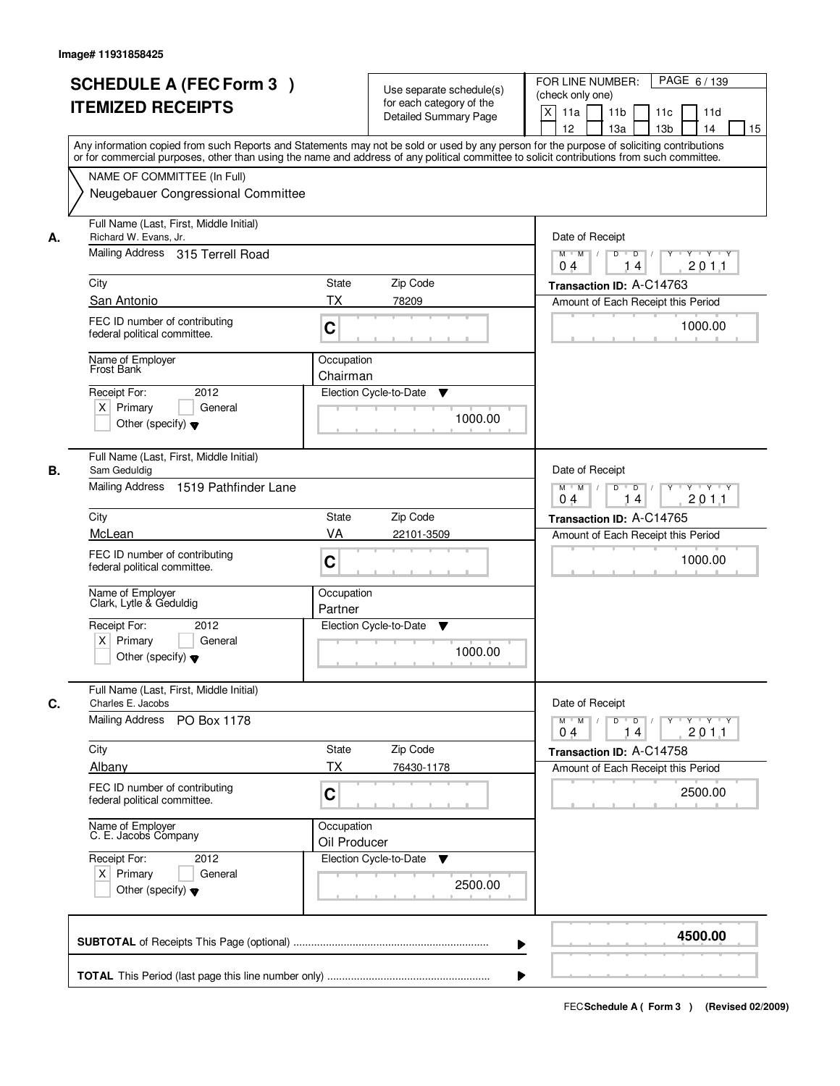| <b>SCHEDULE A (FEC Form 3)</b><br><b>ITEMIZED RECEIPTS</b>                                                                                                                                                                                                                                                                                                                | Use separate schedule(s)<br>for each category of the<br><b>Detailed Summary Page</b><br>Any information copied from such Reports and Statements may not be sold or used by any person for the purpose of soliciting contributions | PAGE 6/139<br>FOR LINE NUMBER:<br>(check only one)<br>X<br>11 <sub>b</sub><br>11a<br>11 <sub>c</sub><br>11d<br>12<br>13 <sub>b</sub><br>14<br>13a<br>15                                                                                                                                                                                                                                                                                                                                                                                                                       |
|---------------------------------------------------------------------------------------------------------------------------------------------------------------------------------------------------------------------------------------------------------------------------------------------------------------------------------------------------------------------------|-----------------------------------------------------------------------------------------------------------------------------------------------------------------------------------------------------------------------------------|-------------------------------------------------------------------------------------------------------------------------------------------------------------------------------------------------------------------------------------------------------------------------------------------------------------------------------------------------------------------------------------------------------------------------------------------------------------------------------------------------------------------------------------------------------------------------------|
| NAME OF COMMITTEE (In Full)<br>Neugebauer Congressional Committee                                                                                                                                                                                                                                                                                                         | or for commercial purposes, other than using the name and address of any political committee to solicit contributions from such committee.                                                                                        |                                                                                                                                                                                                                                                                                                                                                                                                                                                                                                                                                                               |
| Full Name (Last, First, Middle Initial)<br>Richard W. Evans, Jr.<br>А.<br>Mailing Address 315 Terrell Road<br>City<br>San Antonio<br>FEC ID number of contributing<br>federal political committee.<br>Name of Employer<br>Frost Bank<br>2012<br>Receipt For:<br>$X$ Primary<br>General                                                                                    | <b>State</b><br>Zip Code<br>ТX<br>78209<br>C<br>Occupation<br>Chairman<br>Election Cycle-to-Date<br>▼<br>1000.00                                                                                                                  | Date of Receipt<br>$D$ $D$ $1$<br>$Y$ <sup>U</sup><br>$Y - Y - Y - Y$<br>$M$ $M$ /<br>201.1<br>0 <sub>4</sub><br>14<br>Transaction ID: A-C14763<br>Amount of Each Receipt this Period<br>1000.00                                                                                                                                                                                                                                                                                                                                                                              |
| Other (specify) $\blacktriangledown$<br>Full Name (Last, First, Middle Initial)<br>Sam Geduldig<br>В.<br>Mailing Address 1519 Pathfinder Lane<br>City<br>McLean<br>FEC ID number of contributing<br>federal political committee.<br>Name of Employer<br>Clark, Lytle & Geduldig<br>Receipt For:<br>2012<br>$X$ Primary<br>General<br>Other (specify) $\blacktriangledown$ | Zip Code<br>State<br>VA<br>22101-3509<br>C<br>Occupation<br>Partner<br>Election Cycle-to-Date<br>▼<br>1000.00                                                                                                                     | Date of Receipt<br>$M$ $M$ /<br>D<br>$\overline{\phantom{0}}$<br>$Y$ <sup>U</sup><br>$Y \dashv Y \dashv Y$<br>201.1<br>04<br>14<br>Transaction ID: A-C14765<br>Amount of Each Receipt this Period<br>1000.00                                                                                                                                                                                                                                                                                                                                                                  |
| Full Name (Last, First, Middle Initial)<br>C.<br>Charles E. Jacobs<br><b>Mailing Address</b><br>PO Box 1178<br>City<br>Albany<br>FEC ID number of contributing<br>federal political committee.<br>Name of Employer<br>C. E. Jacobs Company<br>Receipt For:<br>2012<br>$X$ Primary<br>General<br>Other (specify) $\blacktriangledown$                                      | State<br>Zip Code<br>ТX<br>76430-1178<br>C<br>Occupation<br>Oil Producer<br>Election Cycle-to-Date<br>v<br>2500.00                                                                                                                | Date of Receipt<br>$M$ $M$<br>$D$ $D$ $l$<br>$\begin{array}{c} \begin{array}{c} \mathsf{p} \mathsf{p} \mathsf{p} \mathsf{p} \mathsf{p} \mathsf{p} \mathsf{p} \mathsf{p} \mathsf{p} \mathsf{p} \mathsf{p} \mathsf{p} \mathsf{p} \mathsf{p} \mathsf{p} \mathsf{p} \mathsf{p} \mathsf{p} \mathsf{p} \mathsf{p} \mathsf{p} \mathsf{p} \mathsf{p} \mathsf{p} \mathsf{p} \mathsf{p} \mathsf{p} \mathsf{p} \mathsf{p} \mathsf{p} \mathsf{p} \mathsf{p} \mathsf{p} \mathsf{p} \math$<br>2011<br>04<br>14<br>Transaction ID: A-C14758<br>Amount of Each Receipt this Period<br>2500.00 |
|                                                                                                                                                                                                                                                                                                                                                                           |                                                                                                                                                                                                                                   | 4500.00                                                                                                                                                                                                                                                                                                                                                                                                                                                                                                                                                                       |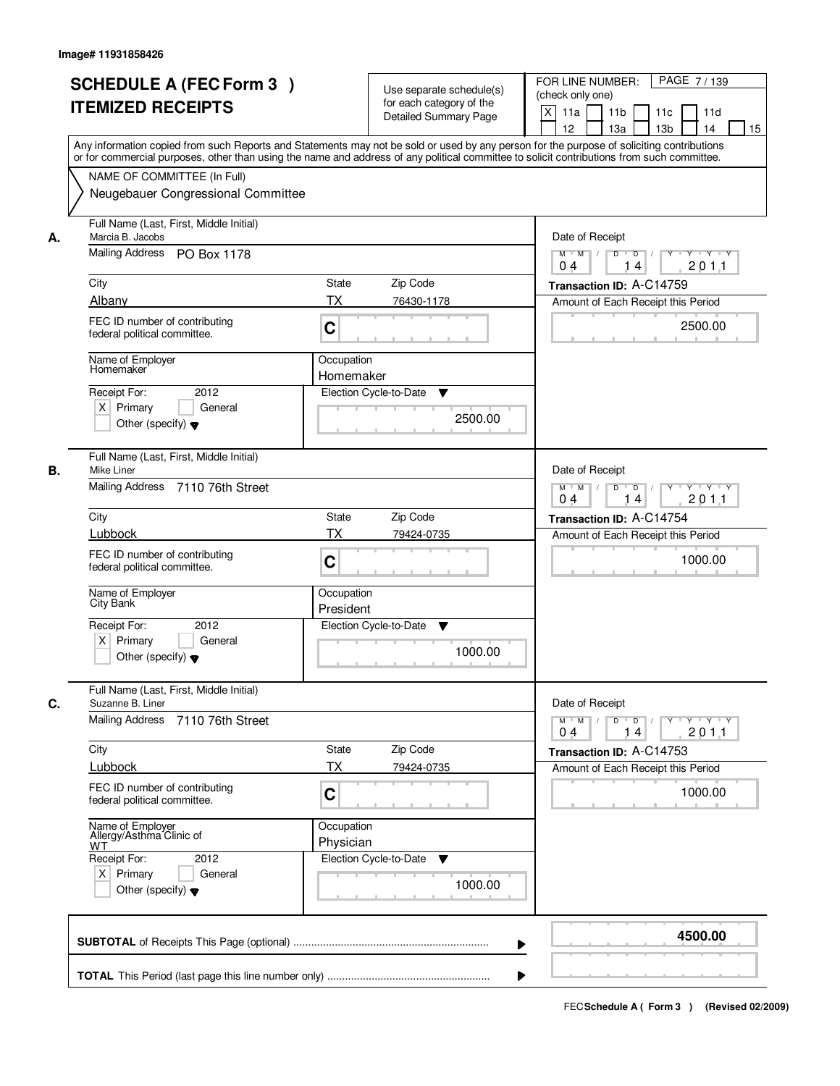| <b>SCHEDULE A (FEC Form 3)</b><br><b>ITEMIZED RECEIPTS</b>                                                                                                                                                                                                                                                                                          | Use separate schedule(s)<br>for each category of the<br><b>Detailed Summary Page</b><br>Any information copied from such Reports and Statements may not be sold or used by any person for the purpose of soliciting contributions | PAGE 7/139<br>FOR LINE NUMBER:<br>(check only one)<br>X<br>11 <sub>b</sub><br>11a<br>11c<br>11d<br>12<br>13 <sub>b</sub><br>14<br>13a<br>15                                                                  |
|-----------------------------------------------------------------------------------------------------------------------------------------------------------------------------------------------------------------------------------------------------------------------------------------------------------------------------------------------------|-----------------------------------------------------------------------------------------------------------------------------------------------------------------------------------------------------------------------------------|--------------------------------------------------------------------------------------------------------------------------------------------------------------------------------------------------------------|
| NAME OF COMMITTEE (In Full)<br>Neugebauer Congressional Committee                                                                                                                                                                                                                                                                                   | or for commercial purposes, other than using the name and address of any political committee to solicit contributions from such committee.                                                                                        |                                                                                                                                                                                                              |
| Full Name (Last, First, Middle Initial)<br>Marcia B. Jacobs<br>А.<br>Mailing Address PO Box 1178<br>City<br>Albany<br>FEC ID number of contributing<br>federal political committee.<br>Name of Employer<br>Homemaker<br>2012<br>Receipt For:<br>$X$ Primary<br>General<br>Other (specify) $\blacktriangledown$                                      | <b>State</b><br>Zip Code<br>ТX<br>76430-1178<br>C<br>Occupation<br>Homemaker<br>Election Cycle-to-Date<br>▼<br>2500.00                                                                                                            | Date of Receipt<br>$D$ $D$ $1$<br>$Y$ <sup>U</sup><br>Y Y Y Y<br>$M$ $M$ /<br>201.1<br>0 <sub>4</sub><br>14<br>Transaction ID: A-C14759<br>Amount of Each Receipt this Period<br>2500.00                     |
| Full Name (Last, First, Middle Initial)<br>Mike Liner<br>В.<br>Mailing Address 7110 76th Street<br>City<br>Lubbock<br>FEC ID number of contributing<br>federal political committee.<br>Name of Employer<br>City Bank<br>Receipt For:<br>2012<br>$X$ Primary<br>General<br>Other (specify) $\blacktriangledown$                                      | Zip Code<br>State<br>TX<br>79424-0735<br>C<br>Occupation<br>President<br>Election Cycle-to-Date<br>▼<br>1000.00                                                                                                                   | Date of Receipt<br>$M$ $M$ /<br>D<br>$\overline{\phantom{0}}$<br>$Y$ <sup>U</sup><br>$Y \dashv Y \dashv Y$<br>201.1<br>04<br>14<br>Transaction ID: A-C14754<br>Amount of Each Receipt this Period<br>1000.00 |
| Full Name (Last, First, Middle Initial)<br>C.<br>Suzanne B. Liner<br>Mailing Address<br>7110 76th Street<br>City<br>Lubbock<br>FEC ID number of contributing<br>federal political committee.<br>Name of Employer<br>Allergy/Asthma Clinic of<br><b>WT</b><br>Receipt For:<br>2012<br>$X$ Primary<br>General<br>Other (specify) $\blacktriangledown$ | State<br>Zip Code<br>ТX<br>79424-0735<br>C<br>Occupation<br>Physician<br>Election Cycle-to-Date<br>v<br>1000.00                                                                                                                   | Date of Receipt<br>$M$ $M$<br>$D$ $D$ $l$<br><u> Y LY LY LY</u><br>2011<br>04<br>14<br>Transaction ID: A-C14753<br>Amount of Each Receipt this Period<br>1000.00                                             |
|                                                                                                                                                                                                                                                                                                                                                     |                                                                                                                                                                                                                                   | 4500.00                                                                                                                                                                                                      |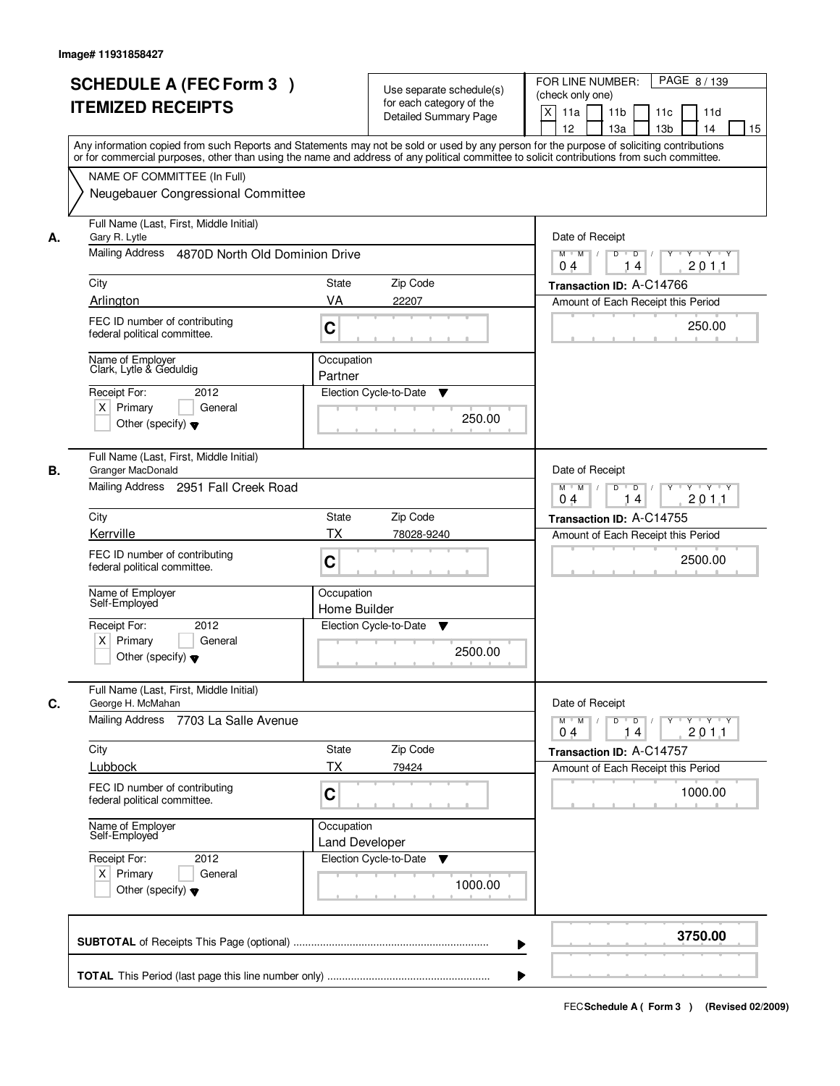|    | <b>SCHEDULE A (FEC Form 3)</b><br><b>ITEMIZED RECEIPTS</b><br>Any information copied from such Reports and Statements may not be sold or used by any person for the purpose of soliciting contributions<br>or for commercial purposes, other than using the name and address of any political committee to solicit contributions from such committee. |                                     | Use separate schedule(s)<br>for each category of the<br><b>Detailed Summary Page</b> | PAGE 8/139<br>FOR LINE NUMBER:<br>(check only one)<br>X<br>11a<br>11 <sub>b</sub><br>11c<br>11d<br>12<br>13 <sub>b</sub><br>13a<br>14<br>15 |
|----|-------------------------------------------------------------------------------------------------------------------------------------------------------------------------------------------------------------------------------------------------------------------------------------------------------------------------------------------------------|-------------------------------------|--------------------------------------------------------------------------------------|---------------------------------------------------------------------------------------------------------------------------------------------|
|    | NAME OF COMMITTEE (In Full)<br>Neugebauer Congressional Committee                                                                                                                                                                                                                                                                                     |                                     |                                                                                      |                                                                                                                                             |
| А. | Full Name (Last, First, Middle Initial)<br>Gary R. Lytle<br>Mailing Address 4870D North Old Dominion Drive                                                                                                                                                                                                                                            |                                     |                                                                                      | Date of Receipt<br>$M$ $M$ /<br>$D$ $D$ $1$<br>$\overline{Y}$<br>Y TYTY<br>201.1<br>0 <sub>4</sub><br>14                                    |
|    | City                                                                                                                                                                                                                                                                                                                                                  | State                               | Zip Code                                                                             | Transaction ID: A-C14766                                                                                                                    |
|    | Arlington                                                                                                                                                                                                                                                                                                                                             | VA                                  | 22207                                                                                | Amount of Each Receipt this Period                                                                                                          |
|    | FEC ID number of contributing<br>federal political committee.                                                                                                                                                                                                                                                                                         | C                                   |                                                                                      | 250.00                                                                                                                                      |
|    | Name of Employer<br>Clark, Lytle & Geduldig                                                                                                                                                                                                                                                                                                           | Occupation<br>Partner               |                                                                                      |                                                                                                                                             |
|    | Receipt For:<br>2012<br>$X$ Primary<br>General<br>Other (specify) $\blacktriangledown$                                                                                                                                                                                                                                                                |                                     | Election Cycle-to-Date<br>▼<br>250.00                                                |                                                                                                                                             |
| В. | Full Name (Last, First, Middle Initial)<br>Granger MacDonald<br>Mailing Address 2951 Fall Creek Road                                                                                                                                                                                                                                                  |                                     |                                                                                      | Date of Receipt<br>$M$ $M$ /<br>D<br>$\overline{D}$<br>Y<br>$Y \dashv Y \dashv Y$<br>201.1<br>04<br>14                                      |
|    | City                                                                                                                                                                                                                                                                                                                                                  | State                               | Zip Code                                                                             | Transaction ID: A-C14755                                                                                                                    |
|    | Kerrville                                                                                                                                                                                                                                                                                                                                             | <b>TX</b>                           | 78028-9240                                                                           | Amount of Each Receipt this Period                                                                                                          |
|    | FEC ID number of contributing<br>federal political committee.                                                                                                                                                                                                                                                                                         | C                                   |                                                                                      | 2500.00                                                                                                                                     |
|    | Name of Employer<br>Self-Employed                                                                                                                                                                                                                                                                                                                     | Occupation<br>Home Builder          |                                                                                      |                                                                                                                                             |
|    | Receipt For:<br>2012<br>$X$ Primary<br>General<br>Other (specify) $\blacktriangledown$                                                                                                                                                                                                                                                                |                                     | Election Cycle-to-Date<br>Y<br>2500.00                                               |                                                                                                                                             |
| C. | Full Name (Last, First, Middle Initial)<br>George H. McMahan<br>Mailing Address<br>7703 La Salle Avenue                                                                                                                                                                                                                                               |                                     |                                                                                      | Date of Receipt<br>$D$ $D$ $/$<br>$M$ $M$ /<br>$\gamma$ $\gamma$ $\gamma$ $\gamma$ $\gamma$ $\gamma$<br>201.1<br>04<br>14                   |
|    | City                                                                                                                                                                                                                                                                                                                                                  | State                               | Zip Code                                                                             | Transaction ID: A-C14757                                                                                                                    |
|    | Lubbock                                                                                                                                                                                                                                                                                                                                               | ТX                                  | 79424                                                                                | Amount of Each Receipt this Period                                                                                                          |
|    | FEC ID number of contributing<br>federal political committee.                                                                                                                                                                                                                                                                                         | C                                   |                                                                                      | 1000.00                                                                                                                                     |
|    | Name of Employer<br>Self-Employed                                                                                                                                                                                                                                                                                                                     | Occupation<br><b>Land Developer</b> |                                                                                      |                                                                                                                                             |
|    | Receipt For:<br>2012<br>$X$ Primary<br>General<br>Other (specify) $\blacktriangledown$                                                                                                                                                                                                                                                                |                                     | Election Cycle-to-Date<br>v<br>1000.00                                               |                                                                                                                                             |
|    |                                                                                                                                                                                                                                                                                                                                                       |                                     | ▶                                                                                    | 3750.00                                                                                                                                     |
|    |                                                                                                                                                                                                                                                                                                                                                       |                                     |                                                                                      |                                                                                                                                             |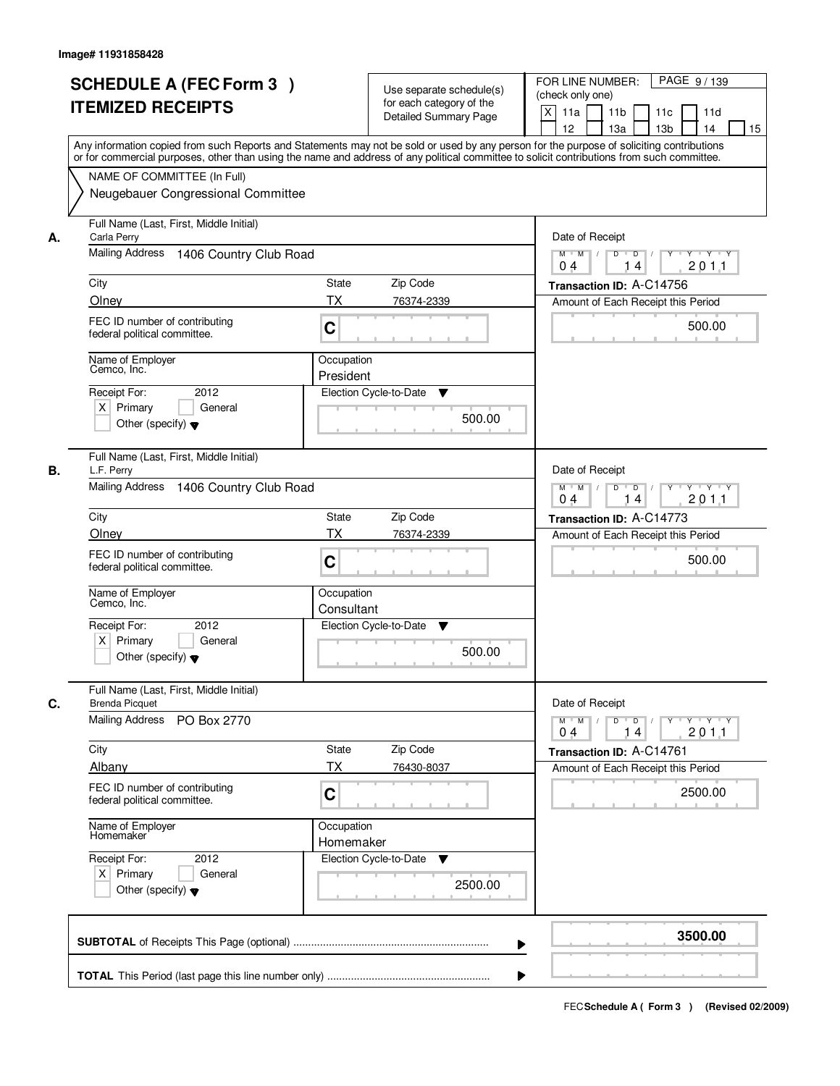|    | <b>SCHEDULE A (FEC Form 3)</b><br><b>ITEMIZED RECEIPTS</b>                                                                                 | Use separate schedule(s)<br>for each category of the | PAGE 9/139<br>FOR LINE NUMBER:<br>(check only one)<br>X<br>11a<br>11 <sub>b</sub><br>11c<br>11d |
|----|--------------------------------------------------------------------------------------------------------------------------------------------|------------------------------------------------------|-------------------------------------------------------------------------------------------------|
|    | Any information copied from such Reports and Statements may not be sold or used by any person for the purpose of soliciting contributions  | <b>Detailed Summary Page</b>                         | 12<br>13a<br>13 <sub>b</sub><br>14<br>15                                                        |
|    | or for commercial purposes, other than using the name and address of any political committee to solicit contributions from such committee. |                                                      |                                                                                                 |
|    | NAME OF COMMITTEE (In Full)                                                                                                                |                                                      |                                                                                                 |
|    | Neugebauer Congressional Committee                                                                                                         |                                                      |                                                                                                 |
| А. | Full Name (Last, First, Middle Initial)<br>Carla Perry                                                                                     |                                                      | Date of Receipt                                                                                 |
|    | Mailing Address<br>1406 Country Club Road                                                                                                  |                                                      | $M$ $M$ /<br>D<br>$\overline{D}$<br>$Y \cup Y \cup Y$<br>201.1<br>04<br>14                      |
|    | City                                                                                                                                       | <b>State</b><br>Zip Code                             | Transaction ID: A-C14756                                                                        |
|    | Olney                                                                                                                                      | <b>TX</b><br>76374-2339                              | Amount of Each Receipt this Period                                                              |
|    | FEC ID number of contributing<br>federal political committee.                                                                              | C                                                    | 500.00                                                                                          |
|    | Name of Employer<br>Cemco, Inc.                                                                                                            | Occupation                                           |                                                                                                 |
|    | 2012<br>Receipt For:                                                                                                                       | President<br>Election Cycle-to-Date<br>▼             |                                                                                                 |
|    | $X$ Primary<br>General                                                                                                                     |                                                      |                                                                                                 |
|    | Other (specify) $\blacktriangledown$                                                                                                       | 500.00                                               |                                                                                                 |
| В. | Full Name (Last, First, Middle Initial)<br>L.F. Perry                                                                                      |                                                      | Date of Receipt                                                                                 |
|    | <b>Mailing Address</b><br>1406 Country Club Road                                                                                           |                                                      | D<br>$M$ $M$ /<br>$\overline{D}$<br>Y<br>$Y \dashv Y \dashv Y$<br>201.1<br>04<br>14             |
|    | City                                                                                                                                       | Zip Code<br>State                                    | Transaction ID: A-C14773                                                                        |
|    | Olney                                                                                                                                      | <b>TX</b><br>76374-2339                              | Amount of Each Receipt this Period                                                              |
|    | FEC ID number of contributing<br>federal political committee.                                                                              | C                                                    | 500.00                                                                                          |
|    | Name of Employer<br>Cemco, Inc.                                                                                                            | Occupation<br>Consultant                             |                                                                                                 |
|    | Receipt For:<br>2012                                                                                                                       | Election Cycle-to-Date<br>v                          |                                                                                                 |
|    | $X$ Primary<br>General<br>Other (specify) $\blacktriangledown$                                                                             | 500.00                                               |                                                                                                 |
| C. | Full Name (Last, First, Middle Initial)<br><b>Brenda Picquet</b>                                                                           |                                                      | Date of Receipt                                                                                 |
|    | Mailing Address<br>PO Box 2770                                                                                                             |                                                      | $M$ $M$<br>$D$ $D$ $/$<br>y y y y y<br>201.1<br>04<br>14                                        |
|    | City                                                                                                                                       | Zip Code<br>State                                    | Transaction ID: A-C14761                                                                        |
|    | Albany                                                                                                                                     | <b>TX</b><br>76430-8037                              | Amount of Each Receipt this Period                                                              |
|    | FEC ID number of contributing<br>federal political committee.                                                                              | C                                                    | 2500.00                                                                                         |
|    | Name of Employer<br>Homemaker                                                                                                              | Occupation<br>Homemaker                              |                                                                                                 |
|    | Receipt For:<br>2012                                                                                                                       | Election Cycle-to-Date<br>v                          |                                                                                                 |
|    | $X$ Primary<br>General<br>Other (specify) $\blacktriangledown$                                                                             | 2500.00                                              |                                                                                                 |
|    |                                                                                                                                            | ▶                                                    | 3500.00                                                                                         |
|    |                                                                                                                                            |                                                      |                                                                                                 |
|    |                                                                                                                                            |                                                      |                                                                                                 |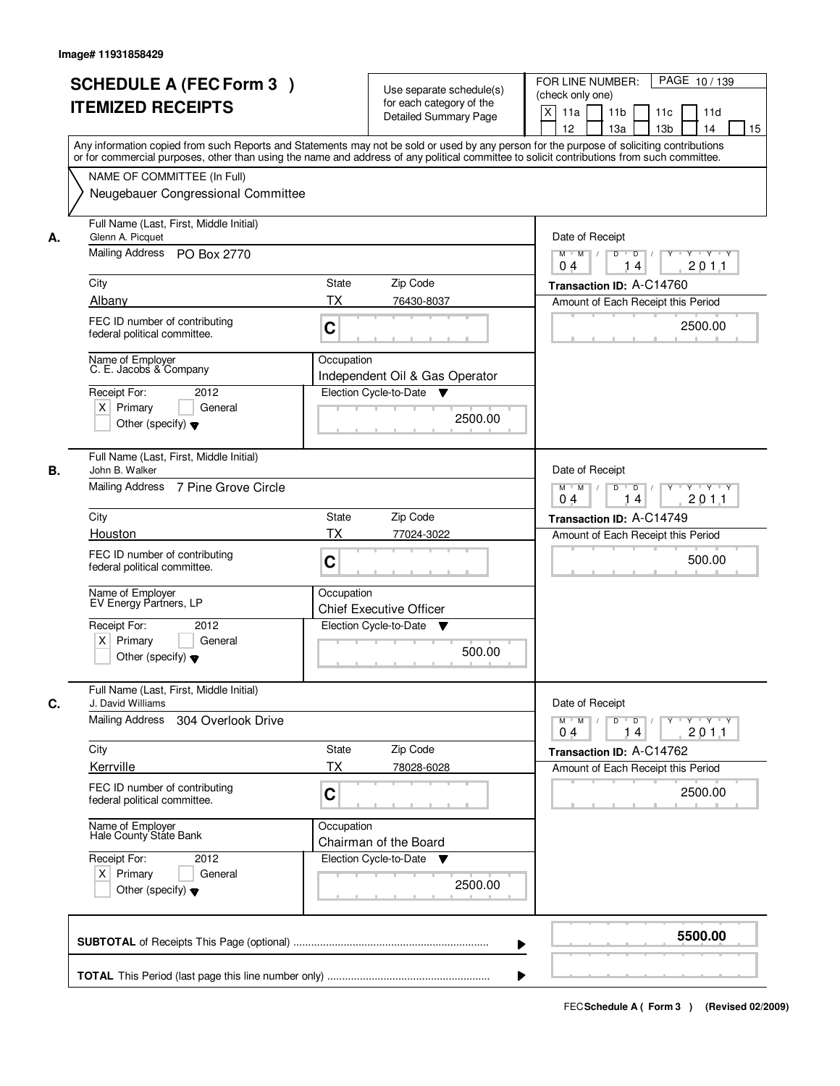| <b>SCHEDULE A (FEC Form 3)</b><br><b>ITEMIZED RECEIPTS</b>                                                  | Use separate schedule(s)<br>for each category of the<br><b>Detailed Summary Page</b>                                                                                                                                                                                                    | PAGE 10/139<br>FOR LINE NUMBER:<br>(check only one)<br>X<br>11 <sub>b</sub><br>11a<br>11 <sub>c</sub><br>11d<br>12<br>13 <sub>b</sub><br>14<br>13a<br>15 |  |  |  |
|-------------------------------------------------------------------------------------------------------------|-----------------------------------------------------------------------------------------------------------------------------------------------------------------------------------------------------------------------------------------------------------------------------------------|----------------------------------------------------------------------------------------------------------------------------------------------------------|--|--|--|
| NAME OF COMMITTEE (In Full)                                                                                 | Any information copied from such Reports and Statements may not be sold or used by any person for the purpose of soliciting contributions<br>or for commercial purposes, other than using the name and address of any political committee to solicit contributions from such committee. |                                                                                                                                                          |  |  |  |
| Neugebauer Congressional Committee                                                                          |                                                                                                                                                                                                                                                                                         |                                                                                                                                                          |  |  |  |
| Full Name (Last, First, Middle Initial)<br>Glenn A. Picquet<br>А.                                           |                                                                                                                                                                                                                                                                                         |                                                                                                                                                          |  |  |  |
| Mailing Address PO Box 2770                                                                                 |                                                                                                                                                                                                                                                                                         | $D$ $D$ $1$<br>Y<br>$Y - Y - Y - Y$<br>$M$ $M$ /<br>201.1<br>0 <sub>4</sub><br>14                                                                        |  |  |  |
| City                                                                                                        | <b>State</b><br>Zip Code                                                                                                                                                                                                                                                                | Transaction ID: A-C14760                                                                                                                                 |  |  |  |
| Albany                                                                                                      | ТX<br>76430-8037                                                                                                                                                                                                                                                                        | Amount of Each Receipt this Period                                                                                                                       |  |  |  |
| FEC ID number of contributing<br>federal political committee.                                               | C                                                                                                                                                                                                                                                                                       | 2500.00                                                                                                                                                  |  |  |  |
| Name of Employer<br>C. E. Jacobs & Company                                                                  | Occupation                                                                                                                                                                                                                                                                              |                                                                                                                                                          |  |  |  |
| Receipt For:<br>2012                                                                                        | Independent Oil & Gas Operator<br>Election Cycle-to-Date<br>v                                                                                                                                                                                                                           |                                                                                                                                                          |  |  |  |
| $X$ Primary<br>General                                                                                      |                                                                                                                                                                                                                                                                                         |                                                                                                                                                          |  |  |  |
| Other (specify) $\blacktriangledown$                                                                        | 2500.00                                                                                                                                                                                                                                                                                 |                                                                                                                                                          |  |  |  |
| Full Name (Last, First, Middle Initial)<br>В.<br>John B. Walker                                             |                                                                                                                                                                                                                                                                                         | Date of Receipt                                                                                                                                          |  |  |  |
| Mailing Address 7 Pine Grove Circle                                                                         |                                                                                                                                                                                                                                                                                         | $M$ $M$ /<br>D<br>$\overline{D}$<br>Y Y Y Y<br>201.1<br>04<br>14                                                                                         |  |  |  |
| City                                                                                                        | Zip Code<br>State                                                                                                                                                                                                                                                                       | Transaction ID: A-C14749                                                                                                                                 |  |  |  |
| Houston                                                                                                     | TX<br>77024-3022                                                                                                                                                                                                                                                                        | Amount of Each Receipt this Period                                                                                                                       |  |  |  |
| FEC ID number of contributing<br>federal political committee.                                               | C                                                                                                                                                                                                                                                                                       | 500.00                                                                                                                                                   |  |  |  |
| Name of Employer<br>EV Energy Partners, LP                                                                  | Occupation<br><b>Chief Executive Officer</b>                                                                                                                                                                                                                                            |                                                                                                                                                          |  |  |  |
| Receipt For:<br>2012<br>$X$ Primary<br>General<br>Other (specify) $\blacktriangledown$                      | Election Cycle-to-Date<br>v<br>500.00                                                                                                                                                                                                                                                   |                                                                                                                                                          |  |  |  |
| Full Name (Last, First, Middle Initial)<br>C.<br>J. David Williams<br>Mailing Address<br>304 Overlook Drive |                                                                                                                                                                                                                                                                                         | Date of Receipt<br>$M$ $M$<br>$D$ $D$ $l$<br><u>y y y y y y</u><br>2011<br>04<br>14                                                                      |  |  |  |
| City                                                                                                        | State<br>Zip Code                                                                                                                                                                                                                                                                       | Transaction ID: A-C14762                                                                                                                                 |  |  |  |
| Kerrville                                                                                                   | ТX<br>78028-6028                                                                                                                                                                                                                                                                        | Amount of Each Receipt this Period                                                                                                                       |  |  |  |
| FEC ID number of contributing<br>federal political committee.                                               | C                                                                                                                                                                                                                                                                                       | 2500.00                                                                                                                                                  |  |  |  |
| Name of Employer<br>Hale County State Bank                                                                  | Occupation<br>Chairman of the Board                                                                                                                                                                                                                                                     |                                                                                                                                                          |  |  |  |
| Receipt For:<br>2012<br>$X$ Primary<br>General<br>Other (specify) $\blacktriangledown$                      | Election Cycle-to-Date ▼<br>2500.00                                                                                                                                                                                                                                                     |                                                                                                                                                          |  |  |  |
|                                                                                                             |                                                                                                                                                                                                                                                                                         | 5500.00                                                                                                                                                  |  |  |  |
|                                                                                                             |                                                                                                                                                                                                                                                                                         |                                                                                                                                                          |  |  |  |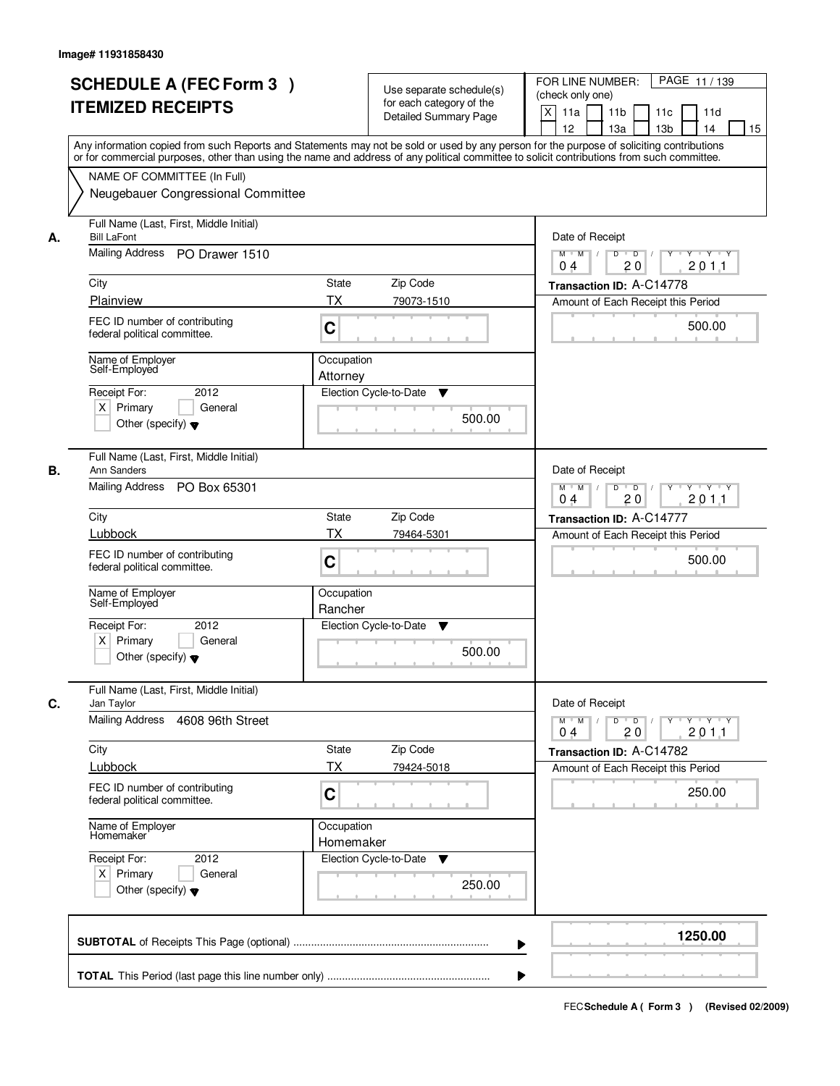|    | <b>SCHEDULE A (FEC Form 3)</b><br><b>ITEMIZED RECEIPTS</b><br>Any information copied from such Reports and Statements may not be sold or used by any person for the purpose of soliciting contributions         | Use separate schedule(s)<br>for each category of the<br><b>Detailed Summary Page</b> | PAGE 11/139<br>FOR LINE NUMBER:<br>(check only one)<br>X<br>11 <sub>b</sub><br>11a<br>11 <sub>c</sub><br>11d<br>12<br>13 <sub>b</sub><br>14<br>13a<br>15           |
|----|-----------------------------------------------------------------------------------------------------------------------------------------------------------------------------------------------------------------|--------------------------------------------------------------------------------------|--------------------------------------------------------------------------------------------------------------------------------------------------------------------|
|    | or for commercial purposes, other than using the name and address of any political committee to solicit contributions from such committee.<br>NAME OF COMMITTEE (In Full)<br>Neugebauer Congressional Committee |                                                                                      |                                                                                                                                                                    |
| А. | Full Name (Last, First, Middle Initial)<br><b>Bill LaFont</b><br>Mailing Address PO Drawer 1510<br>City<br>Plainview                                                                                            | <b>State</b><br>Zip Code<br>ТX<br>79073-1510                                         | Date of Receipt<br>$D$ $D$<br>Y<br>$Y - Y - Y - Y$<br>$M$ $M$ /<br>20<br>201.1<br>0 <sub>4</sub><br>Transaction ID: A-C14778<br>Amount of Each Receipt this Period |
|    | FEC ID number of contributing<br>federal political committee.                                                                                                                                                   | C                                                                                    | 500.00                                                                                                                                                             |
|    | Name of Employer<br>Self-Employed<br>2012<br>Receipt For:<br>$X$ Primary<br>General<br>Other (specify) $\blacktriangledown$                                                                                     | Occupation<br>Attorney<br>Election Cycle-to-Date<br>▼<br>500.00                      |                                                                                                                                                                    |
| В. | Full Name (Last, First, Middle Initial)<br>Ann Sanders<br>Mailing Address PO Box 65301                                                                                                                          |                                                                                      | Date of Receipt<br>$M$ $M$ /<br>D<br>$\overline{\phantom{0}}$ D<br>$Y \dashv Y \dashv Y$<br>20<br>201.1<br>04                                                      |
|    | City                                                                                                                                                                                                            | Zip Code<br>State                                                                    | Transaction ID: A-C14777                                                                                                                                           |
|    | Lubbock<br>FEC ID number of contributing<br>federal political committee.                                                                                                                                        | TX<br>79464-5301<br>C                                                                | Amount of Each Receipt this Period<br>500.00                                                                                                                       |
|    | Name of Employer<br>Self-Employed                                                                                                                                                                               | Occupation<br>Rancher                                                                |                                                                                                                                                                    |
|    | Receipt For:<br>2012<br>$X$ Primary<br>General<br>Other (specify) $\blacktriangledown$                                                                                                                          | Election Cycle-to-Date<br>▼<br>500.00                                                |                                                                                                                                                                    |
| C. | Full Name (Last, First, Middle Initial)<br>Jan Taylor<br><b>Mailing Address</b>                                                                                                                                 |                                                                                      | Date of Receipt                                                                                                                                                    |
|    | 4608 96th Street                                                                                                                                                                                                |                                                                                      | $M$ $M$<br>$D$ $D$ $/$<br>yuryuryury<br>2011<br>04<br>20                                                                                                           |
|    | City<br>Lubbock                                                                                                                                                                                                 | State<br>Zip Code<br>ТX<br>79424-5018                                                | Transaction ID: A-C14782<br>Amount of Each Receipt this Period                                                                                                     |
|    | FEC ID number of contributing<br>federal political committee.                                                                                                                                                   | C                                                                                    | 250.00                                                                                                                                                             |
|    | Name of Employer<br>Homemaker                                                                                                                                                                                   | Occupation<br>Homemaker                                                              |                                                                                                                                                                    |
|    | Receipt For:<br>2012<br>$X$ Primary<br>General<br>Other (specify) $\blacktriangledown$                                                                                                                          | Election Cycle-to-Date<br>▼<br>250.00                                                |                                                                                                                                                                    |
|    |                                                                                                                                                                                                                 |                                                                                      | 1250.00                                                                                                                                                            |
|    |                                                                                                                                                                                                                 |                                                                                      |                                                                                                                                                                    |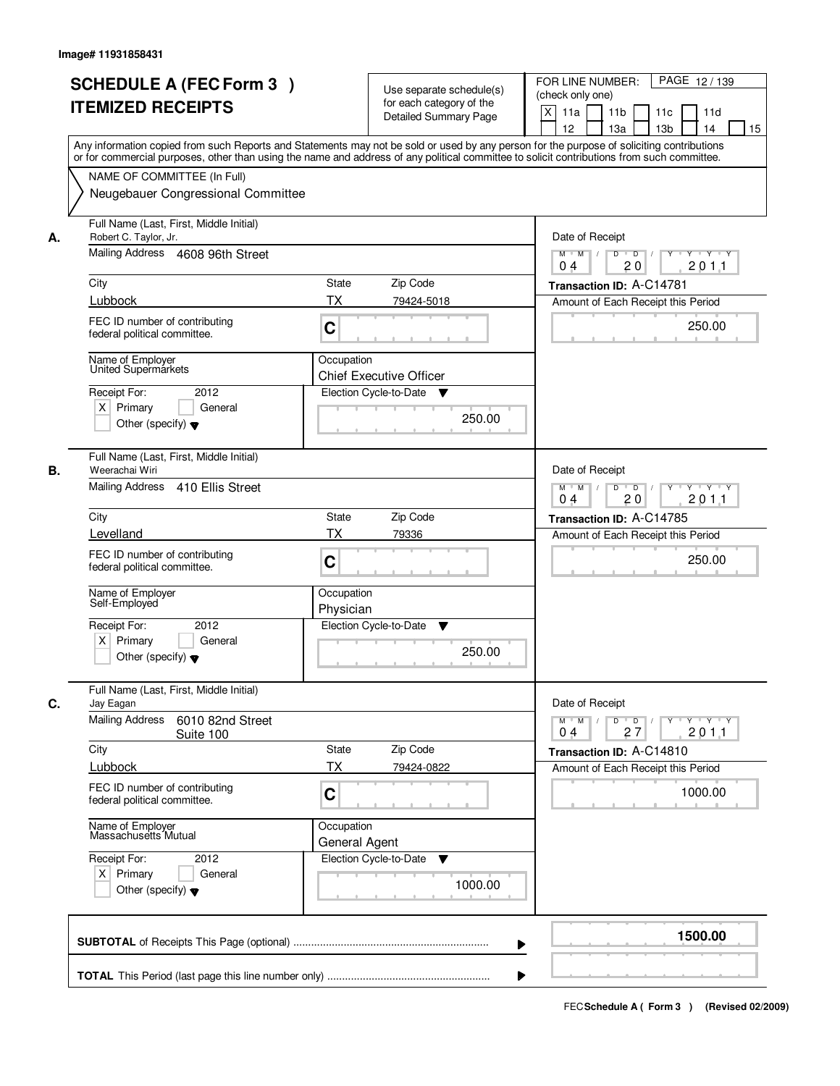|    | <b>SCHEDULE A (FEC Form 3)</b>                                                                                                             |                    | Use separate schedule(s)       | FOR LINE NUMBER:<br>PAGE 12/139                                                |
|----|--------------------------------------------------------------------------------------------------------------------------------------------|--------------------|--------------------------------|--------------------------------------------------------------------------------|
|    | <b>ITEMIZED RECEIPTS</b>                                                                                                                   |                    | for each category of the       | (check only one)                                                               |
|    |                                                                                                                                            |                    | <b>Detailed Summary Page</b>   | X<br>11a<br>11 <sub>b</sub><br>11c<br>11d                                      |
|    | Any information copied from such Reports and Statements may not be sold or used by any person for the purpose of soliciting contributions  |                    |                                | 12<br>13a<br>13 <sub>b</sub><br>14<br>15                                       |
|    | or for commercial purposes, other than using the name and address of any political committee to solicit contributions from such committee. |                    |                                |                                                                                |
|    | NAME OF COMMITTEE (In Full)                                                                                                                |                    |                                |                                                                                |
|    | Neugebauer Congressional Committee                                                                                                         |                    |                                |                                                                                |
|    |                                                                                                                                            |                    |                                |                                                                                |
| А. | Full Name (Last, First, Middle Initial)<br>Robert C. Taylor, Jr.                                                                           |                    |                                | Date of Receipt                                                                |
|    | Mailing Address 4608 96th Street                                                                                                           |                    |                                | $\overline{D}$<br>$M$ $M$<br>D<br>$Y \cup Y \cup Y$                            |
|    |                                                                                                                                            |                    |                                | 201.1<br>20<br>0 <sub>4</sub>                                                  |
|    | City                                                                                                                                       | State              | Zip Code                       | Transaction ID: A-C14781                                                       |
|    | Lubbock                                                                                                                                    | <b>TX</b>          | 79424-5018                     | Amount of Each Receipt this Period                                             |
|    | FEC ID number of contributing                                                                                                              |                    |                                | 250.00                                                                         |
|    | federal political committee.                                                                                                               | C                  |                                |                                                                                |
|    | Name of Employer                                                                                                                           | Occupation         |                                |                                                                                |
|    | United Supermarkets                                                                                                                        |                    | <b>Chief Executive Officer</b> |                                                                                |
|    | 2012<br>Receipt For:                                                                                                                       |                    | Election Cycle-to-Date<br>v    |                                                                                |
|    | $X$ Primary<br>General                                                                                                                     |                    | 250.00                         |                                                                                |
|    | Other (specify) $\blacktriangledown$                                                                                                       |                    |                                |                                                                                |
|    |                                                                                                                                            |                    |                                |                                                                                |
| В. | Full Name (Last, First, Middle Initial)<br>Weerachai Wiri                                                                                  |                    |                                | Date of Receipt                                                                |
|    | Mailing Address 410 Ellis Street                                                                                                           |                    |                                | $D$ $D$ $1$<br>$M$ $M$ /<br>Y<br>$Y \dashv Y \dashv Y$                         |
|    |                                                                                                                                            |                    |                                | 20<br>201.1<br>04                                                              |
|    | City                                                                                                                                       | State              | Zip Code                       | Transaction ID: A-C14785                                                       |
|    | Levelland                                                                                                                                  | TX                 | 79336                          | Amount of Each Receipt this Period                                             |
|    | FEC ID number of contributing                                                                                                              | C                  |                                | 250.00                                                                         |
|    | federal political committee.                                                                                                               |                    |                                |                                                                                |
|    | Name of Employer                                                                                                                           | Occupation         |                                |                                                                                |
|    | Self-Employed                                                                                                                              | Physician          |                                |                                                                                |
|    | Receipt For:<br>2012                                                                                                                       |                    | Election Cycle-to-Date<br>v    |                                                                                |
|    | $X$ Primary<br>General                                                                                                                     |                    | 250.00                         |                                                                                |
|    | Other (specify) $\blacktriangledown$                                                                                                       |                    |                                |                                                                                |
|    | Full Name (Last, First, Middle Initial)                                                                                                    |                    |                                |                                                                                |
| C. | Jay Eagan                                                                                                                                  |                    |                                | Date of Receipt                                                                |
|    | Mailing Address<br>6010 82nd Street                                                                                                        |                    |                                | $M$ $M$<br>$D$ $D$ $l$<br>$Y \rightarrow Y \rightarrow Y$<br>$Y$ <sup>-1</sup> |
|    | Suite 100                                                                                                                                  |                    |                                | 201.1<br>27<br>04                                                              |
|    | City<br>Lubbock                                                                                                                            | State<br><b>TX</b> | Zip Code<br>79424-0822         | Transaction ID: A-C14810                                                       |
|    |                                                                                                                                            |                    |                                | Amount of Each Receipt this Period                                             |
|    | FEC ID number of contributing<br>federal political committee.                                                                              | C                  |                                | 1000.00                                                                        |
|    |                                                                                                                                            |                    |                                |                                                                                |
|    | Name of Employer<br>Massachusetts Mutual                                                                                                   | Occupation         |                                |                                                                                |
|    | Receipt For:<br>2012                                                                                                                       | General Agent      | Election Cycle-to-Date<br>v    |                                                                                |
|    | $X$ Primary<br>General                                                                                                                     |                    |                                |                                                                                |
|    | Other (specify) $\blacktriangledown$                                                                                                       |                    | 1000.00                        |                                                                                |
|    |                                                                                                                                            |                    |                                |                                                                                |
|    |                                                                                                                                            |                    |                                |                                                                                |
|    |                                                                                                                                            |                    | ▶                              | 1500.00                                                                        |
|    |                                                                                                                                            |                    |                                |                                                                                |
|    |                                                                                                                                            |                    |                                |                                                                                |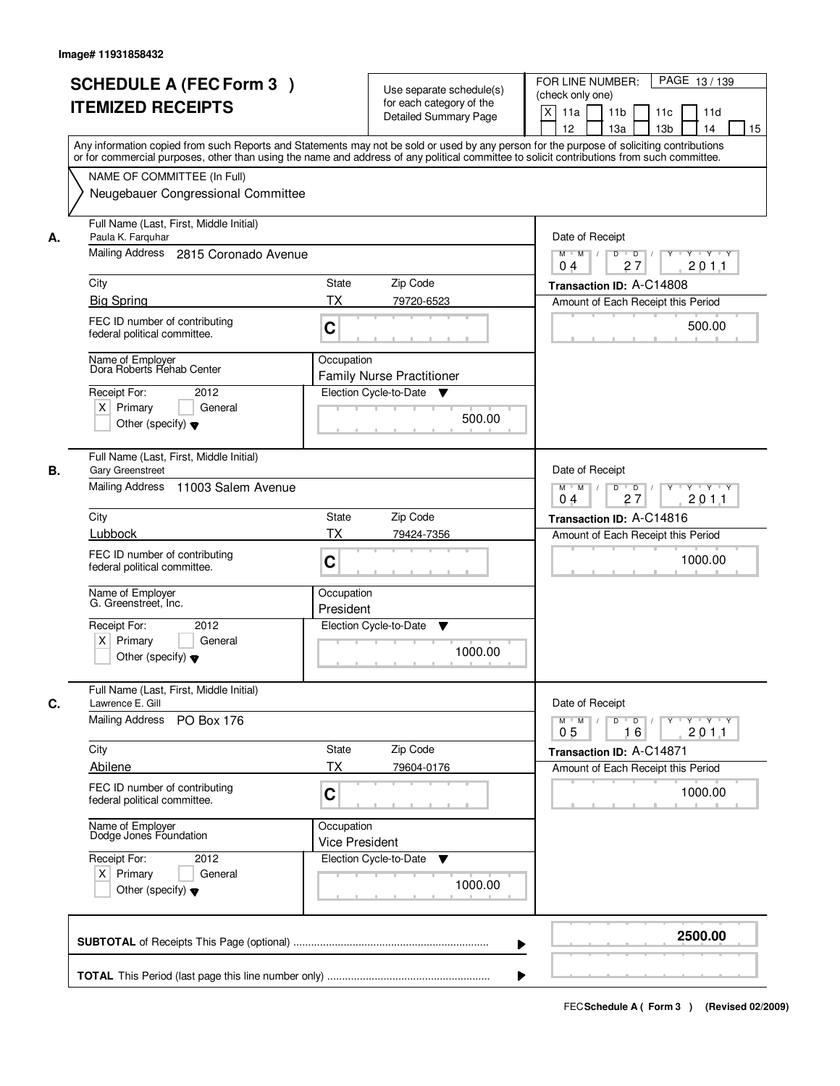|    | <b>SCHEDULE A (FEC Form 3)</b><br><b>ITEMIZED RECEIPTS</b>                                                                                                                                                                                                                                                                                                   | Use separate schedule(s)<br>for each category of the<br><b>Detailed Summary Page</b>                                                           | PAGE 13/139<br>FOR LINE NUMBER:<br>(check only one)<br>X<br>11a<br>11 <sub>b</sub><br>11c<br>11d<br>12<br>13a<br>13 <sub>b</sub><br>14<br>15                                                   |
|----|--------------------------------------------------------------------------------------------------------------------------------------------------------------------------------------------------------------------------------------------------------------------------------------------------------------------------------------------------------------|------------------------------------------------------------------------------------------------------------------------------------------------|------------------------------------------------------------------------------------------------------------------------------------------------------------------------------------------------|
|    | Any information copied from such Reports and Statements may not be sold or used by any person for the purpose of soliciting contributions<br>or for commercial purposes, other than using the name and address of any political committee to solicit contributions from such committee.<br>NAME OF COMMITTEE (In Full)<br>Neugebauer Congressional Committee |                                                                                                                                                |                                                                                                                                                                                                |
| А. | Full Name (Last, First, Middle Initial)<br>Paula K. Farquhar<br>Mailing Address<br>2815 Coronado Avenue<br>City<br><b>Big Spring</b><br>FEC ID number of contributing<br>federal political committee.<br>Name of Employer<br>Dora Roberts Rehab Center<br>Receipt For:<br>2012<br>$X$ Primary<br>General<br>Other (specify) $\blacktriangledown$             | <b>State</b><br>Zip Code<br><b>TX</b><br>79720-6523<br>C<br>Occupation<br><b>Family Nurse Practitioner</b><br>Election Cycle-to-Date<br>500.00 | Date of Receipt<br>$M$ $M$<br>D<br>$\overline{D}$<br>$Y - Y - Y$<br>201.1<br>27<br>0 <sub>4</sub><br>Transaction ID: A-C14808<br>Amount of Each Receipt this Period<br>500.00                  |
| В. | Full Name (Last, First, Middle Initial)<br><b>Gary Greenstreet</b><br>Mailing Address<br>11003 Salem Avenue<br>City<br>Lubbock<br>FEC ID number of contributing<br>federal political committee.<br>Name of Employer<br>G. Greenstreet, Inc.<br>Receipt For:<br>2012<br>$X$ Primary<br>General<br>Other (specify) $\blacktriangledown$                        | Zip Code<br>State<br><b>TX</b><br>79424-7356<br>C<br>Occupation<br>President<br>Election Cycle-to-Date<br>v<br>1000.00                         | Date of Receipt<br>$D$ $D$ $/$<br>$M$ $M$ /<br>Y<br>$Y \dashv Y \dashv Y$<br>27<br>201.1<br>04<br>Transaction ID: A-C14816<br>Amount of Each Receipt this Period<br>1000.00                    |
| C. | Full Name (Last, First, Middle Initial)<br>Lawrence E. Gill<br>Mailing Address<br>PO Box 176<br>City<br>Abilene<br>FEC ID number of contributing<br>federal political committee.<br>Name of Employer<br>Dodge Jones Foundation<br>Receipt For:<br>2012<br>$X$ Primary<br>General<br>Other (specify) $\blacktriangledown$                                     | Zip Code<br>State<br><b>TX</b><br>79604-0176<br>C<br>Occupation<br><b>Vice President</b><br>Election Cycle-to-Date<br>v<br>1000.00             | Date of Receipt<br>$M$ $M$<br>$D$ $D$ $/$<br>$Y - Y - Y - Y$<br>$\Box$<br>$Y$ $V$<br>2011<br>0 <sub>5</sub><br>16<br>Transaction ID: A-C14871<br>Amount of Each Receipt this Period<br>1000.00 |
|    |                                                                                                                                                                                                                                                                                                                                                              | ▶                                                                                                                                              | 2500.00                                                                                                                                                                                        |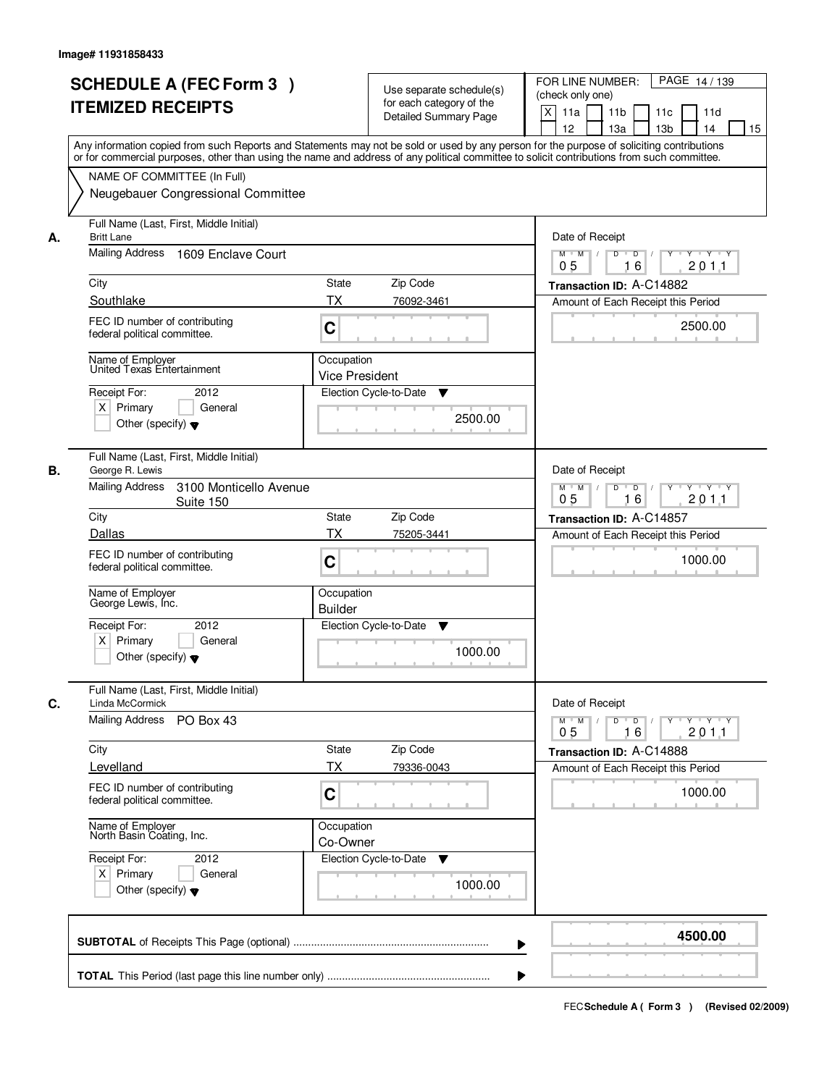|    | <b>SCHEDULE A (FEC Form 3)</b><br><b>ITEMIZED RECEIPTS</b>                                                                                                                                                                                                                                                                                                   | Use separate schedule(s)<br>for each category of the<br><b>Detailed Summary Page</b> | PAGE 14/139<br>FOR LINE NUMBER:<br>(check only one)<br>X<br>11a<br>11 <sub>b</sub><br>11c<br>11d<br>12<br>13a<br>13 <sub>b</sub><br>14<br>15                                                |
|----|--------------------------------------------------------------------------------------------------------------------------------------------------------------------------------------------------------------------------------------------------------------------------------------------------------------------------------------------------------------|--------------------------------------------------------------------------------------|---------------------------------------------------------------------------------------------------------------------------------------------------------------------------------------------|
|    | Any information copied from such Reports and Statements may not be sold or used by any person for the purpose of soliciting contributions<br>or for commercial purposes, other than using the name and address of any political committee to solicit contributions from such committee.<br>NAME OF COMMITTEE (In Full)<br>Neugebauer Congressional Committee |                                                                                      |                                                                                                                                                                                             |
| А. | Full Name (Last, First, Middle Initial)<br><b>Britt Lane</b><br>Mailing Address<br>1609 Enclave Court<br>City<br>Southlake<br>FEC ID number of contributing<br>federal political committee.                                                                                                                                                                  | <b>State</b><br>Zip Code<br><b>TX</b><br>76092-3461<br>C                             | Date of Receipt<br>$\overline{D}$<br>$M$ $M$ /<br>D<br>$Y \cup Y \cup Y$<br>201.1<br>0 <sub>5</sub><br>16<br>Transaction ID: A-C14882<br>Amount of Each Receipt this Period<br>2500.00      |
|    | Name of Employer<br>United Texas Entertainment<br>Receipt For:<br>2012<br>$X$ Primary<br>General<br>Other (specify) $\blacktriangledown$                                                                                                                                                                                                                     | Occupation<br><b>Vice President</b><br>Election Cycle-to-Date<br>▼<br>2500.00        |                                                                                                                                                                                             |
| В. | Full Name (Last, First, Middle Initial)<br>George R. Lewis<br><b>Mailing Address</b><br>3100 Monticello Avenue<br>Suite 150<br>City<br>Dallas                                                                                                                                                                                                                | Zip Code<br><b>State</b><br><b>TX</b><br>75205-3441                                  | Date of Receipt<br>$D$ $D$ $1$<br>$M$ $M$ /<br>$Y$ <sup>U</sup><br>$Y \dashv Y \dashv Y$<br>0 <sub>5</sub><br>16<br>201.1<br>Transaction ID: A-C14857<br>Amount of Each Receipt this Period |
|    | FEC ID number of contributing<br>federal political committee.<br>Name of Employer<br>George Lewis, Inc.<br>Receipt For:<br>2012<br>$X$ Primary<br>General<br>Other (specify) $\blacktriangledown$                                                                                                                                                            | C<br>Occupation<br><b>Builder</b><br>Election Cycle-to-Date<br>v<br>1000.00          | 1000.00                                                                                                                                                                                     |
| C. | Full Name (Last, First, Middle Initial)<br>Linda McCormick<br><b>Mailing Address</b><br>PO Box 43                                                                                                                                                                                                                                                            |                                                                                      | Date of Receipt<br>$M$ $M$<br>$D$ $D$ $/$<br>yuryuryury<br>2011<br>0 <sub>5</sub><br>16                                                                                                     |
|    | City<br>Levelland<br>FEC ID number of contributing<br>federal political committee.                                                                                                                                                                                                                                                                           | Zip Code<br>State<br><b>TX</b><br>79336-0043<br>C                                    | Transaction ID: A-C14888<br>Amount of Each Receipt this Period<br>1000.00                                                                                                                   |
|    | Name of Employer<br>North Basin Coating, Inc.<br>Receipt For:<br>2012<br>$X$ Primary<br>General<br>Other (specify) $\blacktriangledown$                                                                                                                                                                                                                      | Occupation<br>Co-Owner<br>Election Cycle-to-Date<br>v<br>1000.00                     |                                                                                                                                                                                             |
|    |                                                                                                                                                                                                                                                                                                                                                              |                                                                                      | 4500.00<br>▶                                                                                                                                                                                |
|    |                                                                                                                                                                                                                                                                                                                                                              |                                                                                      |                                                                                                                                                                                             |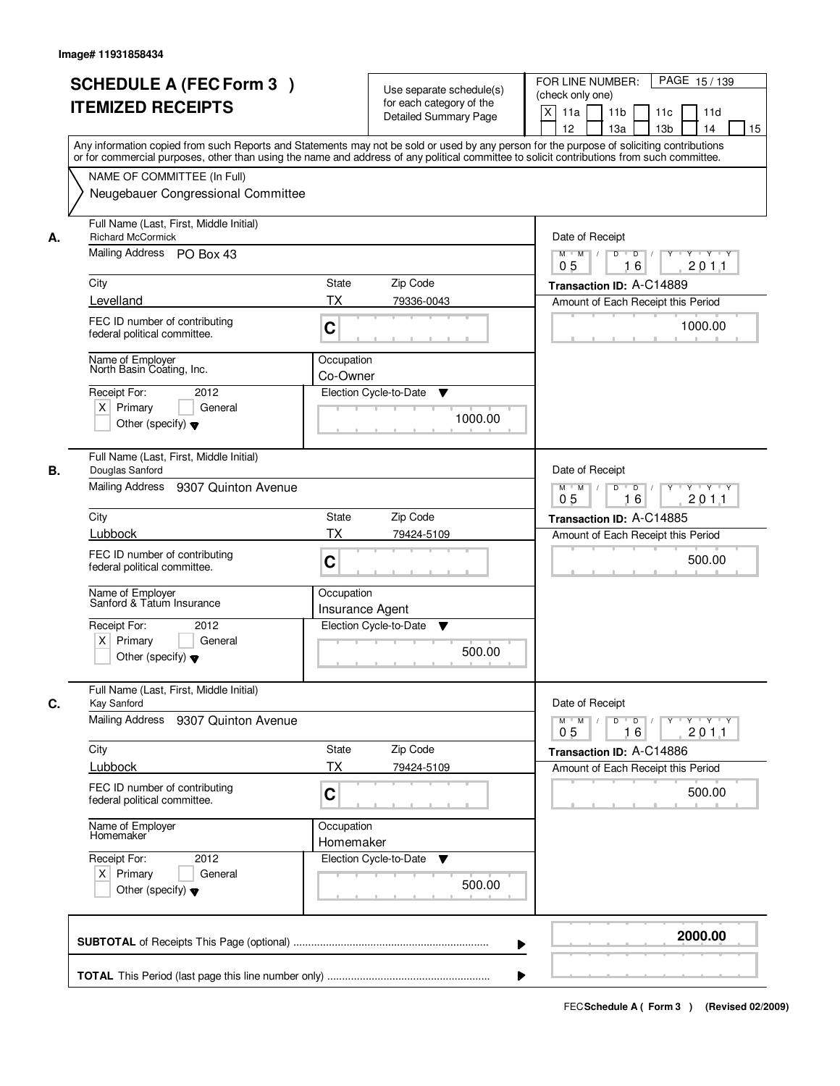| <b>SCHEDULE A (FEC Form 3)</b><br><b>ITEMIZED RECEIPTS</b>                                                                                                                                                                                                                                                                                | Use separate schedule(s)<br>for each category of the<br><b>Detailed Summary Page</b><br>Any information copied from such Reports and Statements may not be sold or used by any person for the purpose of soliciting contributions | PAGE 15/139<br>FOR LINE NUMBER:<br>(check only one)<br>X<br>11 <sub>b</sub><br>11a<br>11 <sub>c</sub><br>11d<br>12<br>13 <sub>b</sub><br>14<br>13a<br>15                                                        |
|-------------------------------------------------------------------------------------------------------------------------------------------------------------------------------------------------------------------------------------------------------------------------------------------------------------------------------------------|-----------------------------------------------------------------------------------------------------------------------------------------------------------------------------------------------------------------------------------|-----------------------------------------------------------------------------------------------------------------------------------------------------------------------------------------------------------------|
| NAME OF COMMITTEE (In Full)<br>Neugebauer Congressional Committee                                                                                                                                                                                                                                                                         | or for commercial purposes, other than using the name and address of any political committee to solicit contributions from such committee.                                                                                        |                                                                                                                                                                                                                 |
| Full Name (Last, First, Middle Initial)<br><b>Richard McCormick</b><br>А.<br>Mailing Address PO Box 43<br>City<br>Levelland<br>FEC ID number of contributing<br>federal political committee.<br>Name of Employer<br>North Basin Coating, Inc.<br>Receipt For:<br>2012<br>$X$ Primary<br>General<br>Other (specify) $\blacktriangledown$   | <b>State</b><br>Zip Code<br>ТX<br>79336-0043<br>C<br>Occupation<br>Co-Owner<br>Election Cycle-to-Date<br>▼<br>1000.00                                                                                                             | Date of Receipt<br>$D$ $D$ $1$<br>$Y$ <sup>U</sup><br>$Y - Y - Y - Y$<br>$M$ $M$ /<br>0 <sub>5</sub><br>16<br>201.1<br>Transaction ID: A-C14889<br>Amount of Each Receipt this Period<br>1000.00                |
| Full Name (Last, First, Middle Initial)<br>Douglas Sanford<br>В.<br>Mailing Address<br>9307 Quinton Avenue<br>City<br>Lubbock<br>FEC ID number of contributing<br>federal political committee.<br>Name of Employer<br>Sanford & Tatum Insurance<br>Receipt For:<br>2012<br>$X$ Primary<br>General<br>Other (specify) $\blacktriangledown$ | Zip Code<br>State<br>TX<br>79424-5109<br>C<br>Occupation<br>Insurance Agent<br>Election Cycle-to-Date<br>v<br>500.00                                                                                                              | Date of Receipt<br>$M$ $M$ /<br>D<br>$\overline{D}$ /<br>$Y$ <sup>U</sup><br>$Y \dashv Y \dashv Y$<br>0 <sub>5</sub><br>16<br>201.1<br>Transaction ID: A-C14885<br>Amount of Each Receipt this Period<br>500.00 |
| Full Name (Last, First, Middle Initial)<br>C.<br>Kay Sanford<br>Mailing Address<br>9307 Quinton Avenue<br>City<br>Lubbock<br>FEC ID number of contributing<br>federal political committee.<br>Name of Employer<br>Homemaker<br>Receipt For:<br>2012<br>$X$ Primary<br>General<br>Other (specify) $\blacktriangledown$                     | State<br>Zip Code<br>ТX<br>79424-5109<br>C<br>Occupation<br>Homemaker<br>Election Cycle-to-Date<br>v<br>500.00                                                                                                                    | Date of Receipt<br>$M$ $M$<br>$D$ $D$ $l$<br><u> Y LY LY LY</u><br>2011<br>0 <sub>5</sub><br>16<br>Transaction ID: A-C14886<br>Amount of Each Receipt this Period<br>500.00                                     |
|                                                                                                                                                                                                                                                                                                                                           |                                                                                                                                                                                                                                   | 2000.00                                                                                                                                                                                                         |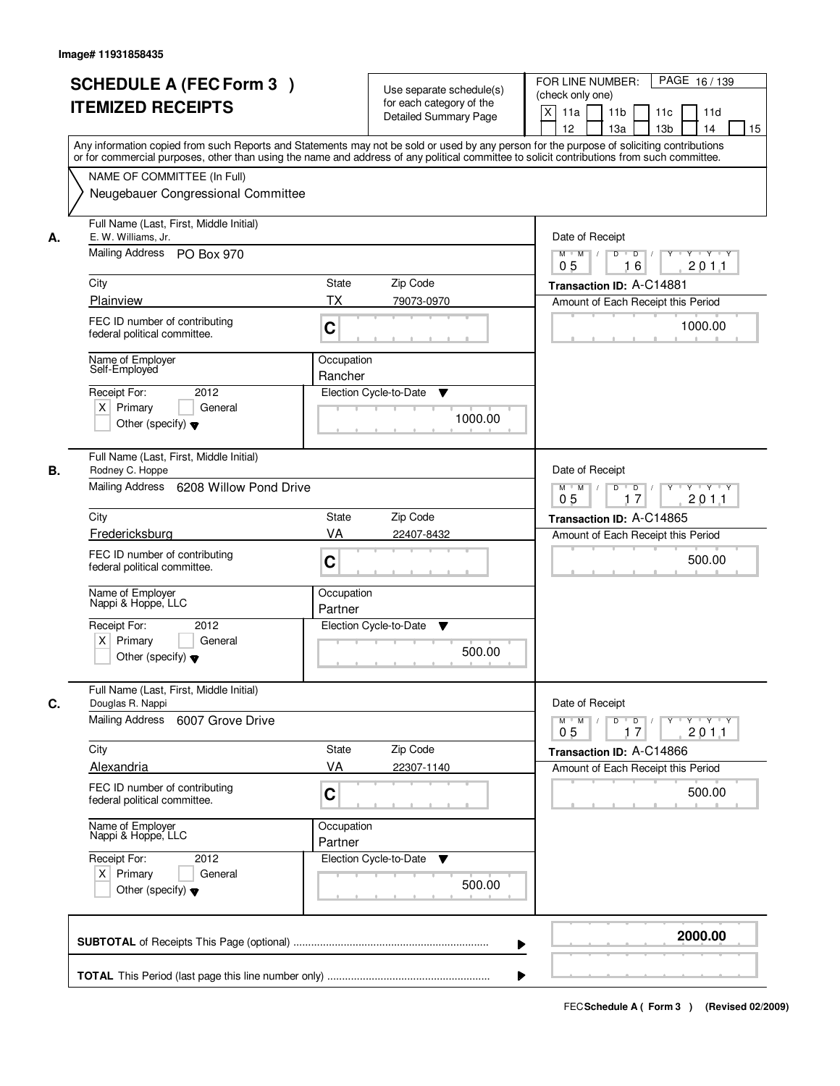| <b>SCHEDULE A (FEC Form 3)</b><br><b>ITEMIZED RECEIPTS</b>                                                                                                                                                                                                                                                                                 | Use separate schedule(s)<br>for each category of the<br><b>Detailed Summary Page</b>                                                                                                                                                                                                    | PAGE 16/139<br>FOR LINE NUMBER:<br>(check only one)<br>X<br>11a<br>11 <sub>b</sub><br>11c<br>11d<br>12<br>13 <sub>b</sub><br>13a<br>14<br>15                                                          |
|--------------------------------------------------------------------------------------------------------------------------------------------------------------------------------------------------------------------------------------------------------------------------------------------------------------------------------------------|-----------------------------------------------------------------------------------------------------------------------------------------------------------------------------------------------------------------------------------------------------------------------------------------|-------------------------------------------------------------------------------------------------------------------------------------------------------------------------------------------------------|
| NAME OF COMMITTEE (In Full)<br>Neugebauer Congressional Committee                                                                                                                                                                                                                                                                          | Any information copied from such Reports and Statements may not be sold or used by any person for the purpose of soliciting contributions<br>or for commercial purposes, other than using the name and address of any political committee to solicit contributions from such committee. |                                                                                                                                                                                                       |
| Full Name (Last, First, Middle Initial)<br>E. W. Williams, Jr.<br>А.<br>Mailing Address PO Box 970<br>City<br>Plainview<br>FEC ID number of contributing<br>federal political committee.<br>Name of Employer<br>Self-Employed<br>2012<br>Receipt For:<br>$X$ Primary<br>General<br>Other (specify) $\blacktriangledown$                    | State<br>Zip Code<br>ТX<br>79073-0970<br>C<br>Occupation<br>Rancher<br>Election Cycle-to-Date<br>▼<br>1000.00                                                                                                                                                                           | Date of Receipt<br>$D$ $D$ $1$<br>$\overline{Y}$<br>Y Y Y Y<br>$M$ $M$ /<br>0 <sub>5</sub><br>201.1<br>16<br>Transaction ID: A-C14881<br>Amount of Each Receipt this Period<br>1000.00                |
| Full Name (Last, First, Middle Initial)<br>Rodney C. Hoppe<br>В.<br>Mailing Address 6208 Willow Pond Drive<br>City<br>Fredericksburg<br>FEC ID number of contributing<br>federal political committee.<br>Name of Employer<br>Nappi & Hoppe, LLC<br>Receipt For:<br>2012<br>$X$ Primary<br>General<br>Other (specify) $\blacktriangledown$  | Zip Code<br>State<br>VA<br>22407-8432<br>C<br>Occupation<br>Partner<br>Election Cycle-to-Date<br>v<br>500.00                                                                                                                                                                            | Date of Receipt<br>$M$ $M$ /<br>D<br>$\Box$<br>Y<br>$Y \dashv Y \dashv Y$<br>17<br>201.1<br>05<br>Transaction ID: A-C14865<br>Amount of Each Receipt this Period<br>500.00                            |
| Full Name (Last, First, Middle Initial)<br>C.<br>Douglas R. Nappi<br>Mailing Address<br>6007 Grove Drive<br>City<br><b>Alexandria</b><br>FEC ID number of contributing<br>federal political committee.<br>Name of Employer<br>Nappi & Hoppe, LLC<br>Receipt For:<br>2012<br>$X$ Primary<br>General<br>Other (specify) $\blacktriangledown$ | Zip Code<br>State<br>VA<br>22307-1140<br>C<br>Occupation<br>Partner<br>Election Cycle-to-Date<br>v<br>500.00                                                                                                                                                                            | Date of Receipt<br>$D$ $D$ $l$<br>$M$ $M$ /<br>$\gamma$ $\gamma$ $\gamma$ $\gamma$ $\gamma$ $\gamma$<br>201.1<br>05<br>17<br>Transaction ID: A-C14866<br>Amount of Each Receipt this Period<br>500.00 |
|                                                                                                                                                                                                                                                                                                                                            | ▶                                                                                                                                                                                                                                                                                       | 2000.00                                                                                                                                                                                               |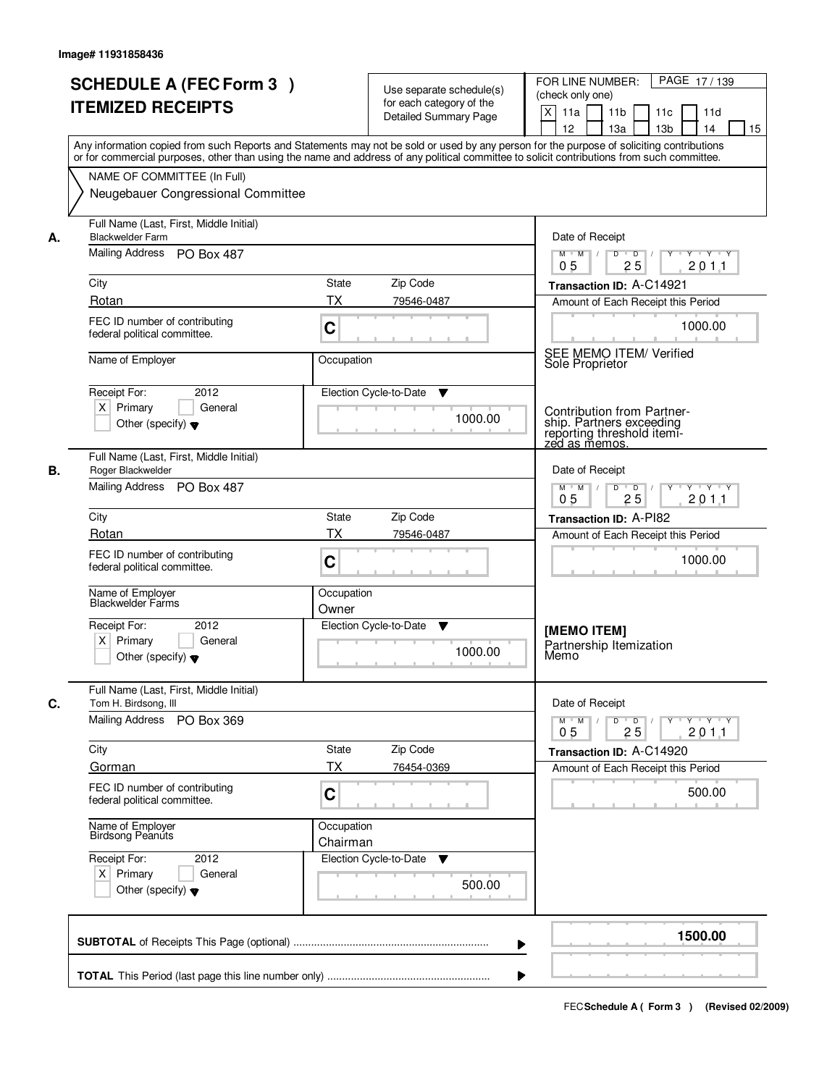| <b>SCHEDULE A (FEC Form 3)</b><br><b>ITEMIZED RECEIPTS</b>                                             | Use separate schedule(s)<br>for each category of the<br><b>Detailed Summary Page</b><br>Any information copied from such Reports and Statements may not be sold or used by any person for the purpose of soliciting contributions<br>or for commercial purposes, other than using the name and address of any political committee to solicit contributions from such committee. | PAGE 17/139<br>FOR LINE NUMBER:<br>(check only one)<br>$\mathsf{X}$<br>11 <sub>b</sub><br>11a<br>11c<br>11d<br>12<br>13 <sub>b</sub><br>14<br>15<br>13a |
|--------------------------------------------------------------------------------------------------------|---------------------------------------------------------------------------------------------------------------------------------------------------------------------------------------------------------------------------------------------------------------------------------------------------------------------------------------------------------------------------------|---------------------------------------------------------------------------------------------------------------------------------------------------------|
| NAME OF COMMITTEE (In Full)<br>Neugebauer Congressional Committee                                      |                                                                                                                                                                                                                                                                                                                                                                                 |                                                                                                                                                         |
| Full Name (Last, First, Middle Initial)<br><b>Blackwelder Farm</b><br>А.<br>Mailing Address PO Box 487 |                                                                                                                                                                                                                                                                                                                                                                                 | Date of Receipt<br>$Y + Y + Y$<br>$D$ $D$ $1$<br>$Y$ <sup>U</sup><br>$M$ $M$ /                                                                          |
| City<br>Rotan                                                                                          | State<br>Zip Code<br><b>TX</b><br>79546-0487                                                                                                                                                                                                                                                                                                                                    | 0 <sub>5</sub><br>25<br>201.1<br>Transaction ID: A-C14921                                                                                               |
| FEC ID number of contributing<br>federal political committee.                                          | C                                                                                                                                                                                                                                                                                                                                                                               | Amount of Each Receipt this Period<br>1000.00                                                                                                           |
| Name of Employer                                                                                       | Occupation                                                                                                                                                                                                                                                                                                                                                                      | SEE MEMO ITEM/ Verified<br>Sole Proprietor                                                                                                              |
| Receipt For:<br>2012<br>$X$ Primary<br>General<br>Other (specify) $\blacktriangledown$                 | Election Cycle-to-Date<br>▼<br>1000.00                                                                                                                                                                                                                                                                                                                                          | Contribution from Partner-<br>ship. Partners exceeding<br>reporting threshold itemi-<br><u>zed as memos.</u>                                            |
| Full Name (Last, First, Middle Initial)<br>В.<br>Roger Blackwelder<br>Mailing Address PO Box 487       |                                                                                                                                                                                                                                                                                                                                                                                 | Date of Receipt<br>$M$ $M$ /<br>D<br>$\overline{D}$<br>Y 'Y 'Y<br>25<br>0 <sub>5</sub><br>201.1                                                         |
| City<br>Rotan                                                                                          | Zip Code<br><b>State</b><br><b>TX</b><br>79546-0487                                                                                                                                                                                                                                                                                                                             | Transaction ID: A-PI82                                                                                                                                  |
| FEC ID number of contributing<br>federal political committee.                                          | C                                                                                                                                                                                                                                                                                                                                                                               | Amount of Each Receipt this Period<br>1000.00                                                                                                           |
| Name of Employer<br>Blackwelder Farms                                                                  | Occupation<br>Owner                                                                                                                                                                                                                                                                                                                                                             |                                                                                                                                                         |
| Receipt For:<br>2012<br>$X$ Primary<br>General<br>Other (specify) $\blacktriangledown$                 | Election Cycle-to-Date<br>v<br>1000.00                                                                                                                                                                                                                                                                                                                                          | [MEMO ITEM]<br>Partnership Itemization<br>Memo                                                                                                          |
| Full Name (Last, First, Middle Initial)<br>C.<br>Tom H. Birdsong, III<br>Mailing Address<br>PO Box 369 |                                                                                                                                                                                                                                                                                                                                                                                 | Date of Receipt<br>$M$ $M$<br>$D$ $D$ $/$<br>$Y + Y + Y + Y$<br>201.1<br>0 <sub>5</sub><br>25                                                           |
| City<br>Gorman                                                                                         | <b>State</b><br>Zip Code<br>ТX<br>76454-0369                                                                                                                                                                                                                                                                                                                                    | Transaction ID: A-C14920<br>Amount of Each Receipt this Period                                                                                          |
| FEC ID number of contributing<br>federal political committee.                                          | C                                                                                                                                                                                                                                                                                                                                                                               | 500.00                                                                                                                                                  |
| Name of Employer<br>Birdsong Peanuts                                                                   | Occupation<br>Chairman                                                                                                                                                                                                                                                                                                                                                          |                                                                                                                                                         |
| Receipt For:<br>2012<br>$X$ Primary<br>General<br>Other (specify) $\blacktriangledown$                 | Election Cycle-to-Date ▼<br>500.00                                                                                                                                                                                                                                                                                                                                              |                                                                                                                                                         |
|                                                                                                        |                                                                                                                                                                                                                                                                                                                                                                                 | 1500.00<br>▶                                                                                                                                            |
|                                                                                                        |                                                                                                                                                                                                                                                                                                                                                                                 |                                                                                                                                                         |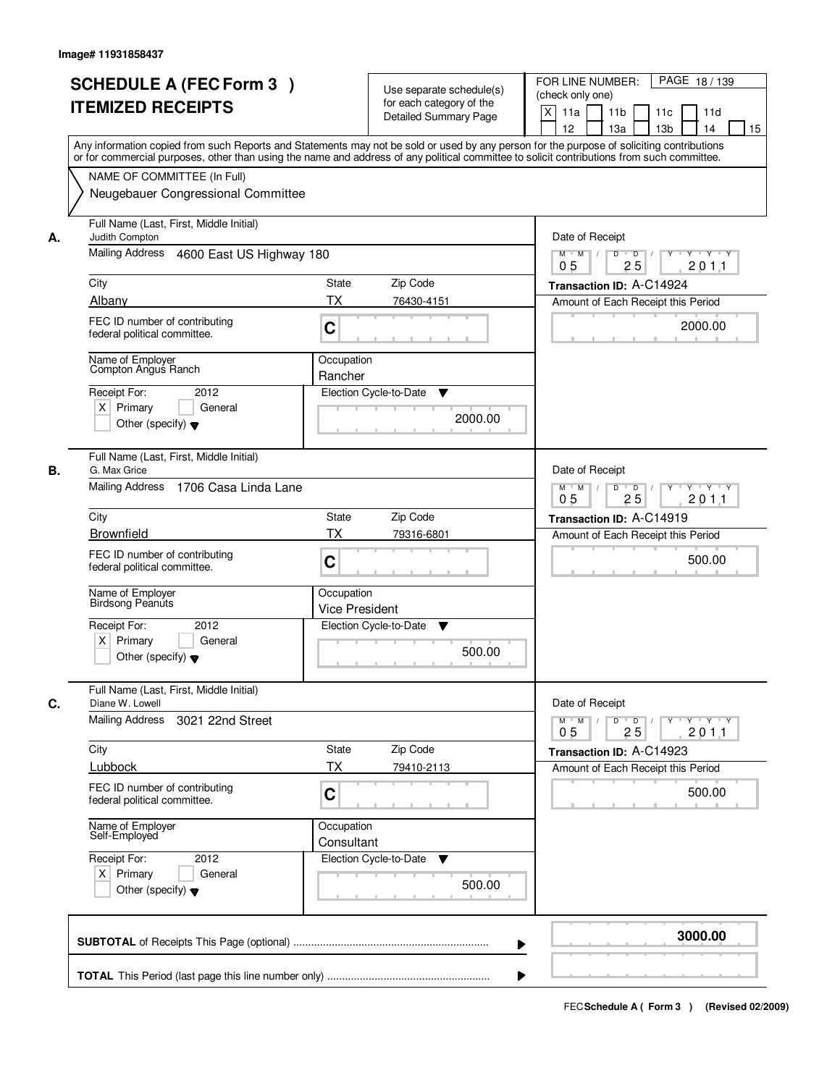|    | <b>SCHEDULE A (FEC Form 3)</b><br><b>ITEMIZED RECEIPTS</b><br>Any information copied from such Reports and Statements may not be sold or used by any person for the purpose of soliciting contributions         |                                     | Use separate schedule(s)<br>for each category of the<br><b>Detailed Summary Page</b> | PAGE 18/139<br>FOR LINE NUMBER:<br>(check only one)<br>X<br>11 <sub>b</sub><br>11a<br>11 <sub>c</sub><br>11d<br>12<br>13 <sub>b</sub><br>14<br>13a<br>15 |
|----|-----------------------------------------------------------------------------------------------------------------------------------------------------------------------------------------------------------------|-------------------------------------|--------------------------------------------------------------------------------------|----------------------------------------------------------------------------------------------------------------------------------------------------------|
|    | or for commercial purposes, other than using the name and address of any political committee to solicit contributions from such committee.<br>NAME OF COMMITTEE (In Full)<br>Neugebauer Congressional Committee |                                     |                                                                                      |                                                                                                                                                          |
| А. | Full Name (Last, First, Middle Initial)<br>Judith Compton<br>Mailing Address 4600 East US Highway 180                                                                                                           |                                     |                                                                                      | Date of Receipt<br>$D$ $D$<br>Y TY Y Y<br>$M$ $M$ /<br>Y                                                                                                 |
|    | City<br>Albany                                                                                                                                                                                                  | <b>State</b><br><b>TX</b>           | Zip Code<br>76430-4151                                                               | 0 <sub>5</sub><br>25<br>201.1<br>Transaction ID: A-C14924<br>Amount of Each Receipt this Period                                                          |
|    | FEC ID number of contributing<br>federal political committee.                                                                                                                                                   | C                                   |                                                                                      | 2000.00                                                                                                                                                  |
|    | Name of Employer<br>Compton Angus Ranch<br>Receipt For:<br>2012<br>$X$ Primary<br>General<br>Other (specify) $\blacktriangledown$                                                                               | Occupation<br>Rancher               | Election Cycle-to-Date<br>▼<br>2000.00                                               |                                                                                                                                                          |
| В. | Full Name (Last, First, Middle Initial)<br>G. Max Grice<br>Mailing Address<br>1706 Casa Linda Lane                                                                                                              |                                     |                                                                                      | Date of Receipt<br>$M$ $M$ /<br>D<br>$\overline{D}$ /<br>Y Y Y Y<br>0 <sub>5</sub><br>25<br>201.1                                                        |
|    | City                                                                                                                                                                                                            | State                               | Zip Code                                                                             | Transaction ID: A-C14919                                                                                                                                 |
|    | <b>Brownfield</b><br>FEC ID number of contributing<br>federal political committee.                                                                                                                              | TX<br>C                             | 79316-6801                                                                           | Amount of Each Receipt this Period<br>500.00                                                                                                             |
|    | Name of Employer<br>Birdsong Peanuts<br>Receipt For:<br>2012<br>$X$ Primary<br>General<br>Other (specify) $\blacktriangledown$                                                                                  | Occupation<br><b>Vice President</b> | Election Cycle-to-Date<br>v<br>500.00                                                |                                                                                                                                                          |
| C. | Full Name (Last, First, Middle Initial)<br>Diane W. Lowell                                                                                                                                                      |                                     |                                                                                      | Date of Receipt                                                                                                                                          |
|    | Mailing Address<br>3021 22nd Street                                                                                                                                                                             |                                     |                                                                                      | $D$ $D$ $/$<br>yuryuryury<br>$M$ $M$ /<br>2011<br>0 <sub>5</sub><br>25                                                                                   |
|    | City<br>Lubbock                                                                                                                                                                                                 | State<br>ТX                         | Zip Code<br>79410-2113                                                               | Transaction ID: A-C14923<br>Amount of Each Receipt this Period                                                                                           |
|    | FEC ID number of contributing<br>federal political committee.                                                                                                                                                   | C                                   |                                                                                      | 500.00                                                                                                                                                   |
|    | Name of Employer<br>Self-Employed                                                                                                                                                                               | Occupation<br>Consultant            |                                                                                      |                                                                                                                                                          |
|    | Receipt For:<br>2012<br>$X$ Primary<br>General<br>Other (specify) $\blacktriangledown$                                                                                                                          |                                     | Election Cycle-to-Date ▼<br>500.00                                                   |                                                                                                                                                          |
|    |                                                                                                                                                                                                                 |                                     |                                                                                      | 3000.00                                                                                                                                                  |
|    |                                                                                                                                                                                                                 |                                     |                                                                                      |                                                                                                                                                          |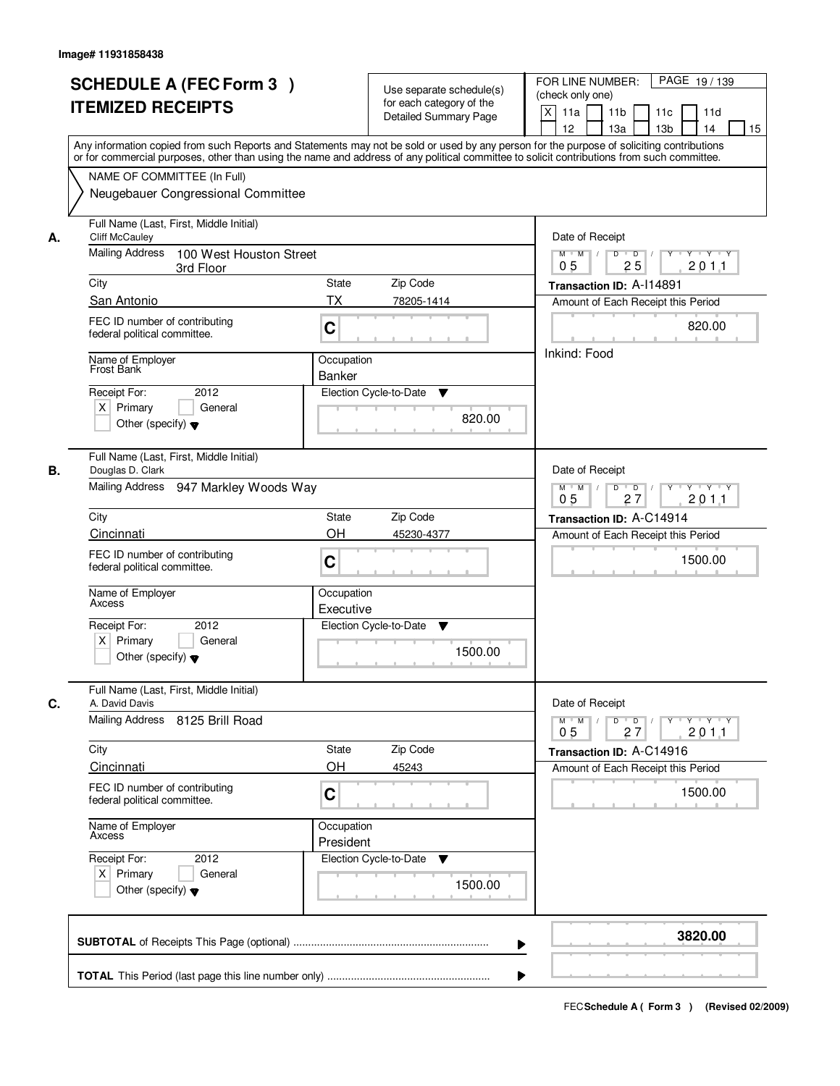|    | <b>SCHEDULE A (FEC Form 3)</b><br><b>ITEMIZED RECEIPTS</b><br>Any information copied from such Reports and Statements may not be sold or used by any person for the purpose of soliciting contributions<br>or for commercial purposes, other than using the name and address of any political committee to solicit contributions from such committee. | Use separate schedule(s)<br>for each category of the<br>Detailed Summary Page | PAGE 19/139<br>FOR LINE NUMBER:<br>(check only one)<br>$\mathsf{X}$<br>11 <sub>b</sub><br>11a<br>11c<br>11d<br>12<br>13 <sub>b</sub><br>14<br>13a<br>15 |
|----|-------------------------------------------------------------------------------------------------------------------------------------------------------------------------------------------------------------------------------------------------------------------------------------------------------------------------------------------------------|-------------------------------------------------------------------------------|---------------------------------------------------------------------------------------------------------------------------------------------------------|
|    | NAME OF COMMITTEE (In Full)<br>Neugebauer Congressional Committee                                                                                                                                                                                                                                                                                     |                                                                               |                                                                                                                                                         |
| А. | Full Name (Last, First, Middle Initial)<br><b>Cliff McCauley</b><br><b>Mailing Address</b><br>100 West Houston Street<br>3rd Floor                                                                                                                                                                                                                    |                                                                               | Date of Receipt<br>$D$ $D$<br>Y<br>$Y - Y - Y - Y$<br>$M$ $M$ /<br>$\sqrt{ }$<br>0 <sub>5</sub><br>25<br>201.1                                          |
|    | City                                                                                                                                                                                                                                                                                                                                                  | State<br>Zip Code                                                             | Transaction ID: A-114891                                                                                                                                |
|    | San Antonio                                                                                                                                                                                                                                                                                                                                           | <b>TX</b><br>78205-1414                                                       | Amount of Each Receipt this Period                                                                                                                      |
|    | FEC ID number of contributing<br>federal political committee.                                                                                                                                                                                                                                                                                         | C                                                                             | 820.00                                                                                                                                                  |
|    | Name of Employer<br>Frost Bank<br>2012<br>Receipt For:<br>$X$ Primary<br>General<br>Other (specify) $\blacktriangledown$                                                                                                                                                                                                                              | Occupation<br><b>Banker</b><br>Election Cycle-to-Date<br>▼<br>820.00          | Inkind: Food                                                                                                                                            |
| В. | Full Name (Last, First, Middle Initial)<br>Douglas D. Clark<br>Mailing Address 947 Markley Woods Way                                                                                                                                                                                                                                                  |                                                                               | Date of Receipt<br>$M$ $M$ /<br>D<br>$\Box$<br>Y Y Y Y<br>0 <sub>5</sub><br>27<br>201.1                                                                 |
|    | City                                                                                                                                                                                                                                                                                                                                                  | <b>State</b><br>Zip Code                                                      | Transaction ID: A-C14914                                                                                                                                |
|    | Cincinnati                                                                                                                                                                                                                                                                                                                                            | OH<br>45230-4377                                                              | Amount of Each Receipt this Period                                                                                                                      |
|    | FEC ID number of contributing<br>federal political committee.                                                                                                                                                                                                                                                                                         | C                                                                             | 1500.00                                                                                                                                                 |
|    | Name of Employer<br>Axcess<br>Receipt For:<br>2012                                                                                                                                                                                                                                                                                                    | Occupation<br>Executive<br>Election Cycle-to-Date<br>▼                        |                                                                                                                                                         |
|    | $X$ Primary<br>General<br>Other (specify) $\blacktriangledown$                                                                                                                                                                                                                                                                                        | 1500.00                                                                       |                                                                                                                                                         |
| C. | Full Name (Last, First, Middle Initial)<br>A. David Davis                                                                                                                                                                                                                                                                                             |                                                                               | Date of Receipt                                                                                                                                         |
|    | Mailing Address 8125 Brill Road                                                                                                                                                                                                                                                                                                                       |                                                                               | $D$ $D$ $/$<br>$\mathsf{Y} \dashv \mathsf{Y} \dashv \mathsf{Y} \dashv \mathsf{Y}$<br>$M = M$<br>201.1<br>0 <sub>5</sub><br>27                           |
|    | City                                                                                                                                                                                                                                                                                                                                                  | Zip Code<br>State                                                             | Transaction ID: A-C14916                                                                                                                                |
|    | <b>Cincinnati</b>                                                                                                                                                                                                                                                                                                                                     | OH<br>45243                                                                   | Amount of Each Receipt this Period                                                                                                                      |
|    | FEC ID number of contributing<br>federal political committee.                                                                                                                                                                                                                                                                                         | C                                                                             | 1500.00                                                                                                                                                 |
|    | Name of Employer<br>Axcess                                                                                                                                                                                                                                                                                                                            | Occupation<br>President                                                       |                                                                                                                                                         |
|    | Receipt For:<br>2012<br>$X$ Primary<br>General<br>Other (specify) $\blacktriangledown$                                                                                                                                                                                                                                                                | Election Cycle-to-Date<br>v<br>1500.00                                        |                                                                                                                                                         |
|    |                                                                                                                                                                                                                                                                                                                                                       |                                                                               | 3820.00<br>▶                                                                                                                                            |
|    |                                                                                                                                                                                                                                                                                                                                                       |                                                                               |                                                                                                                                                         |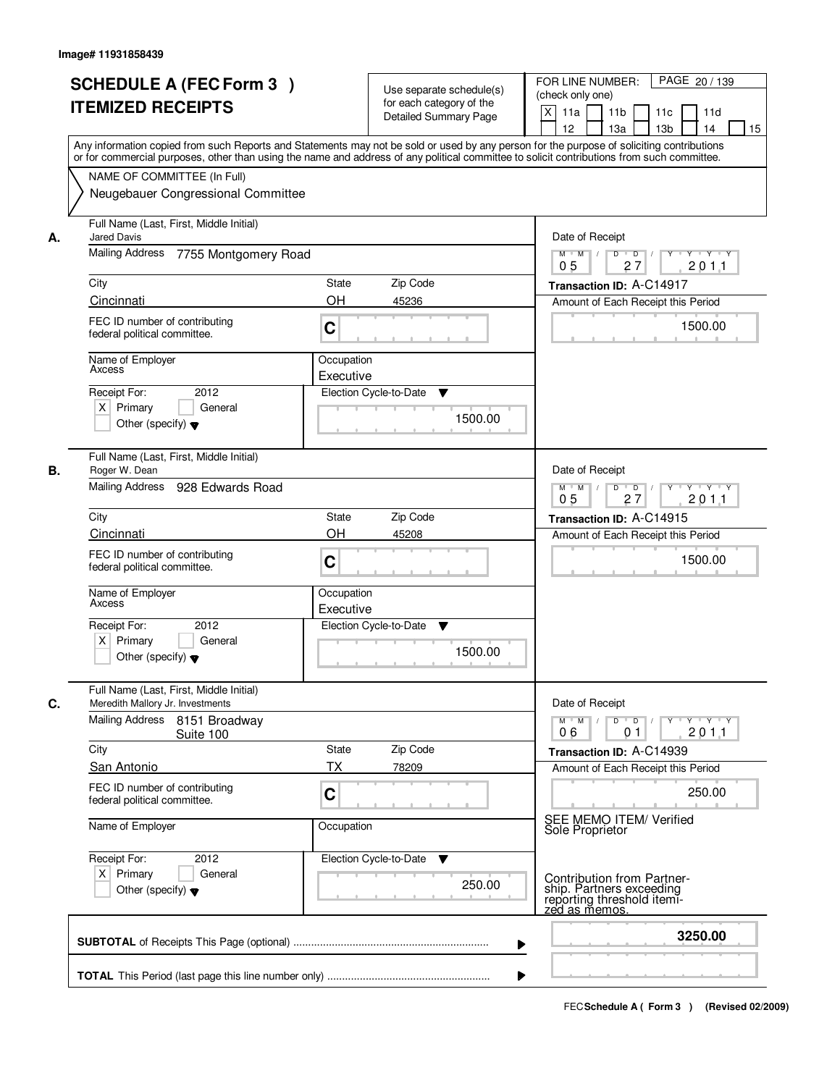|    | <b>SCHEDULE A (FEC Form 3)</b><br><b>ITEMIZED RECEIPTS</b><br>Any information copied from such Reports and Statements may not be sold or used by any person for the purpose of soliciting contributions | Use separate schedule(s)<br>for each category of the<br><b>Detailed Summary Page</b> | PAGE 20 / 139<br>FOR LINE NUMBER:<br>(check only one)<br>X<br>11 <sub>b</sub><br>11a<br>11c<br>11d<br>12<br>13 <sub>b</sub><br>14<br>13a<br>15                                                                                                                                                                                                                                                                                                                                             |
|----|---------------------------------------------------------------------------------------------------------------------------------------------------------------------------------------------------------|--------------------------------------------------------------------------------------|--------------------------------------------------------------------------------------------------------------------------------------------------------------------------------------------------------------------------------------------------------------------------------------------------------------------------------------------------------------------------------------------------------------------------------------------------------------------------------------------|
|    | or for commercial purposes, other than using the name and address of any political committee to solicit contributions from such committee.<br>NAME OF COMMITTEE (In Full)                               |                                                                                      |                                                                                                                                                                                                                                                                                                                                                                                                                                                                                            |
|    | Neugebauer Congressional Committee                                                                                                                                                                      |                                                                                      |                                                                                                                                                                                                                                                                                                                                                                                                                                                                                            |
| А. | Full Name (Last, First, Middle Initial)<br><b>Jared Davis</b>                                                                                                                                           |                                                                                      | Date of Receipt                                                                                                                                                                                                                                                                                                                                                                                                                                                                            |
|    | Mailing Address<br>7755 Montgomery Road                                                                                                                                                                 |                                                                                      | $D$ $D$<br>$Y - Y - Y - Y$<br>$M$ $M$ /<br>Y<br>0 <sub>5</sub><br>27<br>201.1                                                                                                                                                                                                                                                                                                                                                                                                              |
|    | City                                                                                                                                                                                                    | <b>State</b><br>Zip Code                                                             | Transaction ID: A-C14917                                                                                                                                                                                                                                                                                                                                                                                                                                                                   |
|    | Cincinnati                                                                                                                                                                                              | <b>OH</b><br>45236                                                                   | Amount of Each Receipt this Period                                                                                                                                                                                                                                                                                                                                                                                                                                                         |
|    | FEC ID number of contributing<br>federal political committee.                                                                                                                                           | C                                                                                    | 1500.00                                                                                                                                                                                                                                                                                                                                                                                                                                                                                    |
|    | Name of Employer<br>Axcess                                                                                                                                                                              | Occupation<br>Executive                                                              |                                                                                                                                                                                                                                                                                                                                                                                                                                                                                            |
|    | 2012<br>Receipt For:<br>$X$ Primary<br>General<br>Other (specify) $\blacktriangledown$                                                                                                                  | Election Cycle-to-Date<br>▼<br>1500.00                                               |                                                                                                                                                                                                                                                                                                                                                                                                                                                                                            |
| В. | Full Name (Last, First, Middle Initial)<br>Roger W. Dean                                                                                                                                                |                                                                                      | Date of Receipt                                                                                                                                                                                                                                                                                                                                                                                                                                                                            |
|    | Mailing Address 928 Edwards Road                                                                                                                                                                        |                                                                                      | $M$ $M$ /<br>D<br>$\overline{\phantom{0}}$ D<br>$Y \dashv Y \dashv Y$<br>0 <sub>5</sub><br>27<br>201.1                                                                                                                                                                                                                                                                                                                                                                                     |
|    | City                                                                                                                                                                                                    | Zip Code<br>State                                                                    | Transaction ID: A-C14915                                                                                                                                                                                                                                                                                                                                                                                                                                                                   |
|    | Cincinnati                                                                                                                                                                                              | OH<br>45208                                                                          | Amount of Each Receipt this Period                                                                                                                                                                                                                                                                                                                                                                                                                                                         |
|    | FEC ID number of contributing<br>federal political committee.                                                                                                                                           | C                                                                                    | 1500.00                                                                                                                                                                                                                                                                                                                                                                                                                                                                                    |
|    | Name of Employer<br>Axcess                                                                                                                                                                              | Occupation<br>Executive                                                              |                                                                                                                                                                                                                                                                                                                                                                                                                                                                                            |
|    | Receipt For:<br>2012                                                                                                                                                                                    | Election Cycle-to-Date<br>v                                                          |                                                                                                                                                                                                                                                                                                                                                                                                                                                                                            |
|    | $X$ Primary<br>General<br>Other (specify) $\blacktriangledown$                                                                                                                                          | 1500.00                                                                              |                                                                                                                                                                                                                                                                                                                                                                                                                                                                                            |
| C. | Full Name (Last, First, Middle Initial)<br>Meredith Mallory Jr. Investments                                                                                                                             |                                                                                      | Date of Receipt                                                                                                                                                                                                                                                                                                                                                                                                                                                                            |
|    | Mailing Address 8151 Broadway<br>Suite 100                                                                                                                                                              |                                                                                      | $D$ $D$ $/$<br>$M$ $M$<br>$\begin{array}{c} \begin{array}{c} \mathsf{p} \mathsf{p} \mathsf{p} \mathsf{p} \mathsf{p} \mathsf{p} \mathsf{p} \mathsf{p} \mathsf{p} \mathsf{p} \mathsf{p} \mathsf{p} \mathsf{p} \mathsf{p} \mathsf{p} \mathsf{p} \mathsf{p} \mathsf{p} \mathsf{p} \mathsf{p} \mathsf{p} \mathsf{p} \mathsf{p} \mathsf{p} \mathsf{p} \mathsf{p} \mathsf{p} \mathsf{p} \mathsf{p} \mathsf{p} \mathsf{p} \mathsf{p} \mathsf{p} \mathsf{p} \math$<br>201.1<br>06<br>0 <sub>1</sub> |
|    | City                                                                                                                                                                                                    | Zip Code<br>State                                                                    | Transaction ID: A-C14939                                                                                                                                                                                                                                                                                                                                                                                                                                                                   |
|    | San Antonio<br>FEC ID number of contributing<br>federal political committee.                                                                                                                            | ТX<br>78209<br>C                                                                     | Amount of Each Receipt this Period<br>250.00                                                                                                                                                                                                                                                                                                                                                                                                                                               |
|    | Name of Employer                                                                                                                                                                                        | Occupation                                                                           | SEE MEMO ITEM/ Verified<br>Sole Proprietor                                                                                                                                                                                                                                                                                                                                                                                                                                                 |
|    | Receipt For:<br>2012                                                                                                                                                                                    | Election Cycle-to-Date ▼                                                             |                                                                                                                                                                                                                                                                                                                                                                                                                                                                                            |
|    | $X$ Primary<br>General<br>Other (specify) $\blacktriangledown$                                                                                                                                          | 250.00                                                                               | Contribution from Partner-<br>ship. Partners exceeding<br>reporting threshold itemi-<br>zed as memos.                                                                                                                                                                                                                                                                                                                                                                                      |
|    |                                                                                                                                                                                                         |                                                                                      | 3250.00                                                                                                                                                                                                                                                                                                                                                                                                                                                                                    |
|    |                                                                                                                                                                                                         |                                                                                      |                                                                                                                                                                                                                                                                                                                                                                                                                                                                                            |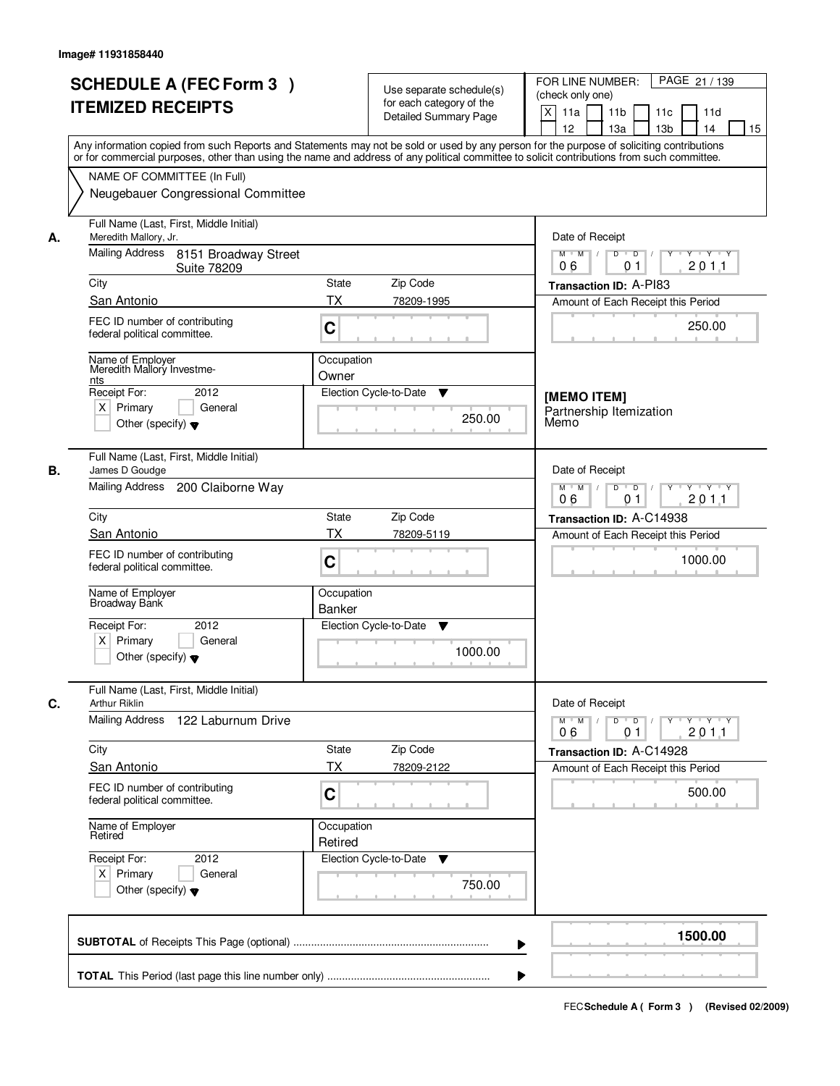|    | <b>SCHEDULE A (FEC Form 3)</b>                                                                                                                                                                                                                                                          | Use separate schedule(s)              | PAGE 21 / 139<br>FOR LINE NUMBER:                                                     |
|----|-----------------------------------------------------------------------------------------------------------------------------------------------------------------------------------------------------------------------------------------------------------------------------------------|---------------------------------------|---------------------------------------------------------------------------------------|
|    | <b>ITEMIZED RECEIPTS</b>                                                                                                                                                                                                                                                                | for each category of the              | (check only one)                                                                      |
|    |                                                                                                                                                                                                                                                                                         | Detailed Summary Page                 | X<br>11a<br>11 <sub>b</sub><br>11c<br>11d<br>12<br>13a<br>13 <sub>b</sub><br>14<br>15 |
|    | Any information copied from such Reports and Statements may not be sold or used by any person for the purpose of soliciting contributions<br>or for commercial purposes, other than using the name and address of any political committee to solicit contributions from such committee. |                                       |                                                                                       |
|    | NAME OF COMMITTEE (In Full)                                                                                                                                                                                                                                                             |                                       |                                                                                       |
|    | Neugebauer Congressional Committee                                                                                                                                                                                                                                                      |                                       |                                                                                       |
| А. | Full Name (Last, First, Middle Initial)<br>Meredith Mallory, Jr.                                                                                                                                                                                                                        |                                       | Date of Receipt                                                                       |
|    | Mailing Address<br>8151 Broadway Street<br><b>Suite 78209</b>                                                                                                                                                                                                                           |                                       | $M$ $M$<br>D<br>$\overline{D}$<br>Y Y Y Y<br>201.1<br>06<br>0 <sub>1</sub>            |
|    | City                                                                                                                                                                                                                                                                                    | State<br>Zip Code                     | Transaction ID: A-PI83                                                                |
|    | San Antonio                                                                                                                                                                                                                                                                             | <b>TX</b><br>78209-1995               | Amount of Each Receipt this Period                                                    |
|    | FEC ID number of contributing<br>federal political committee.                                                                                                                                                                                                                           | C                                     | 250.00                                                                                |
|    | Name of Employer<br>Meredith Mallory Investme-                                                                                                                                                                                                                                          | Occupation<br>Owner                   |                                                                                       |
|    | <u>nts</u><br>Receipt For:<br>2012                                                                                                                                                                                                                                                      | Election Cycle-to-Date<br>▼           | [MEMO ITEM]                                                                           |
|    | $X$ Primary<br>General<br>Other (specify) $\blacktriangledown$                                                                                                                                                                                                                          | 250.00                                | Partnership Itemization<br>Memo                                                       |
| В. | Full Name (Last, First, Middle Initial)<br>James D Goudge                                                                                                                                                                                                                               |                                       | Date of Receipt                                                                       |
|    | Mailing Address<br>200 Claiborne Way                                                                                                                                                                                                                                                    |                                       | $M$ $M$ /<br>D<br>$\Box$<br>$Y - Y - Y$<br>201.1<br>06<br>0 <sub>1</sub>              |
|    | City                                                                                                                                                                                                                                                                                    | Zip Code<br><b>State</b>              | Transaction ID: A-C14938                                                              |
|    | San Antonio                                                                                                                                                                                                                                                                             | <b>TX</b><br>78209-5119               | Amount of Each Receipt this Period                                                    |
|    | FEC ID number of contributing<br>federal political committee.                                                                                                                                                                                                                           | C                                     | 1000.00                                                                               |
|    | Name of Employer<br>Broadway Bank                                                                                                                                                                                                                                                       | Occupation<br>Banker                  |                                                                                       |
|    | Receipt For:<br>2012                                                                                                                                                                                                                                                                    | Election Cycle-to-Date<br>v           |                                                                                       |
|    | $X$ Primary<br>General<br>Other (specify) $\blacktriangledown$                                                                                                                                                                                                                          | 1000.00                               |                                                                                       |
| C. | Full Name (Last, First, Middle Initial)<br>Arthur Riklin                                                                                                                                                                                                                                |                                       | Date of Receipt                                                                       |
|    | Mailing Address<br>122 Laburnum Drive                                                                                                                                                                                                                                                   |                                       | $M$ $M$<br>$D$ $D$ $/$<br>$Y \rightarrow Y \rightarrow Y$<br>201.1<br>06<br>01        |
|    | City                                                                                                                                                                                                                                                                                    | Zip Code<br>State                     | Transaction ID: A-C14928                                                              |
|    | San Antonio                                                                                                                                                                                                                                                                             | <b>TX</b><br>78209-2122               | Amount of Each Receipt this Period                                                    |
|    | FEC ID number of contributing<br>federal political committee.                                                                                                                                                                                                                           | C                                     | 500.00                                                                                |
|    | Name of Employer<br>Retired                                                                                                                                                                                                                                                             | Occupation<br>Retired                 |                                                                                       |
|    | Receipt For:<br>2012<br>$X$ Primary<br>General<br>Other (specify) $\blacktriangledown$                                                                                                                                                                                                  | Election Cycle-to-Date<br>v<br>750.00 |                                                                                       |
|    |                                                                                                                                                                                                                                                                                         |                                       |                                                                                       |
|    |                                                                                                                                                                                                                                                                                         |                                       | 1500.00                                                                               |
|    |                                                                                                                                                                                                                                                                                         |                                       |                                                                                       |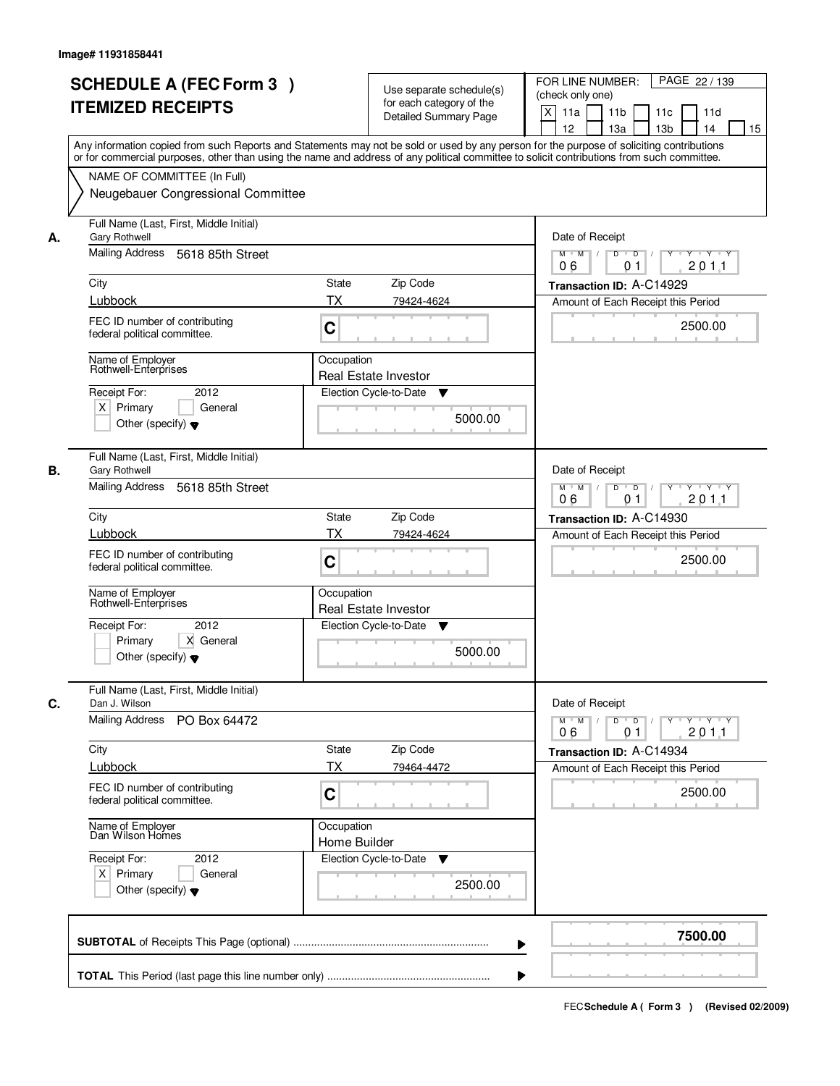|    | <b>SCHEDULE A (FEC Form 3)</b>                                                                                                             | Use separate schedule(s)     | PAGE 22 / 139<br>FOR LINE NUMBER:                                                             |
|----|--------------------------------------------------------------------------------------------------------------------------------------------|------------------------------|-----------------------------------------------------------------------------------------------|
|    | <b>ITEMIZED RECEIPTS</b>                                                                                                                   | for each category of the     | (check only one)                                                                              |
|    |                                                                                                                                            | <b>Detailed Summary Page</b> | X<br>11a<br>11 <sub>b</sub><br>11c<br>11d<br>12<br>13a<br>13 <sub>b</sub><br>14<br>15         |
|    | Any information copied from such Reports and Statements may not be sold or used by any person for the purpose of soliciting contributions  |                              |                                                                                               |
|    | or for commercial purposes, other than using the name and address of any political committee to solicit contributions from such committee. |                              |                                                                                               |
|    | NAME OF COMMITTEE (In Full)                                                                                                                |                              |                                                                                               |
|    | Neugebauer Congressional Committee                                                                                                         |                              |                                                                                               |
|    |                                                                                                                                            |                              |                                                                                               |
| А. | Full Name (Last, First, Middle Initial)<br><b>Gary Rothwell</b>                                                                            |                              | Date of Receipt                                                                               |
|    | Mailing Address<br>5618 85th Street                                                                                                        |                              | $M$ $M$ /<br>D<br>$\overline{D}$<br>$Y \cup Y \cup Y$                                         |
|    |                                                                                                                                            |                              | 201.1<br>06<br>01                                                                             |
|    | City                                                                                                                                       | State<br>Zip Code            | Transaction ID: A-C14929                                                                      |
|    | Lubbock                                                                                                                                    | <b>TX</b><br>79424-4624      | Amount of Each Receipt this Period                                                            |
|    | FEC ID number of contributing                                                                                                              | C                            | 2500.00                                                                                       |
|    | federal political committee.                                                                                                               |                              |                                                                                               |
|    | Name of Employer                                                                                                                           | Occupation                   |                                                                                               |
|    | Rothwell-Enterprises                                                                                                                       | <b>Real Estate Investor</b>  |                                                                                               |
|    | 2012<br>Receipt For:                                                                                                                       | Election Cycle-to-Date<br>v  |                                                                                               |
|    | $X$ Primary<br>General                                                                                                                     | 5000.00                      |                                                                                               |
|    | Other (specify) $\blacktriangledown$                                                                                                       |                              |                                                                                               |
|    | Full Name (Last, First, Middle Initial)                                                                                                    |                              |                                                                                               |
| В. | <b>Gary Rothwell</b>                                                                                                                       |                              | Date of Receipt                                                                               |
|    | Mailing Address<br>5618 85th Street                                                                                                        |                              | D<br>$M$ $M$ /<br>$\overline{D}$<br>Y<br>$Y \dashv Y \dashv Y$                                |
|    |                                                                                                                                            |                              | 201.1<br>06<br>01                                                                             |
|    | City                                                                                                                                       | Zip Code<br>State            | Transaction ID: A-C14930                                                                      |
|    | Lubbock                                                                                                                                    | TX<br>79424-4624             | Amount of Each Receipt this Period                                                            |
|    | FEC ID number of contributing<br>federal political committee.                                                                              | C                            | 2500.00                                                                                       |
|    |                                                                                                                                            |                              |                                                                                               |
|    | Name of Employer<br>Rothwell-Enterprises                                                                                                   | Occupation                   |                                                                                               |
|    |                                                                                                                                            | <b>Real Estate Investor</b>  |                                                                                               |
|    | Receipt For:<br>2012<br>X General                                                                                                          | Election Cycle-to-Date<br>v  |                                                                                               |
|    | Primary<br>Other (specify) $\blacktriangledown$                                                                                            | 5000.00                      |                                                                                               |
|    |                                                                                                                                            |                              |                                                                                               |
|    | Full Name (Last, First, Middle Initial)                                                                                                    |                              |                                                                                               |
| C. | Dan J. Wilson                                                                                                                              |                              | Date of Receipt                                                                               |
|    | Mailing Address<br>PO Box 64472                                                                                                            |                              | $M$ $M$<br>$D$ $D$ $/$<br>$Y - Y - Y - Y$<br>$Y$ <sup>U</sup><br>2011<br>06<br>0 <sub>1</sub> |
|    | City                                                                                                                                       | Zip Code<br>State            | Transaction ID: A-C14934                                                                      |
|    | Lubbock                                                                                                                                    | <b>TX</b><br>79464-4472      | Amount of Each Receipt this Period                                                            |
|    | FEC ID number of contributing                                                                                                              |                              |                                                                                               |
|    | federal political committee.                                                                                                               | C                            | 2500.00                                                                                       |
|    |                                                                                                                                            | Occupation                   |                                                                                               |
|    | Name of Employer<br>Dan Wilson Homes                                                                                                       | Home Builder                 |                                                                                               |
|    | Receipt For:<br>2012                                                                                                                       | Election Cycle-to-Date<br>v  |                                                                                               |
|    | $X$ Primary<br>General                                                                                                                     |                              |                                                                                               |
|    | Other (specify) $\blacktriangledown$                                                                                                       | 2500.00                      |                                                                                               |
|    |                                                                                                                                            |                              |                                                                                               |
|    |                                                                                                                                            |                              | 7500.00                                                                                       |
|    |                                                                                                                                            |                              |                                                                                               |
|    |                                                                                                                                            |                              |                                                                                               |
|    |                                                                                                                                            |                              |                                                                                               |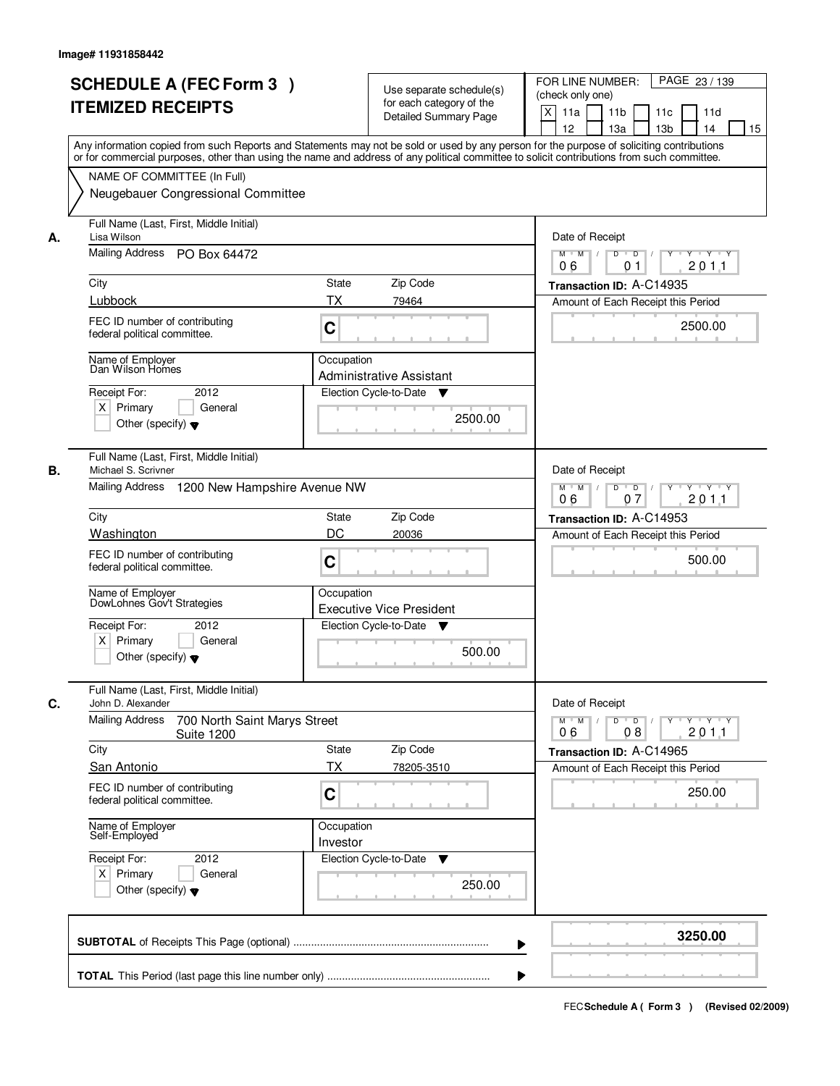|                                      | <b>SCHEDULE A (FEC Form 3)</b><br><b>ITEMIZED RECEIPTS</b>                                                                                                                                                                                                                                                                                                        | Use separate schedule(s)<br>for each category of the<br><b>Detailed Summary Page</b>                                             | PAGE 23 / 139<br>FOR LINE NUMBER:<br>(check only one)<br>X<br>11 <sub>b</sub><br>11a<br>11 <sub>c</sub><br>11d<br>12<br>13 <sub>b</sub><br>14<br>13a<br>15<br>Any information copied from such Reports and Statements may not be sold or used by any person for the purpose of soliciting contributions |
|--------------------------------------|-------------------------------------------------------------------------------------------------------------------------------------------------------------------------------------------------------------------------------------------------------------------------------------------------------------------------------------------------------------------|----------------------------------------------------------------------------------------------------------------------------------|---------------------------------------------------------------------------------------------------------------------------------------------------------------------------------------------------------------------------------------------------------------------------------------------------------|
|                                      | NAME OF COMMITTEE (In Full)<br>Neugebauer Congressional Committee                                                                                                                                                                                                                                                                                                 |                                                                                                                                  | or for commercial purposes, other than using the name and address of any political committee to solicit contributions from such committee.                                                                                                                                                              |
| Lisa Wilson<br>А.<br>City<br>Lubbock | Full Name (Last, First, Middle Initial)<br>Mailing Address PO Box 64472<br>FEC ID number of contributing<br>federal political committee.<br>Name of Employer<br>Dan Wilson Homes<br>2012<br>Receipt For:<br>$X$ Primary<br>General<br>Other (specify) $\blacktriangledown$                                                                                        | <b>State</b><br>Zip Code<br>ТX<br>79464<br>C<br>Occupation<br>Administrative Assistant<br>Election Cycle-to-Date<br>v<br>2500.00 | Date of Receipt<br>$D$ $D$ $1$<br>Y<br>$Y - Y - Y - Y$<br>$M$ $M$ /<br>201.1<br>06<br>01<br>Transaction ID: A-C14935<br>Amount of Each Receipt this Period<br>2500.00                                                                                                                                   |
| В.<br>City                           | Full Name (Last, First, Middle Initial)<br>Michael S. Scrivner<br>Mailing Address 1200 New Hampshire Avenue NW<br>Washington<br>FEC ID number of contributing<br>federal political committee.<br>Name of Employer<br>DowLohnes Gov't Strategies<br>Receipt For:<br>2012<br>$X$ Primary<br>General<br>Other (specify) $\blacktriangledown$                         | Zip Code<br>State<br>DC<br>20036<br>C<br>Occupation<br><b>Executive Vice President</b><br>Election Cycle-to-Date<br>v<br>500.00  | Date of Receipt<br>$M$ $M$ /<br>D<br>$\overline{D}$ /<br>$Y$ <sup>U</sup><br>$Y \dashv Y \dashv Y$<br>07<br>201.1<br>06<br>Transaction ID: A-C14953<br>Amount of Each Receipt this Period<br>500.00                                                                                                     |
| C.<br>City                           | Full Name (Last, First, Middle Initial)<br>John D. Alexander<br><b>Mailing Address</b><br>700 North Saint Marys Street<br><b>Suite 1200</b><br><b>San Antonio</b><br>FEC ID number of contributing<br>federal political committee.<br>Name of Employer<br>Self-Employed<br>Receipt For:<br>2012<br>$X$ Primary<br>General<br>Other (specify) $\blacktriangledown$ | Zip Code<br><b>State</b><br>ТX<br>78205-3510<br>C<br>Occupation<br>Investor<br>Election Cycle-to-Date<br>v<br>250.00             | Date of Receipt<br>$M$ $M$ $M$<br>$D$ $D$ $/$<br>yuryuryury<br>2011<br>06<br>08<br>Transaction ID: A-C14965<br>Amount of Each Receipt this Period<br>250.00                                                                                                                                             |
|                                      |                                                                                                                                                                                                                                                                                                                                                                   |                                                                                                                                  | 3250.00                                                                                                                                                                                                                                                                                                 |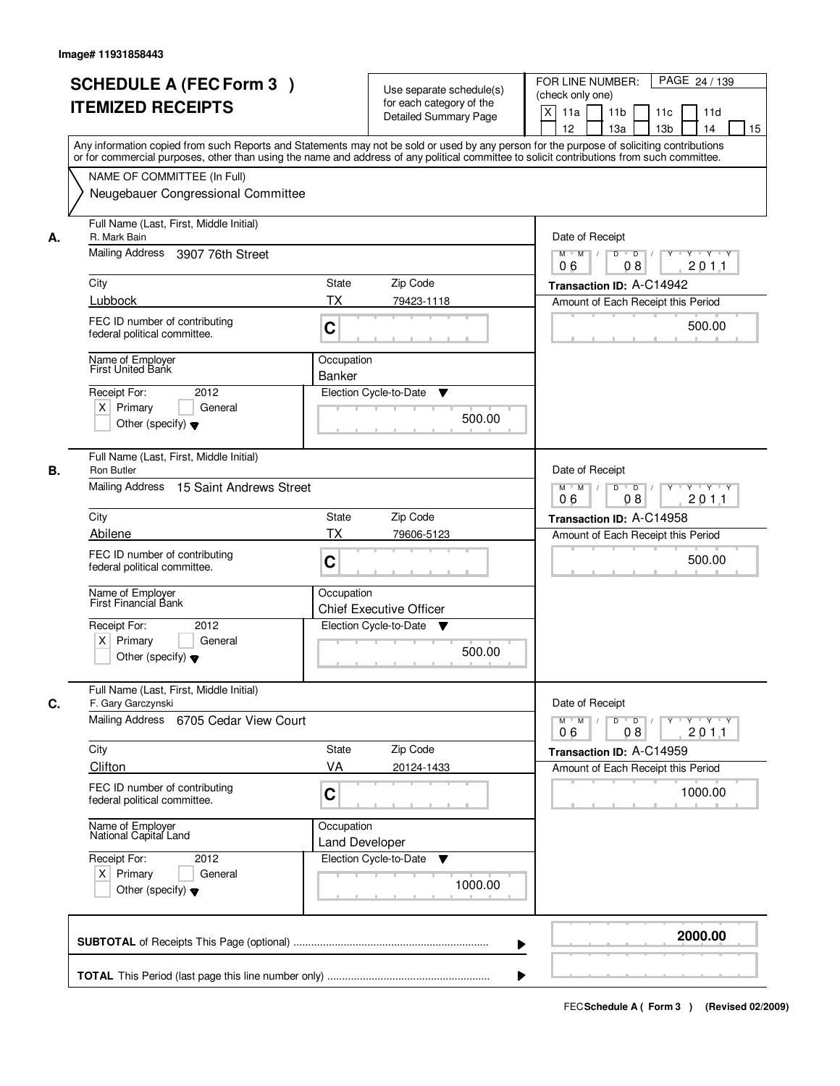|    | <b>SCHEDULE A (FEC Form 3)</b><br><b>ITEMIZED RECEIPTS</b>                                                                                                                                             | Use separate schedule(s)<br>for each category of the<br><b>Detailed Summary Page</b><br>Any information copied from such Reports and Statements may not be sold or used by any person for the purpose of soliciting contributions | PAGE 24 / 139<br>FOR LINE NUMBER:<br>(check only one)<br>X<br>11 <sub>b</sub><br>11a<br>11 <sub>c</sub><br>11d<br>12<br>13 <sub>b</sub><br>14<br>13a<br>15                     |
|----|--------------------------------------------------------------------------------------------------------------------------------------------------------------------------------------------------------|-----------------------------------------------------------------------------------------------------------------------------------------------------------------------------------------------------------------------------------|--------------------------------------------------------------------------------------------------------------------------------------------------------------------------------|
|    | NAME OF COMMITTEE (In Full)<br>Neugebauer Congressional Committee                                                                                                                                      | or for commercial purposes, other than using the name and address of any political committee to solicit contributions from such committee.                                                                                        |                                                                                                                                                                                |
| А. | Full Name (Last, First, Middle Initial)<br>R. Mark Bain<br>Mailing Address<br>3907 76th Street<br>City<br>Lubbock<br>FEC ID number of contributing<br>federal political committee.<br>Name of Employer | <b>State</b><br>Zip Code<br>ТX<br>79423-1118<br>C<br>Occupation                                                                                                                                                                   | Date of Receipt<br>$D$ $D$<br>Y<br>$Y - Y - Y - Y$<br>$M$ $M$ /<br>$\sqrt{ }$<br>201.1<br>06<br>08<br>Transaction ID: A-C14942<br>Amount of Each Receipt this Period<br>500.00 |
|    | <b>First United Bank</b><br>2012<br>Receipt For:<br>$X$ Primary<br>General<br>Other (specify) $\blacktriangledown$                                                                                     | <b>Banker</b><br>Election Cycle-to-Date<br>▼<br>500.00                                                                                                                                                                            |                                                                                                                                                                                |
| В. | Full Name (Last, First, Middle Initial)<br>Ron Butler<br>Mailing Address<br>15 Saint Andrews Street                                                                                                    |                                                                                                                                                                                                                                   | Date of Receipt<br>$M$ $M$ /<br>D<br>$\overline{D}$<br>Y<br>$Y \dashv Y \dashv Y$<br>08<br>201.1<br>06                                                                         |
|    | City<br>Abilene<br>FEC ID number of contributing<br>federal political committee.<br>Name of Employer<br>First Financial Bank                                                                           | Zip Code<br>State<br>TX<br>79606-5123<br>C<br>Occupation                                                                                                                                                                          | Transaction ID: A-C14958<br>Amount of Each Receipt this Period<br>500.00                                                                                                       |
|    | Receipt For:<br>2012<br>$X$ Primary<br>General<br>Other (specify) $\blacktriangledown$                                                                                                                 | <b>Chief Executive Officer</b><br>Election Cycle-to-Date<br>v<br>500.00                                                                                                                                                           |                                                                                                                                                                                |
| C. | Full Name (Last, First, Middle Initial)<br>F. Gary Garczynski<br>Mailing Address 6705 Cedar View Court                                                                                                 |                                                                                                                                                                                                                                   | Date of Receipt<br>$M$ $M$ /<br>$D$ $D$ $I$<br>y y y y y y<br>2011<br>06<br>08                                                                                                 |
|    | City<br>Clifton<br>FEC ID number of contributing<br>federal political committee.                                                                                                                       | Zip Code<br>State<br>VA<br>20124-1433<br>C                                                                                                                                                                                        | Transaction ID: A-C14959<br>Amount of Each Receipt this Period<br>1000.00                                                                                                      |
|    | Name of Employer<br>National Capital Land<br>Receipt For:<br>2012<br>$X$ Primary<br>General<br>Other (specify) $\blacktriangledown$                                                                    | Occupation<br><b>Land Developer</b><br>Election Cycle-to-Date<br>v<br>1000.00                                                                                                                                                     |                                                                                                                                                                                |
|    |                                                                                                                                                                                                        |                                                                                                                                                                                                                                   | 2000.00                                                                                                                                                                        |
|    |                                                                                                                                                                                                        |                                                                                                                                                                                                                                   |                                                                                                                                                                                |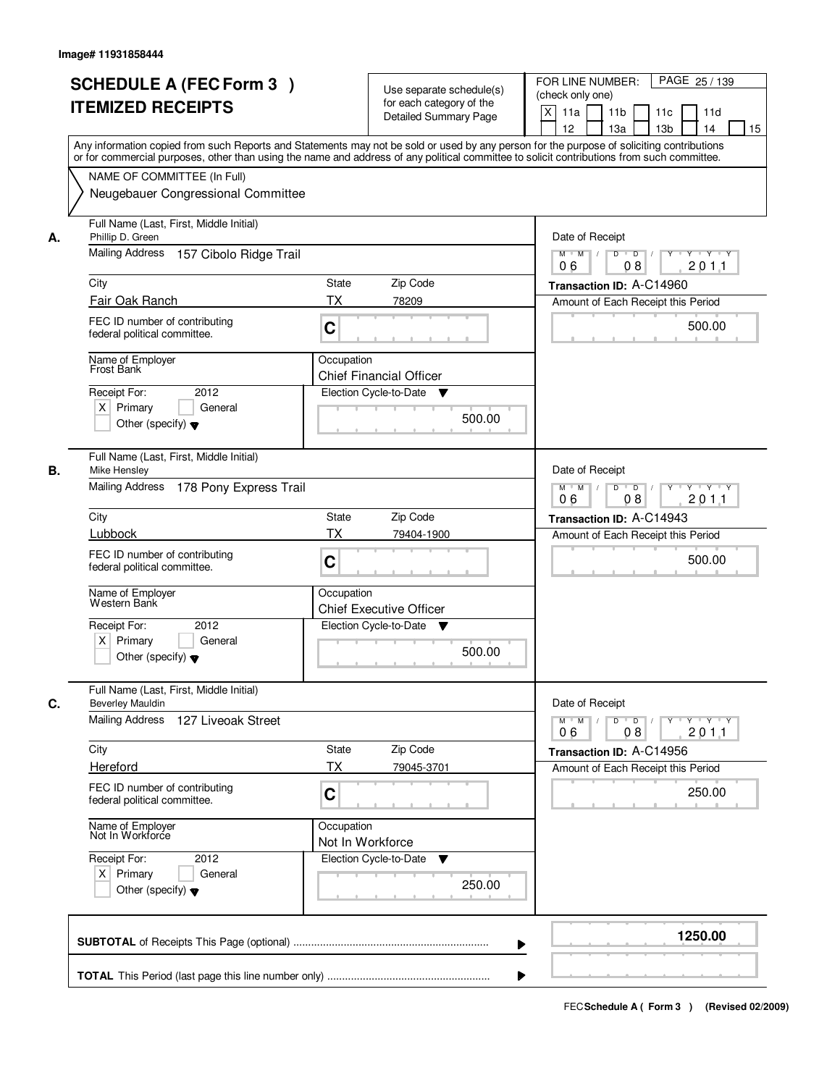|    | <b>SCHEDULE A (FEC Form 3)</b><br><b>ITEMIZED RECEIPTS</b><br>Any information copied from such Reports and Statements may not be sold or used by any person for the purpose of soliciting contributions         | Use separate schedule(s)<br>for each category of the<br><b>Detailed Summary Page</b>  | PAGE 25 / 139<br>FOR LINE NUMBER:<br>(check only one)<br>X<br>11 <sub>b</sub><br>11a<br>11 <sub>c</sub><br>11d<br>12<br>13 <sub>b</sub><br>14<br>13a<br>15           |
|----|-----------------------------------------------------------------------------------------------------------------------------------------------------------------------------------------------------------------|---------------------------------------------------------------------------------------|----------------------------------------------------------------------------------------------------------------------------------------------------------------------|
|    | or for commercial purposes, other than using the name and address of any political committee to solicit contributions from such committee.<br>NAME OF COMMITTEE (In Full)<br>Neugebauer Congressional Committee |                                                                                       |                                                                                                                                                                      |
| А. | Full Name (Last, First, Middle Initial)<br>Phillip D. Green<br>Mailing Address<br>157 Cibolo Ridge Trail<br>City<br>Fair Oak Ranch<br>FEC ID number of contributing<br>federal political committee.             | <b>State</b><br>Zip Code<br>ТX<br>78209<br>C                                          | Date of Receipt<br>$D$ $D$ $I$<br>Y<br>$Y - Y - Y - Y$<br>$M$ $M$ /<br>201.1<br>06<br>08<br>Transaction ID: A-C14960<br>Amount of Each Receipt this Period<br>500.00 |
|    | Name of Employer<br>Frost Bank<br>2012<br>Receipt For:<br>$X$ Primary<br>General<br>Other (specify) $\blacktriangledown$                                                                                        | Occupation<br><b>Chief Financial Officer</b><br>Election Cycle-to-Date<br>v<br>500.00 |                                                                                                                                                                      |
| В. | Full Name (Last, First, Middle Initial)<br>Mike Hensley<br>Mailing Address 178 Pony Express Trail<br>City                                                                                                       | Zip Code<br>State                                                                     | Date of Receipt<br>$M$ $M$ /<br>D<br>$\overline{D}$<br>Y<br>$Y \dashv Y \dashv Y$<br>201.1<br>06<br>08<br>Transaction ID: A-C14943                                   |
|    | Lubbock<br>FEC ID number of contributing<br>federal political committee.<br>Name of Employer<br>Western Bank                                                                                                    | TX<br>79404-1900<br>C<br>Occupation                                                   | Amount of Each Receipt this Period<br>500.00                                                                                                                         |
|    | Receipt For:<br>2012<br>$X$ Primary<br>General<br>Other (specify) $\blacktriangledown$                                                                                                                          | <b>Chief Executive Officer</b><br>Election Cycle-to-Date<br>v<br>500.00               |                                                                                                                                                                      |
| C. | Full Name (Last, First, Middle Initial)<br><b>Beverley Mauldin</b><br><b>Mailing Address</b><br>127 Liveoak Street                                                                                              |                                                                                       | Date of Receipt<br>$M$ $M$ /<br>$D$ $D$ $/$<br>yuryuryury<br>2011<br>06<br>08                                                                                        |
|    | City<br>Hereford<br>FEC ID number of contributing<br>federal political committee.                                                                                                                               | State<br>Zip Code<br>ТX<br>79045-3701<br>C                                            | Transaction ID: A-C14956<br>Amount of Each Receipt this Period<br>250.00                                                                                             |
|    | Name of Employer<br>Not In Workforce<br>Receipt For:<br>2012<br>$X$ Primary<br>General<br>Other (specify) $\blacktriangledown$                                                                                  | Occupation<br>Not In Workforce<br>Election Cycle-to-Date<br>▼<br>250.00               |                                                                                                                                                                      |
|    |                                                                                                                                                                                                                 |                                                                                       | 1250.00                                                                                                                                                              |
|    |                                                                                                                                                                                                                 |                                                                                       |                                                                                                                                                                      |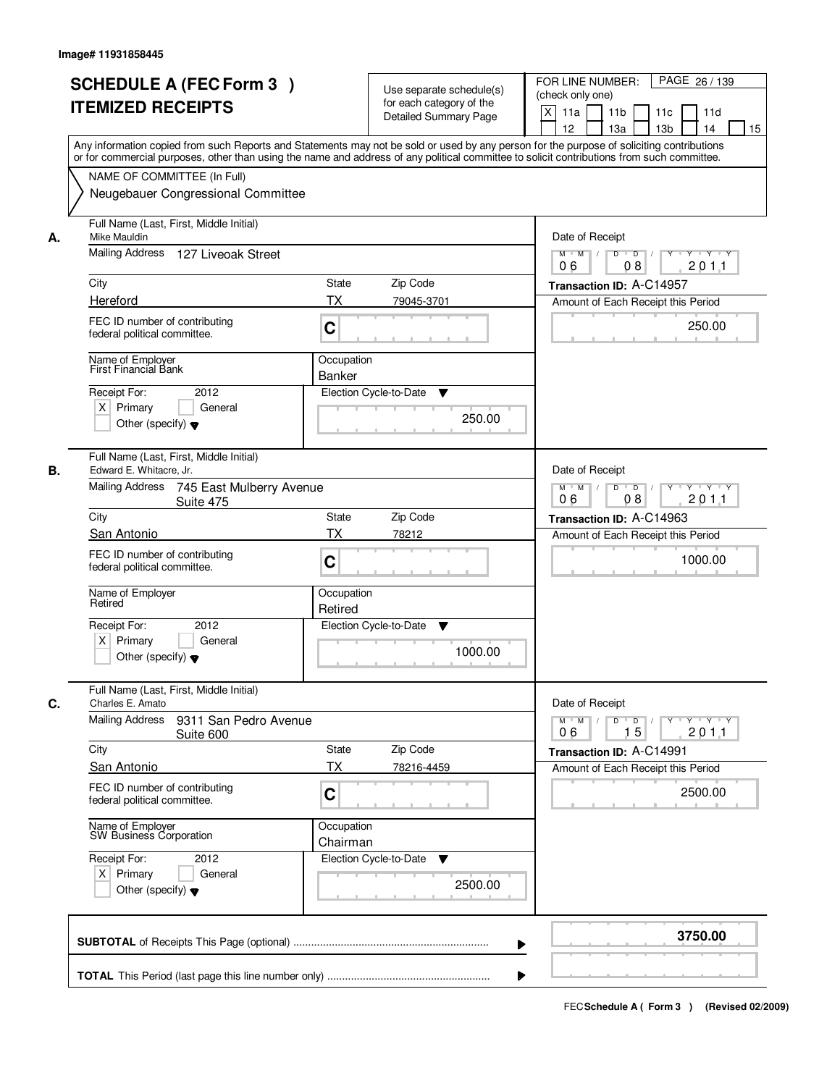| <b>SCHEDULE A (FEC Form 3)</b><br><b>ITEMIZED RECEIPTS</b>                                                                                                                                                                                                                                                                                                         | Use separate schedule(s)<br>for each category of the<br><b>Detailed Summary Page</b><br>Any information copied from such Reports and Statements may not be sold or used by any person for the purpose of soliciting contributions | PAGE 26 / 139<br>FOR LINE NUMBER:<br>(check only one)<br>X<br>11 <sub>b</sub><br>11a<br>11c<br>11d<br>12<br>13 <sub>b</sub><br>14<br>13a<br>15                                                     |
|--------------------------------------------------------------------------------------------------------------------------------------------------------------------------------------------------------------------------------------------------------------------------------------------------------------------------------------------------------------------|-----------------------------------------------------------------------------------------------------------------------------------------------------------------------------------------------------------------------------------|----------------------------------------------------------------------------------------------------------------------------------------------------------------------------------------------------|
| NAME OF COMMITTEE (In Full)<br>Neugebauer Congressional Committee                                                                                                                                                                                                                                                                                                  | or for commercial purposes, other than using the name and address of any political committee to solicit contributions from such committee.                                                                                        |                                                                                                                                                                                                    |
| Full Name (Last, First, Middle Initial)<br>Mike Mauldin<br>А.<br>Mailing Address 127 Liveoak Street<br>City<br>Hereford<br>FEC ID number of contributing<br>federal political committee.<br>Name of Employer                                                                                                                                                       | <b>State</b><br>Zip Code<br>ТX<br>79045-3701<br>C<br>Occupation                                                                                                                                                                   | Date of Receipt<br>$D$ $D$ $I$<br>$Y$ <sup>U</sup><br>$Y - Y - Y - Y$<br>$M$ $M$ /<br>201.1<br>06<br>08<br>Transaction ID: A-C14957<br>Amount of Each Receipt this Period<br>250.00                |
| First Financial Bank<br>2012<br>Receipt For:<br>$X$ Primary<br>General<br>Other (specify) $\blacktriangledown$                                                                                                                                                                                                                                                     | <b>Banker</b><br>Election Cycle-to-Date<br>▼<br>250.00                                                                                                                                                                            |                                                                                                                                                                                                    |
| Full Name (Last, First, Middle Initial)<br>Edward E. Whitacre, Jr.<br>В.<br>Mailing Address<br>745 East Mulberry Avenue<br>Suite 475<br>City<br>San Antonio<br>FEC ID number of contributing<br>federal political committee.<br>Name of Employer<br>Retired<br>Receipt For:<br>2012<br>$X$ Primary<br>General<br>Other (specify) $\blacktriangledown$              | Zip Code<br>State<br>TX<br>78212<br>C<br>Occupation<br>Retired<br>Election Cycle-to-Date<br>▼<br>1000.00                                                                                                                          | Date of Receipt<br>$M$ $M$ /<br>D<br>$\overline{D}$<br>$Y$ <sup>U</sup><br>$Y \dashv Y \dashv Y$<br>201.1<br>06<br>08<br>Transaction ID: A-C14963<br>Amount of Each Receipt this Period<br>1000.00 |
| Full Name (Last, First, Middle Initial)<br>C.<br>Charles E. Amato<br><b>Mailing Address</b><br>9311 San Pedro Avenue<br>Suite 600<br>City<br>San Antonio<br>FEC ID number of contributing<br>federal political committee.<br>Name of Employer<br>SW Business Corporation<br>Receipt For:<br>2012<br>$X$ Primary<br>General<br>Other (specify) $\blacktriangledown$ | Zip Code<br><b>State</b><br>ТX<br>78216-4459<br>C<br>Occupation<br>Chairman<br>Election Cycle-to-Date<br>v<br>2500.00                                                                                                             | Date of Receipt<br>$M$ $M$ $M$<br>$D$ $D$ $l$<br><u> Y LY LY LY</u><br>2011<br>06<br>15<br>Transaction ID: A-C14991<br>Amount of Each Receipt this Period<br>2500.00                               |
|                                                                                                                                                                                                                                                                                                                                                                    |                                                                                                                                                                                                                                   | 3750.00                                                                                                                                                                                            |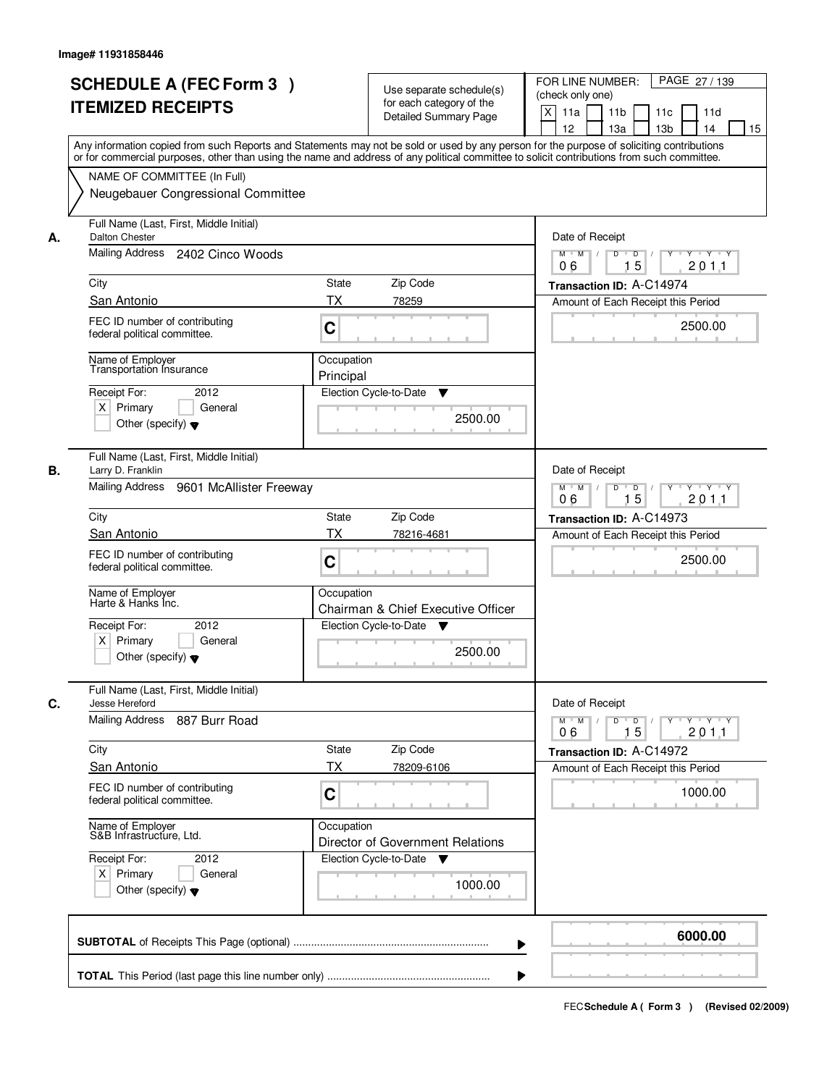|    | <b>SCHEDULE A (FEC Form 3)</b>                                                                                                             | Use separate schedule(s)                                                 | PAGE 27 / 139<br>FOR LINE NUMBER:                                               |
|----|--------------------------------------------------------------------------------------------------------------------------------------------|--------------------------------------------------------------------------|---------------------------------------------------------------------------------|
|    | <b>ITEMIZED RECEIPTS</b>                                                                                                                   | for each category of the                                                 | (check only one)                                                                |
|    |                                                                                                                                            | Detailed Summary Page                                                    | $\mathsf{X}$<br>11a<br>11 <sub>b</sub><br>11c<br>11d                            |
|    | Any information copied from such Reports and Statements may not be sold or used by any person for the purpose of soliciting contributions  |                                                                          | 12<br>13a<br>13 <sub>b</sub><br>14<br>15                                        |
|    | or for commercial purposes, other than using the name and address of any political committee to solicit contributions from such committee. |                                                                          |                                                                                 |
|    | NAME OF COMMITTEE (In Full)                                                                                                                |                                                                          |                                                                                 |
|    | Neugebauer Congressional Committee                                                                                                         |                                                                          |                                                                                 |
| А. | Full Name (Last, First, Middle Initial)<br><b>Dalton Chester</b>                                                                           | Date of Receipt                                                          |                                                                                 |
|    | Mailing Address 2402 Cinco Woods                                                                                                           | $\overline{D}$<br><b>TY TY</b><br>$M$ $M$<br>D<br>Y<br>15<br>201.1<br>06 |                                                                                 |
|    | City                                                                                                                                       | <b>State</b><br>Zip Code                                                 | Transaction ID: A-C14974                                                        |
|    | San Antonio                                                                                                                                | <b>TX</b><br>78259                                                       | Amount of Each Receipt this Period                                              |
|    | FEC ID number of contributing                                                                                                              |                                                                          |                                                                                 |
|    | federal political committee.                                                                                                               | C                                                                        | 2500.00                                                                         |
|    | Name of Employer<br>Transportation Insurance                                                                                               | Occupation                                                               |                                                                                 |
|    |                                                                                                                                            | Principal                                                                |                                                                                 |
|    | Receipt For:<br>2012                                                                                                                       | Election Cycle-to-Date<br>▼                                              |                                                                                 |
|    | $X$ Primary<br>General<br>Other (specify) $\blacktriangledown$                                                                             | 2500.00                                                                  |                                                                                 |
|    |                                                                                                                                            |                                                                          |                                                                                 |
| В. | Full Name (Last, First, Middle Initial)<br>Larry D. Franklin                                                                               |                                                                          | Date of Receipt                                                                 |
|    | Mailing Address<br>9601 McAllister Freeway                                                                                                 |                                                                          | $M$ $M$ /<br>$D$ $D$ $/$<br>Y Y Y Y Y Y                                         |
|    |                                                                                                                                            |                                                                          | 15<br>201.1<br>06                                                               |
|    | City                                                                                                                                       | Zip Code<br><b>State</b>                                                 | Transaction ID: A-C14973                                                        |
|    | San Antonio                                                                                                                                | <b>TX</b><br>78216-4681                                                  | Amount of Each Receipt this Period                                              |
|    | FEC ID number of contributing<br>federal political committee.                                                                              | C                                                                        | 2500.00                                                                         |
|    | Name of Employer<br>Harte & Hanks Inc.                                                                                                     | Occupation<br>Chairman & Chief Executive Officer                         |                                                                                 |
|    | Receipt For:<br>2012                                                                                                                       | Election Cycle-to-Date<br><b>V</b>                                       |                                                                                 |
|    | $X$ Primary<br>General                                                                                                                     | 2500.00                                                                  |                                                                                 |
|    | Other (specify) $\blacktriangledown$                                                                                                       |                                                                          |                                                                                 |
| C. | Full Name (Last, First, Middle Initial)<br>Jesse Hereford                                                                                  |                                                                          | Date of Receipt                                                                 |
|    | Mailing Address<br>887 Burr Road                                                                                                           |                                                                          | $D$ $D$ $/$<br>$M^{\prime}$ M $\rightarrow$ /<br>yuryuryury<br>2011<br>06<br>15 |
|    | City                                                                                                                                       | Zip Code<br>State                                                        | Transaction ID: A-C14972                                                        |
|    | San Antonio                                                                                                                                | <b>TX</b><br>78209-6106                                                  | Amount of Each Receipt this Period                                              |
|    | FEC ID number of contributing                                                                                                              |                                                                          |                                                                                 |
|    | federal political committee.                                                                                                               | C                                                                        | 1000.00                                                                         |
|    | Name of Employer<br>S&B Infrastructure, Ltd.                                                                                               | Occupation<br>Director of Government Relations                           |                                                                                 |
|    | Receipt For:<br>2012                                                                                                                       | Election Cycle-to-Date<br>v                                              |                                                                                 |
|    | $X$ Primary<br>General                                                                                                                     |                                                                          |                                                                                 |
|    | Other (specify) $\blacktriangledown$                                                                                                       | 1000.00                                                                  |                                                                                 |
|    |                                                                                                                                            |                                                                          | 6000.00                                                                         |
|    |                                                                                                                                            | ▶                                                                        |                                                                                 |
|    |                                                                                                                                            |                                                                          |                                                                                 |
|    |                                                                                                                                            |                                                                          |                                                                                 |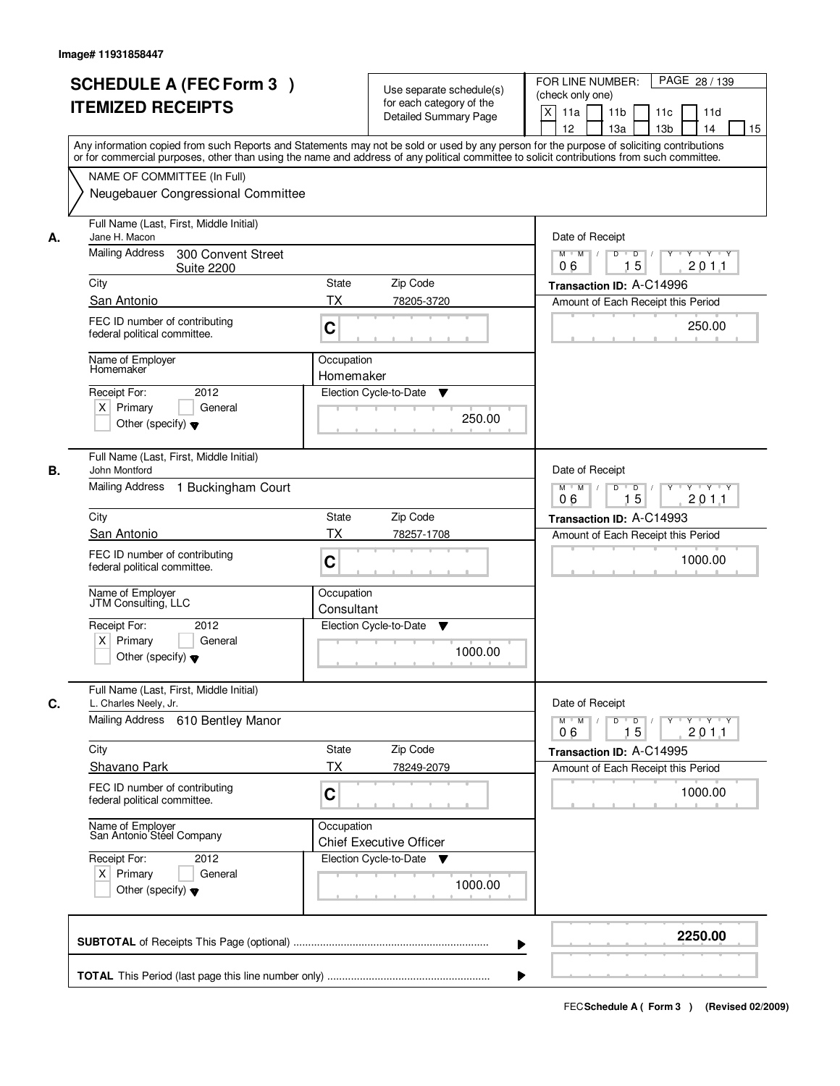|    | <b>SCHEDULE A (FEC Form 3)</b><br><b>ITEMIZED RECEIPTS</b>                                                                        | Use separate schedule(s)<br>for each category of the<br><b>Detailed Summary Page</b><br>Any information copied from such Reports and Statements may not be sold or used by any person for the purpose of soliciting contributions | PAGE 28 / 139<br>FOR LINE NUMBER:<br>(check only one)<br>X<br>11 <sub>b</sub><br>11a<br>11 <sub>c</sub><br>11d<br>12<br>13 <sub>b</sub><br>14<br>13a<br>15 |
|----|-----------------------------------------------------------------------------------------------------------------------------------|-----------------------------------------------------------------------------------------------------------------------------------------------------------------------------------------------------------------------------------|------------------------------------------------------------------------------------------------------------------------------------------------------------|
|    | NAME OF COMMITTEE (In Full)<br>Neugebauer Congressional Committee                                                                 | or for commercial purposes, other than using the name and address of any political committee to solicit contributions from such committee.                                                                                        |                                                                                                                                                            |
| А. | Full Name (Last, First, Middle Initial)<br>Jane H. Macon<br><b>Mailing Address</b><br>300 Convent Street<br><b>Suite 2200</b>     |                                                                                                                                                                                                                                   | Date of Receipt<br>$D$ $D$<br>Y<br>$Y - Y - Y - Y$<br>$M$ $M$ /<br>15<br>201.1<br>06                                                                       |
|    | City                                                                                                                              | <b>State</b><br>Zip Code                                                                                                                                                                                                          | Transaction ID: A-C14996                                                                                                                                   |
|    | San Antonio                                                                                                                       | ТX<br>78205-3720                                                                                                                                                                                                                  | Amount of Each Receipt this Period                                                                                                                         |
|    | FEC ID number of contributing<br>federal political committee.                                                                     | C                                                                                                                                                                                                                                 | 250.00                                                                                                                                                     |
|    | Name of Employer<br>Homemaker<br>2012<br>Receipt For:                                                                             | Occupation<br>Homemaker<br>Election Cycle-to-Date<br>▼                                                                                                                                                                            |                                                                                                                                                            |
|    | $X$ Primary<br>General<br>Other (specify) $\blacktriangledown$                                                                    | 250.00                                                                                                                                                                                                                            |                                                                                                                                                            |
| В. | Full Name (Last, First, Middle Initial)<br>John Montford<br>Mailing Address<br>1 Buckingham Court                                 |                                                                                                                                                                                                                                   | Date of Receipt<br>$M$ $M$ /<br>D<br>$\Box$<br>$Y$ <sup><math>\top</math></sup><br>Y Y Y Y                                                                 |
|    |                                                                                                                                   |                                                                                                                                                                                                                                   | 15<br>201.1<br>06                                                                                                                                          |
|    | City                                                                                                                              | Zip Code<br>State                                                                                                                                                                                                                 | Transaction ID: A-C14993                                                                                                                                   |
|    | San Antonio<br>FEC ID number of contributing<br>federal political committee.                                                      | TX<br>78257-1708<br>C                                                                                                                                                                                                             | Amount of Each Receipt this Period<br>1000.00                                                                                                              |
|    | Name of Employer<br>JTM Consulting, LLC<br>Receipt For:<br>2012<br>$X$ Primary<br>General<br>Other (specify) $\blacktriangledown$ | Occupation<br>Consultant<br>Election Cycle-to-Date<br>▼<br>1000.00                                                                                                                                                                |                                                                                                                                                            |
| C. | Full Name (Last, First, Middle Initial)<br>L. Charles Neely, Jr.                                                                  |                                                                                                                                                                                                                                   | Date of Receipt                                                                                                                                            |
|    | Mailing Address 610 Bentley Manor                                                                                                 |                                                                                                                                                                                                                                   | $M$ $M$<br>$D$ $D$ $l$<br>y y y y y<br>2011<br>06<br>15                                                                                                    |
|    | City                                                                                                                              | Zip Code<br>State                                                                                                                                                                                                                 | Transaction ID: A-C14995                                                                                                                                   |
|    | <b>Shavano Park</b>                                                                                                               | ТX<br>78249-2079                                                                                                                                                                                                                  | Amount of Each Receipt this Period                                                                                                                         |
|    | FEC ID number of contributing<br>federal political committee.                                                                     | C                                                                                                                                                                                                                                 | 1000.00                                                                                                                                                    |
|    | Name of Employer<br>San Antonio Steel Company                                                                                     | Occupation<br><b>Chief Executive Officer</b>                                                                                                                                                                                      |                                                                                                                                                            |
|    | Receipt For:<br>2012<br>$X$ Primary<br>General<br>Other (specify) $\blacktriangledown$                                            | Election Cycle-to-Date ▼<br>1000.00                                                                                                                                                                                               |                                                                                                                                                            |
|    |                                                                                                                                   |                                                                                                                                                                                                                                   | 2250.00                                                                                                                                                    |
|    |                                                                                                                                   |                                                                                                                                                                                                                                   |                                                                                                                                                            |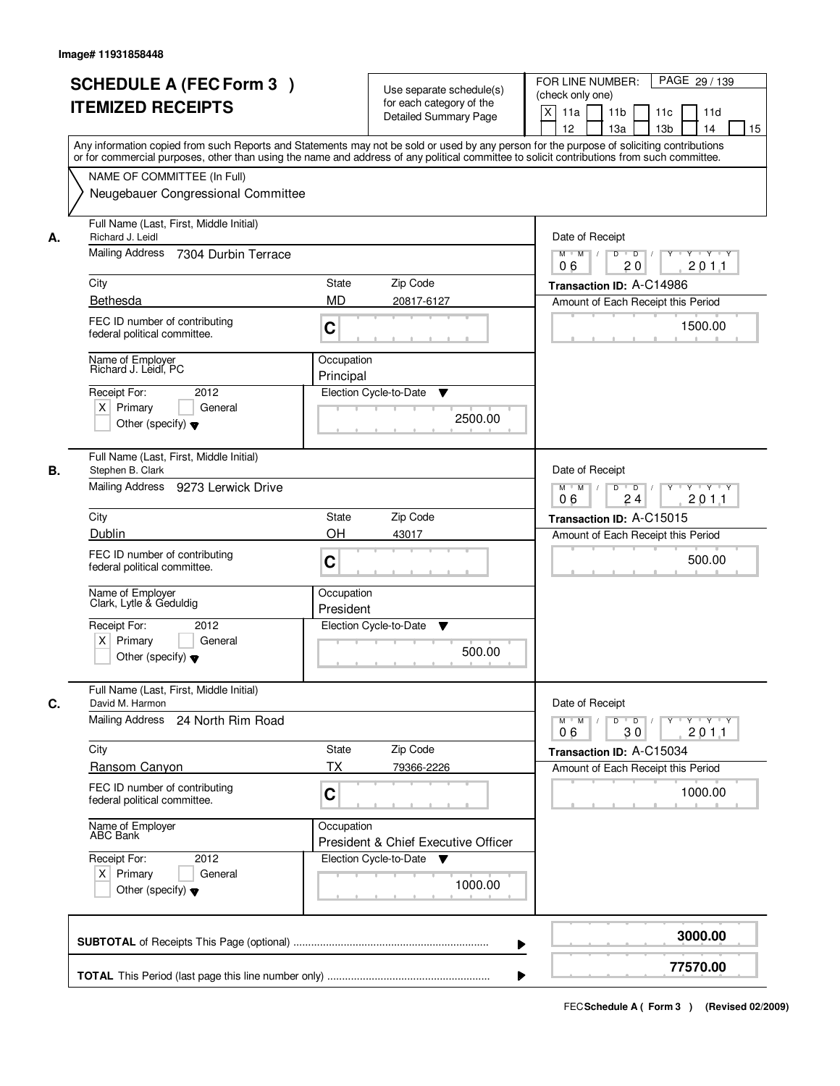| <b>SCHEDULE A (FEC Form 3)</b><br><b>ITEMIZED RECEIPTS</b>                                                                            | Use separate schedule(s)<br>for each category of the<br><b>Detailed Summary Page</b><br>Any information copied from such Reports and Statements may not be sold or used by any person for the purpose of soliciting contributions | PAGE 29 / 139<br>FOR LINE NUMBER:<br>(check only one)<br>X<br>11a<br>11 <sub>b</sub><br>11c<br>11d<br>12<br>13a<br>13 <sub>b</sub><br>14<br>15 |
|---------------------------------------------------------------------------------------------------------------------------------------|-----------------------------------------------------------------------------------------------------------------------------------------------------------------------------------------------------------------------------------|------------------------------------------------------------------------------------------------------------------------------------------------|
| NAME OF COMMITTEE (In Full)<br>Neugebauer Congressional Committee                                                                     | or for commercial purposes, other than using the name and address of any political committee to solicit contributions from such committee.                                                                                        |                                                                                                                                                |
| Full Name (Last, First, Middle Initial)<br>Richard J. Leidl<br>А.<br>Mailing Address<br>7304 Durbin Terrace<br>City                   | State<br>Zip Code                                                                                                                                                                                                                 | Date of Receipt<br>$\overline{D}$<br>$M$ $M$ /<br>D<br>$Y \cup Y \cup Y$<br>201.1<br>06<br>20<br>Transaction ID: A-C14986                      |
| Bethesda<br>FEC ID number of contributing<br>federal political committee.                                                             | <b>MD</b><br>20817-6127<br>C                                                                                                                                                                                                      | Amount of Each Receipt this Period<br>1500.00                                                                                                  |
| Name of Employer<br>Richard J. Leidl, PC<br>2012<br>Receipt For:<br>$X$ Primary<br>General<br>Other (specify) $\blacktriangledown$    | Occupation<br>Principal<br>Election Cycle-to-Date<br>▼<br>2500.00                                                                                                                                                                 |                                                                                                                                                |
| Full Name (Last, First, Middle Initial)<br>В.<br>Stephen B. Clark<br>Mailing Address 9273 Lerwick Drive                               |                                                                                                                                                                                                                                   | Date of Receipt<br>D<br>$\overline{D}$ $\overline{I}$<br>$M$ $M$ /<br>Y<br>$Y \dashv Y \dashv Y$<br>24<br>201.1<br>06                          |
| City<br>Dublin<br>FEC ID number of contributing<br>federal political committee.                                                       | Zip Code<br>State<br>OH<br>43017<br>C                                                                                                                                                                                             | Transaction ID: A-C15015<br>Amount of Each Receipt this Period<br>500.00                                                                       |
| Name of Employer<br>Clark, Lytle & Geduldig<br>Receipt For:<br>2012<br>$X$ Primary<br>General<br>Other (specify) $\blacktriangledown$ | Occupation<br>President<br>Election Cycle-to-Date<br>v<br>500.00                                                                                                                                                                  |                                                                                                                                                |
| Full Name (Last, First, Middle Initial)<br>C.<br>David M. Harmon<br>Mailing Address<br>24 North Rim Road                              |                                                                                                                                                                                                                                   | Date of Receipt<br>$M$ $M$<br>$D$ $D$ $/$<br>$Y - Y - Y - Y$<br>$Y$ <sup>U</sup>                                                               |
| City<br><b>Ransom Canyon</b><br>FEC ID number of contributing<br>federal political committee.                                         | Zip Code<br>State<br><b>TX</b><br>79366-2226<br>C                                                                                                                                                                                 | 2011<br>06<br>30<br>Transaction ID: A-C15034<br>Amount of Each Receipt this Period<br>1000.00                                                  |
| Name of Employer<br>ABC Bank<br>Receipt For:<br>2012<br>$X$ Primary<br>General<br>Other (specify) $\blacktriangledown$                | Occupation<br>President & Chief Executive Officer<br>Election Cycle-to-Date<br><b>V</b><br>1000.00                                                                                                                                |                                                                                                                                                |
|                                                                                                                                       |                                                                                                                                                                                                                                   | 3000.00<br>77570.00                                                                                                                            |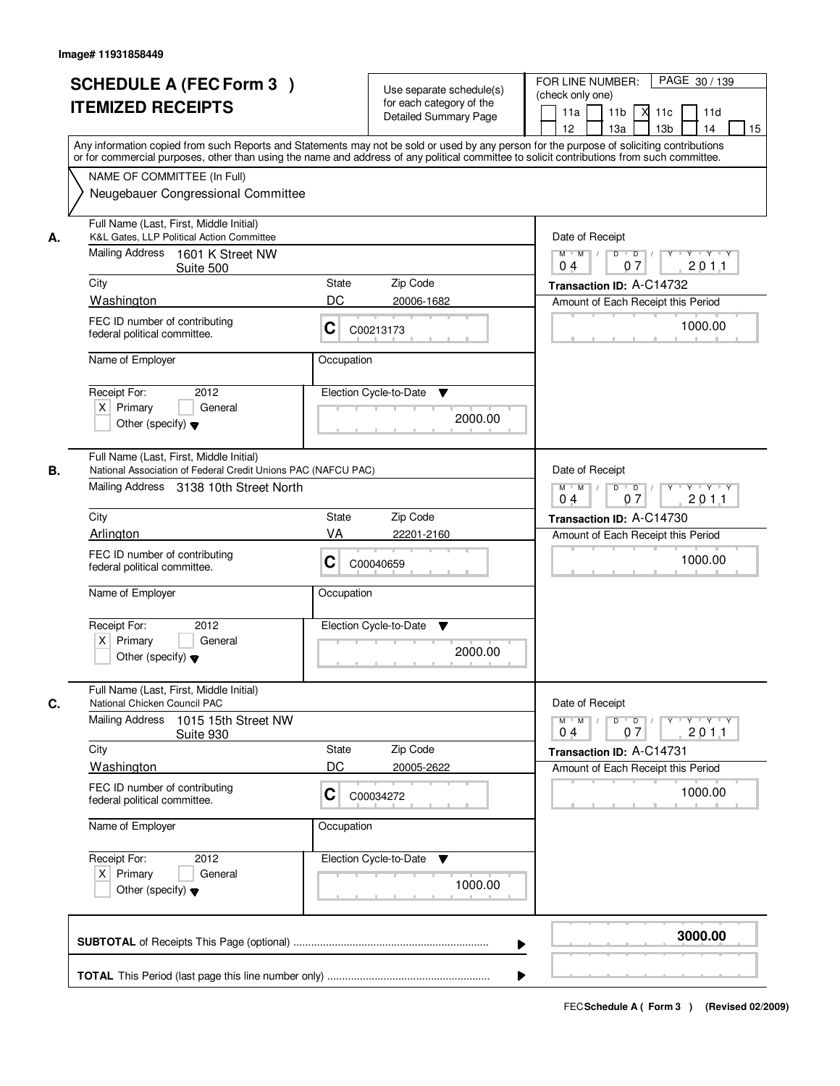|      | <b>SCHEDULE A (FEC Form 3)</b><br><b>ITEMIZED RECEIPTS</b><br>Any information copied from such Reports and Statements may not be sold or used by any person for the purpose of soliciting contributions         |              | Use separate schedule(s)<br>for each category of the<br><b>Detailed Summary Page</b> | FOR LINE NUMBER:<br>(check only one)<br>11a<br>12 <sup>2</sup> | PAGE 30 / 139<br>11 <sub>b</sub><br>м<br>11c<br>11d<br>13 <sub>b</sub><br>14<br>13a<br>15 |
|------|-----------------------------------------------------------------------------------------------------------------------------------------------------------------------------------------------------------------|--------------|--------------------------------------------------------------------------------------|----------------------------------------------------------------|-------------------------------------------------------------------------------------------|
|      | or for commercial purposes, other than using the name and address of any political committee to solicit contributions from such committee.<br>NAME OF COMMITTEE (In Full)<br>Neugebauer Congressional Committee |              |                                                                                      |                                                                |                                                                                           |
| А.   | Full Name (Last, First, Middle Initial)<br>K&L Gates, LLP Political Action Committee<br>Mailing Address 1601 K Street NW                                                                                        |              |                                                                                      | Date of Receipt<br>$M$ $M$<br>0 <sub>4</sub>                   | $D$ $D$ $I$<br>Y Y Y Y<br>$Y$ <sup>U</sup><br>07<br>201.1                                 |
| City | Suite 500                                                                                                                                                                                                       | <b>State</b> | Zip Code                                                                             |                                                                | Transaction ID: A-C14732                                                                  |
|      | Washington                                                                                                                                                                                                      | DC           | 20006-1682                                                                           |                                                                | Amount of Each Receipt this Period                                                        |
|      | FEC ID number of contributing<br>federal political committee.                                                                                                                                                   | C            | C00213173                                                                            |                                                                | 1000.00                                                                                   |
|      | Name of Employer                                                                                                                                                                                                | Occupation   |                                                                                      |                                                                |                                                                                           |
|      | Receipt For:<br>2012<br>$X$ Primary<br>General<br>Other (specify) $\blacktriangledown$                                                                                                                          |              | Election Cycle-to-Date<br>▼<br>2000.00                                               |                                                                |                                                                                           |
| В.   | Full Name (Last, First, Middle Initial)<br>National Association of Federal Credit Unions PAC (NAFCU PAC)<br>Mailing Address 3138 10th Street North                                                              |              |                                                                                      | Date of Receipt<br>$M$ $M$ /<br>0 <sub>4</sub>                 | D<br>$\Box$ D $\Box$<br>$Y + Y + Y$<br>07<br>2011                                         |
| City |                                                                                                                                                                                                                 | <b>State</b> | Zip Code                                                                             |                                                                | Transaction ID: A-C14730                                                                  |
|      | Arlington                                                                                                                                                                                                       | VA           | 22201-2160                                                                           |                                                                | Amount of Each Receipt this Period                                                        |
|      | FEC ID number of contributing<br>federal political committee.                                                                                                                                                   | С            | C00040659                                                                            |                                                                | 1000.00                                                                                   |
|      | Name of Employer                                                                                                                                                                                                | Occupation   |                                                                                      |                                                                |                                                                                           |
|      | Receipt For:<br>2012<br>$X$ Primary<br>General<br>Other (specify) $\blacktriangledown$                                                                                                                          |              | Election Cycle-to-Date<br>▼<br>2000.00                                               |                                                                |                                                                                           |
| C.   | Full Name (Last, First, Middle Initial)<br>National Chicken Council PAC                                                                                                                                         |              |                                                                                      | Date of Receipt                                                |                                                                                           |
|      | <b>Mailing Address</b><br>1015 15th Street NW<br>Suite 930                                                                                                                                                      |              |                                                                                      | $M$ $M$ $M$<br>04                                              | $D$ $D$ $I$<br>yuryuryury<br>2011<br>07                                                   |
| City |                                                                                                                                                                                                                 | <b>State</b> | Zip Code                                                                             |                                                                | Transaction ID: A-C14731                                                                  |
|      | Washington                                                                                                                                                                                                      | DC           | 20005-2622                                                                           |                                                                | Amount of Each Receipt this Period                                                        |
|      | FEC ID number of contributing<br>federal political committee.                                                                                                                                                   | C            | C00034272                                                                            |                                                                | 1000.00                                                                                   |
|      | Name of Employer                                                                                                                                                                                                | Occupation   |                                                                                      |                                                                |                                                                                           |
|      | Receipt For:<br>2012<br>$X$ Primary<br>General<br>Other (specify) $\blacktriangledown$                                                                                                                          |              | Election Cycle-to-Date<br>v<br>1000.00                                               |                                                                |                                                                                           |
|      |                                                                                                                                                                                                                 |              |                                                                                      |                                                                | 3000.00                                                                                   |
|      |                                                                                                                                                                                                                 |              |                                                                                      |                                                                |                                                                                           |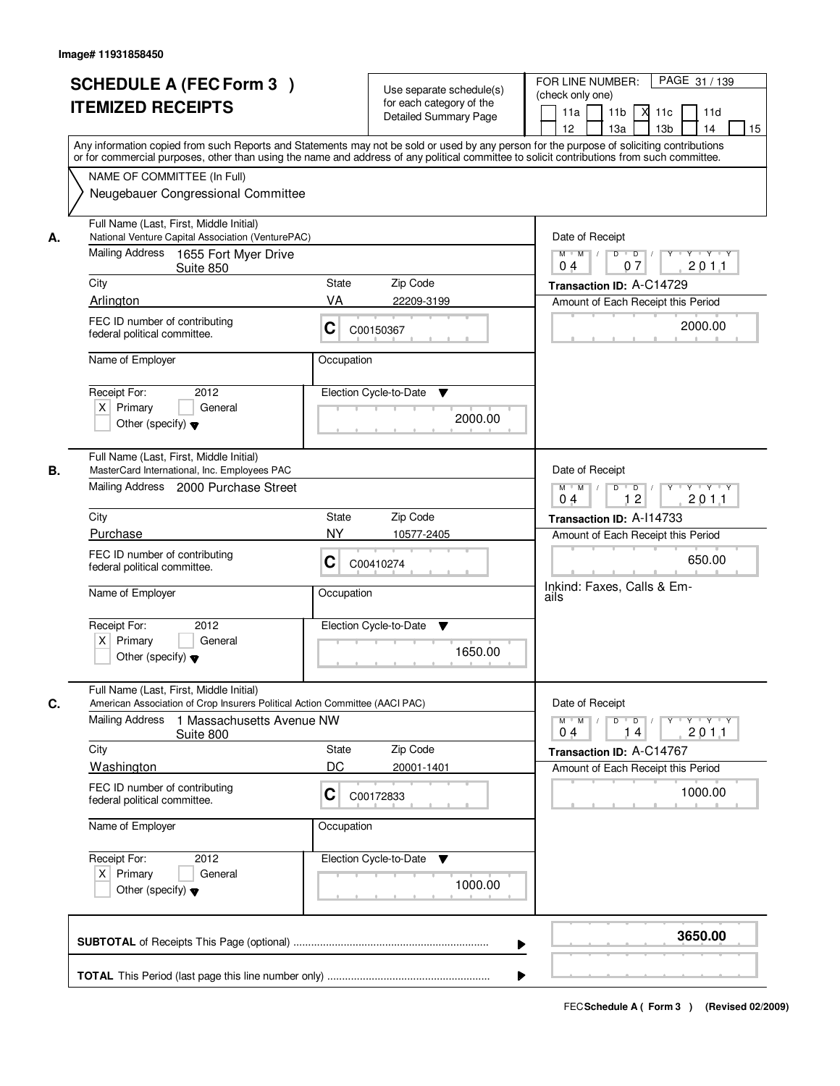|    | <b>SCHEDULE A (FEC Form 3)</b><br><b>ITEMIZED RECEIPTS</b><br>Any information copied from such Reports and Statements may not be sold or used by any person for the purpose of soliciting contributions         | Use separate schedule(s)<br>for each category of the<br><b>Detailed Summary Page</b> | PAGE 31 / 139<br>FOR LINE NUMBER:<br>(check only one)<br>11 <sub>b</sub><br>11a<br>-XI<br>11c<br>11d<br>13 <sub>b</sub><br>14<br>12<br>13a<br>15 |
|----|-----------------------------------------------------------------------------------------------------------------------------------------------------------------------------------------------------------------|--------------------------------------------------------------------------------------|--------------------------------------------------------------------------------------------------------------------------------------------------|
|    | or for commercial purposes, other than using the name and address of any political committee to solicit contributions from such committee.<br>NAME OF COMMITTEE (In Full)<br>Neugebauer Congressional Committee |                                                                                      |                                                                                                                                                  |
| А. | Full Name (Last, First, Middle Initial)<br>National Venture Capital Association (VenturePAC)<br>Mailing Address 1655 Fort Myer Drive<br>Suite 850                                                               |                                                                                      | Date of Receipt<br>$D$ $D$<br>$Y$ <sup>U</sup><br>$Y - Y - Y - Y$<br>$M$ $M$ /<br>07<br>201.1<br>0 <sub>4</sub>                                  |
|    | City                                                                                                                                                                                                            | <b>State</b><br>Zip Code                                                             | Transaction ID: A-C14729                                                                                                                         |
|    | Arlington                                                                                                                                                                                                       | VA<br>22209-3199                                                                     | Amount of Each Receipt this Period                                                                                                               |
|    | FEC ID number of contributing<br>federal political committee.                                                                                                                                                   | C<br>C00150367                                                                       | 2000.00                                                                                                                                          |
|    | Name of Employer                                                                                                                                                                                                | Occupation                                                                           |                                                                                                                                                  |
|    | 2012<br>Receipt For:<br>$X$ Primary<br>General<br>Other (specify) $\blacktriangledown$                                                                                                                          | Election Cycle-to-Date<br>▼<br>2000.00                                               |                                                                                                                                                  |
| В. | Full Name (Last, First, Middle Initial)<br>MasterCard International, Inc. Employees PAC<br>Mailing Address 2000 Purchase Street                                                                                 |                                                                                      | Date of Receipt<br>$M$ $M$ /<br>D<br>$\overline{D}$ /<br>$Y \dashv Y \dashv Y$<br>12<br>201.1<br>04                                              |
|    | City                                                                                                                                                                                                            | Zip Code<br>State                                                                    | Transaction ID: A-114733                                                                                                                         |
|    | Purchase                                                                                                                                                                                                        | <b>NY</b><br>10577-2405                                                              | Amount of Each Receipt this Period                                                                                                               |
|    | FEC ID number of contributing<br>federal political committee.                                                                                                                                                   | C<br>C00410274                                                                       | 650.00                                                                                                                                           |
|    | Name of Employer                                                                                                                                                                                                | Occupation                                                                           | Inkind: Faxes, Calls & Em-<br>ails                                                                                                               |
|    | Receipt For:<br>2012<br>$X$ Primary<br>General<br>Other (specify) $\blacktriangledown$                                                                                                                          | Election Cycle-to-Date<br>▼<br>1650.00                                               |                                                                                                                                                  |
|    | Full Name (Last, First, Middle Initial)<br>American Association of Crop Insurers Political Action Committee (AACI PAC)                                                                                          |                                                                                      | Date of Receipt                                                                                                                                  |
| C. | Mailing Address<br>1 Massachusetts Avenue NW<br>Suite 800                                                                                                                                                       |                                                                                      | $M$ $M$<br>$D$ $D$ $l$<br><u>y y y y y y</u><br>201.1<br>04<br>14                                                                                |
|    | City                                                                                                                                                                                                            | Zip Code<br><b>State</b>                                                             | Transaction ID: A-C14767                                                                                                                         |
|    | Washington                                                                                                                                                                                                      | DC<br>20001-1401                                                                     | Amount of Each Receipt this Period                                                                                                               |
|    | FEC ID number of contributing<br>federal political committee.                                                                                                                                                   | C<br>C00172833                                                                       | 1000.00                                                                                                                                          |
|    | Name of Employer                                                                                                                                                                                                | Occupation                                                                           |                                                                                                                                                  |
|    | Receipt For:<br>2012<br>$X$ Primary<br>General<br>Other (specify) $\blacktriangledown$                                                                                                                          | Election Cycle-to-Date ▼<br>1000.00                                                  |                                                                                                                                                  |
|    |                                                                                                                                                                                                                 |                                                                                      | 3650.00                                                                                                                                          |
|    |                                                                                                                                                                                                                 |                                                                                      |                                                                                                                                                  |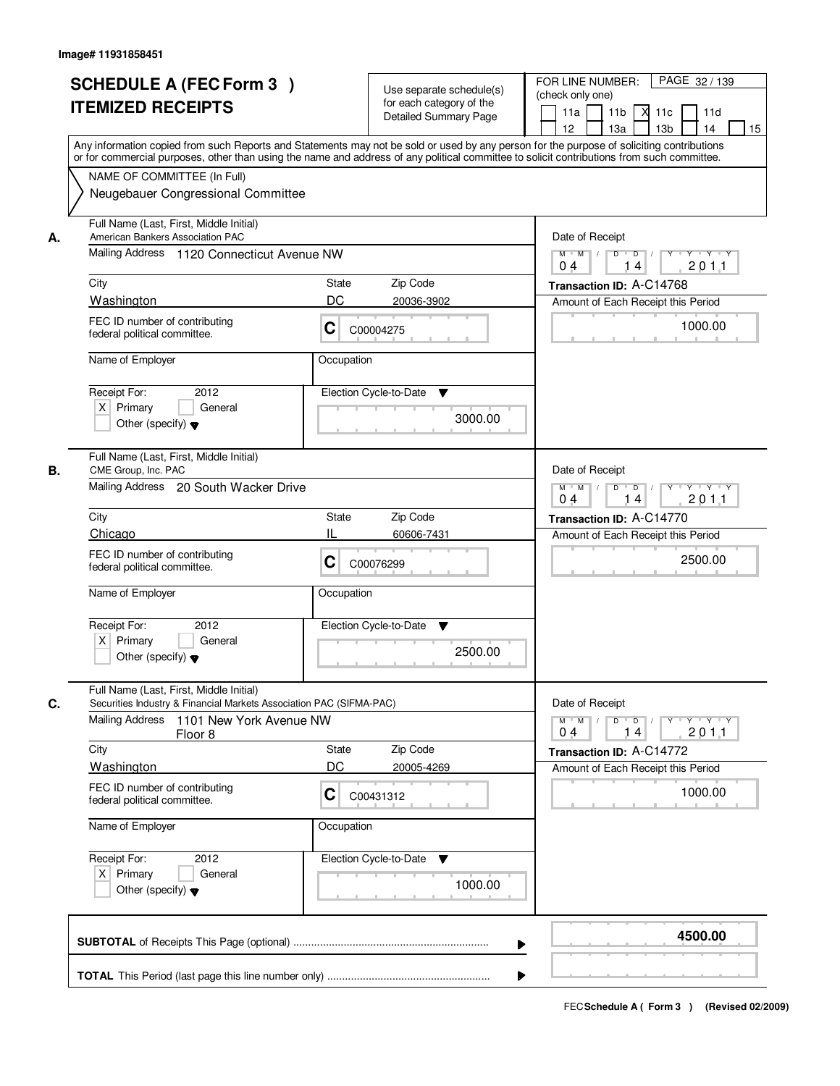|    |                                                                                                                                            |                        |                                                          | PAGE 32 / 139<br>FOR LINE NUMBER:                                               |
|----|--------------------------------------------------------------------------------------------------------------------------------------------|------------------------|----------------------------------------------------------|---------------------------------------------------------------------------------|
|    | <b>SCHEDULE A (FEC Form 3)</b>                                                                                                             |                        | Use separate schedule(s)                                 | (check only one)                                                                |
|    | <b>ITEMIZED RECEIPTS</b>                                                                                                                   |                        | for each category of the<br><b>Detailed Summary Page</b> | 11 <sub>b</sub><br>11a<br>$X$ 11 $c$<br>11d                                     |
|    |                                                                                                                                            |                        |                                                          | 12<br>13a<br>13 <sub>b</sub><br>14<br>15                                        |
|    | Any information copied from such Reports and Statements may not be sold or used by any person for the purpose of soliciting contributions  |                        |                                                          |                                                                                 |
|    | or for commercial purposes, other than using the name and address of any political committee to solicit contributions from such committee. |                        |                                                          |                                                                                 |
|    | NAME OF COMMITTEE (In Full)                                                                                                                |                        |                                                          |                                                                                 |
|    | Neugebauer Congressional Committee                                                                                                         |                        |                                                          |                                                                                 |
| А. | Full Name (Last, First, Middle Initial)<br>American Bankers Association PAC                                                                | Date of Receipt        |                                                          |                                                                                 |
|    | Mailing Address 1120 Connecticut Avenue NW                                                                                                 |                        |                                                          | $Y - Y - Y$<br>$M$ $M$<br>D<br>$\overline{D}$<br>201.1<br>04<br>14              |
|    | City                                                                                                                                       | State                  | Zip Code                                                 | Transaction ID: A-C14768                                                        |
|    | Washington                                                                                                                                 | DC                     | 20036-3902                                               | Amount of Each Receipt this Period                                              |
|    | FEC ID number of contributing<br>federal political committee.                                                                              | C                      | C00004275                                                | 1000.00                                                                         |
|    | Name of Employer                                                                                                                           | Occupation             |                                                          |                                                                                 |
|    |                                                                                                                                            |                        |                                                          |                                                                                 |
|    | 2012<br>Receipt For:<br>$X$ Primary                                                                                                        | Election Cycle-to-Date | ▼                                                        |                                                                                 |
|    | General<br>Other (specify) $\blacktriangledown$                                                                                            |                        | 3000.00                                                  |                                                                                 |
|    |                                                                                                                                            |                        |                                                          |                                                                                 |
| В. | Full Name (Last, First, Middle Initial)<br>CME Group, Inc. PAC                                                                             |                        |                                                          | Date of Receipt                                                                 |
|    | Mailing Address 20 South Wacker Drive                                                                                                      |                        |                                                          | $D$ $D$ $1$<br>$M$ $M$ /<br>$Y \perp Y \perp Y \perp Y$                         |
|    |                                                                                                                                            |                        |                                                          | 201.1<br>04<br>14                                                               |
|    | City                                                                                                                                       | State                  | Zip Code                                                 | Transaction ID: A-C14770                                                        |
|    | Chicago                                                                                                                                    | Ш                      | 60606-7431                                               | Amount of Each Receipt this Period                                              |
|    | FEC ID number of contributing<br>federal political committee.                                                                              | C                      | C00076299                                                | 2500.00                                                                         |
|    | Name of Employer                                                                                                                           | Occupation             |                                                          |                                                                                 |
|    | Receipt For:<br>2012                                                                                                                       | Election Cycle-to-Date | v                                                        |                                                                                 |
|    | $X$ Primary<br>General                                                                                                                     |                        |                                                          |                                                                                 |
|    | Other (specify) $\blacktriangledown$                                                                                                       |                        | 2500.00                                                  |                                                                                 |
| C. | Full Name (Last, First, Middle Initial)<br>Securities Industry & Financial Markets Association PAC (SIFMA-PAC)                             |                        |                                                          | Date of Receipt                                                                 |
|    | Mailing Address<br>1101 New York Avenue NW                                                                                                 |                        |                                                          | $M$ $M$<br>$D$ $D$ $/$<br>$Y \dashv Y \dashv Y$<br>$\top$ /<br>$Y$ <sup>U</sup> |
|    | Floor 8                                                                                                                                    |                        |                                                          | 2011<br>04<br>14                                                                |
|    | City                                                                                                                                       | State<br>DC            | Zip Code                                                 | Transaction ID: A-C14772                                                        |
|    | Washington                                                                                                                                 |                        | 20005-4269                                               | Amount of Each Receipt this Period                                              |
|    | FEC ID number of contributing<br>federal political committee.                                                                              | C                      | C00431312                                                | 1000.00                                                                         |
|    | Name of Employer                                                                                                                           | Occupation             |                                                          |                                                                                 |
|    | Receipt For:<br>2012                                                                                                                       |                        | Election Cycle-to-Date<br>v                              |                                                                                 |
|    | $X$ Primary<br>General                                                                                                                     |                        | 1000.00                                                  |                                                                                 |
|    | Other (specify) $\blacktriangledown$                                                                                                       |                        |                                                          |                                                                                 |
|    |                                                                                                                                            |                        | ▶                                                        | 4500.00                                                                         |
|    |                                                                                                                                            |                        |                                                          |                                                                                 |
|    |                                                                                                                                            |                        |                                                          |                                                                                 |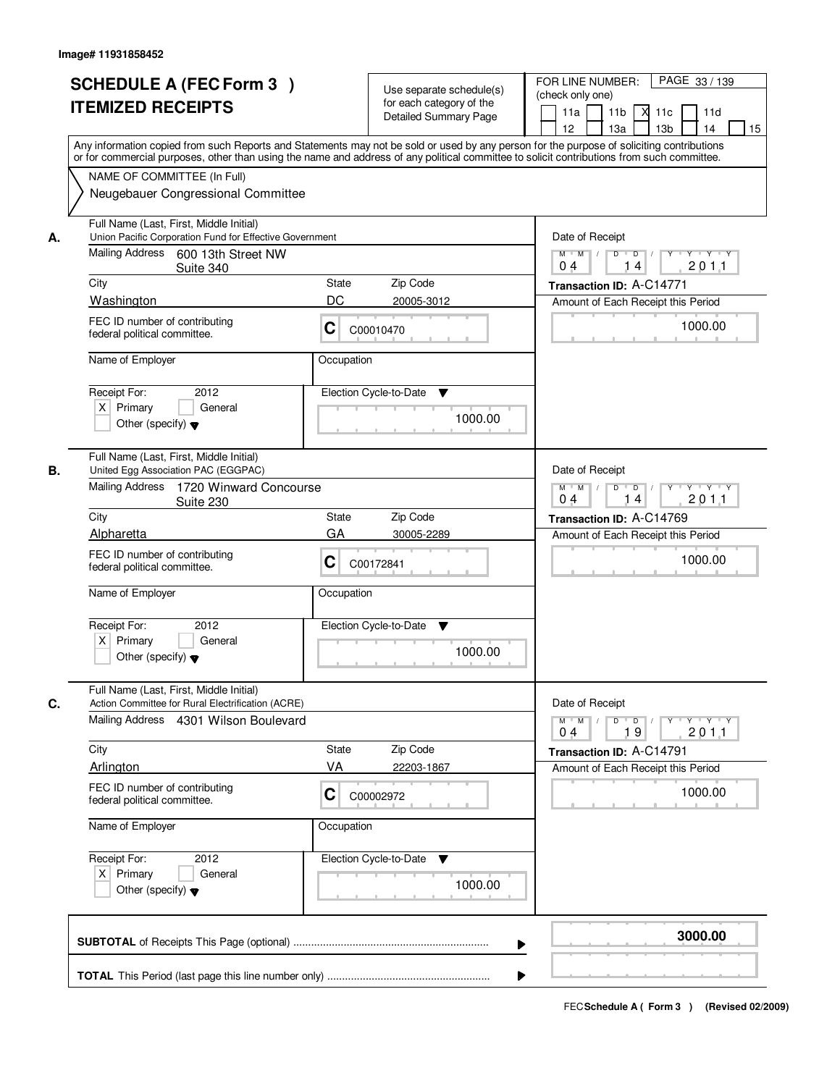|    | <b>SCHEDULE A (FEC Form 3)</b><br><b>ITEMIZED RECEIPTS</b><br>Any information copied from such Reports and Statements may not be sold or used by any person for the purpose of soliciting contributions         | Use separate schedule(s)<br>for each category of the<br><b>Detailed Summary Page</b> | PAGE 33 / 139<br>FOR LINE NUMBER:<br>(check only one)<br>11 <sub>b</sub><br>11d<br>11a<br><b>X</b><br>11c<br>13 <sub>b</sub><br>14<br>12<br>13a<br>15 |
|----|-----------------------------------------------------------------------------------------------------------------------------------------------------------------------------------------------------------------|--------------------------------------------------------------------------------------|-------------------------------------------------------------------------------------------------------------------------------------------------------|
|    | or for commercial purposes, other than using the name and address of any political committee to solicit contributions from such committee.<br>NAME OF COMMITTEE (In Full)<br>Neugebauer Congressional Committee |                                                                                      |                                                                                                                                                       |
| А. | Full Name (Last, First, Middle Initial)<br>Union Pacific Corporation Fund for Effective Government<br>Mailing Address 600 13th Street NW<br>Suite 340                                                           |                                                                                      | Date of Receipt<br>$D$ $D$ $1$<br>$Y$ <sup>U</sup><br>$Y$ $Y$ $Y$<br>$M$ $M$ /<br>201.1<br>0 <sub>4</sub><br>14                                       |
|    | City                                                                                                                                                                                                            | State<br>Zip Code                                                                    | Transaction ID: A-C14771                                                                                                                              |
|    | Washington                                                                                                                                                                                                      | DC<br>20005-3012                                                                     | Amount of Each Receipt this Period                                                                                                                    |
|    | FEC ID number of contributing<br>federal political committee.                                                                                                                                                   | C<br>C00010470                                                                       | 1000.00                                                                                                                                               |
|    | Name of Employer                                                                                                                                                                                                | Occupation                                                                           |                                                                                                                                                       |
|    | Receipt For:<br>2012<br>$X$ Primary<br>General<br>Other (specify) $\blacktriangledown$                                                                                                                          | Election Cycle-to-Date<br>▼<br>1000.00                                               |                                                                                                                                                       |
| В. | Full Name (Last, First, Middle Initial)<br>United Egg Association PAC (EGGPAC)<br>Mailing Address<br>1720 Winward Concourse                                                                                     |                                                                                      | Date of Receipt<br>$M$ $M$ /<br>D<br>$\overline{\phantom{0}}$ D<br>$Y$ <sup>U</sup><br>$Y \dashv Y \dashv Y$                                          |
|    | Suite 230                                                                                                                                                                                                       |                                                                                      | 201.1<br>04<br>14                                                                                                                                     |
|    | City<br>Alpharetta                                                                                                                                                                                              | Zip Code<br>State<br>GA<br>30005-2289                                                | Transaction ID: A-C14769                                                                                                                              |
|    | FEC ID number of contributing<br>federal political committee.                                                                                                                                                   | C<br>C00172841                                                                       | Amount of Each Receipt this Period<br>1000.00                                                                                                         |
|    | Name of Employer                                                                                                                                                                                                | Occupation                                                                           |                                                                                                                                                       |
|    | Receipt For:<br>2012<br>$X$ Primary<br>General<br>Other (specify) $\blacktriangledown$                                                                                                                          | Election Cycle-to-Date<br>▼<br>1000.00                                               |                                                                                                                                                       |
| C. | Full Name (Last, First, Middle Initial)<br>Action Committee for Rural Electrification (ACRE)                                                                                                                    |                                                                                      | Date of Receipt                                                                                                                                       |
|    | Mailing Address 4301 Wilson Boulevard                                                                                                                                                                           |                                                                                      | $M$ $M$<br>$D$ $D$ $l$<br>y y y y y y<br>201.1<br>19<br>04                                                                                            |
|    | City                                                                                                                                                                                                            | State<br>Zip Code                                                                    | Transaction ID: A-C14791                                                                                                                              |
|    | Arlington                                                                                                                                                                                                       | VA<br>22203-1867                                                                     | Amount of Each Receipt this Period                                                                                                                    |
|    | FEC ID number of contributing<br>federal political committee.                                                                                                                                                   | C<br>C00002972                                                                       | 1000.00                                                                                                                                               |
|    | Name of Employer                                                                                                                                                                                                | Occupation                                                                           |                                                                                                                                                       |
|    | Receipt For:<br>2012<br>$X$ Primary<br>General<br>Other (specify) $\blacktriangledown$                                                                                                                          | Election Cycle-to-Date ▼<br>1000.00                                                  |                                                                                                                                                       |
|    |                                                                                                                                                                                                                 |                                                                                      | 3000.00                                                                                                                                               |
|    |                                                                                                                                                                                                                 |                                                                                      |                                                                                                                                                       |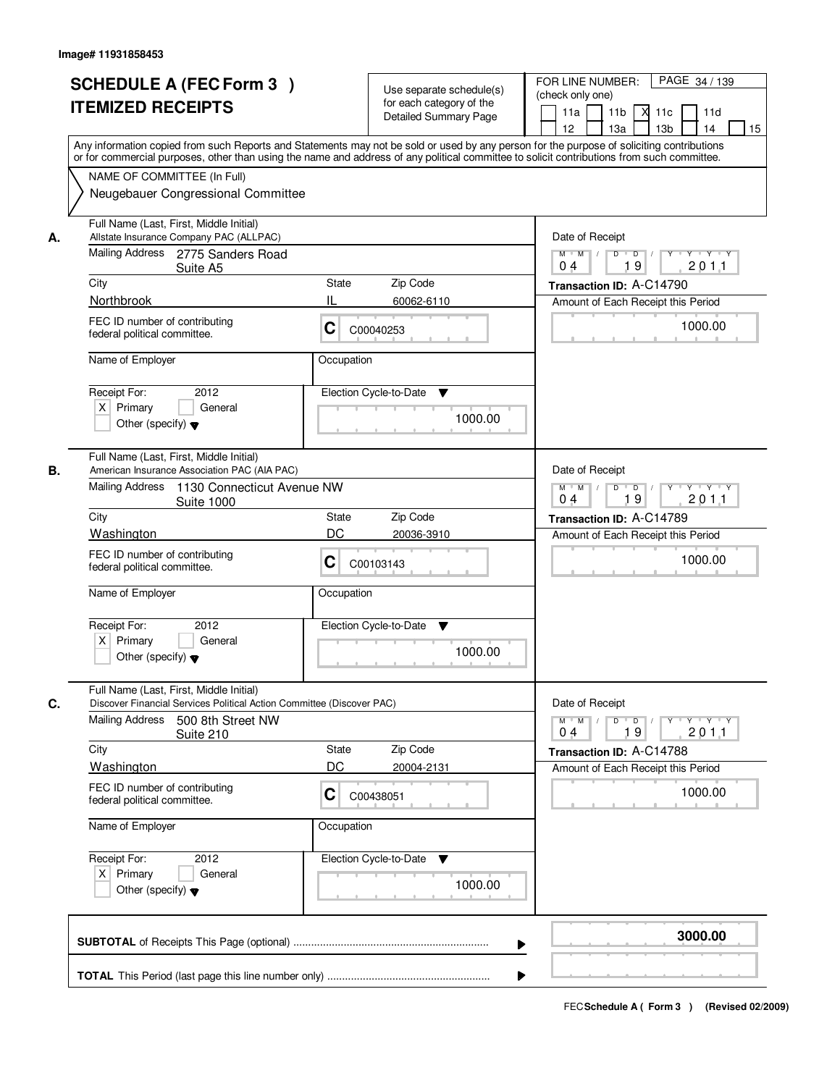|    | <b>SCHEDULE A (FEC Form 3)</b><br><b>ITEMIZED RECEIPTS</b><br>Any information copied from such Reports and Statements may not be sold or used by any person for the purpose of soliciting contributions         | Use separate schedule(s)<br>for each category of the<br><b>Detailed Summary Page</b> | PAGE 34 / 139<br>FOR LINE NUMBER:<br>(check only one)<br>11 <sub>b</sub><br>11a<br><b>X</b><br>11c<br>11d<br>13 <sub>b</sub><br>14<br>12<br>13a<br>15 |
|----|-----------------------------------------------------------------------------------------------------------------------------------------------------------------------------------------------------------------|--------------------------------------------------------------------------------------|-------------------------------------------------------------------------------------------------------------------------------------------------------|
|    | or for commercial purposes, other than using the name and address of any political committee to solicit contributions from such committee.<br>NAME OF COMMITTEE (In Full)<br>Neugebauer Congressional Committee |                                                                                      |                                                                                                                                                       |
| А. | Full Name (Last, First, Middle Initial)<br>Allstate Insurance Company PAC (ALLPAC)<br>Mailing Address 2775 Sanders Road<br>Suite A5                                                                             |                                                                                      | Date of Receipt<br>$D$ $D$ $1$<br>$Y$ <sup>U</sup><br>$Y$ $Y$ $Y$<br>$M$ $M$ /<br>19<br>201.1<br>0 <sub>4</sub>                                       |
|    | City                                                                                                                                                                                                            | State<br>Zip Code                                                                    | Transaction ID: A-C14790                                                                                                                              |
|    | Northbrook                                                                                                                                                                                                      | IL<br>60062-6110                                                                     | Amount of Each Receipt this Period                                                                                                                    |
|    | FEC ID number of contributing<br>federal political committee.                                                                                                                                                   | C<br>C00040253                                                                       | 1000.00                                                                                                                                               |
|    | Name of Employer                                                                                                                                                                                                | Occupation                                                                           |                                                                                                                                                       |
|    | 2012<br>Receipt For:<br>$X$ Primary<br>General<br>Other (specify) $\blacktriangledown$                                                                                                                          | Election Cycle-to-Date<br>▼<br>1000.00                                               |                                                                                                                                                       |
| В. | Full Name (Last, First, Middle Initial)<br>American Insurance Association PAC (AIA PAC)<br>Mailing Address                                                                                                      |                                                                                      | Date of Receipt                                                                                                                                       |
|    | 1130 Connecticut Avenue NW<br><b>Suite 1000</b>                                                                                                                                                                 |                                                                                      | $M$ $M$ /<br>$D$ $D$ $/$<br>$Y$ <sup>U</sup><br>$Y \dashv Y \dashv Y$<br>19<br>201.1<br>04                                                            |
|    | City<br>Washington                                                                                                                                                                                              | Zip Code<br>State<br>DC<br>20036-3910                                                | Transaction ID: A-C14789<br>Amount of Each Receipt this Period                                                                                        |
|    | FEC ID number of contributing<br>federal political committee.                                                                                                                                                   | C<br>C00103143                                                                       | 1000.00                                                                                                                                               |
|    | Name of Employer                                                                                                                                                                                                | Occupation                                                                           |                                                                                                                                                       |
|    | Receipt For:<br>2012<br>$X$ Primary<br>General<br>Other (specify) $\blacktriangledown$                                                                                                                          | Election Cycle-to-Date<br>v<br>1000.00                                               |                                                                                                                                                       |
| C. | Full Name (Last, First, Middle Initial)<br>Discover Financial Services Political Action Committee (Discover PAC)                                                                                                |                                                                                      | Date of Receipt                                                                                                                                       |
|    | <b>Mailing Address</b><br>500 8th Street NW<br>Suite 210                                                                                                                                                        |                                                                                      | $M$ $M$<br>$D$ $D$ $/$<br>y y y y y<br>201.1<br>19<br>04                                                                                              |
|    | City                                                                                                                                                                                                            | Zip Code<br>State                                                                    | Transaction ID: A-C14788                                                                                                                              |
|    | Washington                                                                                                                                                                                                      | DC<br>20004-2131                                                                     | Amount of Each Receipt this Period                                                                                                                    |
|    | FEC ID number of contributing<br>federal political committee.                                                                                                                                                   | C<br>C00438051                                                                       | 1000.00                                                                                                                                               |
|    | Name of Employer                                                                                                                                                                                                | Occupation                                                                           |                                                                                                                                                       |
|    | Receipt For:<br>2012<br>$X$ Primary<br>General<br>Other (specify) $\blacktriangledown$                                                                                                                          | Election Cycle-to-Date ▼<br>1000.00                                                  |                                                                                                                                                       |
|    |                                                                                                                                                                                                                 |                                                                                      | 3000.00                                                                                                                                               |
|    |                                                                                                                                                                                                                 |                                                                                      |                                                                                                                                                       |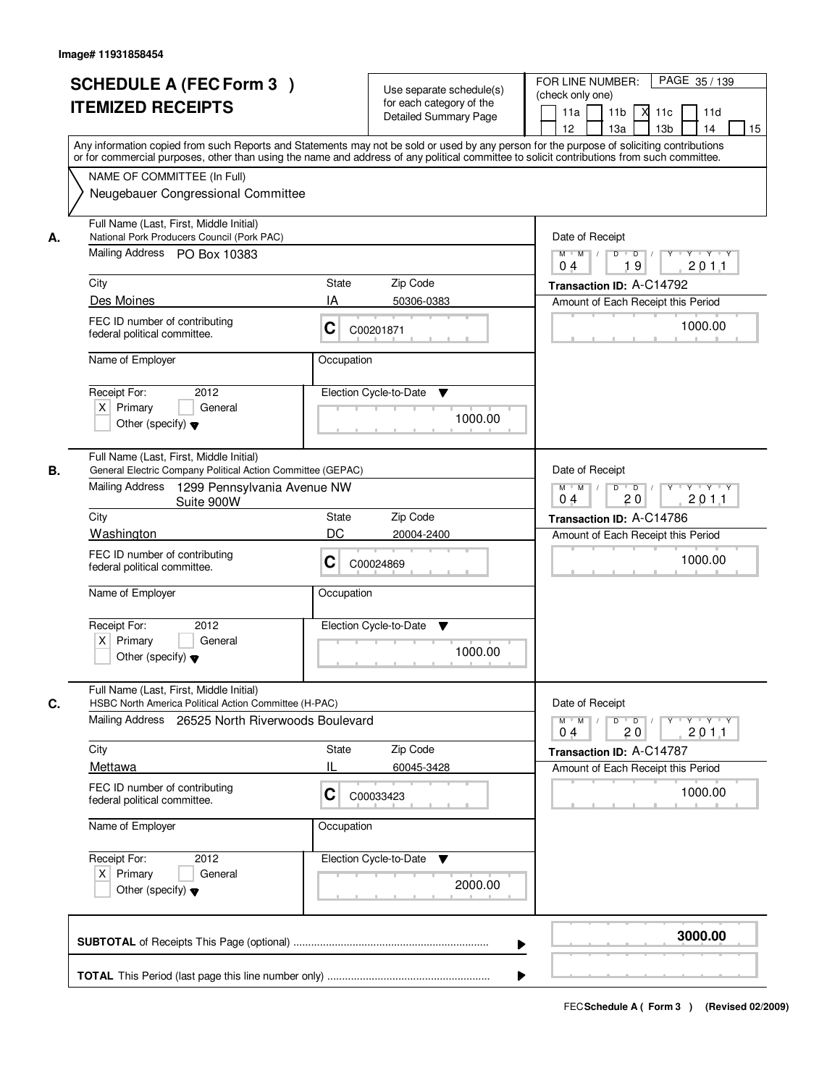| <b>SCHEDULE A (FEC Form 3)</b><br><b>ITEMIZED RECEIPTS</b>                                                                  | Use separate schedule(s)<br>for each category of the<br><b>Detailed Summary Page</b><br>Any information copied from such Reports and Statements may not be sold or used by any person for the purpose of soliciting contributions | PAGE 35 / 139<br>FOR LINE NUMBER:<br>(check only one)<br>11 <sub>b</sub><br>м<br>11a<br>11c<br>11d<br>12 <sup>2</sup><br>13 <sub>b</sub><br>14<br>13a<br>15 |  |  |
|-----------------------------------------------------------------------------------------------------------------------------|-----------------------------------------------------------------------------------------------------------------------------------------------------------------------------------------------------------------------------------|-------------------------------------------------------------------------------------------------------------------------------------------------------------|--|--|
| NAME OF COMMITTEE (In Full)<br>Neugebauer Congressional Committee                                                           | or for commercial purposes, other than using the name and address of any political committee to solicit contributions from such committee.                                                                                        |                                                                                                                                                             |  |  |
| Full Name (Last, First, Middle Initial)<br>National Pork Producers Council (Pork PAC)<br>А.<br>Mailing Address PO Box 10383 |                                                                                                                                                                                                                                   | Date of Receipt<br>$D$ $D$<br>$Y + Y + Y$<br>$M$ $M$<br>$Y$ <sup>U</sup><br>19<br>201.1<br>0 <sub>4</sub>                                                   |  |  |
| City                                                                                                                        | <b>State</b><br>Zip Code                                                                                                                                                                                                          | Transaction ID: A-C14792                                                                                                                                    |  |  |
| Des Moines                                                                                                                  | IA<br>50306-0383                                                                                                                                                                                                                  | Amount of Each Receipt this Period                                                                                                                          |  |  |
| FEC ID number of contributing<br>federal political committee.                                                               | C<br>C00201871                                                                                                                                                                                                                    | 1000.00                                                                                                                                                     |  |  |
| Name of Employer                                                                                                            | Occupation                                                                                                                                                                                                                        |                                                                                                                                                             |  |  |
| Receipt For:<br>2012<br>$X$ Primary<br>General<br>Other (specify) $\blacktriangledown$                                      | Election Cycle-to-Date<br>▼<br>1000.00                                                                                                                                                                                            |                                                                                                                                                             |  |  |
| Full Name (Last, First, Middle Initial)<br>В.<br>Mailing Address                                                            | General Electric Company Political Action Committee (GEPAC)<br>1299 Pennsylvania Avenue NW                                                                                                                                        |                                                                                                                                                             |  |  |
| City                                                                                                                        | Suite 900W<br>Zip Code<br><b>State</b>                                                                                                                                                                                            |                                                                                                                                                             |  |  |
| Washington                                                                                                                  | DC<br>20004-2400                                                                                                                                                                                                                  | Transaction ID: A-C14786<br>Amount of Each Receipt this Period                                                                                              |  |  |
| FEC ID number of contributing<br>federal political committee.                                                               | С<br>C00024869                                                                                                                                                                                                                    | 1000.00                                                                                                                                                     |  |  |
| Name of Employer                                                                                                            | Occupation                                                                                                                                                                                                                        |                                                                                                                                                             |  |  |
| Receipt For:<br>2012<br>$X$ Primary<br>General<br>Other (specify) $\blacktriangledown$                                      | Election Cycle-to-Date<br>▼<br>1000.00                                                                                                                                                                                            |                                                                                                                                                             |  |  |
| Full Name (Last, First, Middle Initial)<br>C.                                                                               |                                                                                                                                                                                                                                   | Date of Receipt                                                                                                                                             |  |  |
|                                                                                                                             | HSBC North America Political Action Committee (H-PAC)<br>Mailing Address 26525 North Riverwoods Boulevard                                                                                                                         |                                                                                                                                                             |  |  |
| City                                                                                                                        | <b>State</b><br>Zip Code                                                                                                                                                                                                          | 2011<br>20<br>04<br>Transaction ID: A-C14787                                                                                                                |  |  |
| Mettawa                                                                                                                     | 60045-3428                                                                                                                                                                                                                        | Amount of Each Receipt this Period                                                                                                                          |  |  |
| FEC ID number of contributing<br>federal political committee.                                                               | C<br>C00033423                                                                                                                                                                                                                    | 1000.00                                                                                                                                                     |  |  |
| Name of Employer                                                                                                            | Occupation                                                                                                                                                                                                                        |                                                                                                                                                             |  |  |
| Receipt For:<br>2012<br>$X$ Primary<br>General<br>Other (specify) $\blacktriangledown$                                      | Election Cycle-to-Date<br>v<br>2000.00                                                                                                                                                                                            |                                                                                                                                                             |  |  |
|                                                                                                                             |                                                                                                                                                                                                                                   | 3000.00                                                                                                                                                     |  |  |
|                                                                                                                             |                                                                                                                                                                                                                                   |                                                                                                                                                             |  |  |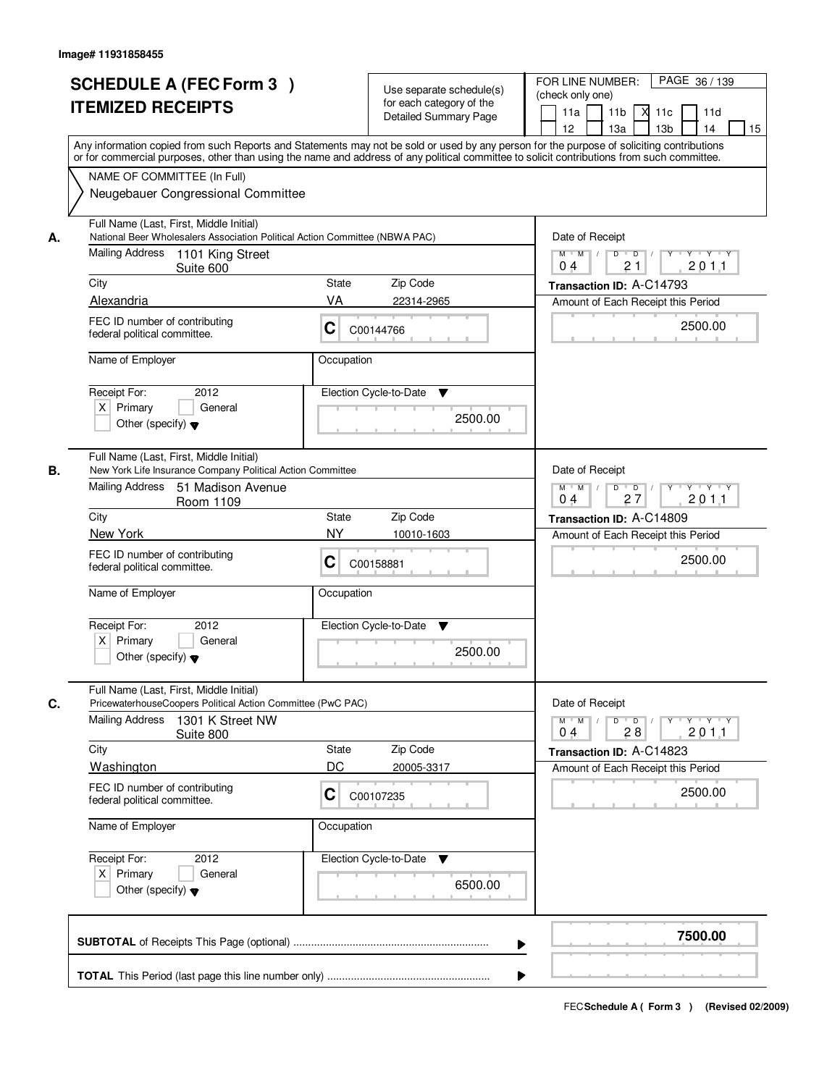|    | <b>SCHEDULE A (FEC Form 3)</b><br><b>ITEMIZED RECEIPTS</b><br>Any information copied from such Reports and Statements may not be sold or used by any person for the purpose of soliciting contributions         | Use separate schedule(s)<br>for each category of the<br>Detailed Summary Page | PAGE 36 / 139<br>FOR LINE NUMBER:<br>(check only one)<br>11 <sub>b</sub><br>11a<br>11c<br>11d<br>12<br>13a<br>13 <sub>b</sub><br>15<br>14            |
|----|-----------------------------------------------------------------------------------------------------------------------------------------------------------------------------------------------------------------|-------------------------------------------------------------------------------|------------------------------------------------------------------------------------------------------------------------------------------------------|
|    | or for commercial purposes, other than using the name and address of any political committee to solicit contributions from such committee.<br>NAME OF COMMITTEE (In Full)<br>Neugebauer Congressional Committee |                                                                               |                                                                                                                                                      |
| А. | Full Name (Last, First, Middle Initial)<br>National Beer Wholesalers Association Political Action Committee (NBWA PAC)<br>Mailing Address<br>1101 King Street<br>Suite 600                                      |                                                                               | Date of Receipt<br>$\mathsf{Y} \dashv \mathsf{Y} \dashv \mathsf{Y}$<br>$D$ $D$ $1$<br>$Y$ <sup>U</sup><br>$M$ $M$ /<br>201.1<br>0 <sub>4</sub><br>21 |
|    | City                                                                                                                                                                                                            | Zip Code<br>State                                                             | Transaction ID: A-C14793                                                                                                                             |
|    | Alexandria                                                                                                                                                                                                      | VA<br>22314-2965                                                              | Amount of Each Receipt this Period                                                                                                                   |
|    | FEC ID number of contributing<br>federal political committee.                                                                                                                                                   | C<br>C00144766                                                                | 2500.00                                                                                                                                              |
|    | Name of Employer                                                                                                                                                                                                | Occupation                                                                    |                                                                                                                                                      |
|    | Receipt For:<br>2012<br>$X$ Primary<br>General<br>Other (specify) $\blacktriangledown$                                                                                                                          | Election Cycle-to-Date<br>▼<br>2500.00                                        |                                                                                                                                                      |
| В. | Full Name (Last, First, Middle Initial)<br>New York Life Insurance Company Political Action Committee                                                                                                           |                                                                               | Date of Receipt                                                                                                                                      |
|    | Mailing Address<br>51 Madison Avenue<br>Room 1109                                                                                                                                                               |                                                                               | $M$ $M$ /<br>D<br>$Y - Y - Y$<br>$\overline{\phantom{0}}$ D<br>Y<br>27<br>201.1<br>0 <sub>4</sub>                                                    |
|    | City<br>New York                                                                                                                                                                                                | State<br>Zip Code<br><b>NY</b><br>10010-1603                                  | Transaction ID: A-C14809                                                                                                                             |
|    | FEC ID number of contributing<br>federal political committee.                                                                                                                                                   | С<br>C00158881                                                                | Amount of Each Receipt this Period<br>2500.00                                                                                                        |
|    | Name of Employer                                                                                                                                                                                                | Occupation                                                                    |                                                                                                                                                      |
|    | Receipt For:<br>2012<br>$X$ Primary<br>General<br>Other (specify) $\blacktriangledown$                                                                                                                          | Election Cycle-to-Date<br>v<br>2500.00                                        |                                                                                                                                                      |
| C. | Full Name (Last, First, Middle Initial)<br>PricewaterhouseCoopers Political Action Committee (PwC PAC)                                                                                                          |                                                                               | Date of Receipt                                                                                                                                      |
|    | <b>Mailing Address</b><br>1301 K Street NW<br>Suite 800                                                                                                                                                         |                                                                               | $M$ $M$<br>D<br>$\Box$ D $\Box$<br>$Y + Y + Y$<br>2011<br>04<br>28                                                                                   |
|    | City                                                                                                                                                                                                            | State<br>Zip Code                                                             | Transaction ID: A-C14823                                                                                                                             |
|    | Washington<br>FEC ID number of contributing<br>federal political committee.                                                                                                                                     | DC<br>20005-3317<br>C<br>C00107235                                            | Amount of Each Receipt this Period<br>2500.00                                                                                                        |
|    | Name of Employer                                                                                                                                                                                                | Occupation                                                                    |                                                                                                                                                      |
|    | Receipt For:<br>2012<br>$X$ Primary<br>General<br>Other (specify) $\blacktriangledown$                                                                                                                          | Election Cycle-to-Date<br>v<br>6500.00                                        |                                                                                                                                                      |
|    |                                                                                                                                                                                                                 |                                                                               | 7500.00                                                                                                                                              |
|    |                                                                                                                                                                                                                 |                                                                               |                                                                                                                                                      |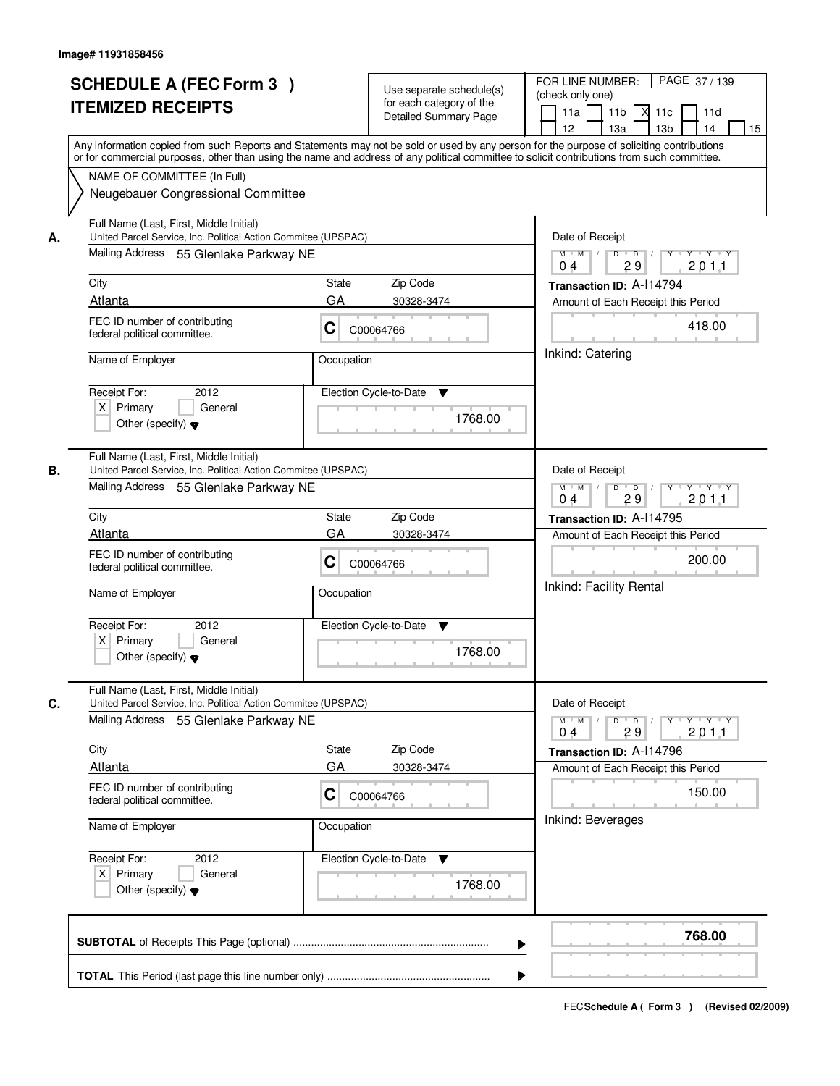| or for commercial purposes, other than using the name and address of any political committee to solicit contributions from such committee.<br>NAME OF COMMITTEE (In Full)<br>Neugebauer Congressional Committee<br>Full Name (Last, First, Middle Initial)<br>United Parcel Service, Inc. Political Action Commitee (UPSPAC)<br>А.<br>Mailing Address 55 Glenlake Parkway NE<br>City<br>Atlanta<br>FEC ID number of contributing<br>federal political committee.<br>Name of Employer<br>2012<br>Receipt For:<br>$X$ Primary<br>General | <b>State</b><br>Zip Code<br>GA<br>30328-3474<br>C<br>C00064766                                    | Date of Receipt<br>$D$ $D$<br>$Y + Y + Y$<br>$M$ $M$ /<br>Y<br>29<br>201.1<br>0 <sub>4</sub><br>Transaction ID: A-114794<br>Amount of Each Receipt this Period               |
|----------------------------------------------------------------------------------------------------------------------------------------------------------------------------------------------------------------------------------------------------------------------------------------------------------------------------------------------------------------------------------------------------------------------------------------------------------------------------------------------------------------------------------------|---------------------------------------------------------------------------------------------------|------------------------------------------------------------------------------------------------------------------------------------------------------------------------------|
|                                                                                                                                                                                                                                                                                                                                                                                                                                                                                                                                        |                                                                                                   |                                                                                                                                                                              |
|                                                                                                                                                                                                                                                                                                                                                                                                                                                                                                                                        | Occupation<br>Election Cycle-to-Date<br>▼                                                         | 418.00<br>Inkind: Catering                                                                                                                                                   |
| Other (specify) $\blacktriangledown$<br>Full Name (Last, First, Middle Initial)<br>United Parcel Service, Inc. Political Action Commitee (UPSPAC)<br>В.<br>Mailing Address 55 Glenlake Parkway NE<br>City                                                                                                                                                                                                                                                                                                                              | 1768.00<br>Zip Code<br>State                                                                      | Date of Receipt<br>$M$ $M$ /<br>D<br>$\overline{\phantom{0}}$ D<br>$Y \dashv Y \dashv Y$<br>29<br>201.1<br>04<br>Transaction ID: A-114795                                    |
| Atlanta<br>FEC ID number of contributing<br>federal political committee.<br>Name of Employer<br>Receipt For:<br>2012<br>$X$ Primary<br>General<br>Other (specify) $\blacktriangledown$                                                                                                                                                                                                                                                                                                                                                 | GA<br>30328-3474<br>С<br>C00064766<br>Occupation<br>Election Cycle-to-Date<br>▼<br>1768.00        | Amount of Each Receipt this Period<br>200.00<br>Inkind: Facility Rental                                                                                                      |
| Full Name (Last, First, Middle Initial)<br>C.<br>United Parcel Service, Inc. Political Action Commitee (UPSPAC)<br>Mailing Address 55 Glenlake Parkway NE<br>City<br>Atlanta<br>FEC ID number of contributing<br>federal political committee.<br>Name of Employer<br>Receipt For:<br>2012<br>$X$ Primary<br>General                                                                                                                                                                                                                    | Zip Code<br>State<br>GA<br>30328-3474<br>C<br>C00064766<br>Occupation<br>Election Cycle-to-Date ▼ | Date of Receipt<br>$D$ $D$ $/$<br>yuyuyuyu<br>$M$ $M$ /<br>2011<br>29<br>04<br>Transaction ID: A-114796<br>Amount of Each Receipt this Period<br>150.00<br>Inkind: Beverages |
| Other (specify) $\blacktriangledown$                                                                                                                                                                                                                                                                                                                                                                                                                                                                                                   | 1768.00                                                                                           | 768.00                                                                                                                                                                       |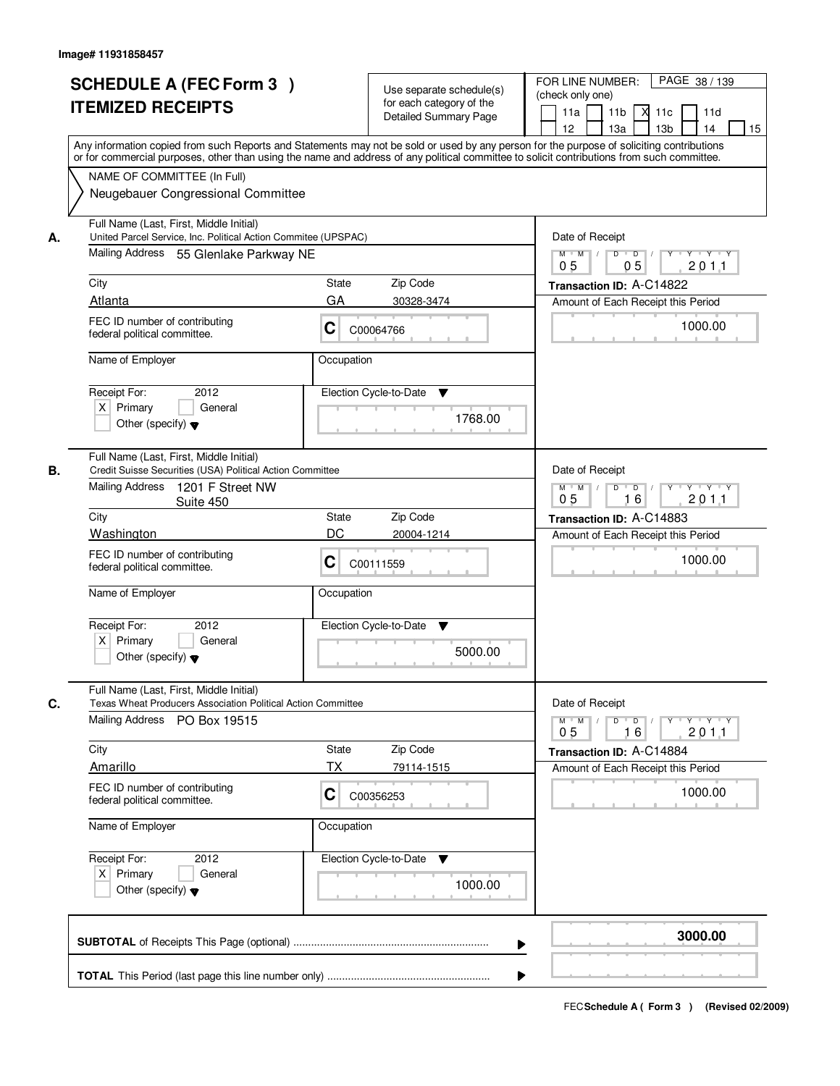|    | <b>SCHEDULE A (FEC Form 3)</b><br><b>ITEMIZED RECEIPTS</b><br>Any information copied from such Reports and Statements may not be sold or used by any person for the purpose of soliciting contributions<br>or for commercial purposes, other than using the name and address of any political committee to solicit contributions from such committee. | Use separate schedule(s)<br>for each category of the<br><b>Detailed Summary Page</b> | PAGE 38 / 139<br>FOR LINE NUMBER:<br>(check only one)<br>11 <sub>b</sub><br>11a<br>-XI<br>11c<br>11d<br>13 <sub>b</sub><br>14<br>12<br>13a<br>15 |
|----|-------------------------------------------------------------------------------------------------------------------------------------------------------------------------------------------------------------------------------------------------------------------------------------------------------------------------------------------------------|--------------------------------------------------------------------------------------|--------------------------------------------------------------------------------------------------------------------------------------------------|
|    | NAME OF COMMITTEE (In Full)<br>Neugebauer Congressional Committee                                                                                                                                                                                                                                                                                     |                                                                                      |                                                                                                                                                  |
| А. | Full Name (Last, First, Middle Initial)<br>United Parcel Service, Inc. Political Action Commitee (UPSPAC)<br>Mailing Address 55 Glenlake Parkway NE<br>City                                                                                                                                                                                           | <b>State</b><br>Zip Code                                                             | Date of Receipt<br>$D$ $D$<br>$Y$ <sup>U</sup><br>$Y - Y - Y - Y$<br>$M$ $M$ /<br>0 <sub>5</sub><br>05<br>201.1<br>Transaction ID: A-C14822      |
|    | Atlanta                                                                                                                                                                                                                                                                                                                                               | GA<br>30328-3474                                                                     | Amount of Each Receipt this Period                                                                                                               |
|    | FEC ID number of contributing<br>federal political committee.                                                                                                                                                                                                                                                                                         | C<br>C00064766                                                                       | 1000.00                                                                                                                                          |
|    | Name of Employer                                                                                                                                                                                                                                                                                                                                      | Occupation                                                                           |                                                                                                                                                  |
|    | 2012<br>Receipt For:<br>$X$ Primary<br>General<br>Other (specify) $\blacktriangledown$                                                                                                                                                                                                                                                                | Election Cycle-to-Date<br>▼<br>1768.00                                               |                                                                                                                                                  |
| В. | Full Name (Last, First, Middle Initial)<br>Credit Suisse Securities (USA) Political Action Committee<br>Mailing Address<br>1201 F Street NW                                                                                                                                                                                                           |                                                                                      | Date of Receipt<br>$M$ $M$ /<br>D<br>$\overline{D}$<br>Y 'Y 'Y 'Y                                                                                |
|    | Suite 450<br>City                                                                                                                                                                                                                                                                                                                                     | Zip Code<br>State                                                                    | 0 <sub>5</sub><br>16<br>201.1                                                                                                                    |
|    | Washington                                                                                                                                                                                                                                                                                                                                            | DC<br>20004-1214                                                                     | Transaction ID: A-C14883<br>Amount of Each Receipt this Period                                                                                   |
|    | FEC ID number of contributing<br>federal political committee.                                                                                                                                                                                                                                                                                         | C<br>C00111559                                                                       | 1000.00                                                                                                                                          |
|    | Name of Employer                                                                                                                                                                                                                                                                                                                                      | Occupation                                                                           |                                                                                                                                                  |
|    | Receipt For:<br>2012<br>$X$ Primary<br>General<br>Other (specify) $\blacktriangledown$                                                                                                                                                                                                                                                                | Election Cycle-to-Date<br>v<br>5000.00                                               |                                                                                                                                                  |
|    | Full Name (Last, First, Middle Initial)                                                                                                                                                                                                                                                                                                               |                                                                                      |                                                                                                                                                  |
| C. | Texas Wheat Producers Association Political Action Committee<br>Mailing Address PO Box 19515                                                                                                                                                                                                                                                          |                                                                                      | Date of Receipt<br>$D$ $D$ $l$<br><u> Y LY LY LY</u><br>$M$ $M$ /<br>201.1<br>05<br>16                                                           |
|    | City                                                                                                                                                                                                                                                                                                                                                  | Zip Code<br>State                                                                    | Transaction ID: A-C14884                                                                                                                         |
|    | Amarillo                                                                                                                                                                                                                                                                                                                                              | ТX<br>79114-1515                                                                     | Amount of Each Receipt this Period                                                                                                               |
|    | FEC ID number of contributing<br>federal political committee.                                                                                                                                                                                                                                                                                         | C<br>C00356253                                                                       | 1000.00                                                                                                                                          |
|    | Name of Employer                                                                                                                                                                                                                                                                                                                                      | Occupation                                                                           |                                                                                                                                                  |
|    | Receipt For:<br>2012<br>$X$ Primary<br>General<br>Other (specify) $\blacktriangledown$                                                                                                                                                                                                                                                                | Election Cycle-to-Date ▼<br>1000.00                                                  |                                                                                                                                                  |
|    |                                                                                                                                                                                                                                                                                                                                                       |                                                                                      | 3000.00                                                                                                                                          |
|    |                                                                                                                                                                                                                                                                                                                                                       |                                                                                      |                                                                                                                                                  |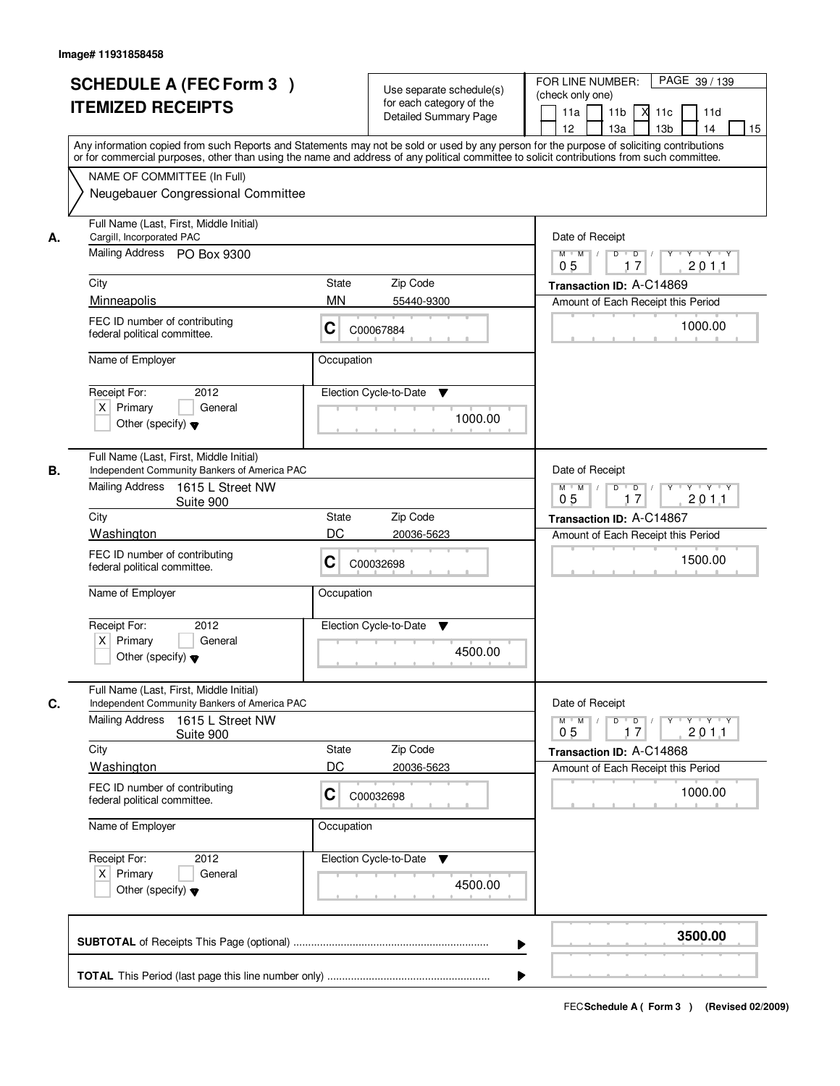|    | <b>SCHEDULE A (FEC Form 3)</b><br><b>ITEMIZED RECEIPTS</b><br>Any information copied from such Reports and Statements may not be sold or used by any person for the purpose of soliciting contributions                                                                                                                                                 | Use separate schedule(s)<br>for each category of the<br><b>Detailed Summary Page</b>                                          | PAGE 39 / 139<br>FOR LINE NUMBER:<br>(check only one)<br>11 <sub>b</sub><br>11a<br><b>X</b><br>11c<br>11d<br>13 <sub>b</sub><br>14<br>12<br>13a<br>15                                    |
|----|---------------------------------------------------------------------------------------------------------------------------------------------------------------------------------------------------------------------------------------------------------------------------------------------------------------------------------------------------------|-------------------------------------------------------------------------------------------------------------------------------|------------------------------------------------------------------------------------------------------------------------------------------------------------------------------------------|
|    | or for commercial purposes, other than using the name and address of any political committee to solicit contributions from such committee.<br>NAME OF COMMITTEE (In Full)<br>Neugebauer Congressional Committee                                                                                                                                         |                                                                                                                               |                                                                                                                                                                                          |
| А. | Full Name (Last, First, Middle Initial)<br>Cargill, Incorporated PAC<br>Mailing Address PO Box 9300<br>City<br>Minneapolis<br>FEC ID number of contributing<br>federal political committee.<br>Name of Employer<br>Receipt For:<br>2012<br>$X$ Primary<br>General<br>Other (specify) $\blacktriangledown$                                               | <b>State</b><br>Zip Code<br><b>MN</b><br>55440-9300<br>C<br>C00067884<br>Occupation<br>Election Cycle-to-Date<br>▼<br>1000.00 | Date of Receipt<br>$D$ $D$<br>$Y$ <sup>U</sup><br>$Y$ $Y$ $Y$<br>$M$ $M$ /<br>0 <sub>5</sub><br>17<br>201.1<br>Transaction ID: A-C14869<br>Amount of Each Receipt this Period<br>1000.00 |
| В. | Full Name (Last, First, Middle Initial)<br>Independent Community Bankers of America PAC<br>Mailing Address<br>1615 L Street NW<br>Suite 900<br>City<br>Washington<br>FEC ID number of contributing<br>federal political committee.<br>Name of Employer<br>Receipt For:<br>2012<br>$X$ Primary<br>General<br>Other (specify) $\blacktriangledown$        | Zip Code<br>State<br>DC<br>20036-5623<br>C<br>C00032698<br>Occupation<br>Election Cycle-to-Date<br>v<br>4500.00               | Date of Receipt<br>$M$ $M$ /<br>D<br>$\overline{D}$ /<br>Y 'Y 'Y 'Y<br>17<br>0 <sub>5</sub><br>2011<br>Transaction ID: A-C14867<br>Amount of Each Receipt this Period<br>1500.00         |
| C. | Full Name (Last, First, Middle Initial)<br>Independent Community Bankers of America PAC<br><b>Mailing Address</b><br>1615 L Street NW<br>Suite 900<br>City<br>Washington<br>FEC ID number of contributing<br>federal political committee.<br>Name of Employer<br>Receipt For:<br>2012<br>$X$ Primary<br>General<br>Other (specify) $\blacktriangledown$ | Zip Code<br>State<br>DC<br>20036-5623<br>C<br>C00032698<br>Occupation<br>Election Cycle-to-Date ▼<br>4500.00                  | Date of Receipt<br>$M$ $M$ /<br>$D$ $D$ $I$<br><u> Y LY LY LY</u><br>201.1<br>05<br>17<br>Transaction ID: A-C14868<br>Amount of Each Receipt this Period<br>1000.00                      |
|    |                                                                                                                                                                                                                                                                                                                                                         |                                                                                                                               | 3500.00                                                                                                                                                                                  |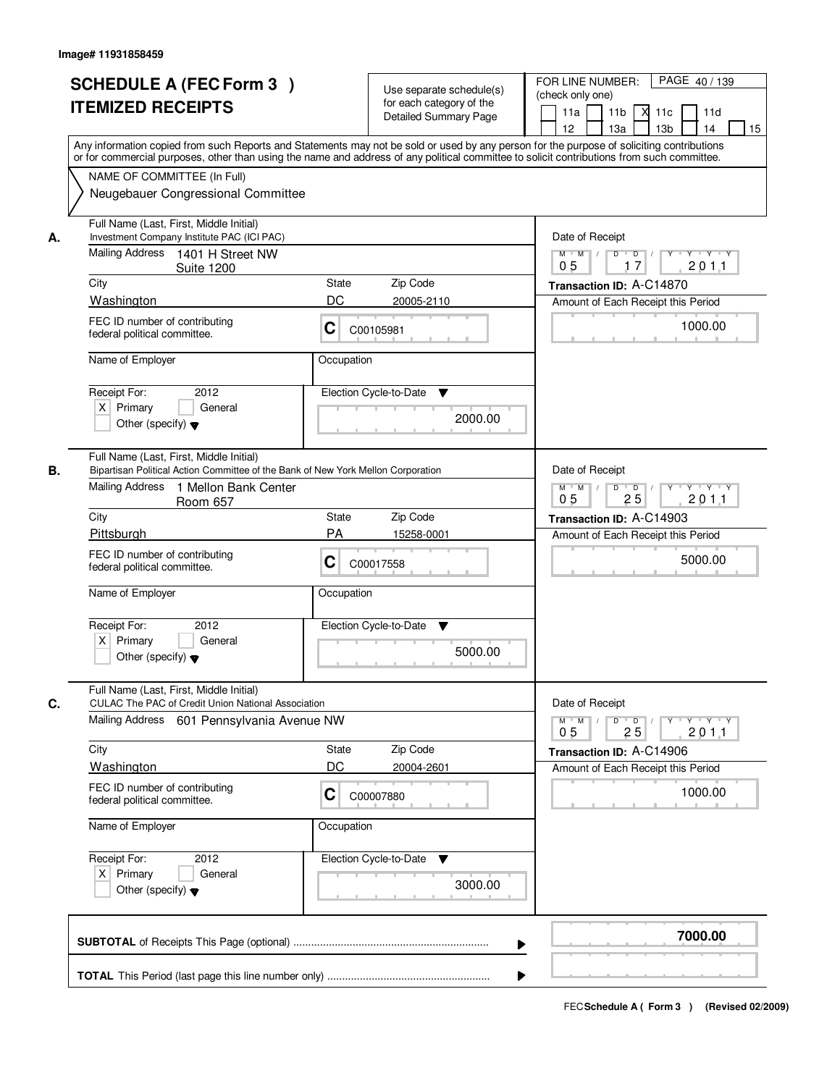|                                                         | <b>SCHEDULE A (FEC Form 3)</b><br><b>ITEMIZED RECEIPTS</b>                                                                                                                                                                                                                                                                                               |                                | Use separate schedule(s)<br>for each category of the<br><b>Detailed Summary Page</b> | PAGE 40 / 139<br>FOR LINE NUMBER:<br>(check only one)<br>11 <sub>b</sub><br>11a<br>$X$ 11 $c$<br>11d<br>12<br>13a<br>13 <sub>b</sub><br>14<br>15                                                                                                                                        |
|---------------------------------------------------------|----------------------------------------------------------------------------------------------------------------------------------------------------------------------------------------------------------------------------------------------------------------------------------------------------------------------------------------------------------|--------------------------------|--------------------------------------------------------------------------------------|-----------------------------------------------------------------------------------------------------------------------------------------------------------------------------------------------------------------------------------------------------------------------------------------|
|                                                         | NAME OF COMMITTEE (In Full)<br>Neugebauer Congressional Committee                                                                                                                                                                                                                                                                                        |                                |                                                                                      | Any information copied from such Reports and Statements may not be sold or used by any person for the purpose of soliciting contributions<br>or for commercial purposes, other than using the name and address of any political committee to solicit contributions from such committee. |
| А.<br>City<br>Washington<br>Receipt For:<br>$X$ Primary | Full Name (Last, First, Middle Initial)<br>Investment Company Institute PAC (ICI PAC)<br>Mailing Address 1401 H Street NW<br><b>Suite 1200</b><br>FEC ID number of contributing<br>federal political committee.<br>Name of Employer<br>2012<br>General<br>Other (specify) $\blacktriangledown$                                                           | State<br>DC<br>C<br>Occupation | Zip Code<br>20005-2110<br>C00105981<br>Election Cycle-to-Date<br>▼<br>2000.00        | Date of Receipt<br>$Y - Y - Y$<br>$M$ $M$ /<br>D<br>$\overline{D}$<br>2011<br>0 <sub>5</sub><br>17<br>Transaction ID: A-C14870<br>Amount of Each Receipt this Period<br>1000.00                                                                                                         |
| В.<br>City<br>Pittsburgh<br>Receipt For:                | Full Name (Last, First, Middle Initial)<br>Bipartisan Political Action Committee of the Bank of New York Mellon Corporation<br><b>Mailing Address</b><br>1 Mellon Bank Center<br>Room 657<br>FEC ID number of contributing<br>federal political committee.<br>Name of Employer<br>2012<br>$X$ Primary<br>General<br>Other (specify) $\blacktriangledown$ | State<br>PA<br>C<br>Occupation | Zip Code<br>15258-0001<br>C00017558<br>Election Cycle-to-Date<br>v<br>5000.00        | Date of Receipt<br>$D$ $D$ $/$<br>$M$ $M$ /<br>Y<br>$Y \dashv Y \dashv Y$<br>0 <sub>5</sub><br>25<br>201.1<br>Transaction ID: A-C14903<br>Amount of Each Receipt this Period<br>5000.00                                                                                                 |
| C.<br>City<br>Washington<br>Receipt For:<br>$X$ Primary | Full Name (Last, First, Middle Initial)<br><b>CULAC The PAC of Credit Union National Association</b><br>Mailing Address<br>601 Pennsylvania Avenue NW<br>FEC ID number of contributing<br>federal political committee.<br>Name of Employer<br>2012<br>General<br>Other (specify) $\blacktriangledown$                                                    | State<br>DC<br>C<br>Occupation | Zip Code<br>20004-2601<br>C00007880<br>Election Cycle-to-Date<br>v<br>3000.00        | Date of Receipt<br>$D$ $D$ $l$<br>$Y \rightarrow Y \rightarrow Y$<br>$M^+$ M<br>$\sqrt{ }$<br>$Y$ <sup>-1</sup><br>201.1<br>05<br>25<br>Transaction ID: A-C14906<br>Amount of Each Receipt this Period<br>1000.00                                                                       |
|                                                         |                                                                                                                                                                                                                                                                                                                                                          |                                | ▶                                                                                    | 7000.00                                                                                                                                                                                                                                                                                 |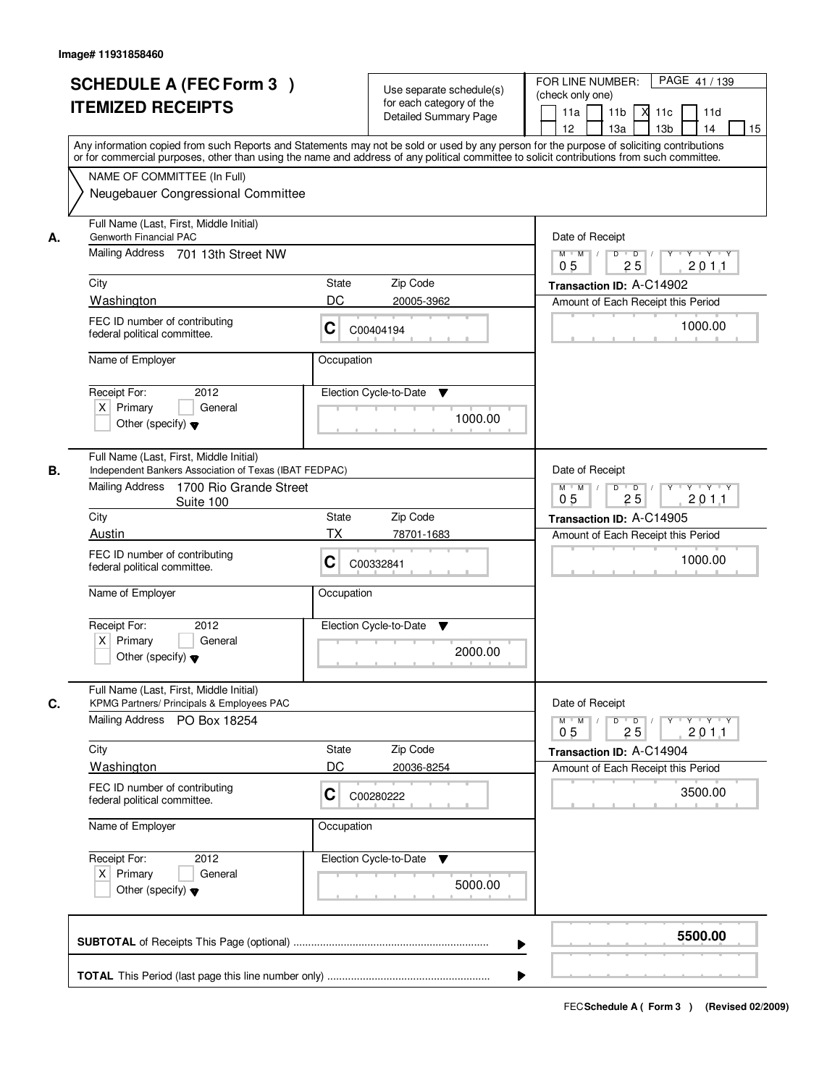| <b>SCHEDULE A (FEC Form 3)</b><br><b>ITEMIZED RECEIPTS</b>                                                                                                                                                                                                                                                   |                                                                                                                                                           | Use separate schedule(s)<br>for each category of the<br><b>Detailed Summary Page</b> | PAGE 41 / 139<br>FOR LINE NUMBER:<br>(check only one)<br>11 <sub>b</sub><br>$X$ 11 $c$<br>11a<br>11d<br>12<br>13a<br>13 <sub>b</sub><br>14<br>15                                                                                                                                        |
|--------------------------------------------------------------------------------------------------------------------------------------------------------------------------------------------------------------------------------------------------------------------------------------------------------------|-----------------------------------------------------------------------------------------------------------------------------------------------------------|--------------------------------------------------------------------------------------|-----------------------------------------------------------------------------------------------------------------------------------------------------------------------------------------------------------------------------------------------------------------------------------------|
| NAME OF COMMITTEE (In Full)                                                                                                                                                                                                                                                                                  | Neugebauer Congressional Committee                                                                                                                        |                                                                                      | Any information copied from such Reports and Statements may not be sold or used by any person for the purpose of soliciting contributions<br>or for commercial purposes, other than using the name and address of any political committee to solicit contributions from such committee. |
| Full Name (Last, First, Middle Initial)<br>Genworth Financial PAC<br>А.<br>Mailing Address 701 13th Street NW<br>City<br>Washington<br>FEC ID number of contributing<br>federal political committee.<br>Name of Employer<br>Receipt For:<br>$X$ Primary<br>Other (specify) $\blacktriangledown$              | State<br>DC<br>C<br>Occupation<br>2012<br>General                                                                                                         | Zip Code<br>20005-3962<br>C00404194<br>Election Cycle-to-Date<br>▼<br>1000.00        | Date of Receipt<br>$Y - Y - Y$<br>$M$ $M$<br>D<br>$\overline{D}$<br>2011<br>0 <sub>5</sub><br>25<br>Transaction ID: A-C14902<br>Amount of Each Receipt this Period<br>1000.00                                                                                                           |
| Full Name (Last, First, Middle Initial)<br>В.<br>Mailing Address<br>City<br>Austin<br>FEC ID number of contributing<br>federal political committee.<br>Name of Employer<br>Receipt For:<br>$X$ Primary<br>Other (specify) $\blacktriangledown$                                                               | Independent Bankers Association of Texas (IBAT FEDPAC)<br>1700 Rio Grande Street<br>Suite 100<br><b>State</b><br>TX<br>C<br>Occupation<br>2012<br>General | Zip Code<br>78701-1683<br>C00332841<br>Election Cycle-to-Date<br>v<br>2000.00        | Date of Receipt<br>$D$ $D$ $1$<br>$M$ $M$ /<br>$Y$ <sup>U</sup><br>$Y + Y + Y$<br>0 <sub>5</sub><br>25<br>201.1<br>Transaction ID: A-C14905<br>Amount of Each Receipt this Period<br>1000.00                                                                                            |
| Full Name (Last, First, Middle Initial)<br>C.<br>KPMG Partners/ Principals & Employees PAC<br>Mailing Address PO Box 18254<br>City<br>Washington<br>FEC ID number of contributing<br>federal political committee.<br>Name of Employer<br>Receipt For:<br>$X$ Primary<br>Other (specify) $\blacktriangledown$ | State<br>DC<br>C<br>Occupation<br>2012<br>General                                                                                                         | Zip Code<br>20036-8254<br>C00280222<br>Election Cycle-to-Date<br>v<br>5000.00        | Date of Receipt<br>$M^+$ M<br>$D$ $D$ $l$<br>$Y - Y - Y$<br>$\sqrt{ }$<br>$Y$ <sup>-1</sup><br>201.1<br>05<br>25<br>Transaction ID: A-C14904<br>Amount of Each Receipt this Period<br>3500.00                                                                                           |
|                                                                                                                                                                                                                                                                                                              |                                                                                                                                                           | ▶                                                                                    | 5500.00                                                                                                                                                                                                                                                                                 |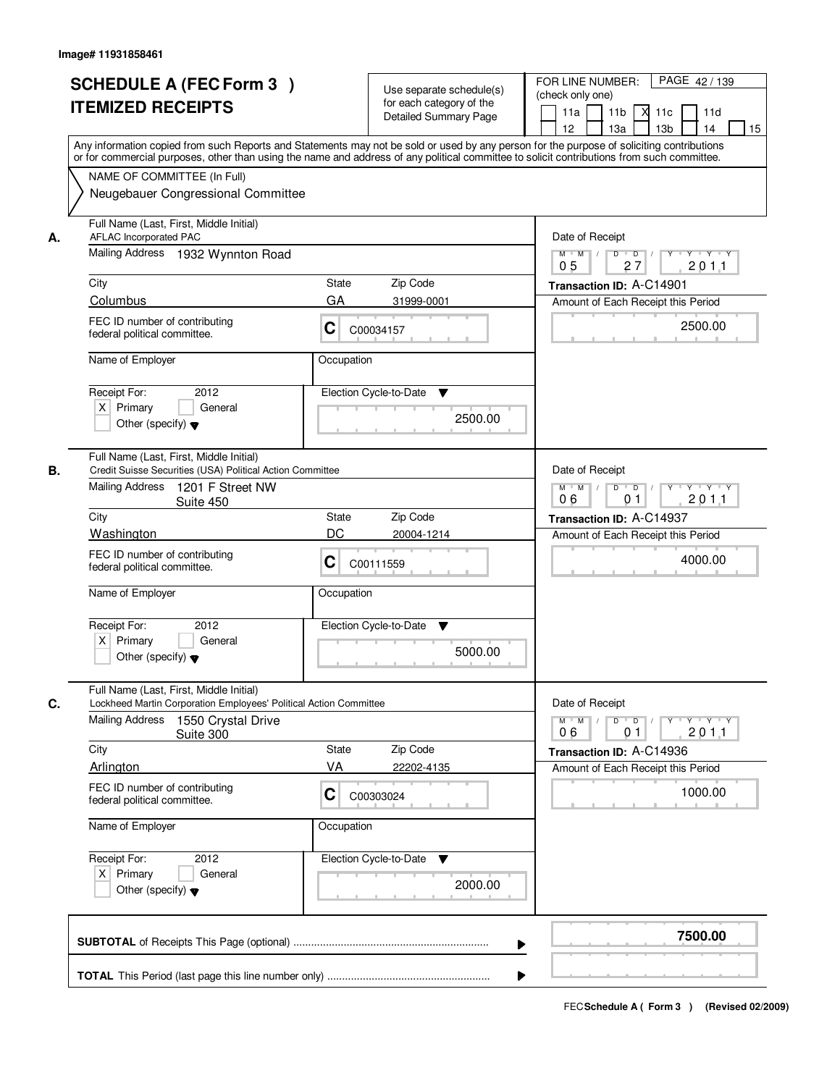|    | <b>SCHEDULE A (FEC Form 3)</b>                                                                                                                                                                                                                                                          | Use separate schedule(s)     | PAGE 42/139<br>FOR LINE NUMBER:                                                  |
|----|-----------------------------------------------------------------------------------------------------------------------------------------------------------------------------------------------------------------------------------------------------------------------------------------|------------------------------|----------------------------------------------------------------------------------|
|    | <b>ITEMIZED RECEIPTS</b>                                                                                                                                                                                                                                                                | for each category of the     | (check only one)                                                                 |
|    |                                                                                                                                                                                                                                                                                         | <b>Detailed Summary Page</b> | 11 <sub>b</sub><br>11a<br>$X$ 11 $c$<br>11d                                      |
|    |                                                                                                                                                                                                                                                                                         |                              | 12<br>13a<br>13 <sub>b</sub><br>14<br>15                                         |
|    | Any information copied from such Reports and Statements may not be sold or used by any person for the purpose of soliciting contributions<br>or for commercial purposes, other than using the name and address of any political committee to solicit contributions from such committee. |                              |                                                                                  |
|    | NAME OF COMMITTEE (In Full)                                                                                                                                                                                                                                                             |                              |                                                                                  |
|    | Neugebauer Congressional Committee                                                                                                                                                                                                                                                      |                              |                                                                                  |
|    |                                                                                                                                                                                                                                                                                         |                              |                                                                                  |
| А. | Full Name (Last, First, Middle Initial)<br>AFLAC Incorporated PAC                                                                                                                                                                                                                       |                              | Date of Receipt                                                                  |
|    | Mailing Address 1932 Wynnton Road                                                                                                                                                                                                                                                       |                              | $Y - Y - Y$<br>$M$ $M$<br>D<br>$\overline{D}$<br>2011<br>0 <sub>5</sub><br>27    |
|    | City                                                                                                                                                                                                                                                                                    | Zip Code<br>State            |                                                                                  |
|    | Columbus                                                                                                                                                                                                                                                                                | GA<br>31999-0001             | Transaction ID: A-C14901                                                         |
|    |                                                                                                                                                                                                                                                                                         |                              | Amount of Each Receipt this Period                                               |
|    | FEC ID number of contributing<br>federal political committee.                                                                                                                                                                                                                           | C<br>C00034157               | 2500.00                                                                          |
|    | Name of Employer                                                                                                                                                                                                                                                                        | Occupation                   |                                                                                  |
|    | 2012<br>Receipt For:                                                                                                                                                                                                                                                                    | Election Cycle-to-Date<br>▼  |                                                                                  |
|    | $X$ Primary<br>General                                                                                                                                                                                                                                                                  |                              |                                                                                  |
|    | Other (specify) $\blacktriangledown$                                                                                                                                                                                                                                                    | 2500.00                      |                                                                                  |
|    |                                                                                                                                                                                                                                                                                         |                              |                                                                                  |
|    | Full Name (Last, First, Middle Initial)                                                                                                                                                                                                                                                 |                              |                                                                                  |
| В. | Credit Suisse Securities (USA) Political Action Committee                                                                                                                                                                                                                               |                              | Date of Receipt                                                                  |
|    | <b>Mailing Address</b><br>1201 F Street NW<br>Suite 450                                                                                                                                                                                                                                 |                              | $D$ $D$ $1$<br>$M$ $M$ /<br>$Y$ <sup>U</sup><br>$Y + Y + Y$<br>06<br>201.1<br>01 |
|    | City                                                                                                                                                                                                                                                                                    | Zip Code<br>State            | Transaction ID: A-C14937                                                         |
|    | Washington                                                                                                                                                                                                                                                                              | DC<br>20004-1214             | Amount of Each Receipt this Period                                               |
|    | FEC ID number of contributing                                                                                                                                                                                                                                                           |                              |                                                                                  |
|    | federal political committee.                                                                                                                                                                                                                                                            | C<br>C00111559               | 4000.00                                                                          |
|    | Name of Employer                                                                                                                                                                                                                                                                        | Occupation                   |                                                                                  |
|    |                                                                                                                                                                                                                                                                                         |                              |                                                                                  |
|    | Receipt For:<br>2012                                                                                                                                                                                                                                                                    | Election Cycle-to-Date<br>v  |                                                                                  |
|    | $X$ Primary<br>General                                                                                                                                                                                                                                                                  |                              |                                                                                  |
|    | Other (specify) $\blacktriangledown$                                                                                                                                                                                                                                                    | 5000.00                      |                                                                                  |
|    | Full Name (Last, First, Middle Initial)                                                                                                                                                                                                                                                 |                              |                                                                                  |
| C. | Lockheed Martin Corporation Employees' Political Action Committee<br><b>Mailing Address</b>                                                                                                                                                                                             |                              | Date of Receipt<br>$M$ M<br>$\mathbb{L}$<br>$Y$ <sup>U</sup>                     |
|    | 1550 Crystal Drive<br>Suite 300                                                                                                                                                                                                                                                         |                              | $D$ $D$ $l$<br>$Y \dashv Y \dashv Y$<br>201.1<br>06<br>0 <sub>1</sub>            |
|    | City                                                                                                                                                                                                                                                                                    | State<br>Zip Code            | Transaction ID: A-C14936                                                         |
|    | Arlington                                                                                                                                                                                                                                                                               | VA<br>22202-4135             | Amount of Each Receipt this Period                                               |
|    | FEC ID number of contributing                                                                                                                                                                                                                                                           |                              | 1000.00                                                                          |
|    | federal political committee.                                                                                                                                                                                                                                                            | C<br>C00303024               |                                                                                  |
|    | Name of Employer                                                                                                                                                                                                                                                                        | Occupation                   |                                                                                  |
|    | Receipt For:<br>2012                                                                                                                                                                                                                                                                    | Election Cycle-to-Date<br>v  |                                                                                  |
|    | $X$ Primary<br>General                                                                                                                                                                                                                                                                  |                              |                                                                                  |
|    | Other (specify) $\blacktriangledown$                                                                                                                                                                                                                                                    | 2000.00                      |                                                                                  |
|    |                                                                                                                                                                                                                                                                                         |                              |                                                                                  |
|    |                                                                                                                                                                                                                                                                                         | ▶                            | 7500.00                                                                          |
|    |                                                                                                                                                                                                                                                                                         |                              |                                                                                  |
|    |                                                                                                                                                                                                                                                                                         |                              |                                                                                  |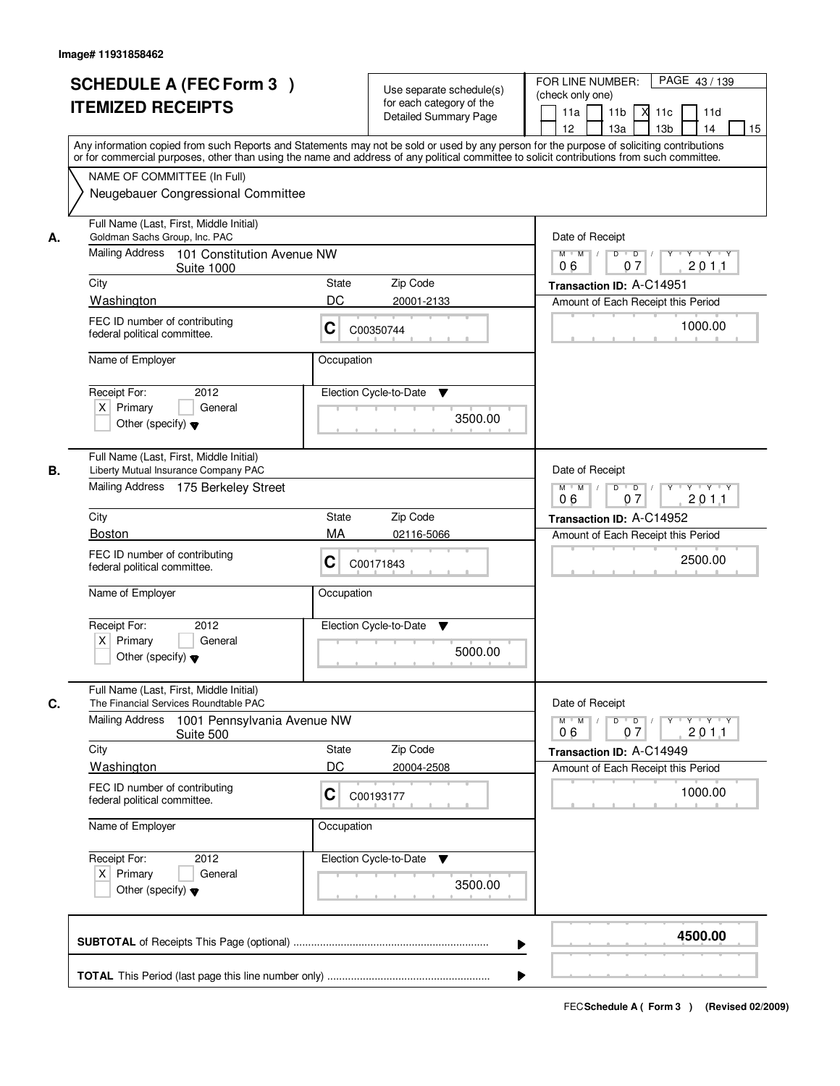|    | <b>SCHEDULE A (FEC Form 3)</b><br><b>ITEMIZED RECEIPTS</b><br>Any information copied from such Reports and Statements may not be sold or used by any person for the purpose of soliciting contributions         |            | Use separate schedule(s)<br>for each category of the<br><b>Detailed Summary Page</b> | PAGE 43/139<br>FOR LINE NUMBER:<br>(check only one)<br>11 <sub>b</sub><br>11a<br>$X$ 11 $c$<br>11d<br>12<br>13a<br>13 <sub>b</sub><br>14<br>15 |
|----|-----------------------------------------------------------------------------------------------------------------------------------------------------------------------------------------------------------------|------------|--------------------------------------------------------------------------------------|------------------------------------------------------------------------------------------------------------------------------------------------|
|    | or for commercial purposes, other than using the name and address of any political committee to solicit contributions from such committee.<br>NAME OF COMMITTEE (In Full)<br>Neugebauer Congressional Committee |            |                                                                                      |                                                                                                                                                |
| А. | Full Name (Last, First, Middle Initial)<br>Goldman Sachs Group, Inc. PAC<br>Mailing Address 101 Constitution Avenue NW                                                                                          |            |                                                                                      | Date of Receipt<br>$\overline{D}$<br>$Y - Y - Y$<br>$M$ $M$<br>D                                                                               |
|    | <b>Suite 1000</b><br>City                                                                                                                                                                                       | State      | Zip Code                                                                             | 201.1<br>06<br>07<br>Transaction ID: A-C14951                                                                                                  |
|    | Washington                                                                                                                                                                                                      | DC         | 20001-2133                                                                           | Amount of Each Receipt this Period                                                                                                             |
|    | FEC ID number of contributing<br>federal political committee.                                                                                                                                                   | C          | C00350744                                                                            | 1000.00                                                                                                                                        |
|    | Name of Employer                                                                                                                                                                                                | Occupation |                                                                                      |                                                                                                                                                |
|    | 2012<br>Receipt For:<br>$X$ Primary<br>General<br>Other (specify) $\blacktriangledown$                                                                                                                          |            | Election Cycle-to-Date<br>▼<br>3500.00                                               |                                                                                                                                                |
| В. | Full Name (Last, First, Middle Initial)<br>Liberty Mutual Insurance Company PAC<br>Mailing Address 175 Berkeley Street                                                                                          |            |                                                                                      | Date of Receipt<br>$D$ $D$ $/$<br>$M$ $M$ /<br>$Y$ <sup>U</sup><br>$Y + Y + Y$<br>06<br>07<br>201.1                                            |
|    | City                                                                                                                                                                                                            | State      | Zip Code                                                                             | Transaction ID: A-C14952                                                                                                                       |
|    | <b>Boston</b>                                                                                                                                                                                                   | MA         | 02116-5066                                                                           | Amount of Each Receipt this Period                                                                                                             |
|    | FEC ID number of contributing<br>federal political committee.                                                                                                                                                   | C          | C00171843                                                                            | 2500.00                                                                                                                                        |
|    | Name of Employer                                                                                                                                                                                                | Occupation |                                                                                      |                                                                                                                                                |
|    | Receipt For:<br>2012<br>$X$ Primary<br>General<br>Other (specify) $\blacktriangledown$                                                                                                                          |            | Election Cycle-to-Date<br>v<br>5000.00                                               |                                                                                                                                                |
| C. | Full Name (Last, First, Middle Initial)<br>The Financial Services Roundtable PAC                                                                                                                                |            |                                                                                      | Date of Receipt                                                                                                                                |
|    | Mailing Address<br>1001 Pennsylvania Avenue NW<br>Suite 500                                                                                                                                                     |            |                                                                                      | $M$ $M$<br>$D$ $D$ $I$<br>$Y \dashv Y \dashv Y$<br>$\top$ /<br>$Y$ <sup>U</sup><br>201.1<br>06<br>07                                           |
|    | City                                                                                                                                                                                                            | State      | Zip Code                                                                             | Transaction ID: A-C14949                                                                                                                       |
|    | Washington                                                                                                                                                                                                      | DC         | 20004-2508                                                                           | Amount of Each Receipt this Period                                                                                                             |
|    | FEC ID number of contributing<br>federal political committee.                                                                                                                                                   | C          | C00193177                                                                            | 1000.00                                                                                                                                        |
|    | Name of Employer                                                                                                                                                                                                | Occupation |                                                                                      |                                                                                                                                                |
|    | Receipt For:<br>2012<br>$X$ Primary<br>General<br>Other (specify) $\blacktriangledown$                                                                                                                          |            | Election Cycle-to-Date<br>v<br>3500.00                                               |                                                                                                                                                |
|    |                                                                                                                                                                                                                 |            | ▶                                                                                    | 4500.00                                                                                                                                        |
|    |                                                                                                                                                                                                                 |            |                                                                                      |                                                                                                                                                |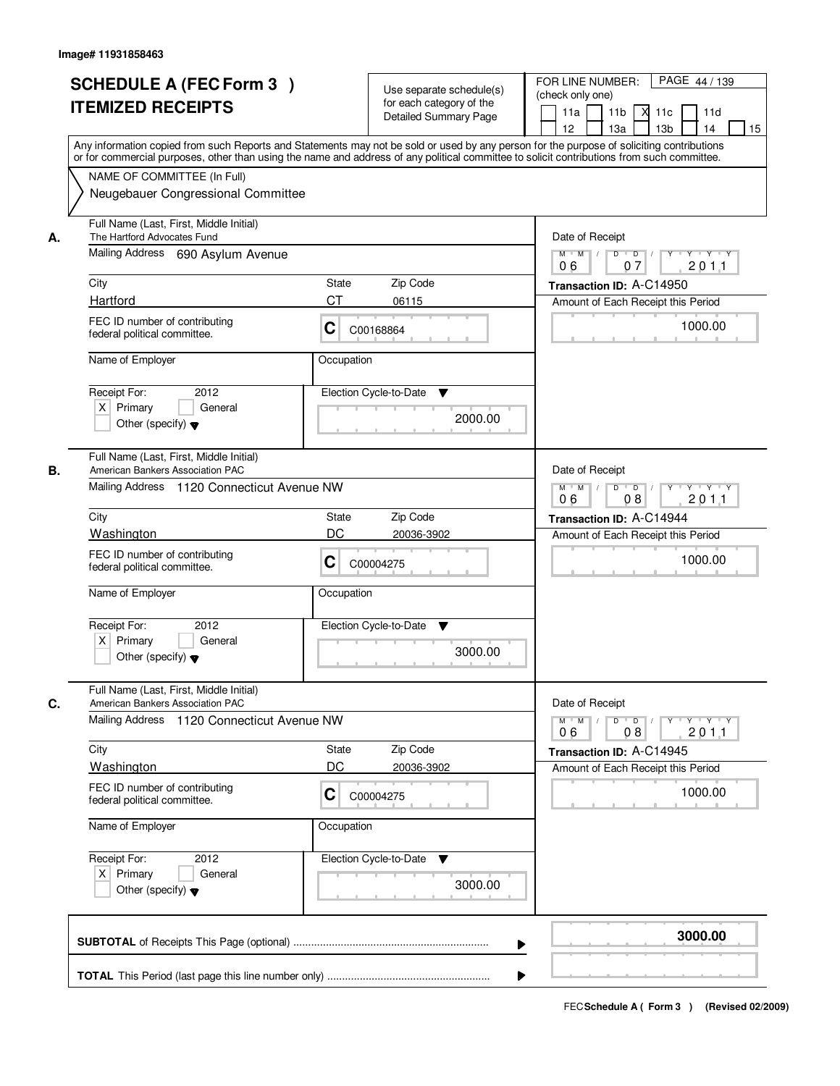| <b>SCHEDULE A (FEC Form 3)</b><br><b>ITEMIZED RECEIPTS</b>                                                                      | Use separate schedule(s)<br>for each category of the<br><b>Detailed Summary Page</b><br>Any information copied from such Reports and Statements may not be sold or used by any person for the purpose of soliciting contributions | PAGE 44 / 139<br>FOR LINE NUMBER:<br>(check only one)<br>11 <sub>b</sub><br>м<br>11a<br>11c<br>11d<br>12 <sup>2</sup><br>13 <sub>b</sub><br>14<br>13a<br>15 |
|---------------------------------------------------------------------------------------------------------------------------------|-----------------------------------------------------------------------------------------------------------------------------------------------------------------------------------------------------------------------------------|-------------------------------------------------------------------------------------------------------------------------------------------------------------|
| NAME OF COMMITTEE (In Full)<br>Neugebauer Congressional Committee                                                               | or for commercial purposes, other than using the name and address of any political committee to solicit contributions from such committee.                                                                                        |                                                                                                                                                             |
| Full Name (Last, First, Middle Initial)<br>The Hartford Advocates Fund<br>А.<br>Mailing Address 690 Asylum Avenue               |                                                                                                                                                                                                                                   | Date of Receipt<br>$M$ $M$<br>$D$ $D$ $I$<br>$Y + Y + Y$<br>$Y$ <sup>U</sup>                                                                                |
|                                                                                                                                 |                                                                                                                                                                                                                                   | 07<br>201.1<br>06                                                                                                                                           |
| City<br>Hartford                                                                                                                | <b>State</b><br>Zip Code<br><b>CT</b><br>06115                                                                                                                                                                                    | Transaction ID: A-C14950                                                                                                                                    |
| FEC ID number of contributing<br>federal political committee.                                                                   | C<br>C00168864                                                                                                                                                                                                                    | Amount of Each Receipt this Period<br>1000.00                                                                                                               |
| Name of Employer                                                                                                                | Occupation                                                                                                                                                                                                                        |                                                                                                                                                             |
| Receipt For:<br>2012<br>$X$ Primary<br>General<br>Other (specify) $\blacktriangledown$                                          | Election Cycle-to-Date<br>▼<br>2000.00                                                                                                                                                                                            |                                                                                                                                                             |
| Full Name (Last, First, Middle Initial)<br>American Bankers Association PAC<br>В.<br>Mailing Address 1120 Connecticut Avenue NW |                                                                                                                                                                                                                                   | Date of Receipt<br>$M$ $M$ /<br>D<br>$\overline{D}$ /<br>Y Y Y Y Y                                                                                          |
|                                                                                                                                 |                                                                                                                                                                                                                                   | 06<br>08<br>201.1                                                                                                                                           |
| City<br>Washington                                                                                                              | Zip Code<br><b>State</b><br>DC<br>20036-3902                                                                                                                                                                                      | Transaction ID: A-C14944                                                                                                                                    |
| FEC ID number of contributing<br>federal political committee.                                                                   | С<br>C00004275                                                                                                                                                                                                                    | Amount of Each Receipt this Period<br>1000.00                                                                                                               |
| Name of Employer                                                                                                                | Occupation                                                                                                                                                                                                                        |                                                                                                                                                             |
| Receipt For:<br>2012<br>$X$ Primary<br>General<br>Other (specify) $\blacktriangledown$                                          | Election Cycle-to-Date<br>▼<br>3000.00                                                                                                                                                                                            |                                                                                                                                                             |
| Full Name (Last, First, Middle Initial)<br>C.<br>American Bankers Association PAC                                               |                                                                                                                                                                                                                                   | Date of Receipt                                                                                                                                             |
| Mailing Address 1120 Connecticut Avenue NW                                                                                      |                                                                                                                                                                                                                                   | $D$ $D$ $/$<br>$M = M$<br>yuryuryury<br>2011<br>06<br>08                                                                                                    |
| City                                                                                                                            | Zip Code<br><b>State</b>                                                                                                                                                                                                          | Transaction ID: A-C14945                                                                                                                                    |
| Washington                                                                                                                      | DC<br>20036-3902                                                                                                                                                                                                                  | Amount of Each Receipt this Period                                                                                                                          |
| FEC ID number of contributing<br>federal political committee.                                                                   | C<br>C00004275                                                                                                                                                                                                                    | 1000.00                                                                                                                                                     |
| Name of Employer                                                                                                                | Occupation                                                                                                                                                                                                                        |                                                                                                                                                             |
| Receipt For:<br>2012<br>$X$ Primary<br>General<br>Other (specify) $\blacktriangledown$                                          | Election Cycle-to-Date<br>v<br>3000.00                                                                                                                                                                                            |                                                                                                                                                             |
|                                                                                                                                 |                                                                                                                                                                                                                                   | 3000.00                                                                                                                                                     |
|                                                                                                                                 |                                                                                                                                                                                                                                   |                                                                                                                                                             |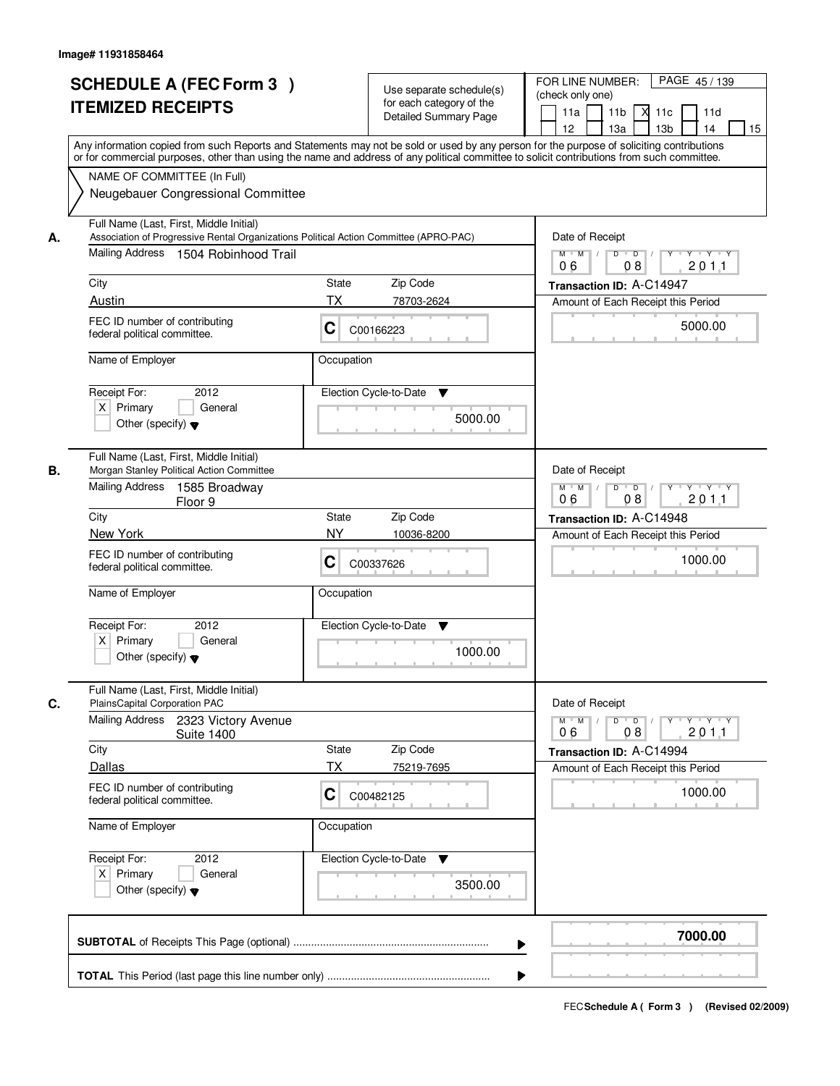| <b>SCHEDULE A (FEC Form 3)</b><br><b>ITEMIZED RECEIPTS</b>                                                                                                                                                                                                                                                                                            | Use separate schedule(s)<br>for each category of the<br><b>Detailed Summary Page</b><br>Any information copied from such Reports and Statements may not be sold or used by any person for the purpose of soliciting contributions | PAGE 45/139<br>FOR LINE NUMBER:<br>(check only one)<br>11 <sub>b</sub><br>11a<br>м<br>11c<br>11d<br>13 <sub>b</sub><br>12<br>13a<br>14<br>15                                                                                                     |
|-------------------------------------------------------------------------------------------------------------------------------------------------------------------------------------------------------------------------------------------------------------------------------------------------------------------------------------------------------|-----------------------------------------------------------------------------------------------------------------------------------------------------------------------------------------------------------------------------------|--------------------------------------------------------------------------------------------------------------------------------------------------------------------------------------------------------------------------------------------------|
| NAME OF COMMITTEE (In Full)<br>Neugebauer Congressional Committee                                                                                                                                                                                                                                                                                     | or for commercial purposes, other than using the name and address of any political committee to solicit contributions from such committee.                                                                                        |                                                                                                                                                                                                                                                  |
| Full Name (Last, First, Middle Initial)<br>Association of Progressive Rental Organizations Political Action Committee (APRO-PAC)<br>А.<br>Mailing Address 1504 Robinhood Trail<br>City<br>Austin<br>FEC ID number of contributing<br>federal political committee.                                                                                     | Zip Code<br><b>State</b><br>ТX<br>78703-2624<br>C<br>C00166223                                                                                                                                                                    | Date of Receipt<br>$M$ $M$ /<br>$D$ $D$ $I$<br>$Y$ <sup>U</sup><br>Y 'Y 'Y<br>2011<br>06<br>08<br>Transaction ID: A-C14947<br>Amount of Each Receipt this Period<br>5000.00                                                                      |
| Name of Employer<br>Receipt For:<br>2012<br>$X$ Primary<br>General<br>Other (specify) $\blacktriangledown$                                                                                                                                                                                                                                            | Occupation<br>Election Cycle-to-Date<br>▼<br>5000.00                                                                                                                                                                              |                                                                                                                                                                                                                                                  |
| Full Name (Last, First, Middle Initial)<br>Morgan Stanley Political Action Committee<br>В.<br>Mailing Address<br>1585 Broadway<br>Floor 9<br>City<br>New York<br>FEC ID number of contributing<br>federal political committee.<br>Name of Employer<br>Receipt For:<br>2012<br>$X$ Primary<br>General<br>Other (specify) $\blacktriangledown$          | <b>State</b><br>Zip Code<br><b>NY</b><br>10036-8200<br>C<br>C00337626<br>Occupation<br>Election Cycle-to-Date<br>▼<br>1000.00                                                                                                     | Date of Receipt<br>$Y \vdash Y \vdash Y$<br>$M$ $M$ /<br>D<br>$\overline{D}$<br>Y<br>08<br>201.1<br>06<br>Transaction ID: A-C14948<br>Amount of Each Receipt this Period<br>1000.00                                                              |
| Full Name (Last, First, Middle Initial)<br>C.<br>PlainsCapital Corporation PAC<br><b>Mailing Address</b><br>2323 Victory Avenue<br><b>Suite 1400</b><br>City<br>Dallas<br>FEC ID number of contributing<br>federal political committee.<br>Name of Employer<br>Receipt For:<br>2012<br>$X$ Primary<br>General<br>Other (specify) $\blacktriangledown$ | Zip Code<br><b>State</b><br>ТX<br>75219-7695<br>C<br>C00482125<br>Occupation<br>Election Cycle-to-Date<br>v<br>3500.00                                                                                                            | Date of Receipt<br>$M$ $M$ <sup><math>\prime</math></sup><br>$D$ $D$ $I$<br>$\mathsf{Y} \dashv \mathsf{Y} \dashv \mathsf{Y} \dashv \mathsf{Y}$<br>201.1<br>06<br>08<br>Transaction ID: A-C14994<br>Amount of Each Receipt this Period<br>1000.00 |
|                                                                                                                                                                                                                                                                                                                                                       |                                                                                                                                                                                                                                   | 7000.00                                                                                                                                                                                                                                          |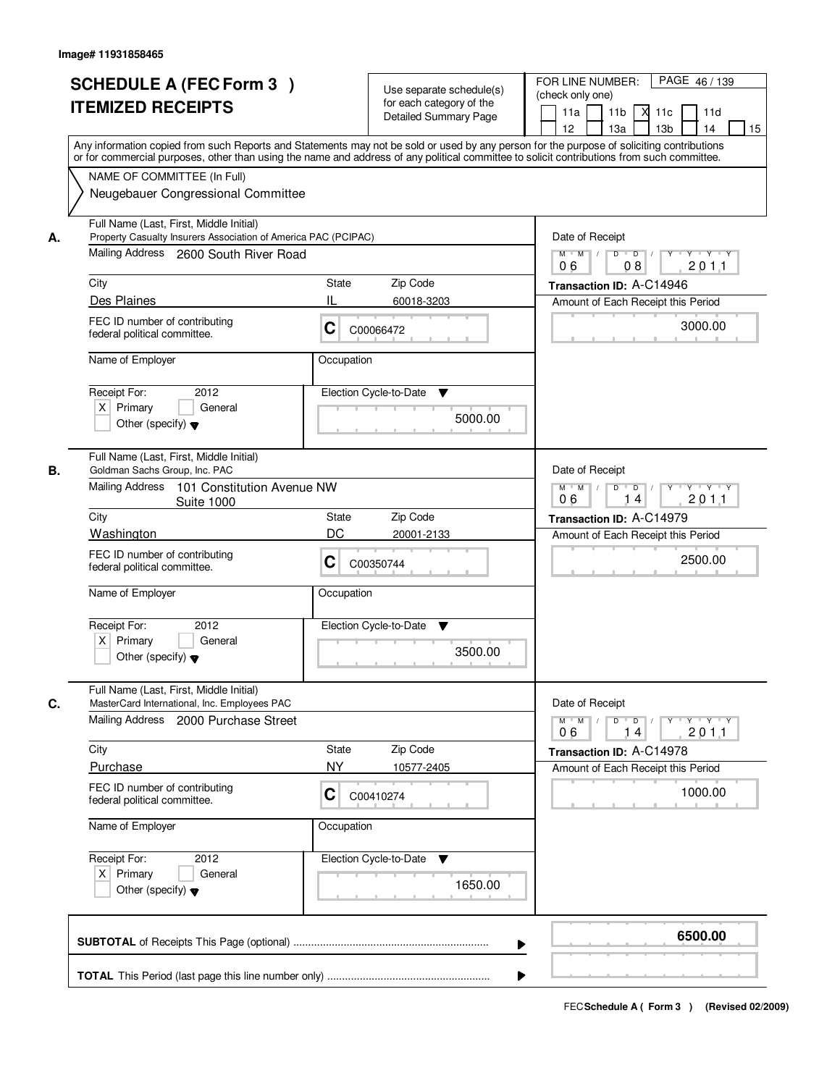| <b>SCHEDULE A (FEC Form 3)</b><br><b>ITEMIZED RECEIPTS</b>                                                                                                                                                                                                                                                                                                     | Use separate schedule(s)<br>for each category of the<br><b>Detailed Summary Page</b>                                                                                                                                                                                                    | PAGE 46/139<br>FOR LINE NUMBER:<br>(check only one)<br>11 <sub>b</sub><br>11a<br>$X$ 11 $c$<br>11d<br>12<br>13a<br>13 <sub>b</sub><br>14<br>15                                                       |
|----------------------------------------------------------------------------------------------------------------------------------------------------------------------------------------------------------------------------------------------------------------------------------------------------------------------------------------------------------------|-----------------------------------------------------------------------------------------------------------------------------------------------------------------------------------------------------------------------------------------------------------------------------------------|------------------------------------------------------------------------------------------------------------------------------------------------------------------------------------------------------|
| NAME OF COMMITTEE (In Full)<br>Neugebauer Congressional Committee                                                                                                                                                                                                                                                                                              | Any information copied from such Reports and Statements may not be sold or used by any person for the purpose of soliciting contributions<br>or for commercial purposes, other than using the name and address of any political committee to solicit contributions from such committee. |                                                                                                                                                                                                      |
| Full Name (Last, First, Middle Initial)<br>Property Casualty Insurers Association of America PAC (PCIPAC)<br>А.<br>Mailing Address 2600 South River Road<br>City<br>Des Plaines<br>FEC ID number of contributing<br>federal political committee.<br>Name of Employer<br>2012<br>Receipt For:<br>$X$ Primary<br>General<br>Other (specify) $\blacktriangledown$ | Zip Code<br>State<br>IL<br>60018-3203<br>C<br>C00066472<br>Occupation<br>Election Cycle-to-Date<br>▼<br>5000.00                                                                                                                                                                         | Date of Receipt<br>$\overline{D}$<br>$Y - Y - Y$<br>$M$ $M$ /<br>D<br>201.1<br>06<br>08<br>Transaction ID: A-C14946<br>Amount of Each Receipt this Period<br>3000.00                                 |
| Full Name (Last, First, Middle Initial)<br>В.<br>Goldman Sachs Group, Inc. PAC<br>Mailing Address<br>101 Constitution Avenue NW<br><b>Suite 1000</b><br>City<br>Washington<br>FEC ID number of contributing<br>federal political committee.<br>Name of Employer<br>Receipt For:<br>2012<br>$X$ Primary<br>General<br>Other (specify) $\blacktriangledown$      | Zip Code<br>State<br>DC<br>20001-2133<br>C<br>C00350744<br>Occupation<br>Election Cycle-to-Date<br>v<br>3500.00                                                                                                                                                                         | Date of Receipt<br>$D$ $D$ $1$<br>$M$ $M$ /<br>$Y$ <sup>U</sup><br>$Y + Y + Y$<br>201.1<br>06<br>14<br>Transaction ID: A-C14979<br>Amount of Each Receipt this Period<br>2500.00                     |
| Full Name (Last, First, Middle Initial)<br>C.<br>MasterCard International, Inc. Employees PAC<br>Mailing Address 2000 Purchase Street<br>City<br>Purchase<br>FEC ID number of contributing<br>federal political committee.<br>Name of Employer<br>Receipt For:<br>2012<br>$X$ Primary<br>General<br>Other (specify) $\blacktriangledown$                       | Zip Code<br>State<br><b>NY</b><br>10577-2405<br>C<br>C00410274<br>Occupation<br>Election Cycle-to-Date<br>v<br>1650.00                                                                                                                                                                  | Date of Receipt<br>$M$ $M$<br>$D$ $D$ $/$<br>$Y \dashv Y \dashv Y$<br>$\top$ /<br>$Y$ <sup>U</sup><br>201.1<br>06<br>14<br>Transaction ID: A-C14978<br>Amount of Each Receipt this Period<br>1000.00 |
|                                                                                                                                                                                                                                                                                                                                                                | ▶                                                                                                                                                                                                                                                                                       | 6500.00                                                                                                                                                                                              |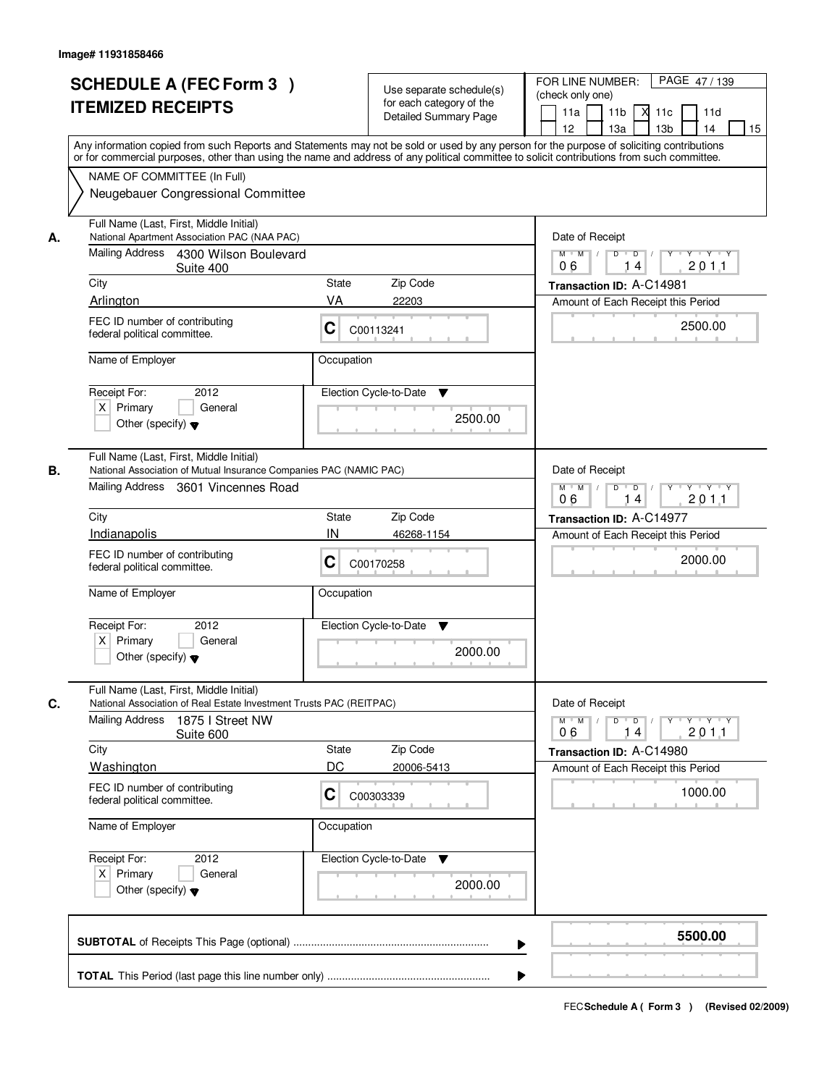|    | <b>SCHEDULE A (FEC Form 3)</b><br><b>ITEMIZED RECEIPTS</b><br>Any information copied from such Reports and Statements may not be sold or used by any person for the purpose of soliciting contributions<br>or for commercial purposes, other than using the name and address of any political committee to solicit contributions from such committee. | Use separate schedule(s)<br>for each category of the<br><b>Detailed Summary Page</b> | PAGE 47/139<br>FOR LINE NUMBER:<br>(check only one)<br>11 <sub>b</sub><br>11a<br>-XI<br>11c<br>11d<br>13 <sub>b</sub><br>14<br>12<br>13a<br>15 |
|----|-------------------------------------------------------------------------------------------------------------------------------------------------------------------------------------------------------------------------------------------------------------------------------------------------------------------------------------------------------|--------------------------------------------------------------------------------------|------------------------------------------------------------------------------------------------------------------------------------------------|
|    | NAME OF COMMITTEE (In Full)<br>Neugebauer Congressional Committee                                                                                                                                                                                                                                                                                     |                                                                                      |                                                                                                                                                |
| А. | Full Name (Last, First, Middle Initial)<br>National Apartment Association PAC (NAA PAC)<br>Mailing Address 4300 Wilson Boulevard<br>Suite 400                                                                                                                                                                                                         |                                                                                      | Date of Receipt<br>$D$ $D$ $/$<br>$Y$ <sup>U</sup><br>$Y - Y - Y - Y$<br>$M$ $M$ /<br>201.1<br>06<br>14                                        |
|    | City                                                                                                                                                                                                                                                                                                                                                  | <b>State</b><br>Zip Code                                                             | Transaction ID: A-C14981                                                                                                                       |
|    | Arlington                                                                                                                                                                                                                                                                                                                                             | VA<br>22203                                                                          | Amount of Each Receipt this Period                                                                                                             |
|    | FEC ID number of contributing<br>federal political committee.                                                                                                                                                                                                                                                                                         | C<br>C00113241                                                                       | 2500.00                                                                                                                                        |
|    | Name of Employer                                                                                                                                                                                                                                                                                                                                      | Occupation                                                                           |                                                                                                                                                |
|    | 2012<br>Receipt For:<br>$X$ Primary<br>General<br>Other (specify) $\blacktriangledown$                                                                                                                                                                                                                                                                | Election Cycle-to-Date<br>▼<br>2500.00                                               |                                                                                                                                                |
| В. | Full Name (Last, First, Middle Initial)<br>National Association of Mutual Insurance Companies PAC (NAMIC PAC)<br>Mailing Address 3601 Vincennes Road                                                                                                                                                                                                  |                                                                                      | Date of Receipt<br>$M$ $M$ /<br>D<br>$\overline{\phantom{0}}$<br>$Y$ <sup>U</sup><br>$Y \dashv Y \dashv Y$<br>201.1<br>06<br>14                |
|    | City                                                                                                                                                                                                                                                                                                                                                  | Zip Code<br>State                                                                    | Transaction ID: A-C14977                                                                                                                       |
|    | Indianapolis                                                                                                                                                                                                                                                                                                                                          | IN<br>46268-1154                                                                     | Amount of Each Receipt this Period                                                                                                             |
|    | FEC ID number of contributing<br>federal political committee.                                                                                                                                                                                                                                                                                         | C<br>C00170258                                                                       | 2000.00                                                                                                                                        |
|    | Name of Employer                                                                                                                                                                                                                                                                                                                                      | Occupation                                                                           |                                                                                                                                                |
|    | Receipt For:<br>2012<br>$X$ Primary<br>General<br>Other (specify) $\blacktriangledown$                                                                                                                                                                                                                                                                | Election Cycle-to-Date<br>v<br>2000.00                                               |                                                                                                                                                |
| C. | Full Name (Last, First, Middle Initial)<br>National Association of Real Estate Investment Trusts PAC (REITPAC)                                                                                                                                                                                                                                        |                                                                                      | Date of Receipt                                                                                                                                |
|    | <b>Mailing Address</b><br>1875 I Street NW<br>Suite 600                                                                                                                                                                                                                                                                                               |                                                                                      | $M$ $M$ $M$<br>$D$ $D$ $l$<br><u> Y LY LY LY</u><br>201.1<br>06<br>14                                                                          |
|    | City                                                                                                                                                                                                                                                                                                                                                  | Zip Code<br><b>State</b>                                                             | Transaction ID: A-C14980                                                                                                                       |
|    | Washington                                                                                                                                                                                                                                                                                                                                            | DC<br>20006-5413                                                                     | Amount of Each Receipt this Period                                                                                                             |
|    | FEC ID number of contributing<br>federal political committee.                                                                                                                                                                                                                                                                                         | C<br>C00303339                                                                       | 1000.00                                                                                                                                        |
|    | Name of Employer                                                                                                                                                                                                                                                                                                                                      | Occupation                                                                           |                                                                                                                                                |
|    | Receipt For:<br>2012<br>$X$ Primary<br>General<br>Other (specify) $\blacktriangledown$                                                                                                                                                                                                                                                                | Election Cycle-to-Date<br>v<br>2000.00                                               |                                                                                                                                                |
|    |                                                                                                                                                                                                                                                                                                                                                       |                                                                                      | 5500.00                                                                                                                                        |
|    |                                                                                                                                                                                                                                                                                                                                                       |                                                                                      |                                                                                                                                                |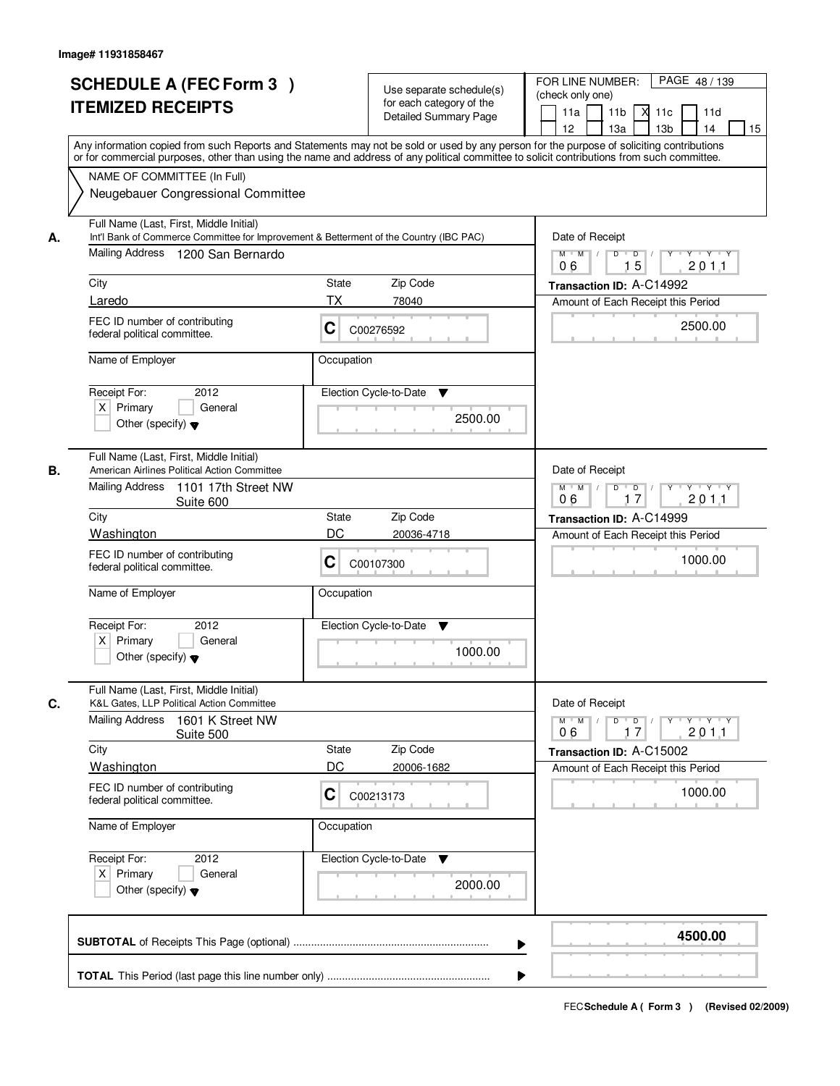| <b>SCHEDULE A (FEC Form 3)</b><br><b>ITEMIZED RECEIPTS</b>                                                                                                                                                                                                                                                                                                        | Use separate schedule(s)<br>for each category of the<br><b>Detailed Summary Page</b><br>Any information copied from such Reports and Statements may not be sold or used by any person for the purpose of soliciting contributions<br>or for commercial purposes, other than using the name and address of any political committee to solicit contributions from such committee. | PAGE 48 / 139<br>FOR LINE NUMBER:<br>(check only one)<br>11 <sub>b</sub><br>11a<br>м<br>11c<br>11d<br>13 <sub>b</sub><br>12<br>13a<br>14<br>15                                   |
|-------------------------------------------------------------------------------------------------------------------------------------------------------------------------------------------------------------------------------------------------------------------------------------------------------------------------------------------------------------------|---------------------------------------------------------------------------------------------------------------------------------------------------------------------------------------------------------------------------------------------------------------------------------------------------------------------------------------------------------------------------------|----------------------------------------------------------------------------------------------------------------------------------------------------------------------------------|
| NAME OF COMMITTEE (In Full)<br>Neugebauer Congressional Committee                                                                                                                                                                                                                                                                                                 |                                                                                                                                                                                                                                                                                                                                                                                 |                                                                                                                                                                                  |
| Full Name (Last, First, Middle Initial)<br>Int'l Bank of Commerce Committee for Improvement & Betterment of the Country (IBC PAC)<br>А.<br>Mailing Address<br>1200 San Bernardo<br>City<br>Laredo<br>FEC ID number of contributing<br>federal political committee.<br>Name of Employer                                                                            | Zip Code<br><b>State</b><br>ТX<br>78040<br>C<br>C00276592<br>Occupation                                                                                                                                                                                                                                                                                                         | Date of Receipt<br>$M$ $M$ $/$<br>$D$ $D$ $I$<br>$Y^+$<br>Y Y Y Y<br>15<br>2011<br>06<br>Transaction ID: A-C14992<br>Amount of Each Receipt this Period<br>2500.00               |
| Receipt For:<br>2012<br>$X$ Primary<br>General<br>Other (specify) $\blacktriangledown$                                                                                                                                                                                                                                                                            | Election Cycle-to-Date<br>▼<br>2500.00                                                                                                                                                                                                                                                                                                                                          |                                                                                                                                                                                  |
| Full Name (Last, First, Middle Initial)<br>American Airlines Political Action Committee<br>В.<br>Mailing Address<br>1101 17th Street NW<br>Suite 600<br>City<br>Washington<br>FEC ID number of contributing<br>federal political committee.<br>Name of Employer<br>Receipt For:<br>2012<br>$X$ Primary<br>General<br>Other (specify) $\blacktriangledown$         | <b>State</b><br>Zip Code<br>DC<br>20036-4718<br>C<br>C00107300<br>Occupation<br>Election Cycle-to-Date<br>▼<br>1000.00                                                                                                                                                                                                                                                          | Date of Receipt<br>$M$ $M$ /<br>$Y \vdash Y \vdash Y$<br>D<br>$\overline{D}$ /<br>17<br>201.1<br>06<br>Transaction ID: A-C14999<br>Amount of Each Receipt this Period<br>1000.00 |
| Full Name (Last, First, Middle Initial)<br>C.<br>K&L Gates, LLP Political Action Committee<br><b>Mailing Address</b><br>1601 K Street NW<br>Suite 500<br>City<br><b>Washington</b><br>FEC ID number of contributing<br>federal political committee.<br>Name of Employer<br>Receipt For:<br>2012<br>$X$ Primary<br>General<br>Other (specify) $\blacktriangledown$ | Zip Code<br><b>State</b><br>DC<br>20006-1682<br>C<br>C00213173<br>Occupation<br>Election Cycle-to-Date<br>v<br>2000.00                                                                                                                                                                                                                                                          | Date of Receipt<br>$M$ $M$<br>$D$ $D$ $/$<br>Y 'Y 'Y 'Y<br>201.1<br>17<br>06<br>Transaction ID: A-C15002<br>Amount of Each Receipt this Period<br>1000.00                        |
|                                                                                                                                                                                                                                                                                                                                                                   |                                                                                                                                                                                                                                                                                                                                                                                 | 4500.00                                                                                                                                                                          |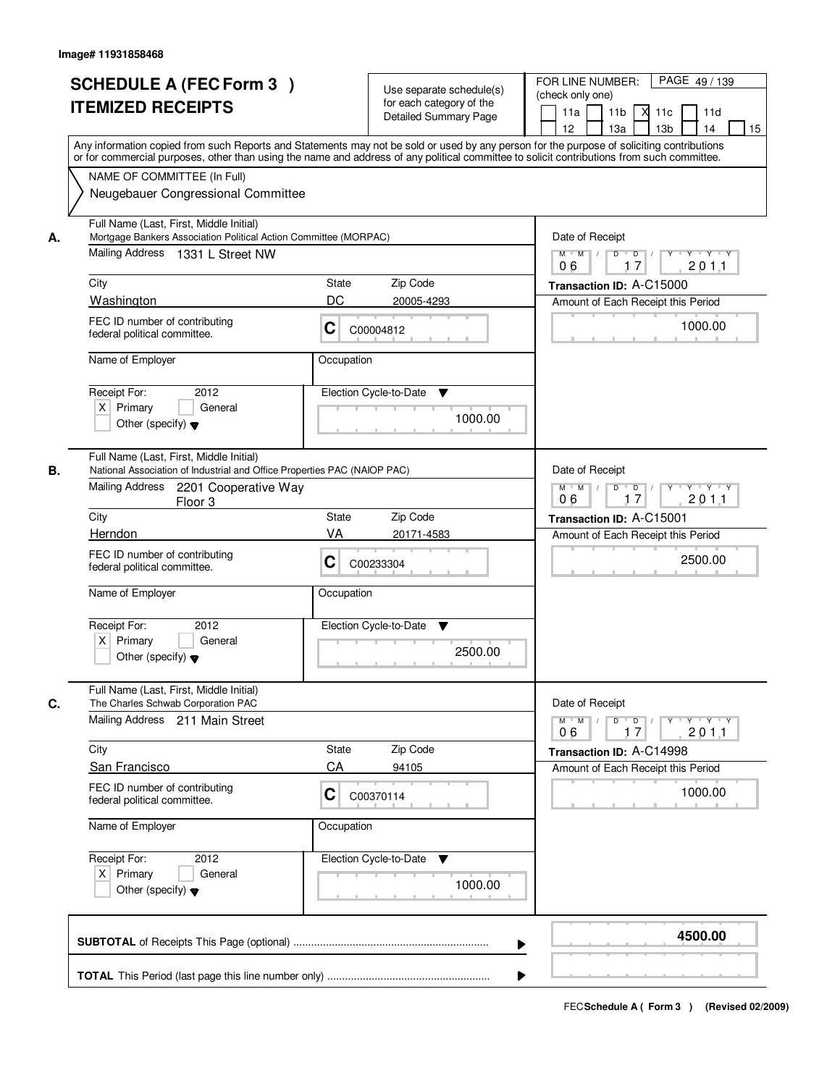|    | <b>SCHEDULE A (FEC Form 3)</b><br><b>ITEMIZED RECEIPTS</b><br>Any information copied from such Reports and Statements may not be sold or used by any person for the purpose of soliciting contributions<br>or for commercial purposes, other than using the name and address of any political committee to solicit contributions from such committee. |                                                                                            | Use separate schedule(s)<br>for each category of the<br><b>Detailed Summary Page</b> | PAGE 49 / 139<br>FOR LINE NUMBER:<br>(check only one)<br>11 <sub>b</sub><br>11a<br>-XI<br>11c<br>11d<br>13 <sub>b</sub><br>14<br>12<br>13a<br>15 |
|----|-------------------------------------------------------------------------------------------------------------------------------------------------------------------------------------------------------------------------------------------------------------------------------------------------------------------------------------------------------|--------------------------------------------------------------------------------------------|--------------------------------------------------------------------------------------|--------------------------------------------------------------------------------------------------------------------------------------------------|
|    | NAME OF COMMITTEE (In Full)<br>Neugebauer Congressional Committee                                                                                                                                                                                                                                                                                     |                                                                                            |                                                                                      |                                                                                                                                                  |
| А. | Full Name (Last, First, Middle Initial)<br>Mortgage Bankers Association Political Action Committee (MORPAC)<br>Mailing Address 1331 L Street NW                                                                                                                                                                                                       |                                                                                            |                                                                                      | Date of Receipt<br>$D$ $D$<br>$Y$ <sup>U</sup><br>$Y$ $Y$ $Y$<br>$M$ $M$ /<br>17<br>201.1<br>06                                                  |
|    | City                                                                                                                                                                                                                                                                                                                                                  | <b>State</b>                                                                               | Zip Code                                                                             | Transaction ID: A-C15000                                                                                                                         |
|    | Washington                                                                                                                                                                                                                                                                                                                                            | DC                                                                                         | 20005-4293                                                                           | Amount of Each Receipt this Period                                                                                                               |
|    | FEC ID number of contributing<br>federal political committee.                                                                                                                                                                                                                                                                                         | C                                                                                          | C00004812                                                                            | 1000.00                                                                                                                                          |
|    | Name of Employer                                                                                                                                                                                                                                                                                                                                      | Occupation                                                                                 |                                                                                      |                                                                                                                                                  |
|    | 2012<br>Receipt For:<br>$X$ Primary<br>General<br>Other (specify) $\blacktriangledown$                                                                                                                                                                                                                                                                |                                                                                            | Election Cycle-to-Date<br>▼<br>1000.00                                               |                                                                                                                                                  |
| В. | Full Name (Last, First, Middle Initial)<br>National Association of Industrial and Office Properties PAC (NAIOP PAC)                                                                                                                                                                                                                                   |                                                                                            |                                                                                      | Date of Receipt                                                                                                                                  |
|    | Mailing Address<br>2201 Cooperative Way<br>Floor <sub>3</sub>                                                                                                                                                                                                                                                                                         | $M$ $M$ /<br>D<br>$\overline{\phantom{0}}$ D<br>$Y \dashv Y \dashv Y$<br>17<br>201.1<br>06 |                                                                                      |                                                                                                                                                  |
|    | City                                                                                                                                                                                                                                                                                                                                                  | State                                                                                      | Zip Code                                                                             | Transaction ID: A-C15001                                                                                                                         |
|    | Herndon<br>FEC ID number of contributing<br>federal political committee.                                                                                                                                                                                                                                                                              | VA<br>C                                                                                    | 20171-4583<br>C00233304                                                              | Amount of Each Receipt this Period<br>2500.00                                                                                                    |
|    | Name of Employer                                                                                                                                                                                                                                                                                                                                      | Occupation                                                                                 |                                                                                      |                                                                                                                                                  |
|    | Receipt For:<br>2012<br>$X$ Primary<br>General<br>Other (specify) $\blacktriangledown$                                                                                                                                                                                                                                                                |                                                                                            | Election Cycle-to-Date<br>v<br>2500.00                                               |                                                                                                                                                  |
| C. | Full Name (Last, First, Middle Initial)<br>The Charles Schwab Corporation PAC                                                                                                                                                                                                                                                                         |                                                                                            |                                                                                      | Date of Receipt                                                                                                                                  |
|    | Mailing Address 211 Main Street                                                                                                                                                                                                                                                                                                                       |                                                                                            |                                                                                      | $D$ $D$ $/$<br>$M$ $M$ $M$<br><u> Y LY LY LY</u><br>201.1<br>06<br>17                                                                            |
|    | City                                                                                                                                                                                                                                                                                                                                                  | <b>State</b>                                                                               | Zip Code                                                                             | Transaction ID: A-C14998                                                                                                                         |
|    | San Francisco                                                                                                                                                                                                                                                                                                                                         | CA                                                                                         | 94105                                                                                | Amount of Each Receipt this Period                                                                                                               |
|    | FEC ID number of contributing<br>federal political committee.                                                                                                                                                                                                                                                                                         | C                                                                                          | C00370114                                                                            | 1000.00                                                                                                                                          |
|    | Name of Employer                                                                                                                                                                                                                                                                                                                                      | Occupation                                                                                 |                                                                                      |                                                                                                                                                  |
|    | Receipt For:<br>2012<br>$X$ Primary<br>General<br>Other (specify) $\blacktriangledown$                                                                                                                                                                                                                                                                |                                                                                            | Election Cycle-to-Date ▼<br>1000.00                                                  |                                                                                                                                                  |
|    |                                                                                                                                                                                                                                                                                                                                                       |                                                                                            |                                                                                      | 4500.00                                                                                                                                          |
|    |                                                                                                                                                                                                                                                                                                                                                       |                                                                                            |                                                                                      |                                                                                                                                                  |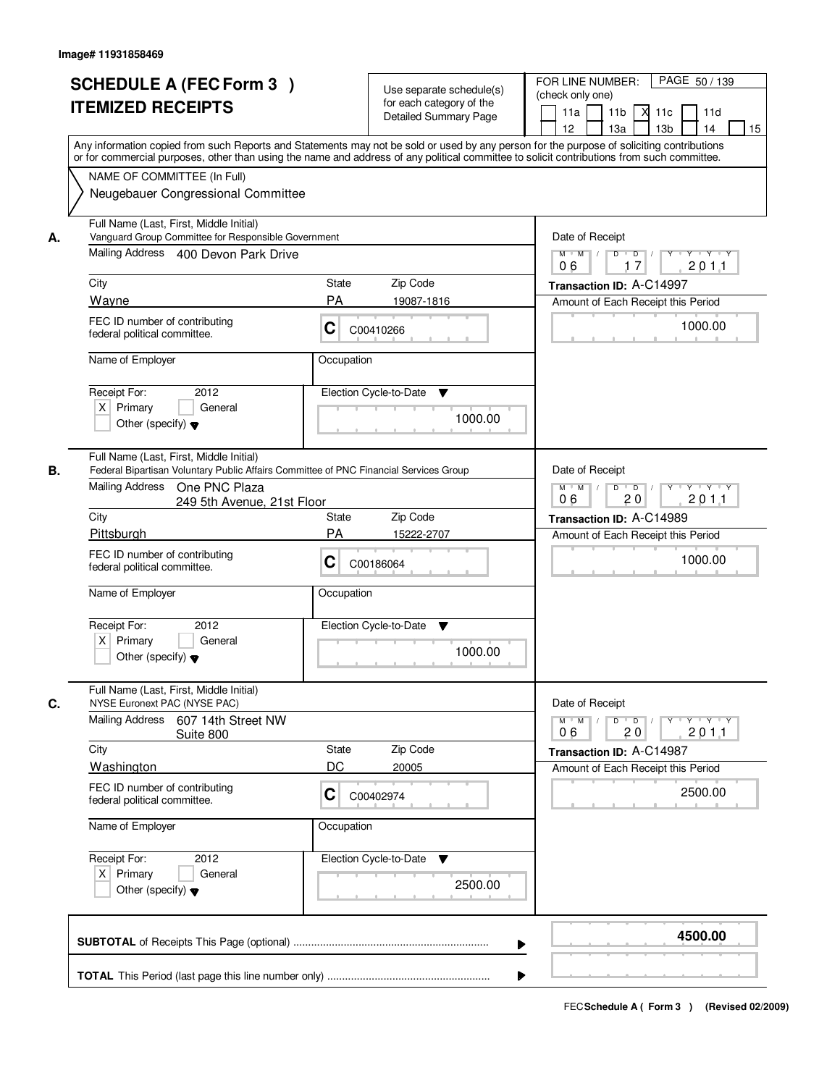| <b>SCHEDULE A (FEC Form 3)</b><br><b>ITEMIZED RECEIPTS</b>                                                                                                                                                                                                                                                                                   | Use separate schedule(s)<br>for each category of the<br><b>Detailed Summary Page</b>                                                                                                                                                                                                    | PAGE 50/139<br>FOR LINE NUMBER:<br>(check only one)<br>11 <sub>b</sub><br>11a<br>$X$ 11 $c$<br>11d<br>12<br>13a<br>13 <sub>b</sub><br>14<br>15                                              |  |
|----------------------------------------------------------------------------------------------------------------------------------------------------------------------------------------------------------------------------------------------------------------------------------------------------------------------------------------------|-----------------------------------------------------------------------------------------------------------------------------------------------------------------------------------------------------------------------------------------------------------------------------------------|---------------------------------------------------------------------------------------------------------------------------------------------------------------------------------------------|--|
| NAME OF COMMITTEE (In Full)<br>Neugebauer Congressional Committee                                                                                                                                                                                                                                                                            | Any information copied from such Reports and Statements may not be sold or used by any person for the purpose of soliciting contributions<br>or for commercial purposes, other than using the name and address of any political committee to solicit contributions from such committee. |                                                                                                                                                                                             |  |
| Full Name (Last, First, Middle Initial)<br>Vanguard Group Committee for Responsible Government<br>А.<br>Mailing Address 400 Devon Park Drive<br>City<br>Wayne<br>FEC ID number of contributing<br>federal political committee.<br>Name of Employer<br>2012<br>Receipt For:<br>$X$ Primary<br>General<br>Other (specify) $\blacktriangledown$ | State<br>Zip Code<br><b>PA</b><br>19087-1816<br>С<br>C00410266<br>Occupation<br>Election Cycle-to-Date<br>▼<br>1000.00                                                                                                                                                                  | Date of Receipt<br>$M$ $M$<br>D<br>$\overline{D}$<br>$Y \cup Y \cup Y$<br>2011<br>06<br>17<br>Transaction ID: A-C14997<br>Amount of Each Receipt this Period<br>1000.00                     |  |
| Full Name (Last, First, Middle Initial)<br>В.<br><b>Mailing Address</b><br>One PNC Plaza<br>249 5th Avenue, 21st Floor<br>City<br>Pittsburgh<br>FEC ID number of contributing<br>federal political committee.<br>Name of Employer<br>Receipt For:<br>2012<br>$X$ Primary<br>General<br>Other (specify) $\blacktriangledown$                  | Federal Bipartisan Voluntary Public Affairs Committee of PNC Financial Services Group<br>Zip Code<br>State<br>PA<br>15222-2707<br>С<br>C00186064<br>Occupation<br>Election Cycle-to-Date<br>▼<br>1000.00                                                                                | Date of Receipt<br>$D$ $D$ $/$<br>$M$ $M$ /<br>Y<br>$Y \dashv Y \dashv Y$<br>06<br>20<br>201.1<br>Transaction ID: A-C14989<br>Amount of Each Receipt this Period<br>1000.00                 |  |
| Full Name (Last, First, Middle Initial)<br>C.<br>NYSE Euronext PAC (NYSE PAC)<br>Mailing Address<br>607 14th Street NW<br>Suite 800<br>City<br>Washington<br>FEC ID number of contributing<br>federal political committee.<br>Name of Employer<br>Receipt For:<br>2012<br>$X$ Primary<br>General<br>Other (specify) $\blacktriangledown$     | Zip Code<br>State<br>DC<br>20005<br>C<br>C00402974<br>Occupation<br>Election Cycle-to-Date<br>v<br>2500.00                                                                                                                                                                              | Date of Receipt<br>$M$ $M$<br>$D$ $D$ $l$<br>$Y - Y - Y$<br>$\top$ /<br>$Y$ <sup>-1</sup><br>201.1<br>06<br>20<br>Transaction ID: A-C14987<br>Amount of Each Receipt this Period<br>2500.00 |  |
|                                                                                                                                                                                                                                                                                                                                              | ▶                                                                                                                                                                                                                                                                                       | 4500.00                                                                                                                                                                                     |  |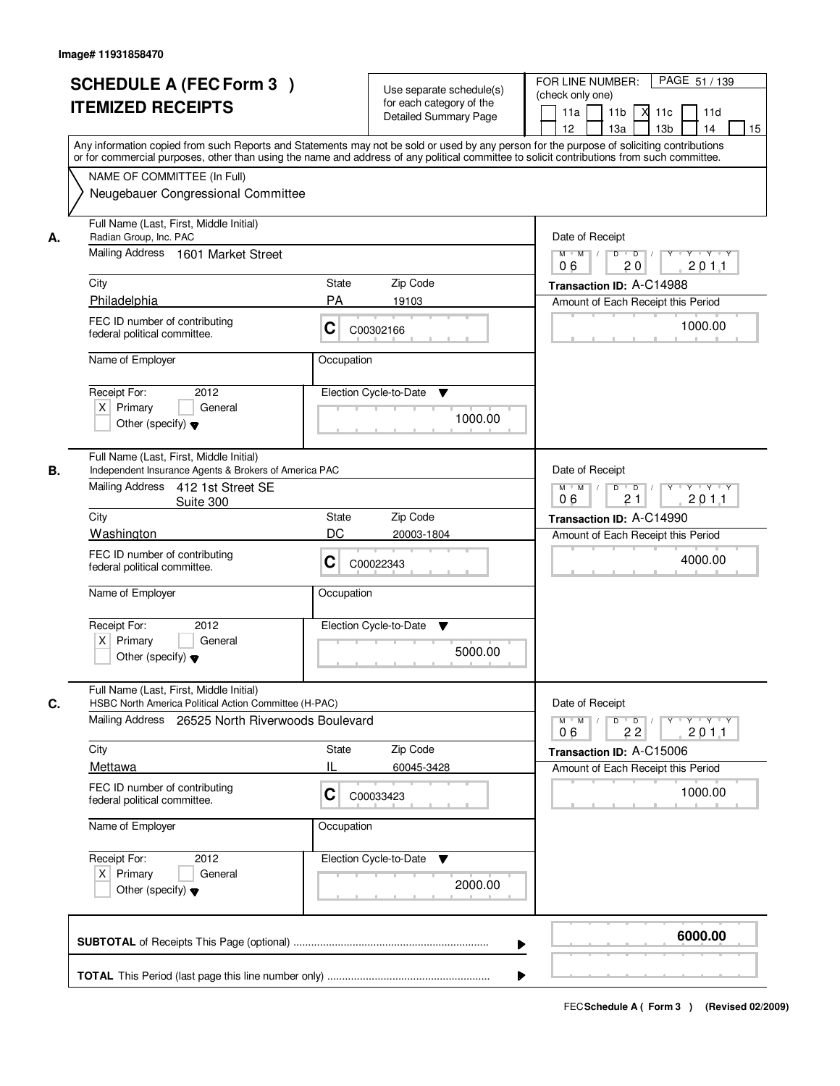|    | <b>SCHEDULE A (FEC Form 3)</b><br><b>ITEMIZED RECEIPTS</b><br>Any information copied from such Reports and Statements may not be sold or used by any person for the purpose of soliciting contributions         | Use separate schedule(s)<br>for each category of the<br><b>Detailed Summary Page</b>                           | PAGE 51 / 139<br>FOR LINE NUMBER:<br>(check only one)<br>11 <sub>b</sub><br>11a<br>-XI<br>11c<br>11d<br>13 <sub>b</sub><br>14<br>12<br>13a<br>15 |
|----|-----------------------------------------------------------------------------------------------------------------------------------------------------------------------------------------------------------------|----------------------------------------------------------------------------------------------------------------|--------------------------------------------------------------------------------------------------------------------------------------------------|
|    | or for commercial purposes, other than using the name and address of any political committee to solicit contributions from such committee.<br>NAME OF COMMITTEE (In Full)<br>Neugebauer Congressional Committee |                                                                                                                |                                                                                                                                                  |
| А. | Full Name (Last, First, Middle Initial)<br>Radian Group, Inc. PAC<br>Mailing Address 1601 Market Street                                                                                                         | Date of Receipt<br>$D$ $D$ $1$<br>$Y$ <sup>U</sup><br>$Y + Y + Y$<br>$M$ $M$ /<br>20<br>201.1<br>06            |                                                                                                                                                  |
|    | City                                                                                                                                                                                                            | <b>State</b><br>Zip Code                                                                                       | Transaction ID: A-C14988                                                                                                                         |
|    | Philadelphia                                                                                                                                                                                                    | <b>PA</b><br>19103                                                                                             | Amount of Each Receipt this Period                                                                                                               |
|    | FEC ID number of contributing<br>federal political committee.                                                                                                                                                   | C<br>C00302166                                                                                                 | 1000.00                                                                                                                                          |
|    | Name of Employer                                                                                                                                                                                                | Occupation                                                                                                     |                                                                                                                                                  |
|    | 2012<br>Receipt For:<br>$X$ Primary<br>General<br>Other (specify) $\blacktriangledown$                                                                                                                          | Election Cycle-to-Date<br>▼<br>1000.00                                                                         |                                                                                                                                                  |
| В. | Full Name (Last, First, Middle Initial)<br>Independent Insurance Agents & Brokers of America PAC<br>Mailing Address 412 1st Street SE                                                                           | Date of Receipt                                                                                                |                                                                                                                                                  |
|    | Suite 300                                                                                                                                                                                                       | $M$ $M$ /<br>D<br>$\overline{\phantom{0}}$ D<br>$Y$ <sup>U</sup><br>$Y \dashv Y \dashv Y$<br>21<br>201.1<br>06 |                                                                                                                                                  |
|    | City                                                                                                                                                                                                            | Zip Code<br>State                                                                                              | Transaction ID: A-C14990                                                                                                                         |
|    | Washington<br>FEC ID number of contributing<br>federal political committee.                                                                                                                                     | DC<br>20003-1804<br>С<br>C00022343                                                                             | Amount of Each Receipt this Period<br>4000.00                                                                                                    |
|    | Name of Employer                                                                                                                                                                                                | Occupation                                                                                                     |                                                                                                                                                  |
|    | Receipt For:<br>2012<br>$X$ Primary<br>General<br>Other (specify) $\blacktriangledown$                                                                                                                          | Election Cycle-to-Date<br>v<br>5000.00                                                                         |                                                                                                                                                  |
|    | Full Name (Last, First, Middle Initial)<br>HSBC North America Political Action Committee (H-PAC)                                                                                                                |                                                                                                                | Date of Receipt                                                                                                                                  |
| C. | Mailing Address 26525 North Riverwoods Boulevard                                                                                                                                                                | $M$ $M$ $M$<br>$D$ $D$ $/$<br>yuryuryury<br>201.1<br>06<br>22                                                  |                                                                                                                                                  |
|    | City                                                                                                                                                                                                            | Zip Code<br>State                                                                                              | Transaction ID: A-C15006                                                                                                                         |
|    | Mettawa<br>FEC ID number of contributing<br>federal political committee.                                                                                                                                        | н<br>60045-3428<br>C<br>C00033423                                                                              | Amount of Each Receipt this Period<br>1000.00                                                                                                    |
|    | Name of Employer                                                                                                                                                                                                | Occupation                                                                                                     |                                                                                                                                                  |
|    | Receipt For:<br>2012<br>$X$ Primary<br>General<br>Other (specify) $\blacktriangledown$                                                                                                                          | Election Cycle-to-Date ▼<br>2000.00                                                                            |                                                                                                                                                  |
|    |                                                                                                                                                                                                                 |                                                                                                                | 6000.00                                                                                                                                          |
|    |                                                                                                                                                                                                                 |                                                                                                                |                                                                                                                                                  |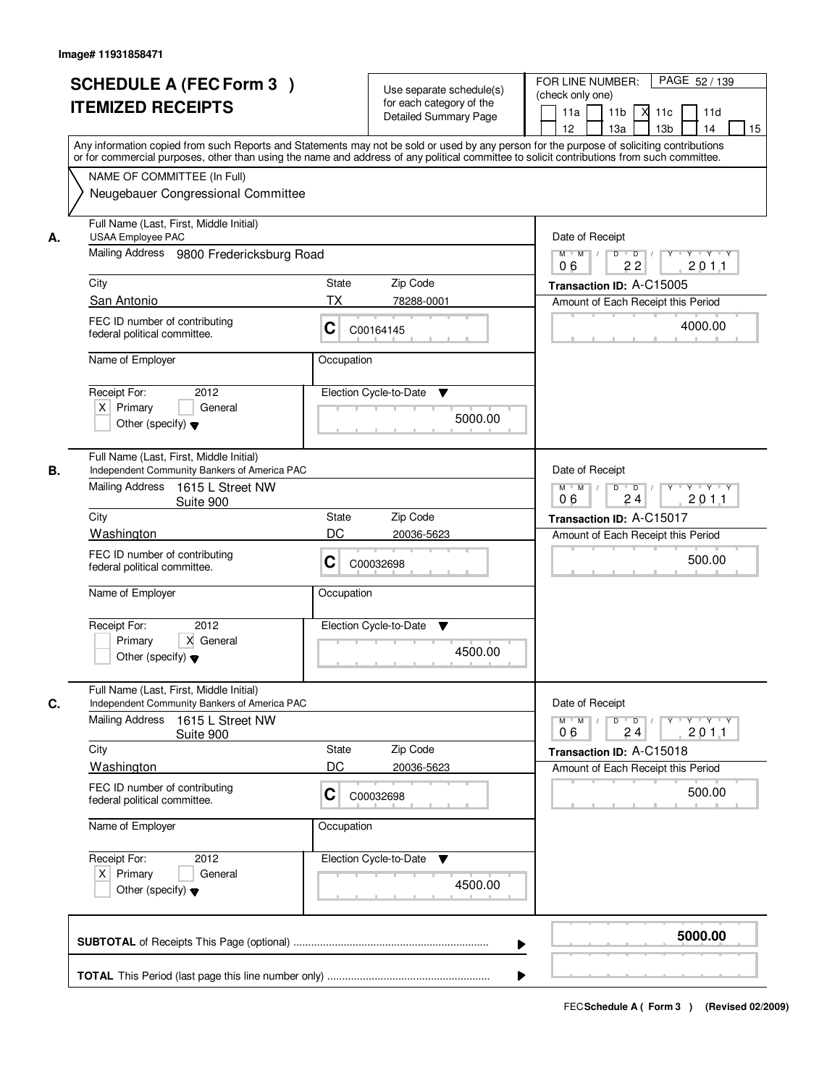|    | <b>SCHEDULE A (FEC Form 3)</b><br><b>ITEMIZED RECEIPTS</b>                                                                                                                                                                                                                                                                                                   | Use separate schedule(s)<br>for each category of the<br>Detailed Summary Page                                     | PAGE 52 / 139<br>FOR LINE NUMBER:<br>(check only one)<br>11 <sub>b</sub><br>11a<br>11c<br>11d<br>м<br>13 <sub>b</sub><br>14<br>12 <sup>2</sup><br>13a<br>15 |
|----|--------------------------------------------------------------------------------------------------------------------------------------------------------------------------------------------------------------------------------------------------------------------------------------------------------------------------------------------------------------|-------------------------------------------------------------------------------------------------------------------|-------------------------------------------------------------------------------------------------------------------------------------------------------------|
|    | Any information copied from such Reports and Statements may not be sold or used by any person for the purpose of soliciting contributions<br>or for commercial purposes, other than using the name and address of any political committee to solicit contributions from such committee.<br>NAME OF COMMITTEE (In Full)<br>Neugebauer Congressional Committee |                                                                                                                   |                                                                                                                                                             |
| А. | Full Name (Last, First, Middle Initial)<br><b>USAA Employee PAC</b><br>Mailing Address 9800 Fredericksburg Road                                                                                                                                                                                                                                              | Date of Receipt<br>$Y + Y + Y$<br>$M$ $M$ /<br>$D$ $D$ $/$<br>$Y$ <sup>U</sup>                                    |                                                                                                                                                             |
|    | City                                                                                                                                                                                                                                                                                                                                                         | State<br>Zip Code                                                                                                 | 22<br>201.1<br>06<br>Transaction ID: A-C15005                                                                                                               |
|    | San Antonio                                                                                                                                                                                                                                                                                                                                                  | <b>TX</b><br>78288-0001                                                                                           | Amount of Each Receipt this Period                                                                                                                          |
|    | FEC ID number of contributing<br>federal political committee.                                                                                                                                                                                                                                                                                                | C<br>C00164145                                                                                                    | 4000.00                                                                                                                                                     |
|    | Name of Employer                                                                                                                                                                                                                                                                                                                                             | Occupation                                                                                                        |                                                                                                                                                             |
|    | 2012<br>Receipt For:<br>$X$ Primary<br>General<br>Other (specify) $\blacktriangledown$                                                                                                                                                                                                                                                                       | Election Cycle-to-Date<br>▼<br>5000.00                                                                            |                                                                                                                                                             |
| В. | Full Name (Last, First, Middle Initial)<br>Independent Community Bankers of America PAC<br>Mailing Address                                                                                                                                                                                                                                                   |                                                                                                                   | Date of Receipt                                                                                                                                             |
|    | 1615 L Street NW<br>Suite 900                                                                                                                                                                                                                                                                                                                                |                                                                                                                   | $\mathsf{Y} \dashv \neg \mathsf{Y} \dashv \neg \mathsf{Y}$<br>$M$ $M$ /<br>D<br>$\overline{D}$ /<br>24<br>201.1<br>06                                       |
|    | City<br>Washington                                                                                                                                                                                                                                                                                                                                           | Zip Code<br><b>State</b><br>DC<br>20036-5623                                                                      | Transaction ID: A-C15017                                                                                                                                    |
|    | FEC ID number of contributing<br>federal political committee.                                                                                                                                                                                                                                                                                                | C<br>C00032698                                                                                                    | Amount of Each Receipt this Period<br>500.00                                                                                                                |
|    | Name of Employer                                                                                                                                                                                                                                                                                                                                             | Occupation                                                                                                        |                                                                                                                                                             |
|    | Receipt For:<br>2012<br>Primary<br>X General<br>Other (specify) $\blacktriangledown$                                                                                                                                                                                                                                                                         | Election Cycle-to-Date<br>▼<br>4500.00                                                                            |                                                                                                                                                             |
| C. | Full Name (Last, First, Middle Initial)<br>Independent Community Bankers of America PAC                                                                                                                                                                                                                                                                      |                                                                                                                   | Date of Receipt                                                                                                                                             |
|    | <b>Mailing Address</b><br>1615 L Street NW<br>Suite 900                                                                                                                                                                                                                                                                                                      | $D$ $D$ $/$<br>$\mathsf{Y} \dashv \mathsf{Y} \dashv \mathsf{Y} \dashv \mathsf{Y}$<br>$M = M$<br>201.1<br>06<br>24 |                                                                                                                                                             |
|    | City<br>Washington                                                                                                                                                                                                                                                                                                                                           | Zip Code<br><b>State</b><br>DC<br>20036-5623                                                                      | Transaction ID: A-C15018                                                                                                                                    |
|    | FEC ID number of contributing<br>federal political committee.                                                                                                                                                                                                                                                                                                | C<br>C00032698                                                                                                    | Amount of Each Receipt this Period<br>500.00                                                                                                                |
|    | Name of Employer                                                                                                                                                                                                                                                                                                                                             | Occupation                                                                                                        |                                                                                                                                                             |
|    | Receipt For:<br>2012<br>$X$ Primary<br>General<br>Other (specify) $\blacktriangledown$                                                                                                                                                                                                                                                                       | Election Cycle-to-Date ▼<br>4500.00                                                                               |                                                                                                                                                             |
|    |                                                                                                                                                                                                                                                                                                                                                              |                                                                                                                   | 5000.00<br>▶                                                                                                                                                |
|    |                                                                                                                                                                                                                                                                                                                                                              |                                                                                                                   |                                                                                                                                                             |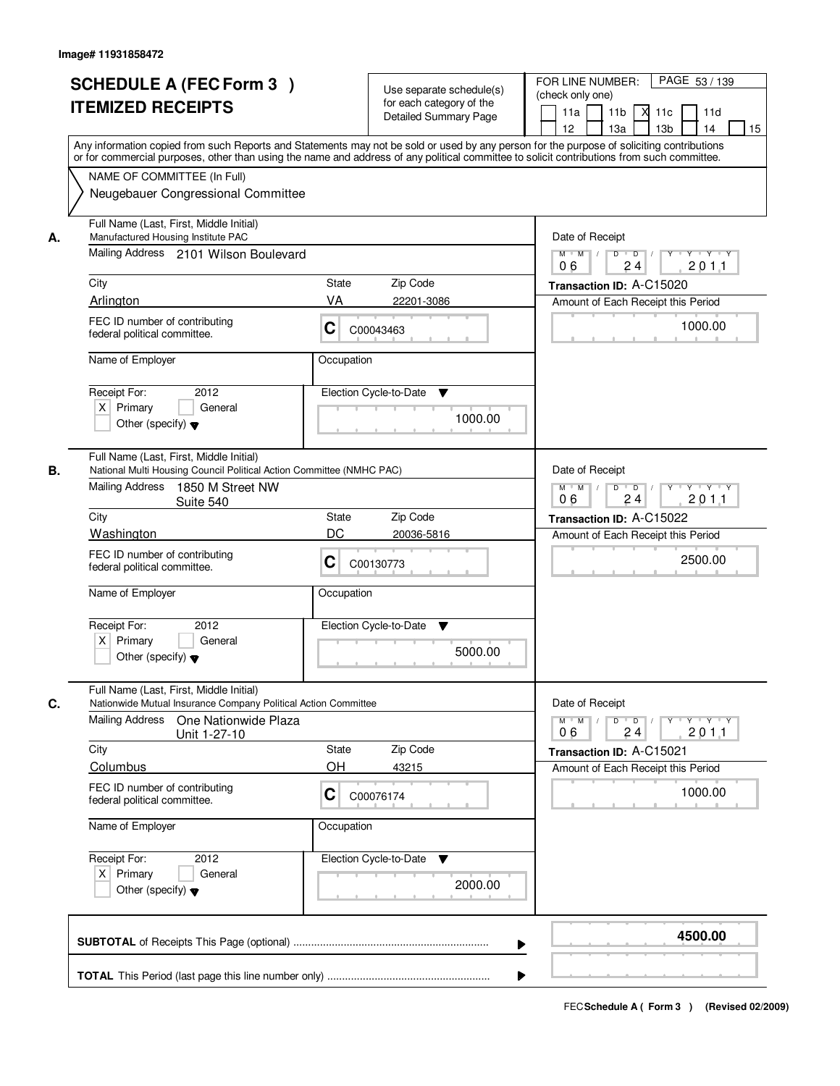|    | <b>SCHEDULE A (FEC Form 3)</b><br><b>ITEMIZED RECEIPTS</b><br>Any information copied from such Reports and Statements may not be sold or used by any person for the purpose of soliciting contributions<br>or for commercial purposes, other than using the name and address of any political committee to solicit contributions from such committee. | Use separate schedule(s)<br>for each category of the<br><b>Detailed Summary Page</b>                          | PAGE 53 / 139<br>FOR LINE NUMBER:<br>(check only one)<br>11 <sub>b</sub><br>11a<br>-XI<br>11c<br>11d<br>13 <sub>b</sub><br>14<br>12<br>13a<br>15 |
|----|-------------------------------------------------------------------------------------------------------------------------------------------------------------------------------------------------------------------------------------------------------------------------------------------------------------------------------------------------------|---------------------------------------------------------------------------------------------------------------|--------------------------------------------------------------------------------------------------------------------------------------------------|
|    | NAME OF COMMITTEE (In Full)<br>Neugebauer Congressional Committee                                                                                                                                                                                                                                                                                     |                                                                                                               |                                                                                                                                                  |
| А. | Full Name (Last, First, Middle Initial)<br>Manufactured Housing Institute PAC<br>Mailing Address 2101 Wilson Boulevard                                                                                                                                                                                                                                | Date of Receipt<br>$D$ $D$<br>Y<br>$Y - Y - Y - Y$<br>$M$ $M$ /<br>24<br>201.1<br>06                          |                                                                                                                                                  |
|    | City                                                                                                                                                                                                                                                                                                                                                  | <b>State</b><br>Zip Code                                                                                      | Transaction ID: A-C15020                                                                                                                         |
|    | Arlington                                                                                                                                                                                                                                                                                                                                             | VA<br>22201-3086                                                                                              | Amount of Each Receipt this Period                                                                                                               |
|    | FEC ID number of contributing<br>federal political committee.                                                                                                                                                                                                                                                                                         | C<br>C00043463                                                                                                | 1000.00                                                                                                                                          |
|    | Name of Employer                                                                                                                                                                                                                                                                                                                                      | Occupation                                                                                                    |                                                                                                                                                  |
|    | 2012<br>Receipt For:<br>$X$ Primary<br>General<br>Other (specify) $\blacktriangledown$                                                                                                                                                                                                                                                                | Election Cycle-to-Date<br>▼<br>1000.00                                                                        |                                                                                                                                                  |
| В. | Full Name (Last, First, Middle Initial)<br>National Multi Housing Council Political Action Committee (NMHC PAC)<br>Mailing Address<br>1850 M Street NW<br>Suite 540                                                                                                                                                                                   | Date of Receipt<br>$M$ $M$ /<br>D<br>$\overline{\phantom{0}}$ D<br>$Y \dashv Y \dashv Y$<br>24<br>201.1<br>06 |                                                                                                                                                  |
|    | City                                                                                                                                                                                                                                                                                                                                                  | Zip Code<br>State                                                                                             | Transaction ID: A-C15022                                                                                                                         |
|    | Washington                                                                                                                                                                                                                                                                                                                                            | DC<br>20036-5816                                                                                              | Amount of Each Receipt this Period                                                                                                               |
|    | FEC ID number of contributing<br>federal political committee.                                                                                                                                                                                                                                                                                         | C<br>C00130773                                                                                                | 2500.00                                                                                                                                          |
|    | Name of Employer                                                                                                                                                                                                                                                                                                                                      | Occupation                                                                                                    |                                                                                                                                                  |
|    | Receipt For:<br>2012<br>$X$ Primary<br>General<br>Other (specify) $\blacktriangledown$                                                                                                                                                                                                                                                                | Election Cycle-to-Date<br>v<br>5000.00                                                                        |                                                                                                                                                  |
| C. | Full Name (Last, First, Middle Initial)<br>Nationwide Mutual Insurance Company Political Action Committee                                                                                                                                                                                                                                             |                                                                                                               | Date of Receipt                                                                                                                                  |
|    | Mailing Address<br>One Nationwide Plaza<br>Unit 1-27-10                                                                                                                                                                                                                                                                                               | $M$ $M$ $M$<br>$D$ $D$ $/$<br>yuyuyuyu<br>201.1<br>06<br>24                                                   |                                                                                                                                                  |
|    | City                                                                                                                                                                                                                                                                                                                                                  | Zip Code<br><b>State</b>                                                                                      | Transaction ID: A-C15021                                                                                                                         |
|    | Columbus                                                                                                                                                                                                                                                                                                                                              | OН<br>43215                                                                                                   | Amount of Each Receipt this Period                                                                                                               |
|    | FEC ID number of contributing<br>C<br>C00076174<br>federal political committee.<br>Name of Employer<br>Occupation                                                                                                                                                                                                                                     |                                                                                                               | 1000.00                                                                                                                                          |
|    |                                                                                                                                                                                                                                                                                                                                                       |                                                                                                               |                                                                                                                                                  |
|    | Receipt For:<br>2012<br>$X$ Primary<br>General<br>Other (specify) $\blacktriangledown$                                                                                                                                                                                                                                                                | Election Cycle-to-Date<br>v<br>2000.00                                                                        |                                                                                                                                                  |
|    |                                                                                                                                                                                                                                                                                                                                                       |                                                                                                               | 4500.00                                                                                                                                          |
|    |                                                                                                                                                                                                                                                                                                                                                       |                                                                                                               |                                                                                                                                                  |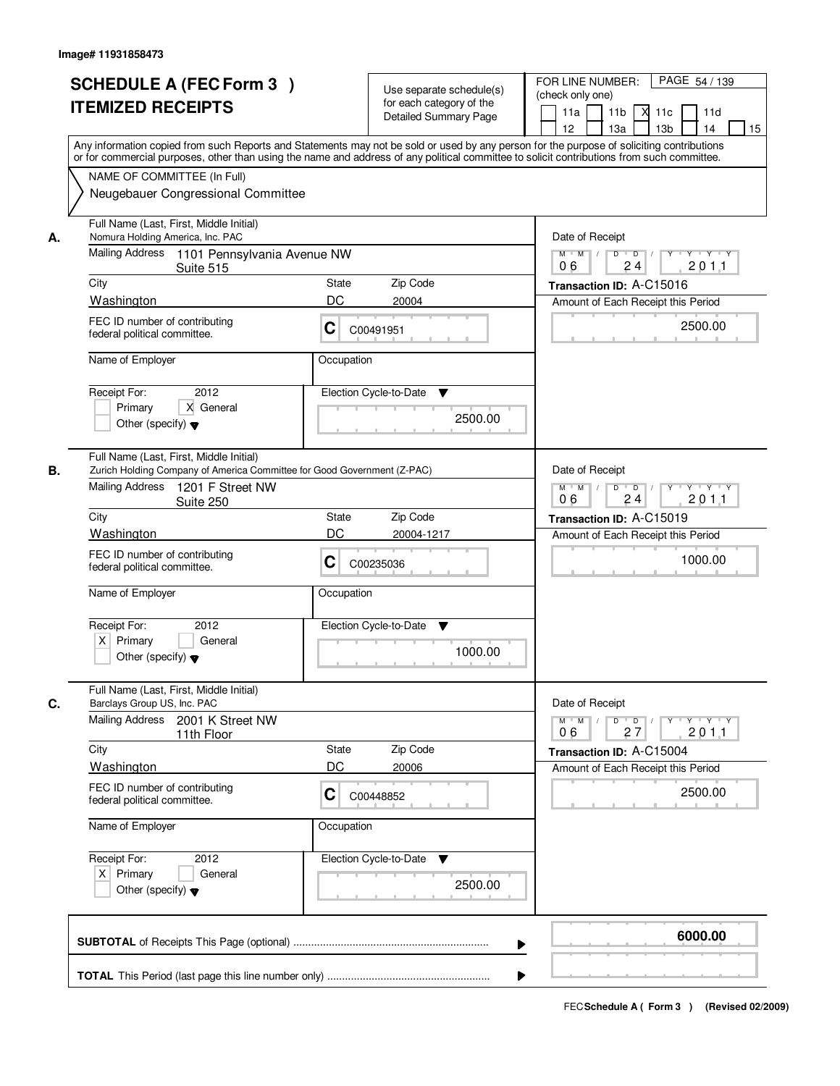|    | <b>SCHEDULE A (FEC Form 3)</b><br><b>ITEMIZED RECEIPTS</b><br>Any information copied from such Reports and Statements may not be sold or used by any person for the purpose of soliciting contributions         | Use separate schedule(s)<br>for each category of the<br><b>Detailed Summary Page</b> | PAGE 54 / 139<br>FOR LINE NUMBER:<br>(check only one)<br>11 <sub>b</sub><br>11a<br><b>X</b><br>11c<br>11d<br>13 <sub>b</sub><br>14<br>12<br>13a<br>15 |
|----|-----------------------------------------------------------------------------------------------------------------------------------------------------------------------------------------------------------------|--------------------------------------------------------------------------------------|-------------------------------------------------------------------------------------------------------------------------------------------------------|
|    | or for commercial purposes, other than using the name and address of any political committee to solicit contributions from such committee.<br>NAME OF COMMITTEE (In Full)<br>Neugebauer Congressional Committee |                                                                                      |                                                                                                                                                       |
| А. | Full Name (Last, First, Middle Initial)<br>Nomura Holding America, Inc. PAC<br>Mailing Address 1101 Pennsylvania Avenue NW<br>Suite 515                                                                         | Date of Receipt<br>$D$ $D$<br>Y<br>$Y - Y - Y - Y$<br>$M$ $M$ /<br>24<br>201.1<br>06 |                                                                                                                                                       |
|    | City                                                                                                                                                                                                            | State<br>Zip Code                                                                    | Transaction ID: A-C15016                                                                                                                              |
|    | Washington                                                                                                                                                                                                      | DC<br>20004                                                                          | Amount of Each Receipt this Period                                                                                                                    |
|    | FEC ID number of contributing<br>federal political committee.                                                                                                                                                   | C<br>C00491951                                                                       | 2500.00                                                                                                                                               |
|    | Name of Employer                                                                                                                                                                                                | Occupation                                                                           |                                                                                                                                                       |
|    | 2012<br>Receipt For:<br>X General<br>Primary<br>Other (specify) $\blacktriangledown$                                                                                                                            | Election Cycle-to-Date<br>▼<br>2500.00                                               |                                                                                                                                                       |
| В. | Full Name (Last, First, Middle Initial)<br>Zurich Holding Company of America Committee for Good Government (Z-PAC)<br>Mailing Address<br>1201 F Street NW<br>Suite 250                                          |                                                                                      | Date of Receipt<br>$M$ $M$ /<br>D<br>$\overline{D}$<br>$Y \dashv Y \dashv Y$<br>24<br>201.1<br>06                                                     |
|    | City                                                                                                                                                                                                            | Zip Code<br>State                                                                    | Transaction ID: A-C15019                                                                                                                              |
|    | Washington                                                                                                                                                                                                      | DC<br>20004-1217                                                                     | Amount of Each Receipt this Period                                                                                                                    |
|    | FEC ID number of contributing<br>federal political committee.                                                                                                                                                   | C<br>C00235036                                                                       | 1000.00                                                                                                                                               |
|    | Name of Employer                                                                                                                                                                                                | Occupation                                                                           |                                                                                                                                                       |
|    | Receipt For:<br>2012<br>$X$ Primary<br>General<br>Other (specify) $\blacktriangledown$                                                                                                                          | Election Cycle-to-Date<br>Y<br>1000.00                                               |                                                                                                                                                       |
| C. | Full Name (Last, First, Middle Initial)<br>Barclays Group US, Inc. PAC                                                                                                                                          |                                                                                      | Date of Receipt                                                                                                                                       |
|    | Mailing Address<br>2001 K Street NW<br>11th Floor                                                                                                                                                               |                                                                                      | $M$ $M$ $M$<br>$D$ $D$ $/$<br>$\mathsf{Y} \dashv \mathsf{Y} \dashv \mathsf{Y}$<br>$Y$ <sup>U</sup><br>201.1<br>06<br>27                               |
|    | City                                                                                                                                                                                                            | Zip Code<br>State                                                                    | Transaction ID: A-C15004                                                                                                                              |
|    | Washington                                                                                                                                                                                                      | DC<br>20006                                                                          | Amount of Each Receipt this Period                                                                                                                    |
|    | FEC ID number of contributing<br>federal political committee.                                                                                                                                                   | C<br>C00448852                                                                       | 2500.00                                                                                                                                               |
|    | Name of Employer                                                                                                                                                                                                | Occupation                                                                           |                                                                                                                                                       |
|    | Receipt For:<br>2012<br>$X$ Primary<br>General<br>Other (specify) $\blacktriangledown$                                                                                                                          | Election Cycle-to-Date<br>v<br>2500.00                                               |                                                                                                                                                       |
|    |                                                                                                                                                                                                                 |                                                                                      | 6000.00                                                                                                                                               |
|    |                                                                                                                                                                                                                 |                                                                                      |                                                                                                                                                       |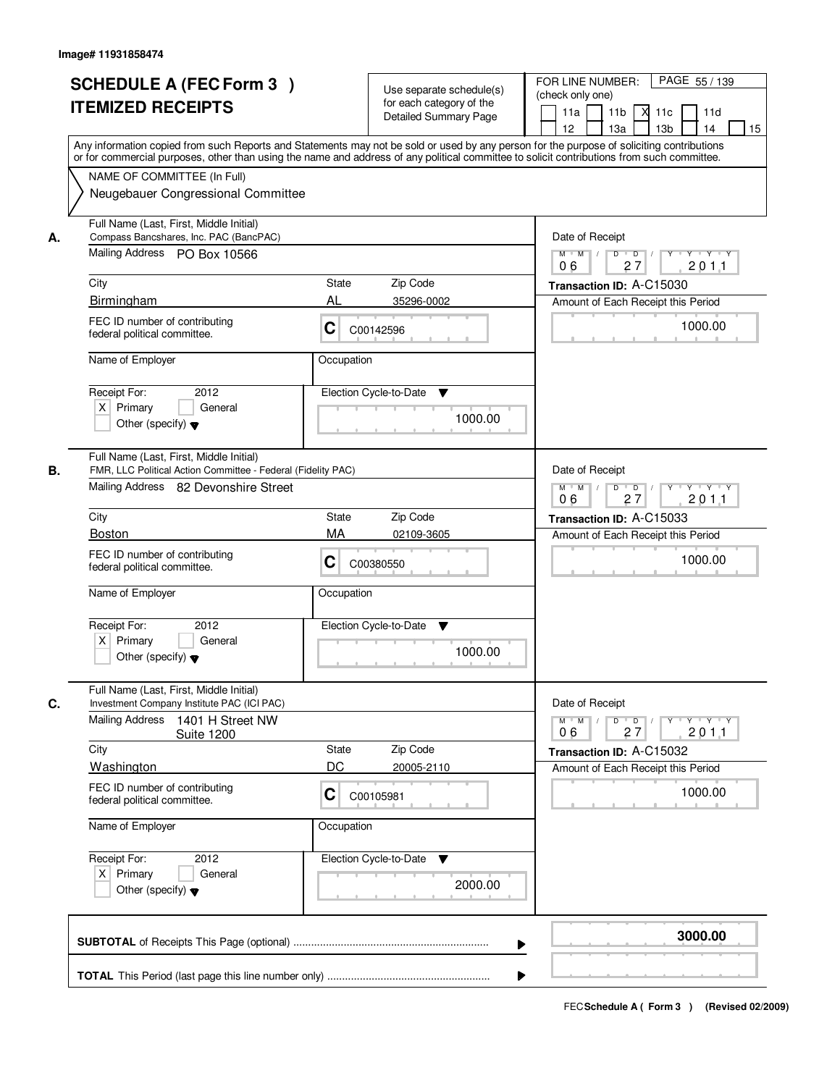|    | <b>SCHEDULE A (FEC Form 3)</b><br><b>ITEMIZED RECEIPTS</b><br>Any information copied from such Reports and Statements may not be sold or used by any person for the purpose of soliciting contributions                                         | Use separate schedule(s)<br>for each category of the<br><b>Detailed Summary Page</b> | PAGE 55 / 139<br>FOR LINE NUMBER:<br>(check only one)<br>11 <sub>b</sub><br>11a<br>-XI<br>11c<br>11d<br>13 <sub>b</sub><br>14<br>12<br>13a<br>15                                       |
|----|-------------------------------------------------------------------------------------------------------------------------------------------------------------------------------------------------------------------------------------------------|--------------------------------------------------------------------------------------|----------------------------------------------------------------------------------------------------------------------------------------------------------------------------------------|
|    | or for commercial purposes, other than using the name and address of any political committee to solicit contributions from such committee.<br>NAME OF COMMITTEE (In Full)<br>Neugebauer Congressional Committee                                 |                                                                                      |                                                                                                                                                                                        |
| А. | Full Name (Last, First, Middle Initial)<br>Compass Bancshares, Inc. PAC (BancPAC)<br>Mailing Address PO Box 10566<br>City<br>Birmingham<br>FEC ID number of contributing<br>federal political committee.<br>Name of Employer                    | State<br>Zip Code<br>AL<br>35296-0002<br>C<br>C00142596<br>Occupation                | Date of Receipt<br>$D$ $D$<br>$Y - Y - Y - Y$<br>$M$ $M$ /<br>Y<br>27<br>201.1<br>06<br>Transaction ID: A-C15030<br>Amount of Each Receipt this Period<br>1000.00                      |
|    | Receipt For:<br>2012<br>$X$ Primary<br>General<br>Other (specify) $\blacktriangledown$                                                                                                                                                          | Election Cycle-to-Date<br>▼<br>1000.00                                               |                                                                                                                                                                                        |
| В. | Full Name (Last, First, Middle Initial)<br>FMR, LLC Political Action Committee - Federal (Fidelity PAC)<br>Mailing Address 82 Devonshire Street<br>City<br><b>Boston</b>                                                                        | Zip Code<br>State<br>MA<br>02109-3605                                                | Date of Receipt<br>$M$ $M$ /<br>D<br>$\overline{\phantom{0}}$ D<br>$Y \dashv Y \dashv Y$<br>27<br>201.1<br>06<br>Transaction ID: A-C15033<br>Amount of Each Receipt this Period        |
|    | FEC ID number of contributing<br>federal political committee.<br>Name of Employer<br>Receipt For:<br>2012<br>$X$ Primary<br>General<br>Other (specify) $\blacktriangledown$                                                                     | C<br>C00380550<br>Occupation<br>Election Cycle-to-Date<br>▼<br>1000.00               | 1000.00                                                                                                                                                                                |
| C. | Full Name (Last, First, Middle Initial)<br>Investment Company Institute PAC (ICI PAC)<br><b>Mailing Address</b><br>1401 H Street NW<br><b>Suite 1200</b><br>City<br>Washington<br>FEC ID number of contributing<br>federal political committee. | Zip Code<br>State<br>DC<br>20005-2110<br>C<br>C00105981                              | Date of Receipt<br>$M$ $M$ $M$<br>$D$ $D$ $/$<br>$Y - Y - Y - Y$<br>$Y$ <sup>U</sup><br>201.1<br>06<br>27<br>Transaction ID: A-C15032<br>Amount of Each Receipt this Period<br>1000.00 |
|    | Name of Employer<br>Receipt For:<br>2012<br>$X$ Primary<br>General<br>Other (specify) $\blacktriangledown$                                                                                                                                      | Occupation<br>Election Cycle-to-Date<br>v<br>2000.00                                 |                                                                                                                                                                                        |
|    |                                                                                                                                                                                                                                                 |                                                                                      | 3000.00                                                                                                                                                                                |
|    |                                                                                                                                                                                                                                                 |                                                                                      |                                                                                                                                                                                        |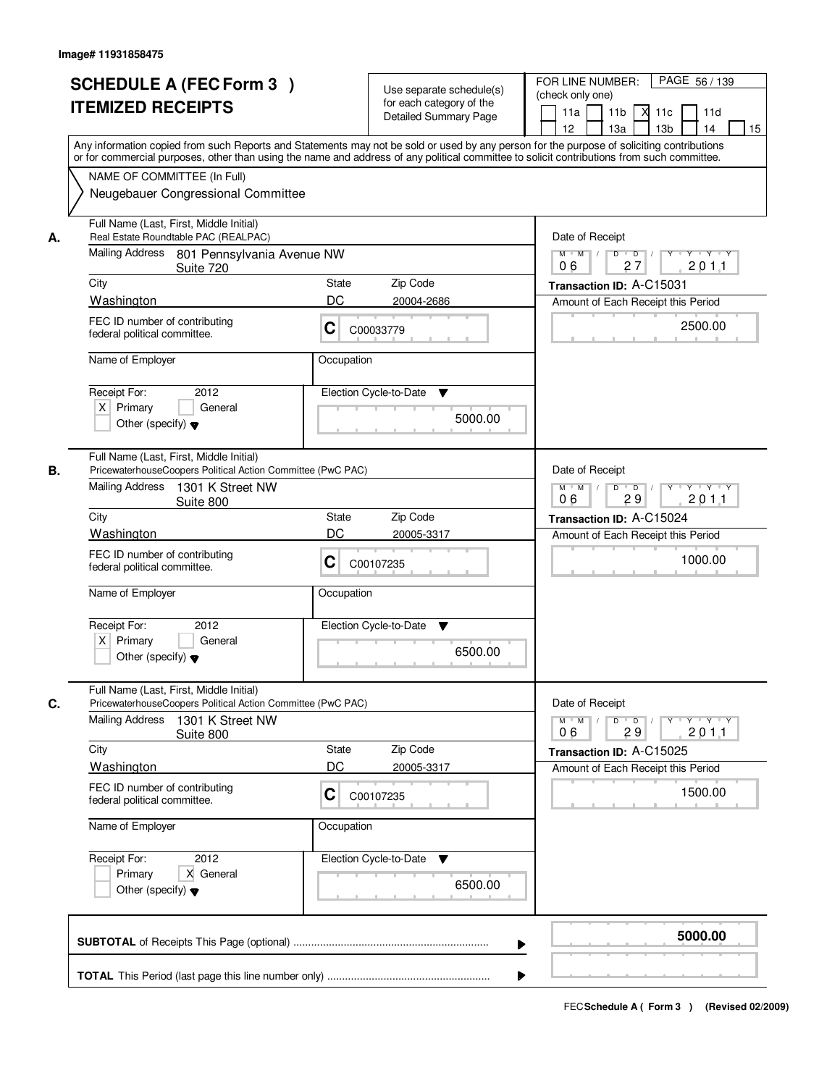| <b>SCHEDULE A (FEC Form 3)</b><br><b>ITEMIZED RECEIPTS</b>                                                                                                                                                                                                                                                                                                                 | Use separate schedule(s)<br>for each category of the<br><b>Detailed Summary Page</b>                                                                                                                                                                                                                                          | PAGE 56/139<br>FOR LINE NUMBER:<br>(check only one)<br>11 <sub>b</sub><br>11a<br>$X$ 11 $c$<br>11d<br>12<br>13a<br>13 <sub>b</sub><br>14<br>15                                                  |  |  |  |
|----------------------------------------------------------------------------------------------------------------------------------------------------------------------------------------------------------------------------------------------------------------------------------------------------------------------------------------------------------------------------|-------------------------------------------------------------------------------------------------------------------------------------------------------------------------------------------------------------------------------------------------------------------------------------------------------------------------------|-------------------------------------------------------------------------------------------------------------------------------------------------------------------------------------------------|--|--|--|
| NAME OF COMMITTEE (In Full)                                                                                                                                                                                                                                                                                                                                                | Any information copied from such Reports and Statements may not be sold or used by any person for the purpose of soliciting contributions<br>or for commercial purposes, other than using the name and address of any political committee to solicit contributions from such committee.<br>Neugebauer Congressional Committee |                                                                                                                                                                                                 |  |  |  |
| Full Name (Last, First, Middle Initial)<br>Real Estate Roundtable PAC (REALPAC)<br>А.<br>Mailing Address 801 Pennsylvania Avenue NW<br>Suite 720<br>City<br>Washington<br>FEC ID number of contributing<br>federal political committee.<br>Name of Employer                                                                                                                | Zip Code<br>State<br>DC<br>20004-2686<br>С<br>C00033779<br>Occupation                                                                                                                                                                                                                                                         | Date of Receipt<br>$Y - Y - Y$<br>$M$ $M$<br>D<br>$\overline{D}$<br>2011<br>06<br>27<br>Transaction ID: A-C15031<br>Amount of Each Receipt this Period<br>2500.00                               |  |  |  |
| 2012<br>Receipt For:<br>$X$ Primary<br>General<br>Other (specify) $\blacktriangledown$                                                                                                                                                                                                                                                                                     | Election Cycle-to-Date<br>▼<br>5000.00                                                                                                                                                                                                                                                                                        |                                                                                                                                                                                                 |  |  |  |
| Full Name (Last, First, Middle Initial)<br>PricewaterhouseCoopers Political Action Committee (PwC PAC)<br>В.<br>Mailing Address<br>1301 K Street NW<br>Suite 800<br>City<br>Washington<br>FEC ID number of contributing<br>federal political committee.<br>Name of Employer<br>Receipt For:<br>2012<br>$X$ Primary<br>General<br>Other (specify) $\blacktriangledown$      | Zip Code<br>State<br>DC<br>20005-3317<br>С<br>C00107235<br>Occupation<br>Election Cycle-to-Date<br>v<br>6500.00                                                                                                                                                                                                               | Date of Receipt<br>$D$ $D$ $/$<br>$M$ $M$ /<br>Y<br>$Y \dashv Y \dashv Y$<br>06<br>29<br>201.1<br>Transaction ID: A-C15024<br>Amount of Each Receipt this Period<br>1000.00                     |  |  |  |
| Full Name (Last, First, Middle Initial)<br>C.<br>PricewaterhouseCoopers Political Action Committee (PwC PAC)<br><b>Mailing Address</b><br>1301 K Street NW<br>Suite 800<br>City<br>Washington<br>FEC ID number of contributing<br>federal political committee.<br>Name of Employer<br>Receipt For:<br>2012<br>Primary<br>X General<br>Other (specify) $\blacktriangledown$ | State<br>Zip Code<br>DC<br>20005-3317<br>C<br>C00107235<br>Occupation<br>Election Cycle-to-Date<br>v<br>6500.00                                                                                                                                                                                                               | Date of Receipt<br>$M^+$ M<br>$D$ $D$ $l$<br>$Y - Y - Y$<br>$\mathbb{L}$<br>$Y$ <sup>-1</sup><br>201.1<br>06<br>29<br>Transaction ID: A-C15025<br>Amount of Each Receipt this Period<br>1500.00 |  |  |  |
|                                                                                                                                                                                                                                                                                                                                                                            |                                                                                                                                                                                                                                                                                                                               | 5000.00                                                                                                                                                                                         |  |  |  |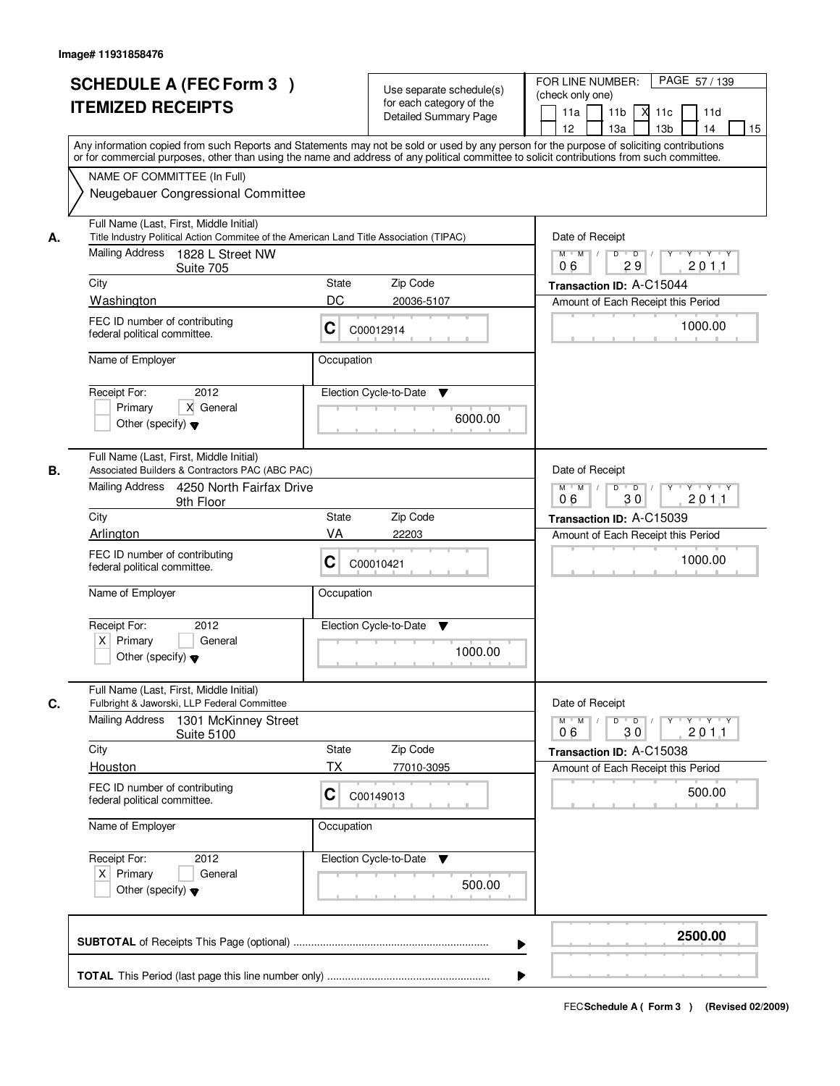| <b>SCHEDULE A (FEC Form 3)</b><br><b>ITEMIZED RECEIPTS</b>                                                                                                                                           | Use separate schedule(s)<br>for each category of the<br><b>Detailed Summary Page</b><br>Any information copied from such Reports and Statements may not be sold or used by any person for the purpose of soliciting contributions<br>or for commercial purposes, other than using the name and address of any political committee to solicit contributions from such committee. | PAGE 57 / 139<br>FOR LINE NUMBER:<br>(check only one)<br>11 <sub>b</sub><br>11a<br>м<br>11d<br>11c<br>12<br>13a<br>13 <sub>b</sub><br>14<br>15 |  |
|------------------------------------------------------------------------------------------------------------------------------------------------------------------------------------------------------|---------------------------------------------------------------------------------------------------------------------------------------------------------------------------------------------------------------------------------------------------------------------------------------------------------------------------------------------------------------------------------|------------------------------------------------------------------------------------------------------------------------------------------------|--|
| NAME OF COMMITTEE (In Full)<br>Neugebauer Congressional Committee                                                                                                                                    |                                                                                                                                                                                                                                                                                                                                                                                 |                                                                                                                                                |  |
| Full Name (Last, First, Middle Initial)<br>Title Industry Political Action Commitee of the American Land Title Association (TIPAC)<br>А.<br>Mailing Address<br>1828 L Street NW<br>Suite 705<br>City | Zip Code<br>State                                                                                                                                                                                                                                                                                                                                                               | Date of Receipt<br>$D$ $D$<br>$Y$ $Y$ $Y$<br>$M$ $M$ /<br>$Y$ <sup>U</sup><br>29<br>2011<br>06<br>Transaction ID: A-C15044                     |  |
| Washington                                                                                                                                                                                           | DC<br>20036-5107                                                                                                                                                                                                                                                                                                                                                                | Amount of Each Receipt this Period                                                                                                             |  |
| FEC ID number of contributing<br>federal political committee.                                                                                                                                        | C<br>C00012914                                                                                                                                                                                                                                                                                                                                                                  | 1000.00                                                                                                                                        |  |
| Name of Employer                                                                                                                                                                                     | Occupation                                                                                                                                                                                                                                                                                                                                                                      |                                                                                                                                                |  |
| 2012<br>Receipt For:<br>X General<br>Primary<br>Other (specify) $\blacktriangledown$                                                                                                                 | Election Cycle-to-Date<br>▼<br>6000.00                                                                                                                                                                                                                                                                                                                                          |                                                                                                                                                |  |
| Full Name (Last, First, Middle Initial)<br>В.<br>Associated Builders & Contractors PAC (ABC PAC)                                                                                                     |                                                                                                                                                                                                                                                                                                                                                                                 | Date of Receipt<br>$M$ $M$ $M$<br>$Y \vdash Y \vdash Y$<br>D<br>$\overline{D}$                                                                 |  |
| 9th Floor                                                                                                                                                                                            | Mailing Address 4250 North Fairfax Drive                                                                                                                                                                                                                                                                                                                                        |                                                                                                                                                |  |
| City                                                                                                                                                                                                 | Zip Code<br><b>State</b>                                                                                                                                                                                                                                                                                                                                                        | Transaction ID: A-C15039                                                                                                                       |  |
| Arlington                                                                                                                                                                                            | VA<br>22203                                                                                                                                                                                                                                                                                                                                                                     | Amount of Each Receipt this Period                                                                                                             |  |
| FEC ID number of contributing<br>federal political committee.                                                                                                                                        | С<br>C00010421                                                                                                                                                                                                                                                                                                                                                                  | 1000.00                                                                                                                                        |  |
| Name of Employer                                                                                                                                                                                     | Occupation                                                                                                                                                                                                                                                                                                                                                                      |                                                                                                                                                |  |
| Receipt For:<br>2012<br>$X$ Primary<br>General<br>Other (specify) $\blacktriangledown$                                                                                                               | Election Cycle-to-Date<br>Y<br>1000.00                                                                                                                                                                                                                                                                                                                                          |                                                                                                                                                |  |
| Full Name (Last, First, Middle Initial)<br>C.<br>Fulbright & Jaworski, LLP Federal Committee<br><b>Mailing Address</b><br>1301 McKinney Street                                                       |                                                                                                                                                                                                                                                                                                                                                                                 | Date of Receipt<br>$M$ $M$<br>D<br>$\overline{D}$ /<br>$Y + Y + Y$<br>Y                                                                        |  |
| <b>Suite 5100</b>                                                                                                                                                                                    | Zip Code                                                                                                                                                                                                                                                                                                                                                                        | 30<br>201.1<br>06                                                                                                                              |  |
| City<br>Houston                                                                                                                                                                                      | State<br>ТX<br>77010-3095                                                                                                                                                                                                                                                                                                                                                       | Transaction ID: A-C15038<br>Amount of Each Receipt this Period                                                                                 |  |
| FEC ID number of contributing<br>federal political committee.                                                                                                                                        | С<br>C00149013                                                                                                                                                                                                                                                                                                                                                                  | 500.00                                                                                                                                         |  |
| Name of Employer                                                                                                                                                                                     | Occupation                                                                                                                                                                                                                                                                                                                                                                      |                                                                                                                                                |  |
| Receipt For:<br>2012<br>$X$ Primary<br>General<br>Other (specify) $\blacktriangledown$                                                                                                               | Election Cycle-to-Date<br>v<br>500.00                                                                                                                                                                                                                                                                                                                                           |                                                                                                                                                |  |
|                                                                                                                                                                                                      |                                                                                                                                                                                                                                                                                                                                                                                 | 2500.00                                                                                                                                        |  |
|                                                                                                                                                                                                      |                                                                                                                                                                                                                                                                                                                                                                                 |                                                                                                                                                |  |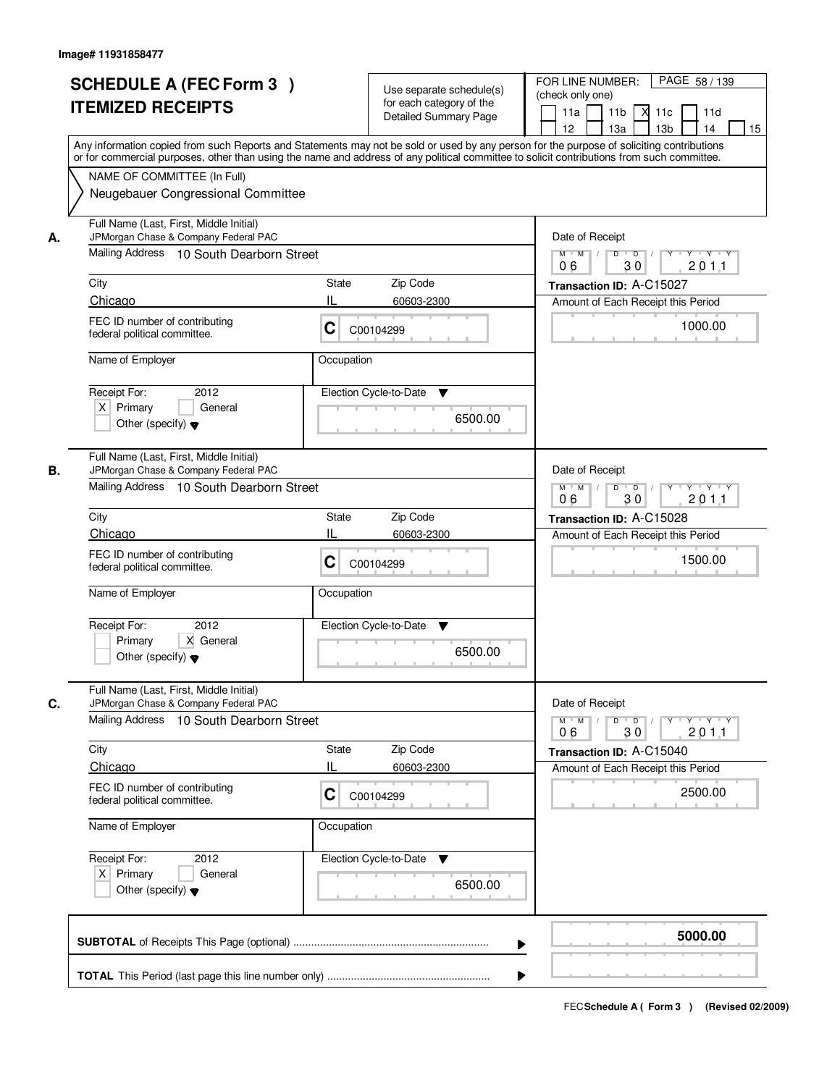|    | <b>SCHEDULE A (FEC Form 3)</b><br><b>ITEMIZED RECEIPTS</b><br>Any information copied from such Reports and Statements may not be sold or used by any person for the purpose of soliciting contributions         | Use separate schedule(s)<br>for each category of the<br><b>Detailed Summary Page</b>    | PAGE 58 / 139<br>FOR LINE NUMBER:<br>(check only one)<br>11 <sub>b</sub><br>м<br>11a<br>11c<br>11d<br>12 <sup>2</sup><br>13 <sub>b</sub><br>14<br>13a<br>15 |
|----|-----------------------------------------------------------------------------------------------------------------------------------------------------------------------------------------------------------------|-----------------------------------------------------------------------------------------|-------------------------------------------------------------------------------------------------------------------------------------------------------------|
|    | or for commercial purposes, other than using the name and address of any political committee to solicit contributions from such committee.<br>NAME OF COMMITTEE (In Full)<br>Neugebauer Congressional Committee |                                                                                         |                                                                                                                                                             |
| А. | Full Name (Last, First, Middle Initial)<br>JPMorgan Chase & Company Federal PAC<br>Mailing Address 10 South Dearborn Street                                                                                     | Date of Receipt<br>$M$ $M$<br>$D$ $D$<br>Y Y Y Y<br>Y<br>30<br>201.1<br>06              |                                                                                                                                                             |
|    | City                                                                                                                                                                                                            | <b>State</b><br>Zip Code                                                                | Transaction ID: A-C15027                                                                                                                                    |
|    | Chicago                                                                                                                                                                                                         | IL<br>60603-2300                                                                        | Amount of Each Receipt this Period                                                                                                                          |
|    | FEC ID number of contributing<br>federal political committee.                                                                                                                                                   | C<br>C00104299                                                                          | 1000.00                                                                                                                                                     |
|    | Name of Employer                                                                                                                                                                                                | Occupation                                                                              |                                                                                                                                                             |
|    | Receipt For:<br>2012<br>$X$ Primary<br>General<br>Other (specify) $\blacktriangledown$                                                                                                                          | Election Cycle-to-Date<br>▼<br>6500.00                                                  |                                                                                                                                                             |
| В. | Full Name (Last, First, Middle Initial)<br>JPMorgan Chase & Company Federal PAC<br>Mailing Address 10 South Dearborn Street                                                                                     | Date of Receipt<br>$M$ $M$ /<br>D<br>$\overline{D}$<br>$Y + Y + Y$<br>06<br>30<br>201.1 |                                                                                                                                                             |
|    | City                                                                                                                                                                                                            | Zip Code<br><b>State</b>                                                                | Transaction ID: A-C15028                                                                                                                                    |
|    | Chicago                                                                                                                                                                                                         | 60603-2300                                                                              | Amount of Each Receipt this Period                                                                                                                          |
|    | FEC ID number of contributing<br>federal political committee.                                                                                                                                                   | С<br>C00104299                                                                          | 1500.00                                                                                                                                                     |
|    | Name of Employer                                                                                                                                                                                                | Occupation                                                                              |                                                                                                                                                             |
|    | Receipt For:<br>2012<br>Primary<br>X General<br>Other (specify) $\blacktriangledown$                                                                                                                            | Election Cycle-to-Date<br>▼<br>6500.00                                                  |                                                                                                                                                             |
| C. | Full Name (Last, First, Middle Initial)<br>JPMorgan Chase & Company Federal PAC                                                                                                                                 |                                                                                         | Date of Receipt                                                                                                                                             |
|    | Mailing Address<br>10 South Dearborn Street                                                                                                                                                                     | $M = M$<br>$D$ $D$ $/$<br>yuryuryury<br>2011<br>06<br>30                                |                                                                                                                                                             |
|    | City                                                                                                                                                                                                            | Zip Code<br><b>State</b>                                                                | Transaction ID: A-C15040                                                                                                                                    |
|    | Chicago                                                                                                                                                                                                         | 60603-2300                                                                              | Amount of Each Receipt this Period                                                                                                                          |
|    | FEC ID number of contributing<br>federal political committee.                                                                                                                                                   | C<br>C00104299                                                                          | 2500.00                                                                                                                                                     |
|    | Name of Employer                                                                                                                                                                                                | Occupation                                                                              |                                                                                                                                                             |
|    | Receipt For:<br>2012<br>$X$ Primary<br>General<br>Other (specify) $\blacktriangledown$                                                                                                                          | Election Cycle-to-Date<br>v<br>6500.00                                                  |                                                                                                                                                             |
|    |                                                                                                                                                                                                                 |                                                                                         | 5000.00                                                                                                                                                     |
|    |                                                                                                                                                                                                                 |                                                                                         |                                                                                                                                                             |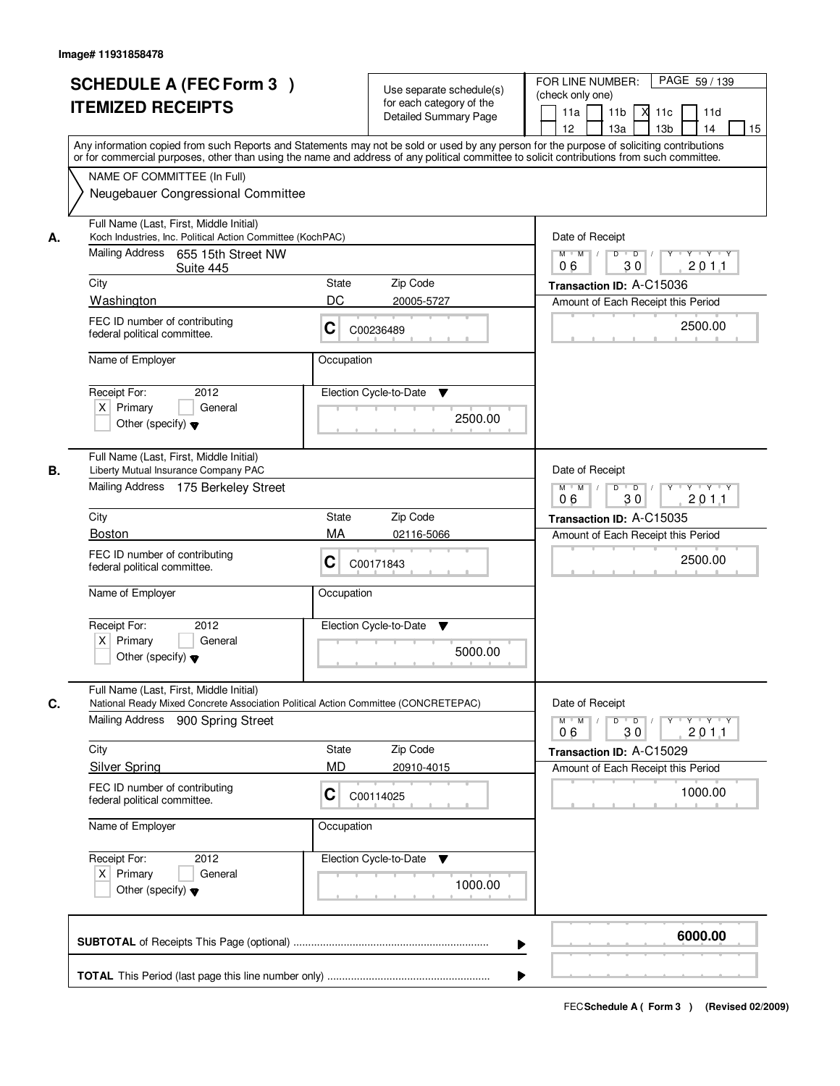|            | <b>SCHEDULE A (FEC Form 3)</b><br><b>ITEMIZED RECEIPTS</b>                                                                                                                                                                                                                                                                                                   |                                | Use separate schedule(s)<br>for each category of the<br><b>Detailed Summary Page</b> | PAGE 59 / 139<br>FOR LINE NUMBER:<br>(check only one)<br>11 <sub>b</sub><br>11a<br>-XI<br>11c<br>11d<br>13 <sub>b</sub><br>12<br>13a<br>14<br>15                                          |
|------------|--------------------------------------------------------------------------------------------------------------------------------------------------------------------------------------------------------------------------------------------------------------------------------------------------------------------------------------------------------------|--------------------------------|--------------------------------------------------------------------------------------|-------------------------------------------------------------------------------------------------------------------------------------------------------------------------------------------|
|            | Any information copied from such Reports and Statements may not be sold or used by any person for the purpose of soliciting contributions<br>or for commercial purposes, other than using the name and address of any political committee to solicit contributions from such committee.<br>NAME OF COMMITTEE (In Full)<br>Neugebauer Congressional Committee |                                |                                                                                      |                                                                                                                                                                                           |
| А.<br>City | Full Name (Last, First, Middle Initial)<br>Koch Industries, Inc. Political Action Committee (KochPAC)<br>Mailing Address 655 15th Street NW<br>Suite 445<br>Washington<br>FEC ID number of contributing<br>federal political committee.<br>Name of Employer                                                                                                  | State<br>DC<br>C<br>Occupation | Zip Code<br>20005-5727<br>C00236489                                                  | Date of Receipt<br>$M$ $M$<br>$D$ $D$ $/$<br>$Y$ <sup><math>\top</math></sup><br>Y TYTY<br>30<br>201.1<br>06<br>Transaction ID: A-C15036<br>Amount of Each Receipt this Period<br>2500.00 |
|            | 2012<br>Receipt For:<br>$X$ Primary<br>General<br>Other (specify) $\blacktriangledown$                                                                                                                                                                                                                                                                       |                                | Election Cycle-to-Date<br>▼<br>2500.00                                               |                                                                                                                                                                                           |
| В.<br>City | Full Name (Last, First, Middle Initial)<br>Liberty Mutual Insurance Company PAC<br>Mailing Address 175 Berkeley Street<br><b>Boston</b>                                                                                                                                                                                                                      | <b>State</b><br>MA             | Zip Code                                                                             | Date of Receipt<br>$Y$ <sup>U</sup><br>$M$ $M$ /<br>D<br>$\overline{D}$<br>$Y \dashv Y \dashv Y$<br>30<br>2011<br>06<br>Transaction ID: A-C15035                                          |
|            | FEC ID number of contributing<br>federal political committee.<br>Name of Employer                                                                                                                                                                                                                                                                            | C<br>Occupation                | 02116-5066<br>C00171843                                                              | Amount of Each Receipt this Period<br>2500.00                                                                                                                                             |
|            | Receipt For:<br>2012<br>$X$ Primary<br>General<br>Other (specify) $\blacktriangledown$                                                                                                                                                                                                                                                                       |                                | Election Cycle-to-Date<br>v<br>5000.00                                               |                                                                                                                                                                                           |
| C.         | Full Name (Last, First, Middle Initial)<br>National Ready Mixed Concrete Association Political Action Committee (CONCRETEPAC)<br>Mailing Address<br>900 Spring Street                                                                                                                                                                                        |                                |                                                                                      | Date of Receipt<br>$M$ $M$ /<br>D<br>$\overline{D}$<br>$Y + Y + Y$<br>$Y^+$<br>201.1<br>06<br>30                                                                                          |
| City       | <b>Silver Spring</b><br>FEC ID number of contributing<br>federal political committee.                                                                                                                                                                                                                                                                        | State<br>MD<br>C               | Zip Code<br>20910-4015<br>C00114025                                                  | Transaction ID: A-C15029<br>Amount of Each Receipt this Period<br>1000.00                                                                                                                 |
|            | Name of Employer<br>Receipt For:<br>2012<br>$X$ Primary<br>General<br>Other (specify) $\blacktriangledown$                                                                                                                                                                                                                                                   | Occupation                     | Election Cycle-to-Date<br>v<br>1000.00                                               |                                                                                                                                                                                           |
|            |                                                                                                                                                                                                                                                                                                                                                              |                                | ▶                                                                                    | 6000.00                                                                                                                                                                                   |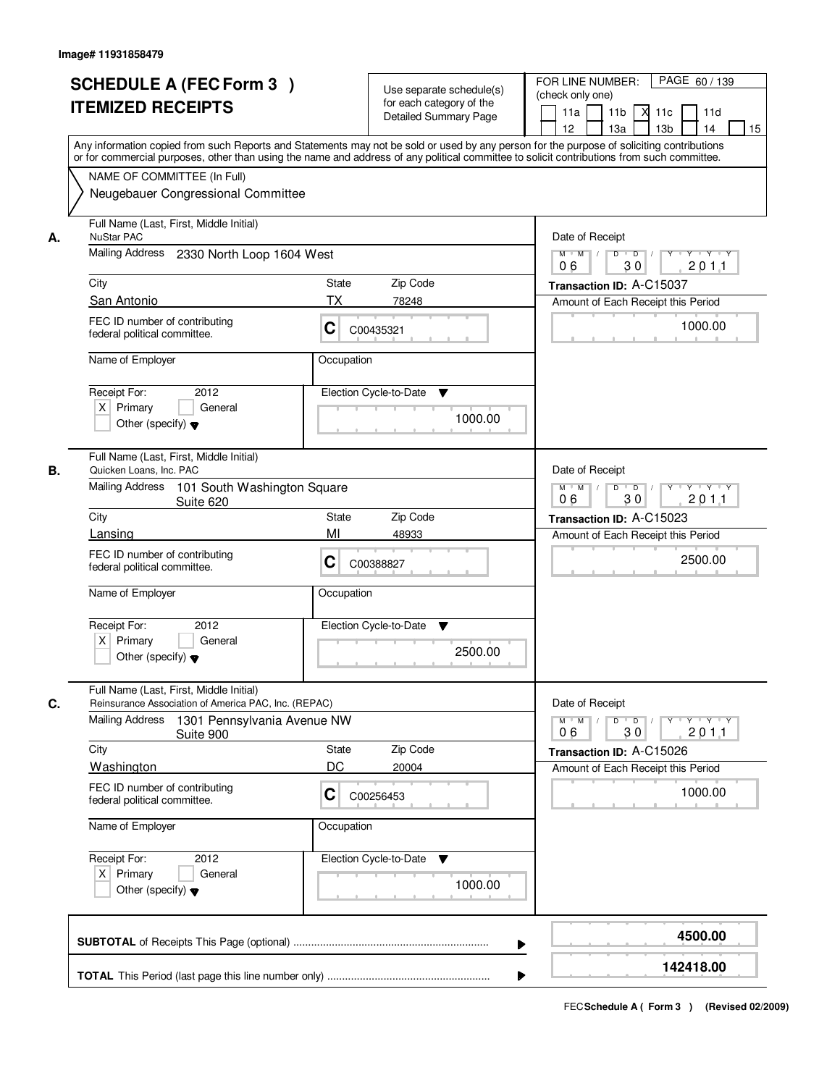|    | <b>SCHEDULE A (FEC Form 3)</b><br><b>ITEMIZED RECEIPTS</b><br>Any information copied from such Reports and Statements may not be sold or used by any person for the purpose of soliciting contributions         |                                                                                                                          | Use separate schedule(s)<br>for each category of the<br><b>Detailed Summary Page</b> | PAGE 60 / 139<br>FOR LINE NUMBER:<br>(check only one)<br>11 <sub>b</sub><br>11a<br><b>X</b><br>11c<br>11d<br>13 <sub>b</sub><br>12<br>13a<br>14<br>15 |
|----|-----------------------------------------------------------------------------------------------------------------------------------------------------------------------------------------------------------------|--------------------------------------------------------------------------------------------------------------------------|--------------------------------------------------------------------------------------|-------------------------------------------------------------------------------------------------------------------------------------------------------|
|    | or for commercial purposes, other than using the name and address of any political committee to solicit contributions from such committee.<br>NAME OF COMMITTEE (In Full)<br>Neugebauer Congressional Committee |                                                                                                                          |                                                                                      |                                                                                                                                                       |
| А. | Full Name (Last, First, Middle Initial)<br><b>NuStar PAC</b><br>Mailing Address 2330 North Loop 1604 West                                                                                                       |                                                                                                                          |                                                                                      | Date of Receipt<br>$M$ $M$<br>$D$ $D$ $/$                                                                                                             |
|    |                                                                                                                                                                                                                 | 30<br>201.1<br>06                                                                                                        |                                                                                      |                                                                                                                                                       |
|    | City                                                                                                                                                                                                            | State                                                                                                                    | Zip Code                                                                             | Transaction ID: A-C15037                                                                                                                              |
|    | San Antonio<br>FEC ID number of contributing<br>federal political committee.                                                                                                                                    | ТX<br>C                                                                                                                  | 78248<br>C00435321                                                                   | Amount of Each Receipt this Period<br>1000.00                                                                                                         |
|    | Name of Employer                                                                                                                                                                                                | Occupation                                                                                                               |                                                                                      |                                                                                                                                                       |
|    | 2012<br>Receipt For:<br>$X$ Primary<br>General<br>Other (specify) $\blacktriangledown$                                                                                                                          |                                                                                                                          | Election Cycle-to-Date<br>▼<br>1000.00                                               |                                                                                                                                                       |
| В. | Full Name (Last, First, Middle Initial)<br>Quicken Loans, Inc. PAC                                                                                                                                              |                                                                                                                          |                                                                                      | Date of Receipt                                                                                                                                       |
|    | Mailing Address<br>101 South Washington Square<br>Suite 620                                                                                                                                                     | Y<br>$\mathsf{Y} \dashv \neg \mathsf{Y} \dashv \neg \mathsf{Y}$<br>$M$ $M$ /<br>D<br>$\overline{D}$<br>30<br>201.1<br>06 |                                                                                      |                                                                                                                                                       |
|    | City                                                                                                                                                                                                            | State                                                                                                                    | Zip Code                                                                             | Transaction ID: A-C15023                                                                                                                              |
|    | Lansing<br>FEC ID number of contributing<br>federal political committee.                                                                                                                                        | MI<br>C                                                                                                                  | 48933<br>C00388827                                                                   | Amount of Each Receipt this Period<br>2500.00                                                                                                         |
|    | Name of Employer                                                                                                                                                                                                | Occupation                                                                                                               |                                                                                      |                                                                                                                                                       |
|    | Receipt For:<br>2012<br>$X$ Primary<br>General<br>Other (specify) $\blacktriangledown$                                                                                                                          |                                                                                                                          | Election Cycle-to-Date<br>v<br>2500.00                                               |                                                                                                                                                       |
| C. | Full Name (Last, First, Middle Initial)<br>Reinsurance Association of America PAC, Inc. (REPAC)<br>Mailing Address<br>1301 Pennsylvania Avenue NW<br>Suite 900                                                  |                                                                                                                          |                                                                                      | Date of Receipt<br>D<br>$M$ $M$ /<br>$\overline{D}$<br>$Y$ <sup>-1</sup><br>Y 'Y 'Y<br>2011<br>06<br>30                                               |
|    | City                                                                                                                                                                                                            | State                                                                                                                    | Zip Code                                                                             | Transaction ID: A-C15026                                                                                                                              |
|    | <b>Washington</b>                                                                                                                                                                                               | DC                                                                                                                       | 20004                                                                                | Amount of Each Receipt this Period                                                                                                                    |
|    | FEC ID number of contributing<br>federal political committee.                                                                                                                                                   | C                                                                                                                        | C00256453                                                                            | 1000.00                                                                                                                                               |
|    | Name of Employer                                                                                                                                                                                                | Occupation                                                                                                               |                                                                                      |                                                                                                                                                       |
|    | Receipt For:<br>2012<br>$X$ Primary<br>General<br>Other (specify) $\blacktriangledown$                                                                                                                          |                                                                                                                          | Election Cycle-to-Date<br>v<br>1000.00                                               |                                                                                                                                                       |
|    |                                                                                                                                                                                                                 |                                                                                                                          | ▶                                                                                    | 4500.00                                                                                                                                               |
|    |                                                                                                                                                                                                                 |                                                                                                                          |                                                                                      | 142418.00                                                                                                                                             |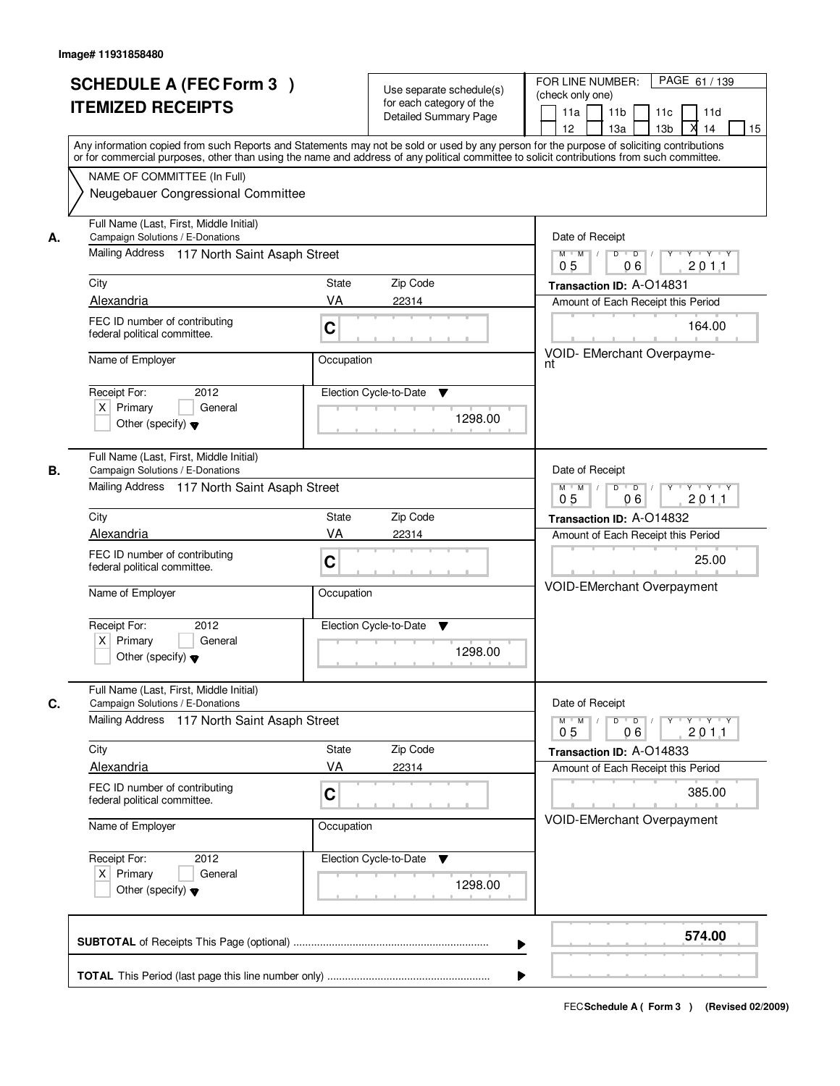|    | <b>SCHEDULE A (FEC Form 3)</b><br><b>ITEMIZED RECEIPTS</b>                                                                                                                                                                                                                                                                                                   | Use separate schedule(s)<br>for each category of the<br><b>Detailed Summary Page</b>          | PAGE 61 / 139<br>FOR LINE NUMBER:<br>(check only one)<br>11 <sub>b</sub><br>11a<br>11c<br>11d<br>М<br>12<br>13a<br>13 <sub>b</sub><br>14<br>15                                                                                                |
|----|--------------------------------------------------------------------------------------------------------------------------------------------------------------------------------------------------------------------------------------------------------------------------------------------------------------------------------------------------------------|-----------------------------------------------------------------------------------------------|-----------------------------------------------------------------------------------------------------------------------------------------------------------------------------------------------------------------------------------------------|
|    | Any information copied from such Reports and Statements may not be sold or used by any person for the purpose of soliciting contributions<br>or for commercial purposes, other than using the name and address of any political committee to solicit contributions from such committee.<br>NAME OF COMMITTEE (In Full)<br>Neugebauer Congressional Committee |                                                                                               |                                                                                                                                                                                                                                               |
| А. | Full Name (Last, First, Middle Initial)<br>Campaign Solutions / E-Donations<br>Mailing Address 117 North Saint Asaph Street<br>City<br>Alexandria<br>FEC ID number of contributing<br>federal political committee.<br>Name of Employer<br>2012<br>Receipt For:<br>$X$ Primary<br>General<br>Other (specify) $\blacktriangledown$                             | State<br>Zip Code<br>VA<br>22314<br>C<br>Occupation<br>Election Cycle-to-Date<br>▼<br>1298.00 | Date of Receipt<br>$\overline{D}$<br>$Y - Y - Y$<br>$M$ $M$ /<br>D<br>201.1<br>0 <sub>5</sub><br>06<br>Transaction ID: A-O14831<br>Amount of Each Receipt this Period<br>164.00<br>VOID- EMerchant Overpayme-<br>nt                           |
| В. | Full Name (Last, First, Middle Initial)<br>Campaign Solutions / E-Donations<br>Mailing Address 117 North Saint Asaph Street<br>City<br>Alexandria<br>FEC ID number of contributing<br>federal political committee.<br>Name of Employer<br>Receipt For:<br>2012<br>$X$ Primary<br>General<br>Other (specify) $\blacktriangledown$                             | Zip Code<br>State<br>VA<br>22314<br>C<br>Occupation<br>Election Cycle-to-Date<br>v<br>1298.00 | Date of Receipt<br>$D$ $D$ $1$<br>$M$ $M$ /<br>$Y$ <sup>U</sup><br>$Y + Y + Y$<br>0 <sub>5</sub><br>06<br>201.1<br>Transaction ID: A-O14832<br>Amount of Each Receipt this Period<br>25.00<br><b>VOID-EMerchant Overpayment</b>               |
| C. | Full Name (Last, First, Middle Initial)<br>Campaign Solutions / E-Donations<br>Mailing Address 117 North Saint Asaph Street<br>City<br>Alexandria<br>FEC ID number of contributing<br>federal political committee.<br>Name of Employer<br>Receipt For:<br>2012<br>$X$ Primary<br>General<br>Other (specify) $\blacktriangledown$                             | Zip Code<br>State<br>VA<br>22314<br>C<br>Occupation<br>Election Cycle-to-Date<br>v<br>1298.00 | Date of Receipt<br>$M^+$ M<br>$D$ $D$ $l$<br>$Y - Y - Y$<br>$\sqrt{ }$<br>$Y$ <sup>-1</sup><br>201.1<br>0 <sub>5</sub><br>06<br>Transaction ID: A-O14833<br>Amount of Each Receipt this Period<br>385.00<br><b>VOID-EMerchant Overpayment</b> |
|    |                                                                                                                                                                                                                                                                                                                                                              |                                                                                               | 574.00<br>▶                                                                                                                                                                                                                                   |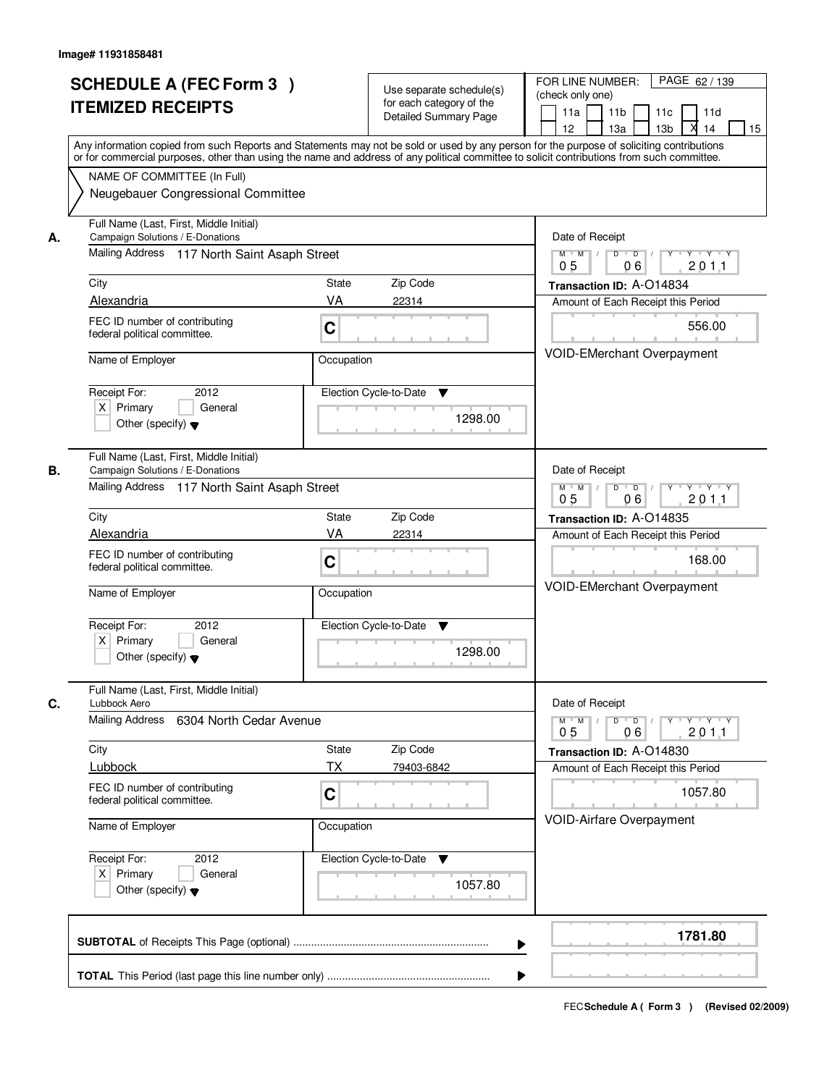|    | <b>SCHEDULE A (FEC Form 3)</b><br><b>ITEMIZED RECEIPTS</b>                                                                                                                                                                                                                              | Use separate schedule(s)<br>for each category of the<br><b>Detailed Summary Page</b> | PAGE 62 / 139<br>FOR LINE NUMBER:<br>(check only one)<br>11a<br>11 <sub>b</sub><br>11d<br>11c<br>х<br>12<br>13a<br>13 <sub>b</sub><br>14<br>15 |
|----|-----------------------------------------------------------------------------------------------------------------------------------------------------------------------------------------------------------------------------------------------------------------------------------------|--------------------------------------------------------------------------------------|------------------------------------------------------------------------------------------------------------------------------------------------|
|    | Any information copied from such Reports and Statements may not be sold or used by any person for the purpose of soliciting contributions<br>or for commercial purposes, other than using the name and address of any political committee to solicit contributions from such committee. |                                                                                      |                                                                                                                                                |
|    | NAME OF COMMITTEE (In Full)<br>Neugebauer Congressional Committee                                                                                                                                                                                                                       |                                                                                      |                                                                                                                                                |
| А. | Full Name (Last, First, Middle Initial)<br>Campaign Solutions / E-Donations                                                                                                                                                                                                             |                                                                                      | Date of Receipt                                                                                                                                |
|    | Mailing Address 117 North Saint Asaph Street                                                                                                                                                                                                                                            |                                                                                      | $\overline{D}$<br>$Y \cup Y \cup Y$<br>$M$ $M$ /<br>D<br>Y<br>201.1<br>05<br>06                                                                |
|    | City                                                                                                                                                                                                                                                                                    | Zip Code<br>State                                                                    | Transaction ID: A-O14834                                                                                                                       |
|    | Alexandria                                                                                                                                                                                                                                                                              | VA<br>22314                                                                          | Amount of Each Receipt this Period                                                                                                             |
|    | FEC ID number of contributing<br>federal political committee.                                                                                                                                                                                                                           | C                                                                                    | 556.00<br><b>VOID-EMerchant Overpayment</b>                                                                                                    |
|    | Name of Employer                                                                                                                                                                                                                                                                        | Occupation                                                                           |                                                                                                                                                |
|    | Receipt For:<br>2012                                                                                                                                                                                                                                                                    | Election Cycle-to-Date<br>▼                                                          |                                                                                                                                                |
|    | $X$ Primary<br>General<br>Other (specify) $\blacktriangledown$                                                                                                                                                                                                                          | 1298.00                                                                              |                                                                                                                                                |
| В. | Full Name (Last, First, Middle Initial)<br>Campaign Solutions / E-Donations                                                                                                                                                                                                             |                                                                                      | Date of Receipt                                                                                                                                |
|    | Mailing Address 117 North Saint Asaph Street                                                                                                                                                                                                                                            |                                                                                      | D<br>$M$ $M$ /<br>$\overline{\phantom{0}}$ D<br>$Y + Y + Y$<br>0 <sub>5</sub><br>2011<br>06                                                    |
|    | City                                                                                                                                                                                                                                                                                    | Zip Code<br>State                                                                    | Transaction ID: A-O14835                                                                                                                       |
|    | Alexandria                                                                                                                                                                                                                                                                              | VA<br>22314                                                                          | Amount of Each Receipt this Period                                                                                                             |
|    | FEC ID number of contributing<br>federal political committee.                                                                                                                                                                                                                           | C                                                                                    | 168.00                                                                                                                                         |
|    | Name of Employer                                                                                                                                                                                                                                                                        | Occupation                                                                           | VOID-EMerchant Overpayment                                                                                                                     |
|    | Receipt For:<br>2012                                                                                                                                                                                                                                                                    | Election Cycle-to-Date<br>v                                                          |                                                                                                                                                |
|    | $X$ Primary<br>General<br>Other (specify) $\blacktriangledown$                                                                                                                                                                                                                          | 1298.00                                                                              |                                                                                                                                                |
| C. | Full Name (Last, First, Middle Initial)<br>Lubbock Aero                                                                                                                                                                                                                                 |                                                                                      | Date of Receipt                                                                                                                                |
|    | Mailing Address<br>6304 North Cedar Avenue                                                                                                                                                                                                                                              |                                                                                      | $M^+$ M<br>$D$ $D$<br>$Y \rightarrow Y \rightarrow Y$<br>Y<br>201.1<br>0 <sub>5</sub><br>06                                                    |
|    | City                                                                                                                                                                                                                                                                                    | Zip Code<br>State                                                                    | Transaction ID: A-O14830                                                                                                                       |
|    | Lubbock                                                                                                                                                                                                                                                                                 | TX<br>79403-6842                                                                     | Amount of Each Receipt this Period                                                                                                             |
|    | FEC ID number of contributing<br>federal political committee.                                                                                                                                                                                                                           | C                                                                                    | 1057.80                                                                                                                                        |
|    | Name of Employer                                                                                                                                                                                                                                                                        | Occupation                                                                           | VOID-Airfare Overpayment                                                                                                                       |
|    | Receipt For:<br>2012<br>$X$ Primary<br>General<br>Other (specify) $\blacktriangledown$                                                                                                                                                                                                  | Election Cycle-to-Date<br>v<br>1057.80                                               |                                                                                                                                                |
|    |                                                                                                                                                                                                                                                                                         |                                                                                      | 1781.80                                                                                                                                        |
|    |                                                                                                                                                                                                                                                                                         |                                                                                      |                                                                                                                                                |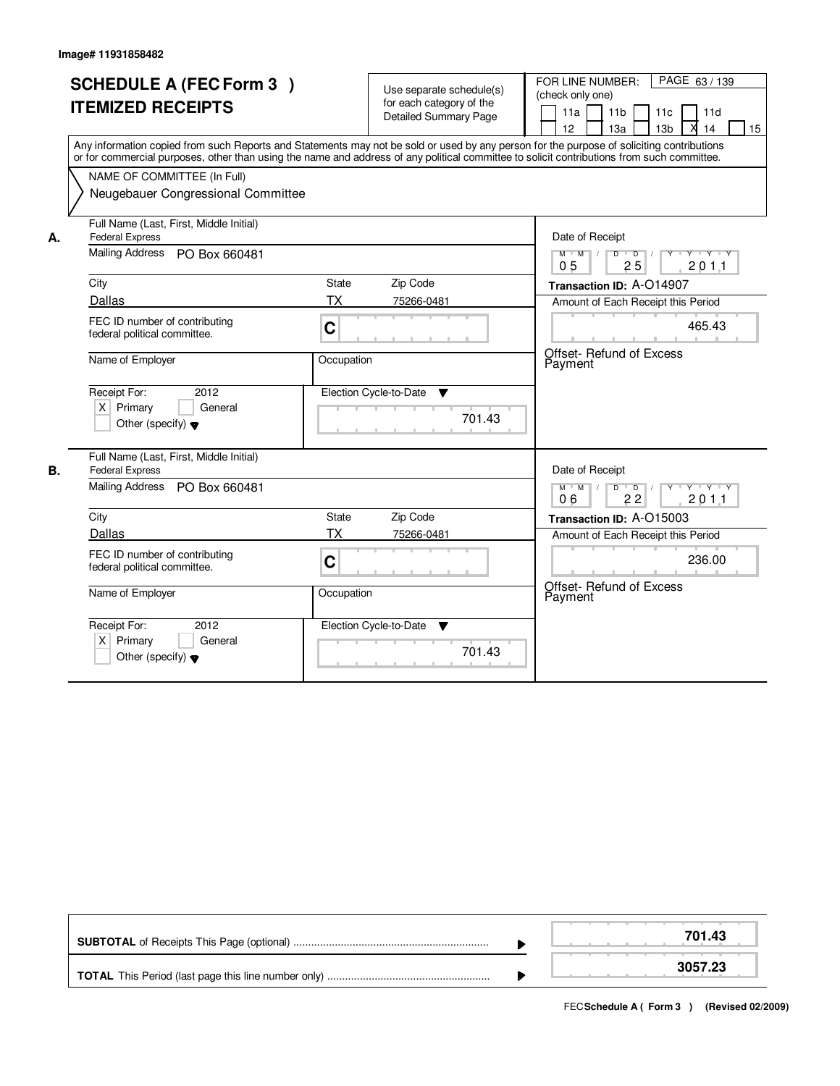r

|    | <b>SCHEDULE A (FEC Form 3)</b><br><b>ITEMIZED RECEIPTS</b><br>Any information copied from such Reports and Statements may not be sold or used by any person for the purpose of soliciting contributions<br>or for commercial purposes, other than using the name and address of any political committee to solicit contributions from such committee.<br>NAME OF COMMITTEE (In Full)<br>Neugebauer Congressional Committee |              | Use separate schedule(s)<br>for each category of the<br><b>Detailed Summary Page</b> | PAGE 63 / 139<br>FOR LINE NUMBER:<br>(check only one)<br>11a<br>11 <sub>b</sub><br>11c<br>11d<br>12<br>13a<br>13 <sub>b</sub><br>14<br>15 |
|----|----------------------------------------------------------------------------------------------------------------------------------------------------------------------------------------------------------------------------------------------------------------------------------------------------------------------------------------------------------------------------------------------------------------------------|--------------|--------------------------------------------------------------------------------------|-------------------------------------------------------------------------------------------------------------------------------------------|
| А. | Full Name (Last, First, Middle Initial)<br><b>Federal Express</b><br>Mailing Address PO Box 660481                                                                                                                                                                                                                                                                                                                         |              |                                                                                      | Date of Receipt<br>$Y + Y + Y$<br>$M$ $M$<br>$\overline{D}$<br>$\overline{D}$<br>$Y^+$<br>25<br>201.1<br>0 <sub>5</sub>                   |
|    | City                                                                                                                                                                                                                                                                                                                                                                                                                       | <b>State</b> | Zip Code                                                                             | Transaction ID: A-014907                                                                                                                  |
|    | Dallas                                                                                                                                                                                                                                                                                                                                                                                                                     | <b>TX</b>    | 75266-0481                                                                           | Amount of Each Receipt this Period                                                                                                        |
|    | FEC ID number of contributing<br>federal political committee.                                                                                                                                                                                                                                                                                                                                                              | C            |                                                                                      | 465.43                                                                                                                                    |
|    | Name of Employer                                                                                                                                                                                                                                                                                                                                                                                                           | Occupation   |                                                                                      | <b>Offset- Refund of Excess</b><br>Payment                                                                                                |
|    | Receipt For:<br>2012<br>$X$ Primary<br>General<br>Other (specify) $\blacktriangledown$                                                                                                                                                                                                                                                                                                                                     |              | Election Cycle-to-Date<br>$\overline{\mathbf{v}}$<br>701.43                          |                                                                                                                                           |
|    | Full Name (Last, First, Middle Initial)                                                                                                                                                                                                                                                                                                                                                                                    |              |                                                                                      |                                                                                                                                           |
| В. | <b>Federal Express</b><br><b>Mailing Address</b><br>PO Box 660481                                                                                                                                                                                                                                                                                                                                                          |              |                                                                                      | Date of Receipt<br>$D$ $D$ $/$<br>$\mathsf{Y} \dashv \mathsf{Y} \dashv \mathsf{Y} \dashv \mathsf{Y}$<br>$M$ $M$<br>201.1<br>06<br>22      |
|    | City                                                                                                                                                                                                                                                                                                                                                                                                                       | State        | Zip Code                                                                             | Transaction ID: A-O15003                                                                                                                  |
|    | Dallas                                                                                                                                                                                                                                                                                                                                                                                                                     | <b>TX</b>    | 75266-0481                                                                           | Amount of Each Receipt this Period                                                                                                        |
|    | FEC ID number of contributing<br>federal political committee.                                                                                                                                                                                                                                                                                                                                                              | C            |                                                                                      | 236.00                                                                                                                                    |
|    | Name of Employer                                                                                                                                                                                                                                                                                                                                                                                                           | Occupation   |                                                                                      | Offset- Refund of Excess<br>Payment                                                                                                       |
|    | Receipt For:<br>2012<br>$X$ Primary<br>General<br>Other (specify) $\blacktriangledown$                                                                                                                                                                                                                                                                                                                                     |              | Election Cycle-to-Date<br>▼<br>701.43                                                |                                                                                                                                           |

|  | 701 43. |
|--|---------|
|  | 3057.23 |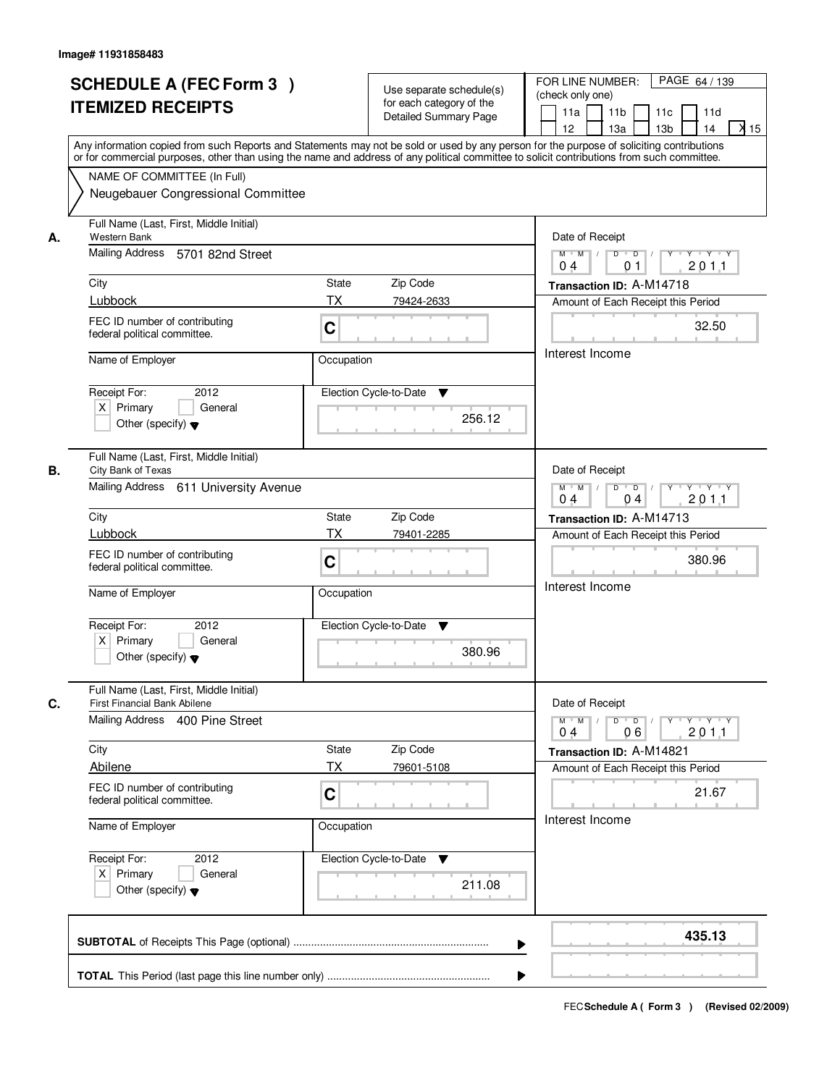|    | <b>SCHEDULE A (FEC Form 3)</b><br><b>ITEMIZED RECEIPTS</b>                                                                                                                                                                                                                                                                                                   |                                              | Use separate schedule(s)<br>for each category of the<br><b>Detailed Summary Page</b> | PAGE 64 / 139<br>FOR LINE NUMBER:<br>(check only one)<br>11 <sub>b</sub><br>11a<br>11c<br>11d<br>$X$ 15<br>13 <sub>b</sub><br>12 <sup>2</sup><br>13a<br>14                                                                                                                                                                                                                                                                                                                                                                                                                         |
|----|--------------------------------------------------------------------------------------------------------------------------------------------------------------------------------------------------------------------------------------------------------------------------------------------------------------------------------------------------------------|----------------------------------------------|--------------------------------------------------------------------------------------|------------------------------------------------------------------------------------------------------------------------------------------------------------------------------------------------------------------------------------------------------------------------------------------------------------------------------------------------------------------------------------------------------------------------------------------------------------------------------------------------------------------------------------------------------------------------------------|
|    | Any information copied from such Reports and Statements may not be sold or used by any person for the purpose of soliciting contributions<br>or for commercial purposes, other than using the name and address of any political committee to solicit contributions from such committee.<br>NAME OF COMMITTEE (In Full)<br>Neugebauer Congressional Committee |                                              |                                                                                      |                                                                                                                                                                                                                                                                                                                                                                                                                                                                                                                                                                                    |
| А. | Full Name (Last, First, Middle Initial)<br>Western Bank<br>Mailing Address 5701 82nd Street<br>City<br>Lubbock<br>FEC ID number of contributing<br>federal political committee.<br>Name of Employer<br>Receipt For:<br>2012<br>$X$ Primary<br>General<br>Other (specify) $\blacktriangledown$                                                                | State<br>ТX<br>C<br>Occupation               | Zip Code<br>79424-2633<br>Election Cycle-to-Date<br>▼<br>256.12                      | Date of Receipt<br>$\begin{array}{c c c c c c c c} \hline \textbf{0} & \textbf{0} & \textbf{0} & \textbf{0} & \textbf{0} & \textbf{0} & \textbf{0} & \textbf{0} & \textbf{0} & \textbf{0} & \textbf{0} & \textbf{0} & \textbf{0} & \textbf{0} & \textbf{0} & \textbf{0} & \textbf{0} & \textbf{0} & \textbf{0} & \textbf{0} & \textbf{0} & \textbf{0} & \textbf{0} & \textbf{0} & \textbf{0} & \textbf{0} & \textbf{0} & \textbf{0} &$<br>$M$ $M$ /<br>201.1<br>04<br>0 <sub>1</sub><br>Transaction ID: A-M14718<br>Amount of Each Receipt this Period<br>32.50<br>Interest Income |
| В. | Full Name (Last, First, Middle Initial)<br>City Bank of Texas<br>Mailing Address 611 University Avenue<br>City<br>Lubbock<br>FEC ID number of contributing<br>federal political committee.<br>Name of Employer<br>Receipt For:<br>2012<br>$X$ Primary<br>General<br>Other (specify) $\blacktriangledown$                                                     | <b>State</b><br><b>TX</b><br>C<br>Occupation | Zip Code<br>79401-2285<br>Election Cycle-to-Date<br>v<br>380.96                      | Date of Receipt<br>Y 'Y 'Y<br>$M$ $M$ /<br>D<br>$\overline{\phantom{0}}$<br>0 <sub>4</sub><br>201.1<br>04<br>Transaction ID: A-M14713<br>Amount of Each Receipt this Period<br>380.96<br>Interest Income                                                                                                                                                                                                                                                                                                                                                                           |
| C. | Full Name (Last, First, Middle Initial)<br>First Financial Bank Abilene<br>Mailing Address 400 Pine Street<br>City<br>Abilene<br>FEC ID number of contributing<br>federal political committee.<br>Name of Employer<br>Receipt For:<br>2012<br>$X$ Primary<br>General<br>Other (specify) $\blacktriangledown$                                                 | State<br>ТX<br>C<br>Occupation               | Zip Code<br>79601-5108<br>Election Cycle-to-Date<br>v<br>211.08                      | Date of Receipt<br>$M$ $M$<br>$D$ $D$ $l$<br>yuyuyuyu<br>2011<br>06<br>04<br>Transaction ID: A-M14821<br>Amount of Each Receipt this Period<br>21.67<br>Interest Income                                                                                                                                                                                                                                                                                                                                                                                                            |
|    |                                                                                                                                                                                                                                                                                                                                                              |                                              | ▶                                                                                    | 435.13                                                                                                                                                                                                                                                                                                                                                                                                                                                                                                                                                                             |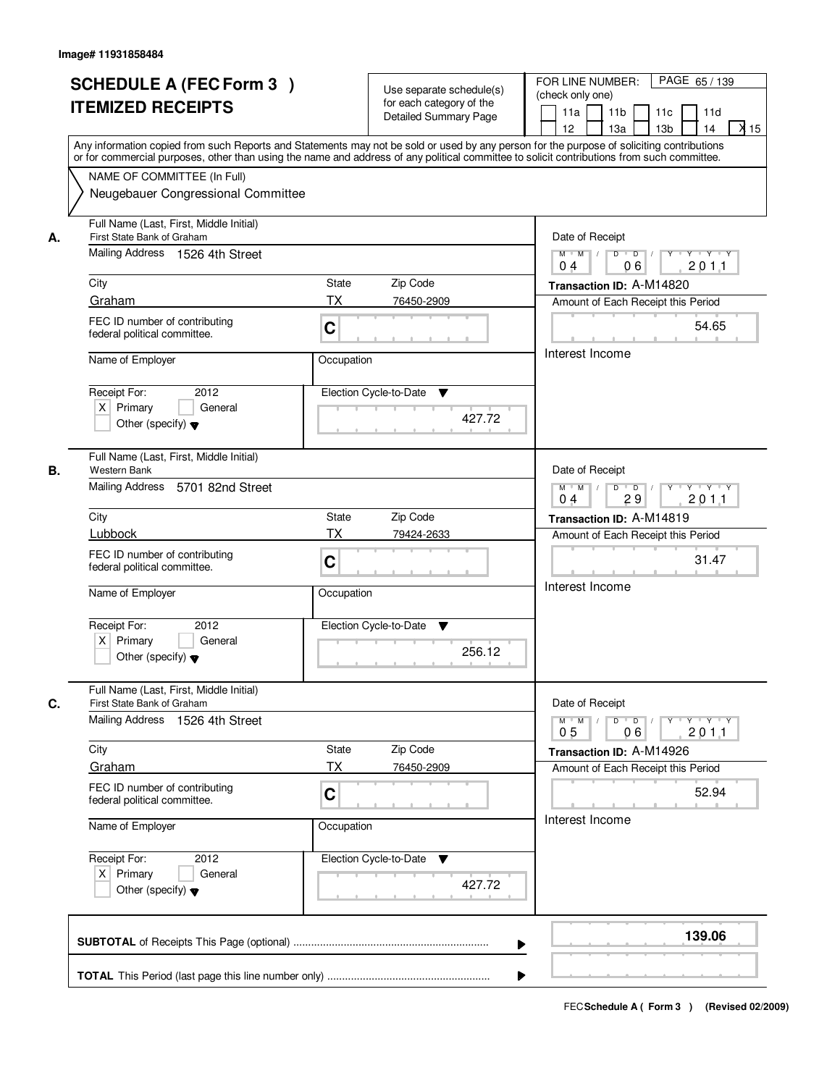|    | <b>SCHEDULE A (FEC Form 3)</b><br><b>ITEMIZED RECEIPTS</b><br>Any information copied from such Reports and Statements may not be sold or used by any person for the purpose of soliciting contributions<br>or for commercial purposes, other than using the name and address of any political committee to solicit contributions from such committee. |                                                     | Use separate schedule(s)<br>for each category of the<br><b>Detailed Summary Page</b> | PAGE 65 / 139<br>FOR LINE NUMBER:<br>(check only one)<br>11 <sub>b</sub><br>11a<br>11c<br>11d<br>$\lambda$ 15<br>13 <sub>b</sub><br>14<br>12 <sup>2</sup><br>13a |
|----|-------------------------------------------------------------------------------------------------------------------------------------------------------------------------------------------------------------------------------------------------------------------------------------------------------------------------------------------------------|-----------------------------------------------------|--------------------------------------------------------------------------------------|------------------------------------------------------------------------------------------------------------------------------------------------------------------|
|    | NAME OF COMMITTEE (In Full)<br>Neugebauer Congressional Committee                                                                                                                                                                                                                                                                                     |                                                     |                                                                                      |                                                                                                                                                                  |
| А. | Full Name (Last, First, Middle Initial)<br>First State Bank of Graham<br>Mailing Address 1526 4th Street                                                                                                                                                                                                                                              |                                                     |                                                                                      | Date of Receipt<br>$D$ $D$ $/$<br>$Y$ $Y$ $Y$<br>$M$ $M$ /<br>Y                                                                                                  |
|    |                                                                                                                                                                                                                                                                                                                                                       |                                                     |                                                                                      | 06<br>201.1<br>0 <sub>4</sub>                                                                                                                                    |
|    | City<br>Graham                                                                                                                                                                                                                                                                                                                                        | State<br>Zip Code<br><b>TX</b><br>76450-2909        |                                                                                      | Transaction ID: A-M14820<br>Amount of Each Receipt this Period                                                                                                   |
|    | FEC ID number of contributing<br>federal political committee.                                                                                                                                                                                                                                                                                         | C                                                   |                                                                                      | 54.65                                                                                                                                                            |
|    | Name of Employer                                                                                                                                                                                                                                                                                                                                      | Occupation                                          |                                                                                      | Interest Income                                                                                                                                                  |
|    | 2012<br>Receipt For:<br>$X$ Primary<br>General<br>Other (specify) $\blacktriangledown$                                                                                                                                                                                                                                                                | Election Cycle-to-Date                              | ▼<br>427.72                                                                          |                                                                                                                                                                  |
| В. | Full Name (Last, First, Middle Initial)<br>Western Bank<br>Mailing Address 5701 82nd Street                                                                                                                                                                                                                                                           |                                                     |                                                                                      | Date of Receipt<br>$\mathsf{Y} \dashv \neg \mathsf{Y} \dashv \neg \mathsf{Y}$<br>$M$ $M$ /<br>D<br>$\overline{D}$<br>$Y$ <sup>U</sup>                            |
|    |                                                                                                                                                                                                                                                                                                                                                       |                                                     |                                                                                      | 29<br>201.1<br>04                                                                                                                                                |
|    | City<br>Lubbock                                                                                                                                                                                                                                                                                                                                       | Zip Code<br><b>State</b><br><b>TX</b><br>79424-2633 |                                                                                      | Transaction ID: A-M14819                                                                                                                                         |
|    | FEC ID number of contributing<br>federal political committee.                                                                                                                                                                                                                                                                                         | C                                                   |                                                                                      | Amount of Each Receipt this Period<br>31.47                                                                                                                      |
|    | Name of Employer                                                                                                                                                                                                                                                                                                                                      | Occupation                                          |                                                                                      | Interest Income                                                                                                                                                  |
|    | Receipt For:<br>2012<br>$X$ Primary<br>General<br>Other (specify) $\blacktriangledown$                                                                                                                                                                                                                                                                | Election Cycle-to-Date                              | v<br>256.12                                                                          |                                                                                                                                                                  |
| C. | Full Name (Last, First, Middle Initial)<br>First State Bank of Graham                                                                                                                                                                                                                                                                                 |                                                     |                                                                                      | Date of Receipt                                                                                                                                                  |
|    | Mailing Address 1526 4th Street                                                                                                                                                                                                                                                                                                                       |                                                     |                                                                                      | $D$ $D$ $/$<br><b>Y Y Y Y Y Y</b><br>$M = M$<br>201.1<br>0 <sub>5</sub><br>06                                                                                    |
|    | City                                                                                                                                                                                                                                                                                                                                                  | Zip Code<br><b>State</b>                            |                                                                                      | Transaction ID: A-M14926                                                                                                                                         |
|    | Graham                                                                                                                                                                                                                                                                                                                                                | ТX<br>76450-2909                                    |                                                                                      | Amount of Each Receipt this Period                                                                                                                               |
|    | FEC ID number of contributing<br>federal political committee.                                                                                                                                                                                                                                                                                         | C                                                   |                                                                                      | 52.94                                                                                                                                                            |
|    | Name of Employer                                                                                                                                                                                                                                                                                                                                      | Occupation                                          |                                                                                      | Interest Income                                                                                                                                                  |
|    | Receipt For:<br>2012<br>$X$ Primary<br>General<br>Other (specify) $\blacktriangledown$                                                                                                                                                                                                                                                                | Election Cycle-to-Date ▼                            | 427.72                                                                               |                                                                                                                                                                  |
|    |                                                                                                                                                                                                                                                                                                                                                       |                                                     | ▶                                                                                    | 139.06                                                                                                                                                           |
|    |                                                                                                                                                                                                                                                                                                                                                       |                                                     |                                                                                      |                                                                                                                                                                  |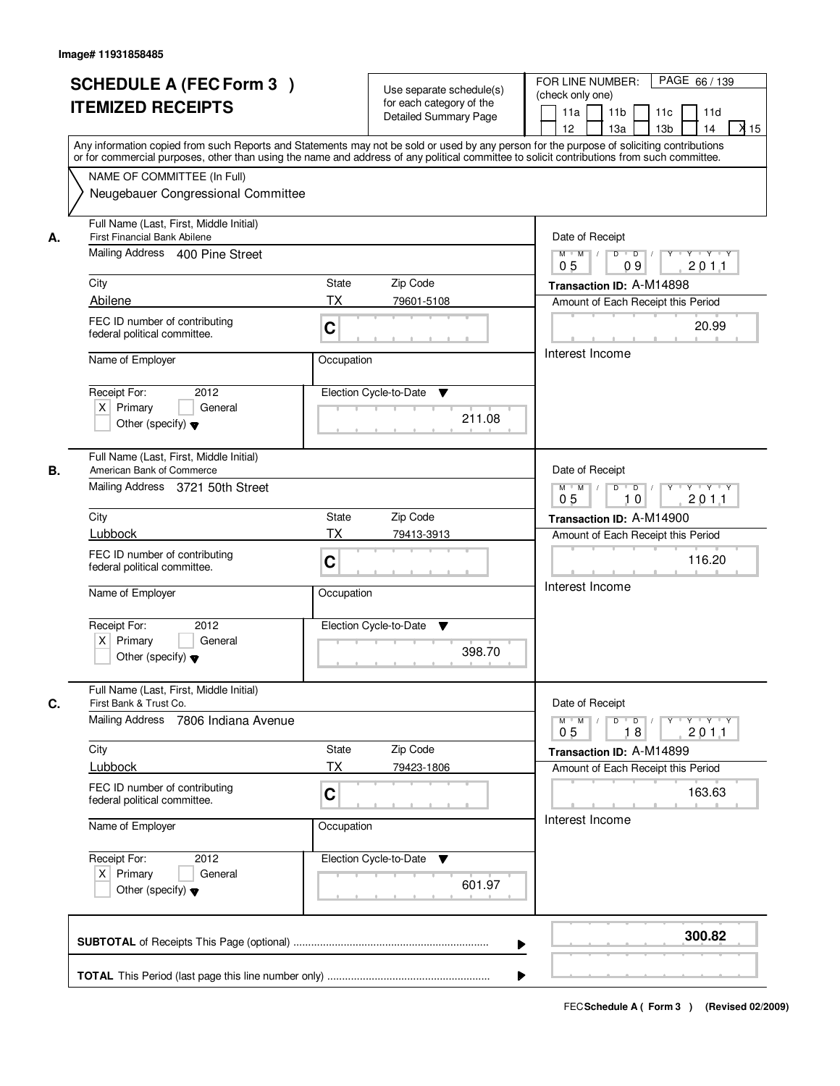|    | <b>SCHEDULE A (FEC Form 3)</b><br><b>ITEMIZED RECEIPTS</b>                                                        | Use separate schedule(s)<br>for each category of the<br><b>Detailed Summary Page</b><br>Any information copied from such Reports and Statements may not be sold or used by any person for the purpose of soliciting contributions<br>or for commercial purposes, other than using the name and address of any political committee to solicit contributions from such committee. | PAGE 66 / 139<br>FOR LINE NUMBER:<br>(check only one)<br>11 <sub>b</sub><br>11a<br>11c<br>11d<br>$\lambda$ 15<br>13 <sub>b</sub><br>14<br>12 <sup>2</sup><br>13a           |
|----|-------------------------------------------------------------------------------------------------------------------|---------------------------------------------------------------------------------------------------------------------------------------------------------------------------------------------------------------------------------------------------------------------------------------------------------------------------------------------------------------------------------|----------------------------------------------------------------------------------------------------------------------------------------------------------------------------|
|    | NAME OF COMMITTEE (In Full)<br>Neugebauer Congressional Committee                                                 |                                                                                                                                                                                                                                                                                                                                                                                 |                                                                                                                                                                            |
| А. | Full Name (Last, First, Middle Initial)<br><b>First Financial Bank Abilene</b><br>Mailing Address 400 Pine Street |                                                                                                                                                                                                                                                                                                                                                                                 | Date of Receipt<br>$Y + Y + Y$<br>$M$ $M$ /<br>$D$ $D$ $1$<br>Y                                                                                                            |
|    | City                                                                                                              | State<br>Zip Code                                                                                                                                                                                                                                                                                                                                                               | 0 <sub>5</sub><br>09<br>201.1<br>Transaction ID: A-M14898                                                                                                                  |
|    | Abilene<br>FEC ID number of contributing<br>federal political committee.                                          | <b>TX</b><br>79601-5108<br>C                                                                                                                                                                                                                                                                                                                                                    | Amount of Each Receipt this Period<br>20.99                                                                                                                                |
|    | Name of Employer                                                                                                  | Occupation                                                                                                                                                                                                                                                                                                                                                                      | Interest Income                                                                                                                                                            |
|    | 2012<br>Receipt For:<br>$X$ Primary<br>General<br>Other (specify) $\blacktriangledown$                            | Election Cycle-to-Date<br>▼<br>211.08                                                                                                                                                                                                                                                                                                                                           |                                                                                                                                                                            |
| В. | Full Name (Last, First, Middle Initial)<br>American Bank of Commerce<br>Mailing Address 3721 50th Street          |                                                                                                                                                                                                                                                                                                                                                                                 | Date of Receipt<br>$D$ $D$ $/$<br>Y Y Y Y<br>$M$ $M$ /<br>$Y$ <sup><math>\top</math></sup><br>0 <sub>5</sub><br>10<br>201.1                                                |
|    | City                                                                                                              | Zip Code<br><b>State</b>                                                                                                                                                                                                                                                                                                                                                        | Transaction ID: A-M14900                                                                                                                                                   |
|    | Lubbock<br>FEC ID number of contributing<br>federal political committee.                                          | <b>TX</b><br>79413-3913<br>C                                                                                                                                                                                                                                                                                                                                                    | Amount of Each Receipt this Period<br>116.20<br>Interest Income                                                                                                            |
|    | Name of Employer                                                                                                  | Occupation                                                                                                                                                                                                                                                                                                                                                                      |                                                                                                                                                                            |
|    | Receipt For:<br>2012<br>$X$ Primary<br>General<br>Other (specify) $\blacktriangledown$                            | Election Cycle-to-Date<br>v<br>398.70                                                                                                                                                                                                                                                                                                                                           |                                                                                                                                                                            |
| C. | Full Name (Last, First, Middle Initial)<br>First Bank & Trust Co.<br>Mailing Address 7806 Indiana Avenue          |                                                                                                                                                                                                                                                                                                                                                                                 | Date of Receipt<br>$D$ $D$ $/$<br>$\begin{array}{ccccccccccccc} &\mathsf{Y} &\mathsf{I} &\mathsf{Y} &\mathsf{I} &\mathsf{Y} &\mathsf{I} &\mathsf{Y}\end{array}$<br>$M = M$ |
|    | City<br>Lubbock                                                                                                   | Zip Code<br><b>State</b><br>ТX<br>79423-1806                                                                                                                                                                                                                                                                                                                                    | 201.1<br>0 <sub>5</sub><br>18<br>Transaction ID: A-M14899                                                                                                                  |
|    | FEC ID number of contributing<br>federal political committee.                                                     | C                                                                                                                                                                                                                                                                                                                                                                               | Amount of Each Receipt this Period<br>163.63                                                                                                                               |
|    | Name of Employer                                                                                                  | Occupation                                                                                                                                                                                                                                                                                                                                                                      | Interest Income                                                                                                                                                            |
|    | Receipt For:<br>2012<br>$X$ Primary<br>General<br>Other (specify) $\blacktriangledown$                            | Election Cycle-to-Date ▼<br>601.97                                                                                                                                                                                                                                                                                                                                              |                                                                                                                                                                            |
|    |                                                                                                                   | ▶                                                                                                                                                                                                                                                                                                                                                                               | 300.82                                                                                                                                                                     |
|    |                                                                                                                   |                                                                                                                                                                                                                                                                                                                                                                                 |                                                                                                                                                                            |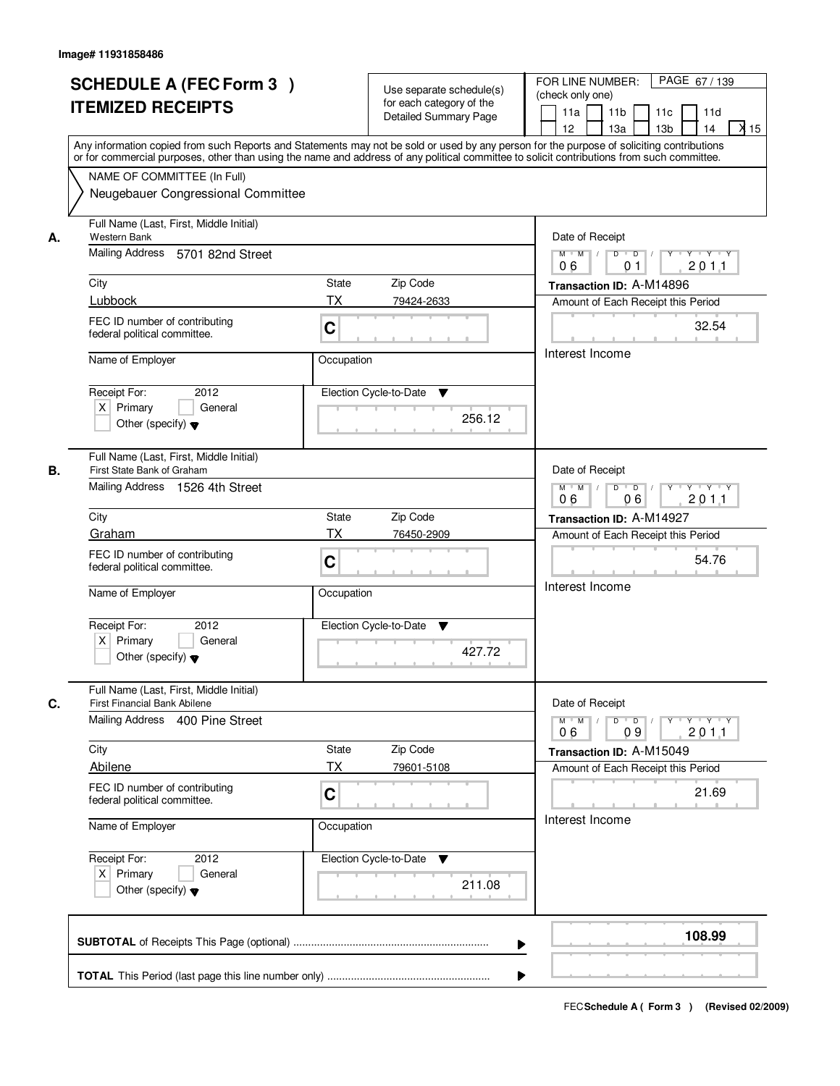|    | <b>SCHEDULE A (FEC Form 3)</b><br><b>ITEMIZED RECEIPTS</b><br>Any information copied from such Reports and Statements may not be sold or used by any person for the purpose of soliciting contributions<br>or for commercial purposes, other than using the name and address of any political committee to solicit contributions from such committee. |              | Use separate schedule(s)<br>for each category of the<br><b>Detailed Summary Page</b> | PAGE 67/139<br>FOR LINE NUMBER:<br>(check only one)<br>11 <sub>b</sub><br>11a<br>11c<br>11d<br>$X$ 15<br>13 <sub>b</sub><br>12 <sup>2</sup><br>13a<br>14                                                                                                                                                                                                                                                                                                                             |
|----|-------------------------------------------------------------------------------------------------------------------------------------------------------------------------------------------------------------------------------------------------------------------------------------------------------------------------------------------------------|--------------|--------------------------------------------------------------------------------------|--------------------------------------------------------------------------------------------------------------------------------------------------------------------------------------------------------------------------------------------------------------------------------------------------------------------------------------------------------------------------------------------------------------------------------------------------------------------------------------|
|    | NAME OF COMMITTEE (In Full)<br>Neugebauer Congressional Committee                                                                                                                                                                                                                                                                                     |              |                                                                                      |                                                                                                                                                                                                                                                                                                                                                                                                                                                                                      |
| А. | Full Name (Last, First, Middle Initial)<br>Western Bank<br>Mailing Address 5701 82nd Street<br>City                                                                                                                                                                                                                                                   | State        | Zip Code                                                                             | Date of Receipt<br>$\begin{array}{c c c c c c c c} \hline \textbf{0} & \textbf{0} & \textbf{0} & \textbf{0} & \textbf{0} & \textbf{0} & \textbf{0} & \textbf{0} & \textbf{0} & \textbf{0} & \textbf{0} & \textbf{0} & \textbf{0} & \textbf{0} & \textbf{0} & \textbf{0} & \textbf{0} & \textbf{0} & \textbf{0} & \textbf{0} & \textbf{0} & \textbf{0} & \textbf{0} & \textbf{0} & \textbf{0} & \textbf{0} & \textbf{0} & \textbf{0} &$<br>$M$ $M$ /<br>201.1<br>06<br>0 <sub>1</sub> |
|    | Lubbock                                                                                                                                                                                                                                                                                                                                               | ТX           |                                                                                      | Transaction ID: A-M14896                                                                                                                                                                                                                                                                                                                                                                                                                                                             |
|    | FEC ID number of contributing<br>federal political committee.                                                                                                                                                                                                                                                                                         | C            | 79424-2633                                                                           | Amount of Each Receipt this Period<br>32.54                                                                                                                                                                                                                                                                                                                                                                                                                                          |
|    | Name of Employer                                                                                                                                                                                                                                                                                                                                      | Occupation   |                                                                                      | Interest Income                                                                                                                                                                                                                                                                                                                                                                                                                                                                      |
|    | Receipt For:<br>2012<br>$X$ Primary<br>General<br>Other (specify) $\blacktriangledown$                                                                                                                                                                                                                                                                |              | Election Cycle-to-Date<br>▼<br>256.12                                                |                                                                                                                                                                                                                                                                                                                                                                                                                                                                                      |
| В. | Full Name (Last, First, Middle Initial)<br>First State Bank of Graham<br>Mailing Address 1526 4th Street                                                                                                                                                                                                                                              |              |                                                                                      | Date of Receipt<br>Y 'Y 'Y<br>$M$ $M$ /<br>D<br>$\overline{\phantom{0}}$<br>06<br>201.1<br>06                                                                                                                                                                                                                                                                                                                                                                                        |
|    | City                                                                                                                                                                                                                                                                                                                                                  | <b>State</b> | Zip Code                                                                             | Transaction ID: A-M14927                                                                                                                                                                                                                                                                                                                                                                                                                                                             |
|    | Graham                                                                                                                                                                                                                                                                                                                                                | <b>TX</b>    | 76450-2909                                                                           | Amount of Each Receipt this Period                                                                                                                                                                                                                                                                                                                                                                                                                                                   |
|    | FEC ID number of contributing<br>federal political committee.                                                                                                                                                                                                                                                                                         | C            |                                                                                      | 54.76<br>Interest Income                                                                                                                                                                                                                                                                                                                                                                                                                                                             |
|    | Name of Employer                                                                                                                                                                                                                                                                                                                                      | Occupation   |                                                                                      |                                                                                                                                                                                                                                                                                                                                                                                                                                                                                      |
|    | Receipt For:<br>2012<br>$X$ Primary<br>General<br>Other (specify) $\blacktriangledown$                                                                                                                                                                                                                                                                |              | Election Cycle-to-Date<br>v<br>427.72                                                |                                                                                                                                                                                                                                                                                                                                                                                                                                                                                      |
|    | Full Name (Last, First, Middle Initial)                                                                                                                                                                                                                                                                                                               |              |                                                                                      |                                                                                                                                                                                                                                                                                                                                                                                                                                                                                      |
| C. | First Financial Bank Abilene<br>Mailing Address 400 Pine Street                                                                                                                                                                                                                                                                                       |              |                                                                                      | Date of Receipt<br>$M$ $M$<br>$D$ $D$ $/$<br>$Y$ <sup>-1</sup><br>$Y + Y + Y$<br>2011<br>06<br>09                                                                                                                                                                                                                                                                                                                                                                                    |
|    | City                                                                                                                                                                                                                                                                                                                                                  | <b>State</b> | Zip Code                                                                             | Transaction ID: A-M15049                                                                                                                                                                                                                                                                                                                                                                                                                                                             |
|    | Abilene                                                                                                                                                                                                                                                                                                                                               | ТX           | 79601-5108                                                                           | Amount of Each Receipt this Period                                                                                                                                                                                                                                                                                                                                                                                                                                                   |
|    | FEC ID number of contributing<br>federal political committee.                                                                                                                                                                                                                                                                                         | C            |                                                                                      | 21.69<br>Interest Income                                                                                                                                                                                                                                                                                                                                                                                                                                                             |
|    | Name of Employer                                                                                                                                                                                                                                                                                                                                      | Occupation   |                                                                                      |                                                                                                                                                                                                                                                                                                                                                                                                                                                                                      |
|    | Receipt For:<br>2012<br>$X$ Primary<br>General<br>Other (specify) $\blacktriangledown$                                                                                                                                                                                                                                                                |              | Election Cycle-to-Date<br>v<br>211.08                                                |                                                                                                                                                                                                                                                                                                                                                                                                                                                                                      |
|    |                                                                                                                                                                                                                                                                                                                                                       |              | ▶                                                                                    | 108.99                                                                                                                                                                                                                                                                                                                                                                                                                                                                               |
|    |                                                                                                                                                                                                                                                                                                                                                       |              |                                                                                      |                                                                                                                                                                                                                                                                                                                                                                                                                                                                                      |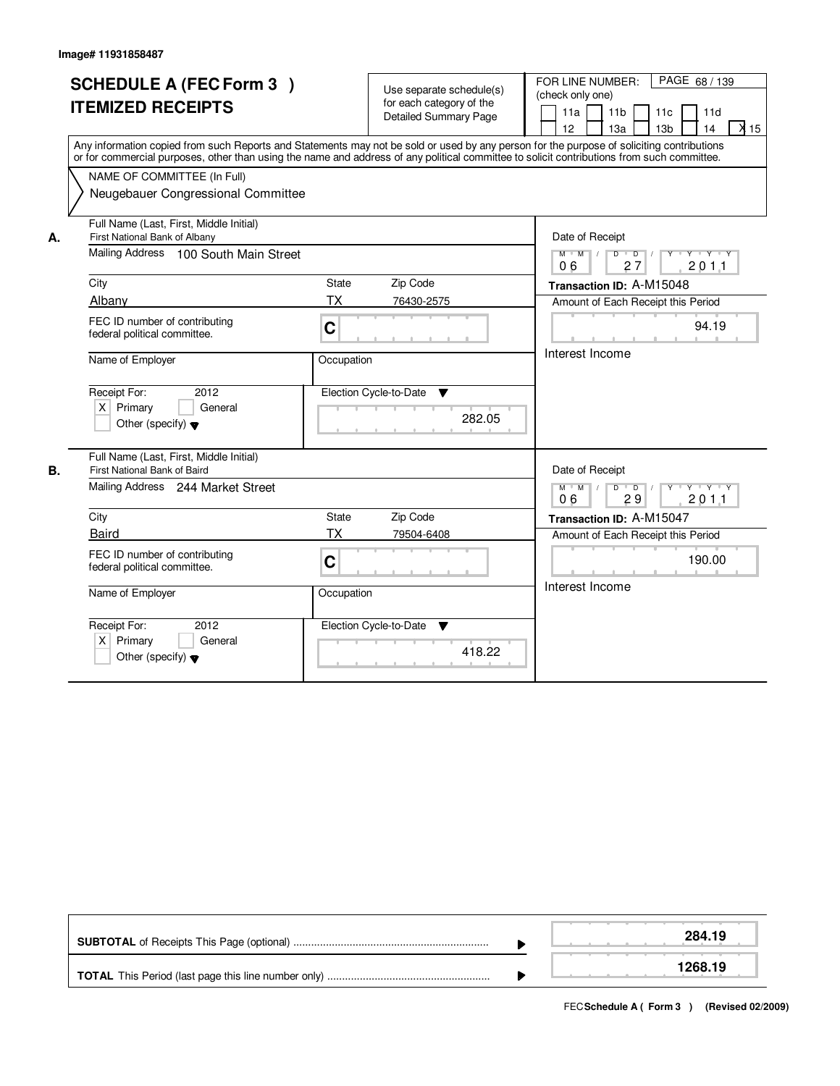|    | <b>SCHEDULE A (FEC Form 3)</b><br><b>ITEMIZED RECEIPTS</b><br>Any information copied from such Reports and Statements may not be sold or used by any person for the purpose of soliciting contributions<br>or for commercial purposes, other than using the name and address of any political committee to solicit contributions from such committee.<br>NAME OF COMMITTEE (In Full)<br>Neugebauer Congressional Committee |              | Use separate schedule(s)<br>for each category of the<br><b>Detailed Summary Page</b> | PAGE 68 / 139<br>FOR LINE NUMBER:<br>(check only one)<br>11 <sub>b</sub><br>11a<br>11c<br>11d<br>$\overline{\lambda}$ 15<br>12<br>13a<br>13 <sub>b</sub><br>14 |
|----|----------------------------------------------------------------------------------------------------------------------------------------------------------------------------------------------------------------------------------------------------------------------------------------------------------------------------------------------------------------------------------------------------------------------------|--------------|--------------------------------------------------------------------------------------|----------------------------------------------------------------------------------------------------------------------------------------------------------------|
| А. | Full Name (Last, First, Middle Initial)<br>First National Bank of Albany<br>Mailing Address 100 South Main Street                                                                                                                                                                                                                                                                                                          |              |                                                                                      | Date of Receipt<br>$Y + Y + Y$<br>$M$ M<br>D<br>$\vert$ /<br>$\overline{D}$<br>27<br>201.1<br>06                                                               |
|    | City                                                                                                                                                                                                                                                                                                                                                                                                                       | State        | Zip Code                                                                             | Transaction ID: A-M15048                                                                                                                                       |
|    | Albany                                                                                                                                                                                                                                                                                                                                                                                                                     | <b>TX</b>    | 76430-2575                                                                           | Amount of Each Receipt this Period                                                                                                                             |
|    | FEC ID number of contributing<br>federal political committee.                                                                                                                                                                                                                                                                                                                                                              | $\mathbf C$  |                                                                                      | 94.19                                                                                                                                                          |
|    | Name of Employer                                                                                                                                                                                                                                                                                                                                                                                                           | Occupation   |                                                                                      | Interest Income                                                                                                                                                |
|    | Receipt For:<br>2012<br>$X$ Primary<br>General<br>Other (specify) $\blacktriangledown$                                                                                                                                                                                                                                                                                                                                     |              | Election Cycle-to-Date<br>▼<br>282.05                                                |                                                                                                                                                                |
| В. | Full Name (Last, First, Middle Initial)<br>First National Bank of Baird                                                                                                                                                                                                                                                                                                                                                    |              |                                                                                      | Date of Receipt                                                                                                                                                |
|    | Mailing Address 244 Market Street                                                                                                                                                                                                                                                                                                                                                                                          |              |                                                                                      | $D$ $D$ $/$<br>Y FY FY FY<br>$M$ $M$ /<br>29<br>201.1<br>06                                                                                                    |
|    | City                                                                                                                                                                                                                                                                                                                                                                                                                       | <b>State</b> | Zip Code                                                                             | Transaction ID: A-M15047                                                                                                                                       |
|    | <b>Baird</b>                                                                                                                                                                                                                                                                                                                                                                                                               | <b>TX</b>    | 79504-6408                                                                           | Amount of Each Receipt this Period                                                                                                                             |
|    | FEC ID number of contributing<br>federal political committee.                                                                                                                                                                                                                                                                                                                                                              | C            |                                                                                      | 190.00                                                                                                                                                         |
|    | Name of Employer                                                                                                                                                                                                                                                                                                                                                                                                           | Occupation   |                                                                                      | Interest Income                                                                                                                                                |
|    | Receipt For:<br>2012<br>$X$ Primary<br>General<br>Other (specify) $\blacktriangledown$                                                                                                                                                                                                                                                                                                                                     |              | Election Cycle-to-Date<br>v<br>418.22                                                |                                                                                                                                                                |

|  | 284.19  |
|--|---------|
|  | 1268.19 |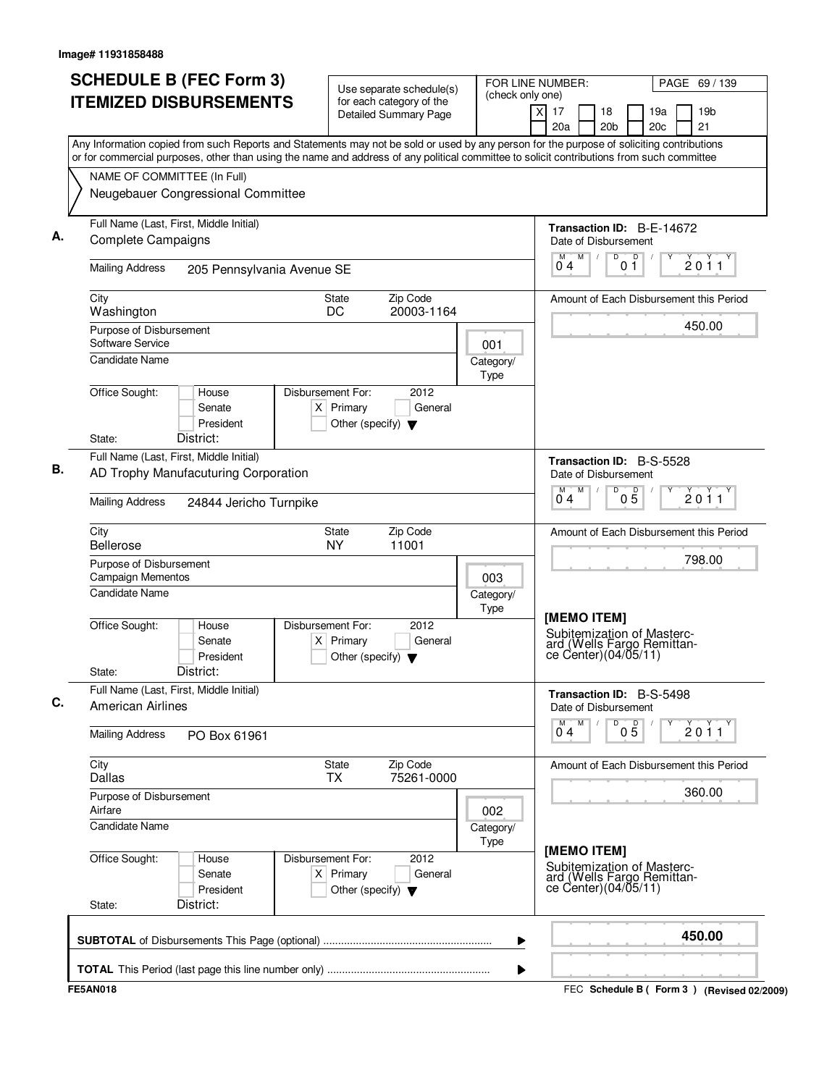| <b>ITEMIZED DISBURSEMENTS</b><br>Any Information copied from such Reports and Statements may not be sold or used by any person for the purpose of soliciting contributions<br>or for commercial purposes, other than using the name and address of any political committee to solicit contributions from such committee<br>NAME OF COMMITTEE (In Full)<br>Neugebauer Congressional Committee<br>Full Name (Last, First, Middle Initial)<br>Complete Campaigns<br><b>Mailing Address</b><br>205 Pennsylvania Avenue SE<br>City<br>Washington<br>Purpose of Disbursement<br>Software Service<br>Candidate Name | for each category of the<br>Detailed Summary Page<br>Zip Code<br><b>State</b><br>DC<br>20003-1164<br>Disbursement For:<br>2012<br>$X$ Primary<br>General<br>Other (specify) $\blacktriangledown$ | (check only one)<br>001<br>Category/<br>Type | $\overline{X}$<br>17<br>18<br>19a<br>20a<br>20 <sub>b</sub><br>20c<br>Transaction ID: B-E-14672<br>Date of Disbursement<br>M<br>D<br>D<br>M<br>04<br>01<br>Amount of Each Disbursement this Period | 19 <sub>b</sub><br>21<br>2011<br>450.00 |
|--------------------------------------------------------------------------------------------------------------------------------------------------------------------------------------------------------------------------------------------------------------------------------------------------------------------------------------------------------------------------------------------------------------------------------------------------------------------------------------------------------------------------------------------------------------------------------------------------------------|--------------------------------------------------------------------------------------------------------------------------------------------------------------------------------------------------|----------------------------------------------|----------------------------------------------------------------------------------------------------------------------------------------------------------------------------------------------------|-----------------------------------------|
|                                                                                                                                                                                                                                                                                                                                                                                                                                                                                                                                                                                                              |                                                                                                                                                                                                  |                                              |                                                                                                                                                                                                    |                                         |
|                                                                                                                                                                                                                                                                                                                                                                                                                                                                                                                                                                                                              |                                                                                                                                                                                                  |                                              |                                                                                                                                                                                                    |                                         |
|                                                                                                                                                                                                                                                                                                                                                                                                                                                                                                                                                                                                              |                                                                                                                                                                                                  |                                              |                                                                                                                                                                                                    |                                         |
|                                                                                                                                                                                                                                                                                                                                                                                                                                                                                                                                                                                                              |                                                                                                                                                                                                  |                                              |                                                                                                                                                                                                    |                                         |
|                                                                                                                                                                                                                                                                                                                                                                                                                                                                                                                                                                                                              |                                                                                                                                                                                                  |                                              |                                                                                                                                                                                                    |                                         |
|                                                                                                                                                                                                                                                                                                                                                                                                                                                                                                                                                                                                              |                                                                                                                                                                                                  |                                              |                                                                                                                                                                                                    |                                         |
|                                                                                                                                                                                                                                                                                                                                                                                                                                                                                                                                                                                                              |                                                                                                                                                                                                  |                                              |                                                                                                                                                                                                    |                                         |
|                                                                                                                                                                                                                                                                                                                                                                                                                                                                                                                                                                                                              |                                                                                                                                                                                                  |                                              |                                                                                                                                                                                                    |                                         |
|                                                                                                                                                                                                                                                                                                                                                                                                                                                                                                                                                                                                              |                                                                                                                                                                                                  |                                              |                                                                                                                                                                                                    |                                         |
|                                                                                                                                                                                                                                                                                                                                                                                                                                                                                                                                                                                                              |                                                                                                                                                                                                  |                                              |                                                                                                                                                                                                    |                                         |
|                                                                                                                                                                                                                                                                                                                                                                                                                                                                                                                                                                                                              |                                                                                                                                                                                                  |                                              |                                                                                                                                                                                                    |                                         |
| Office Sought:<br>House<br>Senate<br>President<br>District:<br>State:                                                                                                                                                                                                                                                                                                                                                                                                                                                                                                                                        |                                                                                                                                                                                                  |                                              |                                                                                                                                                                                                    |                                         |
| Full Name (Last, First, Middle Initial)                                                                                                                                                                                                                                                                                                                                                                                                                                                                                                                                                                      |                                                                                                                                                                                                  |                                              |                                                                                                                                                                                                    |                                         |
| AD Trophy Manufacuturing Corporation                                                                                                                                                                                                                                                                                                                                                                                                                                                                                                                                                                         |                                                                                                                                                                                                  |                                              | Transaction ID: B-S-5528<br>Date of Disbursement<br>M<br>D<br>M                                                                                                                                    |                                         |
| <b>Mailing Address</b><br>24844 Jericho Turnpike                                                                                                                                                                                                                                                                                                                                                                                                                                                                                                                                                             |                                                                                                                                                                                                  |                                              | 05<br>04                                                                                                                                                                                           | 2011                                    |
| City<br><b>Bellerose</b>                                                                                                                                                                                                                                                                                                                                                                                                                                                                                                                                                                                     | Zip Code<br>State<br><b>NY</b><br>11001                                                                                                                                                          |                                              | Amount of Each Disbursement this Period                                                                                                                                                            |                                         |
| Purpose of Disbursement<br>Campaign Mementos                                                                                                                                                                                                                                                                                                                                                                                                                                                                                                                                                                 | 003                                                                                                                                                                                              |                                              | 798.00                                                                                                                                                                                             |                                         |
| <b>Candidate Name</b>                                                                                                                                                                                                                                                                                                                                                                                                                                                                                                                                                                                        |                                                                                                                                                                                                  | Category/<br>Type                            |                                                                                                                                                                                                    |                                         |
| Office Sought:<br>House<br>Senate<br>$\times$<br>President<br>District:<br>State:                                                                                                                                                                                                                                                                                                                                                                                                                                                                                                                            | Disbursement For:<br>2012<br>Primary<br>General<br>Other (specify) $\blacktriangledown$                                                                                                          |                                              | [MEMO ITEM]<br>Subitemization of Masterc-<br>ard (Wells Fargo Remittan-<br>ce Center) (04/05/11)                                                                                                   |                                         |
| Full Name (Last, First, Middle Initial)<br><b>American Airlines</b>                                                                                                                                                                                                                                                                                                                                                                                                                                                                                                                                          |                                                                                                                                                                                                  |                                              | Transaction ID: B-S-5498<br>Date of Disbursement                                                                                                                                                   |                                         |
| <b>Mailing Address</b><br>PO Box 61961                                                                                                                                                                                                                                                                                                                                                                                                                                                                                                                                                                       |                                                                                                                                                                                                  |                                              | M<br>D<br>$0\overline{5}$<br>$\overline{0}^M$ 4                                                                                                                                                    | 2011                                    |
| City<br>Dallas                                                                                                                                                                                                                                                                                                                                                                                                                                                                                                                                                                                               | <b>State</b><br>Zip Code<br>75261-0000<br><b>TX</b>                                                                                                                                              |                                              | Amount of Each Disbursement this Period                                                                                                                                                            |                                         |
| Purpose of Disbursement<br>Airfare                                                                                                                                                                                                                                                                                                                                                                                                                                                                                                                                                                           |                                                                                                                                                                                                  | 002                                          |                                                                                                                                                                                                    | 360.00                                  |
| <b>Candidate Name</b>                                                                                                                                                                                                                                                                                                                                                                                                                                                                                                                                                                                        |                                                                                                                                                                                                  | Category/<br>Type                            |                                                                                                                                                                                                    |                                         |
| Office Sought:<br>House<br>Senate<br>President<br>District:<br>State:                                                                                                                                                                                                                                                                                                                                                                                                                                                                                                                                        | Disbursement For:<br>2012<br>$X$ Primary<br>General<br>Other (specify) $\blacktriangledown$                                                                                                      |                                              | [MEMO ITEM]<br>Subitemization of Masterc-<br>ard (Wells Fargo Remittance Center)(04/05/11)                                                                                                         |                                         |
|                                                                                                                                                                                                                                                                                                                                                                                                                                                                                                                                                                                                              |                                                                                                                                                                                                  | ▶                                            |                                                                                                                                                                                                    | 450.00                                  |
| <b>FE5AN018</b>                                                                                                                                                                                                                                                                                                                                                                                                                                                                                                                                                                                              |                                                                                                                                                                                                  | ▶                                            |                                                                                                                                                                                                    |                                         |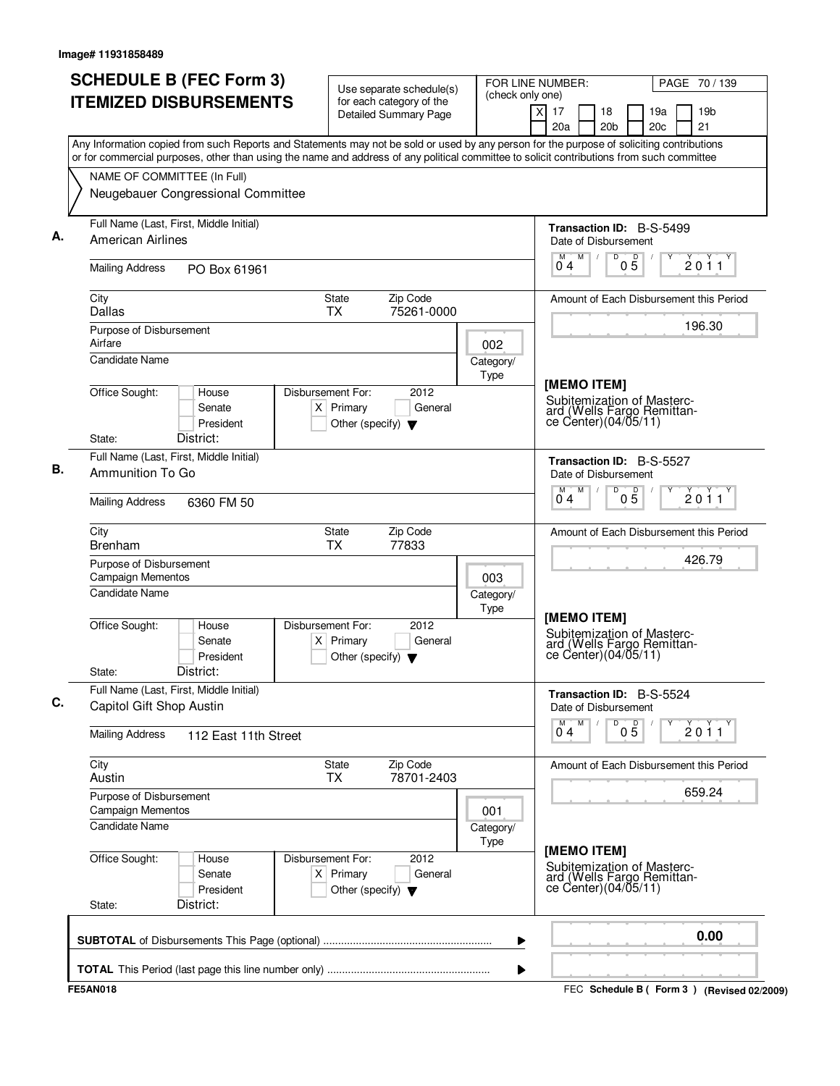| <b>SCHEDULE B (FEC Form 3)</b><br><b>ITEMIZED DISBURSEMENTS</b>                                                                                                                                                                                                                        | Use separate schedule(s)<br>for each category of the                                        | FOR LINE NUMBER:<br>(check only one) |                                                                                                 | PAGE 70 / 139                             |
|----------------------------------------------------------------------------------------------------------------------------------------------------------------------------------------------------------------------------------------------------------------------------------------|---------------------------------------------------------------------------------------------|--------------------------------------|-------------------------------------------------------------------------------------------------|-------------------------------------------|
|                                                                                                                                                                                                                                                                                        | <b>Detailed Summary Page</b>                                                                | $\overline{X}$                       | 17<br>18<br>20a<br>20 <sub>b</sub>                                                              | 19a<br>19 <sub>b</sub><br>21<br>20c       |
| Any Information copied from such Reports and Statements may not be sold or used by any person for the purpose of soliciting contributions<br>or for commercial purposes, other than using the name and address of any political committee to solicit contributions from such committee |                                                                                             |                                      |                                                                                                 |                                           |
| NAME OF COMMITTEE (In Full)                                                                                                                                                                                                                                                            |                                                                                             |                                      |                                                                                                 |                                           |
| Neugebauer Congressional Committee                                                                                                                                                                                                                                                     |                                                                                             |                                      |                                                                                                 |                                           |
| Full Name (Last, First, Middle Initial)<br><b>American Airlines</b>                                                                                                                                                                                                                    |                                                                                             |                                      | <b>Transaction ID: B-S-5499</b><br>Date of Disbursement                                         |                                           |
| <b>Mailing Address</b><br>PO Box 61961                                                                                                                                                                                                                                                 |                                                                                             |                                      | M<br>D<br>$0\overline{5}$<br>М<br>$\sqrt{2}$<br>04                                              | 2011                                      |
| City<br>Dallas                                                                                                                                                                                                                                                                         | Zip Code<br>State<br><b>TX</b><br>75261-0000                                                |                                      |                                                                                                 | Amount of Each Disbursement this Period   |
| Purpose of Disbursement<br>Airfare                                                                                                                                                                                                                                                     |                                                                                             | 002                                  |                                                                                                 | 196.30                                    |
| <b>Candidate Name</b>                                                                                                                                                                                                                                                                  |                                                                                             | Category/<br>Type                    |                                                                                                 |                                           |
| Office Sought:<br>House<br>Senate<br>President<br>District:<br>State:                                                                                                                                                                                                                  | Disbursement For:<br>2012<br>$X$ Primary<br>General<br>Other (specify) $\blacktriangledown$ |                                      | [MEMO ITEM]<br>Subitemization of Masterc-<br>ard (Wells Fargo Remittan-<br>ce Center)(04/05/11) |                                           |
| Full Name (Last, First, Middle Initial)                                                                                                                                                                                                                                                |                                                                                             |                                      | Transaction ID: B-S-5527                                                                        |                                           |
| Ammunition To Go                                                                                                                                                                                                                                                                       |                                                                                             |                                      | Date of Disbursement<br>M<br>D<br>M                                                             |                                           |
| <b>Mailing Address</b><br>6360 FM 50                                                                                                                                                                                                                                                   |                                                                                             |                                      | 05<br>0 <sub>4</sub>                                                                            | 2011                                      |
| City<br><b>Brenham</b>                                                                                                                                                                                                                                                                 | Zip Code<br>State<br>ТX<br>77833                                                            |                                      |                                                                                                 | Amount of Each Disbursement this Period   |
| Purpose of Disbursement<br><b>Campaign Mementos</b>                                                                                                                                                                                                                                    |                                                                                             | 003                                  |                                                                                                 | 426.79                                    |
| <b>Candidate Name</b>                                                                                                                                                                                                                                                                  |                                                                                             | Category/<br>Type                    |                                                                                                 |                                           |
| Office Sought:<br>House<br>Senate<br>President<br>District:<br>State:                                                                                                                                                                                                                  | Disbursement For:<br>2012<br>$X$ Primary<br>General<br>Other (specify) $\blacktriangledown$ |                                      | [MEMO ITEM]<br>Subitemization of Masterc-<br>ard (Wells Fargo Remittance Center)(04/05/11)      |                                           |
| Full Name (Last, First, Middle Initial)<br>Capitol Gift Shop Austin                                                                                                                                                                                                                    |                                                                                             |                                      | <b>Transaction ID: B-S-5524</b><br>Date of Disbursement                                         |                                           |
| <b>Mailing Address</b><br>112 East 11th Street                                                                                                                                                                                                                                         |                                                                                             |                                      | M<br>D<br>$0\overline{5}$<br>$\overline{0}^M$ 4                                                 | 2011                                      |
| City<br>Austin                                                                                                                                                                                                                                                                         | <b>State</b><br>Zip Code<br>78701-2403<br><b>TX</b>                                         |                                      |                                                                                                 | Amount of Each Disbursement this Period   |
| Purpose of Disbursement<br>Campaign Mementos                                                                                                                                                                                                                                           |                                                                                             | 001                                  |                                                                                                 | 659.24                                    |
| <b>Candidate Name</b>                                                                                                                                                                                                                                                                  |                                                                                             | Category/<br>Type                    |                                                                                                 |                                           |
| Office Sought:<br>House<br>Senate<br>President<br>District:<br>State:                                                                                                                                                                                                                  | Disbursement For:<br>2012<br>$X$ Primary<br>General<br>Other (specify) $\blacktriangledown$ |                                      | [MEMO ITEM]<br>Subitemization of Masterc-<br>ard (Wells Fargo Remittance Center)(04/05/11)      |                                           |
|                                                                                                                                                                                                                                                                                        |                                                                                             | ▶                                    |                                                                                                 | 0.00                                      |
|                                                                                                                                                                                                                                                                                        |                                                                                             | ▶                                    |                                                                                                 |                                           |
| <b>FE5AN018</b>                                                                                                                                                                                                                                                                        |                                                                                             |                                      |                                                                                                 | FEC Schedule B (Form 3) (Revised 02/2009) |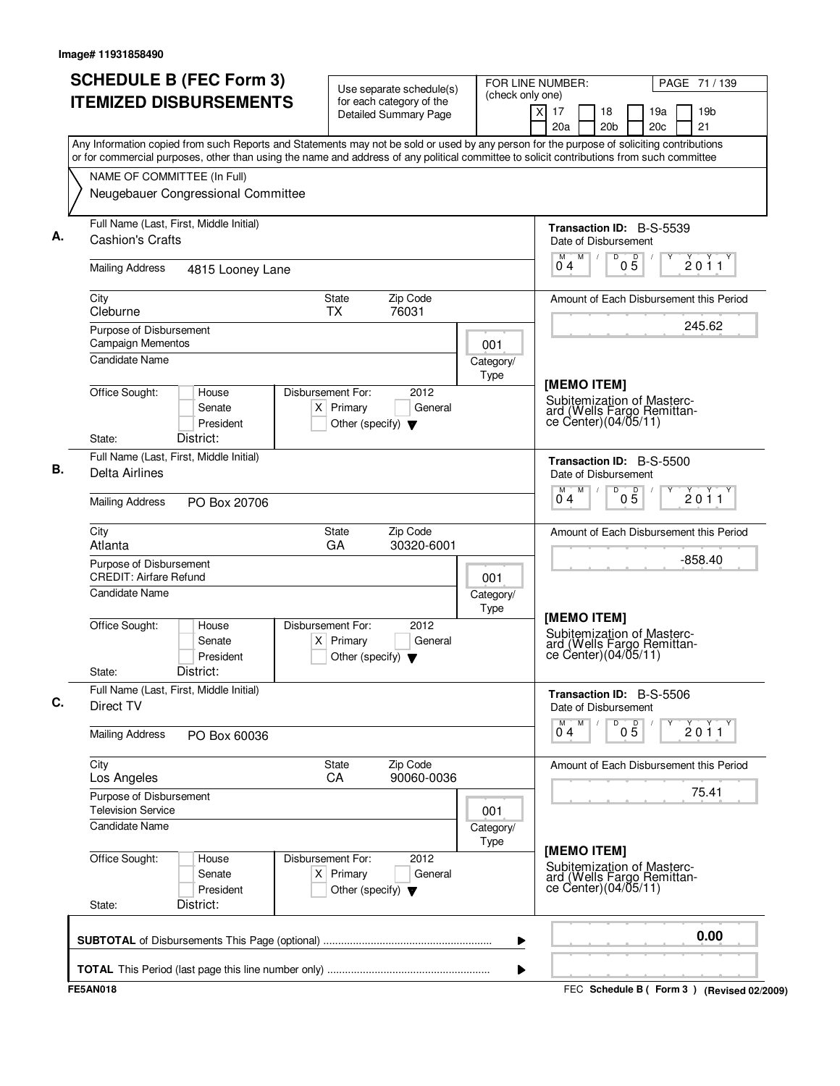| <b>SCHEDULE B (FEC Form 3)</b><br><b>ITEMIZED DISBURSEMENTS</b>                                                                                                                                                                                                                        | Use separate schedule(s)<br>for each category of the                                          | FOR LINE NUMBER:<br>(check only one) |                                                                                                  | PAGE 71 / 139                             |
|----------------------------------------------------------------------------------------------------------------------------------------------------------------------------------------------------------------------------------------------------------------------------------------|-----------------------------------------------------------------------------------------------|--------------------------------------|--------------------------------------------------------------------------------------------------|-------------------------------------------|
|                                                                                                                                                                                                                                                                                        | <b>Detailed Summary Page</b>                                                                  | $\overline{X}$                       | 17<br>18<br>20a<br>20 <sub>b</sub>                                                               | 19a<br>19 <sub>b</sub><br>21<br>20c       |
| Any Information copied from such Reports and Statements may not be sold or used by any person for the purpose of soliciting contributions<br>or for commercial purposes, other than using the name and address of any political committee to solicit contributions from such committee |                                                                                               |                                      |                                                                                                  |                                           |
| NAME OF COMMITTEE (In Full)                                                                                                                                                                                                                                                            |                                                                                               |                                      |                                                                                                  |                                           |
| Neugebauer Congressional Committee                                                                                                                                                                                                                                                     |                                                                                               |                                      |                                                                                                  |                                           |
| Full Name (Last, First, Middle Initial)<br><b>Cashion's Crafts</b>                                                                                                                                                                                                                     |                                                                                               |                                      | Transaction ID: B-S-5539<br>Date of Disbursement                                                 |                                           |
| <b>Mailing Address</b><br>4815 Looney Lane                                                                                                                                                                                                                                             |                                                                                               |                                      | M<br>D<br>$0\overline{5}$<br>М<br>$\sqrt{2}$<br>04                                               | 2011                                      |
| City<br>Cleburne                                                                                                                                                                                                                                                                       | Zip Code<br>State<br><b>TX</b><br>76031                                                       |                                      |                                                                                                  | Amount of Each Disbursement this Period   |
| Purpose of Disbursement<br><b>Campaign Mementos</b>                                                                                                                                                                                                                                    |                                                                                               | 001                                  |                                                                                                  | 245.62                                    |
| <b>Candidate Name</b>                                                                                                                                                                                                                                                                  |                                                                                               | Category/<br>Type                    |                                                                                                  |                                           |
| Office Sought:<br>House<br>Senate<br>President<br>District:<br>State:                                                                                                                                                                                                                  | Disbursement For:<br>2012<br>$X$ Primary<br>General<br>Other (specify) $\blacktriangledown$   |                                      | [MEMO ITEM]<br>Subitemization of Masterc-<br>ard (Wells Fargo Remittan-<br>ce Center) (04/05/11) |                                           |
| Full Name (Last, First, Middle Initial)                                                                                                                                                                                                                                                |                                                                                               |                                      | Transaction ID: B-S-5500                                                                         |                                           |
| <b>Delta Airlines</b>                                                                                                                                                                                                                                                                  |                                                                                               |                                      | Date of Disbursement<br>M<br>D<br>M<br>05                                                        | 2011                                      |
| <b>Mailing Address</b><br>PO Box 20706                                                                                                                                                                                                                                                 |                                                                                               |                                      | 0 <sub>4</sub>                                                                                   |                                           |
| City<br>Atlanta                                                                                                                                                                                                                                                                        | Zip Code<br>State<br>GA<br>30320-6001                                                         |                                      |                                                                                                  | Amount of Each Disbursement this Period   |
| Purpose of Disbursement<br><b>CREDIT: Airfare Refund</b>                                                                                                                                                                                                                               |                                                                                               | 001                                  |                                                                                                  | $-858.40$                                 |
| <b>Candidate Name</b>                                                                                                                                                                                                                                                                  |                                                                                               | Category/<br>Type                    |                                                                                                  |                                           |
| Office Sought:<br>House<br>Senate<br>President<br>District:<br>State:                                                                                                                                                                                                                  | Disbursement For:<br>2012<br>Primary<br>General<br>ΧI<br>Other (specify) $\blacktriangledown$ |                                      | [MEMO ITEM]<br>Subitemization of Masterc-<br>ard (Wells Fargo Remittance Center)(04/05/11)       |                                           |
| Full Name (Last, First, Middle Initial)<br>Direct TV                                                                                                                                                                                                                                   |                                                                                               |                                      | <b>Transaction ID: B-S-5506</b><br>Date of Disbursement                                          |                                           |
| <b>Mailing Address</b><br>PO Box 60036                                                                                                                                                                                                                                                 |                                                                                               |                                      | M<br>D<br>$0\overline{5}$<br>$\overline{0}^M$ 4                                                  | 2011                                      |
| City<br>Los Angeles                                                                                                                                                                                                                                                                    | <b>State</b><br>Zip Code<br>90060-0036<br>CA                                                  |                                      |                                                                                                  | Amount of Each Disbursement this Period   |
| Purpose of Disbursement<br><b>Television Service</b>                                                                                                                                                                                                                                   |                                                                                               | 001                                  |                                                                                                  | 75.41                                     |
| <b>Candidate Name</b>                                                                                                                                                                                                                                                                  |                                                                                               | Category/<br>Type                    |                                                                                                  |                                           |
| Office Sought:<br>House<br>Senate<br>President<br>District:<br>State:                                                                                                                                                                                                                  | Disbursement For:<br>2012<br>$X$ Primary<br>General<br>Other (specify) $\blacktriangledown$   |                                      | [MEMO ITEM]<br>Subitemization of Masterc-<br>ard (Wells Fargo Remittance Center)(04/05/11)       |                                           |
|                                                                                                                                                                                                                                                                                        |                                                                                               | ▶                                    |                                                                                                  | 0.00                                      |
|                                                                                                                                                                                                                                                                                        |                                                                                               | ▶                                    |                                                                                                  |                                           |
| <b>FE5AN018</b>                                                                                                                                                                                                                                                                        |                                                                                               |                                      |                                                                                                  | FEC Schedule B (Form 3) (Revised 02/2009) |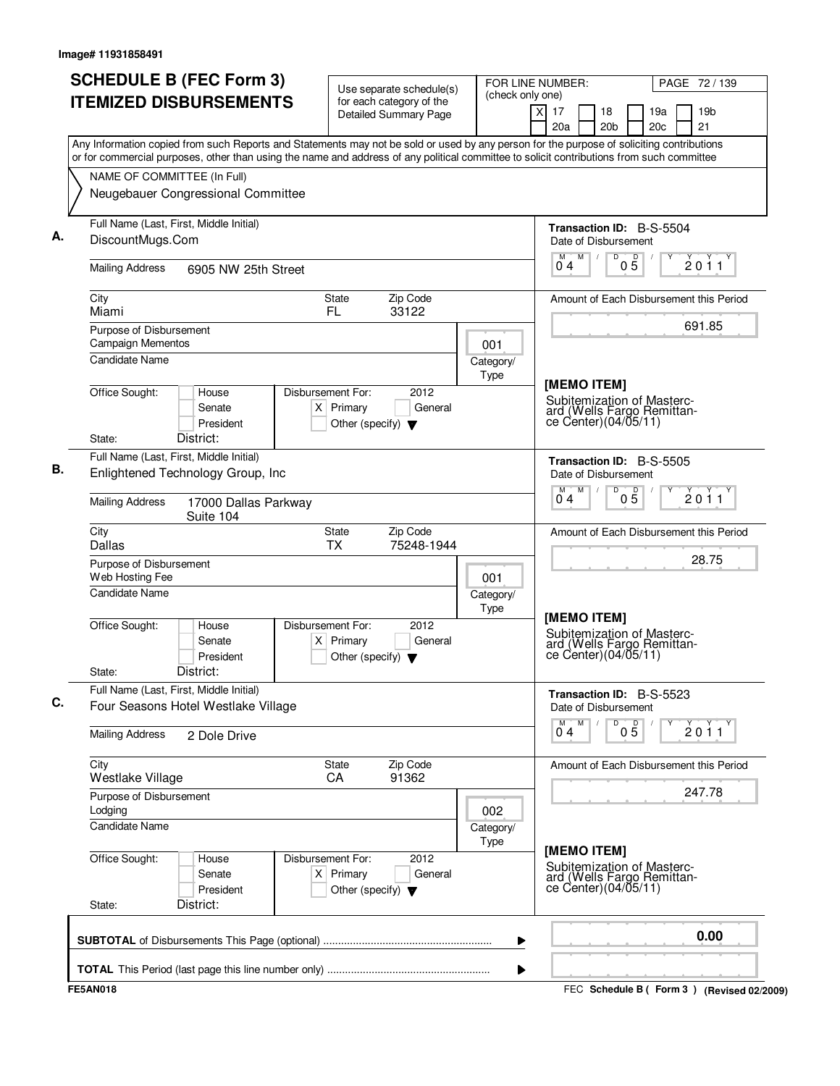| <b>SCHEDULE B (FEC Form 3)</b><br><b>ITEMIZED DISBURSEMENTS</b>                                                                                                                                                                                                                        | Use separate schedule(s)<br>for each category of the                                          | FOR LINE NUMBER:<br>(check only one) |                                                                                                  | PAGE 72 / 139                                    |  |
|----------------------------------------------------------------------------------------------------------------------------------------------------------------------------------------------------------------------------------------------------------------------------------------|-----------------------------------------------------------------------------------------------|--------------------------------------|--------------------------------------------------------------------------------------------------|--------------------------------------------------|--|
|                                                                                                                                                                                                                                                                                        | <b>Detailed Summary Page</b>                                                                  | $\overline{X}$                       | 17<br>18<br>20a<br>20 <sub>b</sub>                                                               | 19a<br>19 <sub>b</sub><br>21<br>20c              |  |
| Any Information copied from such Reports and Statements may not be sold or used by any person for the purpose of soliciting contributions<br>or for commercial purposes, other than using the name and address of any political committee to solicit contributions from such committee |                                                                                               |                                      |                                                                                                  |                                                  |  |
| NAME OF COMMITTEE (In Full)                                                                                                                                                                                                                                                            |                                                                                               |                                      |                                                                                                  |                                                  |  |
| Neugebauer Congressional Committee                                                                                                                                                                                                                                                     |                                                                                               |                                      |                                                                                                  |                                                  |  |
| Full Name (Last, First, Middle Initial)<br>DiscountMugs.Com                                                                                                                                                                                                                            |                                                                                               |                                      | <b>Transaction ID: B-S-5504</b><br>Date of Disbursement                                          |                                                  |  |
| <b>Mailing Address</b><br>6905 NW 25th Street                                                                                                                                                                                                                                          |                                                                                               |                                      | M<br>D<br>$0\overline{5}$<br>М<br>04                                                             | 2011                                             |  |
| City<br>Miami                                                                                                                                                                                                                                                                          | Zip Code<br>State<br>FL.<br>33122                                                             |                                      |                                                                                                  | Amount of Each Disbursement this Period          |  |
| Purpose of Disbursement<br>Campaign Mementos                                                                                                                                                                                                                                           |                                                                                               | 001                                  |                                                                                                  | 691.85                                           |  |
| <b>Candidate Name</b>                                                                                                                                                                                                                                                                  |                                                                                               | Category/<br>Type                    |                                                                                                  |                                                  |  |
| Office Sought:<br>House<br>Senate<br>President<br>District:<br>State:                                                                                                                                                                                                                  | Disbursement For:<br>2012<br>$X$ Primary<br>General<br>Other (specify) $\blacktriangledown$   |                                      | [MEMO ITEM]<br>Subitemization of Masterc-<br>ard (Wells Fargo Remittan-<br>ce Center)(04/05/11)  |                                                  |  |
| Full Name (Last, First, Middle Initial)                                                                                                                                                                                                                                                |                                                                                               |                                      | Transaction ID: B-S-5505                                                                         |                                                  |  |
| Enlightened Technology Group, Inc                                                                                                                                                                                                                                                      |                                                                                               |                                      | Date of Disbursement<br>M<br>D<br>M<br>05                                                        | 2011                                             |  |
| <b>Mailing Address</b><br>17000 Dallas Parkway<br>Suite 104                                                                                                                                                                                                                            |                                                                                               |                                      | 0 <sub>4</sub>                                                                                   |                                                  |  |
| City<br><b>Dallas</b>                                                                                                                                                                                                                                                                  | Zip Code<br>State<br><b>TX</b><br>75248-1944                                                  |                                      |                                                                                                  | Amount of Each Disbursement this Period<br>28.75 |  |
| Purpose of Disbursement<br>Web Hosting Fee                                                                                                                                                                                                                                             |                                                                                               | 001                                  |                                                                                                  |                                                  |  |
| <b>Candidate Name</b>                                                                                                                                                                                                                                                                  |                                                                                               | Category/<br>Type                    |                                                                                                  |                                                  |  |
| Office Sought:<br>House<br>Senate<br>President<br>District:<br>State:                                                                                                                                                                                                                  | Disbursement For:<br>2012<br>Primary<br>General<br>ΧI<br>Other (specify) $\blacktriangledown$ |                                      | [MEMO ITEM]<br>Subitemization of Masterc-<br>ard (Wells Fargo Remittan-<br>ce Center) (04/05/11) |                                                  |  |
| Full Name (Last, First, Middle Initial)                                                                                                                                                                                                                                                |                                                                                               |                                      | <b>Transaction ID: B-S-5523</b>                                                                  |                                                  |  |
| Four Seasons Hotel Westlake Village                                                                                                                                                                                                                                                    |                                                                                               |                                      | Date of Disbursement<br>M<br>D<br>$0\overline{5}$<br>$\overline{0}^M$ 4                          | 2011                                             |  |
| <b>Mailing Address</b><br>2 Dole Drive                                                                                                                                                                                                                                                 |                                                                                               |                                      |                                                                                                  |                                                  |  |
| City<br>Westlake Village                                                                                                                                                                                                                                                               | <b>State</b><br>Zip Code<br>91362<br>CA                                                       |                                      |                                                                                                  | Amount of Each Disbursement this Period          |  |
| Purpose of Disbursement<br>Lodging                                                                                                                                                                                                                                                     |                                                                                               | 002                                  |                                                                                                  | 247.78                                           |  |
| <b>Candidate Name</b>                                                                                                                                                                                                                                                                  |                                                                                               | Category/<br>Type                    |                                                                                                  |                                                  |  |
| Office Sought:<br>House<br>Senate<br>President<br>District:<br>State:                                                                                                                                                                                                                  | Disbursement For:<br>2012<br>$X$ Primary<br>General<br>Other (specify) $\blacktriangledown$   |                                      | [MEMO ITEM]<br>Subitemization of Masterc-<br>ard (Wells Fargo Remittance Center)(04/05/11)       |                                                  |  |
|                                                                                                                                                                                                                                                                                        |                                                                                               | ▶                                    |                                                                                                  | 0.00                                             |  |
|                                                                                                                                                                                                                                                                                        |                                                                                               | ▶                                    |                                                                                                  |                                                  |  |
| <b>FE5AN018</b>                                                                                                                                                                                                                                                                        |                                                                                               |                                      |                                                                                                  | FEC Schedule B (Form 3) (Revised 02/2009)        |  |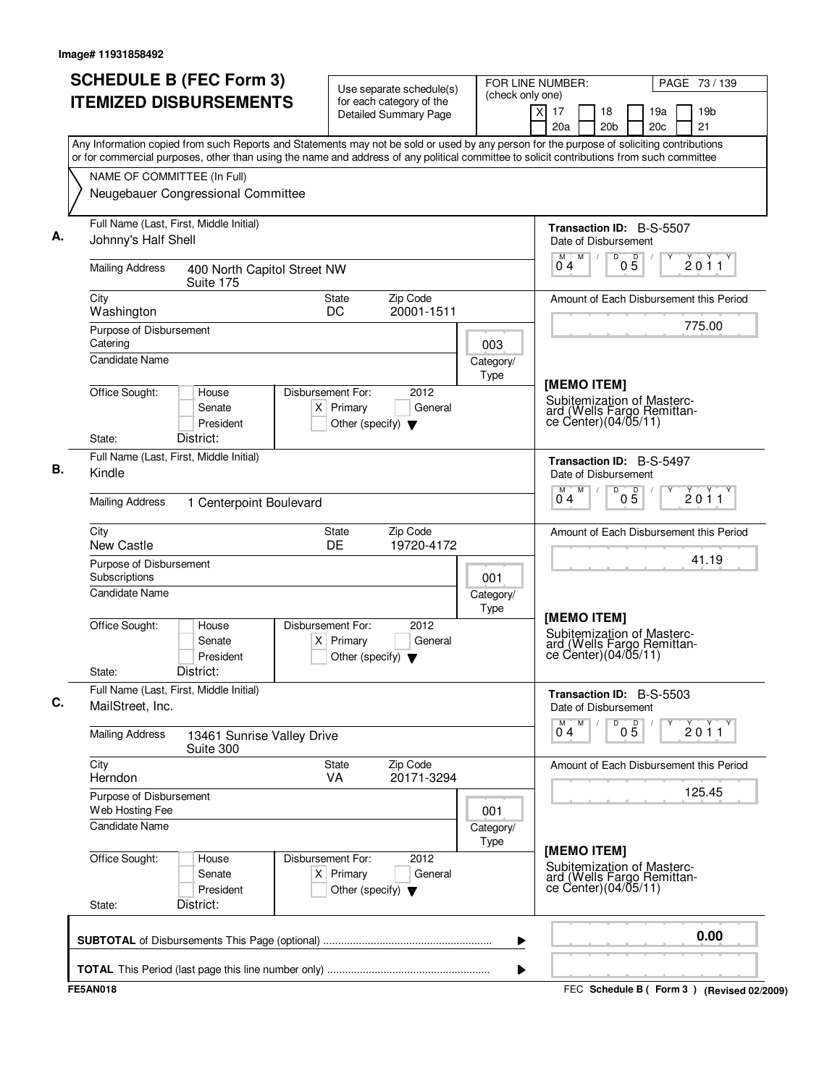| <b>SCHEDULE B (FEC Form 3)</b><br><b>ITEMIZED DISBURSEMENTS</b>                                                                                                                                                                                                                        | Use separate schedule(s)<br>for each category of the                                                | FOR LINE NUMBER:<br>(check only one) |                                                                                                  | PAGE 73 / 139                             |
|----------------------------------------------------------------------------------------------------------------------------------------------------------------------------------------------------------------------------------------------------------------------------------------|-----------------------------------------------------------------------------------------------------|--------------------------------------|--------------------------------------------------------------------------------------------------|-------------------------------------------|
|                                                                                                                                                                                                                                                                                        | <b>Detailed Summary Page</b>                                                                        |                                      | $\times$<br>17<br>18<br>20a<br>20 <sub>b</sub>                                                   | 19 <sub>b</sub><br>19a<br>21<br>20c       |
| Any Information copied from such Reports and Statements may not be sold or used by any person for the purpose of soliciting contributions<br>or for commercial purposes, other than using the name and address of any political committee to solicit contributions from such committee |                                                                                                     |                                      |                                                                                                  |                                           |
| NAME OF COMMITTEE (In Full)                                                                                                                                                                                                                                                            |                                                                                                     |                                      |                                                                                                  |                                           |
| Neugebauer Congressional Committee                                                                                                                                                                                                                                                     |                                                                                                     |                                      |                                                                                                  |                                           |
| Full Name (Last, First, Middle Initial)<br>Johnny's Half Shell                                                                                                                                                                                                                         |                                                                                                     |                                      | <b>Transaction ID: B-S-5507</b><br>Date of Disbursement                                          |                                           |
| <b>Mailing Address</b><br>400 North Capitol Street NW<br>Suite 175                                                                                                                                                                                                                     |                                                                                                     |                                      | M<br>D<br>M<br>04                                                                                | $0\overline{5}$<br>2011                   |
| City<br>Washington                                                                                                                                                                                                                                                                     | Zip Code<br><b>State</b><br>DC<br>20001-1511                                                        |                                      |                                                                                                  | Amount of Each Disbursement this Period   |
| Purpose of Disbursement<br>Catering<br><b>Candidate Name</b>                                                                                                                                                                                                                           |                                                                                                     | 003                                  |                                                                                                  | 775.00                                    |
|                                                                                                                                                                                                                                                                                        |                                                                                                     | Category/<br>Type                    |                                                                                                  |                                           |
| Office Sought:<br>House<br>Senate<br>President<br>District:<br>State:                                                                                                                                                                                                                  | Disbursement For:<br>2012<br>$X$ Primary<br>General<br>Other (specify) $\blacktriangledown$         |                                      | [MEMO ITEM]<br>Subitemization of Masterc-<br>ard (Wells Fargo Remittan-<br>ce Center)(04/05/11)  |                                           |
| Full Name (Last, First, Middle Initial)                                                                                                                                                                                                                                                |                                                                                                     |                                      | Transaction ID: B-S-5497                                                                         |                                           |
| Kindle                                                                                                                                                                                                                                                                                 |                                                                                                     |                                      | Date of Disbursement                                                                             |                                           |
| <b>Mailing Address</b><br>1 Centerpoint Boulevard                                                                                                                                                                                                                                      |                                                                                                     |                                      | M<br>D<br>M<br>04                                                                                | 05<br>2011                                |
| City<br>New Castle                                                                                                                                                                                                                                                                     | Zip Code<br>State<br>DE<br>19720-4172                                                               |                                      |                                                                                                  | Amount of Each Disbursement this Period   |
| Purpose of Disbursement<br>Subscriptions                                                                                                                                                                                                                                               |                                                                                                     | 001                                  |                                                                                                  | 41.19                                     |
| <b>Candidate Name</b>                                                                                                                                                                                                                                                                  |                                                                                                     | Category/<br>Type                    |                                                                                                  |                                           |
| Office Sought:<br>House<br>Senate<br>President<br>District:<br>State:                                                                                                                                                                                                                  | Disbursement For:<br>2012<br>Primary<br>General<br>$\times$<br>Other (specify) $\blacktriangledown$ |                                      | [MEMO ITEM]<br>Subitemization of Masterc-<br>ard (Wells Fargo Remittan-<br>ce Center) (04/05/11) |                                           |
| Full Name (Last, First, Middle Initial)<br>MailStreet, Inc.                                                                                                                                                                                                                            |                                                                                                     |                                      | <b>Transaction ID: B-S-5503</b><br>Date of Disbursement                                          |                                           |
| <b>Mailing Address</b><br>13461 Sunrise Valley Drive<br>Suite 300                                                                                                                                                                                                                      |                                                                                                     |                                      | $\overline{0}^M$ 4<br>M<br>D                                                                     | $0\overline{5}$<br>2011                   |
| City<br>Herndon                                                                                                                                                                                                                                                                        | Zip Code<br>State<br>20171-3294<br><b>VA</b>                                                        |                                      |                                                                                                  | Amount of Each Disbursement this Period   |
| Purpose of Disbursement<br>Web Hosting Fee<br><b>Candidate Name</b>                                                                                                                                                                                                                    |                                                                                                     | 001                                  |                                                                                                  | 125.45                                    |
|                                                                                                                                                                                                                                                                                        |                                                                                                     | Category/<br>Type                    |                                                                                                  |                                           |
| Office Sought:<br>House<br>Senate<br>President<br>District:<br>State:                                                                                                                                                                                                                  | Disbursement For:<br>2012<br>$X$ Primary<br>General<br>Other (specify) $\blacktriangledown$         |                                      | [MEMO ITEM]<br>Subitemization of Masterc-<br>ard (Wells Fargo Remittance Center)(04/05/11)       |                                           |
|                                                                                                                                                                                                                                                                                        |                                                                                                     | ▶                                    |                                                                                                  | 0.00                                      |
|                                                                                                                                                                                                                                                                                        |                                                                                                     | ▶                                    |                                                                                                  |                                           |
| <b>FE5AN018</b>                                                                                                                                                                                                                                                                        |                                                                                                     |                                      |                                                                                                  | FEC Schedule B (Form 3) (Revised 02/2009) |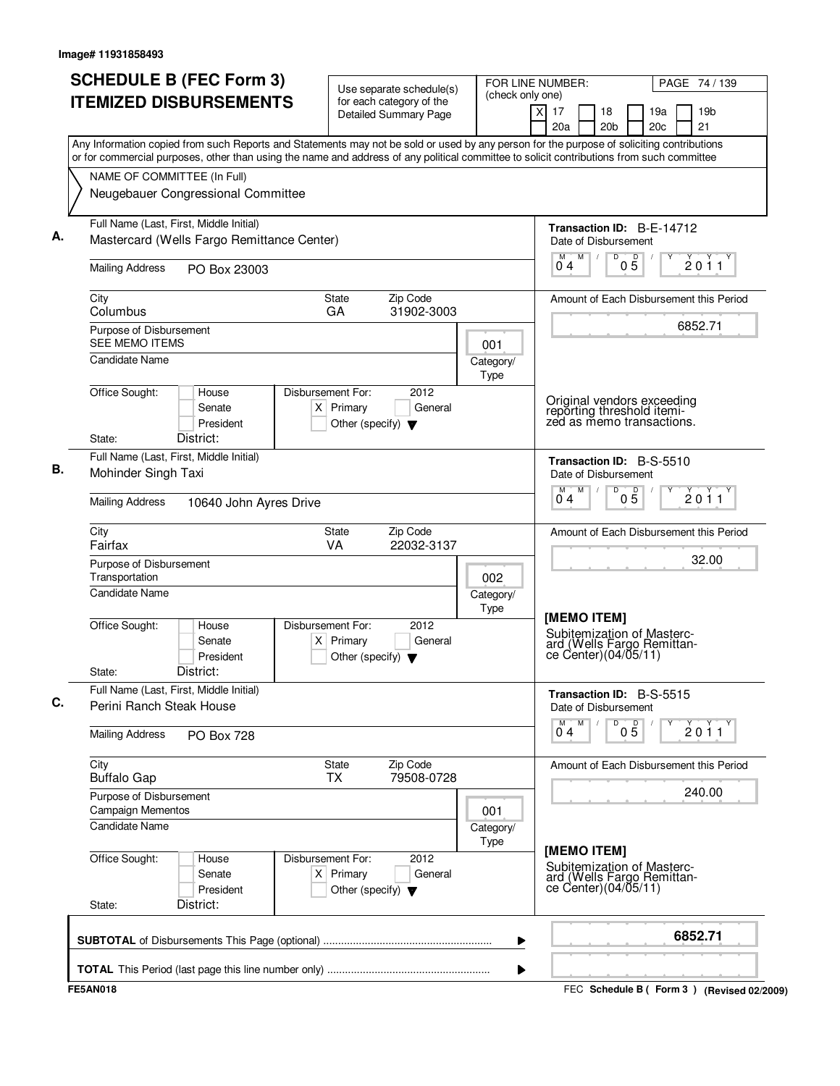| <b>SCHEDULE B (FEC Form 3)</b><br><b>ITEMIZED DISBURSEMENTS</b>                                                                                                                                                                                                                        | Use separate schedule(s)<br>for each category of the<br><b>Detailed Summary Page</b>        | FOR LINE NUMBER:<br>(check only one) | PAGE 74 / 139<br>X<br>17<br>19 <sub>b</sub><br>18<br>19a<br>20a<br>20 <sub>b</sub><br>20 <sub>c</sub><br>21 |
|----------------------------------------------------------------------------------------------------------------------------------------------------------------------------------------------------------------------------------------------------------------------------------------|---------------------------------------------------------------------------------------------|--------------------------------------|-------------------------------------------------------------------------------------------------------------|
| Any Information copied from such Reports and Statements may not be sold or used by any person for the purpose of soliciting contributions<br>or for commercial purposes, other than using the name and address of any political committee to solicit contributions from such committee |                                                                                             |                                      |                                                                                                             |
| NAME OF COMMITTEE (In Full)                                                                                                                                                                                                                                                            |                                                                                             |                                      |                                                                                                             |
| Neugebauer Congressional Committee                                                                                                                                                                                                                                                     |                                                                                             |                                      |                                                                                                             |
| Full Name (Last, First, Middle Initial)<br>Mastercard (Wells Fargo Remittance Center)                                                                                                                                                                                                  |                                                                                             |                                      | Transaction ID: B-E-14712<br>Date of Disbursement                                                           |
| <b>Mailing Address</b><br>PO Box 23003                                                                                                                                                                                                                                                 |                                                                                             |                                      | M<br>D<br>M<br>$0\overline{5}$<br>2011<br>04                                                                |
| City<br>Columbus                                                                                                                                                                                                                                                                       | Zip Code<br>State<br>GA<br>31902-3003                                                       |                                      | Amount of Each Disbursement this Period                                                                     |
| Purpose of Disbursement<br><b>SEE MEMO ITEMS</b>                                                                                                                                                                                                                                       |                                                                                             | 001                                  | 6852.71                                                                                                     |
| <b>Candidate Name</b>                                                                                                                                                                                                                                                                  |                                                                                             | Category/<br>Type                    |                                                                                                             |
| Office Sought:<br>House<br>Senate<br>President<br>District:<br>State:                                                                                                                                                                                                                  | Disbursement For:<br>2012<br>$X$ Primary<br>General<br>Other (specify) $\blacktriangledown$ |                                      | Original vendors exceeding<br>reporting threshold itemi-<br>zed as memo transactions.                       |
| Full Name (Last, First, Middle Initial)                                                                                                                                                                                                                                                |                                                                                             |                                      |                                                                                                             |
| Mohinder Singh Taxi                                                                                                                                                                                                                                                                    |                                                                                             |                                      | Transaction ID: B-S-5510<br>Date of Disbursement<br>M<br>D<br>М                                             |
| <b>Mailing Address</b><br>10640 John Ayres Drive                                                                                                                                                                                                                                       |                                                                                             |                                      | $0\overline{5}$<br>2011<br>0 4                                                                              |
| City<br>Fairfax                                                                                                                                                                                                                                                                        | Zip Code<br><b>State</b><br>VA<br>22032-3137                                                |                                      | Amount of Each Disbursement this Period                                                                     |
| Purpose of Disbursement<br>Transportation                                                                                                                                                                                                                                              |                                                                                             | 002                                  | 32.00                                                                                                       |
| Candidate Name                                                                                                                                                                                                                                                                         |                                                                                             | Category/<br>Type                    |                                                                                                             |
| Office Sought:<br>House<br>Senate<br>President<br>District:<br>State:                                                                                                                                                                                                                  | Disbursement For:<br>2012<br>$X$ Primary<br>General<br>Other (specify) $\blacktriangledown$ |                                      | [MEMO ITEM]<br>Subitemization of Masterc-<br>ard (Wells Fargo Remittance Center)(04/05/11)                  |
| Full Name (Last, First, Middle Initial)<br>Perini Ranch Steak House                                                                                                                                                                                                                    |                                                                                             |                                      | <b>Transaction ID: B-S-5515</b><br>Date of Disbursement                                                     |
| <b>Mailing Address</b><br>PO Box 728                                                                                                                                                                                                                                                   |                                                                                             |                                      | M<br>D<br>$0\overline{5}$<br>2011<br>04                                                                     |
| City<br><b>Buffalo Gap</b>                                                                                                                                                                                                                                                             | Zip Code<br>State<br>79508-0728<br><b>TX</b>                                                |                                      | Amount of Each Disbursement this Period                                                                     |
| Purpose of Disbursement<br>Campaign Mementos                                                                                                                                                                                                                                           |                                                                                             | 001                                  | 240.00                                                                                                      |
| <b>Candidate Name</b>                                                                                                                                                                                                                                                                  |                                                                                             | Category/<br>Type                    |                                                                                                             |
| Office Sought:<br>House<br>Senate<br>President<br>District:<br>State:                                                                                                                                                                                                                  | Disbursement For:<br>2012<br>$X$ Primary<br>General<br>Other (specify) $\blacktriangledown$ |                                      | [MEMO ITEM]<br>Subitemization of Masterc-<br>ard (Wells Fargo Remittan-<br>ce Center) (04/05/11)            |
|                                                                                                                                                                                                                                                                                        |                                                                                             | ▶                                    | 6852.71                                                                                                     |
|                                                                                                                                                                                                                                                                                        |                                                                                             |                                      |                                                                                                             |
| <b>FE5AN018</b>                                                                                                                                                                                                                                                                        |                                                                                             | ▶                                    | FEC Schedule B (Form 3) (Revised 02/2009)                                                                   |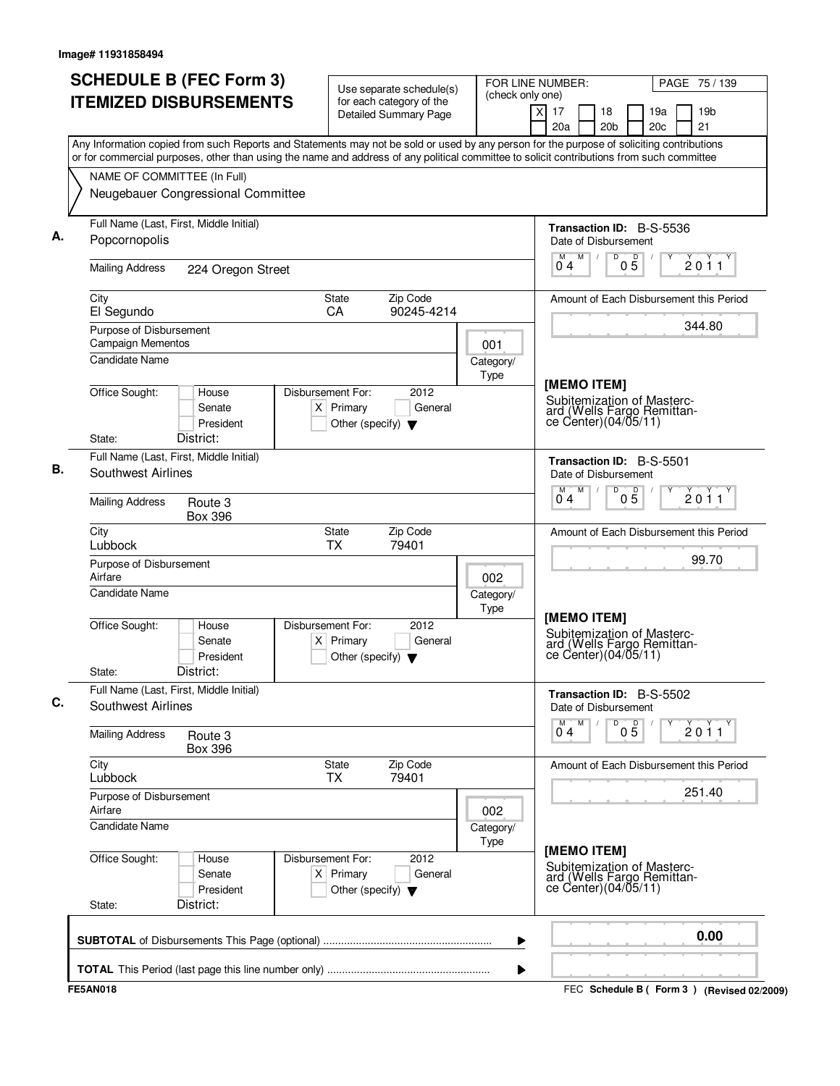| (check only one)<br><b>ITEMIZED DISBURSEMENTS</b><br>for each category of the<br>19 <sub>b</sub><br>x<br>17<br>18<br>19a<br><b>Detailed Summary Page</b><br>20c<br>21<br>20a<br>20 <sub>b</sub><br>Any Information copied from such Reports and Statements may not be sold or used by any person for the purpose of soliciting contributions<br>or for commercial purposes, other than using the name and address of any political committee to solicit contributions from such committee<br>NAME OF COMMITTEE (In Full)<br>Neugebauer Congressional Committee<br>Full Name (Last, First, Middle Initial)<br><b>Transaction ID: B-S-5536</b><br>Popcornopolis<br>Date of Disbursement<br>$0\overline{5}$<br>M <sub>1</sub><br>D<br>2011<br>04<br><b>Mailing Address</b><br>224 Oregon Street<br>Zip Code<br>City<br><b>State</b><br>Amount of Each Disbursement this Period<br>El Segundo<br><b>CA</b><br>90245-4214<br>344.80<br>Purpose of Disbursement<br>Campaign Mementos<br>001<br><b>Candidate Name</b><br>Category/<br>Type<br>[MEMO ITEM]<br>Office Sought:<br>Disbursement For:<br>2012<br>House<br>Subitemization of Masterc-<br>$X$ Primary<br>General<br>Senate<br>ard (Wells Fargo Remittan-<br>ce Center)(04/05/11)<br>President<br>Other (specify) $\blacktriangledown$<br>District:<br>State:<br>Full Name (Last, First, Middle Initial)<br>Transaction ID: B-S-5501<br>Southwest Airlines<br>Date of Disbursement<br>M<br>D<br>M<br>$0\overline{5}$<br>2011<br>04<br><b>Mailing Address</b><br>Route 3<br><b>Box 396</b><br>Zip Code<br>City<br>State<br>Amount of Each Disbursement this Period<br>Lubbock<br><b>TX</b><br>79401<br>99.70<br>Purpose of Disbursement<br>Airfare<br>002<br><b>Candidate Name</b><br>Category/<br>Type<br>[MEMO ITEM]<br>Office Sought:<br>Disbursement For:<br>2012<br>House<br>Subitemization of Masterc-<br>Senate<br>$X$ Primary<br>General<br>ard (Wells Fargo Remittan-<br>ce Center) (04/05/11)<br>President<br>Other (specify) $\blacktriangledown$<br>District:<br>State:<br>Full Name (Last, First, Middle Initial)<br>Transaction ID: B-S-5502<br>Southwest Airlines<br>Date of Disbursement<br>M<br>D<br>$0\overline{5}$<br>2011<br>$0^{\degree}4$<br><b>Mailing Address</b><br>Route 3<br><b>Box 396</b><br>City<br>Zip Code<br>State<br>Amount of Each Disbursement this Period<br>Lubbock<br>79401<br><b>TX</b><br>251.40<br>Purpose of Disbursement<br>Airfare<br>002<br><b>Candidate Name</b><br>Category/<br>Type<br>[MEMO ITEM]<br>Office Sought:<br>Disbursement For:<br>2012<br>House<br>Subitemization of Masterc-<br>$X$ Primary<br>Senate<br>General<br>ard (Wells Fargo Remittance Center)(04/05/11)<br>President<br>Other (specify) $\blacktriangledown$<br>District:<br>State:<br>0.00<br>▶ | <b>SCHEDULE B (FEC Form 3)</b> | Use separate schedule(s) | FOR LINE NUMBER: |                                             | PAGE 75 / 139 |
|-------------------------------------------------------------------------------------------------------------------------------------------------------------------------------------------------------------------------------------------------------------------------------------------------------------------------------------------------------------------------------------------------------------------------------------------------------------------------------------------------------------------------------------------------------------------------------------------------------------------------------------------------------------------------------------------------------------------------------------------------------------------------------------------------------------------------------------------------------------------------------------------------------------------------------------------------------------------------------------------------------------------------------------------------------------------------------------------------------------------------------------------------------------------------------------------------------------------------------------------------------------------------------------------------------------------------------------------------------------------------------------------------------------------------------------------------------------------------------------------------------------------------------------------------------------------------------------------------------------------------------------------------------------------------------------------------------------------------------------------------------------------------------------------------------------------------------------------------------------------------------------------------------------------------------------------------------------------------------------------------------------------------------------------------------------------------------------------------------------------------------------------------------------------------------------------------------------------------------------------------------------------------------------------------------------------------------------------------------------------------------------------------------------------------------------------------------------------------------------------------------------------------------------------------------------------------------------------------------------------------------------------------------------------------------------------------------------------------------------------------------------------------|--------------------------------|--------------------------|------------------|---------------------------------------------|---------------|
|                                                                                                                                                                                                                                                                                                                                                                                                                                                                                                                                                                                                                                                                                                                                                                                                                                                                                                                                                                                                                                                                                                                                                                                                                                                                                                                                                                                                                                                                                                                                                                                                                                                                                                                                                                                                                                                                                                                                                                                                                                                                                                                                                                                                                                                                                                                                                                                                                                                                                                                                                                                                                                                                                                                                                                         |                                |                          |                  |                                             |               |
|                                                                                                                                                                                                                                                                                                                                                                                                                                                                                                                                                                                                                                                                                                                                                                                                                                                                                                                                                                                                                                                                                                                                                                                                                                                                                                                                                                                                                                                                                                                                                                                                                                                                                                                                                                                                                                                                                                                                                                                                                                                                                                                                                                                                                                                                                                                                                                                                                                                                                                                                                                                                                                                                                                                                                                         |                                |                          |                  |                                             |               |
|                                                                                                                                                                                                                                                                                                                                                                                                                                                                                                                                                                                                                                                                                                                                                                                                                                                                                                                                                                                                                                                                                                                                                                                                                                                                                                                                                                                                                                                                                                                                                                                                                                                                                                                                                                                                                                                                                                                                                                                                                                                                                                                                                                                                                                                                                                                                                                                                                                                                                                                                                                                                                                                                                                                                                                         |                                |                          |                  |                                             |               |
|                                                                                                                                                                                                                                                                                                                                                                                                                                                                                                                                                                                                                                                                                                                                                                                                                                                                                                                                                                                                                                                                                                                                                                                                                                                                                                                                                                                                                                                                                                                                                                                                                                                                                                                                                                                                                                                                                                                                                                                                                                                                                                                                                                                                                                                                                                                                                                                                                                                                                                                                                                                                                                                                                                                                                                         |                                |                          |                  |                                             |               |
|                                                                                                                                                                                                                                                                                                                                                                                                                                                                                                                                                                                                                                                                                                                                                                                                                                                                                                                                                                                                                                                                                                                                                                                                                                                                                                                                                                                                                                                                                                                                                                                                                                                                                                                                                                                                                                                                                                                                                                                                                                                                                                                                                                                                                                                                                                                                                                                                                                                                                                                                                                                                                                                                                                                                                                         |                                |                          |                  |                                             |               |
|                                                                                                                                                                                                                                                                                                                                                                                                                                                                                                                                                                                                                                                                                                                                                                                                                                                                                                                                                                                                                                                                                                                                                                                                                                                                                                                                                                                                                                                                                                                                                                                                                                                                                                                                                                                                                                                                                                                                                                                                                                                                                                                                                                                                                                                                                                                                                                                                                                                                                                                                                                                                                                                                                                                                                                         |                                |                          |                  |                                             |               |
|                                                                                                                                                                                                                                                                                                                                                                                                                                                                                                                                                                                                                                                                                                                                                                                                                                                                                                                                                                                                                                                                                                                                                                                                                                                                                                                                                                                                                                                                                                                                                                                                                                                                                                                                                                                                                                                                                                                                                                                                                                                                                                                                                                                                                                                                                                                                                                                                                                                                                                                                                                                                                                                                                                                                                                         |                                |                          |                  |                                             |               |
|                                                                                                                                                                                                                                                                                                                                                                                                                                                                                                                                                                                                                                                                                                                                                                                                                                                                                                                                                                                                                                                                                                                                                                                                                                                                                                                                                                                                                                                                                                                                                                                                                                                                                                                                                                                                                                                                                                                                                                                                                                                                                                                                                                                                                                                                                                                                                                                                                                                                                                                                                                                                                                                                                                                                                                         |                                |                          |                  |                                             |               |
|                                                                                                                                                                                                                                                                                                                                                                                                                                                                                                                                                                                                                                                                                                                                                                                                                                                                                                                                                                                                                                                                                                                                                                                                                                                                                                                                                                                                                                                                                                                                                                                                                                                                                                                                                                                                                                                                                                                                                                                                                                                                                                                                                                                                                                                                                                                                                                                                                                                                                                                                                                                                                                                                                                                                                                         |                                |                          |                  |                                             |               |
|                                                                                                                                                                                                                                                                                                                                                                                                                                                                                                                                                                                                                                                                                                                                                                                                                                                                                                                                                                                                                                                                                                                                                                                                                                                                                                                                                                                                                                                                                                                                                                                                                                                                                                                                                                                                                                                                                                                                                                                                                                                                                                                                                                                                                                                                                                                                                                                                                                                                                                                                                                                                                                                                                                                                                                         |                                |                          |                  |                                             |               |
|                                                                                                                                                                                                                                                                                                                                                                                                                                                                                                                                                                                                                                                                                                                                                                                                                                                                                                                                                                                                                                                                                                                                                                                                                                                                                                                                                                                                                                                                                                                                                                                                                                                                                                                                                                                                                                                                                                                                                                                                                                                                                                                                                                                                                                                                                                                                                                                                                                                                                                                                                                                                                                                                                                                                                                         |                                |                          |                  |                                             |               |
|                                                                                                                                                                                                                                                                                                                                                                                                                                                                                                                                                                                                                                                                                                                                                                                                                                                                                                                                                                                                                                                                                                                                                                                                                                                                                                                                                                                                                                                                                                                                                                                                                                                                                                                                                                                                                                                                                                                                                                                                                                                                                                                                                                                                                                                                                                                                                                                                                                                                                                                                                                                                                                                                                                                                                                         |                                |                          |                  |                                             |               |
|                                                                                                                                                                                                                                                                                                                                                                                                                                                                                                                                                                                                                                                                                                                                                                                                                                                                                                                                                                                                                                                                                                                                                                                                                                                                                                                                                                                                                                                                                                                                                                                                                                                                                                                                                                                                                                                                                                                                                                                                                                                                                                                                                                                                                                                                                                                                                                                                                                                                                                                                                                                                                                                                                                                                                                         |                                |                          |                  |                                             |               |
|                                                                                                                                                                                                                                                                                                                                                                                                                                                                                                                                                                                                                                                                                                                                                                                                                                                                                                                                                                                                                                                                                                                                                                                                                                                                                                                                                                                                                                                                                                                                                                                                                                                                                                                                                                                                                                                                                                                                                                                                                                                                                                                                                                                                                                                                                                                                                                                                                                                                                                                                                                                                                                                                                                                                                                         |                                |                          |                  |                                             |               |
|                                                                                                                                                                                                                                                                                                                                                                                                                                                                                                                                                                                                                                                                                                                                                                                                                                                                                                                                                                                                                                                                                                                                                                                                                                                                                                                                                                                                                                                                                                                                                                                                                                                                                                                                                                                                                                                                                                                                                                                                                                                                                                                                                                                                                                                                                                                                                                                                                                                                                                                                                                                                                                                                                                                                                                         |                                |                          |                  |                                             |               |
|                                                                                                                                                                                                                                                                                                                                                                                                                                                                                                                                                                                                                                                                                                                                                                                                                                                                                                                                                                                                                                                                                                                                                                                                                                                                                                                                                                                                                                                                                                                                                                                                                                                                                                                                                                                                                                                                                                                                                                                                                                                                                                                                                                                                                                                                                                                                                                                                                                                                                                                                                                                                                                                                                                                                                                         |                                |                          |                  |                                             |               |
|                                                                                                                                                                                                                                                                                                                                                                                                                                                                                                                                                                                                                                                                                                                                                                                                                                                                                                                                                                                                                                                                                                                                                                                                                                                                                                                                                                                                                                                                                                                                                                                                                                                                                                                                                                                                                                                                                                                                                                                                                                                                                                                                                                                                                                                                                                                                                                                                                                                                                                                                                                                                                                                                                                                                                                         |                                |                          |                  |                                             |               |
|                                                                                                                                                                                                                                                                                                                                                                                                                                                                                                                                                                                                                                                                                                                                                                                                                                                                                                                                                                                                                                                                                                                                                                                                                                                                                                                                                                                                                                                                                                                                                                                                                                                                                                                                                                                                                                                                                                                                                                                                                                                                                                                                                                                                                                                                                                                                                                                                                                                                                                                                                                                                                                                                                                                                                                         |                                |                          |                  |                                             |               |
|                                                                                                                                                                                                                                                                                                                                                                                                                                                                                                                                                                                                                                                                                                                                                                                                                                                                                                                                                                                                                                                                                                                                                                                                                                                                                                                                                                                                                                                                                                                                                                                                                                                                                                                                                                                                                                                                                                                                                                                                                                                                                                                                                                                                                                                                                                                                                                                                                                                                                                                                                                                                                                                                                                                                                                         |                                |                          |                  |                                             |               |
|                                                                                                                                                                                                                                                                                                                                                                                                                                                                                                                                                                                                                                                                                                                                                                                                                                                                                                                                                                                                                                                                                                                                                                                                                                                                                                                                                                                                                                                                                                                                                                                                                                                                                                                                                                                                                                                                                                                                                                                                                                                                                                                                                                                                                                                                                                                                                                                                                                                                                                                                                                                                                                                                                                                                                                         |                                |                          |                  |                                             |               |
|                                                                                                                                                                                                                                                                                                                                                                                                                                                                                                                                                                                                                                                                                                                                                                                                                                                                                                                                                                                                                                                                                                                                                                                                                                                                                                                                                                                                                                                                                                                                                                                                                                                                                                                                                                                                                                                                                                                                                                                                                                                                                                                                                                                                                                                                                                                                                                                                                                                                                                                                                                                                                                                                                                                                                                         | <b>FE5AN018</b>                |                          |                  | FEC Schedule B ( Form 3 ) (Revised 02/2009) |               |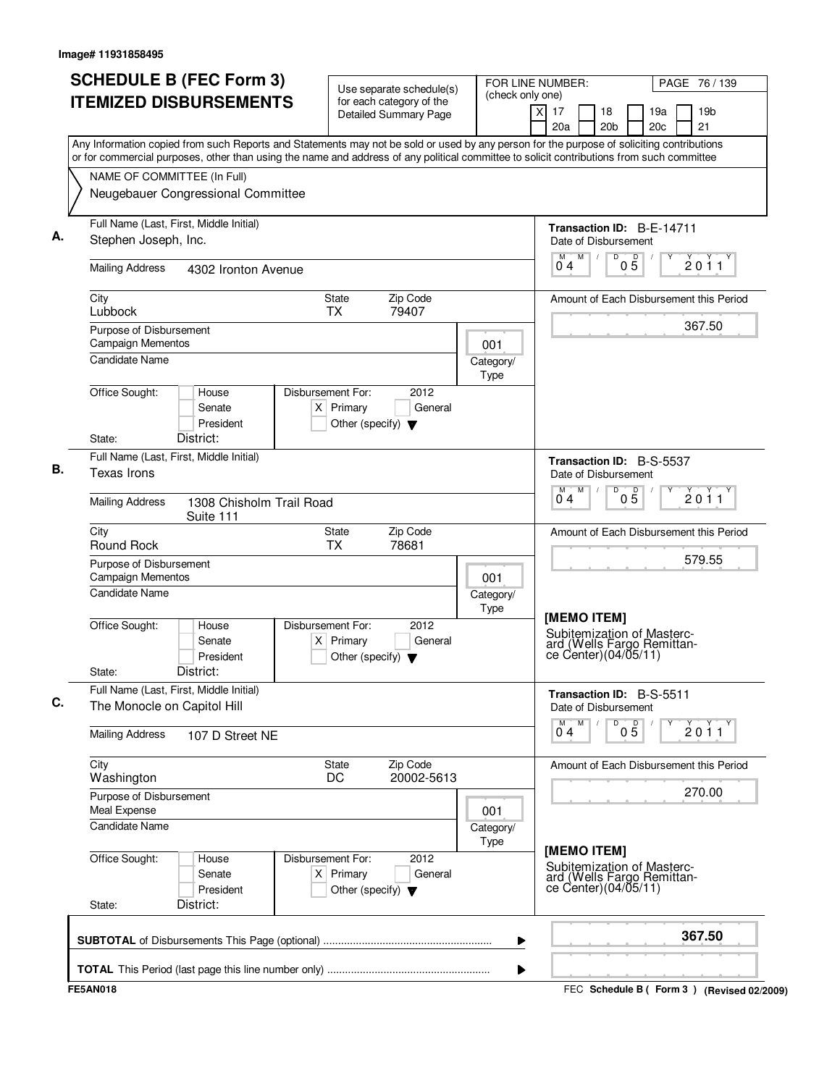| <b>ITEMIZED DISBURSEMENTS</b><br>for each category of the<br>$\overline{X}$<br>19 <sub>b</sub><br>17<br>18<br>19a<br><b>Detailed Summary Page</b><br>21<br>20a<br>20 <sub>b</sub><br>20c<br>Any Information copied from such Reports and Statements may not be sold or used by any person for the purpose of soliciting contributions<br>or for commercial purposes, other than using the name and address of any political committee to solicit contributions from such committee<br>NAME OF COMMITTEE (In Full)<br>Neugebauer Congressional Committee<br>Full Name (Last, First, Middle Initial)<br>Transaction ID: B-E-14711<br>Stephen Joseph, Inc.<br>Date of Disbursement<br>M<br>D<br>$0\overline{5}$<br>2011<br>0 <sub>4</sub><br><b>Mailing Address</b><br>4302 Ironton Avenue<br>Zip Code<br>City<br>State<br>Amount of Each Disbursement this Period<br>Lubbock<br><b>TX</b><br>79407<br>367.50<br>Purpose of Disbursement<br>Campaign Mementos<br>001<br><b>Candidate Name</b><br>Category/<br>Type<br>Office Sought:<br>House<br>Disbursement For:<br>2012<br>$X$ Primary<br>General<br>Senate<br>President<br>Other (specify) $\blacktriangledown$<br>District:<br>State:<br>Full Name (Last, First, Middle Initial)<br>Transaction ID: B-S-5537<br>Texas Irons<br>Date of Disbursement<br>M<br>M<br>D<br>$0\overline{5}$<br>2011<br>04<br><b>Mailing Address</b><br>1308 Chisholm Trail Road<br>Suite 111<br>Zip Code<br>City<br>State<br>Amount of Each Disbursement this Period<br>Round Rock<br><b>TX</b><br>78681<br>579.55<br>Purpose of Disbursement<br>Campaign Mementos<br>001<br><b>Candidate Name</b><br>Category/<br>Type<br>[MEMO ITEM]<br>2012<br>Office Sought:<br>Disbursement For:<br>House<br>Subitemization of Masterc-<br>Senate<br>$X$ Primary<br>General<br>ard (Wells Fargo Remittance Center)(04/05/11)<br>President<br>Other (specify) $\blacktriangledown$<br>District:<br>State:<br>Full Name (Last, First, Middle Initial)<br>Transaction ID: B-S-5511<br>The Monocle on Capitol Hill<br>Date of Disbursement<br>$0\overline{5}$<br>M<br>D<br>2011<br>04<br><b>Mailing Address</b><br>107 D Street NE<br>City<br>Zip Code<br><b>State</b><br>Amount of Each Disbursement this Period<br>20002-5613<br>DC<br>Washington<br>270.00<br>Purpose of Disbursement<br>Meal Expense<br>001<br><b>Candidate Name</b><br>Category/<br>Type<br>[MEMO ITEM]<br>Office Sought:<br>Disbursement For:<br>2012<br>House<br>Subitemization of Masterc-<br>$X$ Primary<br>Senate<br>General<br>ard (Wells Fargo Remittance Center)(04/05/11)<br>President<br>Other (specify) $\blacktriangledown$<br>District:<br>State:<br>367.50<br>▶<br>▶ | <b>SCHEDULE B (FEC Form 3)</b> | Use separate schedule(s) | (check only one) | FOR LINE NUMBER:<br>PAGE 76 / 139 |                                             |  |
|----------------------------------------------------------------------------------------------------------------------------------------------------------------------------------------------------------------------------------------------------------------------------------------------------------------------------------------------------------------------------------------------------------------------------------------------------------------------------------------------------------------------------------------------------------------------------------------------------------------------------------------------------------------------------------------------------------------------------------------------------------------------------------------------------------------------------------------------------------------------------------------------------------------------------------------------------------------------------------------------------------------------------------------------------------------------------------------------------------------------------------------------------------------------------------------------------------------------------------------------------------------------------------------------------------------------------------------------------------------------------------------------------------------------------------------------------------------------------------------------------------------------------------------------------------------------------------------------------------------------------------------------------------------------------------------------------------------------------------------------------------------------------------------------------------------------------------------------------------------------------------------------------------------------------------------------------------------------------------------------------------------------------------------------------------------------------------------------------------------------------------------------------------------------------------------------------------------------------------------------------------------------------------------------------------------------------------------------------------------------------------------------------------------------------------------------------------------------------------------------------------------------------------------------------------------------------------------------------------------------------------------------------------------------|--------------------------------|--------------------------|------------------|-----------------------------------|---------------------------------------------|--|
|                                                                                                                                                                                                                                                                                                                                                                                                                                                                                                                                                                                                                                                                                                                                                                                                                                                                                                                                                                                                                                                                                                                                                                                                                                                                                                                                                                                                                                                                                                                                                                                                                                                                                                                                                                                                                                                                                                                                                                                                                                                                                                                                                                                                                                                                                                                                                                                                                                                                                                                                                                                                                                                                      |                                |                          |                  |                                   |                                             |  |
|                                                                                                                                                                                                                                                                                                                                                                                                                                                                                                                                                                                                                                                                                                                                                                                                                                                                                                                                                                                                                                                                                                                                                                                                                                                                                                                                                                                                                                                                                                                                                                                                                                                                                                                                                                                                                                                                                                                                                                                                                                                                                                                                                                                                                                                                                                                                                                                                                                                                                                                                                                                                                                                                      |                                |                          |                  |                                   |                                             |  |
|                                                                                                                                                                                                                                                                                                                                                                                                                                                                                                                                                                                                                                                                                                                                                                                                                                                                                                                                                                                                                                                                                                                                                                                                                                                                                                                                                                                                                                                                                                                                                                                                                                                                                                                                                                                                                                                                                                                                                                                                                                                                                                                                                                                                                                                                                                                                                                                                                                                                                                                                                                                                                                                                      |                                |                          |                  |                                   |                                             |  |
|                                                                                                                                                                                                                                                                                                                                                                                                                                                                                                                                                                                                                                                                                                                                                                                                                                                                                                                                                                                                                                                                                                                                                                                                                                                                                                                                                                                                                                                                                                                                                                                                                                                                                                                                                                                                                                                                                                                                                                                                                                                                                                                                                                                                                                                                                                                                                                                                                                                                                                                                                                                                                                                                      |                                |                          |                  |                                   |                                             |  |
|                                                                                                                                                                                                                                                                                                                                                                                                                                                                                                                                                                                                                                                                                                                                                                                                                                                                                                                                                                                                                                                                                                                                                                                                                                                                                                                                                                                                                                                                                                                                                                                                                                                                                                                                                                                                                                                                                                                                                                                                                                                                                                                                                                                                                                                                                                                                                                                                                                                                                                                                                                                                                                                                      |                                |                          |                  |                                   |                                             |  |
|                                                                                                                                                                                                                                                                                                                                                                                                                                                                                                                                                                                                                                                                                                                                                                                                                                                                                                                                                                                                                                                                                                                                                                                                                                                                                                                                                                                                                                                                                                                                                                                                                                                                                                                                                                                                                                                                                                                                                                                                                                                                                                                                                                                                                                                                                                                                                                                                                                                                                                                                                                                                                                                                      |                                |                          |                  |                                   |                                             |  |
|                                                                                                                                                                                                                                                                                                                                                                                                                                                                                                                                                                                                                                                                                                                                                                                                                                                                                                                                                                                                                                                                                                                                                                                                                                                                                                                                                                                                                                                                                                                                                                                                                                                                                                                                                                                                                                                                                                                                                                                                                                                                                                                                                                                                                                                                                                                                                                                                                                                                                                                                                                                                                                                                      |                                |                          |                  |                                   |                                             |  |
|                                                                                                                                                                                                                                                                                                                                                                                                                                                                                                                                                                                                                                                                                                                                                                                                                                                                                                                                                                                                                                                                                                                                                                                                                                                                                                                                                                                                                                                                                                                                                                                                                                                                                                                                                                                                                                                                                                                                                                                                                                                                                                                                                                                                                                                                                                                                                                                                                                                                                                                                                                                                                                                                      |                                |                          |                  |                                   |                                             |  |
|                                                                                                                                                                                                                                                                                                                                                                                                                                                                                                                                                                                                                                                                                                                                                                                                                                                                                                                                                                                                                                                                                                                                                                                                                                                                                                                                                                                                                                                                                                                                                                                                                                                                                                                                                                                                                                                                                                                                                                                                                                                                                                                                                                                                                                                                                                                                                                                                                                                                                                                                                                                                                                                                      |                                |                          |                  |                                   |                                             |  |
|                                                                                                                                                                                                                                                                                                                                                                                                                                                                                                                                                                                                                                                                                                                                                                                                                                                                                                                                                                                                                                                                                                                                                                                                                                                                                                                                                                                                                                                                                                                                                                                                                                                                                                                                                                                                                                                                                                                                                                                                                                                                                                                                                                                                                                                                                                                                                                                                                                                                                                                                                                                                                                                                      |                                |                          |                  |                                   |                                             |  |
|                                                                                                                                                                                                                                                                                                                                                                                                                                                                                                                                                                                                                                                                                                                                                                                                                                                                                                                                                                                                                                                                                                                                                                                                                                                                                                                                                                                                                                                                                                                                                                                                                                                                                                                                                                                                                                                                                                                                                                                                                                                                                                                                                                                                                                                                                                                                                                                                                                                                                                                                                                                                                                                                      |                                |                          |                  |                                   |                                             |  |
|                                                                                                                                                                                                                                                                                                                                                                                                                                                                                                                                                                                                                                                                                                                                                                                                                                                                                                                                                                                                                                                                                                                                                                                                                                                                                                                                                                                                                                                                                                                                                                                                                                                                                                                                                                                                                                                                                                                                                                                                                                                                                                                                                                                                                                                                                                                                                                                                                                                                                                                                                                                                                                                                      |                                |                          |                  |                                   |                                             |  |
|                                                                                                                                                                                                                                                                                                                                                                                                                                                                                                                                                                                                                                                                                                                                                                                                                                                                                                                                                                                                                                                                                                                                                                                                                                                                                                                                                                                                                                                                                                                                                                                                                                                                                                                                                                                                                                                                                                                                                                                                                                                                                                                                                                                                                                                                                                                                                                                                                                                                                                                                                                                                                                                                      |                                |                          |                  |                                   |                                             |  |
|                                                                                                                                                                                                                                                                                                                                                                                                                                                                                                                                                                                                                                                                                                                                                                                                                                                                                                                                                                                                                                                                                                                                                                                                                                                                                                                                                                                                                                                                                                                                                                                                                                                                                                                                                                                                                                                                                                                                                                                                                                                                                                                                                                                                                                                                                                                                                                                                                                                                                                                                                                                                                                                                      |                                |                          |                  |                                   |                                             |  |
|                                                                                                                                                                                                                                                                                                                                                                                                                                                                                                                                                                                                                                                                                                                                                                                                                                                                                                                                                                                                                                                                                                                                                                                                                                                                                                                                                                                                                                                                                                                                                                                                                                                                                                                                                                                                                                                                                                                                                                                                                                                                                                                                                                                                                                                                                                                                                                                                                                                                                                                                                                                                                                                                      |                                |                          |                  |                                   |                                             |  |
|                                                                                                                                                                                                                                                                                                                                                                                                                                                                                                                                                                                                                                                                                                                                                                                                                                                                                                                                                                                                                                                                                                                                                                                                                                                                                                                                                                                                                                                                                                                                                                                                                                                                                                                                                                                                                                                                                                                                                                                                                                                                                                                                                                                                                                                                                                                                                                                                                                                                                                                                                                                                                                                                      |                                |                          |                  |                                   |                                             |  |
|                                                                                                                                                                                                                                                                                                                                                                                                                                                                                                                                                                                                                                                                                                                                                                                                                                                                                                                                                                                                                                                                                                                                                                                                                                                                                                                                                                                                                                                                                                                                                                                                                                                                                                                                                                                                                                                                                                                                                                                                                                                                                                                                                                                                                                                                                                                                                                                                                                                                                                                                                                                                                                                                      |                                |                          |                  |                                   |                                             |  |
|                                                                                                                                                                                                                                                                                                                                                                                                                                                                                                                                                                                                                                                                                                                                                                                                                                                                                                                                                                                                                                                                                                                                                                                                                                                                                                                                                                                                                                                                                                                                                                                                                                                                                                                                                                                                                                                                                                                                                                                                                                                                                                                                                                                                                                                                                                                                                                                                                                                                                                                                                                                                                                                                      |                                |                          |                  |                                   |                                             |  |
|                                                                                                                                                                                                                                                                                                                                                                                                                                                                                                                                                                                                                                                                                                                                                                                                                                                                                                                                                                                                                                                                                                                                                                                                                                                                                                                                                                                                                                                                                                                                                                                                                                                                                                                                                                                                                                                                                                                                                                                                                                                                                                                                                                                                                                                                                                                                                                                                                                                                                                                                                                                                                                                                      |                                |                          |                  |                                   |                                             |  |
|                                                                                                                                                                                                                                                                                                                                                                                                                                                                                                                                                                                                                                                                                                                                                                                                                                                                                                                                                                                                                                                                                                                                                                                                                                                                                                                                                                                                                                                                                                                                                                                                                                                                                                                                                                                                                                                                                                                                                                                                                                                                                                                                                                                                                                                                                                                                                                                                                                                                                                                                                                                                                                                                      |                                |                          |                  |                                   |                                             |  |
|                                                                                                                                                                                                                                                                                                                                                                                                                                                                                                                                                                                                                                                                                                                                                                                                                                                                                                                                                                                                                                                                                                                                                                                                                                                                                                                                                                                                                                                                                                                                                                                                                                                                                                                                                                                                                                                                                                                                                                                                                                                                                                                                                                                                                                                                                                                                                                                                                                                                                                                                                                                                                                                                      |                                |                          |                  |                                   |                                             |  |
|                                                                                                                                                                                                                                                                                                                                                                                                                                                                                                                                                                                                                                                                                                                                                                                                                                                                                                                                                                                                                                                                                                                                                                                                                                                                                                                                                                                                                                                                                                                                                                                                                                                                                                                                                                                                                                                                                                                                                                                                                                                                                                                                                                                                                                                                                                                                                                                                                                                                                                                                                                                                                                                                      |                                |                          |                  |                                   |                                             |  |
|                                                                                                                                                                                                                                                                                                                                                                                                                                                                                                                                                                                                                                                                                                                                                                                                                                                                                                                                                                                                                                                                                                                                                                                                                                                                                                                                                                                                                                                                                                                                                                                                                                                                                                                                                                                                                                                                                                                                                                                                                                                                                                                                                                                                                                                                                                                                                                                                                                                                                                                                                                                                                                                                      |                                |                          |                  |                                   |                                             |  |
|                                                                                                                                                                                                                                                                                                                                                                                                                                                                                                                                                                                                                                                                                                                                                                                                                                                                                                                                                                                                                                                                                                                                                                                                                                                                                                                                                                                                                                                                                                                                                                                                                                                                                                                                                                                                                                                                                                                                                                                                                                                                                                                                                                                                                                                                                                                                                                                                                                                                                                                                                                                                                                                                      |                                |                          |                  |                                   |                                             |  |
|                                                                                                                                                                                                                                                                                                                                                                                                                                                                                                                                                                                                                                                                                                                                                                                                                                                                                                                                                                                                                                                                                                                                                                                                                                                                                                                                                                                                                                                                                                                                                                                                                                                                                                                                                                                                                                                                                                                                                                                                                                                                                                                                                                                                                                                                                                                                                                                                                                                                                                                                                                                                                                                                      |                                |                          |                  |                                   |                                             |  |
|                                                                                                                                                                                                                                                                                                                                                                                                                                                                                                                                                                                                                                                                                                                                                                                                                                                                                                                                                                                                                                                                                                                                                                                                                                                                                                                                                                                                                                                                                                                                                                                                                                                                                                                                                                                                                                                                                                                                                                                                                                                                                                                                                                                                                                                                                                                                                                                                                                                                                                                                                                                                                                                                      |                                |                          |                  |                                   |                                             |  |
|                                                                                                                                                                                                                                                                                                                                                                                                                                                                                                                                                                                                                                                                                                                                                                                                                                                                                                                                                                                                                                                                                                                                                                                                                                                                                                                                                                                                                                                                                                                                                                                                                                                                                                                                                                                                                                                                                                                                                                                                                                                                                                                                                                                                                                                                                                                                                                                                                                                                                                                                                                                                                                                                      |                                |                          |                  |                                   |                                             |  |
|                                                                                                                                                                                                                                                                                                                                                                                                                                                                                                                                                                                                                                                                                                                                                                                                                                                                                                                                                                                                                                                                                                                                                                                                                                                                                                                                                                                                                                                                                                                                                                                                                                                                                                                                                                                                                                                                                                                                                                                                                                                                                                                                                                                                                                                                                                                                                                                                                                                                                                                                                                                                                                                                      |                                |                          |                  |                                   |                                             |  |
|                                                                                                                                                                                                                                                                                                                                                                                                                                                                                                                                                                                                                                                                                                                                                                                                                                                                                                                                                                                                                                                                                                                                                                                                                                                                                                                                                                                                                                                                                                                                                                                                                                                                                                                                                                                                                                                                                                                                                                                                                                                                                                                                                                                                                                                                                                                                                                                                                                                                                                                                                                                                                                                                      | <b>FE5AN018</b>                |                          |                  |                                   | FEC Schedule B ( Form 3 ) (Revised 02/2009) |  |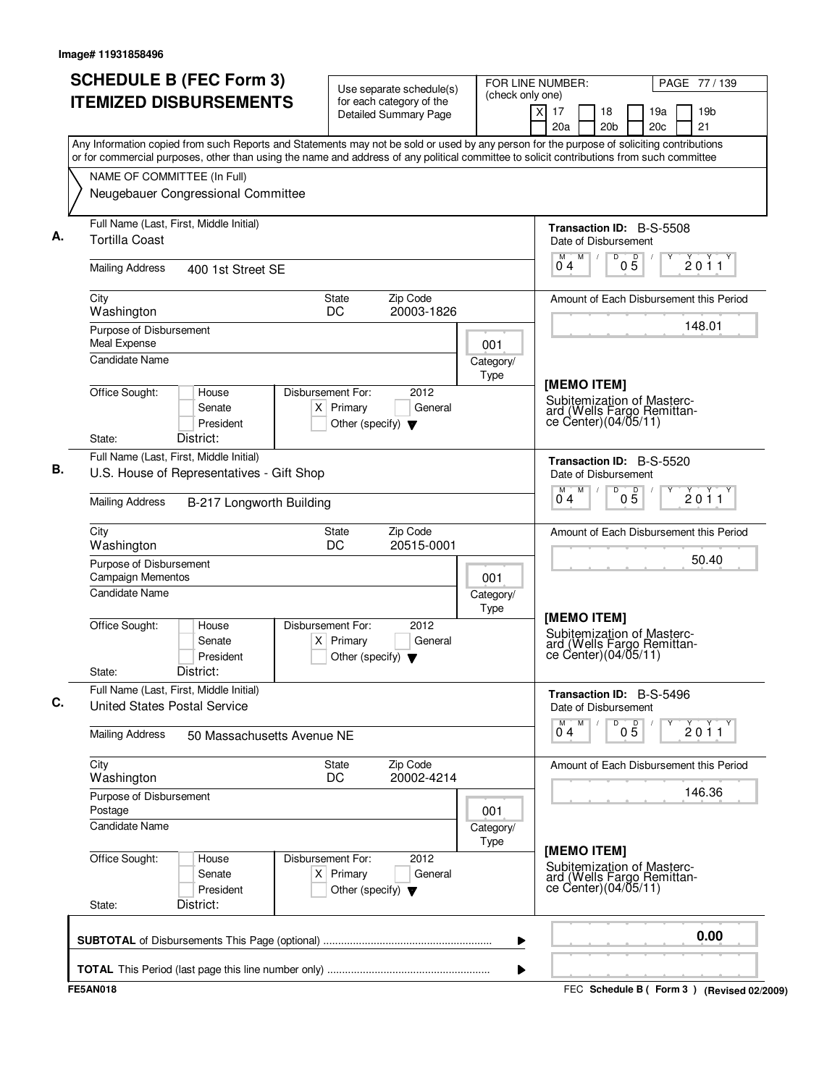| <b>SCHEDULE B (FEC Form 3)</b>                                                                                                                                                                                                                                                         | Use separate schedule(s)                                                                      | (check only one)  | FOR LINE NUMBER:<br>PAGE 77 / 139                                                                |                                           |  |
|----------------------------------------------------------------------------------------------------------------------------------------------------------------------------------------------------------------------------------------------------------------------------------------|-----------------------------------------------------------------------------------------------|-------------------|--------------------------------------------------------------------------------------------------|-------------------------------------------|--|
| <b>ITEMIZED DISBURSEMENTS</b>                                                                                                                                                                                                                                                          | for each category of the<br><b>Detailed Summary Page</b>                                      |                   | $\overline{X}$<br>17<br>18<br>20a<br>20 <sub>b</sub>                                             | 19a<br>19 <sub>b</sub><br>21<br>20c       |  |
| Any Information copied from such Reports and Statements may not be sold or used by any person for the purpose of soliciting contributions<br>or for commercial purposes, other than using the name and address of any political committee to solicit contributions from such committee |                                                                                               |                   |                                                                                                  |                                           |  |
| NAME OF COMMITTEE (In Full)                                                                                                                                                                                                                                                            |                                                                                               |                   |                                                                                                  |                                           |  |
| Neugebauer Congressional Committee                                                                                                                                                                                                                                                     |                                                                                               |                   |                                                                                                  |                                           |  |
| Full Name (Last, First, Middle Initial)<br><b>Tortilla Coast</b>                                                                                                                                                                                                                       |                                                                                               |                   | <b>Transaction ID: B-S-5508</b><br>Date of Disbursement                                          |                                           |  |
| <b>Mailing Address</b><br>400 1st Street SE                                                                                                                                                                                                                                            |                                                                                               |                   | M<br>D<br>$0\overline{5}$<br>M<br>04                                                             | 2011                                      |  |
| City<br>Washington                                                                                                                                                                                                                                                                     | Zip Code<br>State<br>DC<br>20003-1826                                                         |                   |                                                                                                  | Amount of Each Disbursement this Period   |  |
| Purpose of Disbursement<br>Meal Expense                                                                                                                                                                                                                                                |                                                                                               | 001               |                                                                                                  | 148.01                                    |  |
| <b>Candidate Name</b>                                                                                                                                                                                                                                                                  |                                                                                               | Category/<br>Type |                                                                                                  |                                           |  |
| Office Sought:<br>House<br>Senate<br>President<br>District:<br>State:                                                                                                                                                                                                                  | Disbursement For:<br>2012<br>$X$ Primary<br>General<br>Other (specify) $\blacktriangledown$   |                   | [MEMO ITEM]<br>Subitemization of Masterc-<br>ard (Wells Fargo Remittan-<br>ce Center)(04/05/11)  |                                           |  |
| Full Name (Last, First, Middle Initial)                                                                                                                                                                                                                                                |                                                                                               |                   | Transaction ID: B-S-5520                                                                         |                                           |  |
| U.S. House of Representatives - Gift Shop                                                                                                                                                                                                                                              |                                                                                               |                   | Date of Disbursement                                                                             |                                           |  |
| <b>Mailing Address</b><br>B-217 Longworth Building                                                                                                                                                                                                                                     |                                                                                               |                   | M<br>D<br>M<br>05<br>04                                                                          | 2011                                      |  |
| City<br>Washington                                                                                                                                                                                                                                                                     | Zip Code<br>State<br>DC<br>20515-0001                                                         |                   |                                                                                                  | Amount of Each Disbursement this Period   |  |
| Purpose of Disbursement<br><b>Campaign Mementos</b>                                                                                                                                                                                                                                    |                                                                                               | 001               |                                                                                                  | 50.40                                     |  |
| Candidate Name                                                                                                                                                                                                                                                                         |                                                                                               | Category/<br>Type |                                                                                                  |                                           |  |
| Office Sought:<br>House<br>Senate<br>President<br>District:<br>State:                                                                                                                                                                                                                  | Disbursement For:<br>2012<br>Primary<br>General<br>ΧI<br>Other (specify) $\blacktriangledown$ |                   | [MEMO ITEM]<br>Subitemization of Masterc-<br>ard (Wells Fargo Remittan-<br>ce Center) (04/05/11) |                                           |  |
| Full Name (Last, First, Middle Initial)<br><b>United States Postal Service</b>                                                                                                                                                                                                         |                                                                                               |                   | Transaction ID: B-S-5496<br>Date of Disbursement                                                 |                                           |  |
| <b>Mailing Address</b><br>50 Massachusetts Avenue NE                                                                                                                                                                                                                                   |                                                                                               |                   | M<br>D<br>$0\overline{5}$<br>$\overline{0}^M$ 4                                                  | $\check{2}$ 0 $\check{1}$ 1               |  |
| City<br>Washington                                                                                                                                                                                                                                                                     | Zip Code<br>State<br>20002-4214<br>DC                                                         |                   |                                                                                                  | Amount of Each Disbursement this Period   |  |
| Purpose of Disbursement<br>Postage                                                                                                                                                                                                                                                     |                                                                                               | 001               |                                                                                                  | 146.36                                    |  |
| <b>Candidate Name</b>                                                                                                                                                                                                                                                                  |                                                                                               | Category/<br>Type |                                                                                                  |                                           |  |
| Office Sought:<br>House<br>Senate<br>President<br>District:<br>State:                                                                                                                                                                                                                  | Disbursement For:<br>2012<br>$X$ Primary<br>General<br>Other (specify) $\blacktriangledown$   |                   | [MEMO ITEM]<br>Subitemization of Masterc-<br>ard (Wells Fargo Remittance Center)(04/05/11)       |                                           |  |
|                                                                                                                                                                                                                                                                                        |                                                                                               |                   |                                                                                                  | 0.00                                      |  |
|                                                                                                                                                                                                                                                                                        |                                                                                               | ▶                 |                                                                                                  |                                           |  |
| <b>FE5AN018</b>                                                                                                                                                                                                                                                                        |                                                                                               | ▶                 |                                                                                                  | FEC Schedule B (Form 3) (Revised 02/2009) |  |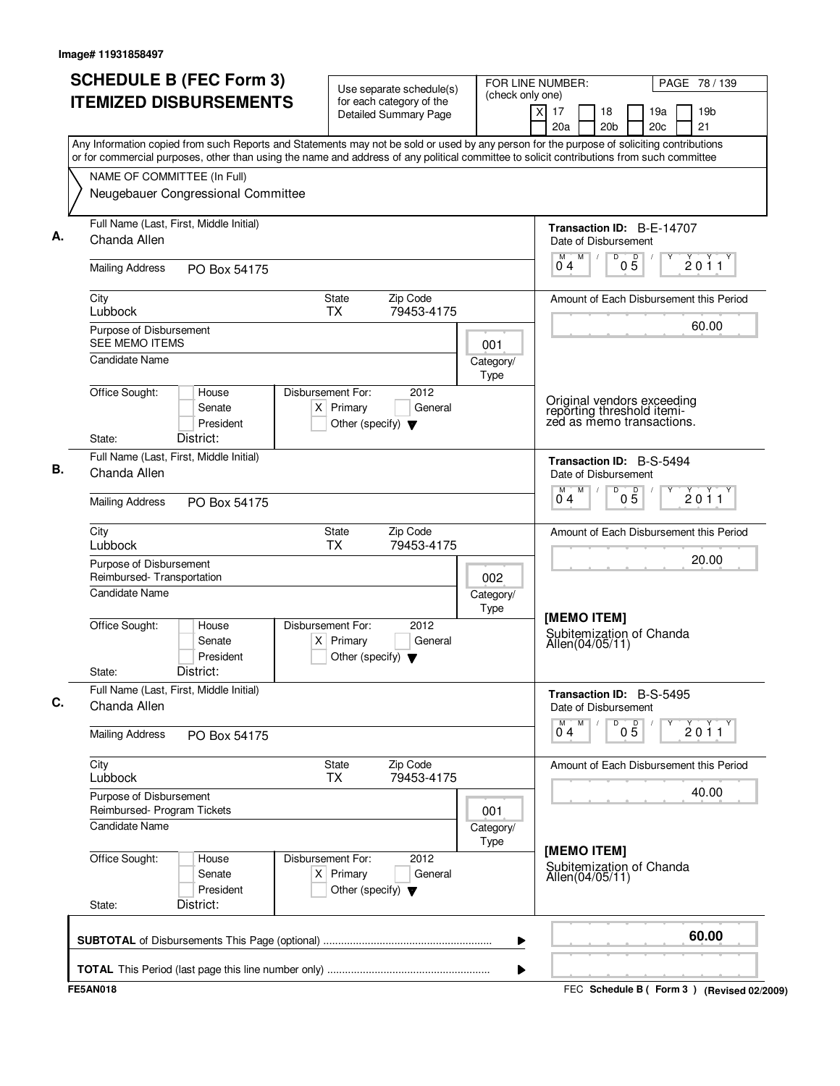| <b>SCHEDULE B (FEC Form 3)</b><br><b>ITEMIZED DISBURSEMENTS</b>                                                                                                                                                                                                                        | Use separate schedule(s)<br>for each category of the                                        | FOR LINE NUMBER:<br>(check only one) |                                                                                       | PAGE 78 / 139                               |
|----------------------------------------------------------------------------------------------------------------------------------------------------------------------------------------------------------------------------------------------------------------------------------------|---------------------------------------------------------------------------------------------|--------------------------------------|---------------------------------------------------------------------------------------|---------------------------------------------|
|                                                                                                                                                                                                                                                                                        | <b>Detailed Summary Page</b>                                                                | $\overline{X}$                       | 17<br>18<br>20a<br>20 <sub>b</sub>                                                    | 19 <sub>b</sub><br>19a<br>21<br>20c         |
| Any Information copied from such Reports and Statements may not be sold or used by any person for the purpose of soliciting contributions<br>or for commercial purposes, other than using the name and address of any political committee to solicit contributions from such committee |                                                                                             |                                      |                                                                                       |                                             |
| NAME OF COMMITTEE (In Full)<br>Neugebauer Congressional Committee                                                                                                                                                                                                                      |                                                                                             |                                      |                                                                                       |                                             |
| Full Name (Last, First, Middle Initial)<br>Chanda Allen                                                                                                                                                                                                                                |                                                                                             |                                      | Transaction ID: B-E-14707<br>Date of Disbursement                                     |                                             |
| <b>Mailing Address</b><br>PO Box 54175                                                                                                                                                                                                                                                 |                                                                                             |                                      | M<br>D<br>$0\overline{5}$<br>04                                                       | 2011                                        |
| City<br>Lubbock                                                                                                                                                                                                                                                                        | Zip Code<br><b>State</b><br><b>TX</b><br>79453-4175                                         |                                      |                                                                                       | Amount of Each Disbursement this Period     |
| Purpose of Disbursement<br><b>SEE MEMO ITEMS</b>                                                                                                                                                                                                                                       |                                                                                             | 001                                  |                                                                                       | 60.00                                       |
| <b>Candidate Name</b>                                                                                                                                                                                                                                                                  |                                                                                             | Category/<br>Type                    |                                                                                       |                                             |
| Office Sought:<br>House<br>Senate<br>President<br>District:<br>State:                                                                                                                                                                                                                  | Disbursement For:<br>2012<br>$X$ Primary<br>General<br>Other (specify) $\blacktriangledown$ |                                      | Original vendors exceeding<br>reporting threshold itemi-<br>zed as memo transactions. |                                             |
| Full Name (Last, First, Middle Initial)<br>Chanda Allen                                                                                                                                                                                                                                |                                                                                             |                                      | Transaction ID: B-S-5494<br>Date of Disbursement                                      |                                             |
| <b>Mailing Address</b><br>PO Box 54175                                                                                                                                                                                                                                                 |                                                                                             |                                      | M<br>M<br>D<br>$0\overline{5}$<br>04                                                  | 2011                                        |
| City<br>Lubbock                                                                                                                                                                                                                                                                        | State<br>Zip Code<br><b>TX</b><br>79453-4175                                                |                                      |                                                                                       | Amount of Each Disbursement this Period     |
| Purpose of Disbursement<br>Reimbursed-Transportation                                                                                                                                                                                                                                   |                                                                                             | 002                                  |                                                                                       | 20.00                                       |
| <b>Candidate Name</b>                                                                                                                                                                                                                                                                  |                                                                                             | Category/<br>Type                    | [MEMO ITEM]                                                                           |                                             |
| Office Sought:<br>House<br>Senate<br>President<br>District:<br>State:                                                                                                                                                                                                                  | 2012<br>Disbursement For:<br>$X$ Primary<br>General<br>Other (specify) $\blacktriangledown$ |                                      | Subitemization of Chanda<br>Allen(04/05/11)                                           |                                             |
| Full Name (Last, First, Middle Initial)<br>Chanda Allen                                                                                                                                                                                                                                |                                                                                             |                                      | Transaction ID: B-S-5495<br>Date of Disbursement                                      |                                             |
| <b>Mailing Address</b><br>PO Box 54175                                                                                                                                                                                                                                                 |                                                                                             |                                      | $0\overline{5}$<br>M<br>D<br>04                                                       | 2011                                        |
| City<br>Lubbock                                                                                                                                                                                                                                                                        | Zip Code<br><b>State</b><br>79453-4175<br><b>TX</b>                                         |                                      |                                                                                       | Amount of Each Disbursement this Period     |
| Purpose of Disbursement<br>Reimbursed- Program Tickets                                                                                                                                                                                                                                 |                                                                                             | 001                                  |                                                                                       | 40.00                                       |
| <b>Candidate Name</b>                                                                                                                                                                                                                                                                  |                                                                                             | Category/<br>Type                    | [MEMO ITEM]                                                                           |                                             |
| Office Sought:<br>House<br>Senate<br>President<br>District:<br>State:                                                                                                                                                                                                                  | Disbursement For:<br>2012<br>$X$ Primary<br>General<br>Other (specify) $\blacktriangledown$ |                                      | Subitemization of Chanda<br>Allen(04/05/11)                                           |                                             |
|                                                                                                                                                                                                                                                                                        |                                                                                             | ▶                                    |                                                                                       | 60.00                                       |
|                                                                                                                                                                                                                                                                                        |                                                                                             | ▶                                    |                                                                                       |                                             |
| <b>FE5AN018</b>                                                                                                                                                                                                                                                                        |                                                                                             |                                      |                                                                                       | FEC Schedule B ( Form 3 ) (Revised 02/2009) |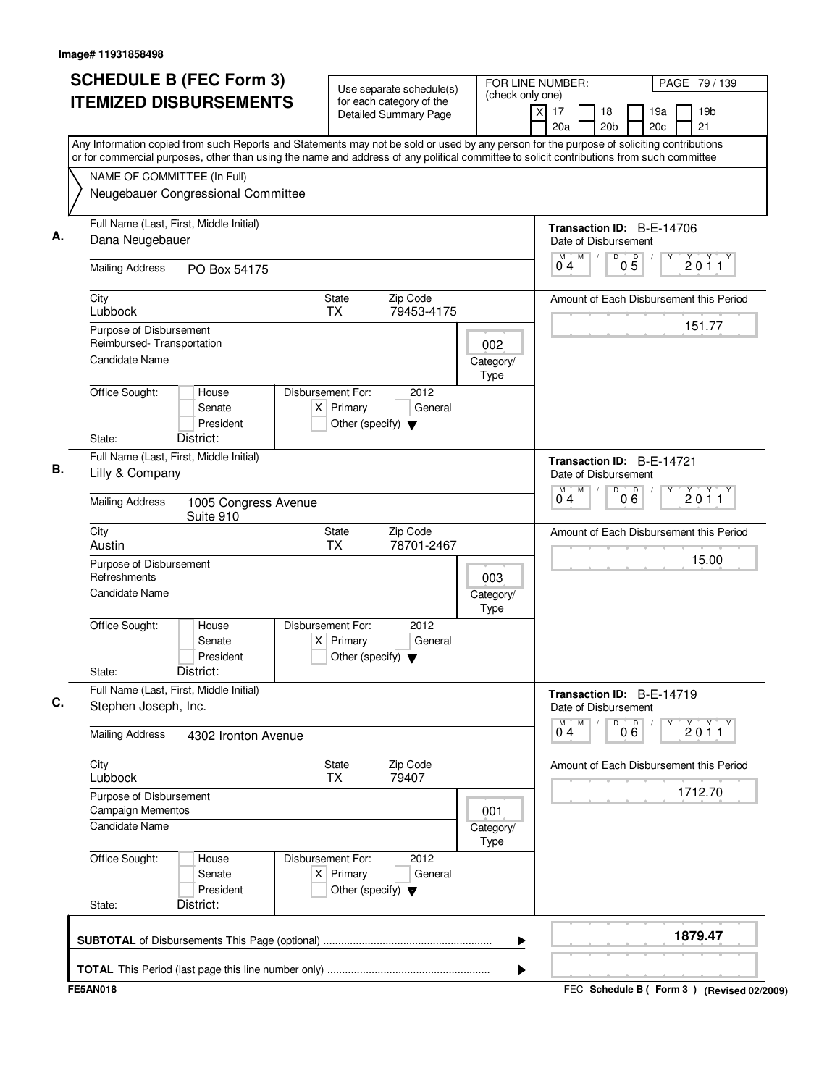| Any Information copied from such Reports and Statements may not be sold or used by any person for the purpose of soliciting contributions<br>or for commercial purposes, other than using the name and address of any political committee to solicit contributions from such committee<br>NAME OF COMMITTEE (In Full)<br>Neugebauer Congressional Committee<br>Full Name (Last, First, Middle Initial)<br>Transaction ID: B-E-14706<br>Dana Neugebauer<br>Date of Disbursement<br>M<br>D<br>$0\overline{5}$<br>M<br>2011<br>04<br><b>Mailing Address</b><br>PO Box 54175<br>State<br>Zip Code<br>City<br>Amount of Each Disbursement this Period<br>Lubbock<br>TX<br>79453-4175<br>151.77<br>Purpose of Disbursement<br>Reimbursed-Transportation<br>002<br><b>Candidate Name</b><br>Category/<br>Type<br>Office Sought:<br>Disbursement For:<br>2012<br>House<br>$X$ Primary<br>General<br>Senate<br>President<br>Other (specify) $\blacktriangledown$<br>District:<br>State:<br>Full Name (Last, First, Middle Initial)<br>Transaction ID: B-E-14721<br>Lilly & Company<br>Date of Disbursement<br>M<br>D<br>M<br>000<br>2011<br>04<br><b>Mailing Address</b><br>1005 Congress Avenue<br>Suite 910<br>City<br><b>State</b><br>Zip Code<br>Amount of Each Disbursement this Period<br>Austin<br><b>TX</b><br>78701-2467<br>15.00<br>Purpose of Disbursement<br>Refreshments<br>003<br><b>Candidate Name</b><br>Category/<br>Type<br>Office Sought:<br>Disbursement For:<br>2012<br>House<br>Senate<br>$X$ Primary<br>General<br>President<br>Other (specify) $\blacktriangledown$<br>District:<br>State:<br>Full Name (Last, First, Middle Initial)<br>Transaction ID: B-E-14719<br>Stephen Joseph, Inc.<br>Date of Disbursement<br>M<br>D<br>000<br>M<br>2011<br>04<br><b>Mailing Address</b><br>4302 Ironton Avenue<br>City<br><b>State</b><br>Zip Code<br>Amount of Each Disbursement this Period<br>79407<br>Lubbock<br>TX<br>1712.70<br>Purpose of Disbursement<br><b>Campaign Mementos</b><br>001<br><b>Candidate Name</b><br>Category/<br>Type<br>Office Sought:<br>Disbursement For:<br>2012<br>House<br>$X$ Primary<br>Senate<br>General<br>President<br>Other (specify) $\blacktriangledown$<br>District:<br>State:<br>1879.47<br>▶ |  |
|------------------------------------------------------------------------------------------------------------------------------------------------------------------------------------------------------------------------------------------------------------------------------------------------------------------------------------------------------------------------------------------------------------------------------------------------------------------------------------------------------------------------------------------------------------------------------------------------------------------------------------------------------------------------------------------------------------------------------------------------------------------------------------------------------------------------------------------------------------------------------------------------------------------------------------------------------------------------------------------------------------------------------------------------------------------------------------------------------------------------------------------------------------------------------------------------------------------------------------------------------------------------------------------------------------------------------------------------------------------------------------------------------------------------------------------------------------------------------------------------------------------------------------------------------------------------------------------------------------------------------------------------------------------------------------------------------------------------------------------------------------------------------------------------------------------------------------------------------------------------------------------------------------------------------------------------------------------------------------------------------------------------------------------------------------------------------------------------------------------------------------------------------------------------------------------------------------------------------------------------|--|
|                                                                                                                                                                                                                                                                                                                                                                                                                                                                                                                                                                                                                                                                                                                                                                                                                                                                                                                                                                                                                                                                                                                                                                                                                                                                                                                                                                                                                                                                                                                                                                                                                                                                                                                                                                                                                                                                                                                                                                                                                                                                                                                                                                                                                                                |  |
|                                                                                                                                                                                                                                                                                                                                                                                                                                                                                                                                                                                                                                                                                                                                                                                                                                                                                                                                                                                                                                                                                                                                                                                                                                                                                                                                                                                                                                                                                                                                                                                                                                                                                                                                                                                                                                                                                                                                                                                                                                                                                                                                                                                                                                                |  |
|                                                                                                                                                                                                                                                                                                                                                                                                                                                                                                                                                                                                                                                                                                                                                                                                                                                                                                                                                                                                                                                                                                                                                                                                                                                                                                                                                                                                                                                                                                                                                                                                                                                                                                                                                                                                                                                                                                                                                                                                                                                                                                                                                                                                                                                |  |
|                                                                                                                                                                                                                                                                                                                                                                                                                                                                                                                                                                                                                                                                                                                                                                                                                                                                                                                                                                                                                                                                                                                                                                                                                                                                                                                                                                                                                                                                                                                                                                                                                                                                                                                                                                                                                                                                                                                                                                                                                                                                                                                                                                                                                                                |  |
|                                                                                                                                                                                                                                                                                                                                                                                                                                                                                                                                                                                                                                                                                                                                                                                                                                                                                                                                                                                                                                                                                                                                                                                                                                                                                                                                                                                                                                                                                                                                                                                                                                                                                                                                                                                                                                                                                                                                                                                                                                                                                                                                                                                                                                                |  |
|                                                                                                                                                                                                                                                                                                                                                                                                                                                                                                                                                                                                                                                                                                                                                                                                                                                                                                                                                                                                                                                                                                                                                                                                                                                                                                                                                                                                                                                                                                                                                                                                                                                                                                                                                                                                                                                                                                                                                                                                                                                                                                                                                                                                                                                |  |
|                                                                                                                                                                                                                                                                                                                                                                                                                                                                                                                                                                                                                                                                                                                                                                                                                                                                                                                                                                                                                                                                                                                                                                                                                                                                                                                                                                                                                                                                                                                                                                                                                                                                                                                                                                                                                                                                                                                                                                                                                                                                                                                                                                                                                                                |  |
|                                                                                                                                                                                                                                                                                                                                                                                                                                                                                                                                                                                                                                                                                                                                                                                                                                                                                                                                                                                                                                                                                                                                                                                                                                                                                                                                                                                                                                                                                                                                                                                                                                                                                                                                                                                                                                                                                                                                                                                                                                                                                                                                                                                                                                                |  |
|                                                                                                                                                                                                                                                                                                                                                                                                                                                                                                                                                                                                                                                                                                                                                                                                                                                                                                                                                                                                                                                                                                                                                                                                                                                                                                                                                                                                                                                                                                                                                                                                                                                                                                                                                                                                                                                                                                                                                                                                                                                                                                                                                                                                                                                |  |
|                                                                                                                                                                                                                                                                                                                                                                                                                                                                                                                                                                                                                                                                                                                                                                                                                                                                                                                                                                                                                                                                                                                                                                                                                                                                                                                                                                                                                                                                                                                                                                                                                                                                                                                                                                                                                                                                                                                                                                                                                                                                                                                                                                                                                                                |  |
|                                                                                                                                                                                                                                                                                                                                                                                                                                                                                                                                                                                                                                                                                                                                                                                                                                                                                                                                                                                                                                                                                                                                                                                                                                                                                                                                                                                                                                                                                                                                                                                                                                                                                                                                                                                                                                                                                                                                                                                                                                                                                                                                                                                                                                                |  |
|                                                                                                                                                                                                                                                                                                                                                                                                                                                                                                                                                                                                                                                                                                                                                                                                                                                                                                                                                                                                                                                                                                                                                                                                                                                                                                                                                                                                                                                                                                                                                                                                                                                                                                                                                                                                                                                                                                                                                                                                                                                                                                                                                                                                                                                |  |
|                                                                                                                                                                                                                                                                                                                                                                                                                                                                                                                                                                                                                                                                                                                                                                                                                                                                                                                                                                                                                                                                                                                                                                                                                                                                                                                                                                                                                                                                                                                                                                                                                                                                                                                                                                                                                                                                                                                                                                                                                                                                                                                                                                                                                                                |  |
|                                                                                                                                                                                                                                                                                                                                                                                                                                                                                                                                                                                                                                                                                                                                                                                                                                                                                                                                                                                                                                                                                                                                                                                                                                                                                                                                                                                                                                                                                                                                                                                                                                                                                                                                                                                                                                                                                                                                                                                                                                                                                                                                                                                                                                                |  |
|                                                                                                                                                                                                                                                                                                                                                                                                                                                                                                                                                                                                                                                                                                                                                                                                                                                                                                                                                                                                                                                                                                                                                                                                                                                                                                                                                                                                                                                                                                                                                                                                                                                                                                                                                                                                                                                                                                                                                                                                                                                                                                                                                                                                                                                |  |
|                                                                                                                                                                                                                                                                                                                                                                                                                                                                                                                                                                                                                                                                                                                                                                                                                                                                                                                                                                                                                                                                                                                                                                                                                                                                                                                                                                                                                                                                                                                                                                                                                                                                                                                                                                                                                                                                                                                                                                                                                                                                                                                                                                                                                                                |  |
|                                                                                                                                                                                                                                                                                                                                                                                                                                                                                                                                                                                                                                                                                                                                                                                                                                                                                                                                                                                                                                                                                                                                                                                                                                                                                                                                                                                                                                                                                                                                                                                                                                                                                                                                                                                                                                                                                                                                                                                                                                                                                                                                                                                                                                                |  |
|                                                                                                                                                                                                                                                                                                                                                                                                                                                                                                                                                                                                                                                                                                                                                                                                                                                                                                                                                                                                                                                                                                                                                                                                                                                                                                                                                                                                                                                                                                                                                                                                                                                                                                                                                                                                                                                                                                                                                                                                                                                                                                                                                                                                                                                |  |
|                                                                                                                                                                                                                                                                                                                                                                                                                                                                                                                                                                                                                                                                                                                                                                                                                                                                                                                                                                                                                                                                                                                                                                                                                                                                                                                                                                                                                                                                                                                                                                                                                                                                                                                                                                                                                                                                                                                                                                                                                                                                                                                                                                                                                                                |  |
|                                                                                                                                                                                                                                                                                                                                                                                                                                                                                                                                                                                                                                                                                                                                                                                                                                                                                                                                                                                                                                                                                                                                                                                                                                                                                                                                                                                                                                                                                                                                                                                                                                                                                                                                                                                                                                                                                                                                                                                                                                                                                                                                                                                                                                                |  |
|                                                                                                                                                                                                                                                                                                                                                                                                                                                                                                                                                                                                                                                                                                                                                                                                                                                                                                                                                                                                                                                                                                                                                                                                                                                                                                                                                                                                                                                                                                                                                                                                                                                                                                                                                                                                                                                                                                                                                                                                                                                                                                                                                                                                                                                |  |
|                                                                                                                                                                                                                                                                                                                                                                                                                                                                                                                                                                                                                                                                                                                                                                                                                                                                                                                                                                                                                                                                                                                                                                                                                                                                                                                                                                                                                                                                                                                                                                                                                                                                                                                                                                                                                                                                                                                                                                                                                                                                                                                                                                                                                                                |  |
|                                                                                                                                                                                                                                                                                                                                                                                                                                                                                                                                                                                                                                                                                                                                                                                                                                                                                                                                                                                                                                                                                                                                                                                                                                                                                                                                                                                                                                                                                                                                                                                                                                                                                                                                                                                                                                                                                                                                                                                                                                                                                                                                                                                                                                                |  |
|                                                                                                                                                                                                                                                                                                                                                                                                                                                                                                                                                                                                                                                                                                                                                                                                                                                                                                                                                                                                                                                                                                                                                                                                                                                                                                                                                                                                                                                                                                                                                                                                                                                                                                                                                                                                                                                                                                                                                                                                                                                                                                                                                                                                                                                |  |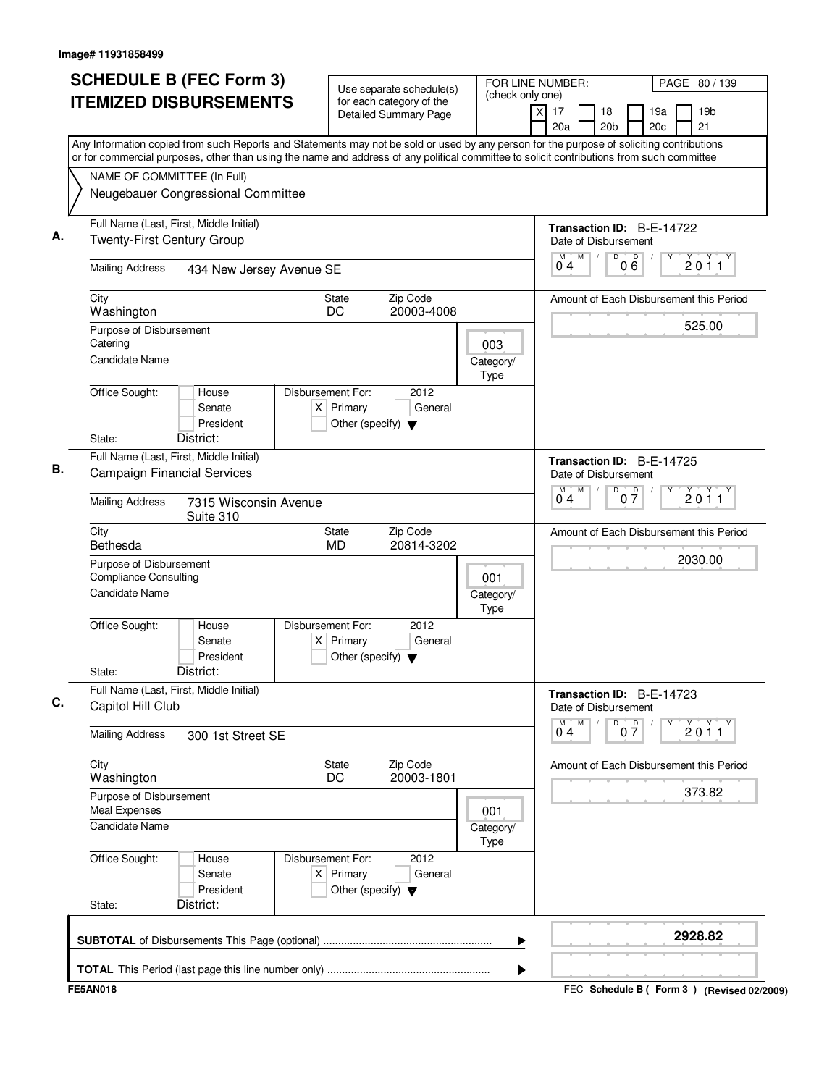| (check only one)<br><b>ITEMIZED DISBURSEMENTS</b><br>for each category of the<br>$\overline{\mathsf{x}}$<br>17<br>19 <sub>b</sub><br>18<br>19a<br>Detailed Summary Page<br>21<br>20a<br>20 <sub>b</sub><br>20 <sub>c</sub><br>Any Information copied from such Reports and Statements may not be sold or used by any person for the purpose of soliciting contributions<br>or for commercial purposes, other than using the name and address of any political committee to solicit contributions from such committee<br>NAME OF COMMITTEE (In Full)<br>Neugebauer Congressional Committee<br>Full Name (Last, First, Middle Initial)<br>Transaction ID: B-E-14722<br><b>Twenty-First Century Group</b><br>Date of Disbursement<br>M<br>D<br>D<br>2011<br>06<br>04<br><b>Mailing Address</b><br>434 New Jersey Avenue SE<br>Zip Code<br>City<br><b>State</b><br>Amount of Each Disbursement this Period<br>DC<br>20003-4008<br>Washington<br>525.00<br>Purpose of Disbursement<br>Catering<br>003<br>Candidate Name<br>Category/<br>Type<br>Office Sought:<br>Disbursement For:<br>2012<br>House<br>$X$ Primary<br>General<br>Senate<br>President<br>Other (specify) $\blacktriangledown$<br>District:<br>State:<br>Full Name (Last, First, Middle Initial)<br>Transaction ID: B-E-14725<br><b>Campaign Financial Services</b><br>Date of Disbursement<br>M<br>D<br>M<br>$0\frac{D}{7}$<br>2011<br>04<br><b>Mailing Address</b><br>7315 Wisconsin Avenue<br>Suite 310<br>City<br>Zip Code<br><b>State</b><br>Amount of Each Disbursement this Period<br>Bethesda<br><b>MD</b><br>20814-3202<br>2030.00<br>Purpose of Disbursement<br><b>Compliance Consulting</b><br>001<br>Candidate Name<br>Category/<br>Type<br>Office Sought:<br>Disbursement For:<br>2012<br>House<br>Senate<br>$X$ Primary<br>General<br>President<br>Other (specify) $\blacktriangledown$<br>District:<br>State:<br>Full Name (Last, First, Middle Initial)<br>Transaction ID: B-E-14723<br>Capitol Hill Club<br>Date of Disbursement<br>$0\overline{7}$<br>М<br>2011<br>04<br><b>Mailing Address</b><br>300 1st Street SE<br>Zip Code<br>City<br>State<br>Amount of Each Disbursement this Period<br>20003-1801<br>DC<br>Washington<br>373.82<br>Purpose of Disbursement<br>Meal Expenses<br>001<br>Candidate Name<br>Category/<br>Type<br>Office Sought:<br>Disbursement For:<br>2012<br>House<br>$X$ Primary<br>Senate<br>General<br>President<br>Other (specify) $\blacktriangledown$<br>District:<br>State:<br>2928.82 |                 | <b>SCHEDULE B (FEC Form 3)</b> | Use separate schedule(s) | FOR LINE NUMBER:<br>PAGE 80 / 139           |  |  |
|---------------------------------------------------------------------------------------------------------------------------------------------------------------------------------------------------------------------------------------------------------------------------------------------------------------------------------------------------------------------------------------------------------------------------------------------------------------------------------------------------------------------------------------------------------------------------------------------------------------------------------------------------------------------------------------------------------------------------------------------------------------------------------------------------------------------------------------------------------------------------------------------------------------------------------------------------------------------------------------------------------------------------------------------------------------------------------------------------------------------------------------------------------------------------------------------------------------------------------------------------------------------------------------------------------------------------------------------------------------------------------------------------------------------------------------------------------------------------------------------------------------------------------------------------------------------------------------------------------------------------------------------------------------------------------------------------------------------------------------------------------------------------------------------------------------------------------------------------------------------------------------------------------------------------------------------------------------------------------------------------------------------------------------------------------------------------------------------------------------------------------------------------------------------------------------------------------------------------------------------------------------------------------------------------------------------------------------------------------------------------------------------------------------------------------------------------------------------------------------------------|-----------------|--------------------------------|--------------------------|---------------------------------------------|--|--|
|                                                                                                                                                                                                                                                                                                                                                                                                                                                                                                                                                                                                                                                                                                                                                                                                                                                                                                                                                                                                                                                                                                                                                                                                                                                                                                                                                                                                                                                                                                                                                                                                                                                                                                                                                                                                                                                                                                                                                                                                                                                                                                                                                                                                                                                                                                                                                                                                                                                                                                   |                 |                                |                          |                                             |  |  |
|                                                                                                                                                                                                                                                                                                                                                                                                                                                                                                                                                                                                                                                                                                                                                                                                                                                                                                                                                                                                                                                                                                                                                                                                                                                                                                                                                                                                                                                                                                                                                                                                                                                                                                                                                                                                                                                                                                                                                                                                                                                                                                                                                                                                                                                                                                                                                                                                                                                                                                   |                 |                                |                          |                                             |  |  |
|                                                                                                                                                                                                                                                                                                                                                                                                                                                                                                                                                                                                                                                                                                                                                                                                                                                                                                                                                                                                                                                                                                                                                                                                                                                                                                                                                                                                                                                                                                                                                                                                                                                                                                                                                                                                                                                                                                                                                                                                                                                                                                                                                                                                                                                                                                                                                                                                                                                                                                   |                 |                                |                          |                                             |  |  |
|                                                                                                                                                                                                                                                                                                                                                                                                                                                                                                                                                                                                                                                                                                                                                                                                                                                                                                                                                                                                                                                                                                                                                                                                                                                                                                                                                                                                                                                                                                                                                                                                                                                                                                                                                                                                                                                                                                                                                                                                                                                                                                                                                                                                                                                                                                                                                                                                                                                                                                   |                 |                                |                          |                                             |  |  |
|                                                                                                                                                                                                                                                                                                                                                                                                                                                                                                                                                                                                                                                                                                                                                                                                                                                                                                                                                                                                                                                                                                                                                                                                                                                                                                                                                                                                                                                                                                                                                                                                                                                                                                                                                                                                                                                                                                                                                                                                                                                                                                                                                                                                                                                                                                                                                                                                                                                                                                   |                 |                                |                          |                                             |  |  |
|                                                                                                                                                                                                                                                                                                                                                                                                                                                                                                                                                                                                                                                                                                                                                                                                                                                                                                                                                                                                                                                                                                                                                                                                                                                                                                                                                                                                                                                                                                                                                                                                                                                                                                                                                                                                                                                                                                                                                                                                                                                                                                                                                                                                                                                                                                                                                                                                                                                                                                   |                 |                                |                          |                                             |  |  |
|                                                                                                                                                                                                                                                                                                                                                                                                                                                                                                                                                                                                                                                                                                                                                                                                                                                                                                                                                                                                                                                                                                                                                                                                                                                                                                                                                                                                                                                                                                                                                                                                                                                                                                                                                                                                                                                                                                                                                                                                                                                                                                                                                                                                                                                                                                                                                                                                                                                                                                   |                 |                                |                          |                                             |  |  |
|                                                                                                                                                                                                                                                                                                                                                                                                                                                                                                                                                                                                                                                                                                                                                                                                                                                                                                                                                                                                                                                                                                                                                                                                                                                                                                                                                                                                                                                                                                                                                                                                                                                                                                                                                                                                                                                                                                                                                                                                                                                                                                                                                                                                                                                                                                                                                                                                                                                                                                   |                 |                                |                          |                                             |  |  |
|                                                                                                                                                                                                                                                                                                                                                                                                                                                                                                                                                                                                                                                                                                                                                                                                                                                                                                                                                                                                                                                                                                                                                                                                                                                                                                                                                                                                                                                                                                                                                                                                                                                                                                                                                                                                                                                                                                                                                                                                                                                                                                                                                                                                                                                                                                                                                                                                                                                                                                   |                 |                                |                          |                                             |  |  |
|                                                                                                                                                                                                                                                                                                                                                                                                                                                                                                                                                                                                                                                                                                                                                                                                                                                                                                                                                                                                                                                                                                                                                                                                                                                                                                                                                                                                                                                                                                                                                                                                                                                                                                                                                                                                                                                                                                                                                                                                                                                                                                                                                                                                                                                                                                                                                                                                                                                                                                   |                 |                                |                          |                                             |  |  |
|                                                                                                                                                                                                                                                                                                                                                                                                                                                                                                                                                                                                                                                                                                                                                                                                                                                                                                                                                                                                                                                                                                                                                                                                                                                                                                                                                                                                                                                                                                                                                                                                                                                                                                                                                                                                                                                                                                                                                                                                                                                                                                                                                                                                                                                                                                                                                                                                                                                                                                   |                 |                                |                          |                                             |  |  |
|                                                                                                                                                                                                                                                                                                                                                                                                                                                                                                                                                                                                                                                                                                                                                                                                                                                                                                                                                                                                                                                                                                                                                                                                                                                                                                                                                                                                                                                                                                                                                                                                                                                                                                                                                                                                                                                                                                                                                                                                                                                                                                                                                                                                                                                                                                                                                                                                                                                                                                   |                 |                                |                          |                                             |  |  |
|                                                                                                                                                                                                                                                                                                                                                                                                                                                                                                                                                                                                                                                                                                                                                                                                                                                                                                                                                                                                                                                                                                                                                                                                                                                                                                                                                                                                                                                                                                                                                                                                                                                                                                                                                                                                                                                                                                                                                                                                                                                                                                                                                                                                                                                                                                                                                                                                                                                                                                   |                 |                                |                          |                                             |  |  |
|                                                                                                                                                                                                                                                                                                                                                                                                                                                                                                                                                                                                                                                                                                                                                                                                                                                                                                                                                                                                                                                                                                                                                                                                                                                                                                                                                                                                                                                                                                                                                                                                                                                                                                                                                                                                                                                                                                                                                                                                                                                                                                                                                                                                                                                                                                                                                                                                                                                                                                   |                 |                                |                          |                                             |  |  |
|                                                                                                                                                                                                                                                                                                                                                                                                                                                                                                                                                                                                                                                                                                                                                                                                                                                                                                                                                                                                                                                                                                                                                                                                                                                                                                                                                                                                                                                                                                                                                                                                                                                                                                                                                                                                                                                                                                                                                                                                                                                                                                                                                                                                                                                                                                                                                                                                                                                                                                   |                 |                                |                          |                                             |  |  |
|                                                                                                                                                                                                                                                                                                                                                                                                                                                                                                                                                                                                                                                                                                                                                                                                                                                                                                                                                                                                                                                                                                                                                                                                                                                                                                                                                                                                                                                                                                                                                                                                                                                                                                                                                                                                                                                                                                                                                                                                                                                                                                                                                                                                                                                                                                                                                                                                                                                                                                   |                 |                                |                          |                                             |  |  |
|                                                                                                                                                                                                                                                                                                                                                                                                                                                                                                                                                                                                                                                                                                                                                                                                                                                                                                                                                                                                                                                                                                                                                                                                                                                                                                                                                                                                                                                                                                                                                                                                                                                                                                                                                                                                                                                                                                                                                                                                                                                                                                                                                                                                                                                                                                                                                                                                                                                                                                   |                 |                                |                          |                                             |  |  |
|                                                                                                                                                                                                                                                                                                                                                                                                                                                                                                                                                                                                                                                                                                                                                                                                                                                                                                                                                                                                                                                                                                                                                                                                                                                                                                                                                                                                                                                                                                                                                                                                                                                                                                                                                                                                                                                                                                                                                                                                                                                                                                                                                                                                                                                                                                                                                                                                                                                                                                   |                 |                                |                          |                                             |  |  |
|                                                                                                                                                                                                                                                                                                                                                                                                                                                                                                                                                                                                                                                                                                                                                                                                                                                                                                                                                                                                                                                                                                                                                                                                                                                                                                                                                                                                                                                                                                                                                                                                                                                                                                                                                                                                                                                                                                                                                                                                                                                                                                                                                                                                                                                                                                                                                                                                                                                                                                   |                 |                                |                          |                                             |  |  |
|                                                                                                                                                                                                                                                                                                                                                                                                                                                                                                                                                                                                                                                                                                                                                                                                                                                                                                                                                                                                                                                                                                                                                                                                                                                                                                                                                                                                                                                                                                                                                                                                                                                                                                                                                                                                                                                                                                                                                                                                                                                                                                                                                                                                                                                                                                                                                                                                                                                                                                   |                 |                                |                          |                                             |  |  |
|                                                                                                                                                                                                                                                                                                                                                                                                                                                                                                                                                                                                                                                                                                                                                                                                                                                                                                                                                                                                                                                                                                                                                                                                                                                                                                                                                                                                                                                                                                                                                                                                                                                                                                                                                                                                                                                                                                                                                                                                                                                                                                                                                                                                                                                                                                                                                                                                                                                                                                   | <b>FE5AN018</b> |                                |                          | FEC Schedule B ( Form 3 ) (Revised 02/2009) |  |  |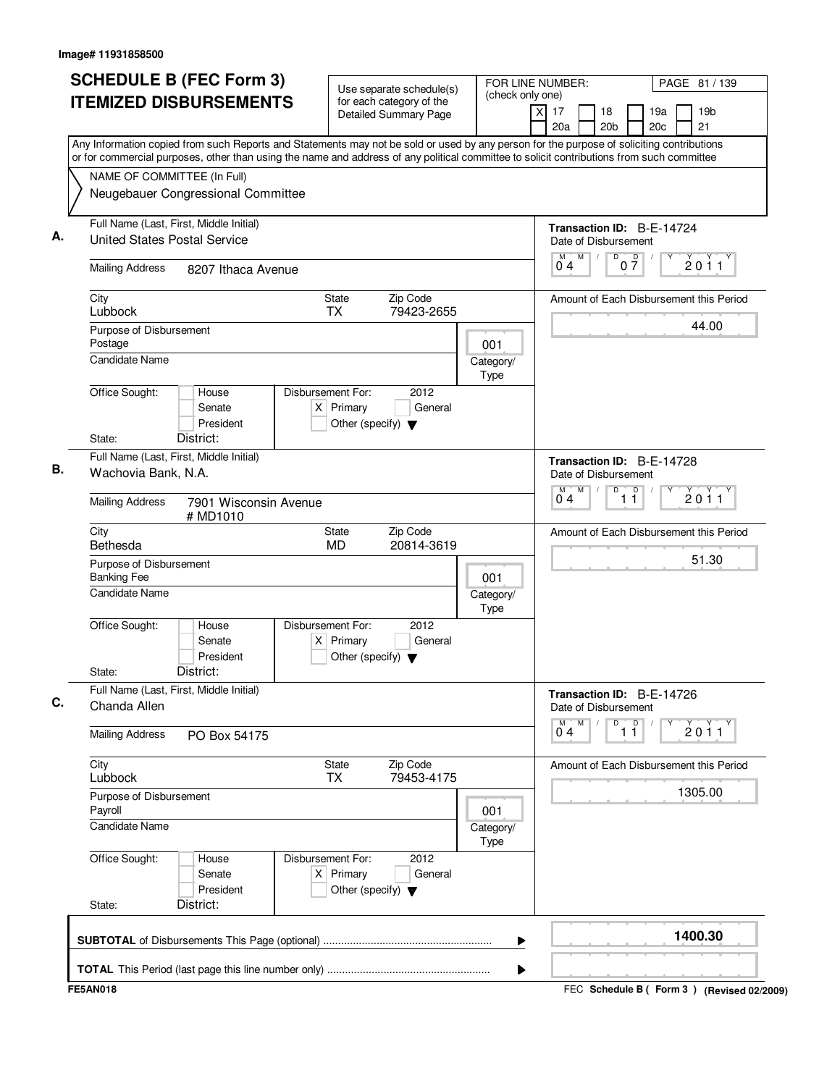|                                                                                | <b>ITEMIZED DISBURSEMENTS</b>             | <b>Detailed Summary Page</b>                                             | for each category of the | (check only one)  | xl<br>17<br>19 <sub>b</sub><br>18<br>19a<br>20c<br>21<br>20a<br>20 <sub>b</sub>                                                                                                                                                                                                        |  |
|--------------------------------------------------------------------------------|-------------------------------------------|--------------------------------------------------------------------------|--------------------------|-------------------|----------------------------------------------------------------------------------------------------------------------------------------------------------------------------------------------------------------------------------------------------------------------------------------|--|
|                                                                                |                                           |                                                                          |                          |                   | Any Information copied from such Reports and Statements may not be sold or used by any person for the purpose of soliciting contributions<br>or for commercial purposes, other than using the name and address of any political committee to solicit contributions from such committee |  |
| NAME OF COMMITTEE (In Full)                                                    |                                           |                                                                          |                          |                   |                                                                                                                                                                                                                                                                                        |  |
|                                                                                | Neugebauer Congressional Committee        |                                                                          |                          |                   |                                                                                                                                                                                                                                                                                        |  |
| Full Name (Last, First, Middle Initial)<br><b>United States Postal Service</b> |                                           |                                                                          |                          |                   | Transaction ID: B-E-14724<br>Date of Disbursement                                                                                                                                                                                                                                      |  |
| <b>Mailing Address</b>                                                         | 8207 Ithaca Avenue                        |                                                                          |                          |                   | D<br>$0\frac{D}{7}$<br>M<br>М<br>2011<br>04                                                                                                                                                                                                                                            |  |
| City<br>Lubbock                                                                |                                           | State<br><b>TX</b>                                                       | Zip Code<br>79423-2655   |                   | Amount of Each Disbursement this Period                                                                                                                                                                                                                                                |  |
| Purpose of Disbursement<br>Postage                                             |                                           |                                                                          |                          | 001               | 44.00                                                                                                                                                                                                                                                                                  |  |
| <b>Candidate Name</b>                                                          |                                           |                                                                          |                          | Category/<br>Type |                                                                                                                                                                                                                                                                                        |  |
| Office Sought:                                                                 | House<br>Senate<br>President              | Disbursement For:<br>$X$ Primary<br>Other (specify) $\blacktriangledown$ | 2012<br>General          |                   |                                                                                                                                                                                                                                                                                        |  |
| State:<br>Full Name (Last, First, Middle Initial)                              | District:                                 |                                                                          |                          |                   |                                                                                                                                                                                                                                                                                        |  |
| Wachovia Bank, N.A.                                                            |                                           |                                                                          |                          |                   | Transaction ID: B-E-14728<br>Date of Disbursement<br>D<br>$\overline{D}$<br>M<br>м                                                                                                                                                                                                     |  |
| <b>Mailing Address</b>                                                         | 7901 Wisconsin Avenue<br># MD1010         |                                                                          |                          |                   | 2011<br>04<br>11                                                                                                                                                                                                                                                                       |  |
| City<br>Bethesda                                                               |                                           | <b>State</b><br>MD                                                       | Zip Code<br>20814-3619   |                   | Amount of Each Disbursement this Period                                                                                                                                                                                                                                                |  |
| Purpose of Disbursement<br><b>Banking Fee</b>                                  |                                           |                                                                          |                          | 001               | 51.30                                                                                                                                                                                                                                                                                  |  |
| <b>Candidate Name</b>                                                          |                                           |                                                                          |                          | Category/<br>Type |                                                                                                                                                                                                                                                                                        |  |
| Office Sought:<br>State:                                                       | House<br>Senate<br>President<br>District: | Disbursement For:<br>$X$ Primary<br>Other (specify) $\blacktriangledown$ | 2012<br>General          |                   |                                                                                                                                                                                                                                                                                        |  |
| Full Name (Last, First, Middle Initial)                                        |                                           |                                                                          |                          |                   | Transaction ID: B-E-14726                                                                                                                                                                                                                                                              |  |
| Chanda Allen                                                                   |                                           |                                                                          |                          |                   | Date of Disbursement                                                                                                                                                                                                                                                                   |  |
| <b>Mailing Address</b>                                                         | PO Box 54175                              |                                                                          |                          |                   | M<br>D<br>M<br>$\overline{1}$ $\overline{1}$<br>2011<br>04                                                                                                                                                                                                                             |  |
| City<br>Lubbock                                                                |                                           | State<br><b>TX</b>                                                       | Zip Code<br>79453-4175   |                   | Amount of Each Disbursement this Period                                                                                                                                                                                                                                                |  |
| Purpose of Disbursement<br>Payroll                                             |                                           |                                                                          |                          | 001               | 1305.00                                                                                                                                                                                                                                                                                |  |
| <b>Candidate Name</b>                                                          |                                           |                                                                          |                          | Category/<br>Type |                                                                                                                                                                                                                                                                                        |  |
| Office Sought:                                                                 | House<br>Senate<br>President              | Disbursement For:<br>$X$ Primary<br>Other (specify) $\blacktriangledown$ | 2012<br>General          |                   |                                                                                                                                                                                                                                                                                        |  |
| State:                                                                         | District:                                 |                                                                          |                          |                   |                                                                                                                                                                                                                                                                                        |  |
|                                                                                |                                           |                                                                          |                          | ▶                 | 1400.30                                                                                                                                                                                                                                                                                |  |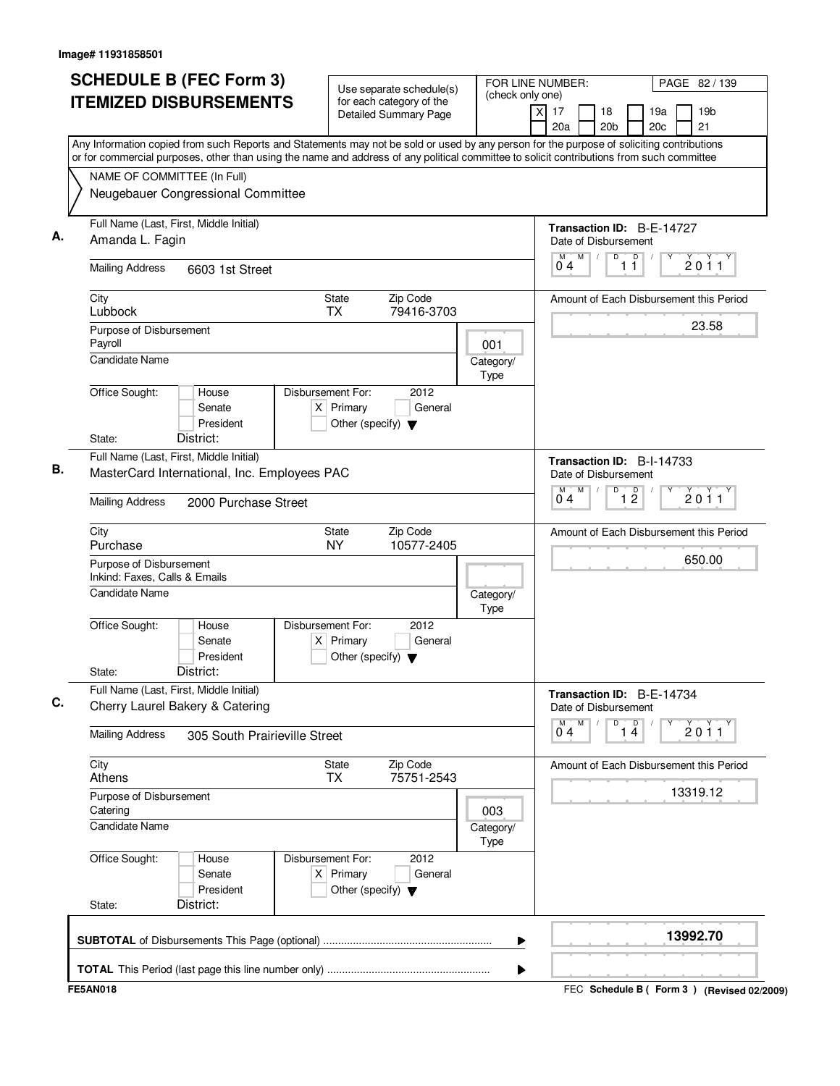| <b>SCHEDULE B (FEC Form 3)</b><br><b>ITEMIZED DISBURSEMENTS</b>                                                                                                                                                                                                                                                       | Use separate schedule(s)<br>for each category of the<br><b>Detailed Summary Page</b>        | FOR LINE NUMBER:<br>(check only one)<br>$\times$ | PAGE 82 / 139<br>19 <sub>b</sub><br>17<br>18<br>19a<br>20 <sub>b</sub><br>21<br>20a<br>20c                                  |
|-----------------------------------------------------------------------------------------------------------------------------------------------------------------------------------------------------------------------------------------------------------------------------------------------------------------------|---------------------------------------------------------------------------------------------|--------------------------------------------------|-----------------------------------------------------------------------------------------------------------------------------|
| Any Information copied from such Reports and Statements may not be sold or used by any person for the purpose of soliciting contributions<br>or for commercial purposes, other than using the name and address of any political committee to solicit contributions from such committee<br>NAME OF COMMITTEE (In Full) |                                                                                             |                                                  |                                                                                                                             |
| Neugebauer Congressional Committee                                                                                                                                                                                                                                                                                    |                                                                                             |                                                  |                                                                                                                             |
| Full Name (Last, First, Middle Initial)<br>А.<br>Amanda L. Fagin                                                                                                                                                                                                                                                      |                                                                                             |                                                  | Transaction ID: B-E-14727<br>Date of Disbursement                                                                           |
| <b>Mailing Address</b><br>6603 1st Street                                                                                                                                                                                                                                                                             |                                                                                             |                                                  | M<br>D<br>D<br>2011<br>11<br>04                                                                                             |
| City<br>Lubbock                                                                                                                                                                                                                                                                                                       | Zip Code<br>State<br><b>TX</b><br>79416-3703                                                |                                                  | Amount of Each Disbursement this Period                                                                                     |
| Purpose of Disbursement<br>Payroll<br><b>Candidate Name</b>                                                                                                                                                                                                                                                           |                                                                                             | 001<br>Category/<br>Type                         | 23.58                                                                                                                       |
| Office Sought:<br>House<br>Senate<br>President<br>District:<br>State:                                                                                                                                                                                                                                                 | Disbursement For:<br>2012<br>$X$ Primary<br>General<br>Other (specify) $\blacktriangledown$ |                                                  |                                                                                                                             |
| Full Name (Last, First, Middle Initial)<br>В.<br>MasterCard International, Inc. Employees PAC                                                                                                                                                                                                                         |                                                                                             |                                                  | Transaction ID: B-I-14733<br>Date of Disbursement<br>M<br>D<br>$\overline{1}$ $\overline{2}$<br>М<br>2011<br>0 <sub>4</sub> |
| <b>Mailing Address</b><br>2000 Purchase Street                                                                                                                                                                                                                                                                        |                                                                                             |                                                  |                                                                                                                             |
| City<br>Purchase                                                                                                                                                                                                                                                                                                      | Zip Code<br><b>State</b><br><b>NY</b><br>10577-2405                                         |                                                  | Amount of Each Disbursement this Period                                                                                     |
| Purpose of Disbursement<br>Inkind: Faxes, Calls & Emails<br>Candidate Name                                                                                                                                                                                                                                            |                                                                                             | Category/                                        | 650.00                                                                                                                      |
| Office Sought:<br>House<br>Senate<br>President<br>District:<br>State:                                                                                                                                                                                                                                                 | 2012<br>Disbursement For:<br>$X$ Primary<br>General<br>Other (specify) $\blacktriangledown$ | Type                                             |                                                                                                                             |
| Full Name (Last, First, Middle Initial)<br>C.<br>Cherry Laurel Bakery & Catering                                                                                                                                                                                                                                      |                                                                                             |                                                  | Transaction ID: B-E-14734<br>Date of Disbursement                                                                           |
| <b>Mailing Address</b><br>305 South Prairieville Street                                                                                                                                                                                                                                                               |                                                                                             |                                                  | M<br>D<br>$\overline{14}$<br>М<br>Υ<br>2011<br>0 <sub>4</sub>                                                               |
| City<br>Athens                                                                                                                                                                                                                                                                                                        | Zip Code<br><b>State</b><br>75751-2543<br>TX                                                |                                                  | Amount of Each Disbursement this Period                                                                                     |
| Purpose of Disbursement<br>Catering<br>Candidate Name                                                                                                                                                                                                                                                                 |                                                                                             | 003<br>Category/<br>Type                         | 13319.12                                                                                                                    |
| Office Sought:<br>House<br>Senate<br>President<br>District:<br>State:                                                                                                                                                                                                                                                 | Disbursement For:<br>2012<br>$X$ Primary<br>General<br>Other (specify) $\blacktriangledown$ |                                                  |                                                                                                                             |
|                                                                                                                                                                                                                                                                                                                       |                                                                                             | ▶                                                | 13992.70                                                                                                                    |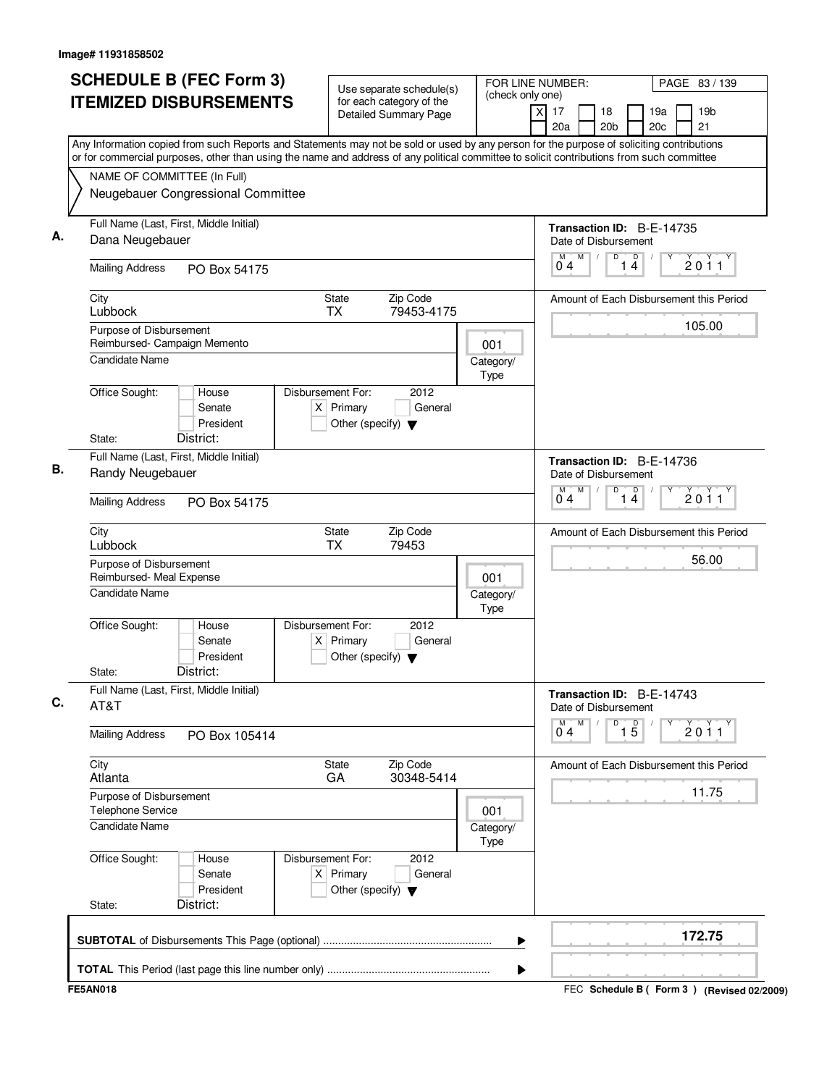| <b>SCHEDULE B (FEC Form 3)</b><br><b>ITEMIZED DISBURSEMENTS</b><br>Any Information copied from such Reports and Statements may not be sold or used by any person for the purpose of soliciting contributions | Use separate schedule(s)<br>for each category of the<br><b>Detailed Summary Page</b>        | FOR LINE NUMBER:<br>(check only one) | PAGE 83 / 139<br>19 <sub>b</sub><br>$\times$<br>17<br>18<br>19a<br>21<br>20a<br>20 <sub>b</sub><br>20c |
|--------------------------------------------------------------------------------------------------------------------------------------------------------------------------------------------------------------|---------------------------------------------------------------------------------------------|--------------------------------------|--------------------------------------------------------------------------------------------------------|
| or for commercial purposes, other than using the name and address of any political committee to solicit contributions from such committee<br>NAME OF COMMITTEE (In Full)                                     |                                                                                             |                                      |                                                                                                        |
| Neugebauer Congressional Committee                                                                                                                                                                           |                                                                                             |                                      |                                                                                                        |
| Full Name (Last, First, Middle Initial)<br>Dana Neugebauer                                                                                                                                                   |                                                                                             |                                      | Transaction ID: B-E-14735<br>Date of Disbursement                                                      |
| <b>Mailing Address</b><br>PO Box 54175                                                                                                                                                                       |                                                                                             |                                      | M<br>D<br>D<br>M<br>2011<br>14<br>04                                                                   |
| City<br>Lubbock                                                                                                                                                                                              | <b>State</b><br>Zip Code<br>TX<br>79453-4175                                                |                                      | Amount of Each Disbursement this Period                                                                |
| Purpose of Disbursement<br>Reimbursed- Campaign Memento                                                                                                                                                      |                                                                                             | 001                                  | 105.00                                                                                                 |
| <b>Candidate Name</b>                                                                                                                                                                                        |                                                                                             | Category/<br>Type                    |                                                                                                        |
| Office Sought:<br>House<br>Senate<br>President                                                                                                                                                               | Disbursement For:<br>2012<br>$X$ Primary<br>General<br>Other (specify) $\blacktriangledown$ |                                      |                                                                                                        |
| District:<br>State:<br>Full Name (Last, First, Middle Initial)                                                                                                                                               |                                                                                             |                                      | Transaction ID: B-E-14736                                                                              |
| Randy Neugebauer                                                                                                                                                                                             |                                                                                             |                                      | Date of Disbursement                                                                                   |
| <b>Mailing Address</b><br>PO Box 54175                                                                                                                                                                       |                                                                                             |                                      | M<br>D<br>$\overline{1\ 4}$<br>M<br>2011<br>04                                                         |
| City<br>Lubbock                                                                                                                                                                                              | <b>State</b><br>Zip Code<br><b>TX</b><br>79453                                              |                                      | Amount of Each Disbursement this Period                                                                |
| Purpose of Disbursement<br>Reimbursed- Meal Expense                                                                                                                                                          |                                                                                             | 001                                  | 56.00                                                                                                  |
| Candidate Name                                                                                                                                                                                               |                                                                                             | Category/<br>Type                    |                                                                                                        |
| Office Sought:<br>House<br>Senate<br>President<br>District:<br>State:                                                                                                                                        | Disbursement For:<br>2012<br>$X$ Primary<br>General<br>Other (specify) $\blacktriangledown$ |                                      |                                                                                                        |
| Full Name (Last, First, Middle Initial)<br>AT&T                                                                                                                                                              |                                                                                             |                                      | Transaction ID: B-E-14743<br>Date of Disbursement                                                      |
| <b>Mailing Address</b><br>PO Box 105414                                                                                                                                                                      |                                                                                             |                                      | M<br>$\overline{1\,5}$<br>D<br>M<br>2011<br>04                                                         |
| City<br>Atlanta                                                                                                                                                                                              | State<br>Zip Code<br>30348-5414<br>GA                                                       |                                      | Amount of Each Disbursement this Period                                                                |
| Purpose of Disbursement<br>Telephone Service                                                                                                                                                                 |                                                                                             | 001                                  | 11.75                                                                                                  |
| <b>Candidate Name</b>                                                                                                                                                                                        |                                                                                             | Category/<br>Type                    |                                                                                                        |
| Office Sought:<br>House<br>Senate<br>President                                                                                                                                                               | Disbursement For:<br>2012<br>$X$ Primary<br>General<br>Other (specify) $\blacktriangledown$ |                                      |                                                                                                        |
| District:<br>State:                                                                                                                                                                                          |                                                                                             |                                      |                                                                                                        |
|                                                                                                                                                                                                              |                                                                                             | ▶                                    | 172.75                                                                                                 |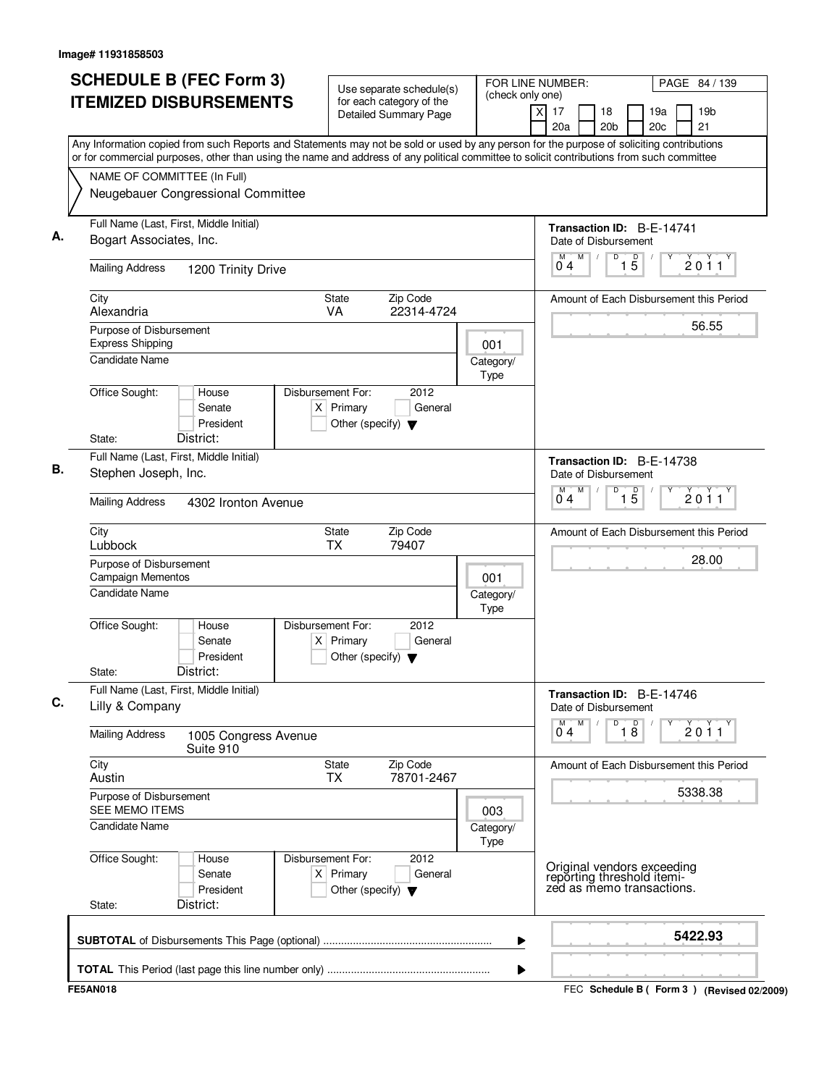| Use separate schedule(s)<br>(check only one)<br><b>ITEMIZED DISBURSEMENTS</b><br>for each category of the<br>$\overline{x}$<br>17<br>18<br>19a<br><b>Detailed Summary Page</b><br>20a<br>20 <sub>b</sub><br>20c<br>Any Information copied from such Reports and Statements may not be sold or used by any person for the purpose of soliciting contributions<br>or for commercial purposes, other than using the name and address of any political committee to solicit contributions from such committee<br>NAME OF COMMITTEE (In Full)<br>Neugebauer Congressional Committee<br>Full Name (Last, First, Middle Initial)<br>Transaction ID: B-E-14741<br>Bogart Associates, Inc.<br>Date of Disbursement<br>M<br>$1\overline{5}$<br>D<br>0 <sub>4</sub><br><b>Mailing Address</b><br>1200 Trinity Drive<br>City<br>Zip Code<br><b>State</b><br>Amount of Each Disbursement this Period<br>Alexandria<br>VA<br>22314-4724<br>Purpose of Disbursement<br><b>Express Shipping</b><br>001<br><b>Candidate Name</b><br>Category/<br>Type<br>Office Sought:<br>Disbursement For:<br>2012<br>House<br>$X$ Primary<br>General<br>Senate<br>President<br>Other (specify) $\blacktriangledown$<br>District:<br>State:<br>Full Name (Last, First, Middle Initial)<br>Transaction ID: B-E-14738<br>Stephen Joseph, Inc.<br>Date of Disbursement<br>M<br>D<br>$\overline{15}$<br>04<br><b>Mailing Address</b><br>4302 Ironton Avenue<br>Zip Code<br>City<br><b>State</b><br>Amount of Each Disbursement this Period<br>Lubbock<br>TX<br>79407<br>Purpose of Disbursement<br>Campaign Mementos<br>001<br>Candidate Name<br>Category/<br>Type<br>Office Sought:<br>Disbursement For:<br>2012<br>House<br>Senate<br>$X$ Primary<br>General<br>President<br>Other (specify) $\blacktriangledown$<br>District:<br>State:<br>Full Name (Last, First, Middle Initial)<br>Transaction ID: B-E-14746<br>Lilly & Company<br>Date of Disbursement<br>$\overline{18}$<br>м<br>D<br>04<br><b>Mailing Address</b><br>1005 Congress Avenue<br>Suite 910<br>City<br>Zip Code<br><b>State</b><br>Amount of Each Disbursement this Period<br>78701-2467<br>Austin<br><b>TX</b><br>Purpose of Disbursement<br>SEE MEMO ITEMS<br>003<br>Candidate Name<br>Category/<br>Type<br>Office Sought:<br>Disbursement For:<br>2012<br>House | PAGE 84 / 139         |
|-----------------------------------------------------------------------------------------------------------------------------------------------------------------------------------------------------------------------------------------------------------------------------------------------------------------------------------------------------------------------------------------------------------------------------------------------------------------------------------------------------------------------------------------------------------------------------------------------------------------------------------------------------------------------------------------------------------------------------------------------------------------------------------------------------------------------------------------------------------------------------------------------------------------------------------------------------------------------------------------------------------------------------------------------------------------------------------------------------------------------------------------------------------------------------------------------------------------------------------------------------------------------------------------------------------------------------------------------------------------------------------------------------------------------------------------------------------------------------------------------------------------------------------------------------------------------------------------------------------------------------------------------------------------------------------------------------------------------------------------------------------------------------------------------------------------------------------------------------------------------------------------------------------------------------------------------------------------------------------------------------------------------------------------------------------------------------------------------------------------------------------------------------------------------------------------------------------------------------------------------------------------------------------------------------|-----------------------|
|                                                                                                                                                                                                                                                                                                                                                                                                                                                                                                                                                                                                                                                                                                                                                                                                                                                                                                                                                                                                                                                                                                                                                                                                                                                                                                                                                                                                                                                                                                                                                                                                                                                                                                                                                                                                                                                                                                                                                                                                                                                                                                                                                                                                                                                                                                     | 19 <sub>b</sub><br>21 |
|                                                                                                                                                                                                                                                                                                                                                                                                                                                                                                                                                                                                                                                                                                                                                                                                                                                                                                                                                                                                                                                                                                                                                                                                                                                                                                                                                                                                                                                                                                                                                                                                                                                                                                                                                                                                                                                                                                                                                                                                                                                                                                                                                                                                                                                                                                     |                       |
|                                                                                                                                                                                                                                                                                                                                                                                                                                                                                                                                                                                                                                                                                                                                                                                                                                                                                                                                                                                                                                                                                                                                                                                                                                                                                                                                                                                                                                                                                                                                                                                                                                                                                                                                                                                                                                                                                                                                                                                                                                                                                                                                                                                                                                                                                                     |                       |
|                                                                                                                                                                                                                                                                                                                                                                                                                                                                                                                                                                                                                                                                                                                                                                                                                                                                                                                                                                                                                                                                                                                                                                                                                                                                                                                                                                                                                                                                                                                                                                                                                                                                                                                                                                                                                                                                                                                                                                                                                                                                                                                                                                                                                                                                                                     |                       |
|                                                                                                                                                                                                                                                                                                                                                                                                                                                                                                                                                                                                                                                                                                                                                                                                                                                                                                                                                                                                                                                                                                                                                                                                                                                                                                                                                                                                                                                                                                                                                                                                                                                                                                                                                                                                                                                                                                                                                                                                                                                                                                                                                                                                                                                                                                     |                       |
|                                                                                                                                                                                                                                                                                                                                                                                                                                                                                                                                                                                                                                                                                                                                                                                                                                                                                                                                                                                                                                                                                                                                                                                                                                                                                                                                                                                                                                                                                                                                                                                                                                                                                                                                                                                                                                                                                                                                                                                                                                                                                                                                                                                                                                                                                                     |                       |
|                                                                                                                                                                                                                                                                                                                                                                                                                                                                                                                                                                                                                                                                                                                                                                                                                                                                                                                                                                                                                                                                                                                                                                                                                                                                                                                                                                                                                                                                                                                                                                                                                                                                                                                                                                                                                                                                                                                                                                                                                                                                                                                                                                                                                                                                                                     | 2011                  |
|                                                                                                                                                                                                                                                                                                                                                                                                                                                                                                                                                                                                                                                                                                                                                                                                                                                                                                                                                                                                                                                                                                                                                                                                                                                                                                                                                                                                                                                                                                                                                                                                                                                                                                                                                                                                                                                                                                                                                                                                                                                                                                                                                                                                                                                                                                     |                       |
|                                                                                                                                                                                                                                                                                                                                                                                                                                                                                                                                                                                                                                                                                                                                                                                                                                                                                                                                                                                                                                                                                                                                                                                                                                                                                                                                                                                                                                                                                                                                                                                                                                                                                                                                                                                                                                                                                                                                                                                                                                                                                                                                                                                                                                                                                                     | 56.55                 |
|                                                                                                                                                                                                                                                                                                                                                                                                                                                                                                                                                                                                                                                                                                                                                                                                                                                                                                                                                                                                                                                                                                                                                                                                                                                                                                                                                                                                                                                                                                                                                                                                                                                                                                                                                                                                                                                                                                                                                                                                                                                                                                                                                                                                                                                                                                     |                       |
|                                                                                                                                                                                                                                                                                                                                                                                                                                                                                                                                                                                                                                                                                                                                                                                                                                                                                                                                                                                                                                                                                                                                                                                                                                                                                                                                                                                                                                                                                                                                                                                                                                                                                                                                                                                                                                                                                                                                                                                                                                                                                                                                                                                                                                                                                                     |                       |
|                                                                                                                                                                                                                                                                                                                                                                                                                                                                                                                                                                                                                                                                                                                                                                                                                                                                                                                                                                                                                                                                                                                                                                                                                                                                                                                                                                                                                                                                                                                                                                                                                                                                                                                                                                                                                                                                                                                                                                                                                                                                                                                                                                                                                                                                                                     |                       |
|                                                                                                                                                                                                                                                                                                                                                                                                                                                                                                                                                                                                                                                                                                                                                                                                                                                                                                                                                                                                                                                                                                                                                                                                                                                                                                                                                                                                                                                                                                                                                                                                                                                                                                                                                                                                                                                                                                                                                                                                                                                                                                                                                                                                                                                                                                     |                       |
|                                                                                                                                                                                                                                                                                                                                                                                                                                                                                                                                                                                                                                                                                                                                                                                                                                                                                                                                                                                                                                                                                                                                                                                                                                                                                                                                                                                                                                                                                                                                                                                                                                                                                                                                                                                                                                                                                                                                                                                                                                                                                                                                                                                                                                                                                                     |                       |
|                                                                                                                                                                                                                                                                                                                                                                                                                                                                                                                                                                                                                                                                                                                                                                                                                                                                                                                                                                                                                                                                                                                                                                                                                                                                                                                                                                                                                                                                                                                                                                                                                                                                                                                                                                                                                                                                                                                                                                                                                                                                                                                                                                                                                                                                                                     | 2011                  |
|                                                                                                                                                                                                                                                                                                                                                                                                                                                                                                                                                                                                                                                                                                                                                                                                                                                                                                                                                                                                                                                                                                                                                                                                                                                                                                                                                                                                                                                                                                                                                                                                                                                                                                                                                                                                                                                                                                                                                                                                                                                                                                                                                                                                                                                                                                     |                       |
|                                                                                                                                                                                                                                                                                                                                                                                                                                                                                                                                                                                                                                                                                                                                                                                                                                                                                                                                                                                                                                                                                                                                                                                                                                                                                                                                                                                                                                                                                                                                                                                                                                                                                                                                                                                                                                                                                                                                                                                                                                                                                                                                                                                                                                                                                                     | 28.00                 |
|                                                                                                                                                                                                                                                                                                                                                                                                                                                                                                                                                                                                                                                                                                                                                                                                                                                                                                                                                                                                                                                                                                                                                                                                                                                                                                                                                                                                                                                                                                                                                                                                                                                                                                                                                                                                                                                                                                                                                                                                                                                                                                                                                                                                                                                                                                     |                       |
|                                                                                                                                                                                                                                                                                                                                                                                                                                                                                                                                                                                                                                                                                                                                                                                                                                                                                                                                                                                                                                                                                                                                                                                                                                                                                                                                                                                                                                                                                                                                                                                                                                                                                                                                                                                                                                                                                                                                                                                                                                                                                                                                                                                                                                                                                                     |                       |
|                                                                                                                                                                                                                                                                                                                                                                                                                                                                                                                                                                                                                                                                                                                                                                                                                                                                                                                                                                                                                                                                                                                                                                                                                                                                                                                                                                                                                                                                                                                                                                                                                                                                                                                                                                                                                                                                                                                                                                                                                                                                                                                                                                                                                                                                                                     |                       |
|                                                                                                                                                                                                                                                                                                                                                                                                                                                                                                                                                                                                                                                                                                                                                                                                                                                                                                                                                                                                                                                                                                                                                                                                                                                                                                                                                                                                                                                                                                                                                                                                                                                                                                                                                                                                                                                                                                                                                                                                                                                                                                                                                                                                                                                                                                     | $\frac{1}{2}$ 0 1 1   |
|                                                                                                                                                                                                                                                                                                                                                                                                                                                                                                                                                                                                                                                                                                                                                                                                                                                                                                                                                                                                                                                                                                                                                                                                                                                                                                                                                                                                                                                                                                                                                                                                                                                                                                                                                                                                                                                                                                                                                                                                                                                                                                                                                                                                                                                                                                     |                       |
|                                                                                                                                                                                                                                                                                                                                                                                                                                                                                                                                                                                                                                                                                                                                                                                                                                                                                                                                                                                                                                                                                                                                                                                                                                                                                                                                                                                                                                                                                                                                                                                                                                                                                                                                                                                                                                                                                                                                                                                                                                                                                                                                                                                                                                                                                                     | 5338.38               |
|                                                                                                                                                                                                                                                                                                                                                                                                                                                                                                                                                                                                                                                                                                                                                                                                                                                                                                                                                                                                                                                                                                                                                                                                                                                                                                                                                                                                                                                                                                                                                                                                                                                                                                                                                                                                                                                                                                                                                                                                                                                                                                                                                                                                                                                                                                     |                       |
| Original vendors exceeding<br>reporting threshold itemi-<br>zed as memo transactions.<br>$X$ Primary<br>General<br>Senate<br>President<br>Other (specify) $\blacktriangledown$<br>District:<br>State:                                                                                                                                                                                                                                                                                                                                                                                                                                                                                                                                                                                                                                                                                                                                                                                                                                                                                                                                                                                                                                                                                                                                                                                                                                                                                                                                                                                                                                                                                                                                                                                                                                                                                                                                                                                                                                                                                                                                                                                                                                                                                               |                       |
| ▶                                                                                                                                                                                                                                                                                                                                                                                                                                                                                                                                                                                                                                                                                                                                                                                                                                                                                                                                                                                                                                                                                                                                                                                                                                                                                                                                                                                                                                                                                                                                                                                                                                                                                                                                                                                                                                                                                                                                                                                                                                                                                                                                                                                                                                                                                                   | 5422.93               |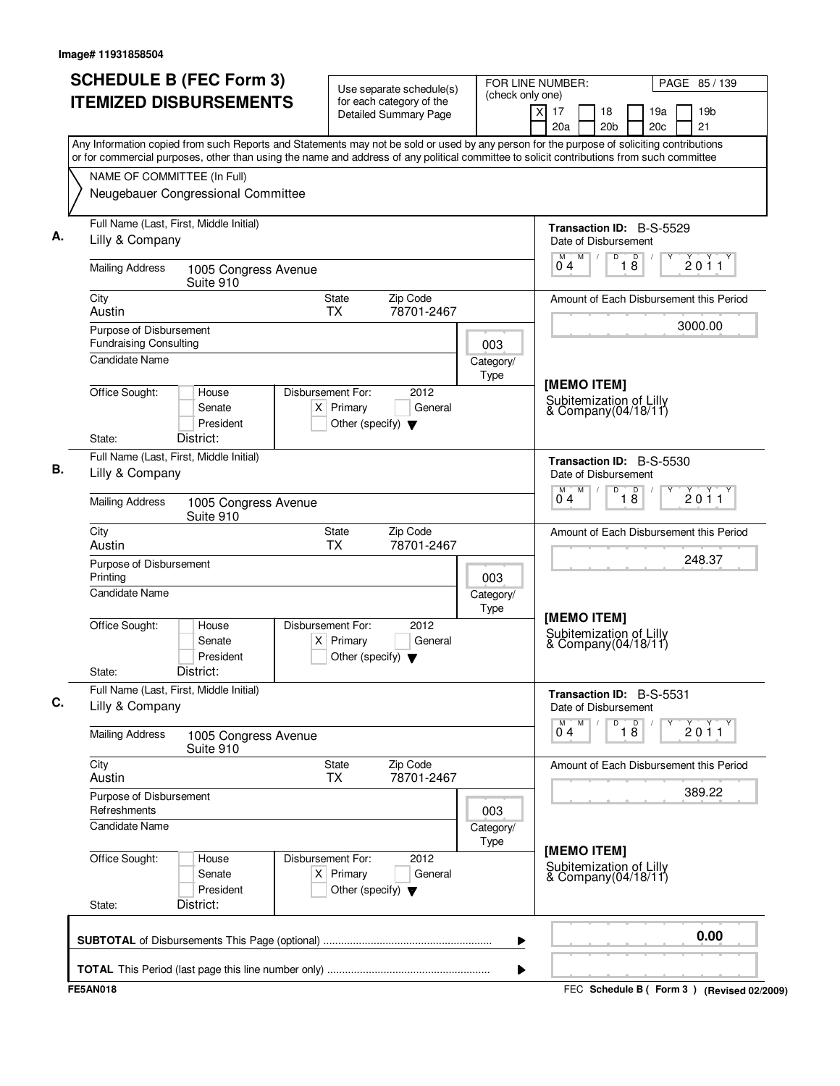| <b>SCHEDULE B (FEC Form 3)</b><br><b>ITEMIZED DISBURSEMENTS</b>                                                                                                                                                                                                                        | Use separate schedule(s)<br>for each category of the                                        | FOR LINE NUMBER:<br>(check only one) |                                                                 | PAGE 85 / 139                               |
|----------------------------------------------------------------------------------------------------------------------------------------------------------------------------------------------------------------------------------------------------------------------------------------|---------------------------------------------------------------------------------------------|--------------------------------------|-----------------------------------------------------------------|---------------------------------------------|
|                                                                                                                                                                                                                                                                                        | <b>Detailed Summary Page</b>                                                                |                                      | $\times$<br>17<br>18<br>20a<br>20 <sub>b</sub>                  | 19a<br>19 <sub>b</sub><br>21<br>20c         |
| Any Information copied from such Reports and Statements may not be sold or used by any person for the purpose of soliciting contributions<br>or for commercial purposes, other than using the name and address of any political committee to solicit contributions from such committee |                                                                                             |                                      |                                                                 |                                             |
| NAME OF COMMITTEE (In Full)                                                                                                                                                                                                                                                            |                                                                                             |                                      |                                                                 |                                             |
| Neugebauer Congressional Committee                                                                                                                                                                                                                                                     |                                                                                             |                                      |                                                                 |                                             |
| Full Name (Last, First, Middle Initial)<br>Lilly & Company                                                                                                                                                                                                                             |                                                                                             |                                      | Transaction ID: B-S-5529<br>Date of Disbursement                |                                             |
| <b>Mailing Address</b><br>1005 Congress Avenue<br>Suite 910                                                                                                                                                                                                                            |                                                                                             |                                      | $\mathsf D$<br>M<br>D<br>M<br>$\sqrt{2}$<br>04<br>18            | 2011                                        |
| City<br>Austin                                                                                                                                                                                                                                                                         | Zip Code<br><b>State</b><br>78701-2467<br><b>TX</b>                                         |                                      |                                                                 | Amount of Each Disbursement this Period     |
| Purpose of Disbursement<br><b>Fundraising Consulting</b>                                                                                                                                                                                                                               |                                                                                             |                                      |                                                                 | 3000.00                                     |
| <b>Candidate Name</b>                                                                                                                                                                                                                                                                  |                                                                                             | 003<br>Category/<br>Type             |                                                                 |                                             |
| Office Sought:<br>House<br>Senate<br>President<br>District:<br>State:                                                                                                                                                                                                                  | Disbursement For:<br>2012<br>$X$ Primary<br>General<br>Other (specify) $\blacktriangledown$ |                                      | [MEMO ITEM]<br>Subitemization of Lilly<br>& Company(04/18/11)   |                                             |
| Full Name (Last, First, Middle Initial)                                                                                                                                                                                                                                                |                                                                                             |                                      |                                                                 |                                             |
| Lilly & Company                                                                                                                                                                                                                                                                        |                                                                                             |                                      | Transaction ID: B-S-5530<br>Date of Disbursement<br>M<br>D<br>М |                                             |
| <b>Mailing Address</b><br>1005 Congress Avenue<br>Suite 910                                                                                                                                                                                                                            |                                                                                             |                                      | $\overline{18}$<br>04                                           | 2011                                        |
| City<br>Austin                                                                                                                                                                                                                                                                         | Zip Code<br>State<br>TX<br>78701-2467                                                       |                                      |                                                                 | Amount of Each Disbursement this Period     |
| Purpose of Disbursement<br>Printing                                                                                                                                                                                                                                                    |                                                                                             | 003                                  |                                                                 | 248.37                                      |
| Candidate Name                                                                                                                                                                                                                                                                         |                                                                                             | Category/<br>Type                    |                                                                 |                                             |
| Office Sought:<br>House<br>Senate<br>President<br>District:<br>State:                                                                                                                                                                                                                  | Disbursement For:<br>2012<br>$X$ Primary<br>General<br>Other (specify) $\blacktriangledown$ |                                      | [MEMO ITEM]<br>Subitemization of Lilly<br>& Company (04/18/11)  |                                             |
| Full Name (Last, First, Middle Initial)<br>Lilly & Company                                                                                                                                                                                                                             |                                                                                             |                                      | Transaction ID: B-S-5531<br>Date of Disbursement                |                                             |
| <b>Mailing Address</b><br>1005 Congress Avenue<br>Suite 910                                                                                                                                                                                                                            |                                                                                             |                                      | M<br>D<br>18<br>$\overline{0}^M$ 4                              | 2011                                        |
| City<br>Austin                                                                                                                                                                                                                                                                         | <b>State</b><br>Zip Code<br>78701-2467<br>TX                                                |                                      |                                                                 | Amount of Each Disbursement this Period     |
| Purpose of Disbursement<br>Refreshments                                                                                                                                                                                                                                                |                                                                                             | 003                                  |                                                                 | 389.22                                      |
| <b>Candidate Name</b>                                                                                                                                                                                                                                                                  |                                                                                             | Category/<br>Type                    |                                                                 |                                             |
| Office Sought:<br>House<br>Senate<br>President<br>District:<br>State:                                                                                                                                                                                                                  | Disbursement For:<br>2012<br>$X$ Primary<br>General<br>Other (specify) $\blacktriangledown$ |                                      | [MEMO ITEM]<br>Subitemization of Lilly<br>& Company(04/18/11)   |                                             |
|                                                                                                                                                                                                                                                                                        |                                                                                             | ▶                                    |                                                                 | 0.00                                        |
|                                                                                                                                                                                                                                                                                        |                                                                                             | ▶                                    |                                                                 |                                             |
| <b>FE5AN018</b>                                                                                                                                                                                                                                                                        |                                                                                             |                                      |                                                                 | FEC Schedule B ( Form 3 ) (Revised 02/2009) |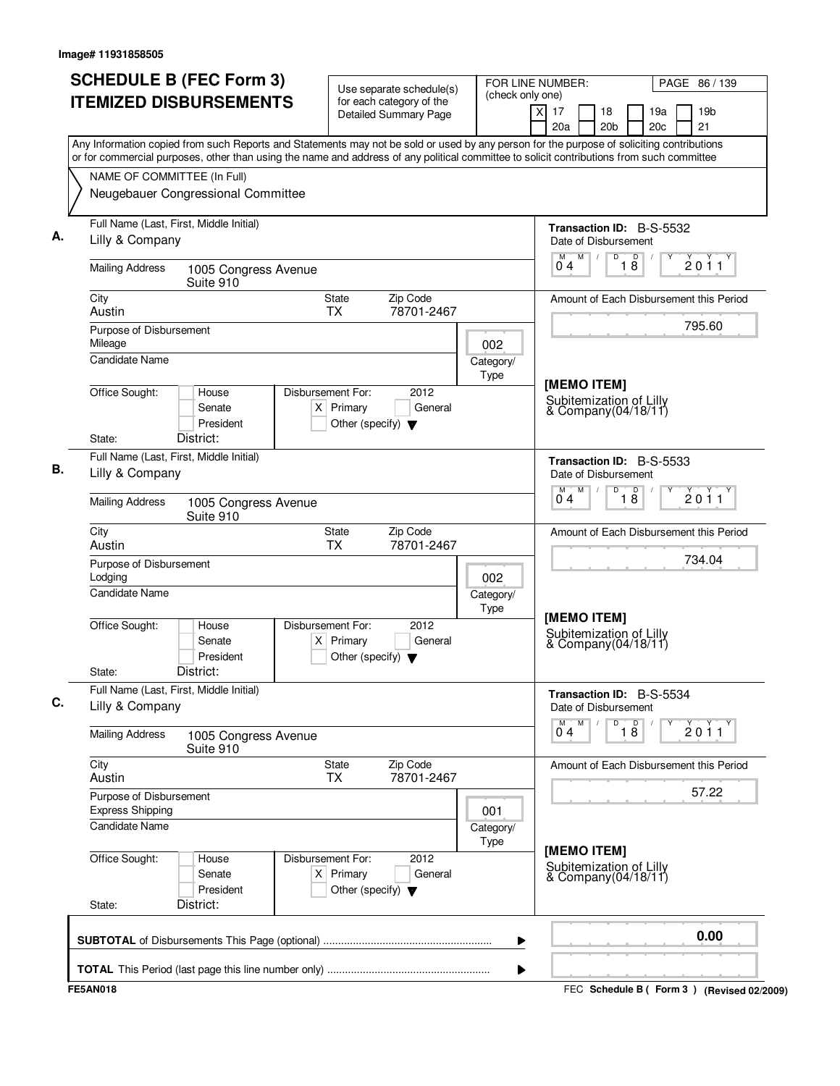| <b>ITEMIZED DISBURSEMENTS</b><br>for each category of the<br>$\times$<br>17<br>18<br><b>Detailed Summary Page</b><br>20a<br>20 <sub>b</sub><br>Any Information copied from such Reports and Statements may not be sold or used by any person for the purpose of soliciting contributions<br>or for commercial purposes, other than using the name and address of any political committee to solicit contributions from such committee<br>NAME OF COMMITTEE (In Full)<br>Neugebauer Congressional Committee<br>Full Name (Last, First, Middle Initial)<br>Transaction ID: B-S-5532<br>Lilly & Company<br>Date of Disbursement<br>M<br>D<br>$\mathsf D$<br>M<br>$\sqrt{2}$<br>18<br>04<br><b>Mailing Address</b><br>1005 Congress Avenue<br>Suite 910<br>Zip Code<br>City<br>State<br>Amount of Each Disbursement this Period<br><b>TX</b><br>78701-2467<br>Austin<br>Purpose of Disbursement<br>Mileage<br>002<br><b>Candidate Name</b><br>Category/<br>Type<br>[MEMO ITEM]<br>Office Sought:<br>Disbursement For:<br>2012<br>House<br>Subitemization of Lilly<br>$X$ Primary<br>General<br>Senate<br>& Company(04/18/11)<br>President<br>Other (specify) $\blacktriangledown$<br>District:<br>State:<br>Full Name (Last, First, Middle Initial)<br>Transaction ID: B-S-5533<br>Lilly & Company<br>Date of Disbursement<br>M<br>D<br>$\overline{18}$<br>M<br>04<br><b>Mailing Address</b><br>1005 Congress Avenue<br>Suite 910<br>Zip Code<br>City<br>State<br>Amount of Each Disbursement this Period<br><b>TX</b><br>Austin<br>78701-2467<br>Purpose of Disbursement<br>Lodging<br>002<br>Candidate Name<br>Category/<br>Type<br>[MEMO ITEM]<br>Office Sought:<br>Disbursement For:<br>2012<br>House<br>Subitemization of Lilly<br>$X$ Primary<br>General<br>Senate<br>& Company(04/18/11)<br>President<br>Other (specify) $\blacktriangledown$<br>District:<br>State:<br>Full Name (Last, First, Middle Initial)<br>Transaction ID: B-S-5534<br>Lilly & Company<br>Date of Disbursement<br>M<br>D<br>$\overline{18}$<br>М<br>0 <sub>4</sub><br><b>Mailing Address</b><br>1005 Congress Avenue<br>Suite 910<br>City<br>State<br>Zip Code<br>Amount of Each Disbursement this Period<br>78701-2467<br>Austin<br><b>TX</b><br>Purpose of Disbursement<br><b>Express Shipping</b><br>001<br><b>Candidate Name</b><br>Category/<br>Type<br>[MEMO ITEM]<br>Office Sought:<br>Disbursement For:<br>2012<br>House<br>Subitemization of Lilly<br>& Company(04/18/11)<br>$X$ Primary<br>General<br>Senate<br>President<br>Other (specify) $\blacktriangledown$<br>District:<br>State: | PAGE 86 / 139                       |
|-------------------------------------------------------------------------------------------------------------------------------------------------------------------------------------------------------------------------------------------------------------------------------------------------------------------------------------------------------------------------------------------------------------------------------------------------------------------------------------------------------------------------------------------------------------------------------------------------------------------------------------------------------------------------------------------------------------------------------------------------------------------------------------------------------------------------------------------------------------------------------------------------------------------------------------------------------------------------------------------------------------------------------------------------------------------------------------------------------------------------------------------------------------------------------------------------------------------------------------------------------------------------------------------------------------------------------------------------------------------------------------------------------------------------------------------------------------------------------------------------------------------------------------------------------------------------------------------------------------------------------------------------------------------------------------------------------------------------------------------------------------------------------------------------------------------------------------------------------------------------------------------------------------------------------------------------------------------------------------------------------------------------------------------------------------------------------------------------------------------------------------------------------------------------------------------------------------------------------------------------------------------------------------------------------------------------------------------------------------------------------------------------------------------------------------------------------------------------------------------------------------------------------------------------------------------------------|-------------------------------------|
|                                                                                                                                                                                                                                                                                                                                                                                                                                                                                                                                                                                                                                                                                                                                                                                                                                                                                                                                                                                                                                                                                                                                                                                                                                                                                                                                                                                                                                                                                                                                                                                                                                                                                                                                                                                                                                                                                                                                                                                                                                                                                                                                                                                                                                                                                                                                                                                                                                                                                                                                                                               | 19a<br>19 <sub>b</sub><br>21<br>20c |
|                                                                                                                                                                                                                                                                                                                                                                                                                                                                                                                                                                                                                                                                                                                                                                                                                                                                                                                                                                                                                                                                                                                                                                                                                                                                                                                                                                                                                                                                                                                                                                                                                                                                                                                                                                                                                                                                                                                                                                                                                                                                                                                                                                                                                                                                                                                                                                                                                                                                                                                                                                               |                                     |
|                                                                                                                                                                                                                                                                                                                                                                                                                                                                                                                                                                                                                                                                                                                                                                                                                                                                                                                                                                                                                                                                                                                                                                                                                                                                                                                                                                                                                                                                                                                                                                                                                                                                                                                                                                                                                                                                                                                                                                                                                                                                                                                                                                                                                                                                                                                                                                                                                                                                                                                                                                               |                                     |
|                                                                                                                                                                                                                                                                                                                                                                                                                                                                                                                                                                                                                                                                                                                                                                                                                                                                                                                                                                                                                                                                                                                                                                                                                                                                                                                                                                                                                                                                                                                                                                                                                                                                                                                                                                                                                                                                                                                                                                                                                                                                                                                                                                                                                                                                                                                                                                                                                                                                                                                                                                               |                                     |
|                                                                                                                                                                                                                                                                                                                                                                                                                                                                                                                                                                                                                                                                                                                                                                                                                                                                                                                                                                                                                                                                                                                                                                                                                                                                                                                                                                                                                                                                                                                                                                                                                                                                                                                                                                                                                                                                                                                                                                                                                                                                                                                                                                                                                                                                                                                                                                                                                                                                                                                                                                               |                                     |
|                                                                                                                                                                                                                                                                                                                                                                                                                                                                                                                                                                                                                                                                                                                                                                                                                                                                                                                                                                                                                                                                                                                                                                                                                                                                                                                                                                                                                                                                                                                                                                                                                                                                                                                                                                                                                                                                                                                                                                                                                                                                                                                                                                                                                                                                                                                                                                                                                                                                                                                                                                               | 2011                                |
|                                                                                                                                                                                                                                                                                                                                                                                                                                                                                                                                                                                                                                                                                                                                                                                                                                                                                                                                                                                                                                                                                                                                                                                                                                                                                                                                                                                                                                                                                                                                                                                                                                                                                                                                                                                                                                                                                                                                                                                                                                                                                                                                                                                                                                                                                                                                                                                                                                                                                                                                                                               |                                     |
|                                                                                                                                                                                                                                                                                                                                                                                                                                                                                                                                                                                                                                                                                                                                                                                                                                                                                                                                                                                                                                                                                                                                                                                                                                                                                                                                                                                                                                                                                                                                                                                                                                                                                                                                                                                                                                                                                                                                                                                                                                                                                                                                                                                                                                                                                                                                                                                                                                                                                                                                                                               |                                     |
|                                                                                                                                                                                                                                                                                                                                                                                                                                                                                                                                                                                                                                                                                                                                                                                                                                                                                                                                                                                                                                                                                                                                                                                                                                                                                                                                                                                                                                                                                                                                                                                                                                                                                                                                                                                                                                                                                                                                                                                                                                                                                                                                                                                                                                                                                                                                                                                                                                                                                                                                                                               | 795.60                              |
|                                                                                                                                                                                                                                                                                                                                                                                                                                                                                                                                                                                                                                                                                                                                                                                                                                                                                                                                                                                                                                                                                                                                                                                                                                                                                                                                                                                                                                                                                                                                                                                                                                                                                                                                                                                                                                                                                                                                                                                                                                                                                                                                                                                                                                                                                                                                                                                                                                                                                                                                                                               |                                     |
|                                                                                                                                                                                                                                                                                                                                                                                                                                                                                                                                                                                                                                                                                                                                                                                                                                                                                                                                                                                                                                                                                                                                                                                                                                                                                                                                                                                                                                                                                                                                                                                                                                                                                                                                                                                                                                                                                                                                                                                                                                                                                                                                                                                                                                                                                                                                                                                                                                                                                                                                                                               |                                     |
|                                                                                                                                                                                                                                                                                                                                                                                                                                                                                                                                                                                                                                                                                                                                                                                                                                                                                                                                                                                                                                                                                                                                                                                                                                                                                                                                                                                                                                                                                                                                                                                                                                                                                                                                                                                                                                                                                                                                                                                                                                                                                                                                                                                                                                                                                                                                                                                                                                                                                                                                                                               |                                     |
|                                                                                                                                                                                                                                                                                                                                                                                                                                                                                                                                                                                                                                                                                                                                                                                                                                                                                                                                                                                                                                                                                                                                                                                                                                                                                                                                                                                                                                                                                                                                                                                                                                                                                                                                                                                                                                                                                                                                                                                                                                                                                                                                                                                                                                                                                                                                                                                                                                                                                                                                                                               |                                     |
|                                                                                                                                                                                                                                                                                                                                                                                                                                                                                                                                                                                                                                                                                                                                                                                                                                                                                                                                                                                                                                                                                                                                                                                                                                                                                                                                                                                                                                                                                                                                                                                                                                                                                                                                                                                                                                                                                                                                                                                                                                                                                                                                                                                                                                                                                                                                                                                                                                                                                                                                                                               | 2011                                |
|                                                                                                                                                                                                                                                                                                                                                                                                                                                                                                                                                                                                                                                                                                                                                                                                                                                                                                                                                                                                                                                                                                                                                                                                                                                                                                                                                                                                                                                                                                                                                                                                                                                                                                                                                                                                                                                                                                                                                                                                                                                                                                                                                                                                                                                                                                                                                                                                                                                                                                                                                                               |                                     |
|                                                                                                                                                                                                                                                                                                                                                                                                                                                                                                                                                                                                                                                                                                                                                                                                                                                                                                                                                                                                                                                                                                                                                                                                                                                                                                                                                                                                                                                                                                                                                                                                                                                                                                                                                                                                                                                                                                                                                                                                                                                                                                                                                                                                                                                                                                                                                                                                                                                                                                                                                                               | 734.04                              |
|                                                                                                                                                                                                                                                                                                                                                                                                                                                                                                                                                                                                                                                                                                                                                                                                                                                                                                                                                                                                                                                                                                                                                                                                                                                                                                                                                                                                                                                                                                                                                                                                                                                                                                                                                                                                                                                                                                                                                                                                                                                                                                                                                                                                                                                                                                                                                                                                                                                                                                                                                                               |                                     |
|                                                                                                                                                                                                                                                                                                                                                                                                                                                                                                                                                                                                                                                                                                                                                                                                                                                                                                                                                                                                                                                                                                                                                                                                                                                                                                                                                                                                                                                                                                                                                                                                                                                                                                                                                                                                                                                                                                                                                                                                                                                                                                                                                                                                                                                                                                                                                                                                                                                                                                                                                                               |                                     |
|                                                                                                                                                                                                                                                                                                                                                                                                                                                                                                                                                                                                                                                                                                                                                                                                                                                                                                                                                                                                                                                                                                                                                                                                                                                                                                                                                                                                                                                                                                                                                                                                                                                                                                                                                                                                                                                                                                                                                                                                                                                                                                                                                                                                                                                                                                                                                                                                                                                                                                                                                                               |                                     |
|                                                                                                                                                                                                                                                                                                                                                                                                                                                                                                                                                                                                                                                                                                                                                                                                                                                                                                                                                                                                                                                                                                                                                                                                                                                                                                                                                                                                                                                                                                                                                                                                                                                                                                                                                                                                                                                                                                                                                                                                                                                                                                                                                                                                                                                                                                                                                                                                                                                                                                                                                                               |                                     |
|                                                                                                                                                                                                                                                                                                                                                                                                                                                                                                                                                                                                                                                                                                                                                                                                                                                                                                                                                                                                                                                                                                                                                                                                                                                                                                                                                                                                                                                                                                                                                                                                                                                                                                                                                                                                                                                                                                                                                                                                                                                                                                                                                                                                                                                                                                                                                                                                                                                                                                                                                                               | 2011                                |
|                                                                                                                                                                                                                                                                                                                                                                                                                                                                                                                                                                                                                                                                                                                                                                                                                                                                                                                                                                                                                                                                                                                                                                                                                                                                                                                                                                                                                                                                                                                                                                                                                                                                                                                                                                                                                                                                                                                                                                                                                                                                                                                                                                                                                                                                                                                                                                                                                                                                                                                                                                               |                                     |
|                                                                                                                                                                                                                                                                                                                                                                                                                                                                                                                                                                                                                                                                                                                                                                                                                                                                                                                                                                                                                                                                                                                                                                                                                                                                                                                                                                                                                                                                                                                                                                                                                                                                                                                                                                                                                                                                                                                                                                                                                                                                                                                                                                                                                                                                                                                                                                                                                                                                                                                                                                               | 57.22                               |
|                                                                                                                                                                                                                                                                                                                                                                                                                                                                                                                                                                                                                                                                                                                                                                                                                                                                                                                                                                                                                                                                                                                                                                                                                                                                                                                                                                                                                                                                                                                                                                                                                                                                                                                                                                                                                                                                                                                                                                                                                                                                                                                                                                                                                                                                                                                                                                                                                                                                                                                                                                               |                                     |
|                                                                                                                                                                                                                                                                                                                                                                                                                                                                                                                                                                                                                                                                                                                                                                                                                                                                                                                                                                                                                                                                                                                                                                                                                                                                                                                                                                                                                                                                                                                                                                                                                                                                                                                                                                                                                                                                                                                                                                                                                                                                                                                                                                                                                                                                                                                                                                                                                                                                                                                                                                               |                                     |
|                                                                                                                                                                                                                                                                                                                                                                                                                                                                                                                                                                                                                                                                                                                                                                                                                                                                                                                                                                                                                                                                                                                                                                                                                                                                                                                                                                                                                                                                                                                                                                                                                                                                                                                                                                                                                                                                                                                                                                                                                                                                                                                                                                                                                                                                                                                                                                                                                                                                                                                                                                               |                                     |
| ▶                                                                                                                                                                                                                                                                                                                                                                                                                                                                                                                                                                                                                                                                                                                                                                                                                                                                                                                                                                                                                                                                                                                                                                                                                                                                                                                                                                                                                                                                                                                                                                                                                                                                                                                                                                                                                                                                                                                                                                                                                                                                                                                                                                                                                                                                                                                                                                                                                                                                                                                                                                             | 0.00                                |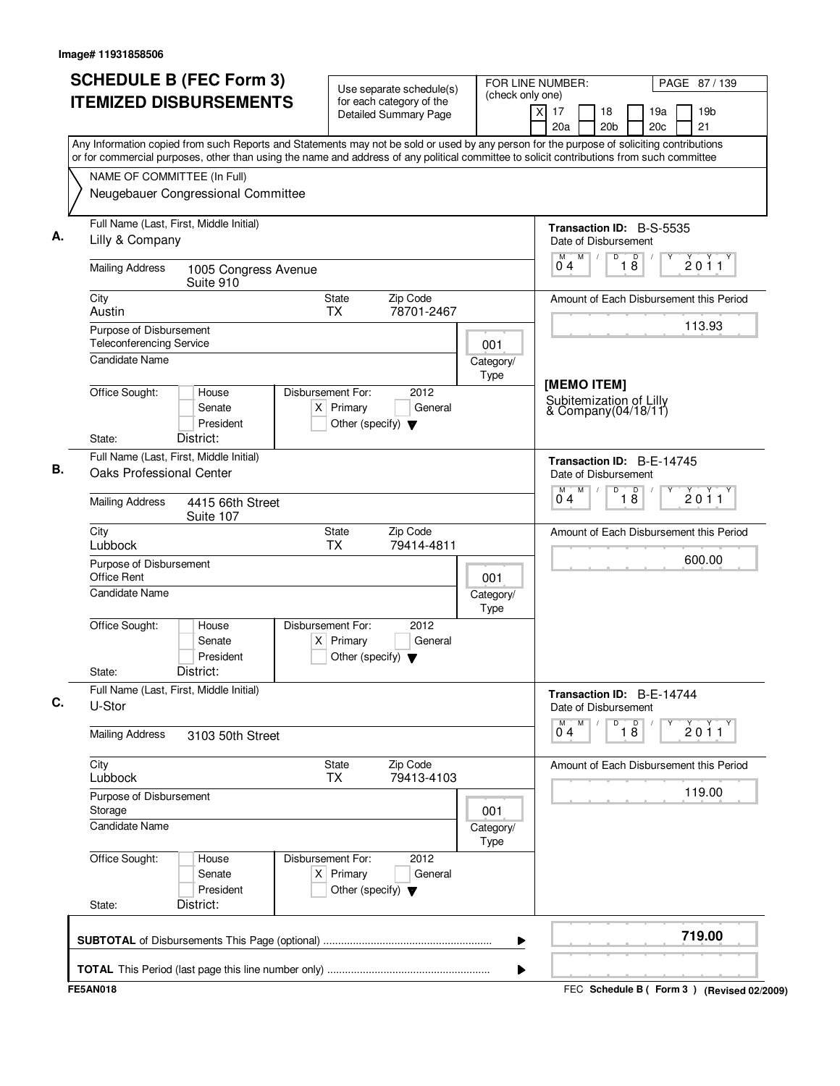|                                                             | <b>SCHEDULE B (FEC Form 3)</b><br><b>ITEMIZED DISBURSEMENTS</b>                                                                                                                                                                                                                        |                                  |                                      | Use separate schedule(s)<br>for each category of the<br>Detailed Summary Page | FOR LINE NUMBER:<br>(check only one) | $\times$<br>17                                    |   | 18              |                      | 19a | PAGE 87 / 139<br>19 <sub>b</sub>        |
|-------------------------------------------------------------|----------------------------------------------------------------------------------------------------------------------------------------------------------------------------------------------------------------------------------------------------------------------------------------|----------------------------------|--------------------------------------|-------------------------------------------------------------------------------|--------------------------------------|---------------------------------------------------|---|-----------------|----------------------|-----|-----------------------------------------|
|                                                             | Any Information copied from such Reports and Statements may not be sold or used by any person for the purpose of soliciting contributions<br>or for commercial purposes, other than using the name and address of any political committee to solicit contributions from such committee |                                  |                                      |                                                                               |                                      | 20a                                               |   | 20 <sub>b</sub> |                      | 20c | 21                                      |
| NAME OF COMMITTEE (In Full)                                 | Neugebauer Congressional Committee                                                                                                                                                                                                                                                     |                                  |                                      |                                                                               |                                      |                                                   |   |                 |                      |     |                                         |
| Lilly & Company                                             | Full Name (Last, First, Middle Initial)                                                                                                                                                                                                                                                |                                  |                                      |                                                                               |                                      | Transaction ID: B-S-5535<br>Date of Disbursement  |   |                 |                      |     |                                         |
| <b>Mailing Address</b>                                      | 1005 Congress Avenue<br>Suite 910                                                                                                                                                                                                                                                      |                                  |                                      |                                                                               |                                      | 04                                                | M | D               | D<br>$1\overline{8}$ |     | 2011                                    |
| City<br>Austin                                              |                                                                                                                                                                                                                                                                                        | State<br><b>TX</b>               |                                      | Zip Code<br>78701-2467                                                        |                                      |                                                   |   |                 |                      |     | Amount of Each Disbursement this Period |
| Purpose of Disbursement<br><b>Teleconferencing Service</b>  |                                                                                                                                                                                                                                                                                        |                                  |                                      |                                                                               | 001                                  |                                                   |   |                 |                      |     | 113.93                                  |
| <b>Candidate Name</b><br>Office Sought:                     | House                                                                                                                                                                                                                                                                                  | Disbursement For:                |                                      | 2012                                                                          | Category/<br>Type                    | [MEMO ITEM]                                       |   |                 |                      |     |                                         |
|                                                             | Senate<br>President                                                                                                                                                                                                                                                                    | $X$ Primary                      | Other (specify) $\blacktriangledown$ | General                                                                       |                                      | Subitemization of Lilly<br>& Company(04/18/11)    |   |                 |                      |     |                                         |
| State:<br><b>Oaks Professional Center</b>                   | District:<br>Full Name (Last, First, Middle Initial)                                                                                                                                                                                                                                   |                                  |                                      |                                                                               |                                      | Transaction ID: B-E-14745<br>Date of Disbursement |   |                 |                      |     |                                         |
| <b>Mailing Address</b>                                      | 4415 66th Street<br>Suite 107                                                                                                                                                                                                                                                          |                                  |                                      |                                                                               |                                      | M<br>04                                           | M | D               | $\overline{18}$      |     | 2011                                    |
| City<br>Lubbock                                             |                                                                                                                                                                                                                                                                                        | <b>State</b><br><b>TX</b>        |                                      | Zip Code<br>79414-4811                                                        |                                      |                                                   |   |                 |                      |     | Amount of Each Disbursement this Period |
| Purpose of Disbursement<br>Office Rent<br>Candidate Name    |                                                                                                                                                                                                                                                                                        |                                  |                                      |                                                                               | 001<br>Category/                     |                                                   |   |                 |                      |     | 600.00                                  |
| Office Sought:<br>State:                                    | House<br>Senate<br>President<br>District:                                                                                                                                                                                                                                              | Disbursement For:<br>$X$ Primary | Other (specify) $\blacktriangledown$ | 2012<br>General                                                               | Type                                 |                                                   |   |                 |                      |     |                                         |
| U-Stor                                                      | Full Name (Last, First, Middle Initial)                                                                                                                                                                                                                                                |                                  |                                      |                                                                               |                                      | Transaction ID: B-E-14744<br>Date of Disbursement |   |                 |                      |     |                                         |
| <b>Mailing Address</b>                                      | 3103 50th Street                                                                                                                                                                                                                                                                       |                                  |                                      |                                                                               |                                      | М<br>0 <sub>4</sub>                               | M | D               | $\overline{18}$      |     | 2011                                    |
| City<br>Lubbock                                             |                                                                                                                                                                                                                                                                                        | <b>State</b><br>TX               |                                      | Zip Code<br>79413-4103                                                        |                                      |                                                   |   |                 |                      |     | Amount of Each Disbursement this Period |
| Purpose of Disbursement<br>Storage<br><b>Candidate Name</b> |                                                                                                                                                                                                                                                                                        |                                  |                                      |                                                                               | 001<br>Category/                     |                                                   |   |                 |                      |     | 119.00                                  |
| Office Sought:<br>State:                                    | House<br>Senate<br>President<br>District:                                                                                                                                                                                                                                              | Disbursement For:<br>$X$ Primary | Other (specify) $\blacktriangledown$ | 2012<br>General                                                               | Type                                 |                                                   |   |                 |                      |     |                                         |
|                                                             |                                                                                                                                                                                                                                                                                        |                                  |                                      |                                                                               | ▶                                    |                                                   |   |                 |                      |     | 719.00                                  |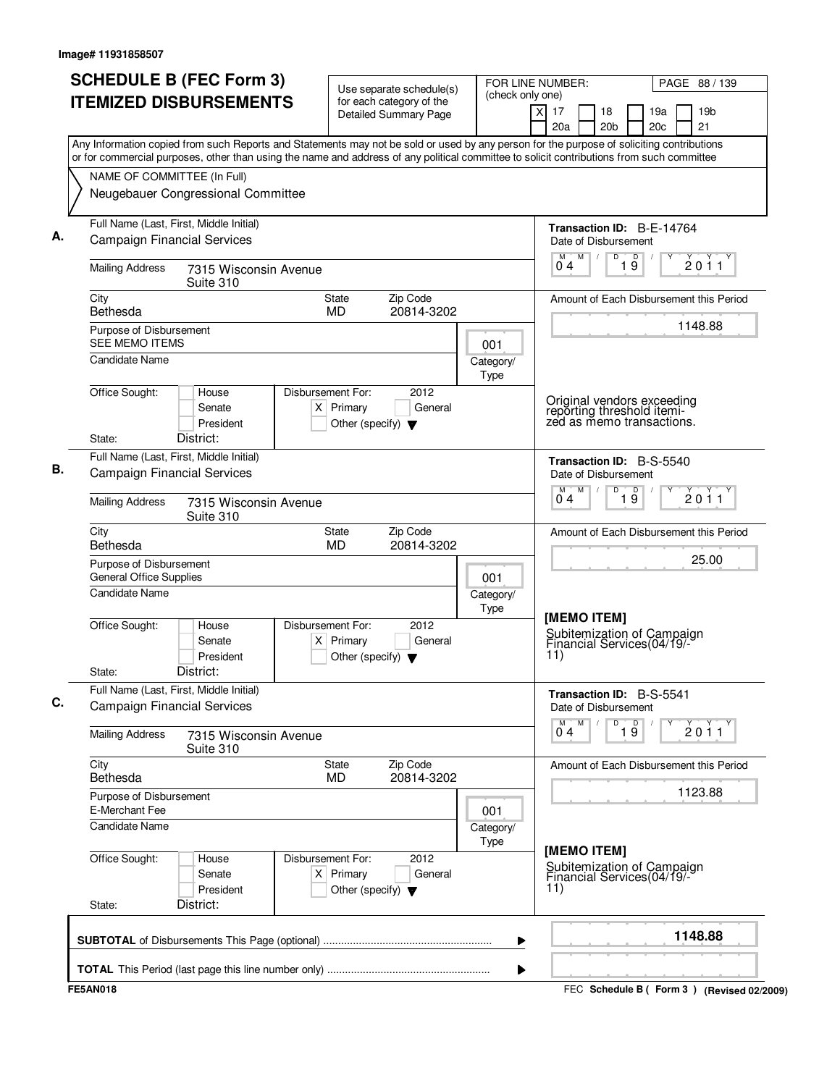| or for commercial purposes, other than using the name and address of any political committee to solicit contributions from such committee<br>NAME OF COMMITTEE (In Full) | <b>ITEMIZED DISBURSEMENTS</b>                                                 |                                                                          | Use separate schedule(s)<br>for each category of the                                                                                      | (check only one)  |   |                      |   |                       |                 |                                                                                       |                                         |
|--------------------------------------------------------------------------------------------------------------------------------------------------------------------------|-------------------------------------------------------------------------------|--------------------------------------------------------------------------|-------------------------------------------------------------------------------------------------------------------------------------------|-------------------|---|----------------------|---|-----------------------|-----------------|---------------------------------------------------------------------------------------|-----------------------------------------|
|                                                                                                                                                                          |                                                                               |                                                                          | <b>Detailed Summary Page</b>                                                                                                              |                   | x | 17<br>20a            |   | 18<br>20 <sub>b</sub> |                 | 19a<br>20 <sub>c</sub>                                                                | 19 <sub>b</sub><br>21                   |
|                                                                                                                                                                          |                                                                               |                                                                          | Any Information copied from such Reports and Statements may not be sold or used by any person for the purpose of soliciting contributions |                   |   |                      |   |                       |                 |                                                                                       |                                         |
|                                                                                                                                                                          |                                                                               |                                                                          |                                                                                                                                           |                   |   |                      |   |                       |                 |                                                                                       |                                         |
|                                                                                                                                                                          | Neugebauer Congressional Committee                                            |                                                                          |                                                                                                                                           |                   |   |                      |   |                       |                 |                                                                                       |                                         |
|                                                                                                                                                                          | Full Name (Last, First, Middle Initial)                                       |                                                                          |                                                                                                                                           |                   |   |                      |   |                       |                 | Transaction ID: B-E-14764                                                             |                                         |
|                                                                                                                                                                          | <b>Campaign Financial Services</b>                                            |                                                                          |                                                                                                                                           |                   |   | Date of Disbursement | M | D                     | $\overline{D}$  |                                                                                       |                                         |
| <b>Mailing Address</b>                                                                                                                                                   | 7315 Wisconsin Avenue<br>Suite 310                                            |                                                                          |                                                                                                                                           |                   |   | 04                   |   |                       | 19              |                                                                                       | 2011                                    |
| City<br>Bethesda                                                                                                                                                         |                                                                               | State<br>MD                                                              | Zip Code<br>20814-3202                                                                                                                    |                   |   |                      |   |                       |                 |                                                                                       | Amount of Each Disbursement this Period |
| Purpose of Disbursement<br><b>SEE MEMO ITEMS</b>                                                                                                                         |                                                                               |                                                                          |                                                                                                                                           | 001               |   |                      |   |                       |                 |                                                                                       | 1148.88                                 |
| <b>Candidate Name</b>                                                                                                                                                    |                                                                               |                                                                          |                                                                                                                                           | Category/         |   |                      |   |                       |                 |                                                                                       |                                         |
| Office Sought:                                                                                                                                                           | House                                                                         | Disbursement For:                                                        | 2012                                                                                                                                      | Type              |   |                      |   |                       |                 |                                                                                       |                                         |
|                                                                                                                                                                          | Senate<br>President<br>District:                                              | $X$ Primary<br>Other (specify) $\blacktriangledown$                      | General                                                                                                                                   |                   |   |                      |   |                       |                 | Original vendors exceeding<br>reporting threshold itemi-<br>zed as memo transactions. |                                         |
| State:                                                                                                                                                                   | Full Name (Last, First, Middle Initial)                                       |                                                                          |                                                                                                                                           |                   |   |                      |   |                       |                 |                                                                                       |                                         |
|                                                                                                                                                                          | <b>Campaign Financial Services</b>                                            |                                                                          |                                                                                                                                           |                   |   | Date of Disbursement |   |                       |                 | Transaction ID: B-S-5540                                                              |                                         |
| <b>Mailing Address</b>                                                                                                                                                   | 7315 Wisconsin Avenue<br>Suite 310                                            |                                                                          |                                                                                                                                           |                   |   | 04                   | M | D                     | $\overline{19}$ |                                                                                       | 2011                                    |
| City<br>Bethesda                                                                                                                                                         |                                                                               | State<br>MD                                                              | Zip Code<br>20814-3202                                                                                                                    |                   |   |                      |   |                       |                 |                                                                                       | Amount of Each Disbursement this Period |
| Purpose of Disbursement<br><b>General Office Supplies</b>                                                                                                                |                                                                               |                                                                          |                                                                                                                                           | 001               |   |                      |   |                       |                 |                                                                                       | 25.00                                   |
| <b>Candidate Name</b>                                                                                                                                                    |                                                                               |                                                                          |                                                                                                                                           | Category/<br>Type |   |                      |   |                       |                 |                                                                                       |                                         |
| Office Sought:<br>State:                                                                                                                                                 | House<br>Senate<br>President<br>District:                                     | Disbursement For:<br>$X$ Primary<br>Other (specify) $\blacktriangledown$ | 2012<br>General                                                                                                                           |                   |   | [MEMO ITEM]<br>11)   |   |                       |                 | Subitemization of Campaign<br>Financial Services(04/19/-                              |                                         |
|                                                                                                                                                                          | Full Name (Last, First, Middle Initial)<br><b>Campaign Financial Services</b> |                                                                          |                                                                                                                                           |                   |   | Date of Disbursement |   |                       |                 | Transaction ID: B-S-5541                                                              |                                         |
| <b>Mailing Address</b>                                                                                                                                                   | 7315 Wisconsin Avenue<br>Suite 310                                            |                                                                          |                                                                                                                                           |                   |   | 04                   | M | D                     | 19              |                                                                                       | $\check{2}$ 0 $\check{1}$ 1             |
| City<br>Bethesda                                                                                                                                                         |                                                                               | <b>State</b><br><b>MD</b>                                                | Zip Code<br>20814-3202                                                                                                                    |                   |   |                      |   |                       |                 |                                                                                       | Amount of Each Disbursement this Period |
| Purpose of Disbursement<br>E-Merchant Fee                                                                                                                                |                                                                               |                                                                          |                                                                                                                                           | 001               |   |                      |   |                       |                 |                                                                                       | 1123.88                                 |
| Candidate Name                                                                                                                                                           |                                                                               |                                                                          |                                                                                                                                           | Category/<br>Type |   |                      |   |                       |                 |                                                                                       |                                         |
| Office Sought:<br>State:                                                                                                                                                 | House<br>Senate<br>President<br>District:                                     | Disbursement For:<br>$X$ Primary<br>Other (specify) $\blacktriangledown$ | 2012<br>General                                                                                                                           |                   |   | [MEMO ITEM]<br>11)   |   |                       |                 | Subitemization of Campaign<br>Financial Services(04/19/-                              |                                         |
|                                                                                                                                                                          |                                                                               |                                                                          |                                                                                                                                           | ▶                 |   |                      |   |                       |                 |                                                                                       | 1148.88                                 |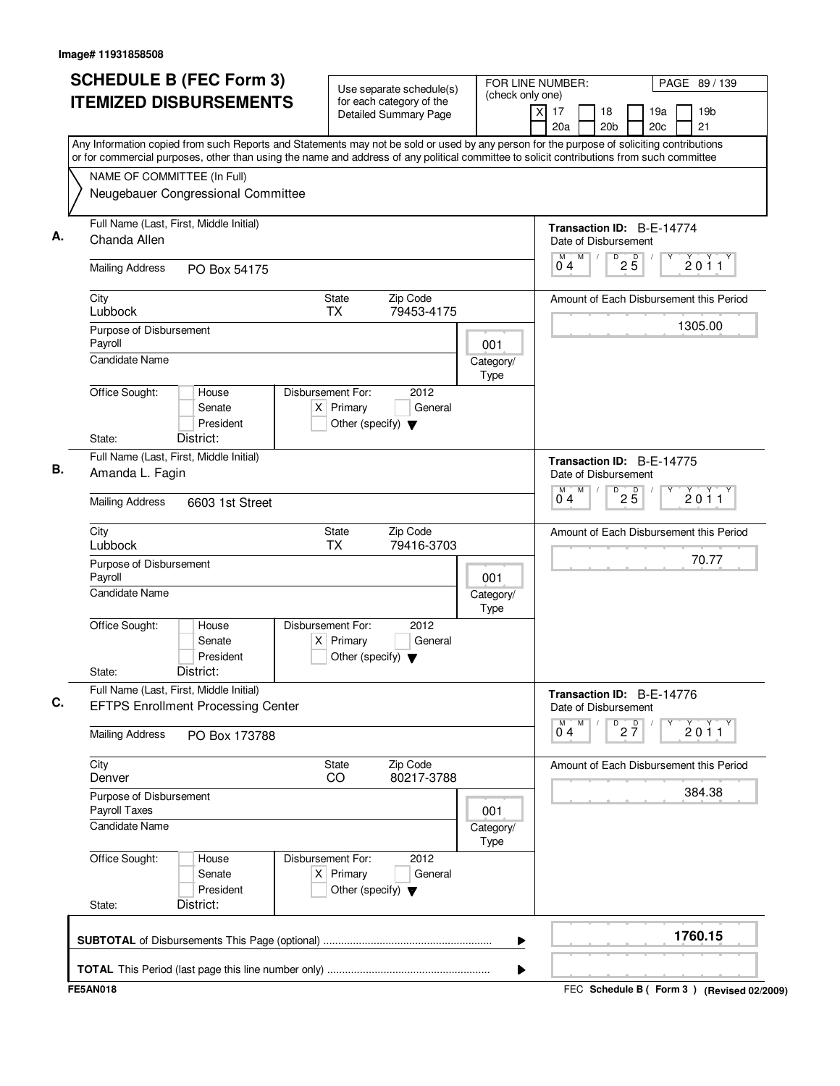| <b>SCHEDULE B (FEC Form 3)</b><br><b>ITEMIZED DISBURSEMENTS</b><br>Any Information copied from such Reports and Statements may not be sold or used by any person for the purpose of soliciting contributions   | Use separate schedule(s)<br>for each category of the<br><b>Detailed Summary Page</b>        | FOR LINE NUMBER:<br>(check only one) | PAGE 89 / 139<br>19 <sub>b</sub><br>$\times$<br>17<br>18<br>19a<br>21<br>20a<br>20 <sub>b</sub><br>20c |
|----------------------------------------------------------------------------------------------------------------------------------------------------------------------------------------------------------------|---------------------------------------------------------------------------------------------|--------------------------------------|--------------------------------------------------------------------------------------------------------|
| or for commercial purposes, other than using the name and address of any political committee to solicit contributions from such committee<br>NAME OF COMMITTEE (In Full)<br>Neugebauer Congressional Committee |                                                                                             |                                      |                                                                                                        |
| Full Name (Last, First, Middle Initial)<br>Chanda Allen                                                                                                                                                        |                                                                                             |                                      | Transaction ID: B-E-14774<br>Date of Disbursement                                                      |
| <b>Mailing Address</b><br>PO Box 54175                                                                                                                                                                         |                                                                                             |                                      | M<br>$\overline{P}$ 2 $\overline{5}$<br>M<br>2011<br>0 <sub>4</sub>                                    |
| City<br>Lubbock                                                                                                                                                                                                | State<br>Zip Code<br>TX<br>79453-4175                                                       |                                      | Amount of Each Disbursement this Period                                                                |
| Purpose of Disbursement<br>Payroll<br>Candidate Name                                                                                                                                                           |                                                                                             | 001<br>Category/<br>Type             | 1305.00                                                                                                |
| Office Sought:<br>House<br>Senate<br>President<br>District:<br>State:                                                                                                                                          | Disbursement For:<br>2012<br>$X$ Primary<br>General<br>Other (specify) $\blacktriangledown$ |                                      |                                                                                                        |
| Full Name (Last, First, Middle Initial)<br>Amanda L. Fagin                                                                                                                                                     |                                                                                             |                                      | Transaction ID: B-E-14775<br>Date of Disbursement<br>M<br>D<br>M                                       |
| <b>Mailing Address</b><br>6603 1st Street                                                                                                                                                                      |                                                                                             |                                      | $2\overline{5}$<br>2011<br>04                                                                          |
| City<br>Lubbock                                                                                                                                                                                                | <b>State</b><br>Zip Code<br><b>TX</b><br>79416-3703                                         |                                      | Amount of Each Disbursement this Period                                                                |
| Purpose of Disbursement<br>Payroll<br><b>Candidate Name</b>                                                                                                                                                    |                                                                                             | 001<br>Category/<br>Type             | 70.77                                                                                                  |
| Office Sought:<br>House<br>Senate<br>President<br>District:<br>State:                                                                                                                                          | Disbursement For:<br>2012<br>$X$ Primary<br>General<br>Other (specify) $\blacktriangledown$ |                                      |                                                                                                        |
| Full Name (Last, First, Middle Initial)<br><b>EFTPS Enrollment Processing Center</b>                                                                                                                           |                                                                                             |                                      | Transaction ID: B-E-14776<br>Date of Disbursement<br>M<br>D                                            |
| <b>Mailing Address</b><br>PO Box 173788                                                                                                                                                                        |                                                                                             |                                      | $2\frac{D}{7}$<br>$\overline{0}^M$ 4<br>2011                                                           |
| City<br>Denver                                                                                                                                                                                                 | State<br>Zip Code<br>80217-3788<br>CO                                                       |                                      | Amount of Each Disbursement this Period                                                                |
| Purpose of Disbursement<br>Payroll Taxes                                                                                                                                                                       |                                                                                             | 001                                  | 384.38                                                                                                 |
| <b>Candidate Name</b>                                                                                                                                                                                          |                                                                                             | Category/<br>Type                    |                                                                                                        |
| Office Sought:<br>House<br>Senate<br>President                                                                                                                                                                 | Disbursement For:<br>2012<br>$X$ Primary<br>General<br>Other (specify) $\blacktriangledown$ |                                      |                                                                                                        |
| District:<br>State:                                                                                                                                                                                            |                                                                                             | ▶                                    | 1760.15                                                                                                |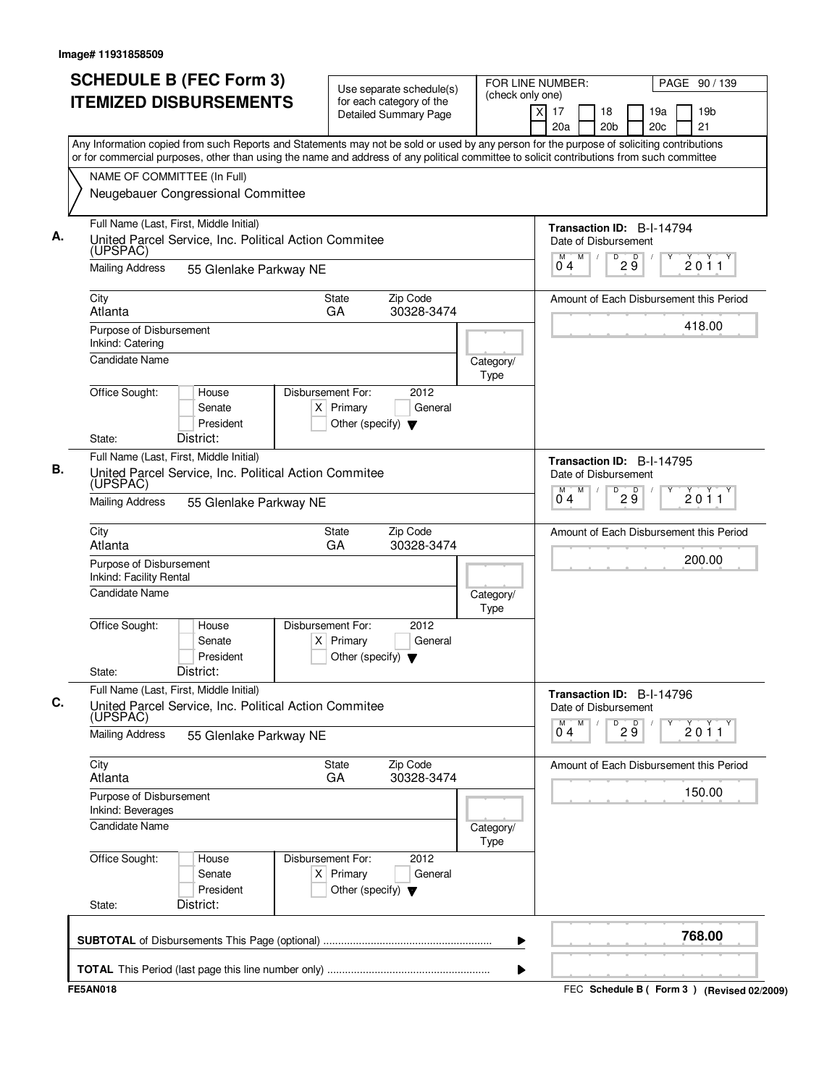|                                                                                 | <b>SCHEDULE B (FEC Form 3)</b><br><b>ITEMIZED DISBURSEMENTS</b>                                                            |                                                                          | Use separate schedule(s)<br>for each category of the<br><b>Detailed Summary Page</b> | (check only one)  | FOR LINE NUMBER:<br>PAGE 90 / 139<br>19 <sub>b</sub><br>17<br>19a<br>X<br>18<br>20c<br>21<br>20a<br>20 <sub>b</sub>                                                                                                                                                                    |
|---------------------------------------------------------------------------------|----------------------------------------------------------------------------------------------------------------------------|--------------------------------------------------------------------------|--------------------------------------------------------------------------------------|-------------------|----------------------------------------------------------------------------------------------------------------------------------------------------------------------------------------------------------------------------------------------------------------------------------------|
| NAME OF COMMITTEE (In Full)                                                     | Neugebauer Congressional Committee                                                                                         |                                                                          |                                                                                      |                   | Any Information copied from such Reports and Statements may not be sold or used by any person for the purpose of soliciting contributions<br>or for commercial purposes, other than using the name and address of any political committee to solicit contributions from such committee |
| (UPSPAC)<br><b>Mailing Address</b>                                              | Full Name (Last, First, Middle Initial)<br>United Parcel Service, Inc. Political Action Commitee<br>55 Glenlake Parkway NE |                                                                          |                                                                                      |                   | Transaction ID: B-I-14794<br>Date of Disbursement<br>$\overline{D}$<br>$2\overline{9}$<br>M<br>M<br>$\sqrt{2}$<br>2011<br>04                                                                                                                                                           |
| City<br>Atlanta                                                                 |                                                                                                                            | <b>State</b><br>GA                                                       | Zip Code<br>30328-3474                                                               |                   | Amount of Each Disbursement this Period<br>418.00                                                                                                                                                                                                                                      |
| Purpose of Disbursement<br>Inkind: Catering<br><b>Candidate Name</b>            |                                                                                                                            |                                                                          |                                                                                      | Category/<br>Type |                                                                                                                                                                                                                                                                                        |
| Office Sought:<br>State:                                                        | House<br>Senate<br>President<br>District:                                                                                  | Disbursement For:<br>$X$ Primary<br>Other (specify) $\blacktriangledown$ | 2012<br>General                                                                      |                   |                                                                                                                                                                                                                                                                                        |
| <b>Mailing Address</b>                                                          | Full Name (Last, First, Middle Initial)<br>United Parcel Service, Inc. Political Action Commitee<br>(UPSPAC)               |                                                                          |                                                                                      |                   | Transaction ID: B-I-14795<br>Date of Disbursement<br>D<br>M<br>29<br>2011<br>04                                                                                                                                                                                                        |
| City                                                                            | 55 Glenlake Parkway NE                                                                                                     | <b>State</b>                                                             | Zip Code                                                                             |                   | Amount of Each Disbursement this Period                                                                                                                                                                                                                                                |
| Atlanta<br>Purpose of Disbursement<br>Inkind: Facility Rental<br>Candidate Name |                                                                                                                            | GA                                                                       | 30328-3474                                                                           | Category/         | 200.00                                                                                                                                                                                                                                                                                 |
| Office Sought:<br>State:                                                        | House<br>Senate<br>President<br>District:                                                                                  | Disbursement For:<br>$X$ Primary<br>Other (specify) $\blacktriangledown$ | 2012<br>General                                                                      | Type              |                                                                                                                                                                                                                                                                                        |
| (UPSPAC)                                                                        | Full Name (Last, First, Middle Initial)<br>United Parcel Service, Inc. Political Action Commitee                           |                                                                          |                                                                                      |                   | Transaction ID: B-I-14796<br>Date of Disbursement<br>M<br>D<br>М                                                                                                                                                                                                                       |
| <b>Mailing Address</b>                                                          | 55 Glenlake Parkway NE                                                                                                     |                                                                          |                                                                                      |                   | 29<br>$\sum_{1}^{x}$ 0 1 1<br>04                                                                                                                                                                                                                                                       |
| City<br>Atlanta                                                                 |                                                                                                                            | <b>State</b><br>GA                                                       | Zip Code<br>30328-3474                                                               |                   | Amount of Each Disbursement this Period                                                                                                                                                                                                                                                |
| Purpose of Disbursement<br>Inkind: Beverages<br><b>Candidate Name</b>           |                                                                                                                            |                                                                          |                                                                                      | Category/<br>Type | 150.00                                                                                                                                                                                                                                                                                 |
| Office Sought:<br>State:                                                        | House<br>Senate<br>President<br>District:                                                                                  | Disbursement For:<br>$X$ Primary<br>Other (specify) $\blacktriangledown$ | 2012<br>General                                                                      |                   |                                                                                                                                                                                                                                                                                        |
|                                                                                 |                                                                                                                            |                                                                          |                                                                                      | ▶                 | 768.00                                                                                                                                                                                                                                                                                 |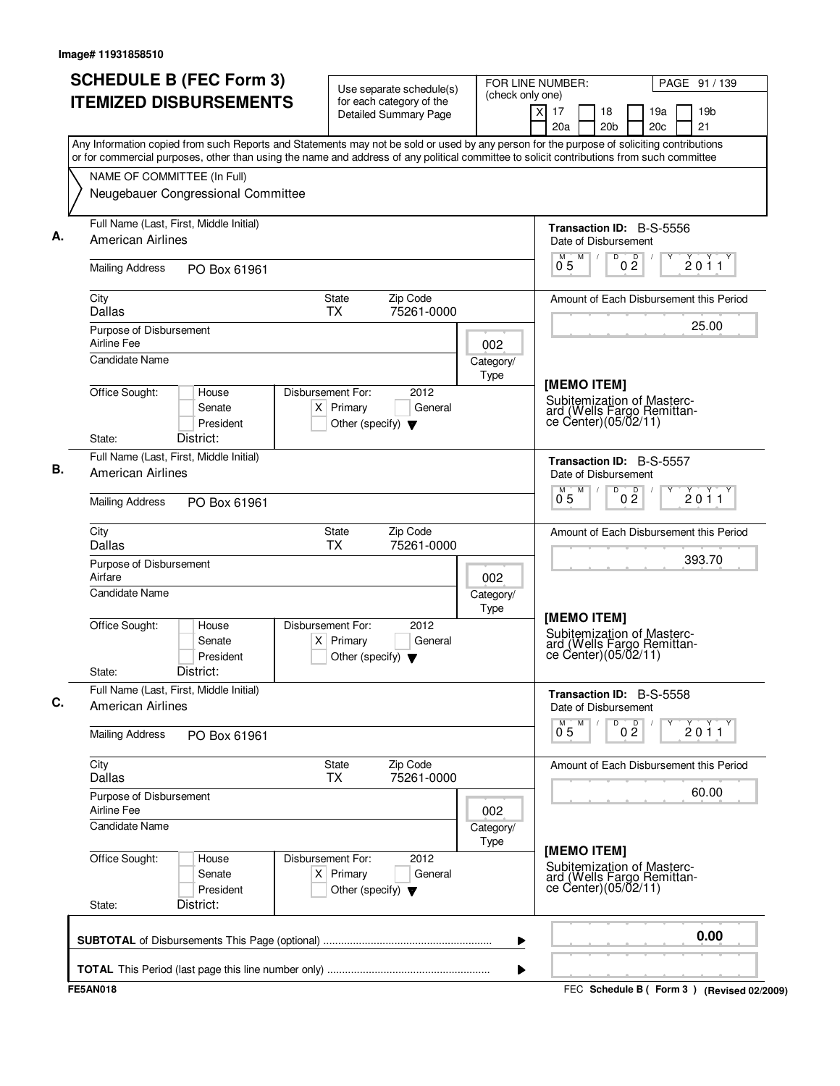| <b>SCHEDULE B (FEC Form 3)</b>                                                                                                                                                                                                                                                         | Use separate schedule(s)                                                                    | (check only one)         | FOR LINE NUMBER:                                                                           | PAGE 91 / 139                           |
|----------------------------------------------------------------------------------------------------------------------------------------------------------------------------------------------------------------------------------------------------------------------------------------|---------------------------------------------------------------------------------------------|--------------------------|--------------------------------------------------------------------------------------------|-----------------------------------------|
| <b>ITEMIZED DISBURSEMENTS</b>                                                                                                                                                                                                                                                          | for each category of the<br><b>Detailed Summary Page</b>                                    |                          | $\boldsymbol{\mathsf{x}}$<br>17<br>18<br>20 <sub>b</sub><br>20a                            | 19 <sub>b</sub><br>19a<br>21<br>20c     |
| Any Information copied from such Reports and Statements may not be sold or used by any person for the purpose of soliciting contributions<br>or for commercial purposes, other than using the name and address of any political committee to solicit contributions from such committee |                                                                                             |                          |                                                                                            |                                         |
| NAME OF COMMITTEE (In Full)<br>Neugebauer Congressional Committee                                                                                                                                                                                                                      |                                                                                             |                          |                                                                                            |                                         |
| Full Name (Last, First, Middle Initial)<br><b>American Airlines</b>                                                                                                                                                                                                                    |                                                                                             |                          | Transaction ID: B-S-5556<br>Date of Disbursement                                           |                                         |
| <b>Mailing Address</b><br>PO Box 61961                                                                                                                                                                                                                                                 |                                                                                             |                          | D<br>M<br>0 <sup>0</sup><br>0 <sub>5</sub>                                                 | 2011                                    |
| City<br>Dallas                                                                                                                                                                                                                                                                         | Zip Code<br>State<br><b>TX</b><br>75261-0000                                                |                          |                                                                                            | Amount of Each Disbursement this Period |
| Purpose of Disbursement<br>Airline Fee                                                                                                                                                                                                                                                 |                                                                                             | 002                      |                                                                                            | 25.00                                   |
| <b>Candidate Name</b>                                                                                                                                                                                                                                                                  |                                                                                             | Category/<br><b>Type</b> | [MEMO ITEM]                                                                                |                                         |
| Office Sought:<br>House<br>Senate<br>President                                                                                                                                                                                                                                         | Disbursement For:<br>2012<br>$X$ Primary<br>General<br>Other (specify) $\blacktriangledown$ |                          | Subitemization of Masterc-<br>ard (Wells Fargo Remittan-<br>ce Center) (05/02/11)          |                                         |
| District:<br>State:<br>Full Name (Last, First, Middle Initial)                                                                                                                                                                                                                         |                                                                                             |                          | Transaction ID: B-S-5557                                                                   |                                         |
| <b>American Airlines</b><br><b>Mailing Address</b><br>PO Box 61961                                                                                                                                                                                                                     |                                                                                             |                          | Date of Disbursement<br>M<br>D<br>0 <sup>0</sup><br>0.5                                    | 2011                                    |
|                                                                                                                                                                                                                                                                                        |                                                                                             |                          |                                                                                            |                                         |
| City<br>Dallas                                                                                                                                                                                                                                                                         | Zip Code<br><b>State</b><br><b>TX</b><br>75261-0000                                         |                          |                                                                                            | Amount of Each Disbursement this Period |
| Purpose of Disbursement<br>Airfare                                                                                                                                                                                                                                                     |                                                                                             | 002                      |                                                                                            | 393.70                                  |
| <b>Candidate Name</b>                                                                                                                                                                                                                                                                  |                                                                                             | Category/<br>Type        | [MEMO ITEM]                                                                                |                                         |
| Office Sought:<br>House<br>Senate<br>President                                                                                                                                                                                                                                         | Disbursement For:<br>2012<br>$X$ Primary<br>General<br>Other (specify) $\blacktriangledown$ |                          | Subitemization of Masterc-<br>ard (Wells Fargo Remittan-<br>ce Center) (05/02/11)          |                                         |
| District:<br>State:                                                                                                                                                                                                                                                                    |                                                                                             |                          |                                                                                            |                                         |
| Full Name (Last, First, Middle Initial)<br><b>American Airlines</b>                                                                                                                                                                                                                    |                                                                                             |                          | Transaction ID: B-S-5558<br>Date of Disbursement<br>D<br>M                                 |                                         |
| <b>Mailing Address</b><br>PO Box 61961                                                                                                                                                                                                                                                 |                                                                                             |                          | $0^{\circ}$<br>$\overline{0}^{\overline{M}}$ 5                                             | 2011                                    |
| City<br><b>Dallas</b>                                                                                                                                                                                                                                                                  | <b>State</b><br>Zip Code<br>75261-0000<br><b>TX</b>                                         |                          |                                                                                            | Amount of Each Disbursement this Period |
| Purpose of Disbursement<br>Airline Fee                                                                                                                                                                                                                                                 |                                                                                             | 002                      |                                                                                            | 60.00                                   |
| Candidate Name                                                                                                                                                                                                                                                                         |                                                                                             | Category/<br>Type        |                                                                                            |                                         |
| Office Sought:<br>House<br>Senate<br>President<br>District:<br>State:                                                                                                                                                                                                                  | Disbursement For:<br>2012<br>$X$ Primary<br>General<br>Other (specify) $\blacktriangledown$ |                          | [MEMO ITEM]<br>Subitemization of Masterc-<br>ard (Wells Fargo Remittance Center)(05/02/11) |                                         |
|                                                                                                                                                                                                                                                                                        |                                                                                             | ▶                        |                                                                                            | 0.00                                    |
|                                                                                                                                                                                                                                                                                        |                                                                                             |                          |                                                                                            |                                         |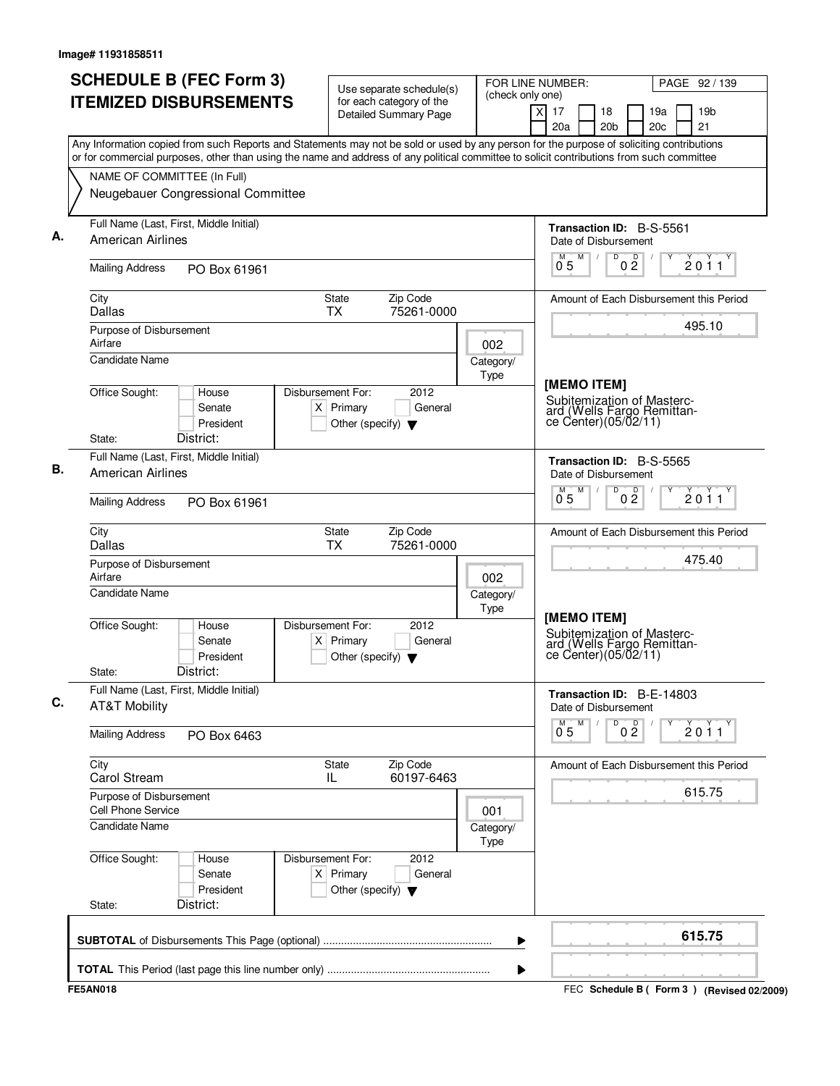| <b>SCHEDULE B (FEC Form 3)</b>                                                                                                                                                                                                                                                         | Use separate schedule(s)                                                                    | (check only one)  | FOR LINE NUMBER:                                                                                 | PAGE 92 / 139                           |
|----------------------------------------------------------------------------------------------------------------------------------------------------------------------------------------------------------------------------------------------------------------------------------------|---------------------------------------------------------------------------------------------|-------------------|--------------------------------------------------------------------------------------------------|-----------------------------------------|
| <b>ITEMIZED DISBURSEMENTS</b>                                                                                                                                                                                                                                                          | for each category of the<br><b>Detailed Summary Page</b>                                    |                   | x<br>17<br>18<br>20a<br>20 <sub>b</sub>                                                          | 19 <sub>b</sub><br>19a<br>21<br>20c     |
| Any Information copied from such Reports and Statements may not be sold or used by any person for the purpose of soliciting contributions<br>or for commercial purposes, other than using the name and address of any political committee to solicit contributions from such committee |                                                                                             |                   |                                                                                                  |                                         |
| NAME OF COMMITTEE (In Full)                                                                                                                                                                                                                                                            |                                                                                             |                   |                                                                                                  |                                         |
| Neugebauer Congressional Committee                                                                                                                                                                                                                                                     |                                                                                             |                   |                                                                                                  |                                         |
| Full Name (Last, First, Middle Initial)<br><b>American Airlines</b>                                                                                                                                                                                                                    |                                                                                             |                   | <b>Transaction ID: B-S-5561</b><br>Date of Disbursement                                          |                                         |
| <b>Mailing Address</b><br>PO Box 61961                                                                                                                                                                                                                                                 |                                                                                             |                   | M<br>D<br>0 <sup>0</sup><br>0 <sub>5</sub>                                                       | 2011                                    |
| City<br>Dallas                                                                                                                                                                                                                                                                         | Zip Code<br>State<br><b>TX</b><br>75261-0000                                                |                   |                                                                                                  | Amount of Each Disbursement this Period |
| Purpose of Disbursement<br>Airfare                                                                                                                                                                                                                                                     |                                                                                             | 002               |                                                                                                  | 495.10                                  |
| <b>Candidate Name</b>                                                                                                                                                                                                                                                                  |                                                                                             | Category/<br>Type |                                                                                                  |                                         |
| Office Sought:<br>House<br>Senate<br>President<br>District:<br>State:                                                                                                                                                                                                                  | Disbursement For:<br>2012<br>$X$ Primary<br>General<br>Other (specify) $\blacktriangledown$ |                   | [MEMO ITEM]<br>Subitemization of Masterc-<br>ard (Wells Fargo Remittan-<br>ce Center)(05/02/11)  |                                         |
| Full Name (Last, First, Middle Initial)                                                                                                                                                                                                                                                |                                                                                             |                   | Transaction ID: B-S-5565                                                                         |                                         |
| <b>American Airlines</b>                                                                                                                                                                                                                                                               |                                                                                             |                   | Date of Disbursement<br>M<br>D<br>0 <sup>0</sup><br>0.5                                          | 2011                                    |
| <b>Mailing Address</b><br>PO Box 61961                                                                                                                                                                                                                                                 |                                                                                             |                   |                                                                                                  |                                         |
| City<br>Dallas                                                                                                                                                                                                                                                                         | Zip Code<br>State<br><b>TX</b><br>75261-0000                                                |                   |                                                                                                  | Amount of Each Disbursement this Period |
| Purpose of Disbursement<br>Airfare                                                                                                                                                                                                                                                     |                                                                                             | 002               |                                                                                                  | 475.40                                  |
| <b>Candidate Name</b>                                                                                                                                                                                                                                                                  |                                                                                             | Category/<br>Type |                                                                                                  |                                         |
| Office Sought:<br>House<br>Senate<br>President<br>District:<br>State:                                                                                                                                                                                                                  | Disbursement For:<br>2012<br>$X$ Primary<br>General<br>Other (specify) $\blacktriangledown$ |                   | [MEMO ITEM]<br>Subitemization of Masterc-<br>ard (Wells Fargo Remittan-<br>ce Center) (05/02/11) |                                         |
| Full Name (Last, First, Middle Initial)<br><b>AT&amp;T Mobility</b>                                                                                                                                                                                                                    |                                                                                             |                   | Transaction ID: B-E-14803<br>Date of Disbursement                                                |                                         |
| <b>Mailing Address</b><br>PO Box 6463                                                                                                                                                                                                                                                  |                                                                                             |                   | M<br>D<br>0 <sup>0</sup><br>$\overline{0}^M$ 5                                                   | 2011                                    |
| City<br>Carol Stream                                                                                                                                                                                                                                                                   | State<br>Zip Code<br>60197-6463<br>IL                                                       |                   |                                                                                                  | Amount of Each Disbursement this Period |
| Purpose of Disbursement<br>Cell Phone Service                                                                                                                                                                                                                                          |                                                                                             | 001               |                                                                                                  | 615.75                                  |
| <b>Candidate Name</b>                                                                                                                                                                                                                                                                  |                                                                                             | Category/<br>Type |                                                                                                  |                                         |
| Office Sought:<br>House<br>Senate<br>President<br>District:<br>State:                                                                                                                                                                                                                  | Disbursement For:<br>2012<br>$X$ Primary<br>General<br>Other (specify) $\blacktriangledown$ |                   |                                                                                                  |                                         |
|                                                                                                                                                                                                                                                                                        |                                                                                             | ▶                 |                                                                                                  | 615.75                                  |
|                                                                                                                                                                                                                                                                                        |                                                                                             |                   |                                                                                                  |                                         |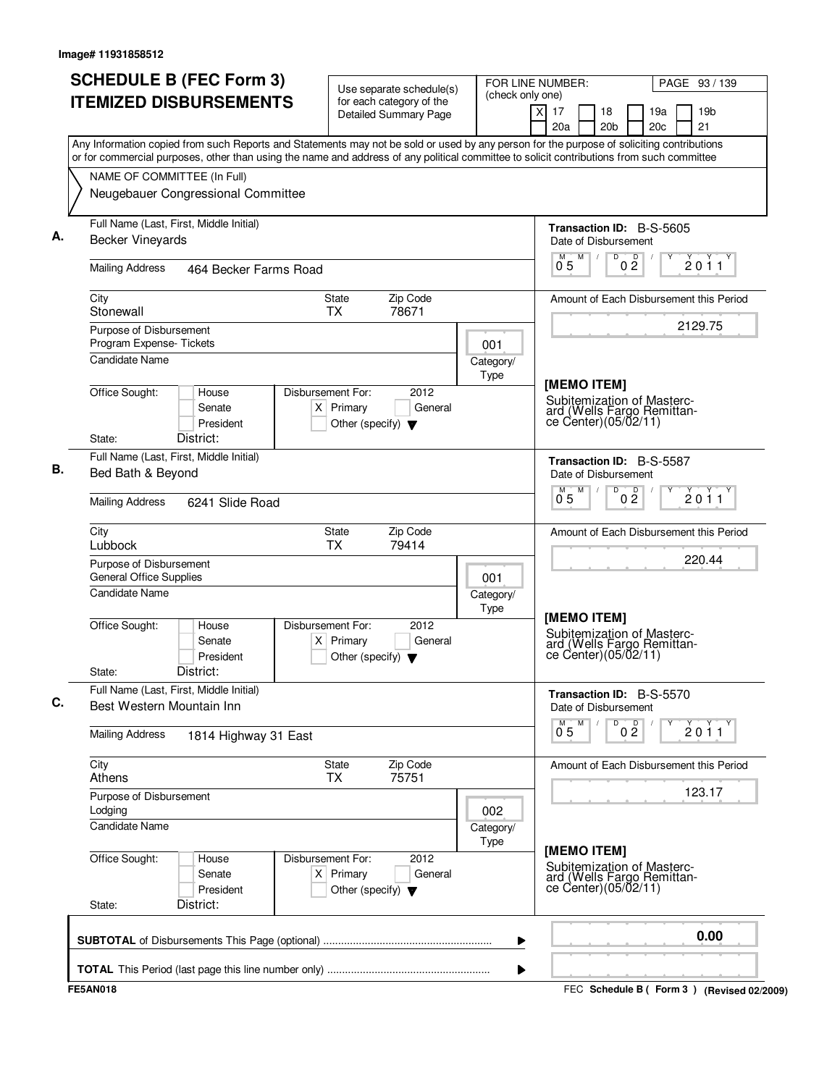| <b>ITEMIZED DISBURSEMENTS</b>                                                                                                                                                                                                                                                          | for each category of the<br><b>Detailed Summary Page</b>                                      |                   | $\overline{X}$<br>17<br>18                                                                      |                     |            |                                           |
|----------------------------------------------------------------------------------------------------------------------------------------------------------------------------------------------------------------------------------------------------------------------------------------|-----------------------------------------------------------------------------------------------|-------------------|-------------------------------------------------------------------------------------------------|---------------------|------------|-------------------------------------------|
|                                                                                                                                                                                                                                                                                        |                                                                                               |                   | 20a                                                                                             | 20 <sub>b</sub>     | 19a<br>20c | 19 <sub>b</sub><br>21                     |
| Any Information copied from such Reports and Statements may not be sold or used by any person for the purpose of soliciting contributions<br>or for commercial purposes, other than using the name and address of any political committee to solicit contributions from such committee |                                                                                               |                   |                                                                                                 |                     |            |                                           |
| NAME OF COMMITTEE (In Full)                                                                                                                                                                                                                                                            |                                                                                               |                   |                                                                                                 |                     |            |                                           |
| Neugebauer Congressional Committee                                                                                                                                                                                                                                                     |                                                                                               |                   |                                                                                                 |                     |            |                                           |
| Full Name (Last, First, Middle Initial)<br><b>Becker Vineyards</b>                                                                                                                                                                                                                     |                                                                                               |                   | <b>Transaction ID: B-S-5605</b><br>Date of Disbursement                                         |                     |            |                                           |
| <b>Mailing Address</b><br>464 Becker Farms Road                                                                                                                                                                                                                                        |                                                                                               |                   | M<br>M<br>0 <sub>5</sub>                                                                        | D<br>$0\frac{D}{2}$ |            | 2011                                      |
| City<br>Stonewall                                                                                                                                                                                                                                                                      | Zip Code<br>State<br>78671<br><b>TX</b>                                                       |                   | Amount of Each Disbursement this Period                                                         |                     |            |                                           |
| Purpose of Disbursement<br>Program Expense-Tickets<br>Candidate Name                                                                                                                                                                                                                   |                                                                                               | 001               |                                                                                                 |                     |            | 2129.75                                   |
| Office Sought:<br>House<br>Senate<br>President<br>District:<br>State:                                                                                                                                                                                                                  | Disbursement For:<br>2012<br>$X$ Primary<br>General<br>Other (specify) $\blacktriangledown$   | Category/<br>Type | [MEMO ITEM]<br>Subitemization of Masterc-<br>ard (Wells Fargo Remittan-<br>ce Center)(05/02/11) |                     |            |                                           |
| Full Name (Last, First, Middle Initial)<br>Bed Bath & Beyond                                                                                                                                                                                                                           |                                                                                               |                   | Transaction ID: B-S-5587<br>Date of Disbursement<br>M<br>M                                      | D                   |            |                                           |
| <b>Mailing Address</b><br>6241 Slide Road                                                                                                                                                                                                                                              |                                                                                               |                   | 05                                                                                              | 0 <sup>0</sup>      |            | 2011                                      |
| City<br>Lubbock                                                                                                                                                                                                                                                                        | Zip Code<br>State<br>ТX<br>79414                                                              |                   | Amount of Each Disbursement this Period                                                         |                     |            |                                           |
| Purpose of Disbursement<br><b>General Office Supplies</b><br><b>Candidate Name</b>                                                                                                                                                                                                     |                                                                                               | 001<br>Category/  |                                                                                                 |                     |            | 220.44                                    |
| Office Sought:<br>House<br>Senate<br>President<br>District:<br>State:                                                                                                                                                                                                                  | Disbursement For:<br>2012<br>Primary<br>General<br>ΧI<br>Other (specify) $\blacktriangledown$ | Type              | [MEMO ITEM]<br>Subitemization of Masterc-<br>ard (Wells Fargo Remittan-<br>ce Center)(05/02/11) |                     |            |                                           |
| Full Name (Last, First, Middle Initial)<br>Best Western Mountain Inn                                                                                                                                                                                                                   |                                                                                               |                   | <b>Transaction ID: B-S-5570</b><br>Date of Disbursement                                         |                     |            |                                           |
| <b>Mailing Address</b><br>1814 Highway 31 East                                                                                                                                                                                                                                         |                                                                                               |                   | M<br>$0^{M}$ 5                                                                                  | D<br>0 <sup>0</sup> |            | 2011                                      |
| City<br>Athens                                                                                                                                                                                                                                                                         | <b>State</b><br>Zip Code<br>75751<br><b>TX</b>                                                |                   | Amount of Each Disbursement this Period                                                         |                     |            |                                           |
| Purpose of Disbursement<br>Lodging<br>Candidate Name                                                                                                                                                                                                                                   |                                                                                               | 002<br>Category/  |                                                                                                 |                     |            | 123.17                                    |
|                                                                                                                                                                                                                                                                                        |                                                                                               | Type              |                                                                                                 |                     |            |                                           |
| Office Sought:<br>House<br>Senate<br>President<br>District:<br>State:                                                                                                                                                                                                                  | Disbursement For:<br>2012<br>$X$ Primary<br>General<br>Other (specify) $\blacktriangledown$   |                   | [MEMO ITEM]<br>Subitemization of Masterc-<br>ard (Wells Fargo Remittance Center)(05/02/11)      |                     |            |                                           |
|                                                                                                                                                                                                                                                                                        |                                                                                               | ▶                 |                                                                                                 |                     |            | 0.00                                      |
| <b>FE5AN018</b>                                                                                                                                                                                                                                                                        |                                                                                               | ▶                 |                                                                                                 |                     |            | FEC Schedule B (Form 3) (Revised 02/2009) |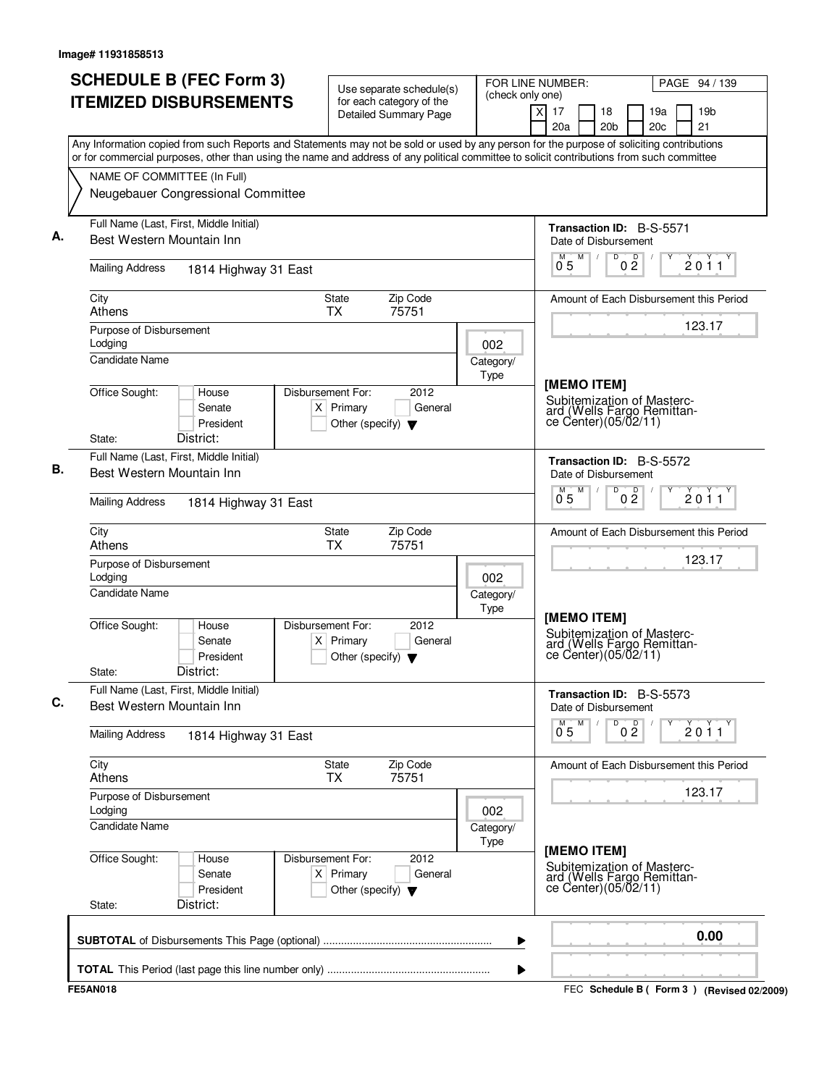| <b>SCHEDULE B (FEC Form 3)</b><br><b>ITEMIZED DISBURSEMENTS</b>                                                                                                                                                                                                                        | Use separate schedule(s)<br>for each category of the                                        | (check only one)  | FOR LINE NUMBER:<br>PAGE 94 / 139                                                                |
|----------------------------------------------------------------------------------------------------------------------------------------------------------------------------------------------------------------------------------------------------------------------------------------|---------------------------------------------------------------------------------------------|-------------------|--------------------------------------------------------------------------------------------------|
|                                                                                                                                                                                                                                                                                        | <b>Detailed Summary Page</b>                                                                |                   | 19 <sub>b</sub><br>X<br>17<br>18<br>19a<br>21<br>20a<br>20 <sub>b</sub><br>20c                   |
| Any Information copied from such Reports and Statements may not be sold or used by any person for the purpose of soliciting contributions<br>or for commercial purposes, other than using the name and address of any political committee to solicit contributions from such committee |                                                                                             |                   |                                                                                                  |
| NAME OF COMMITTEE (In Full)                                                                                                                                                                                                                                                            |                                                                                             |                   |                                                                                                  |
| Neugebauer Congressional Committee                                                                                                                                                                                                                                                     |                                                                                             |                   |                                                                                                  |
| Full Name (Last, First, Middle Initial)<br>Best Western Mountain Inn                                                                                                                                                                                                                   |                                                                                             |                   | Transaction ID: B-S-5571<br>Date of Disbursement                                                 |
| <b>Mailing Address</b><br>1814 Highway 31 East                                                                                                                                                                                                                                         |                                                                                             |                   | D<br>$0\frac{D}{2}$<br>M<br>2011<br>0 <sub>5</sub>                                               |
| City<br>Athens                                                                                                                                                                                                                                                                         | Zip Code<br>State<br><b>TX</b><br>75751                                                     |                   | Amount of Each Disbursement this Period                                                          |
| Purpose of Disbursement<br>Lodging                                                                                                                                                                                                                                                     |                                                                                             | 002               | 123.17                                                                                           |
| Candidate Name                                                                                                                                                                                                                                                                         |                                                                                             | Category/<br>Type |                                                                                                  |
| Office Sought:<br>House<br>Senate<br>President<br>District:<br>State:                                                                                                                                                                                                                  | Disbursement For:<br>2012<br>$X$ Primary<br>General<br>Other (specify) $\blacktriangledown$ |                   | [MEMO ITEM]<br>Subitemization of Masterc-<br>ard (Wells Fargo Remittan-<br>ce Center)(05/02/11)  |
| Full Name (Last, First, Middle Initial)                                                                                                                                                                                                                                                |                                                                                             |                   | Transaction ID: B-S-5572                                                                         |
| Best Western Mountain Inn                                                                                                                                                                                                                                                              |                                                                                             |                   | Date of Disbursement                                                                             |
| <b>Mailing Address</b><br>1814 Highway 31 East                                                                                                                                                                                                                                         |                                                                                             |                   | M<br>D<br>0 <sup>D</sup><br>$\overline{0}^{\overline{M}}$<br>2011                                |
| City<br>Athens                                                                                                                                                                                                                                                                         | Zip Code<br>State<br><b>TX</b><br>75751                                                     |                   | Amount of Each Disbursement this Period                                                          |
| Purpose of Disbursement<br>Lodging                                                                                                                                                                                                                                                     |                                                                                             | 002               | 123.17                                                                                           |
| <b>Candidate Name</b>                                                                                                                                                                                                                                                                  |                                                                                             | Category/<br>Type |                                                                                                  |
| Office Sought:<br>House<br>Senate<br>President<br>District:<br>State:                                                                                                                                                                                                                  | Disbursement For:<br>2012<br>$X$ Primary<br>General<br>Other (specify) $\blacktriangledown$ |                   | [MEMO ITEM]<br>Subitemization of Masterc-<br>ard (Wells Fargo Remittan-<br>ce Center) (05/02/11) |
| Full Name (Last, First, Middle Initial)<br>Best Western Mountain Inn                                                                                                                                                                                                                   |                                                                                             |                   | <b>Transaction ID: B-S-5573</b><br>Date of Disbursement                                          |
| <b>Mailing Address</b><br>1814 Highway 31 East                                                                                                                                                                                                                                         |                                                                                             |                   | D<br>0 <sup>0</sup><br>M<br>2011<br>0.5                                                          |
| City<br>Athens                                                                                                                                                                                                                                                                         | Zip Code<br>State<br>75751<br><b>TX</b>                                                     |                   | Amount of Each Disbursement this Period                                                          |
| Purpose of Disbursement<br>Lodging                                                                                                                                                                                                                                                     |                                                                                             | 002               | 123.17                                                                                           |
| <b>Candidate Name</b>                                                                                                                                                                                                                                                                  |                                                                                             | Category/<br>Type |                                                                                                  |
| Office Sought:<br>House<br>Senate<br>President<br>District:<br>State:                                                                                                                                                                                                                  | 2012<br>Disbursement For:<br>$X$ Primary<br>General<br>Other (specify) $\blacktriangledown$ |                   | [MEMO ITEM]<br>Subitemization of Masterc-<br>ard (Wells Fargo Remittan-<br>ce Center)(05/02/11)  |
|                                                                                                                                                                                                                                                                                        |                                                                                             | ▶                 | 0.00                                                                                             |
|                                                                                                                                                                                                                                                                                        |                                                                                             | ▶                 |                                                                                                  |
| <b>FE5AN018</b>                                                                                                                                                                                                                                                                        |                                                                                             |                   | FEC Schedule B (Form 3) (Revised 02/2009)                                                        |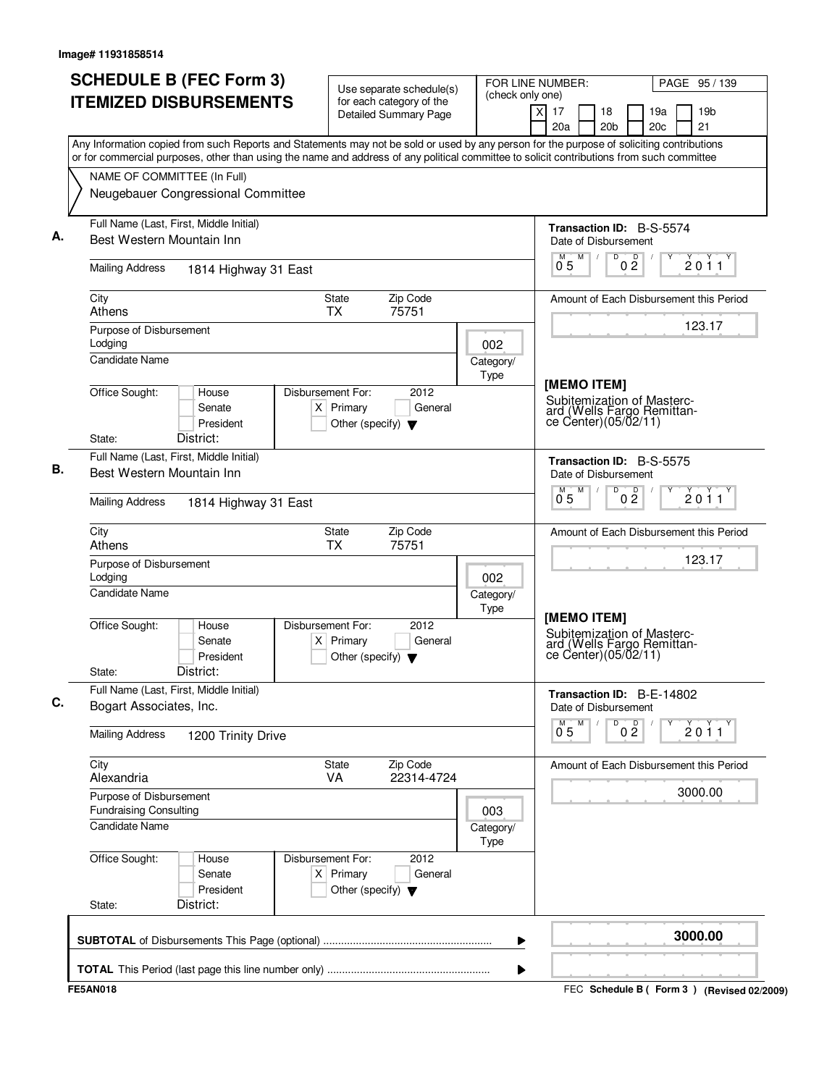| <b>SCHEDULE B (FEC Form 3)</b><br><b>ITEMIZED DISBURSEMENTS</b>                                                                                                                                                                                                                        | Use separate schedule(s)<br>for each category of the                                        | (check only one)  | FOR LINE NUMBER:<br>PAGE 95 / 139                                                                |
|----------------------------------------------------------------------------------------------------------------------------------------------------------------------------------------------------------------------------------------------------------------------------------------|---------------------------------------------------------------------------------------------|-------------------|--------------------------------------------------------------------------------------------------|
|                                                                                                                                                                                                                                                                                        | <b>Detailed Summary Page</b>                                                                |                   | X<br>17<br>19 <sub>b</sub><br>18<br>19a<br>21<br>20a<br>20 <sub>b</sub><br>20c                   |
| Any Information copied from such Reports and Statements may not be sold or used by any person for the purpose of soliciting contributions<br>or for commercial purposes, other than using the name and address of any political committee to solicit contributions from such committee |                                                                                             |                   |                                                                                                  |
| NAME OF COMMITTEE (In Full)<br>Neugebauer Congressional Committee                                                                                                                                                                                                                      |                                                                                             |                   |                                                                                                  |
|                                                                                                                                                                                                                                                                                        |                                                                                             |                   |                                                                                                  |
| Full Name (Last, First, Middle Initial)<br>Best Western Mountain Inn                                                                                                                                                                                                                   |                                                                                             |                   | Transaction ID: B-S-5574<br>Date of Disbursement                                                 |
| <b>Mailing Address</b><br>1814 Highway 31 East                                                                                                                                                                                                                                         |                                                                                             |                   | D<br>$0\frac{D}{2}$<br>M<br>2011<br>0 <sub>5</sub>                                               |
| City<br>Athens                                                                                                                                                                                                                                                                         | Zip Code<br>State<br><b>TX</b><br>75751                                                     |                   | Amount of Each Disbursement this Period                                                          |
| Purpose of Disbursement<br>Lodging                                                                                                                                                                                                                                                     |                                                                                             | 002               | 123.17                                                                                           |
| Candidate Name                                                                                                                                                                                                                                                                         |                                                                                             | Category/<br>Type |                                                                                                  |
| Office Sought:<br>House<br>Senate<br>President<br>District:<br>State:                                                                                                                                                                                                                  | Disbursement For:<br>2012<br>$X$ Primary<br>General<br>Other (specify) $\blacktriangledown$ |                   | [MEMO ITEM]<br>Subitemization of Masterc-<br>ard (Wells Fargo Remittan-<br>ce Center)(05/02/11)  |
| Full Name (Last, First, Middle Initial)                                                                                                                                                                                                                                                |                                                                                             |                   | Transaction ID: B-S-5575                                                                         |
| Best Western Mountain Inn                                                                                                                                                                                                                                                              |                                                                                             |                   | Date of Disbursement<br>M<br>D                                                                   |
| <b>Mailing Address</b><br>1814 Highway 31 East                                                                                                                                                                                                                                         |                                                                                             |                   | 0 <sup>D</sup><br>$\overline{0}^{\overline{M}}$<br>2011                                          |
| City<br>Athens                                                                                                                                                                                                                                                                         | Zip Code<br>State<br><b>TX</b><br>75751                                                     |                   | Amount of Each Disbursement this Period                                                          |
| Purpose of Disbursement<br>Lodging                                                                                                                                                                                                                                                     |                                                                                             | 002               | 123.17                                                                                           |
| <b>Candidate Name</b>                                                                                                                                                                                                                                                                  |                                                                                             | Category/<br>Type |                                                                                                  |
| Office Sought:<br>House<br>Senate<br>President<br>District:<br>State:                                                                                                                                                                                                                  | Disbursement For:<br>2012<br>$X$ Primary<br>General<br>Other (specify) $\blacktriangledown$ |                   | [MEMO ITEM]<br>Subitemization of Masterc-<br>ard (Wells Fargo Remittan-<br>ce Center) (05/02/11) |
| Full Name (Last, First, Middle Initial)                                                                                                                                                                                                                                                |                                                                                             |                   | Transaction ID: B-E-14802                                                                        |
| Bogart Associates, Inc.                                                                                                                                                                                                                                                                |                                                                                             |                   | Date of Disbursement<br>M<br>D                                                                   |
| <b>Mailing Address</b><br>1200 Trinity Drive                                                                                                                                                                                                                                           |                                                                                             |                   | 0 <sup>0</sup><br>2011<br>0.5                                                                    |
| City<br>Alexandria                                                                                                                                                                                                                                                                     | Zip Code<br>State<br>VA<br>22314-4724                                                       |                   | Amount of Each Disbursement this Period                                                          |
| Purpose of Disbursement<br><b>Fundraising Consulting</b>                                                                                                                                                                                                                               |                                                                                             | 003               | 3000.00                                                                                          |
| Candidate Name                                                                                                                                                                                                                                                                         |                                                                                             | Category/<br>Type |                                                                                                  |
| Office Sought:<br>House<br>Senate<br>President<br>District:<br>State:                                                                                                                                                                                                                  | Disbursement For:<br>2012<br>$X$ Primary<br>General<br>Other (specify) $\blacktriangledown$ |                   |                                                                                                  |
|                                                                                                                                                                                                                                                                                        |                                                                                             | ▶                 | 3000.00                                                                                          |
|                                                                                                                                                                                                                                                                                        |                                                                                             | ▶                 |                                                                                                  |
| <b>FE5AN018</b>                                                                                                                                                                                                                                                                        |                                                                                             |                   | FEC Schedule B (Form 3) (Revised 02/2009)                                                        |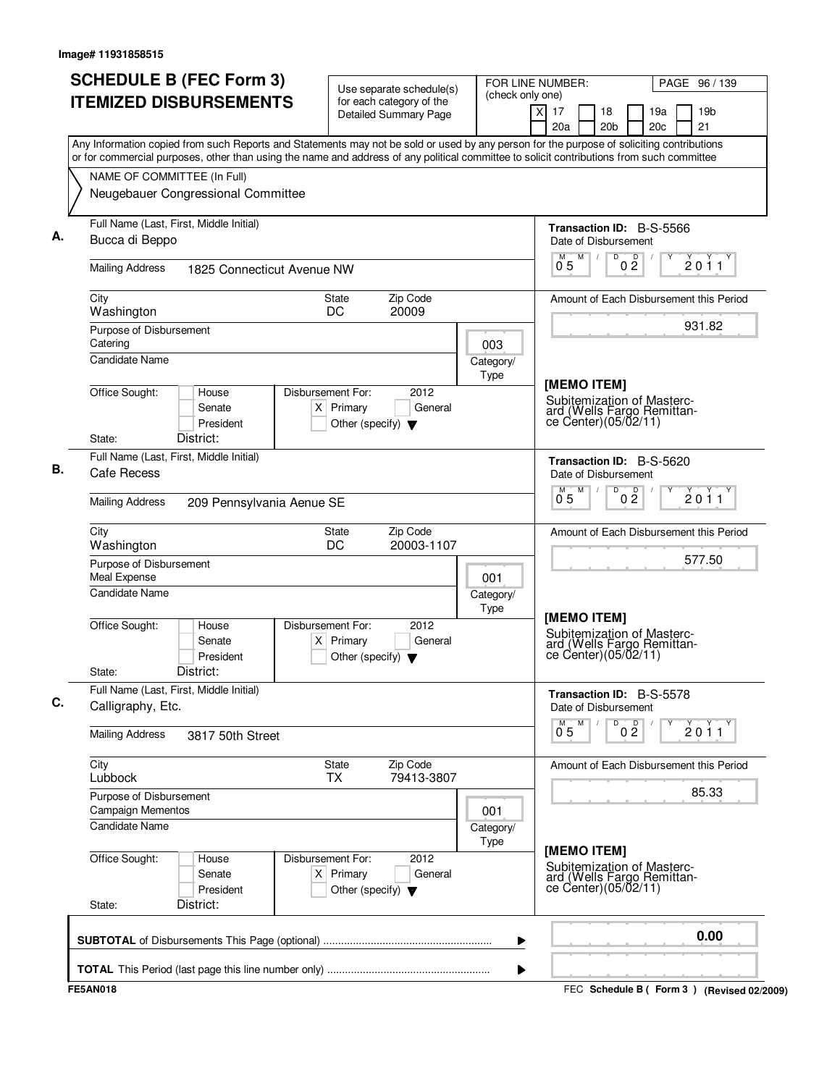| <b>SCHEDULE B (FEC Form 3)</b>                                                                                                                                                                                                                                                         | Use separate schedule(s)                                                                    | (check only one)         | FOR LINE NUMBER:<br>PAGE 96 / 139                                                               |                                         |
|----------------------------------------------------------------------------------------------------------------------------------------------------------------------------------------------------------------------------------------------------------------------------------------|---------------------------------------------------------------------------------------------|--------------------------|-------------------------------------------------------------------------------------------------|-----------------------------------------|
| <b>ITEMIZED DISBURSEMENTS</b>                                                                                                                                                                                                                                                          | for each category of the<br><b>Detailed Summary Page</b>                                    |                          | $\times$<br>17<br>18<br>20 <sub>b</sub><br>20a                                                  | 19 <sub>b</sub><br>19a<br>20c<br>21     |
| Any Information copied from such Reports and Statements may not be sold or used by any person for the purpose of soliciting contributions<br>or for commercial purposes, other than using the name and address of any political committee to solicit contributions from such committee |                                                                                             |                          |                                                                                                 |                                         |
| NAME OF COMMITTEE (In Full)<br>Neugebauer Congressional Committee                                                                                                                                                                                                                      |                                                                                             |                          |                                                                                                 |                                         |
|                                                                                                                                                                                                                                                                                        |                                                                                             |                          |                                                                                                 |                                         |
| Full Name (Last, First, Middle Initial)<br>Bucca di Beppo                                                                                                                                                                                                                              |                                                                                             |                          | <b>Transaction ID: B-S-5566</b><br>Date of Disbursement                                         |                                         |
| <b>Mailing Address</b><br>1825 Connecticut Avenue NW                                                                                                                                                                                                                                   |                                                                                             |                          | D<br>0 <sup>0</sup><br>M<br>0 <sub>5</sub>                                                      | 2011                                    |
| City<br>Washington                                                                                                                                                                                                                                                                     | Zip Code<br><b>State</b><br>20009<br>DC                                                     |                          |                                                                                                 | Amount of Each Disbursement this Period |
| Purpose of Disbursement<br>Catering                                                                                                                                                                                                                                                    |                                                                                             | 003                      |                                                                                                 | 931.82                                  |
| <b>Candidate Name</b>                                                                                                                                                                                                                                                                  |                                                                                             | Category/<br>Type        |                                                                                                 |                                         |
| Office Sought:<br>House<br>Senate<br>President                                                                                                                                                                                                                                         | Disbursement For:<br>2012<br>$X$ Primary<br>General<br>Other (specify) $\blacktriangledown$ |                          | [MEMO ITEM]<br>Subitemization of Masterc-<br>ard (Wells Fargo Remittan-<br>ce Center)(05/02/11) |                                         |
| District:<br>State:                                                                                                                                                                                                                                                                    |                                                                                             |                          |                                                                                                 |                                         |
| Full Name (Last, First, Middle Initial)<br>Cafe Recess                                                                                                                                                                                                                                 |                                                                                             |                          | Transaction ID: B-S-5620<br>Date of Disbursement                                                |                                         |
| <b>Mailing Address</b><br>209 Pennsylvania Aenue SE                                                                                                                                                                                                                                    |                                                                                             |                          | D<br>M<br>0 <sup>0</sup><br>0.5                                                                 | 2011                                    |
| City<br>Washington                                                                                                                                                                                                                                                                     | Zip Code<br>State<br>DC<br>20003-1107                                                       |                          | Amount of Each Disbursement this Period                                                         |                                         |
| Purpose of Disbursement<br>Meal Expense                                                                                                                                                                                                                                                |                                                                                             | 001                      |                                                                                                 | 577.50                                  |
| <b>Candidate Name</b>                                                                                                                                                                                                                                                                  |                                                                                             | Category/<br><b>Type</b> | [MEMO ITEM]                                                                                     |                                         |
| Office Sought:<br>House<br>Senate<br>President<br>District:<br>State:                                                                                                                                                                                                                  | Disbursement For:<br>2012<br>$X$ Primary<br>General<br>Other (specify) $\blacktriangledown$ |                          | Subitemization of Masterc-<br>ard (Wells Fargo Remittan-<br>ce Center) (05/02/11)               |                                         |
| Full Name (Last, First, Middle Initial)<br>Calligraphy, Etc.                                                                                                                                                                                                                           |                                                                                             |                          | Transaction ID: B-S-5578<br>Date of Disbursement                                                |                                         |
| <b>Mailing Address</b><br>3817 50th Street                                                                                                                                                                                                                                             |                                                                                             |                          | D<br>$0\frac{D}{2}$<br>$0^M$ 5 $M$                                                              | 2011                                    |
| City<br>Lubbock                                                                                                                                                                                                                                                                        | Zip Code<br>State<br><b>TX</b><br>79413-3807                                                |                          |                                                                                                 | Amount of Each Disbursement this Period |
| Purpose of Disbursement<br>Campaign Mementos                                                                                                                                                                                                                                           |                                                                                             | 001                      |                                                                                                 | 85.33                                   |
| Candidate Name                                                                                                                                                                                                                                                                         |                                                                                             | Category/<br>Type        | [MEMO ITEM]                                                                                     |                                         |
| Office Sought:<br>House<br>Senate<br>President                                                                                                                                                                                                                                         | Disbursement For:<br>2012<br>$X$ Primary<br>General<br>Other (specify) $\blacktriangledown$ |                          | Subitemization of Masterc-<br>ard (Wells Fargo Remittance Center)(05/02/11)                     |                                         |
| District:<br>State:                                                                                                                                                                                                                                                                    |                                                                                             |                          |                                                                                                 |                                         |
|                                                                                                                                                                                                                                                                                        |                                                                                             | ▶                        |                                                                                                 | 0.00                                    |
|                                                                                                                                                                                                                                                                                        |                                                                                             | ▶                        |                                                                                                 |                                         |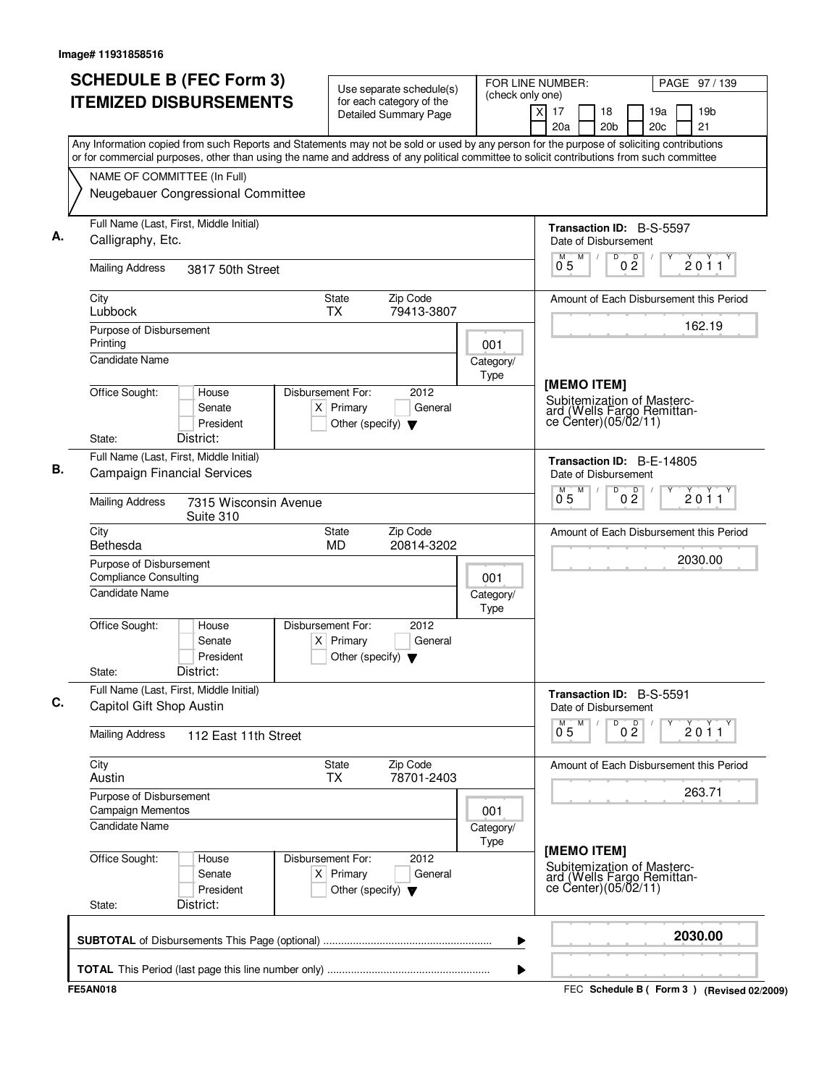| <b>SCHEDULE B (FEC Form 3)</b><br><b>ITEMIZED DISBURSEMENTS</b>                                                                                                                                                                                                                        | Use separate schedule(s)<br>for each category of the                                        | FOR LINE NUMBER:<br>(check only one) |                                                                                                 | PAGE 97/139                                 |
|----------------------------------------------------------------------------------------------------------------------------------------------------------------------------------------------------------------------------------------------------------------------------------------|---------------------------------------------------------------------------------------------|--------------------------------------|-------------------------------------------------------------------------------------------------|---------------------------------------------|
|                                                                                                                                                                                                                                                                                        | <b>Detailed Summary Page</b>                                                                |                                      | $\times$<br>17<br>18<br>20a<br>20 <sub>b</sub>                                                  | 19a<br>19 <sub>b</sub><br>21<br>20c         |
| Any Information copied from such Reports and Statements may not be sold or used by any person for the purpose of soliciting contributions<br>or for commercial purposes, other than using the name and address of any political committee to solicit contributions from such committee |                                                                                             |                                      |                                                                                                 |                                             |
| NAME OF COMMITTEE (In Full)                                                                                                                                                                                                                                                            |                                                                                             |                                      |                                                                                                 |                                             |
| Neugebauer Congressional Committee                                                                                                                                                                                                                                                     |                                                                                             |                                      |                                                                                                 |                                             |
| Full Name (Last, First, Middle Initial)<br>Calligraphy, Etc.                                                                                                                                                                                                                           |                                                                                             |                                      | <b>Transaction ID: B-S-5597</b><br>Date of Disbursement                                         |                                             |
| <b>Mailing Address</b><br>3817 50th Street                                                                                                                                                                                                                                             |                                                                                             |                                      | M<br>D<br>0 <sup>0</sup><br>M<br>05                                                             | 2011                                        |
| City<br>Lubbock                                                                                                                                                                                                                                                                        | Zip Code<br><b>State</b><br>79413-3807<br><b>TX</b>                                         |                                      |                                                                                                 | Amount of Each Disbursement this Period     |
| Purpose of Disbursement<br>Printing                                                                                                                                                                                                                                                    |                                                                                             | 001                                  |                                                                                                 | 162.19                                      |
| <b>Candidate Name</b>                                                                                                                                                                                                                                                                  |                                                                                             | Category/<br>Type                    |                                                                                                 |                                             |
| Office Sought:<br>House<br>Senate<br>President<br>District:<br>State:                                                                                                                                                                                                                  | Disbursement For:<br>2012<br>$X$ Primary<br>General<br>Other (specify) $\blacktriangledown$ |                                      | [MEMO ITEM]<br>Subitemization of Masterc-<br>ard (Wells Fargo Remittan-<br>ce Center)(05/02/11) |                                             |
| Full Name (Last, First, Middle Initial)                                                                                                                                                                                                                                                |                                                                                             |                                      | Transaction ID: B-E-14805                                                                       |                                             |
| <b>Campaign Financial Services</b>                                                                                                                                                                                                                                                     |                                                                                             |                                      | Date of Disbursement                                                                            |                                             |
| <b>Mailing Address</b><br>7315 Wisconsin Avenue<br>Suite 310                                                                                                                                                                                                                           |                                                                                             |                                      | M<br>D<br>м<br>0 <sup>0</sup><br>0 <sub>5</sub>                                                 | 2011                                        |
| City<br>Bethesda                                                                                                                                                                                                                                                                       | Zip Code<br>State<br><b>MD</b><br>20814-3202                                                |                                      |                                                                                                 | Amount of Each Disbursement this Period     |
| Purpose of Disbursement<br><b>Compliance Consulting</b>                                                                                                                                                                                                                                |                                                                                             | 001                                  |                                                                                                 | 2030.00                                     |
| <b>Candidate Name</b>                                                                                                                                                                                                                                                                  |                                                                                             | Category/<br><b>Type</b>             |                                                                                                 |                                             |
| Office Sought:<br>House<br>Senate<br>President<br>District:<br>State:                                                                                                                                                                                                                  | Disbursement For:<br>2012<br>$X$ Primary<br>General<br>Other (specify) $\blacktriangledown$ |                                      |                                                                                                 |                                             |
| Full Name (Last, First, Middle Initial)<br>Capitol Gift Shop Austin                                                                                                                                                                                                                    |                                                                                             |                                      | Transaction ID: B-S-5591<br>Date of Disbursement                                                |                                             |
| <b>Mailing Address</b><br>112 East 11th Street                                                                                                                                                                                                                                         |                                                                                             |                                      | D<br>0 <sup>0</sup><br>$\overline{0}^M$ 5<br>M                                                  | 2011                                        |
| City<br>Austin                                                                                                                                                                                                                                                                         | Zip Code<br><b>State</b><br>78701-2403<br><b>TX</b>                                         |                                      |                                                                                                 | Amount of Each Disbursement this Period     |
| Purpose of Disbursement<br>Campaign Mementos                                                                                                                                                                                                                                           |                                                                                             | 001                                  |                                                                                                 | 263.71                                      |
| <b>Candidate Name</b>                                                                                                                                                                                                                                                                  |                                                                                             | Category/<br>Type                    |                                                                                                 |                                             |
| Office Sought:<br>House<br>Senate<br>President<br>District:<br>State:                                                                                                                                                                                                                  | Disbursement For:<br>2012<br>$X$ Primary<br>General<br>Other (specify) $\blacktriangledown$ |                                      | [MEMO ITEM]<br>Subitemization of Masterc-<br>ard (Wells Fargo Remittance Center)(05/02/11)      |                                             |
|                                                                                                                                                                                                                                                                                        |                                                                                             | ▶                                    |                                                                                                 | 2030.00                                     |
|                                                                                                                                                                                                                                                                                        |                                                                                             | ▶                                    |                                                                                                 |                                             |
| <b>FE5AN018</b>                                                                                                                                                                                                                                                                        |                                                                                             |                                      |                                                                                                 | FEC Schedule B ( Form 3 ) (Revised 02/2009) |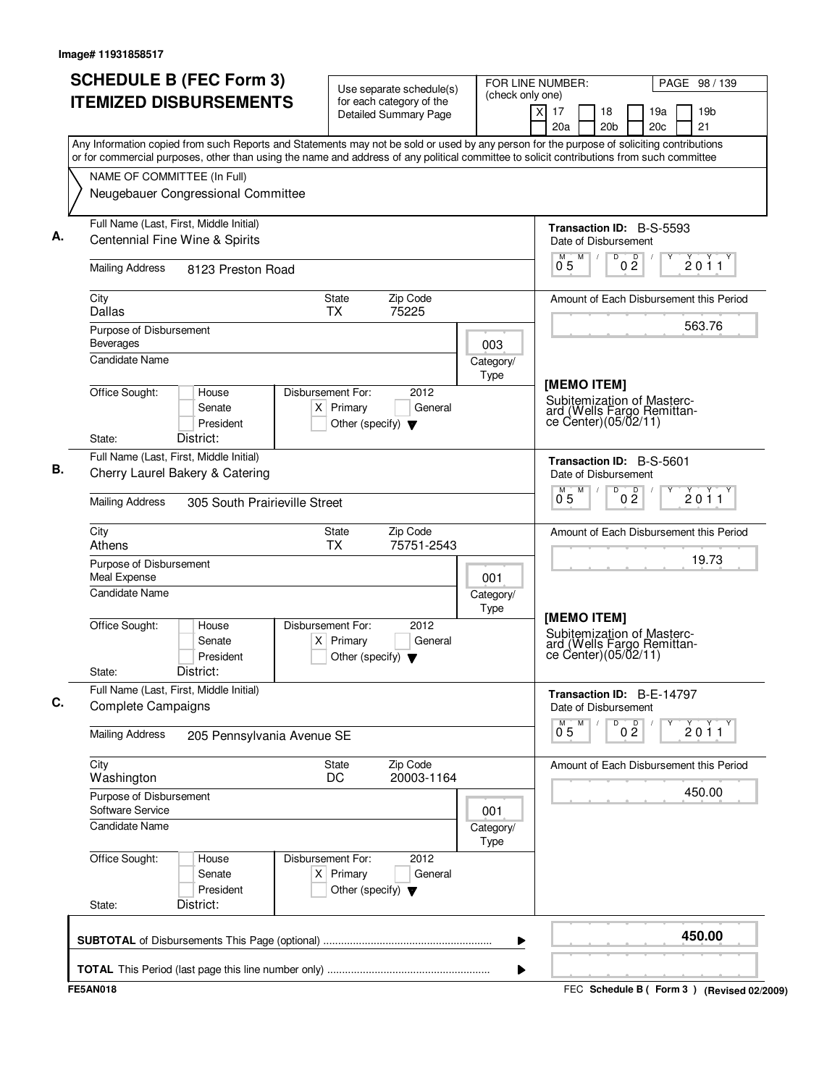| <b>SCHEDULE B (FEC Form 3)</b>                                                                                                                                                                                                                                                         | Use separate schedule(s)                                                                    | (check only one)  | FOR LINE NUMBER:<br>PAGE 98 / 139                                                          |
|----------------------------------------------------------------------------------------------------------------------------------------------------------------------------------------------------------------------------------------------------------------------------------------|---------------------------------------------------------------------------------------------|-------------------|--------------------------------------------------------------------------------------------|
| <b>ITEMIZED DISBURSEMENTS</b>                                                                                                                                                                                                                                                          | for each category of the<br><b>Detailed Summary Page</b>                                    |                   | X<br>17<br>19 <sub>b</sub><br>18<br>19a<br>20a<br>20 <sub>c</sub><br>21<br>20 <sub>b</sub> |
| Any Information copied from such Reports and Statements may not be sold or used by any person for the purpose of soliciting contributions<br>or for commercial purposes, other than using the name and address of any political committee to solicit contributions from such committee |                                                                                             |                   |                                                                                            |
| NAME OF COMMITTEE (In Full)                                                                                                                                                                                                                                                            |                                                                                             |                   |                                                                                            |
| Neugebauer Congressional Committee                                                                                                                                                                                                                                                     |                                                                                             |                   |                                                                                            |
| Full Name (Last, First, Middle Initial)                                                                                                                                                                                                                                                |                                                                                             |                   | <b>Transaction ID: B-S-5593</b>                                                            |
| Centennial Fine Wine & Spirits                                                                                                                                                                                                                                                         |                                                                                             |                   | Date of Disbursement<br>$\overline{D}$<br>M                                                |
| <b>Mailing Address</b><br>8123 Preston Road                                                                                                                                                                                                                                            |                                                                                             |                   | 0 <sup>D</sup><br>2011<br>0 <sub>5</sub>                                                   |
| City<br>Dallas                                                                                                                                                                                                                                                                         | Zip Code<br><b>State</b><br>75225<br><b>TX</b>                                              |                   | Amount of Each Disbursement this Period                                                    |
| Purpose of Disbursement<br><b>Beverages</b>                                                                                                                                                                                                                                            |                                                                                             |                   | 563.76                                                                                     |
| Candidate Name                                                                                                                                                                                                                                                                         |                                                                                             | 003<br>Category/  |                                                                                            |
|                                                                                                                                                                                                                                                                                        |                                                                                             | Type              | [MEMO ITEM]                                                                                |
| Office Sought:<br>House<br>Senate<br>President                                                                                                                                                                                                                                         | Disbursement For:<br>2012<br>$X$ Primary<br>General<br>Other (specify) $\blacktriangledown$ |                   | Subitemization of Masterc-<br>ard (Wells Fargo Remittance Center)(05/02/11)                |
| District:<br>State:<br>Full Name (Last, First, Middle Initial)                                                                                                                                                                                                                         |                                                                                             |                   |                                                                                            |
| Cherry Laurel Bakery & Catering                                                                                                                                                                                                                                                        |                                                                                             |                   | Transaction ID: B-S-5601<br>Date of Disbursement<br>M<br>D                                 |
| <b>Mailing Address</b><br>305 South Prairieville Street                                                                                                                                                                                                                                |                                                                                             |                   | 0 <sup>D</sup><br>$\overline{0}^M$ 5<br>2011                                               |
| City<br>Athens                                                                                                                                                                                                                                                                         | State<br>Zip Code<br><b>TX</b><br>75751-2543                                                |                   | Amount of Each Disbursement this Period                                                    |
| Purpose of Disbursement<br>Meal Expense                                                                                                                                                                                                                                                |                                                                                             | 001               | 19.73                                                                                      |
| <b>Candidate Name</b>                                                                                                                                                                                                                                                                  |                                                                                             | Category/<br>Type |                                                                                            |
| Office Sought:<br>House<br>Senate<br>President<br>District:<br>State:                                                                                                                                                                                                                  | Disbursement For:<br>2012<br>$X$ Primary<br>General<br>Other (specify) $\blacktriangledown$ |                   | [MEMO ITEM]<br>Subitemization of Masterc-<br>ard (Wells Fargo Remittance Center)(05/02/11) |
| Full Name (Last, First, Middle Initial)                                                                                                                                                                                                                                                |                                                                                             |                   | Transaction ID: B-E-14797                                                                  |
| <b>Complete Campaigns</b>                                                                                                                                                                                                                                                              |                                                                                             |                   | Date of Disbursement                                                                       |
| <b>Mailing Address</b><br>205 Pennsylvania Avenue SE                                                                                                                                                                                                                                   |                                                                                             |                   | M<br>M<br>D<br>0 <sup>0</sup><br>2011<br>0.5                                               |
| City<br>Washington                                                                                                                                                                                                                                                                     | Zip Code<br><b>State</b><br>20003-1164<br>DC                                                |                   | Amount of Each Disbursement this Period                                                    |
| Purpose of Disbursement<br>Software Service                                                                                                                                                                                                                                            |                                                                                             | 001               | 450.00                                                                                     |
| <b>Candidate Name</b>                                                                                                                                                                                                                                                                  |                                                                                             | Category/<br>Type |                                                                                            |
| Office Sought:<br>House<br>Senate<br>President                                                                                                                                                                                                                                         | Disbursement For:<br>2012<br>$X$ Primary<br>General<br>Other (specify) $\blacktriangledown$ |                   |                                                                                            |
| District:<br>State:                                                                                                                                                                                                                                                                    |                                                                                             |                   |                                                                                            |
|                                                                                                                                                                                                                                                                                        |                                                                                             | ▶                 | 450.00                                                                                     |
|                                                                                                                                                                                                                                                                                        |                                                                                             | ▶                 |                                                                                            |
| <b>FE5AN018</b>                                                                                                                                                                                                                                                                        |                                                                                             |                   | FEC Schedule B ( Form 3 ) (Revised 02/2009)                                                |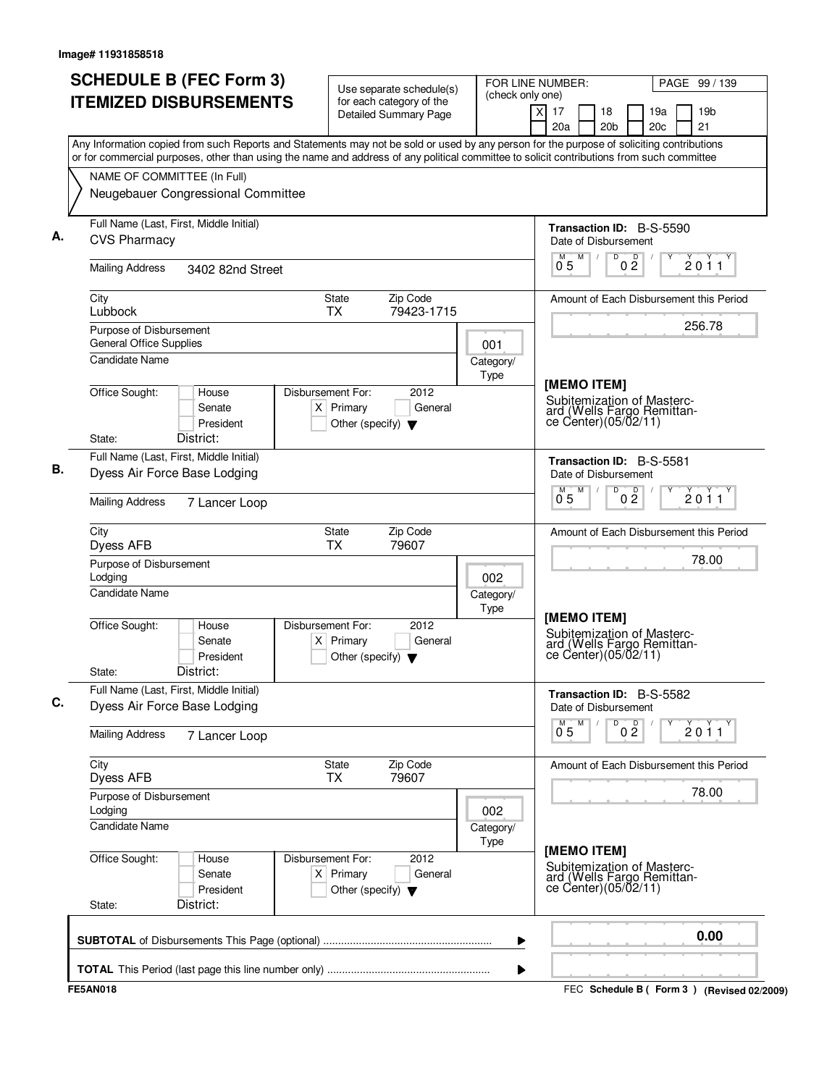| <b>SCHEDULE B (FEC Form 3)</b><br>Use separate schedule(s)                                                                                                                                                                                                                             |                                                                                               | FOR LINE NUMBER:<br>(check only one) |                                                                                                   | PAGE 99 / 139                             |
|----------------------------------------------------------------------------------------------------------------------------------------------------------------------------------------------------------------------------------------------------------------------------------------|-----------------------------------------------------------------------------------------------|--------------------------------------|---------------------------------------------------------------------------------------------------|-------------------------------------------|
| <b>ITEMIZED DISBURSEMENTS</b>                                                                                                                                                                                                                                                          | for each category of the<br><b>Detailed Summary Page</b>                                      |                                      | $\times$<br>17<br>18<br>20a<br>20 <sub>b</sub>                                                    | 19 <sub>b</sub><br>19a<br>21<br>20c       |
| Any Information copied from such Reports and Statements may not be sold or used by any person for the purpose of soliciting contributions<br>or for commercial purposes, other than using the name and address of any political committee to solicit contributions from such committee |                                                                                               |                                      |                                                                                                   |                                           |
| NAME OF COMMITTEE (In Full)                                                                                                                                                                                                                                                            |                                                                                               |                                      |                                                                                                   |                                           |
| Neugebauer Congressional Committee                                                                                                                                                                                                                                                     |                                                                                               |                                      |                                                                                                   |                                           |
| Full Name (Last, First, Middle Initial)<br><b>CVS Pharmacy</b>                                                                                                                                                                                                                         |                                                                                               |                                      | <b>Transaction ID: B-S-5590</b><br>Date of Disbursement                                           |                                           |
| <b>Mailing Address</b><br>3402 82nd Street                                                                                                                                                                                                                                             |                                                                                               |                                      | M<br>D<br>M<br>$0\bar{2}$<br>0 <sub>5</sub>                                                       | D<br>2011                                 |
| City<br>Lubbock                                                                                                                                                                                                                                                                        | Zip Code<br>State<br><b>TX</b><br>79423-1715                                                  |                                      |                                                                                                   | Amount of Each Disbursement this Period   |
| Purpose of Disbursement<br><b>General Office Supplies</b>                                                                                                                                                                                                                              |                                                                                               | 001                                  |                                                                                                   | 256.78                                    |
| Candidate Name                                                                                                                                                                                                                                                                         |                                                                                               | Category/<br>Type                    |                                                                                                   |                                           |
| Office Sought:<br>House<br>Senate<br>President<br>District:<br>State:                                                                                                                                                                                                                  | Disbursement For:<br>2012<br>$X$ Primary<br>General<br>Other (specify) $\blacktriangledown$   |                                      | [MEMO ITEM]<br>Subitemization of Masterc-<br>ard (Wells Fargo Remittan-<br>ce Center)(05/02/11)   |                                           |
| Full Name (Last, First, Middle Initial)                                                                                                                                                                                                                                                |                                                                                               |                                      | Transaction ID: B-S-5581                                                                          |                                           |
| Dyess Air Force Base Lodging                                                                                                                                                                                                                                                           |                                                                                               |                                      | Date of Disbursement                                                                              |                                           |
| <b>Mailing Address</b><br>7 Lancer Loop                                                                                                                                                                                                                                                |                                                                                               |                                      | M<br>D<br>M<br>0 <sup>0</sup><br>05                                                               | 2011                                      |
| City<br>Dyess AFB                                                                                                                                                                                                                                                                      | Zip Code<br>State<br>TX<br>79607                                                              |                                      |                                                                                                   | Amount of Each Disbursement this Period   |
| Purpose of Disbursement<br>Lodging                                                                                                                                                                                                                                                     |                                                                                               | 002                                  |                                                                                                   | 78.00                                     |
| <b>Candidate Name</b>                                                                                                                                                                                                                                                                  |                                                                                               | Category/<br>Type                    |                                                                                                   |                                           |
| Office Sought:<br>House<br>Senate<br>President<br>District:<br>State:                                                                                                                                                                                                                  | Disbursement For:<br>2012<br>Primary<br>General<br>ΧI<br>Other (specify) $\blacktriangledown$ |                                      | [MEMO ITEM]<br>Subitemization of Masterc-<br>ard (Wells Fargo Remittan-<br>ce Center $(05/02/11)$ |                                           |
| Full Name (Last, First, Middle Initial)<br>Dyess Air Force Base Lodging                                                                                                                                                                                                                |                                                                                               |                                      | <b>Transaction ID: B-S-5582</b><br>Date of Disbursement                                           |                                           |
| <b>Mailing Address</b><br>7 Lancer Loop                                                                                                                                                                                                                                                |                                                                                               |                                      | 0 <sup>0</sup><br>M<br>D<br>$0^{M}$ 5                                                             | 2011                                      |
| City<br>Dyess AFB                                                                                                                                                                                                                                                                      | <b>State</b><br>Zip Code<br>79607<br><b>TX</b>                                                |                                      |                                                                                                   | Amount of Each Disbursement this Period   |
| Purpose of Disbursement<br>Lodging                                                                                                                                                                                                                                                     |                                                                                               | 002                                  |                                                                                                   | 78.00                                     |
| Candidate Name                                                                                                                                                                                                                                                                         |                                                                                               | Category/<br>Type                    |                                                                                                   |                                           |
| Office Sought:<br>House<br>Senate<br>President<br>District:<br>State:                                                                                                                                                                                                                  | Disbursement For:<br>2012<br>$X$ Primary<br>General<br>Other (specify) $\blacktriangledown$   |                                      | [MEMO ITEM]<br>Subitemization of Masterc-<br>ard (Wells Fargo Remittance Center)(05/02/11)        |                                           |
|                                                                                                                                                                                                                                                                                        |                                                                                               | ▶                                    |                                                                                                   | 0.00                                      |
|                                                                                                                                                                                                                                                                                        |                                                                                               |                                      |                                                                                                   |                                           |
| <b>FE5AN018</b>                                                                                                                                                                                                                                                                        |                                                                                               | ▶                                    |                                                                                                   | FEC Schedule B (Form 3) (Revised 02/2009) |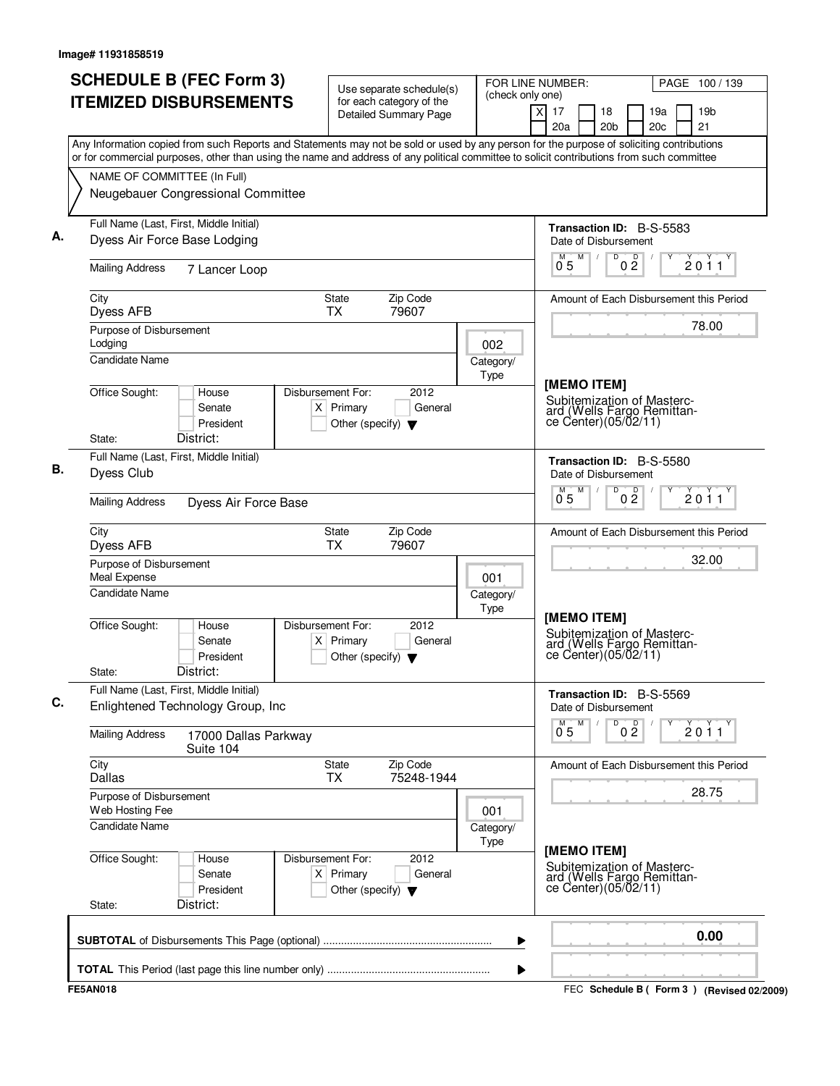| <b>SCHEDULE B (FEC Form 3)</b>                                                                                                                                                                                                                                                         | Use separate schedule(s)                                                                    | FOR LINE NUMBER:  |                                                                                            | PAGE 100 / 139      |                        |                                           |
|----------------------------------------------------------------------------------------------------------------------------------------------------------------------------------------------------------------------------------------------------------------------------------------|---------------------------------------------------------------------------------------------|-------------------|--------------------------------------------------------------------------------------------|---------------------|------------------------|-------------------------------------------|
| <b>ITEMIZED DISBURSEMENTS</b>                                                                                                                                                                                                                                                          | for each category of the<br><b>Detailed Summary Page</b>                                    | (check only one)  | x<br>17<br>18<br>20a                                                                       | 20 <sub>b</sub>     | 19a<br>20 <sub>c</sub> | 19 <sub>b</sub><br>21                     |
| Any Information copied from such Reports and Statements may not be sold or used by any person for the purpose of soliciting contributions<br>or for commercial purposes, other than using the name and address of any political committee to solicit contributions from such committee |                                                                                             |                   |                                                                                            |                     |                        |                                           |
| NAME OF COMMITTEE (In Full)                                                                                                                                                                                                                                                            |                                                                                             |                   |                                                                                            |                     |                        |                                           |
| Neugebauer Congressional Committee                                                                                                                                                                                                                                                     |                                                                                             |                   |                                                                                            |                     |                        |                                           |
| Full Name (Last, First, Middle Initial)<br>Dyess Air Force Base Lodging                                                                                                                                                                                                                |                                                                                             |                   | <b>Transaction ID: B-S-5583</b><br>Date of Disbursement                                    |                     |                        |                                           |
| <b>Mailing Address</b><br>7 Lancer Loop                                                                                                                                                                                                                                                |                                                                                             |                   | M<br>$0^{\degree}5$                                                                        | $0\frac{D}{2}$<br>D |                        | 2011                                      |
| City<br>Dyess AFB                                                                                                                                                                                                                                                                      | Zip Code<br>State<br>79607<br><b>TX</b>                                                     |                   |                                                                                            |                     |                        | Amount of Each Disbursement this Period   |
| Purpose of Disbursement<br>Lodging                                                                                                                                                                                                                                                     |                                                                                             | 002               |                                                                                            |                     |                        | 78.00                                     |
| <b>Candidate Name</b>                                                                                                                                                                                                                                                                  |                                                                                             | Category/<br>Type | [MEMO ITEM]                                                                                |                     |                        |                                           |
| Office Sought:<br>House<br>Senate<br>President<br>District:<br>State:                                                                                                                                                                                                                  | Disbursement For:<br>2012<br>$X$ Primary<br>General<br>Other (specify) $\blacktriangledown$ |                   | Subitemization of Masterc-<br>ard (Wells Fargo Remittan-<br>ce Center) (05/02/11)          |                     |                        |                                           |
| Full Name (Last, First, Middle Initial)<br>Dyess Club                                                                                                                                                                                                                                  |                                                                                             |                   | Transaction ID: B-S-5580<br>Date of Disbursement                                           |                     |                        |                                           |
| <b>Mailing Address</b><br>Dyess Air Force Base                                                                                                                                                                                                                                         |                                                                                             |                   | M<br>$0^{\degree}5$                                                                        | D<br>0 <sup>0</sup> |                        | 2011                                      |
| City<br>Dyess AFB                                                                                                                                                                                                                                                                      | Zip Code<br>State<br><b>TX</b><br>79607                                                     |                   |                                                                                            |                     |                        | Amount of Each Disbursement this Period   |
| Purpose of Disbursement<br>Meal Expense                                                                                                                                                                                                                                                |                                                                                             | 001               |                                                                                            |                     |                        | 32.00                                     |
| <b>Candidate Name</b>                                                                                                                                                                                                                                                                  |                                                                                             | Category/<br>Type |                                                                                            |                     |                        |                                           |
| Office Sought:<br>House<br>Senate<br>President<br>District:<br>State:                                                                                                                                                                                                                  | Disbursement For:<br>2012<br>$X$ Primary<br>General<br>Other (specify) $\blacktriangledown$ |                   | [MEMO ITEM]<br>Subitemization of Masterc-<br>ard (Wells Fargo Remittance Center)(05/02/11) |                     |                        |                                           |
| Full Name (Last, First, Middle Initial)<br>Enlightened Technology Group, Inc                                                                                                                                                                                                           |                                                                                             |                   | Transaction ID: B-S-5569<br>Date of Disbursement                                           |                     |                        |                                           |
| <b>Mailing Address</b><br>17000 Dallas Parkway<br>Suite 104                                                                                                                                                                                                                            |                                                                                             |                   | M<br>0.5                                                                                   | 0 <sup>0</sup><br>D |                        | 2011                                      |
| City<br><b>Dallas</b>                                                                                                                                                                                                                                                                  | Zip Code<br>State<br><b>TX</b><br>75248-1944                                                |                   |                                                                                            |                     |                        | Amount of Each Disbursement this Period   |
| Purpose of Disbursement<br>Web Hosting Fee                                                                                                                                                                                                                                             |                                                                                             | 001               |                                                                                            |                     |                        | 28.75                                     |
| <b>Candidate Name</b>                                                                                                                                                                                                                                                                  |                                                                                             | Category/<br>Type | [MEMO ITEM]                                                                                |                     |                        |                                           |
| Office Sought:<br>House<br>Senate<br>President<br>District:<br>State:                                                                                                                                                                                                                  | Disbursement For:<br>2012<br>$X$ Primary<br>General<br>Other (specify) $\blacktriangledown$ |                   | Subitemization of Masterc-<br>ard (Wells Fargo Remittance Center)(05/02/11)                |                     |                        |                                           |
|                                                                                                                                                                                                                                                                                        |                                                                                             | ▶                 |                                                                                            |                     |                        | 0.00                                      |
|                                                                                                                                                                                                                                                                                        |                                                                                             | ▶                 |                                                                                            |                     |                        |                                           |
| <b>FE5AN018</b>                                                                                                                                                                                                                                                                        |                                                                                             |                   |                                                                                            |                     |                        | FEC Schedule B (Form 3) (Revised 02/2009) |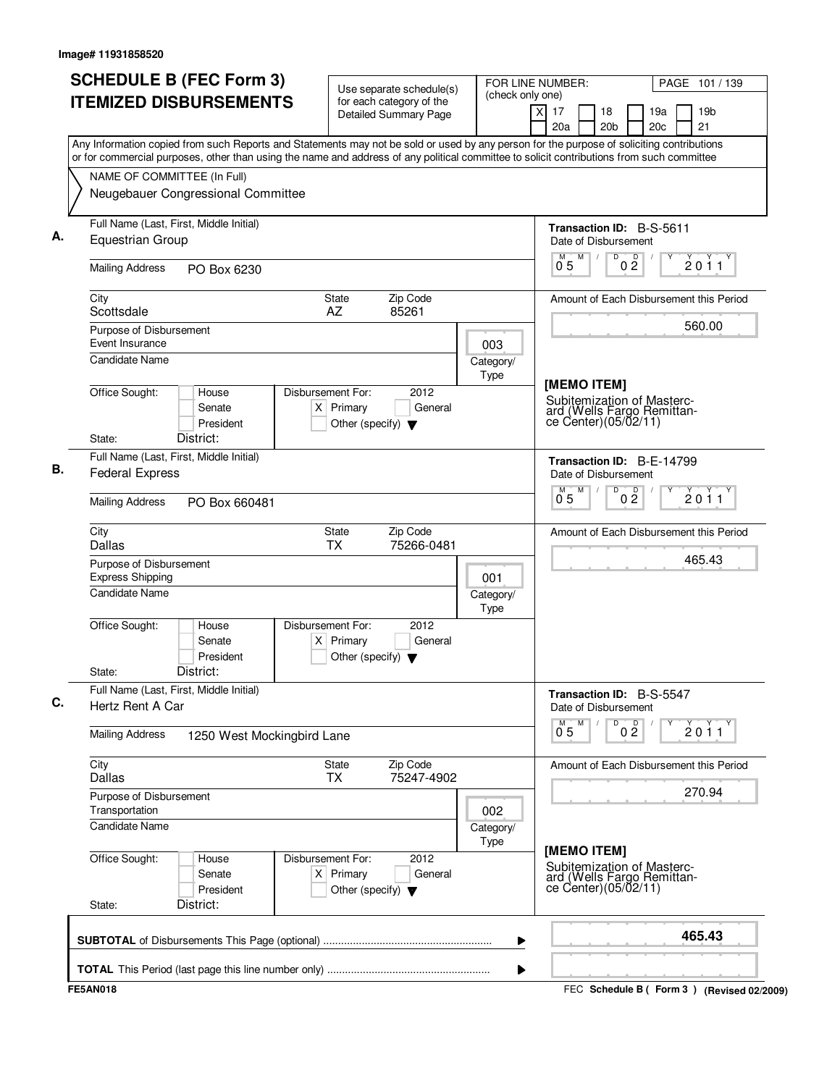| <b>ITEMIZED DISBURSEMENTS</b><br>for each category of the<br>$\overline{X}$<br>19 <sub>b</sub><br>17<br>18<br>19a<br>Detailed Summary Page<br>21<br>20a<br>20 <sub>b</sub><br>20c<br>Any Information copied from such Reports and Statements may not be sold or used by any person for the purpose of soliciting contributions<br>or for commercial purposes, other than using the name and address of any political committee to solicit contributions from such committee<br>NAME OF COMMITTEE (In Full)<br>Neugebauer Congressional Committee<br>Full Name (Last, First, Middle Initial)<br><b>Transaction ID: B-S-5611</b><br><b>Equestrian Group</b><br>Date of Disbursement<br>M<br>D<br>D<br>2011<br>$0^{\degree}5$<br>$0\bar{2}$<br><b>Mailing Address</b><br>PO Box 6230<br>Zip Code<br>City<br>State<br>Amount of Each Disbursement this Period<br>AZ<br>85261<br>Scottsdale<br>560.00<br>Purpose of Disbursement<br>Event Insurance<br>003<br>Candidate Name<br>Category/<br>Type<br>[MEMO ITEM]<br>Office Sought:<br>House<br>Disbursement For:<br>2012<br>Subitemization of Masterc-<br>$X$ Primary<br>General<br>Senate<br>ard (Wells Fargo Remittan-<br>ce Center)(05/02/11)<br>President<br>Other (specify) $\blacktriangledown$<br>District:<br>State:<br>Full Name (Last, First, Middle Initial)<br>Transaction ID: B-E-14799<br><b>Federal Express</b><br>Date of Disbursement<br>M<br>D<br>0 <sup>0</sup><br>2011<br>0.5<br><b>Mailing Address</b><br>PO Box 660481<br>Zip Code<br>City<br>State<br>Amount of Each Disbursement this Period<br><b>Dallas</b><br><b>TX</b><br>75266-0481<br>465.43<br>Purpose of Disbursement<br><b>Express Shipping</b><br>001<br><b>Candidate Name</b><br>Category/<br>Type<br>2012<br>Office Sought:<br>Disbursement For:<br>House<br>Senate<br>$X$ Primary<br>General<br>President<br>Other (specify) $\blacktriangledown$<br>District:<br>State:<br>Full Name (Last, First, Middle Initial)<br>Transaction ID: B-S-5547<br>Hertz Rent A Car<br>Date of Disbursement<br>D<br>0 <sup>D</sup><br>M<br>$0^{M}$ 5<br>2011<br><b>Mailing Address</b><br>1250 West Mockingbird Lane<br>City<br>Zip Code<br>State<br>Amount of Each Disbursement this Period<br>Dallas<br>75247-4902<br><b>TX</b><br>270.94<br>Purpose of Disbursement<br>Transportation<br>002<br><b>Candidate Name</b><br>Category/<br>Type<br>[MEMO ITEM]<br>Office Sought:<br>Disbursement For:<br>2012<br>House<br>Subitemization of Masterc-<br>$X$ Primary<br>Senate<br>General<br>ard (Wells Fargo Remittan-<br>ce Center)(05/02/11)<br>President<br>Other (specify) $\blacktriangledown$<br>District:<br>State:<br>465.43<br>▶ | <b>SCHEDULE B (FEC Form 3)</b> | Use separate schedule(s) | FOR LINE NUMBER:<br>(check only one) | PAGE 101 / 139                              |
|---------------------------------------------------------------------------------------------------------------------------------------------------------------------------------------------------------------------------------------------------------------------------------------------------------------------------------------------------------------------------------------------------------------------------------------------------------------------------------------------------------------------------------------------------------------------------------------------------------------------------------------------------------------------------------------------------------------------------------------------------------------------------------------------------------------------------------------------------------------------------------------------------------------------------------------------------------------------------------------------------------------------------------------------------------------------------------------------------------------------------------------------------------------------------------------------------------------------------------------------------------------------------------------------------------------------------------------------------------------------------------------------------------------------------------------------------------------------------------------------------------------------------------------------------------------------------------------------------------------------------------------------------------------------------------------------------------------------------------------------------------------------------------------------------------------------------------------------------------------------------------------------------------------------------------------------------------------------------------------------------------------------------------------------------------------------------------------------------------------------------------------------------------------------------------------------------------------------------------------------------------------------------------------------------------------------------------------------------------------------------------------------------------------------------------------------------------------------------------------------------------------------------------------------------------------------------------------------------------------------------------------------------------|--------------------------------|--------------------------|--------------------------------------|---------------------------------------------|
|                                                                                                                                                                                                                                                                                                                                                                                                                                                                                                                                                                                                                                                                                                                                                                                                                                                                                                                                                                                                                                                                                                                                                                                                                                                                                                                                                                                                                                                                                                                                                                                                                                                                                                                                                                                                                                                                                                                                                                                                                                                                                                                                                                                                                                                                                                                                                                                                                                                                                                                                                                                                                                                         |                                |                          |                                      |                                             |
|                                                                                                                                                                                                                                                                                                                                                                                                                                                                                                                                                                                                                                                                                                                                                                                                                                                                                                                                                                                                                                                                                                                                                                                                                                                                                                                                                                                                                                                                                                                                                                                                                                                                                                                                                                                                                                                                                                                                                                                                                                                                                                                                                                                                                                                                                                                                                                                                                                                                                                                                                                                                                                                         |                                |                          |                                      |                                             |
|                                                                                                                                                                                                                                                                                                                                                                                                                                                                                                                                                                                                                                                                                                                                                                                                                                                                                                                                                                                                                                                                                                                                                                                                                                                                                                                                                                                                                                                                                                                                                                                                                                                                                                                                                                                                                                                                                                                                                                                                                                                                                                                                                                                                                                                                                                                                                                                                                                                                                                                                                                                                                                                         |                                |                          |                                      |                                             |
|                                                                                                                                                                                                                                                                                                                                                                                                                                                                                                                                                                                                                                                                                                                                                                                                                                                                                                                                                                                                                                                                                                                                                                                                                                                                                                                                                                                                                                                                                                                                                                                                                                                                                                                                                                                                                                                                                                                                                                                                                                                                                                                                                                                                                                                                                                                                                                                                                                                                                                                                                                                                                                                         |                                |                          |                                      |                                             |
|                                                                                                                                                                                                                                                                                                                                                                                                                                                                                                                                                                                                                                                                                                                                                                                                                                                                                                                                                                                                                                                                                                                                                                                                                                                                                                                                                                                                                                                                                                                                                                                                                                                                                                                                                                                                                                                                                                                                                                                                                                                                                                                                                                                                                                                                                                                                                                                                                                                                                                                                                                                                                                                         |                                |                          |                                      |                                             |
|                                                                                                                                                                                                                                                                                                                                                                                                                                                                                                                                                                                                                                                                                                                                                                                                                                                                                                                                                                                                                                                                                                                                                                                                                                                                                                                                                                                                                                                                                                                                                                                                                                                                                                                                                                                                                                                                                                                                                                                                                                                                                                                                                                                                                                                                                                                                                                                                                                                                                                                                                                                                                                                         |                                |                          |                                      |                                             |
|                                                                                                                                                                                                                                                                                                                                                                                                                                                                                                                                                                                                                                                                                                                                                                                                                                                                                                                                                                                                                                                                                                                                                                                                                                                                                                                                                                                                                                                                                                                                                                                                                                                                                                                                                                                                                                                                                                                                                                                                                                                                                                                                                                                                                                                                                                                                                                                                                                                                                                                                                                                                                                                         |                                |                          |                                      |                                             |
|                                                                                                                                                                                                                                                                                                                                                                                                                                                                                                                                                                                                                                                                                                                                                                                                                                                                                                                                                                                                                                                                                                                                                                                                                                                                                                                                                                                                                                                                                                                                                                                                                                                                                                                                                                                                                                                                                                                                                                                                                                                                                                                                                                                                                                                                                                                                                                                                                                                                                                                                                                                                                                                         |                                |                          |                                      |                                             |
|                                                                                                                                                                                                                                                                                                                                                                                                                                                                                                                                                                                                                                                                                                                                                                                                                                                                                                                                                                                                                                                                                                                                                                                                                                                                                                                                                                                                                                                                                                                                                                                                                                                                                                                                                                                                                                                                                                                                                                                                                                                                                                                                                                                                                                                                                                                                                                                                                                                                                                                                                                                                                                                         |                                |                          |                                      |                                             |
|                                                                                                                                                                                                                                                                                                                                                                                                                                                                                                                                                                                                                                                                                                                                                                                                                                                                                                                                                                                                                                                                                                                                                                                                                                                                                                                                                                                                                                                                                                                                                                                                                                                                                                                                                                                                                                                                                                                                                                                                                                                                                                                                                                                                                                                                                                                                                                                                                                                                                                                                                                                                                                                         |                                |                          |                                      |                                             |
|                                                                                                                                                                                                                                                                                                                                                                                                                                                                                                                                                                                                                                                                                                                                                                                                                                                                                                                                                                                                                                                                                                                                                                                                                                                                                                                                                                                                                                                                                                                                                                                                                                                                                                                                                                                                                                                                                                                                                                                                                                                                                                                                                                                                                                                                                                                                                                                                                                                                                                                                                                                                                                                         |                                |                          |                                      |                                             |
|                                                                                                                                                                                                                                                                                                                                                                                                                                                                                                                                                                                                                                                                                                                                                                                                                                                                                                                                                                                                                                                                                                                                                                                                                                                                                                                                                                                                                                                                                                                                                                                                                                                                                                                                                                                                                                                                                                                                                                                                                                                                                                                                                                                                                                                                                                                                                                                                                                                                                                                                                                                                                                                         |                                |                          |                                      |                                             |
|                                                                                                                                                                                                                                                                                                                                                                                                                                                                                                                                                                                                                                                                                                                                                                                                                                                                                                                                                                                                                                                                                                                                                                                                                                                                                                                                                                                                                                                                                                                                                                                                                                                                                                                                                                                                                                                                                                                                                                                                                                                                                                                                                                                                                                                                                                                                                                                                                                                                                                                                                                                                                                                         |                                |                          |                                      |                                             |
|                                                                                                                                                                                                                                                                                                                                                                                                                                                                                                                                                                                                                                                                                                                                                                                                                                                                                                                                                                                                                                                                                                                                                                                                                                                                                                                                                                                                                                                                                                                                                                                                                                                                                                                                                                                                                                                                                                                                                                                                                                                                                                                                                                                                                                                                                                                                                                                                                                                                                                                                                                                                                                                         |                                |                          |                                      |                                             |
|                                                                                                                                                                                                                                                                                                                                                                                                                                                                                                                                                                                                                                                                                                                                                                                                                                                                                                                                                                                                                                                                                                                                                                                                                                                                                                                                                                                                                                                                                                                                                                                                                                                                                                                                                                                                                                                                                                                                                                                                                                                                                                                                                                                                                                                                                                                                                                                                                                                                                                                                                                                                                                                         |                                |                          |                                      |                                             |
|                                                                                                                                                                                                                                                                                                                                                                                                                                                                                                                                                                                                                                                                                                                                                                                                                                                                                                                                                                                                                                                                                                                                                                                                                                                                                                                                                                                                                                                                                                                                                                                                                                                                                                                                                                                                                                                                                                                                                                                                                                                                                                                                                                                                                                                                                                                                                                                                                                                                                                                                                                                                                                                         |                                |                          |                                      |                                             |
|                                                                                                                                                                                                                                                                                                                                                                                                                                                                                                                                                                                                                                                                                                                                                                                                                                                                                                                                                                                                                                                                                                                                                                                                                                                                                                                                                                                                                                                                                                                                                                                                                                                                                                                                                                                                                                                                                                                                                                                                                                                                                                                                                                                                                                                                                                                                                                                                                                                                                                                                                                                                                                                         |                                |                          |                                      |                                             |
|                                                                                                                                                                                                                                                                                                                                                                                                                                                                                                                                                                                                                                                                                                                                                                                                                                                                                                                                                                                                                                                                                                                                                                                                                                                                                                                                                                                                                                                                                                                                                                                                                                                                                                                                                                                                                                                                                                                                                                                                                                                                                                                                                                                                                                                                                                                                                                                                                                                                                                                                                                                                                                                         |                                |                          |                                      |                                             |
|                                                                                                                                                                                                                                                                                                                                                                                                                                                                                                                                                                                                                                                                                                                                                                                                                                                                                                                                                                                                                                                                                                                                                                                                                                                                                                                                                                                                                                                                                                                                                                                                                                                                                                                                                                                                                                                                                                                                                                                                                                                                                                                                                                                                                                                                                                                                                                                                                                                                                                                                                                                                                                                         |                                |                          |                                      |                                             |
|                                                                                                                                                                                                                                                                                                                                                                                                                                                                                                                                                                                                                                                                                                                                                                                                                                                                                                                                                                                                                                                                                                                                                                                                                                                                                                                                                                                                                                                                                                                                                                                                                                                                                                                                                                                                                                                                                                                                                                                                                                                                                                                                                                                                                                                                                                                                                                                                                                                                                                                                                                                                                                                         |                                |                          |                                      |                                             |
|                                                                                                                                                                                                                                                                                                                                                                                                                                                                                                                                                                                                                                                                                                                                                                                                                                                                                                                                                                                                                                                                                                                                                                                                                                                                                                                                                                                                                                                                                                                                                                                                                                                                                                                                                                                                                                                                                                                                                                                                                                                                                                                                                                                                                                                                                                                                                                                                                                                                                                                                                                                                                                                         |                                |                          |                                      |                                             |
|                                                                                                                                                                                                                                                                                                                                                                                                                                                                                                                                                                                                                                                                                                                                                                                                                                                                                                                                                                                                                                                                                                                                                                                                                                                                                                                                                                                                                                                                                                                                                                                                                                                                                                                                                                                                                                                                                                                                                                                                                                                                                                                                                                                                                                                                                                                                                                                                                                                                                                                                                                                                                                                         | <b>FE5AN018</b>                |                          |                                      | FEC Schedule B ( Form 3 ) (Revised 02/2009) |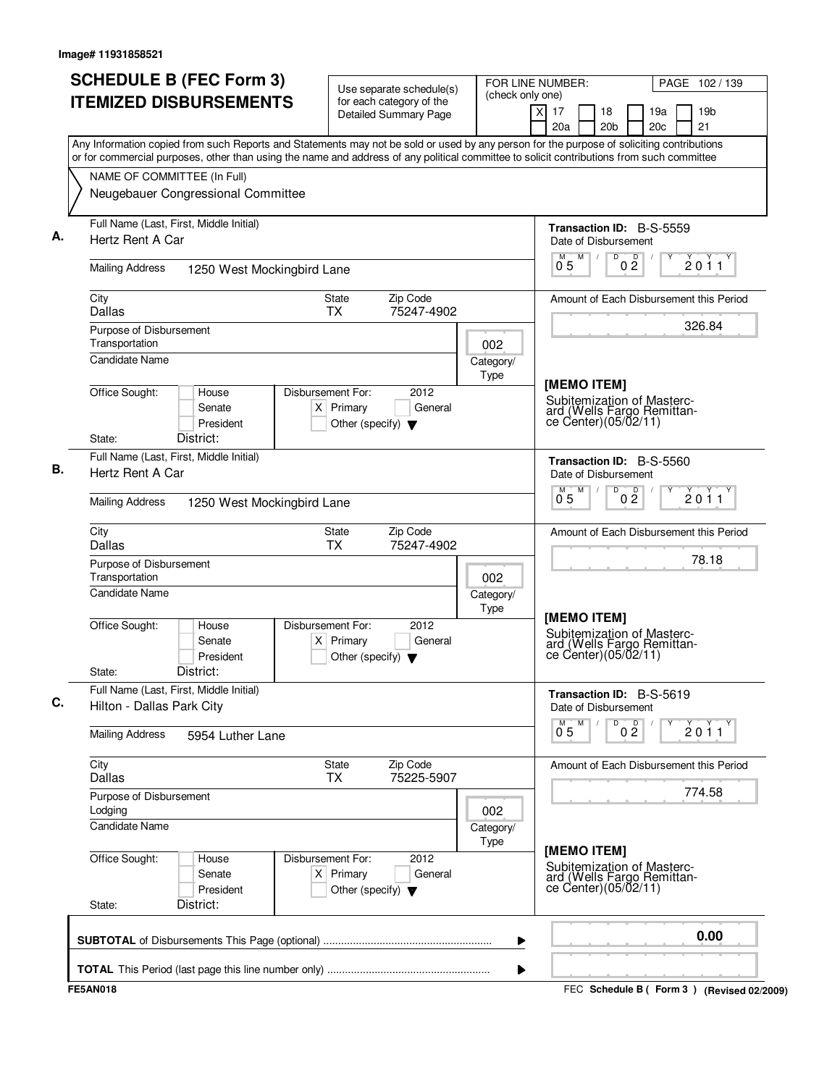| <b>SCHEDULE B (FEC Form 3)</b><br><b>ITEMIZED DISBURSEMENTS</b>                                                                                                                                                                                                                        | Use separate schedule(s)<br>for each category of the                                          | FOR LINE NUMBER:<br>(check only one) |                                                         | PAGE 102 / 139                                     |
|----------------------------------------------------------------------------------------------------------------------------------------------------------------------------------------------------------------------------------------------------------------------------------------|-----------------------------------------------------------------------------------------------|--------------------------------------|---------------------------------------------------------|----------------------------------------------------|
|                                                                                                                                                                                                                                                                                        | <b>Detailed Summary Page</b>                                                                  |                                      | $\overline{X}$<br>17<br>18<br>20a<br>20 <sub>b</sub>    | 19 <sub>b</sub><br>19a<br>21<br>20c                |
| Any Information copied from such Reports and Statements may not be sold or used by any person for the purpose of soliciting contributions<br>or for commercial purposes, other than using the name and address of any political committee to solicit contributions from such committee |                                                                                               |                                      |                                                         |                                                    |
| NAME OF COMMITTEE (In Full)                                                                                                                                                                                                                                                            |                                                                                               |                                      |                                                         |                                                    |
| Neugebauer Congressional Committee                                                                                                                                                                                                                                                     |                                                                                               |                                      |                                                         |                                                    |
| Full Name (Last, First, Middle Initial)<br>Hertz Rent A Car                                                                                                                                                                                                                            |                                                                                               |                                      | <b>Transaction ID: B-S-5559</b><br>Date of Disbursement |                                                    |
| <b>Mailing Address</b><br>1250 West Mockingbird Lane                                                                                                                                                                                                                                   |                                                                                               |                                      | M<br>D<br>M<br>0 <sub>5</sub>                           | D<br>2011<br>$0\bar{2}$                            |
| City<br>Dallas                                                                                                                                                                                                                                                                         | Zip Code<br>State<br><b>TX</b><br>75247-4902                                                  |                                      |                                                         | Amount of Each Disbursement this Period            |
| Purpose of Disbursement<br>Transportation                                                                                                                                                                                                                                              |                                                                                               | 002                                  |                                                         | 326.84                                             |
| <b>Candidate Name</b>                                                                                                                                                                                                                                                                  |                                                                                               | Category/<br>Type                    | [MEMO ITEM]                                             |                                                    |
| Office Sought:<br>House<br>Senate<br>President<br>District:<br>State:                                                                                                                                                                                                                  | Disbursement For:<br>2012<br>$X$ Primary<br>General<br>Other (specify) $\blacktriangledown$   |                                      | Subitemization of Masterc-<br>ce Center) (05/02/11)     | ard (Wells Fargo Remittan-                         |
| Full Name (Last, First, Middle Initial)                                                                                                                                                                                                                                                |                                                                                               |                                      | Transaction ID: B-S-5560                                |                                                    |
| Hertz Rent A Car                                                                                                                                                                                                                                                                       |                                                                                               |                                      | Date of Disbursement<br>M<br>D<br>M                     | 0 <sup>0</sup><br>2011                             |
| <b>Mailing Address</b><br>1250 West Mockingbird Lane                                                                                                                                                                                                                                   |                                                                                               |                                      | 05                                                      |                                                    |
| City<br>Dallas                                                                                                                                                                                                                                                                         | Zip Code<br>State<br><b>TX</b><br>75247-4902                                                  |                                      |                                                         | Amount of Each Disbursement this Period            |
| Purpose of Disbursement<br>Transportation<br>Candidate Name                                                                                                                                                                                                                            |                                                                                               | 002                                  |                                                         | 78.18                                              |
|                                                                                                                                                                                                                                                                                        |                                                                                               | Category/<br>Type                    |                                                         |                                                    |
| Office Sought:<br>House<br>Senate<br>President<br>District:<br>State:                                                                                                                                                                                                                  | Disbursement For:<br>2012<br>Primary<br>General<br>ΧI<br>Other (specify) $\blacktriangledown$ |                                      | [MEMO ITEM]<br>Subitemization of Masterc-               | ard (Wells Fargo Remittan-<br>ce Center)(05/02/11) |
| Full Name (Last, First, Middle Initial)<br>Hilton - Dallas Park City                                                                                                                                                                                                                   |                                                                                               |                                      | <b>Transaction ID: B-S-5619</b><br>Date of Disbursement |                                                    |
| <b>Mailing Address</b><br>5954 Luther Lane                                                                                                                                                                                                                                             |                                                                                               |                                      | D<br>M<br>$0^{M}$ 5                                     | 0 <sup>0</sup><br>2011                             |
| City<br>Dallas                                                                                                                                                                                                                                                                         | <b>State</b><br>Zip Code<br>75225-5907<br><b>TX</b>                                           |                                      |                                                         | Amount of Each Disbursement this Period            |
| Purpose of Disbursement<br>Lodging                                                                                                                                                                                                                                                     |                                                                                               | 002                                  |                                                         | 774.58                                             |
| Candidate Name                                                                                                                                                                                                                                                                         |                                                                                               | Category/<br>Type                    |                                                         |                                                    |
| Office Sought:<br>House<br>Senate<br>President<br>District:<br>State:                                                                                                                                                                                                                  | Disbursement For:<br>2012<br>$X$ Primary<br>General<br>Other (specify) $\blacktriangledown$   |                                      | [MEMO ITEM]<br>Subitemization of Masterc-               | ard (Wells Fargo Remittance Center)(05/02/11)      |
|                                                                                                                                                                                                                                                                                        |                                                                                               | ▶                                    |                                                         | 0.00                                               |
|                                                                                                                                                                                                                                                                                        |                                                                                               | ▶                                    |                                                         |                                                    |
| <b>FE5AN018</b>                                                                                                                                                                                                                                                                        |                                                                                               |                                      |                                                         | FEC Schedule B (Form 3) (Revised 02/2009)          |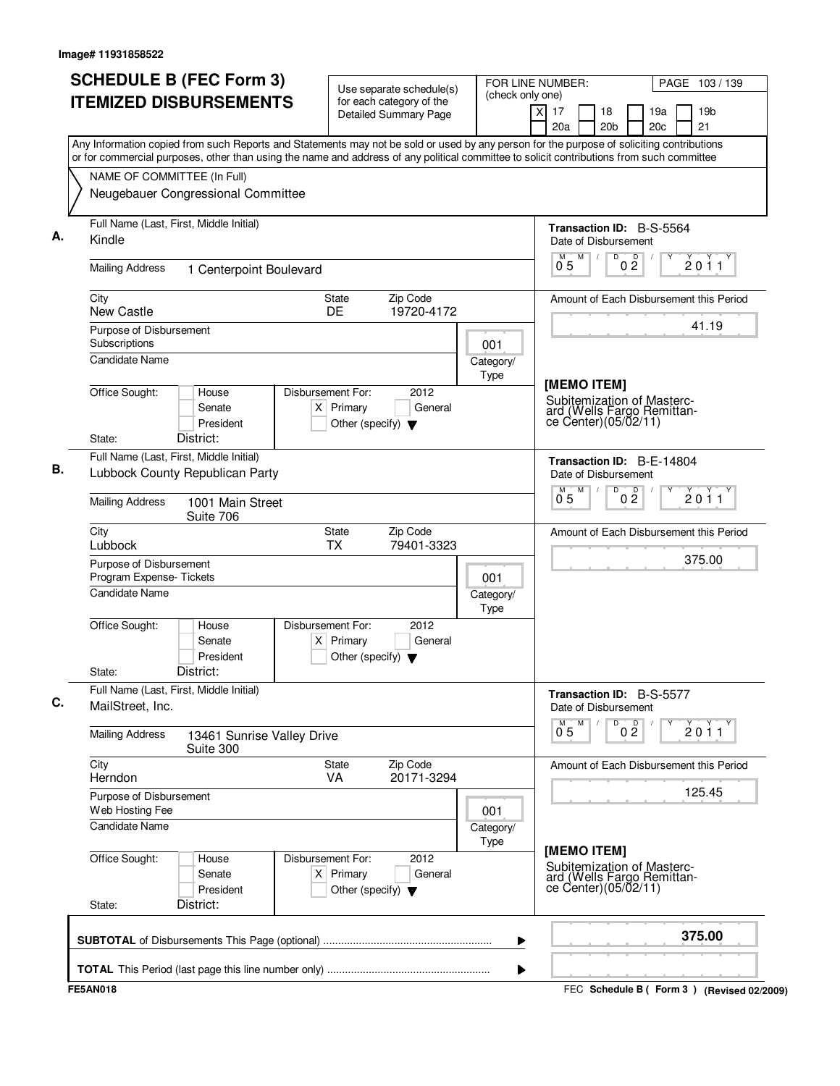|                          | <b>ITEMIZED DISBURSEMENTS</b>                                                                                                             | for each category of the<br>Detailed Summary Page                                                                                         | (check only one)  |                                                                                                 |                                         |
|--------------------------|-------------------------------------------------------------------------------------------------------------------------------------------|-------------------------------------------------------------------------------------------------------------------------------------------|-------------------|-------------------------------------------------------------------------------------------------|-----------------------------------------|
|                          |                                                                                                                                           |                                                                                                                                           |                   | $\overline{x}$<br>17<br>18<br>20a<br>20 <sub>b</sub>                                            | 19 <sub>b</sub><br>19a<br>21<br>20c     |
|                          | or for commercial purposes, other than using the name and address of any political committee to solicit contributions from such committee | Any Information copied from such Reports and Statements may not be sold or used by any person for the purpose of soliciting contributions |                   |                                                                                                 |                                         |
|                          | NAME OF COMMITTEE (In Full)                                                                                                               |                                                                                                                                           |                   |                                                                                                 |                                         |
|                          | Neugebauer Congressional Committee                                                                                                        |                                                                                                                                           |                   |                                                                                                 |                                         |
| Kindle                   | Full Name (Last, First, Middle Initial)                                                                                                   |                                                                                                                                           |                   | <b>Transaction ID: B-S-5564</b><br>Date of Disbursement                                         |                                         |
| <b>Mailing Address</b>   | 1 Centerpoint Boulevard                                                                                                                   |                                                                                                                                           |                   | M<br>D<br>D<br>$0^{\degree}5$<br>$0\bar{2}$                                                     | 2011                                    |
| City<br>New Castle       |                                                                                                                                           | Zip Code<br>State<br>DE<br>19720-4172                                                                                                     |                   |                                                                                                 | Amount of Each Disbursement this Period |
| Subscriptions            | Purpose of Disbursement                                                                                                                   |                                                                                                                                           | 001               |                                                                                                 | 41.19                                   |
| <b>Candidate Name</b>    |                                                                                                                                           |                                                                                                                                           | Category/<br>Type |                                                                                                 |                                         |
| Office Sought:<br>State: | House<br>Senate<br>President<br>District:                                                                                                 | Disbursement For:<br>2012<br>$X$ Primary<br>General<br>Other (specify) $\blacktriangledown$                                               |                   | [MEMO ITEM]<br>Subitemization of Masterc-<br>ard (Wells Fargo Remittan-<br>ce Center)(05/02/11) |                                         |
|                          | Full Name (Last, First, Middle Initial)                                                                                                   |                                                                                                                                           |                   | Transaction ID: B-E-14804                                                                       |                                         |
|                          | Lubbock County Republican Party                                                                                                           |                                                                                                                                           |                   | Date of Disbursement<br>M<br>D<br>M.                                                            |                                         |
| <b>Mailing Address</b>   | 1001 Main Street<br>Suite 706                                                                                                             |                                                                                                                                           |                   | 0 <sup>0</sup><br>0.5                                                                           | 2011                                    |
| City<br>Lubbock          |                                                                                                                                           | Zip Code<br>State<br><b>TX</b><br>79401-3323                                                                                              |                   |                                                                                                 | Amount of Each Disbursement this Period |
|                          | Purpose of Disbursement<br>Program Expense-Tickets                                                                                        |                                                                                                                                           | 001               |                                                                                                 | 375.00                                  |
| <b>Candidate Name</b>    |                                                                                                                                           |                                                                                                                                           | Category/<br>Type |                                                                                                 |                                         |
| Office Sought:<br>State: | House<br>Senate<br>President<br>District:                                                                                                 | 2012<br>Disbursement For:<br>$X$ Primary<br>General<br>Other (specify) $\blacktriangledown$                                               |                   |                                                                                                 |                                         |
| MailStreet, Inc.         | Full Name (Last, First, Middle Initial)                                                                                                   |                                                                                                                                           |                   | Transaction ID: B-S-5577<br>Date of Disbursement                                                |                                         |
| <b>Mailing Address</b>   | 13461 Sunrise Valley Drive<br>Suite 300                                                                                                   |                                                                                                                                           |                   | D<br>0 <sup>D</sup><br>$0^{M}$ 5<br>M                                                           | 2011                                    |
| City<br>Herndon          |                                                                                                                                           | Zip Code<br>State<br>20171-3294<br>VA                                                                                                     |                   |                                                                                                 | Amount of Each Disbursement this Period |
| Web Hosting Fee          | Purpose of Disbursement                                                                                                                   |                                                                                                                                           | 001               |                                                                                                 | 125.45                                  |
| Candidate Name           |                                                                                                                                           |                                                                                                                                           | Category/<br>Type |                                                                                                 |                                         |
| Office Sought:<br>State: | House<br>Senate<br>President<br>District:                                                                                                 | Disbursement For:<br>2012<br>$X$ Primary<br>General<br>Other (specify) $\blacktriangledown$                                               |                   | [MEMO ITEM]<br>Subitemization of Masterc-<br>ard (Wells Fargo Remittan-<br>ce Center)(05/02/11) |                                         |
|                          |                                                                                                                                           |                                                                                                                                           | ▶                 |                                                                                                 | 375.00                                  |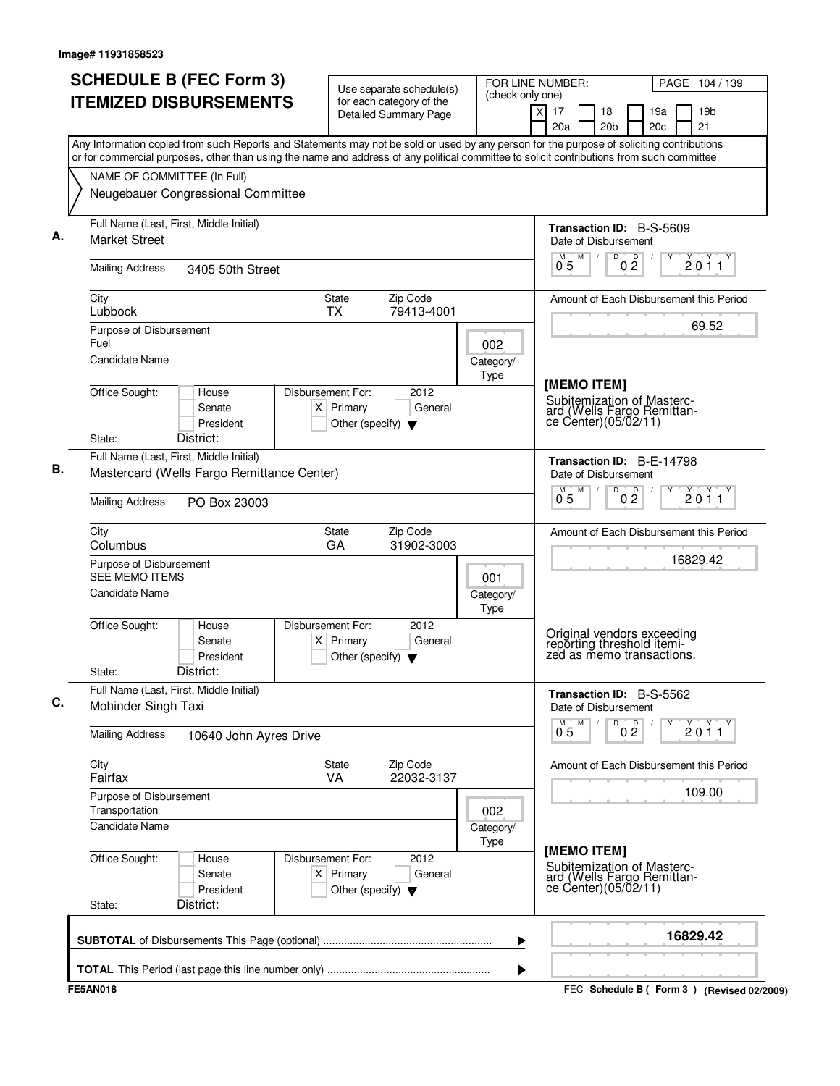| <b>SCHEDULE B (FEC Form 3)</b><br><b>ITEMIZED DISBURSEMENTS</b>                                                                           | Use separate schedule(s)<br>for each category of the | (check only one)  | FOR LINE NUMBER:                                         | PAGE 104 / 139                          |
|-------------------------------------------------------------------------------------------------------------------------------------------|------------------------------------------------------|-------------------|----------------------------------------------------------|-----------------------------------------|
|                                                                                                                                           | <b>Detailed Summary Page</b>                         |                   | $\times$<br>17<br>18<br>20 <sub>b</sub><br>20a           | 19a<br>19 <sub>b</sub><br>21<br>20c     |
| Any Information copied from such Reports and Statements may not be sold or used by any person for the purpose of soliciting contributions |                                                      |                   |                                                          |                                         |
| or for commercial purposes, other than using the name and address of any political committee to solicit contributions from such committee |                                                      |                   |                                                          |                                         |
| NAME OF COMMITTEE (In Full)                                                                                                               |                                                      |                   |                                                          |                                         |
| Neugebauer Congressional Committee                                                                                                        |                                                      |                   |                                                          |                                         |
| Full Name (Last, First, Middle Initial)                                                                                                   |                                                      |                   | Transaction ID: B-S-5609                                 |                                         |
| <b>Market Street</b>                                                                                                                      |                                                      |                   | Date of Disbursement<br>M<br>D<br>$\sqrt{2}$             | D<br>2011                               |
| <b>Mailing Address</b><br>3405 50th Street                                                                                                |                                                      |                   | 0 <sub>5</sub>                                           | $0\bar{2}$                              |
| City<br>Lubbock                                                                                                                           | Zip Code<br>State<br><b>TX</b><br>79413-4001         |                   |                                                          | Amount of Each Disbursement this Period |
| Purpose of Disbursement                                                                                                                   |                                                      |                   |                                                          | 69.52                                   |
| Fuel<br><b>Candidate Name</b>                                                                                                             |                                                      | 002               |                                                          |                                         |
|                                                                                                                                           |                                                      | Category/<br>Type |                                                          |                                         |
| Office Sought:<br>House                                                                                                                   | Disbursement For:<br>2012                            |                   | [MEMO ITEM]                                              |                                         |
| Senate                                                                                                                                    | $X$ Primary<br>General                               |                   | Subitemization of Masterc-<br>ard (Wells Fargo Remittan- |                                         |
| President                                                                                                                                 | Other (specify) $\blacktriangledown$                 |                   | ce Center)(05/02/11)                                     |                                         |
| District:<br>State:                                                                                                                       |                                                      |                   |                                                          |                                         |
| Full Name (Last, First, Middle Initial)<br>Mastercard (Wells Fargo Remittance Center)                                                     |                                                      |                   | Transaction ID: B-E-14798                                |                                         |
|                                                                                                                                           |                                                      |                   | Date of Disbursement<br>M<br>D<br>M                      |                                         |
| <b>Mailing Address</b><br>PO Box 23003                                                                                                    |                                                      |                   | 05                                                       | 0 <sup>0</sup><br>2011                  |
| City<br>Columbus                                                                                                                          | State<br>Zip Code<br>GA<br>31902-3003                |                   |                                                          | Amount of Each Disbursement this Period |
| Purpose of Disbursement                                                                                                                   |                                                      |                   |                                                          | 16829.42                                |
| <b>SEE MEMO ITEMS</b>                                                                                                                     |                                                      | 001               |                                                          |                                         |
| Candidate Name                                                                                                                            |                                                      | Category/<br>Type |                                                          |                                         |
| Office Sought:<br>House                                                                                                                   | Disbursement For:<br>2012                            |                   |                                                          |                                         |
| Senate                                                                                                                                    | $X$ Primary<br>General                               |                   | Original vendors exceeding<br>reporting threshold itemi- |                                         |
| President<br>District:<br>State:                                                                                                          | Other (specify) $\blacktriangledown$                 |                   | zed as memo transactions.                                |                                         |
| Full Name (Last, First, Middle Initial)                                                                                                   |                                                      |                   |                                                          |                                         |
| Mohinder Singh Taxi                                                                                                                       |                                                      |                   | <b>Transaction ID: B-S-5562</b><br>Date of Disbursement  |                                         |
| <b>Mailing Address</b><br>10640 John Ayres Drive                                                                                          |                                                      |                   | D<br>M<br>$0^{M}$ 5                                      | 0 <sup>0</sup><br>2011                  |
| City                                                                                                                                      | Zip Code<br>State                                    |                   |                                                          | Amount of Each Disbursement this Period |
| Fairfax                                                                                                                                   | 22032-3137<br>VA                                     |                   |                                                          | 109.00                                  |
| Purpose of Disbursement<br>Transportation                                                                                                 |                                                      | 002               |                                                          |                                         |
| Candidate Name                                                                                                                            |                                                      | Category/         |                                                          |                                         |
|                                                                                                                                           |                                                      | Type              |                                                          |                                         |
| Office Sought:<br>House                                                                                                                   | 2012<br>Disbursement For:                            |                   | [MEMO ITEM]<br>Subitemization of Masterc-                |                                         |
| Senate                                                                                                                                    | $X$ Primary<br>General                               |                   | ard (Wells Fargo Remittance Center)(05/02/11)            |                                         |
| President<br>District:<br>State:                                                                                                          | Other (specify) $\blacktriangledown$                 |                   |                                                          |                                         |
|                                                                                                                                           |                                                      |                   |                                                          |                                         |
|                                                                                                                                           |                                                      | ▶                 |                                                          | 16829.42                                |
|                                                                                                                                           |                                                      |                   |                                                          |                                         |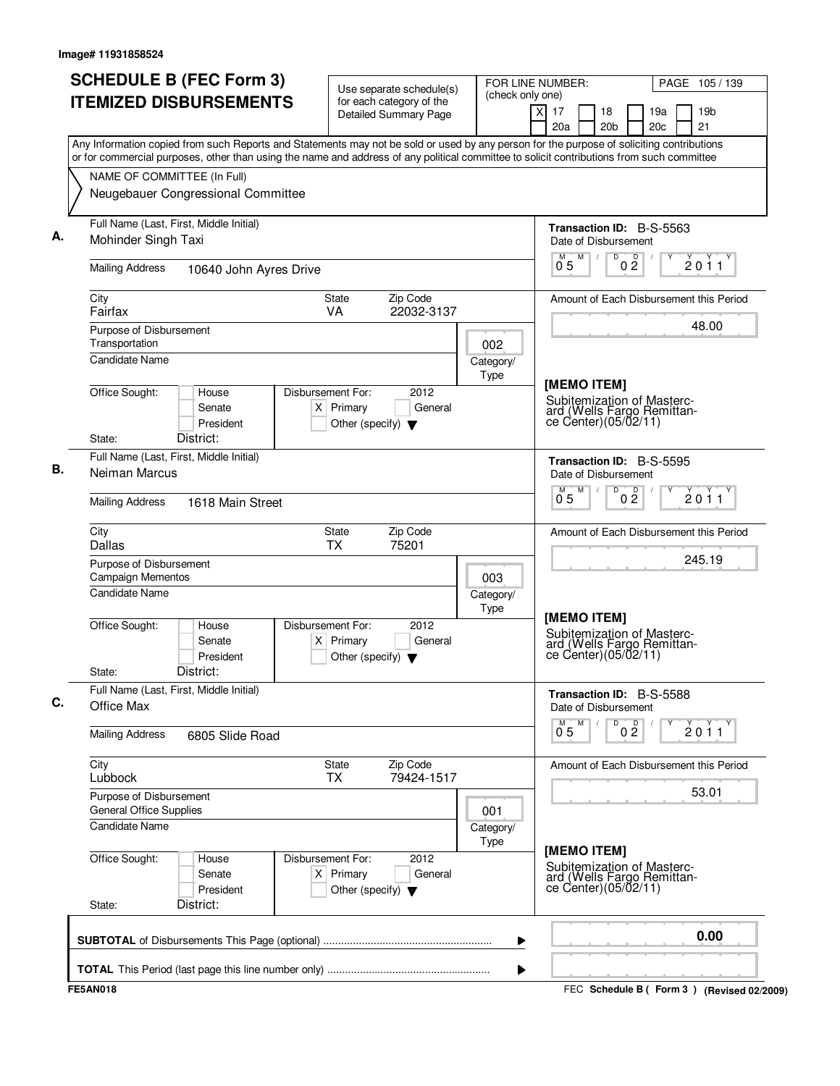| <b>SCHEDULE B (FEC Form 3)</b><br><b>ITEMIZED DISBURSEMENTS</b>                                                                                                                                                                                                                        | Use separate schedule(s)<br>for each category of the                                          | FOR LINE NUMBER:<br>(check only one) |                                                                                                 | PAGE 105/139                              |
|----------------------------------------------------------------------------------------------------------------------------------------------------------------------------------------------------------------------------------------------------------------------------------------|-----------------------------------------------------------------------------------------------|--------------------------------------|-------------------------------------------------------------------------------------------------|-------------------------------------------|
|                                                                                                                                                                                                                                                                                        | <b>Detailed Summary Page</b>                                                                  | $\overline{X}$                       | 17<br>18<br>20a<br>20 <sub>b</sub>                                                              | 19 <sub>b</sub><br>19a<br>21<br>20c       |
| Any Information copied from such Reports and Statements may not be sold or used by any person for the purpose of soliciting contributions<br>or for commercial purposes, other than using the name and address of any political committee to solicit contributions from such committee |                                                                                               |                                      |                                                                                                 |                                           |
| NAME OF COMMITTEE (In Full)                                                                                                                                                                                                                                                            |                                                                                               |                                      |                                                                                                 |                                           |
| Neugebauer Congressional Committee                                                                                                                                                                                                                                                     |                                                                                               |                                      |                                                                                                 |                                           |
| Full Name (Last, First, Middle Initial)<br>Mohinder Singh Taxi                                                                                                                                                                                                                         |                                                                                               |                                      | <b>Transaction ID: B-S-5563</b><br>Date of Disbursement                                         |                                           |
| <b>Mailing Address</b><br>10640 John Ayres Drive                                                                                                                                                                                                                                       |                                                                                               |                                      | M<br>D<br>$0\frac{D}{2}$<br>M<br>$\sqrt{ }$<br>0 <sub>5</sub>                                   | 2011                                      |
| City<br>Fairfax                                                                                                                                                                                                                                                                        | Zip Code<br>State<br>VA<br>22032-3137                                                         |                                      |                                                                                                 | Amount of Each Disbursement this Period   |
| Purpose of Disbursement<br>Transportation<br><b>Candidate Name</b>                                                                                                                                                                                                                     |                                                                                               | 002                                  |                                                                                                 | 48.00                                     |
|                                                                                                                                                                                                                                                                                        |                                                                                               | Category/<br>Type                    |                                                                                                 |                                           |
| Office Sought:<br>House<br>Senate<br>President<br>District:<br>State:                                                                                                                                                                                                                  | Disbursement For:<br>2012<br>$X$ Primary<br>General<br>Other (specify) $\blacktriangledown$   |                                      | [MEMO ITEM]<br>Subitemization of Masterc-<br>ard (Wells Fargo Remittan-<br>ce Center)(05/02/11) |                                           |
| Full Name (Last, First, Middle Initial)                                                                                                                                                                                                                                                |                                                                                               |                                      | Transaction ID: B-S-5595                                                                        |                                           |
| Neiman Marcus                                                                                                                                                                                                                                                                          |                                                                                               |                                      | Date of Disbursement<br>M<br>D<br>M<br>0 <sup>0</sup>                                           | 2011                                      |
| <b>Mailing Address</b><br>1618 Main Street                                                                                                                                                                                                                                             |                                                                                               |                                      | 05                                                                                              |                                           |
| City<br>Dallas                                                                                                                                                                                                                                                                         | Zip Code<br>State<br>ТX<br>75201                                                              |                                      |                                                                                                 | Amount of Each Disbursement this Period   |
| Purpose of Disbursement<br><b>Campaign Mementos</b>                                                                                                                                                                                                                                    |                                                                                               | 003                                  |                                                                                                 | 245.19                                    |
| <b>Candidate Name</b>                                                                                                                                                                                                                                                                  |                                                                                               | Category/<br>Type                    |                                                                                                 |                                           |
| Office Sought:<br>House<br>Senate<br>President<br>District:<br>State:                                                                                                                                                                                                                  | Disbursement For:<br>2012<br>Primary<br>General<br>ΧI<br>Other (specify) $\blacktriangledown$ |                                      | [MEMO ITEM]<br>Subitemization of Masterc-<br>ard (Wells Fargo Remittan-<br>ce Center)(05/02/11) |                                           |
| Full Name (Last, First, Middle Initial)<br>Office Max                                                                                                                                                                                                                                  |                                                                                               |                                      | <b>Transaction ID: B-S-5588</b><br>Date of Disbursement                                         |                                           |
| <b>Mailing Address</b><br>6805 Slide Road                                                                                                                                                                                                                                              |                                                                                               |                                      | 0 <sup>0</sup><br>M<br>D<br>$0^{M}$ 5                                                           | $\frac{1}{2}$ 0 1 1                       |
| City<br>Lubbock                                                                                                                                                                                                                                                                        | <b>State</b><br>Zip Code<br>79424-1517<br><b>TX</b>                                           |                                      |                                                                                                 | Amount of Each Disbursement this Period   |
| Purpose of Disbursement<br>General Office Supplies                                                                                                                                                                                                                                     |                                                                                               | 001                                  |                                                                                                 | 53.01                                     |
| <b>Candidate Name</b>                                                                                                                                                                                                                                                                  |                                                                                               | Category/<br>Type                    |                                                                                                 |                                           |
| Office Sought:<br>House<br>Senate<br>President<br>District:<br>State:                                                                                                                                                                                                                  | Disbursement For:<br>2012<br>$X$ Primary<br>General<br>Other (specify) $\blacktriangledown$   |                                      | [MEMO ITEM]<br>Subitemization of Masterc-<br>ard (Wells Fargo Remittance Center)(05/02/11)      |                                           |
|                                                                                                                                                                                                                                                                                        |                                                                                               | ▶                                    |                                                                                                 | 0.00                                      |
|                                                                                                                                                                                                                                                                                        |                                                                                               | ▶                                    |                                                                                                 |                                           |
| <b>FE5AN018</b>                                                                                                                                                                                                                                                                        |                                                                                               |                                      |                                                                                                 | FEC Schedule B (Form 3) (Revised 02/2009) |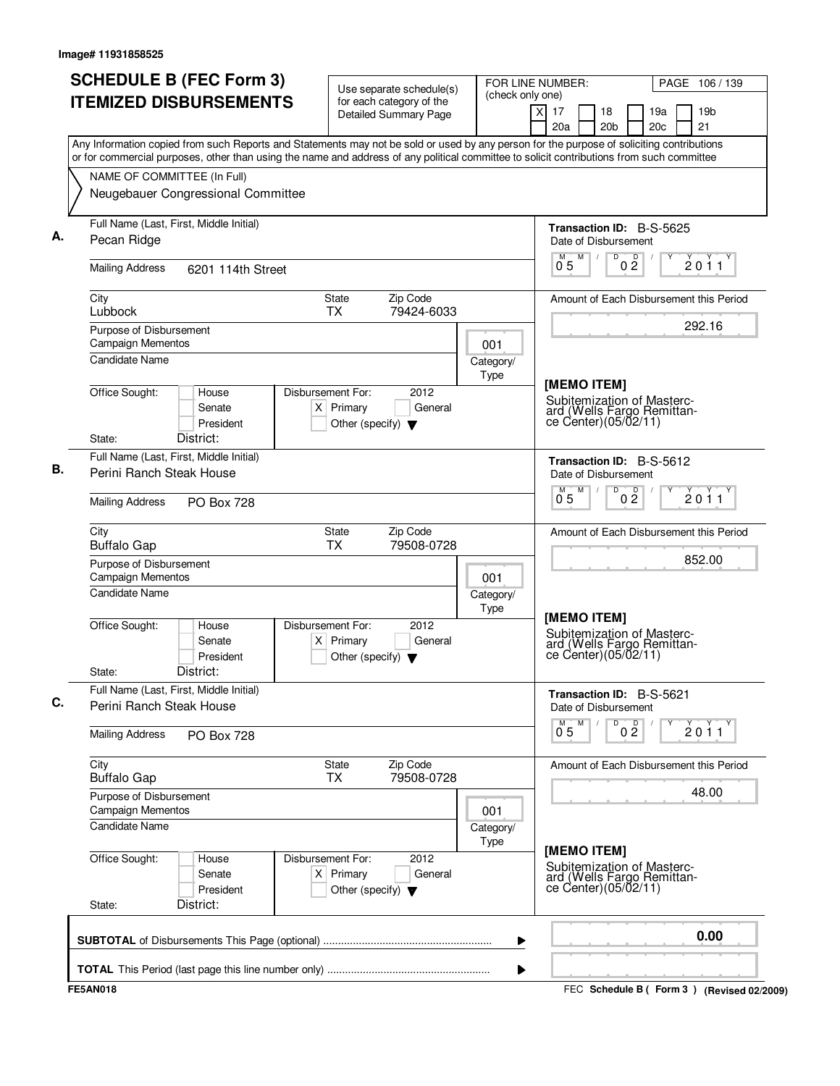| <b>SCHEDULE B (FEC Form 3)</b>                                                                                                                                                                                                                                                         | Use separate schedule(s)                                                                    | (check only one)  | FOR LINE NUMBER:                                                                                 | PAGE 106 / 139                                  |
|----------------------------------------------------------------------------------------------------------------------------------------------------------------------------------------------------------------------------------------------------------------------------------------|---------------------------------------------------------------------------------------------|-------------------|--------------------------------------------------------------------------------------------------|-------------------------------------------------|
| <b>ITEMIZED DISBURSEMENTS</b>                                                                                                                                                                                                                                                          | for each category of the<br><b>Detailed Summary Page</b>                                    |                   | x<br>17<br>18<br>20a<br>20 <sub>b</sub>                                                          | 19 <sub>b</sub><br>19a<br>21<br>20 <sub>c</sub> |
| Any Information copied from such Reports and Statements may not be sold or used by any person for the purpose of soliciting contributions<br>or for commercial purposes, other than using the name and address of any political committee to solicit contributions from such committee |                                                                                             |                   |                                                                                                  |                                                 |
| NAME OF COMMITTEE (In Full)                                                                                                                                                                                                                                                            |                                                                                             |                   |                                                                                                  |                                                 |
| Neugebauer Congressional Committee                                                                                                                                                                                                                                                     |                                                                                             |                   |                                                                                                  |                                                 |
| Full Name (Last, First, Middle Initial)<br>Pecan Ridge                                                                                                                                                                                                                                 |                                                                                             |                   | <b>Transaction ID: B-S-5625</b><br>Date of Disbursement                                          |                                                 |
| <b>Mailing Address</b><br>6201 114th Street                                                                                                                                                                                                                                            |                                                                                             |                   | M<br>$0\frac{D}{2}$<br>D<br>$0^{\degree}5$                                                       | 2011                                            |
| City<br>Lubbock                                                                                                                                                                                                                                                                        | State<br>Zip Code<br><b>TX</b><br>79424-6033                                                |                   |                                                                                                  | Amount of Each Disbursement this Period         |
| Purpose of Disbursement<br><b>Campaign Mementos</b>                                                                                                                                                                                                                                    |                                                                                             | 001               |                                                                                                  | 292.16                                          |
| <b>Candidate Name</b>                                                                                                                                                                                                                                                                  |                                                                                             | Category/<br>Type |                                                                                                  |                                                 |
| Office Sought:<br>House<br>Senate<br>President<br>District:<br>State:                                                                                                                                                                                                                  | Disbursement For:<br>2012<br>$X$ Primary<br>General<br>Other (specify) $\blacktriangledown$ |                   | [MEMO ITEM]<br>Subitemization of Masterc-<br>ard (Wells Fargo Remittan-<br>ce Center) (05/02/11) |                                                 |
| Full Name (Last, First, Middle Initial)<br>Perini Ranch Steak House                                                                                                                                                                                                                    |                                                                                             |                   | Transaction ID: B-S-5612<br>Date of Disbursement                                                 |                                                 |
| <b>Mailing Address</b><br><b>PO Box 728</b>                                                                                                                                                                                                                                            |                                                                                             |                   | M<br>D<br>0 <sup>0</sup><br>$0^{M}$ 5                                                            | 2011                                            |
| City<br><b>Buffalo Gap</b>                                                                                                                                                                                                                                                             | Zip Code<br>State<br><b>TX</b><br>79508-0728                                                |                   |                                                                                                  | Amount of Each Disbursement this Period         |
| Purpose of Disbursement<br>Campaign Mementos                                                                                                                                                                                                                                           |                                                                                             | 001               |                                                                                                  | 852.00                                          |
| <b>Candidate Name</b>                                                                                                                                                                                                                                                                  |                                                                                             | Category/<br>Type |                                                                                                  |                                                 |
| Office Sought:<br>House<br>Senate<br>President<br>District:<br>State:                                                                                                                                                                                                                  | Disbursement For:<br>2012<br>$X$ Primary<br>General<br>Other (specify) $\blacktriangledown$ |                   | [MEMO ITEM]<br>Subitemization of Masterc-<br>ard (Wells Fargo Remittance Center)(05/02/11)       |                                                 |
| Full Name (Last, First, Middle Initial)<br>Perini Ranch Steak House                                                                                                                                                                                                                    |                                                                                             |                   | Transaction ID: B-S-5621<br>Date of Disbursement                                                 |                                                 |
| <b>Mailing Address</b><br><b>PO Box 728</b>                                                                                                                                                                                                                                            |                                                                                             |                   | 0 <sup>0</sup><br>M<br>D<br>$0^{\degree}5$                                                       | $\check{2}$ 0 $\check{1}$ 1                     |
| City<br><b>Buffalo Gap</b>                                                                                                                                                                                                                                                             | Zip Code<br>State<br>79508-0728<br><b>TX</b>                                                |                   |                                                                                                  | Amount of Each Disbursement this Period         |
| Purpose of Disbursement<br>Campaign Mementos                                                                                                                                                                                                                                           |                                                                                             | 001               |                                                                                                  | 48.00                                           |
| Candidate Name                                                                                                                                                                                                                                                                         |                                                                                             | Category/<br>Type |                                                                                                  |                                                 |
| Office Sought:<br>House<br>Senate<br>President<br>District:<br>State:                                                                                                                                                                                                                  | Disbursement For:<br>2012<br>$X$ Primary<br>General<br>Other (specify) $\blacktriangledown$ |                   | [MEMO ITEM]<br>Subitemization of Masterc-<br>ard (Wells Fargo Remittance Center)(05/02/11)       |                                                 |
|                                                                                                                                                                                                                                                                                        |                                                                                             | ▶                 |                                                                                                  | 0.00                                            |
|                                                                                                                                                                                                                                                                                        |                                                                                             | ▶                 |                                                                                                  |                                                 |
| <b>FE5AN018</b>                                                                                                                                                                                                                                                                        |                                                                                             |                   |                                                                                                  | FEC Schedule B (Form 3) (Revised 02/2009)       |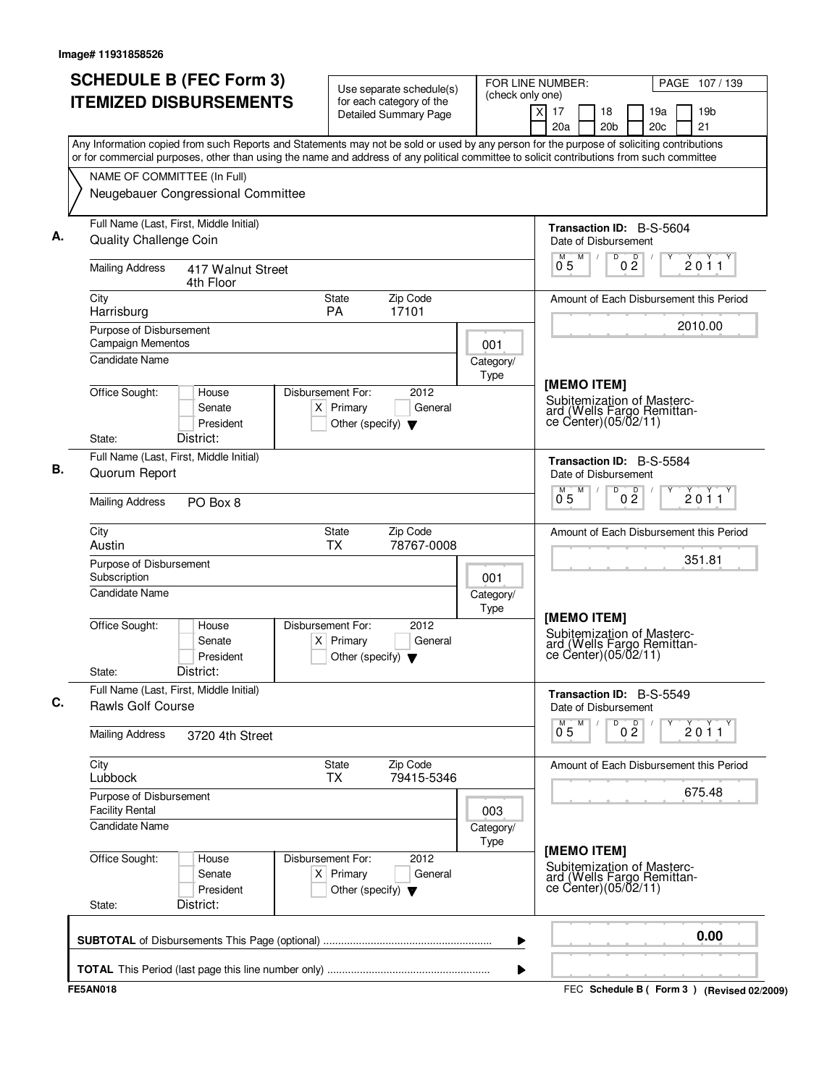| <b>SCHEDULE B (FEC Form 3)</b><br><b>ITEMIZED DISBURSEMENTS</b>                                                                           | Use separate schedule(s)<br>for each category of the<br><b>Detailed Summary Page</b>        | (check only one)  | FOR LINE NUMBER:<br>PAGE 107/139<br>19 <sub>b</sub><br>X<br>17<br>18<br>19a                      |
|-------------------------------------------------------------------------------------------------------------------------------------------|---------------------------------------------------------------------------------------------|-------------------|--------------------------------------------------------------------------------------------------|
| Any Information copied from such Reports and Statements may not be sold or used by any person for the purpose of soliciting contributions |                                                                                             |                   | 20 <sub>c</sub><br>21<br>20a<br>20 <sub>b</sub>                                                  |
| or for commercial purposes, other than using the name and address of any political committee to solicit contributions from such committee |                                                                                             |                   |                                                                                                  |
| NAME OF COMMITTEE (In Full)<br>Neugebauer Congressional Committee                                                                         |                                                                                             |                   |                                                                                                  |
|                                                                                                                                           |                                                                                             |                   |                                                                                                  |
| Full Name (Last, First, Middle Initial)<br><b>Quality Challenge Coin</b>                                                                  |                                                                                             |                   | <b>Transaction ID: B-S-5604</b><br>Date of Disbursement                                          |
| <b>Mailing Address</b><br>417 Walnut Street<br>4th Floor                                                                                  |                                                                                             |                   | D<br>$0\frac{D}{2}$<br>M<br>2011<br>0 <sub>5</sub>                                               |
| City<br>Harrisburg                                                                                                                        | Zip Code<br>State<br>PA<br>17101                                                            |                   | Amount of Each Disbursement this Period                                                          |
| Purpose of Disbursement<br><b>Campaign Mementos</b>                                                                                       |                                                                                             | 001               | 2010.00                                                                                          |
| <b>Candidate Name</b>                                                                                                                     |                                                                                             | Category/<br>Type |                                                                                                  |
| Office Sought:<br>House<br>Senate<br>President<br>District:<br>State:                                                                     | Disbursement For:<br>2012<br>$X$ Primary<br>General<br>Other (specify) $\blacktriangledown$ |                   | [MEMO ITEM]<br>Subitemization of Masterc-<br>ard (Wells Fargo Remittan-<br>ce Center)(05/02/11)  |
| Full Name (Last, First, Middle Initial)                                                                                                   |                                                                                             |                   | Transaction ID: B-S-5584                                                                         |
| Quorum Report                                                                                                                             |                                                                                             |                   | Date of Disbursement                                                                             |
| <b>Mailing Address</b><br>PO Box 8                                                                                                        |                                                                                             |                   | M<br>D<br>0 <sup>D</sup><br>$\overline{0}^{\overline{M}}$<br>2011                                |
| City<br>Austin                                                                                                                            | Zip Code<br>State<br><b>TX</b><br>78767-0008                                                |                   | Amount of Each Disbursement this Period                                                          |
| Purpose of Disbursement<br>Subscription                                                                                                   |                                                                                             | 001               | 351.81                                                                                           |
| <b>Candidate Name</b>                                                                                                                     |                                                                                             | Category/<br>Type |                                                                                                  |
| Office Sought:<br>House<br>Senate<br>President<br>District:<br>State:                                                                     | Disbursement For:<br>2012<br>$X$ Primary<br>General<br>Other (specify) $\blacktriangledown$ |                   | [MEMO ITEM]<br>Subitemization of Masterc-<br>ard (Wells Fargo Remittan-<br>ce Center) (05/02/11) |
| Full Name (Last, First, Middle Initial)<br><b>Rawls Golf Course</b>                                                                       |                                                                                             |                   | Transaction ID: B-S-5549<br>Date of Disbursement                                                 |
| <b>Mailing Address</b><br>3720 4th Street                                                                                                 |                                                                                             |                   | D<br>0 <sup>0</sup><br>M<br>2011<br>0.5                                                          |
| City<br>Lubbock                                                                                                                           | Zip Code<br>State<br><b>TX</b><br>79415-5346                                                |                   | Amount of Each Disbursement this Period                                                          |
| Purpose of Disbursement<br><b>Facility Rental</b>                                                                                         |                                                                                             | 003               | 675.48                                                                                           |
| <b>Candidate Name</b>                                                                                                                     |                                                                                             | Category/<br>Type |                                                                                                  |
| Office Sought:<br>House<br>Senate<br>President<br>District:<br>State:                                                                     | 2012<br>Disbursement For:<br>$X$ Primary<br>General<br>Other (specify) $\blacktriangledown$ |                   | [MEMO ITEM]<br>Subitemization of Masterc-<br>ard (Wells Fargo Remittan-<br>ce Center)(05/02/11)  |
|                                                                                                                                           |                                                                                             | ▶                 | 0.00                                                                                             |
|                                                                                                                                           |                                                                                             |                   |                                                                                                  |
| <b>FE5AN018</b>                                                                                                                           |                                                                                             | ▶                 | FEC Schedule B (Form 3) (Revised 02/2009)                                                        |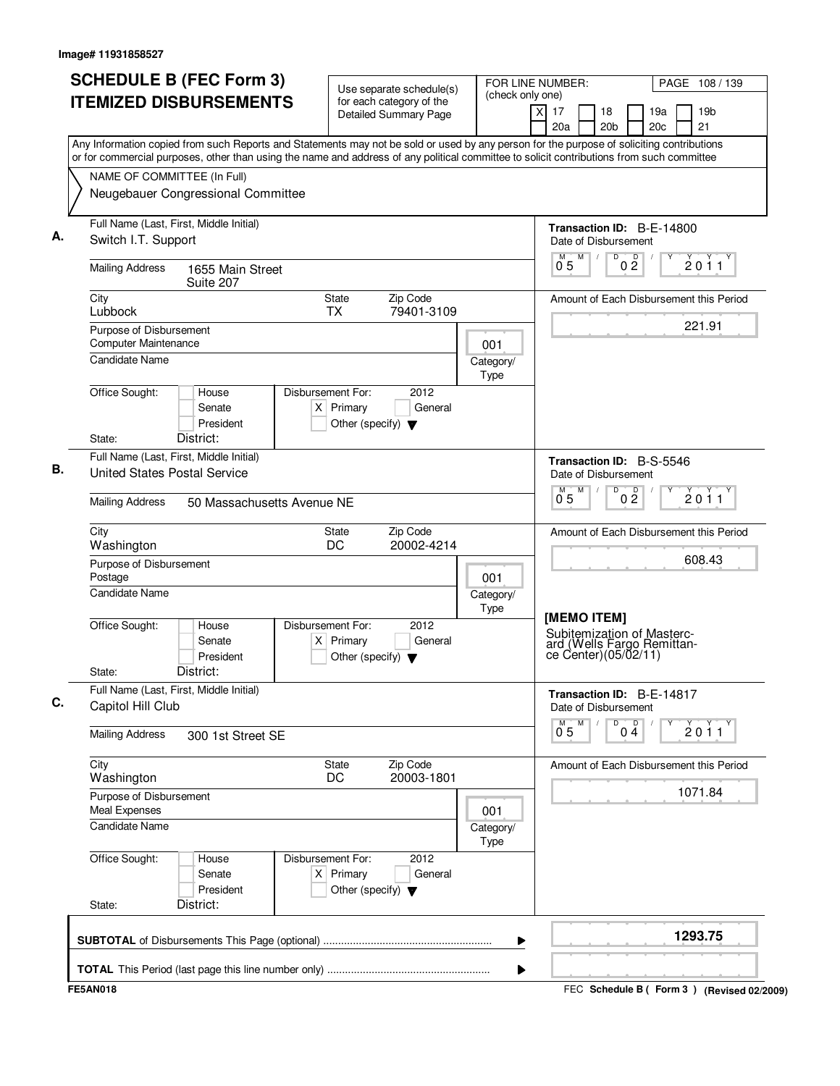| <b>SCHEDULE B (FEC Form 3)</b><br><b>ITEMIZED DISBURSEMENTS</b>                                                                                                          | Use separate schedule(s)<br>for each category of the<br><b>Detailed Summary Page</b>        | FOR LINE NUMBER:<br>(check only one) | PAGE 108 / 139<br>$\times$<br>17<br>18<br>19a<br>19 <sub>b</sub>                                 |
|--------------------------------------------------------------------------------------------------------------------------------------------------------------------------|---------------------------------------------------------------------------------------------|--------------------------------------|--------------------------------------------------------------------------------------------------|
| Any Information copied from such Reports and Statements may not be sold or used by any person for the purpose of soliciting contributions                                |                                                                                             |                                      | 20c<br>21<br>20a<br>20 <sub>b</sub>                                                              |
| or for commercial purposes, other than using the name and address of any political committee to solicit contributions from such committee<br>NAME OF COMMITTEE (In Full) |                                                                                             |                                      |                                                                                                  |
| Neugebauer Congressional Committee                                                                                                                                       |                                                                                             |                                      |                                                                                                  |
| Full Name (Last, First, Middle Initial)<br>Switch I.T. Support                                                                                                           |                                                                                             |                                      | Transaction ID: B-E-14800<br>Date of Disbursement                                                |
| <b>Mailing Address</b><br>1655 Main Street<br>Suite 207                                                                                                                  |                                                                                             |                                      | M<br>$\overline{D}$<br>M<br>0 <sup>0</sup><br>2011<br>0 <sub>5</sub>                             |
| City<br>Lubbock                                                                                                                                                          | Zip Code<br>State<br>79401-3109<br><b>TX</b>                                                |                                      | Amount of Each Disbursement this Period                                                          |
| Purpose of Disbursement<br>Computer Maintenance                                                                                                                          |                                                                                             | 001                                  | 221.91                                                                                           |
| <b>Candidate Name</b>                                                                                                                                                    |                                                                                             | Category/<br>Type                    |                                                                                                  |
| Office Sought:<br>House<br>Senate<br>President<br>District:<br>State:                                                                                                    | Disbursement For:<br>2012<br>$X$ Primary<br>General<br>Other (specify) $\blacktriangledown$ |                                      |                                                                                                  |
| Full Name (Last, First, Middle Initial)<br><b>United States Postal Service</b>                                                                                           |                                                                                             |                                      | <b>Transaction ID: B-S-5546</b><br>Date of Disbursement                                          |
| <b>Mailing Address</b><br>50 Massachusetts Avenue NE                                                                                                                     |                                                                                             |                                      | M<br>D<br>0 <sup>D</sup><br>2011<br>$0^{\degree}5$                                               |
| City<br>Washington                                                                                                                                                       | Zip Code<br>State<br>DC<br>20002-4214                                                       |                                      | Amount of Each Disbursement this Period                                                          |
| Purpose of Disbursement<br>Postage                                                                                                                                       |                                                                                             | 001                                  | 608.43                                                                                           |
| <b>Candidate Name</b>                                                                                                                                                    |                                                                                             | Category/<br>Type                    |                                                                                                  |
| Office Sought:<br>House<br>Senate<br>President<br>District:<br>State:                                                                                                    | Disbursement For:<br>2012<br>General<br>$X$ Primary<br>Other (specify) $\blacktriangledown$ |                                      | [MEMO ITEM]<br>Subitemization of Masterc-<br>ard (Wells Fargo Remittan-<br>ce Center) (05/02/11) |
| Full Name (Last, First, Middle Initial)<br>Capitol Hill Club                                                                                                             |                                                                                             |                                      | Transaction ID: B-E-14817<br>Date of Disbursement                                                |
| <b>Mailing Address</b><br>300 1st Street SE                                                                                                                              |                                                                                             |                                      | M<br>D<br>p<br>$\overline{2011}$<br>$0^{\degree}5$<br>04                                         |
| City<br>Washington                                                                                                                                                       | Zip Code<br>State<br>20003-1801<br>DC                                                       |                                      | Amount of Each Disbursement this Period                                                          |
| Purpose of Disbursement<br>Meal Expenses                                                                                                                                 |                                                                                             | 001                                  | 1071.84                                                                                          |
| Candidate Name                                                                                                                                                           |                                                                                             | Category/<br>Type                    |                                                                                                  |
| Office Sought:<br>House<br>Senate<br>President<br>District:<br>State:                                                                                                    | Disbursement For:<br>2012<br>$X$ Primary<br>General<br>Other (specify) $\blacktriangledown$ |                                      |                                                                                                  |
|                                                                                                                                                                          |                                                                                             | ▶                                    | 1293.75                                                                                          |
|                                                                                                                                                                          |                                                                                             | ▶                                    |                                                                                                  |
| <b>FE5AN018</b>                                                                                                                                                          |                                                                                             |                                      | FEC Schedule B (Form 3) (Revised 02/2009)                                                        |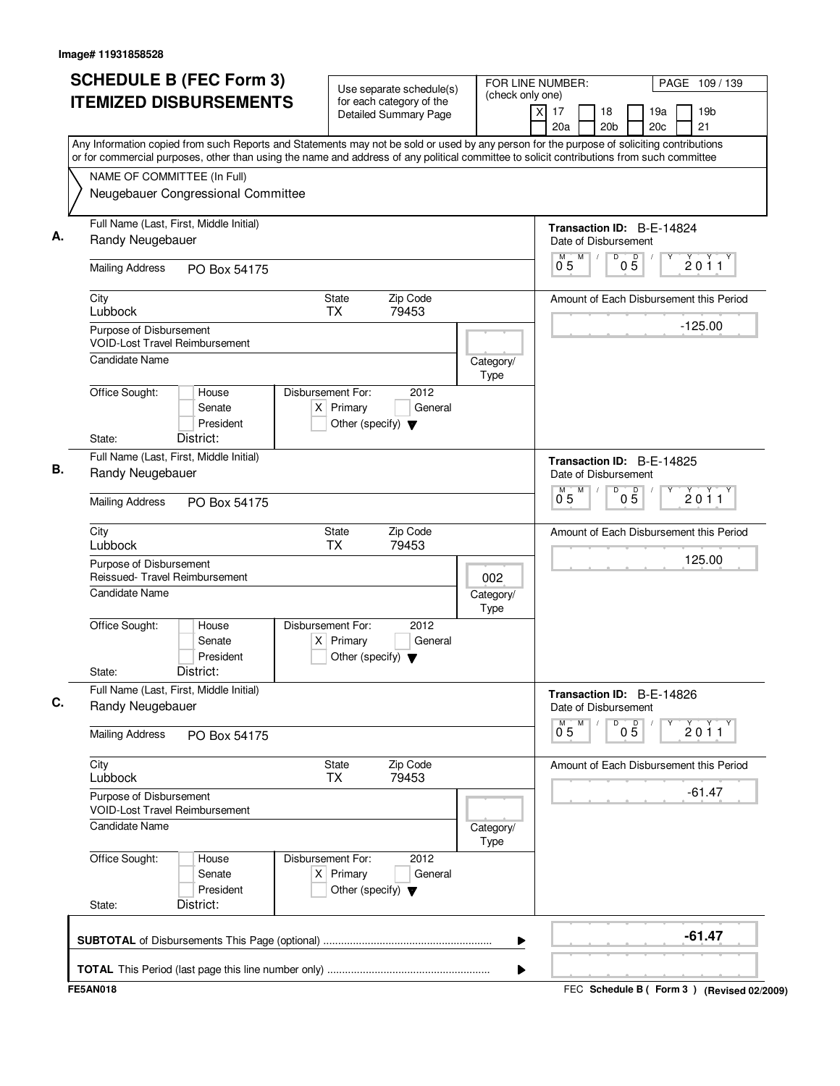| Any Information copied from such Reports and Statements may not be sold or used by any person for the purpose of soliciting contributions<br>or for commercial purposes, other than using the name and address of any political committee to solicit contributions from such committee<br>NAME OF COMMITTEE (In Full)<br>Neugebauer Congressional Committee<br>Full Name (Last, First, Middle Initial)<br>Transaction ID: B-E-14824<br>Randy Neugebauer<br>Date of Disbursement<br>M<br>D<br>$0\overline{5}$<br>$0^{\degree}5$<br><b>Mailing Address</b><br>PO Box 54175<br><b>State</b><br>Zip Code<br>City<br>Lubbock<br><b>TX</b><br>79453<br>$-125.00$<br>Purpose of Disbursement<br><b>VOID-Lost Travel Reimbursement</b><br><b>Candidate Name</b><br>Category/<br>Type<br>Office Sought:<br>Disbursement For:<br>2012<br>House<br>$X$ Primary<br>Senate<br>General<br>President<br>Other (specify) $\blacktriangledown$<br>District:<br>State:<br>Full Name (Last, First, Middle Initial)<br>Transaction ID: B-E-14825<br>Randy Neugebauer<br>Date of Disbursement<br>M<br>D<br>$0\overline{5}$<br>0.5<br><b>Mailing Address</b><br>PO Box 54175<br>Zip Code<br>City<br><b>State</b><br>Lubbock<br><b>TX</b><br>79453<br>125.00<br>Purpose of Disbursement<br>Reissued- Travel Reimbursement<br>002<br><b>Candidate Name</b><br>Category/<br>Type<br>Office Sought:<br>Disbursement For:<br>2012<br>House<br>Senate<br>$X$ Primary<br>General<br>President<br>Other (specify) $\blacktriangledown$<br>District:<br>State:<br>Full Name (Last, First, Middle Initial)<br>Transaction ID: B-E-14826<br>Randy Neugebauer<br>Date of Disbursement<br>М<br>D<br>05<br>0.5<br><b>Mailing Address</b><br>PO Box 54175<br>City<br>State<br>Zip Code<br>Lubbock<br><b>TX</b><br>79453<br>$-61.47$<br>Purpose of Disbursement<br><b>VOID-Lost Travel Reimbursement</b><br><b>Candidate Name</b><br>Category/<br>Type<br>Office Sought:<br>Disbursement For:<br>2012<br>House<br>$X$ Primary<br>Senate<br>General<br>President<br>Other (specify) $\blacktriangledown$<br>District:<br>State: |  |                                         |
|------------------------------------------------------------------------------------------------------------------------------------------------------------------------------------------------------------------------------------------------------------------------------------------------------------------------------------------------------------------------------------------------------------------------------------------------------------------------------------------------------------------------------------------------------------------------------------------------------------------------------------------------------------------------------------------------------------------------------------------------------------------------------------------------------------------------------------------------------------------------------------------------------------------------------------------------------------------------------------------------------------------------------------------------------------------------------------------------------------------------------------------------------------------------------------------------------------------------------------------------------------------------------------------------------------------------------------------------------------------------------------------------------------------------------------------------------------------------------------------------------------------------------------------------------------------------------------------------------------------------------------------------------------------------------------------------------------------------------------------------------------------------------------------------------------------------------------------------------------------------------------------------------------------------------------------------------------------------------------------------------------------------------------------------------------------------------------------|--|-----------------------------------------|
|                                                                                                                                                                                                                                                                                                                                                                                                                                                                                                                                                                                                                                                                                                                                                                                                                                                                                                                                                                                                                                                                                                                                                                                                                                                                                                                                                                                                                                                                                                                                                                                                                                                                                                                                                                                                                                                                                                                                                                                                                                                                                          |  |                                         |
|                                                                                                                                                                                                                                                                                                                                                                                                                                                                                                                                                                                                                                                                                                                                                                                                                                                                                                                                                                                                                                                                                                                                                                                                                                                                                                                                                                                                                                                                                                                                                                                                                                                                                                                                                                                                                                                                                                                                                                                                                                                                                          |  |                                         |
|                                                                                                                                                                                                                                                                                                                                                                                                                                                                                                                                                                                                                                                                                                                                                                                                                                                                                                                                                                                                                                                                                                                                                                                                                                                                                                                                                                                                                                                                                                                                                                                                                                                                                                                                                                                                                                                                                                                                                                                                                                                                                          |  |                                         |
|                                                                                                                                                                                                                                                                                                                                                                                                                                                                                                                                                                                                                                                                                                                                                                                                                                                                                                                                                                                                                                                                                                                                                                                                                                                                                                                                                                                                                                                                                                                                                                                                                                                                                                                                                                                                                                                                                                                                                                                                                                                                                          |  | 2011                                    |
|                                                                                                                                                                                                                                                                                                                                                                                                                                                                                                                                                                                                                                                                                                                                                                                                                                                                                                                                                                                                                                                                                                                                                                                                                                                                                                                                                                                                                                                                                                                                                                                                                                                                                                                                                                                                                                                                                                                                                                                                                                                                                          |  | Amount of Each Disbursement this Period |
|                                                                                                                                                                                                                                                                                                                                                                                                                                                                                                                                                                                                                                                                                                                                                                                                                                                                                                                                                                                                                                                                                                                                                                                                                                                                                                                                                                                                                                                                                                                                                                                                                                                                                                                                                                                                                                                                                                                                                                                                                                                                                          |  |                                         |
|                                                                                                                                                                                                                                                                                                                                                                                                                                                                                                                                                                                                                                                                                                                                                                                                                                                                                                                                                                                                                                                                                                                                                                                                                                                                                                                                                                                                                                                                                                                                                                                                                                                                                                                                                                                                                                                                                                                                                                                                                                                                                          |  |                                         |
|                                                                                                                                                                                                                                                                                                                                                                                                                                                                                                                                                                                                                                                                                                                                                                                                                                                                                                                                                                                                                                                                                                                                                                                                                                                                                                                                                                                                                                                                                                                                                                                                                                                                                                                                                                                                                                                                                                                                                                                                                                                                                          |  |                                         |
|                                                                                                                                                                                                                                                                                                                                                                                                                                                                                                                                                                                                                                                                                                                                                                                                                                                                                                                                                                                                                                                                                                                                                                                                                                                                                                                                                                                                                                                                                                                                                                                                                                                                                                                                                                                                                                                                                                                                                                                                                                                                                          |  |                                         |
|                                                                                                                                                                                                                                                                                                                                                                                                                                                                                                                                                                                                                                                                                                                                                                                                                                                                                                                                                                                                                                                                                                                                                                                                                                                                                                                                                                                                                                                                                                                                                                                                                                                                                                                                                                                                                                                                                                                                                                                                                                                                                          |  | 2011                                    |
|                                                                                                                                                                                                                                                                                                                                                                                                                                                                                                                                                                                                                                                                                                                                                                                                                                                                                                                                                                                                                                                                                                                                                                                                                                                                                                                                                                                                                                                                                                                                                                                                                                                                                                                                                                                                                                                                                                                                                                                                                                                                                          |  | Amount of Each Disbursement this Period |
|                                                                                                                                                                                                                                                                                                                                                                                                                                                                                                                                                                                                                                                                                                                                                                                                                                                                                                                                                                                                                                                                                                                                                                                                                                                                                                                                                                                                                                                                                                                                                                                                                                                                                                                                                                                                                                                                                                                                                                                                                                                                                          |  |                                         |
|                                                                                                                                                                                                                                                                                                                                                                                                                                                                                                                                                                                                                                                                                                                                                                                                                                                                                                                                                                                                                                                                                                                                                                                                                                                                                                                                                                                                                                                                                                                                                                                                                                                                                                                                                                                                                                                                                                                                                                                                                                                                                          |  |                                         |
|                                                                                                                                                                                                                                                                                                                                                                                                                                                                                                                                                                                                                                                                                                                                                                                                                                                                                                                                                                                                                                                                                                                                                                                                                                                                                                                                                                                                                                                                                                                                                                                                                                                                                                                                                                                                                                                                                                                                                                                                                                                                                          |  |                                         |
|                                                                                                                                                                                                                                                                                                                                                                                                                                                                                                                                                                                                                                                                                                                                                                                                                                                                                                                                                                                                                                                                                                                                                                                                                                                                                                                                                                                                                                                                                                                                                                                                                                                                                                                                                                                                                                                                                                                                                                                                                                                                                          |  |                                         |
|                                                                                                                                                                                                                                                                                                                                                                                                                                                                                                                                                                                                                                                                                                                                                                                                                                                                                                                                                                                                                                                                                                                                                                                                                                                                                                                                                                                                                                                                                                                                                                                                                                                                                                                                                                                                                                                                                                                                                                                                                                                                                          |  | 2011                                    |
|                                                                                                                                                                                                                                                                                                                                                                                                                                                                                                                                                                                                                                                                                                                                                                                                                                                                                                                                                                                                                                                                                                                                                                                                                                                                                                                                                                                                                                                                                                                                                                                                                                                                                                                                                                                                                                                                                                                                                                                                                                                                                          |  | Amount of Each Disbursement this Period |
|                                                                                                                                                                                                                                                                                                                                                                                                                                                                                                                                                                                                                                                                                                                                                                                                                                                                                                                                                                                                                                                                                                                                                                                                                                                                                                                                                                                                                                                                                                                                                                                                                                                                                                                                                                                                                                                                                                                                                                                                                                                                                          |  |                                         |
|                                                                                                                                                                                                                                                                                                                                                                                                                                                                                                                                                                                                                                                                                                                                                                                                                                                                                                                                                                                                                                                                                                                                                                                                                                                                                                                                                                                                                                                                                                                                                                                                                                                                                                                                                                                                                                                                                                                                                                                                                                                                                          |  |                                         |
|                                                                                                                                                                                                                                                                                                                                                                                                                                                                                                                                                                                                                                                                                                                                                                                                                                                                                                                                                                                                                                                                                                                                                                                                                                                                                                                                                                                                                                                                                                                                                                                                                                                                                                                                                                                                                                                                                                                                                                                                                                                                                          |  |                                         |
|                                                                                                                                                                                                                                                                                                                                                                                                                                                                                                                                                                                                                                                                                                                                                                                                                                                                                                                                                                                                                                                                                                                                                                                                                                                                                                                                                                                                                                                                                                                                                                                                                                                                                                                                                                                                                                                                                                                                                                                                                                                                                          |  |                                         |
| ▶                                                                                                                                                                                                                                                                                                                                                                                                                                                                                                                                                                                                                                                                                                                                                                                                                                                                                                                                                                                                                                                                                                                                                                                                                                                                                                                                                                                                                                                                                                                                                                                                                                                                                                                                                                                                                                                                                                                                                                                                                                                                                        |  | $-61.47$                                |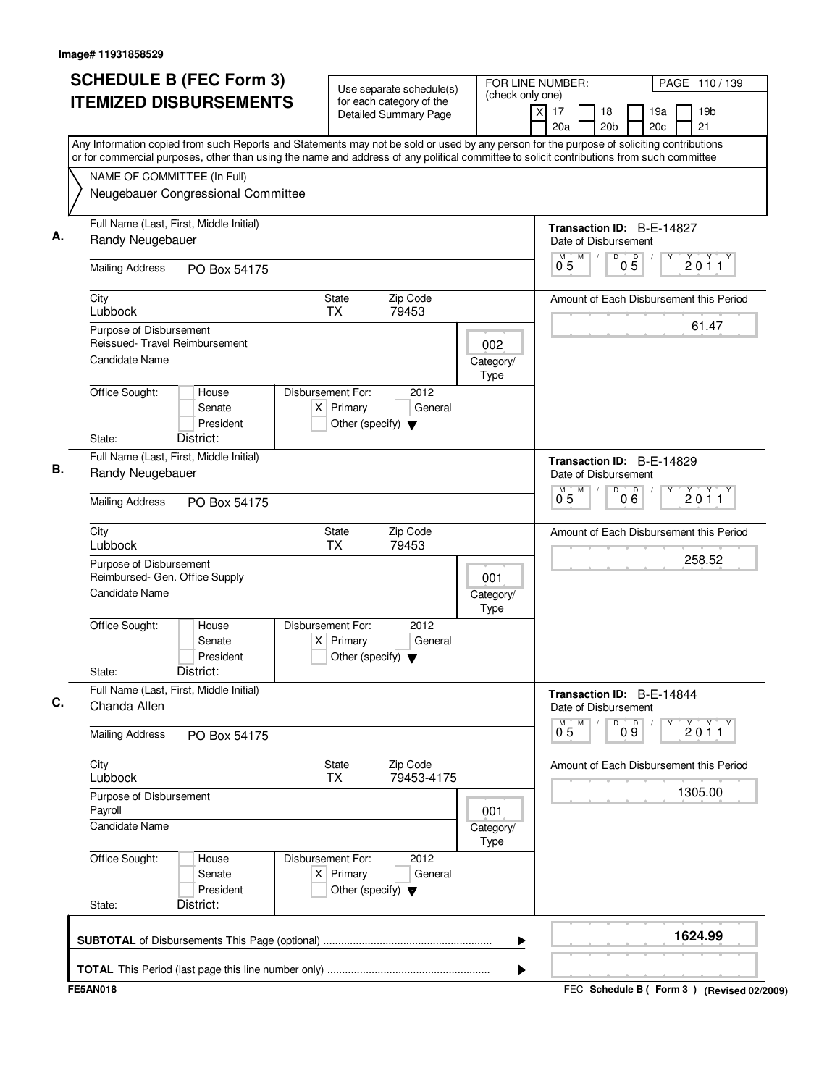| <b>SCHEDULE B (FEC Form 3)</b><br><b>ITEMIZED DISBURSEMENTS</b><br>Any Information copied from such Reports and Statements may not be sold or used by any person for the purpose of soliciting contributions   | Use separate schedule(s)<br>(check only one)<br>for each category of the<br><b>Detailed Summary Page</b> | FOR LINE NUMBER:<br>PAGE 110/139<br>17<br>19 <sub>b</sub><br>X<br>18<br>19a<br>20c<br>21<br>20a<br>20 <sub>b</sub> |
|----------------------------------------------------------------------------------------------------------------------------------------------------------------------------------------------------------------|----------------------------------------------------------------------------------------------------------|--------------------------------------------------------------------------------------------------------------------|
| or for commercial purposes, other than using the name and address of any political committee to solicit contributions from such committee<br>NAME OF COMMITTEE (In Full)<br>Neugebauer Congressional Committee |                                                                                                          |                                                                                                                    |
| Full Name (Last, First, Middle Initial)<br>Randy Neugebauer                                                                                                                                                    |                                                                                                          | Transaction ID: B-E-14827<br>Date of Disbursement                                                                  |
| <b>Mailing Address</b><br>PO Box 54175                                                                                                                                                                         |                                                                                                          | M<br>D<br>$0\overline{5}$<br>2011<br>$0^{\degree}5$                                                                |
| City<br>Lubbock                                                                                                                                                                                                | <b>State</b><br>Zip Code<br><b>TX</b><br>79453                                                           | Amount of Each Disbursement this Period                                                                            |
| Purpose of Disbursement<br>Reissued- Travel Reimbursement<br><b>Candidate Name</b>                                                                                                                             | 002<br>Category/                                                                                         | 61.47                                                                                                              |
| Office Sought:<br>House<br>Senate<br>President<br>District:<br>State:                                                                                                                                          | Type<br>Disbursement For:<br>2012<br>$X$ Primary<br>General<br>Other (specify) $\blacktriangledown$      |                                                                                                                    |
| Full Name (Last, First, Middle Initial)<br>Randy Neugebauer                                                                                                                                                    |                                                                                                          | Transaction ID: B-E-14829<br>Date of Disbursement<br>M<br>D                                                        |
| <b>Mailing Address</b><br>PO Box 54175                                                                                                                                                                         |                                                                                                          | $0\overline{6}$<br>2011<br>0.5                                                                                     |
| City<br>Lubbock                                                                                                                                                                                                | <b>State</b><br>Zip Code<br><b>TX</b><br>79453                                                           | Amount of Each Disbursement this Period                                                                            |
| Purpose of Disbursement<br>Reimbursed- Gen. Office Supply<br><b>Candidate Name</b>                                                                                                                             | 001<br>Category/<br>Type                                                                                 | 258.52                                                                                                             |
| Office Sought:<br>House<br>Senate<br>President<br>District:<br>State:                                                                                                                                          | Disbursement For:<br>2012<br>$X$ Primary<br>General<br>Other (specify) $\blacktriangledown$              |                                                                                                                    |
| Full Name (Last, First, Middle Initial)<br>Chanda Allen                                                                                                                                                        |                                                                                                          | Transaction ID: B-E-14844<br>Date of Disbursement                                                                  |
| <b>Mailing Address</b><br>PO Box 54175                                                                                                                                                                         |                                                                                                          | M<br>D<br>09<br>2011<br>0.5                                                                                        |
| City<br>Lubbock                                                                                                                                                                                                | State<br>Zip Code<br>79453-4175<br><b>TX</b>                                                             | Amount of Each Disbursement this Period                                                                            |
| Purpose of Disbursement<br>Payroll<br><b>Candidate Name</b>                                                                                                                                                    | 001<br>Category/                                                                                         | 1305.00                                                                                                            |
| Office Sought:<br>House<br>Senate<br>President<br>District:<br>State:                                                                                                                                          | Type<br>Disbursement For:<br>2012<br>$X$ Primary<br>General<br>Other (specify) $\blacktriangledown$      |                                                                                                                    |
|                                                                                                                                                                                                                | ▶                                                                                                        | 1624.99                                                                                                            |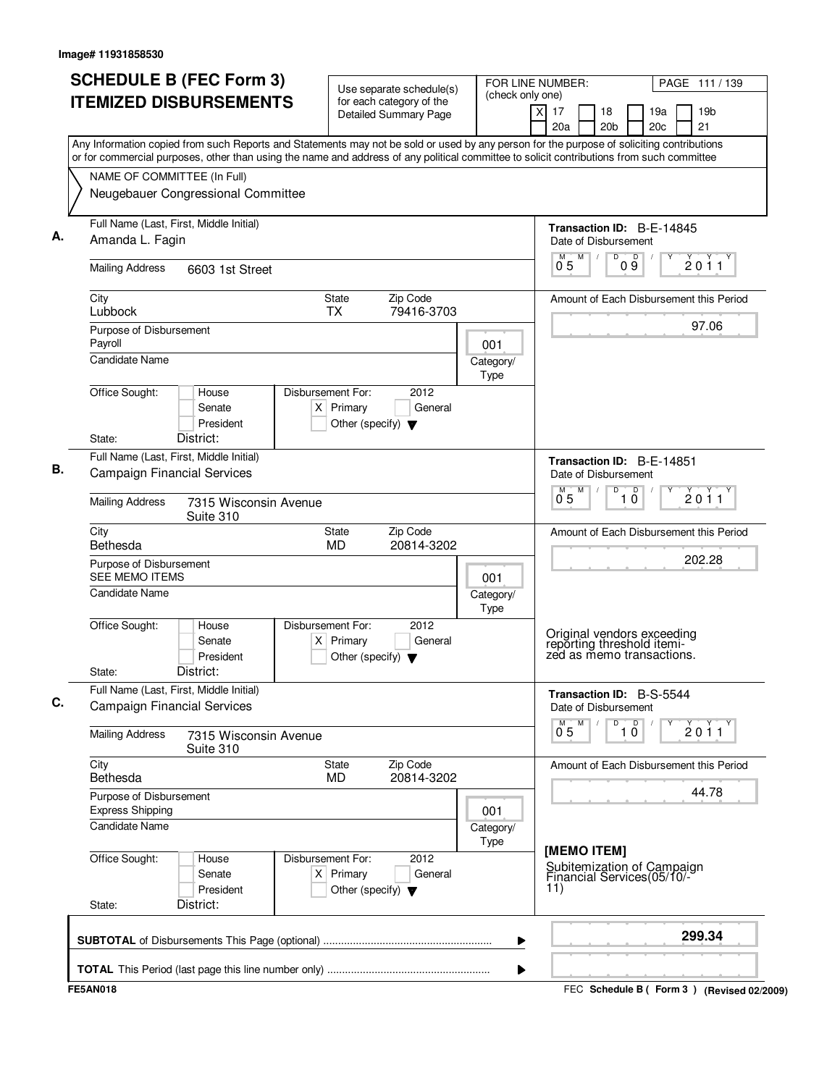| <b>ITEMIZED DISBURSEMENTS</b><br>Any Information copied from such Reports and Statements may not be sold or used by any person for the purpose of soliciting contributions<br>or for commercial purposes, other than using the name and address of any political committee to solicit contributions from such committee<br>NAME OF COMMITTEE (In Full)<br>Neugebauer Congressional Committee<br>Full Name (Last, First, Middle Initial) | for each category of the<br><b>Detailed Summary Page</b>                                            |                          | $\overline{X}$<br>17<br>18<br>20a<br>20 <sub>b</sub>                                  |                      | 19a<br>20c | 19 <sub>b</sub><br>21                     |
|-----------------------------------------------------------------------------------------------------------------------------------------------------------------------------------------------------------------------------------------------------------------------------------------------------------------------------------------------------------------------------------------------------------------------------------------|-----------------------------------------------------------------------------------------------------|--------------------------|---------------------------------------------------------------------------------------|----------------------|------------|-------------------------------------------|
|                                                                                                                                                                                                                                                                                                                                                                                                                                         |                                                                                                     |                          |                                                                                       |                      |            |                                           |
|                                                                                                                                                                                                                                                                                                                                                                                                                                         |                                                                                                     |                          |                                                                                       |                      |            |                                           |
|                                                                                                                                                                                                                                                                                                                                                                                                                                         |                                                                                                     |                          |                                                                                       |                      |            |                                           |
|                                                                                                                                                                                                                                                                                                                                                                                                                                         |                                                                                                     |                          |                                                                                       |                      |            |                                           |
|                                                                                                                                                                                                                                                                                                                                                                                                                                         |                                                                                                     |                          | <b>Transaction ID: B-E-14845</b>                                                      |                      |            |                                           |
| Amanda L. Fagin                                                                                                                                                                                                                                                                                                                                                                                                                         |                                                                                                     |                          | Date of Disbursement                                                                  |                      |            |                                           |
| <b>Mailing Address</b><br>6603 1st Street                                                                                                                                                                                                                                                                                                                                                                                               |                                                                                                     |                          | M<br>M<br>0 <sub>5</sub>                                                              | D<br>D<br>09         |            | 2011                                      |
| City<br>Lubbock                                                                                                                                                                                                                                                                                                                                                                                                                         | Zip Code<br>State<br><b>TX</b><br>79416-3703                                                        |                          |                                                                                       |                      |            | Amount of Each Disbursement this Period   |
| Purpose of Disbursement                                                                                                                                                                                                                                                                                                                                                                                                                 |                                                                                                     |                          |                                                                                       |                      |            | 97.06                                     |
| Payroll<br><b>Candidate Name</b>                                                                                                                                                                                                                                                                                                                                                                                                        |                                                                                                     | 001<br>Category/<br>Type |                                                                                       |                      |            |                                           |
| Office Sought:<br>House<br>Senate<br>President<br>District:<br>State:                                                                                                                                                                                                                                                                                                                                                                   | Disbursement For:<br>2012<br>$X$ Primary<br>General<br>Other (specify) $\blacktriangledown$         |                          |                                                                                       |                      |            |                                           |
| Full Name (Last, First, Middle Initial)                                                                                                                                                                                                                                                                                                                                                                                                 |                                                                                                     |                          | Transaction ID: B-E-14851                                                             |                      |            |                                           |
| <b>Campaign Financial Services</b>                                                                                                                                                                                                                                                                                                                                                                                                      |                                                                                                     |                          | Date of Disbursement<br>M<br>M                                                        | D                    |            |                                           |
| <b>Mailing Address</b><br>7315 Wisconsin Avenue<br>Suite 310                                                                                                                                                                                                                                                                                                                                                                            |                                                                                                     |                          | 05                                                                                    | $\overline{10}$      |            | 2011                                      |
| City<br>Bethesda                                                                                                                                                                                                                                                                                                                                                                                                                        | Zip Code<br>State<br><b>MD</b><br>20814-3202                                                        |                          |                                                                                       |                      |            | Amount of Each Disbursement this Period   |
| Purpose of Disbursement<br><b>SEE MEMO ITEMS</b>                                                                                                                                                                                                                                                                                                                                                                                        |                                                                                                     | 001                      |                                                                                       |                      |            | 202.28                                    |
| <b>Candidate Name</b>                                                                                                                                                                                                                                                                                                                                                                                                                   |                                                                                                     | Category/<br>Type        |                                                                                       |                      |            |                                           |
| Office Sought:<br>House<br>Senate<br>President<br>District:<br>State:                                                                                                                                                                                                                                                                                                                                                                   | Disbursement For:<br>2012<br>Primary<br>General<br>$\times$<br>Other (specify) $\blacktriangledown$ |                          | Original vendors exceeding<br>reporting threshold itemi-<br>zed as memo transactions. |                      |            |                                           |
| Full Name (Last, First, Middle Initial)                                                                                                                                                                                                                                                                                                                                                                                                 |                                                                                                     |                          | Transaction ID: B-S-5544                                                              |                      |            |                                           |
| <b>Campaign Financial Services</b>                                                                                                                                                                                                                                                                                                                                                                                                      |                                                                                                     |                          | Date of Disbursement                                                                  |                      |            |                                           |
| <b>Mailing Address</b><br>7315 Wisconsin Avenue<br>Suite 310                                                                                                                                                                                                                                                                                                                                                                            |                                                                                                     |                          | M<br>$0^{M}$ 5                                                                        | D<br>$\overline{10}$ |            | 2011                                      |
| City<br>Bethesda                                                                                                                                                                                                                                                                                                                                                                                                                        | Zip Code<br>State<br>20814-3202<br><b>MD</b>                                                        |                          |                                                                                       |                      |            | Amount of Each Disbursement this Period   |
| Purpose of Disbursement<br><b>Express Shipping</b>                                                                                                                                                                                                                                                                                                                                                                                      |                                                                                                     | 001                      |                                                                                       |                      |            | 44.78                                     |
| <b>Candidate Name</b>                                                                                                                                                                                                                                                                                                                                                                                                                   |                                                                                                     | Category/<br>Type        |                                                                                       |                      |            |                                           |
| Office Sought:<br>House<br>Senate<br>President<br>District:<br>State:                                                                                                                                                                                                                                                                                                                                                                   | Disbursement For:<br>2012<br>$X$ Primary<br>General<br>Other (specify) $\blacktriangledown$         |                          | [MEMO ITEM]<br>Subitemization of Campaign<br>Financial Services(05/10/-<br>11)        |                      |            |                                           |
|                                                                                                                                                                                                                                                                                                                                                                                                                                         |                                                                                                     | ▶                        |                                                                                       |                      |            | 299.34                                    |
| <b>FE5AN018</b>                                                                                                                                                                                                                                                                                                                                                                                                                         |                                                                                                     | ▶                        |                                                                                       |                      |            | FEC Schedule B (Form 3) (Revised 02/2009) |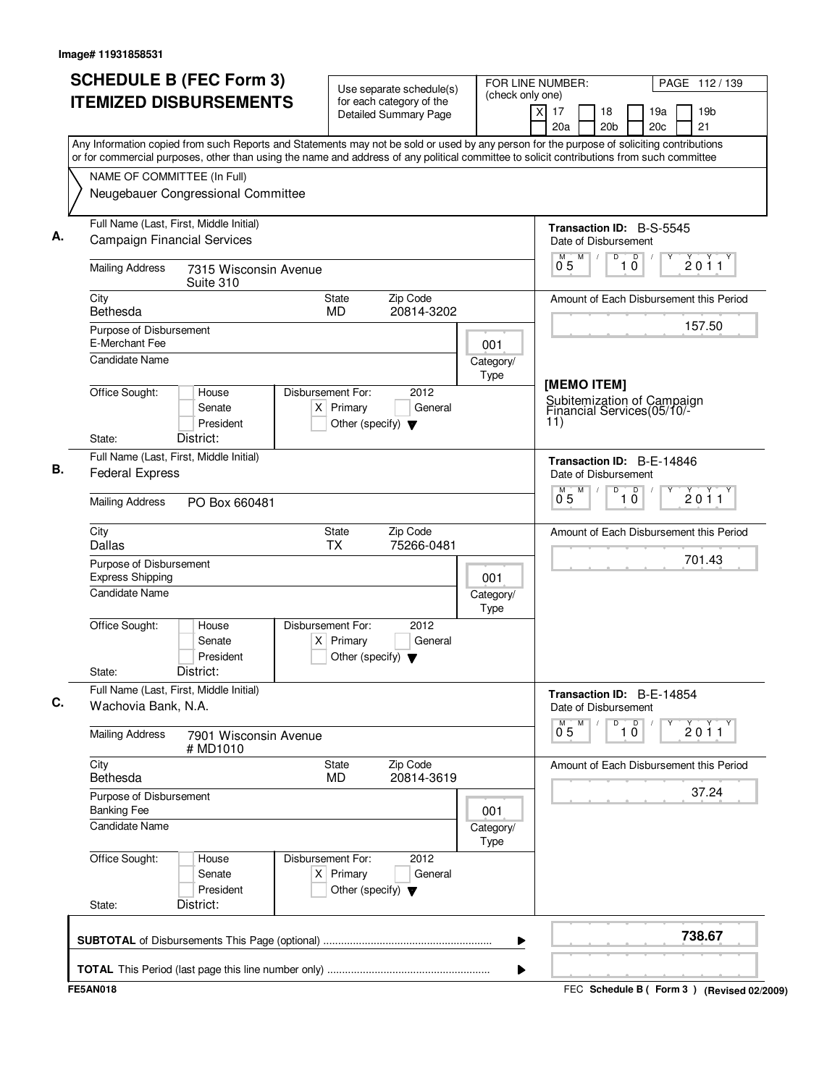| <b>SCHEDULE B (FEC Form 3)</b><br><b>ITEMIZED DISBURSEMENTS</b>                                                                                                                                                                                                                        | Use separate schedule(s)<br>for each category of the<br><b>Detailed Summary Page</b>        | FOR LINE NUMBER:<br>(check only one)<br>X | PAGE 112/139<br>17<br>19 <sub>b</sub><br>18<br>19a<br>20c<br>21<br>20a<br>20 <sub>b</sub> |
|----------------------------------------------------------------------------------------------------------------------------------------------------------------------------------------------------------------------------------------------------------------------------------------|---------------------------------------------------------------------------------------------|-------------------------------------------|-------------------------------------------------------------------------------------------|
| Any Information copied from such Reports and Statements may not be sold or used by any person for the purpose of soliciting contributions<br>or for commercial purposes, other than using the name and address of any political committee to solicit contributions from such committee |                                                                                             |                                           |                                                                                           |
| NAME OF COMMITTEE (In Full)                                                                                                                                                                                                                                                            |                                                                                             |                                           |                                                                                           |
| Neugebauer Congressional Committee                                                                                                                                                                                                                                                     |                                                                                             |                                           |                                                                                           |
| Full Name (Last, First, Middle Initial)<br><b>Campaign Financial Services</b>                                                                                                                                                                                                          |                                                                                             |                                           | <b>Transaction ID: B-S-5545</b><br>Date of Disbursement                                   |
| <b>Mailing Address</b><br>7315 Wisconsin Avenue<br>Suite 310                                                                                                                                                                                                                           |                                                                                             |                                           | M<br>D<br>D<br>M<br>2011<br>$1\bar{0}$<br>0 <sub>5</sub>                                  |
| City<br>Bethesda                                                                                                                                                                                                                                                                       | <b>State</b><br>Zip Code<br><b>MD</b><br>20814-3202                                         |                                           | Amount of Each Disbursement this Period                                                   |
| Purpose of Disbursement<br>E-Merchant Fee                                                                                                                                                                                                                                              |                                                                                             | 001                                       | 157.50                                                                                    |
| Candidate Name                                                                                                                                                                                                                                                                         |                                                                                             | Category/<br>Type                         |                                                                                           |
| Office Sought:<br>House<br>Senate<br>President<br>District:                                                                                                                                                                                                                            | Disbursement For:<br>2012<br>$X$ Primary<br>General<br>Other (specify) $\blacktriangledown$ |                                           | [MEMO ITEM]<br>Subitemization of Campaign<br>Financial Services(05/10/-<br>11)            |
| State:<br>Full Name (Last, First, Middle Initial)                                                                                                                                                                                                                                      |                                                                                             |                                           |                                                                                           |
| <b>Federal Express</b>                                                                                                                                                                                                                                                                 |                                                                                             |                                           | Transaction ID: B-E-14846<br>Date of Disbursement<br>M<br>D                               |
| <b>Mailing Address</b><br>PO Box 660481                                                                                                                                                                                                                                                |                                                                                             |                                           | $\overline{10}$<br>2011<br>0.5                                                            |
| City<br><b>Dallas</b>                                                                                                                                                                                                                                                                  | Zip Code<br><b>State</b><br><b>TX</b><br>75266-0481                                         |                                           | Amount of Each Disbursement this Period                                                   |
| Purpose of Disbursement<br><b>Express Shipping</b>                                                                                                                                                                                                                                     |                                                                                             | 001                                       | 701.43                                                                                    |
| <b>Candidate Name</b>                                                                                                                                                                                                                                                                  |                                                                                             | Category/<br>Type                         |                                                                                           |
| Office Sought:<br>House<br>Senate<br>President<br>District:<br>State:                                                                                                                                                                                                                  | Disbursement For:<br>2012<br>$X$ Primary<br>General<br>Other (specify) $\blacktriangledown$ |                                           |                                                                                           |
| Full Name (Last, First, Middle Initial)                                                                                                                                                                                                                                                |                                                                                             |                                           | Transaction ID: B-E-14854                                                                 |
| Wachovia Bank, N.A.                                                                                                                                                                                                                                                                    |                                                                                             |                                           | Date of Disbursement<br>М<br>D                                                            |
| <b>Mailing Address</b><br>7901 Wisconsin Avenue<br># MD1010                                                                                                                                                                                                                            |                                                                                             |                                           | $\overline{10}$<br>$\check{2}$ 0 1 1<br>0 <sub>5</sub>                                    |
| City<br>Bethesda                                                                                                                                                                                                                                                                       | Zip Code<br>State<br>MD<br>20814-3619                                                       |                                           | Amount of Each Disbursement this Period                                                   |
| Purpose of Disbursement<br><b>Banking Fee</b>                                                                                                                                                                                                                                          |                                                                                             | 001                                       | 37.24                                                                                     |
| <b>Candidate Name</b>                                                                                                                                                                                                                                                                  |                                                                                             | Category/<br>Type                         |                                                                                           |
| Office Sought:<br>House<br>Senate<br>President                                                                                                                                                                                                                                         | Disbursement For:<br>2012<br>$X$ Primary<br>General<br>Other (specify) $\blacktriangledown$ |                                           |                                                                                           |
| District:<br>State:                                                                                                                                                                                                                                                                    |                                                                                             |                                           |                                                                                           |
|                                                                                                                                                                                                                                                                                        |                                                                                             | ▶                                         | 738.67                                                                                    |
|                                                                                                                                                                                                                                                                                        |                                                                                             |                                           |                                                                                           |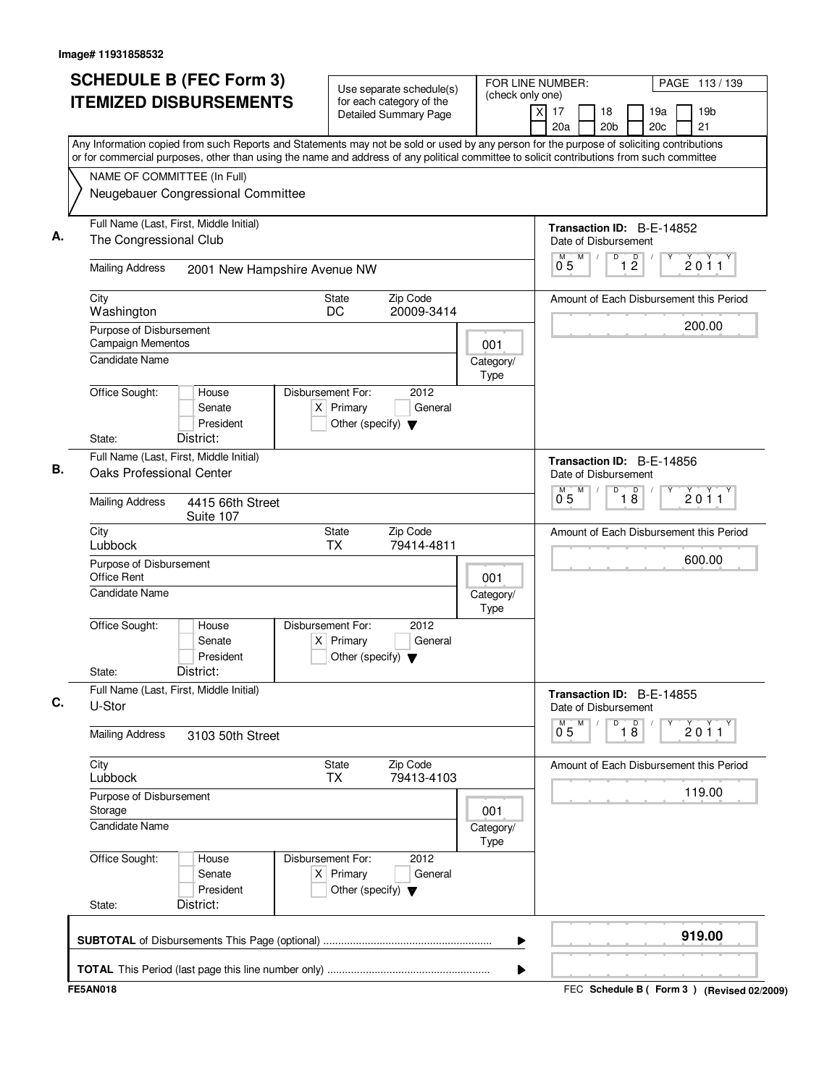|                                              | <b>SCHEDULE B (FEC Form 3)</b>                                                                                                                                                                                                                                                         |                                                                          | Use separate schedule(s)                                 | FOR LINE NUMBER:<br>(check only one) |                                                          |   |                       |                               |            | PAGE 113/139                            |
|----------------------------------------------|----------------------------------------------------------------------------------------------------------------------------------------------------------------------------------------------------------------------------------------------------------------------------------------|--------------------------------------------------------------------------|----------------------------------------------------------|--------------------------------------|----------------------------------------------------------|---|-----------------------|-------------------------------|------------|-----------------------------------------|
|                                              | <b>ITEMIZED DISBURSEMENTS</b>                                                                                                                                                                                                                                                          |                                                                          | for each category of the<br><b>Detailed Summary Page</b> |                                      | xl<br>17<br>20a                                          |   | 18<br>20 <sub>b</sub> |                               | 19a<br>20c | 19 <sub>b</sub><br>21                   |
|                                              | Any Information copied from such Reports and Statements may not be sold or used by any person for the purpose of soliciting contributions<br>or for commercial purposes, other than using the name and address of any political committee to solicit contributions from such committee |                                                                          |                                                          |                                      |                                                          |   |                       |                               |            |                                         |
| NAME OF COMMITTEE (In Full)                  |                                                                                                                                                                                                                                                                                        |                                                                          |                                                          |                                      |                                                          |   |                       |                               |            |                                         |
|                                              | Neugebauer Congressional Committee                                                                                                                                                                                                                                                     |                                                                          |                                                          |                                      |                                                          |   |                       |                               |            |                                         |
| The Congressional Club                       | Full Name (Last, First, Middle Initial)                                                                                                                                                                                                                                                |                                                                          |                                                          |                                      | Transaction ID: B-E-14852<br>Date of Disbursement        |   |                       |                               |            |                                         |
| <b>Mailing Address</b>                       | 2001 New Hampshire Avenue NW                                                                                                                                                                                                                                                           |                                                                          |                                                          |                                      | M<br>05                                                  | M | D                     | $\overline{1}$ $\overline{2}$ |            | $\overline{2011}$                       |
| City<br>Washington                           |                                                                                                                                                                                                                                                                                        | State<br>DC                                                              | Zip Code<br>20009-3414                                   |                                      |                                                          |   |                       |                               |            | Amount of Each Disbursement this Period |
| Purpose of Disbursement<br>Campaign Mementos |                                                                                                                                                                                                                                                                                        |                                                                          |                                                          | 001                                  |                                                          |   |                       |                               |            | 200.00                                  |
| Candidate Name                               |                                                                                                                                                                                                                                                                                        |                                                                          |                                                          | Category/<br>Type                    |                                                          |   |                       |                               |            |                                         |
| Office Sought:                               | House<br>Senate<br>President                                                                                                                                                                                                                                                           | Disbursement For:<br>$X$ Primary<br>Other (specify) $\blacktriangledown$ | 2012<br>General                                          |                                      |                                                          |   |                       |                               |            |                                         |
| State:                                       | District:                                                                                                                                                                                                                                                                              |                                                                          |                                                          |                                      |                                                          |   |                       |                               |            |                                         |
| Oaks Professional Center                     | Full Name (Last, First, Middle Initial)                                                                                                                                                                                                                                                |                                                                          |                                                          |                                      | <b>Transaction ID: B-E-14856</b><br>Date of Disbursement |   |                       |                               |            |                                         |
| <b>Mailing Address</b>                       | 4415 66th Street<br>Suite 107                                                                                                                                                                                                                                                          |                                                                          |                                                          |                                      | $0^{\degree}5$                                           | M | D                     | $\overline{18}$               |            | 2011                                    |
| City<br>Lubbock                              |                                                                                                                                                                                                                                                                                        | <b>State</b><br><b>TX</b>                                                | Zip Code<br>79414-4811                                   |                                      |                                                          |   |                       |                               |            | Amount of Each Disbursement this Period |
| Purpose of Disbursement<br>Office Rent       |                                                                                                                                                                                                                                                                                        |                                                                          |                                                          | 001                                  |                                                          |   |                       |                               |            | 600.00                                  |
| Candidate Name                               |                                                                                                                                                                                                                                                                                        |                                                                          |                                                          | Category/<br>Type                    |                                                          |   |                       |                               |            |                                         |
| Office Sought:                               | House<br>Senate<br>President                                                                                                                                                                                                                                                           | Disbursement For:<br>$X$ Primary<br>Other (specify) $\blacktriangledown$ | 2012<br>General                                          |                                      |                                                          |   |                       |                               |            |                                         |
| State:                                       | District:                                                                                                                                                                                                                                                                              |                                                                          |                                                          |                                      |                                                          |   |                       |                               |            |                                         |
| U-Stor                                       | Full Name (Last, First, Middle Initial)                                                                                                                                                                                                                                                |                                                                          |                                                          |                                      | Transaction ID: B-E-14855<br>Date of Disbursement        |   |                       |                               |            |                                         |
| <b>Mailing Address</b>                       | 3103 50th Street                                                                                                                                                                                                                                                                       |                                                                          |                                                          |                                      | M<br>0.5                                                 | M | D                     | $\overline{18}$               |            | $\overrightarrow{2}$ 0 1 1              |
| City<br>Lubbock                              |                                                                                                                                                                                                                                                                                        | State<br><b>TX</b>                                                       | Zip Code<br>79413-4103                                   |                                      |                                                          |   |                       |                               |            | Amount of Each Disbursement this Period |
| Purpose of Disbursement<br>Storage           |                                                                                                                                                                                                                                                                                        |                                                                          |                                                          | 001                                  |                                                          |   |                       |                               |            | 119.00                                  |
| <b>Candidate Name</b>                        |                                                                                                                                                                                                                                                                                        |                                                                          |                                                          | Category/<br>Type                    |                                                          |   |                       |                               |            |                                         |
| Office Sought:                               | House<br>Senate<br>President                                                                                                                                                                                                                                                           | Disbursement For:<br>$X$ Primary<br>Other (specify) $\blacktriangledown$ | 2012<br>General                                          |                                      |                                                          |   |                       |                               |            |                                         |
| State:                                       | District:                                                                                                                                                                                                                                                                              |                                                                          |                                                          |                                      |                                                          |   |                       |                               |            |                                         |
|                                              |                                                                                                                                                                                                                                                                                        |                                                                          |                                                          |                                      |                                                          |   |                       |                               |            |                                         |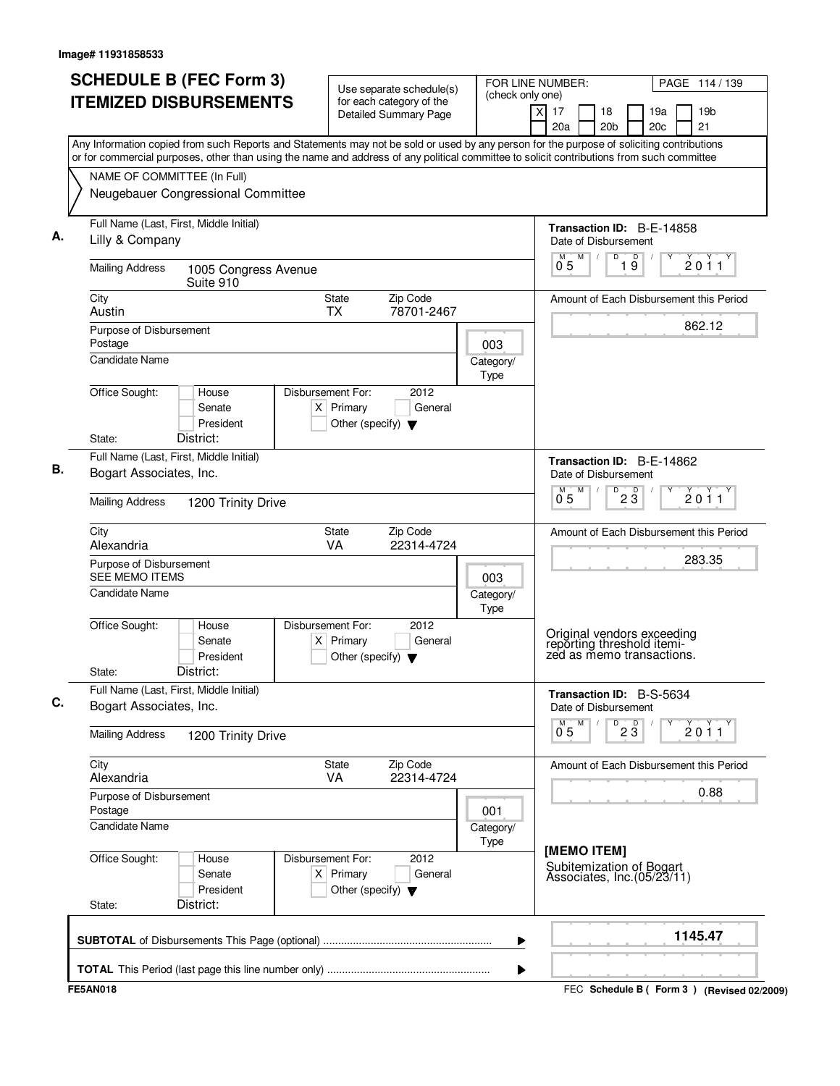| <b>SCHEDULE B (FEC Form 3)</b>                                                                                                                                                                                                                                                         | Use separate schedule(s)                                                                    | FOR LINE NUMBER:  |                                                                                       |                       |                 |                        | PAGE 114 / 139                              |
|----------------------------------------------------------------------------------------------------------------------------------------------------------------------------------------------------------------------------------------------------------------------------------------|---------------------------------------------------------------------------------------------|-------------------|---------------------------------------------------------------------------------------|-----------------------|-----------------|------------------------|---------------------------------------------|
| <b>ITEMIZED DISBURSEMENTS</b>                                                                                                                                                                                                                                                          | for each category of the<br><b>Detailed Summary Page</b>                                    | (check only one)  | x<br>17<br>20a                                                                        | 18<br>20 <sub>b</sub> |                 | 19a<br>20 <sub>c</sub> | 19 <sub>b</sub><br>21                       |
| Any Information copied from such Reports and Statements may not be sold or used by any person for the purpose of soliciting contributions<br>or for commercial purposes, other than using the name and address of any political committee to solicit contributions from such committee |                                                                                             |                   |                                                                                       |                       |                 |                        |                                             |
| NAME OF COMMITTEE (In Full)                                                                                                                                                                                                                                                            |                                                                                             |                   |                                                                                       |                       |                 |                        |                                             |
| Neugebauer Congressional Committee                                                                                                                                                                                                                                                     |                                                                                             |                   |                                                                                       |                       |                 |                        |                                             |
| Full Name (Last, First, Middle Initial)                                                                                                                                                                                                                                                |                                                                                             |                   | Transaction ID: B-E-14858                                                             |                       |                 |                        |                                             |
| Lilly & Company                                                                                                                                                                                                                                                                        |                                                                                             |                   | Date of Disbursement<br>M                                                             | D                     | $\overline{D}$  |                        |                                             |
| <b>Mailing Address</b><br>1005 Congress Avenue<br>Suite 910                                                                                                                                                                                                                            |                                                                                             |                   | $0^{\degree}5$                                                                        |                       | 19              |                        | 2011                                        |
| City<br>Austin                                                                                                                                                                                                                                                                         | State<br>Zip Code<br><b>TX</b><br>78701-2467                                                |                   |                                                                                       |                       |                 |                        | Amount of Each Disbursement this Period     |
| Purpose of Disbursement                                                                                                                                                                                                                                                                |                                                                                             |                   |                                                                                       |                       |                 |                        | 862.12                                      |
| Postage<br><b>Candidate Name</b>                                                                                                                                                                                                                                                       |                                                                                             | 003               |                                                                                       |                       |                 |                        |                                             |
|                                                                                                                                                                                                                                                                                        |                                                                                             | Category/<br>Type |                                                                                       |                       |                 |                        |                                             |
| Office Sought:<br>House                                                                                                                                                                                                                                                                | Disbursement For:<br>2012                                                                   |                   |                                                                                       |                       |                 |                        |                                             |
| Senate<br>President                                                                                                                                                                                                                                                                    | $X$ Primary<br>General                                                                      |                   |                                                                                       |                       |                 |                        |                                             |
| District:<br>State:                                                                                                                                                                                                                                                                    | Other (specify) $\blacktriangledown$                                                        |                   |                                                                                       |                       |                 |                        |                                             |
| Full Name (Last, First, Middle Initial)                                                                                                                                                                                                                                                |                                                                                             |                   | Transaction ID: B-E-14862                                                             |                       |                 |                        |                                             |
| Bogart Associates, Inc.                                                                                                                                                                                                                                                                |                                                                                             |                   | Date of Disbursement<br>M                                                             | D                     |                 |                        |                                             |
| <b>Mailing Address</b><br>1200 Trinity Drive                                                                                                                                                                                                                                           |                                                                                             |                   | $0^{\degree}5$                                                                        |                       | $2\overline{3}$ |                        | 2011                                        |
| City<br>Alexandria                                                                                                                                                                                                                                                                     | State<br>Zip Code<br>VA<br>22314-4724                                                       |                   |                                                                                       |                       |                 |                        | Amount of Each Disbursement this Period     |
| Purpose of Disbursement<br><b>SEE MEMO ITEMS</b>                                                                                                                                                                                                                                       |                                                                                             | 003               |                                                                                       |                       |                 |                        | 283.35                                      |
| Candidate Name                                                                                                                                                                                                                                                                         |                                                                                             | Category/<br>Type |                                                                                       |                       |                 |                        |                                             |
| Office Sought:<br>House<br>Senate<br>President<br>District:<br>State:                                                                                                                                                                                                                  | Disbursement For:<br>2012<br>$X$ Primary<br>General<br>Other (specify) $\blacktriangledown$ |                   | Original vendors exceeding<br>reporting threshold itemi-<br>zed as memo transactions. |                       |                 |                        |                                             |
| Full Name (Last, First, Middle Initial)                                                                                                                                                                                                                                                |                                                                                             |                   | Transaction ID: B-S-5634                                                              |                       |                 |                        |                                             |
| Bogart Associates, Inc.                                                                                                                                                                                                                                                                |                                                                                             |                   | Date of Disbursement                                                                  |                       |                 |                        |                                             |
| <b>Mailing Address</b><br>1200 Trinity Drive                                                                                                                                                                                                                                           |                                                                                             |                   | M<br>$0^{\degree}5$                                                                   | D                     | $2\overline{3}$ |                        | 2011                                        |
| City<br>Alexandria                                                                                                                                                                                                                                                                     | Zip Code<br>State<br><b>VA</b><br>22314-4724                                                |                   |                                                                                       |                       |                 |                        | Amount of Each Disbursement this Period     |
| Purpose of Disbursement<br>Postage                                                                                                                                                                                                                                                     |                                                                                             | 001               |                                                                                       |                       |                 |                        | 0.88                                        |
| Candidate Name                                                                                                                                                                                                                                                                         |                                                                                             | Category/<br>Type |                                                                                       |                       |                 |                        |                                             |
| Office Sought:<br>House<br>Senate<br>President<br>District:<br>State:                                                                                                                                                                                                                  | Disbursement For:<br>2012<br>$X$ Primary<br>General<br>Other (specify) $\blacktriangledown$ |                   | [MEMO ITEM]<br>Subitemization of Bogart<br>Associates, Inc. (05/23/11)                |                       |                 |                        |                                             |
|                                                                                                                                                                                                                                                                                        |                                                                                             | ▶                 |                                                                                       |                       |                 |                        | 1145.47                                     |
|                                                                                                                                                                                                                                                                                        |                                                                                             |                   |                                                                                       |                       |                 |                        |                                             |
|                                                                                                                                                                                                                                                                                        |                                                                                             | ▶                 |                                                                                       |                       |                 |                        |                                             |
| <b>FE5AN018</b>                                                                                                                                                                                                                                                                        |                                                                                             |                   |                                                                                       |                       |                 |                        | FEC Schedule B ( Form 3 ) (Revised 02/2009) |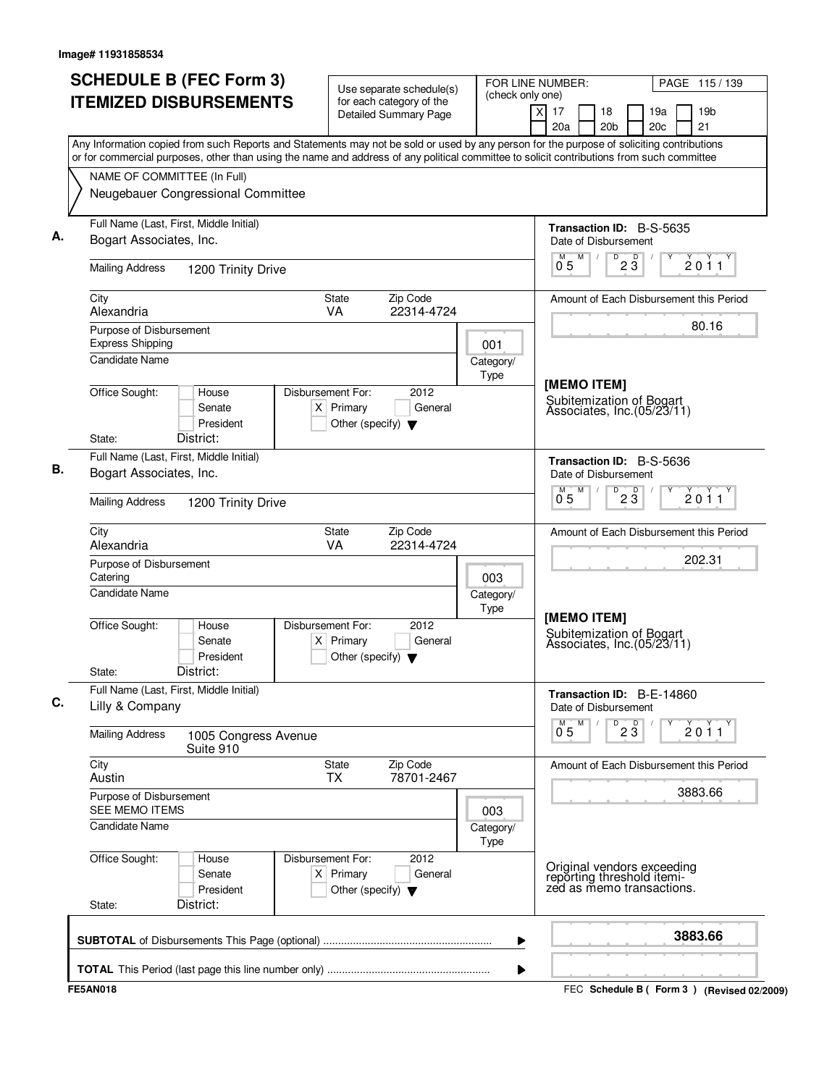| (check only one)<br>for each category of the<br>x<br>17<br>19 <sub>b</sub><br>18<br>19a<br><b>Detailed Summary Page</b><br>20 <sub>c</sub><br>21<br>20a<br>20 <sub>b</sub><br>Any Information copied from such Reports and Statements may not be sold or used by any person for the purpose of soliciting contributions<br>or for commercial purposes, other than using the name and address of any political committee to solicit contributions from such committee<br>NAME OF COMMITTEE (In Full)<br>Neugebauer Congressional Committee<br>Full Name (Last, First, Middle Initial)<br><b>Transaction ID: B-S-5635</b><br>Bogart Associates, Inc.<br>Date of Disbursement<br>M<br>$\overline{D}$<br>D<br>2011<br>$0^{\degree}5$<br>$2\ddot{3}$<br><b>Mailing Address</b><br>1200 Trinity Drive<br>City<br>State<br>Zip Code<br>Amount of Each Disbursement this Period<br>Alexandria<br>VA<br>22314-4724<br>80.16<br>Purpose of Disbursement<br><b>Express Shipping</b><br>001<br><b>Candidate Name</b><br>Category/<br>Type<br>[MEMO ITEM]<br>Office Sought:<br>Disbursement For:<br>2012<br>House<br>Subitemization of Bogart<br>Associates, Inc.(05/23/11)<br>$X$ Primary<br>General<br>Senate<br>President<br>Other (specify) $\blacktriangledown$<br>District:<br>State:<br>Full Name (Last, First, Middle Initial)<br>Transaction ID: B-S-5636<br>Bogart Associates, Inc.<br>Date of Disbursement<br>M<br>D<br>23<br>$0^{M}$ 5<br>2011<br><b>Mailing Address</b><br>1200 Trinity Drive<br>City<br>State<br>Zip Code<br>Amount of Each Disbursement this Period<br>Alexandria<br>VA<br>22314-4724<br>202.31<br>Purpose of Disbursement<br>Catering<br>003<br>Candidate Name<br>Category/<br>Type<br>[MEMO ITEM]<br>Office Sought:<br>Disbursement For:<br>2012<br>House<br>Subitemization of Bogart<br>Associates, Inc.(05/23/11)<br>Senate<br>$X$ Primary<br>General<br>President<br>Other (specify) $\blacktriangledown$<br>District:<br>State:<br>Full Name (Last, First, Middle Initial)<br>Transaction ID: B-E-14860<br>Lilly & Company<br>Date of Disbursement<br>M<br>D<br>$2\overline{3}$<br>$\check{2}$ 0 $\check{1}$ 1<br>$0^{\degree}5$<br><b>Mailing Address</b><br>1005 Congress Avenue<br>Suite 910<br>City<br>Zip Code<br>State<br>Amount of Each Disbursement this Period<br>78701-2467<br>Austin<br><b>TX</b><br>3883.66<br>Purpose of Disbursement<br>SEE MEMO ITEMS<br>003<br>Candidate Name<br>Category/<br>Type<br>Office Sought:<br>Disbursement For:<br>2012<br>House<br>Original vendors exceeding<br>reporting threshold itemi-<br>zed as memo transactions.<br>$X$ Primary<br>General<br>Senate<br>President<br>Other (specify) $\blacktriangledown$<br>District:<br>State:<br>3883.66<br>▶ | <b>SCHEDULE B (FEC Form 3)</b> | Use separate schedule(s) | FOR LINE NUMBER: |  |  | PAGE 115/139                                |
|-----------------------------------------------------------------------------------------------------------------------------------------------------------------------------------------------------------------------------------------------------------------------------------------------------------------------------------------------------------------------------------------------------------------------------------------------------------------------------------------------------------------------------------------------------------------------------------------------------------------------------------------------------------------------------------------------------------------------------------------------------------------------------------------------------------------------------------------------------------------------------------------------------------------------------------------------------------------------------------------------------------------------------------------------------------------------------------------------------------------------------------------------------------------------------------------------------------------------------------------------------------------------------------------------------------------------------------------------------------------------------------------------------------------------------------------------------------------------------------------------------------------------------------------------------------------------------------------------------------------------------------------------------------------------------------------------------------------------------------------------------------------------------------------------------------------------------------------------------------------------------------------------------------------------------------------------------------------------------------------------------------------------------------------------------------------------------------------------------------------------------------------------------------------------------------------------------------------------------------------------------------------------------------------------------------------------------------------------------------------------------------------------------------------------------------------------------------------------------------------------------------------------------------------------------------------------------------------------------------------------------------------------------------------------------------------------------------------------------|--------------------------------|--------------------------|------------------|--|--|---------------------------------------------|
|                                                                                                                                                                                                                                                                                                                                                                                                                                                                                                                                                                                                                                                                                                                                                                                                                                                                                                                                                                                                                                                                                                                                                                                                                                                                                                                                                                                                                                                                                                                                                                                                                                                                                                                                                                                                                                                                                                                                                                                                                                                                                                                                                                                                                                                                                                                                                                                                                                                                                                                                                                                                                                                                                                                             | <b>ITEMIZED DISBURSEMENTS</b>  |                          |                  |  |  |                                             |
|                                                                                                                                                                                                                                                                                                                                                                                                                                                                                                                                                                                                                                                                                                                                                                                                                                                                                                                                                                                                                                                                                                                                                                                                                                                                                                                                                                                                                                                                                                                                                                                                                                                                                                                                                                                                                                                                                                                                                                                                                                                                                                                                                                                                                                                                                                                                                                                                                                                                                                                                                                                                                                                                                                                             |                                |                          |                  |  |  |                                             |
|                                                                                                                                                                                                                                                                                                                                                                                                                                                                                                                                                                                                                                                                                                                                                                                                                                                                                                                                                                                                                                                                                                                                                                                                                                                                                                                                                                                                                                                                                                                                                                                                                                                                                                                                                                                                                                                                                                                                                                                                                                                                                                                                                                                                                                                                                                                                                                                                                                                                                                                                                                                                                                                                                                                             |                                |                          |                  |  |  |                                             |
|                                                                                                                                                                                                                                                                                                                                                                                                                                                                                                                                                                                                                                                                                                                                                                                                                                                                                                                                                                                                                                                                                                                                                                                                                                                                                                                                                                                                                                                                                                                                                                                                                                                                                                                                                                                                                                                                                                                                                                                                                                                                                                                                                                                                                                                                                                                                                                                                                                                                                                                                                                                                                                                                                                                             |                                |                          |                  |  |  |                                             |
|                                                                                                                                                                                                                                                                                                                                                                                                                                                                                                                                                                                                                                                                                                                                                                                                                                                                                                                                                                                                                                                                                                                                                                                                                                                                                                                                                                                                                                                                                                                                                                                                                                                                                                                                                                                                                                                                                                                                                                                                                                                                                                                                                                                                                                                                                                                                                                                                                                                                                                                                                                                                                                                                                                                             |                                |                          |                  |  |  |                                             |
|                                                                                                                                                                                                                                                                                                                                                                                                                                                                                                                                                                                                                                                                                                                                                                                                                                                                                                                                                                                                                                                                                                                                                                                                                                                                                                                                                                                                                                                                                                                                                                                                                                                                                                                                                                                                                                                                                                                                                                                                                                                                                                                                                                                                                                                                                                                                                                                                                                                                                                                                                                                                                                                                                                                             |                                |                          |                  |  |  |                                             |
|                                                                                                                                                                                                                                                                                                                                                                                                                                                                                                                                                                                                                                                                                                                                                                                                                                                                                                                                                                                                                                                                                                                                                                                                                                                                                                                                                                                                                                                                                                                                                                                                                                                                                                                                                                                                                                                                                                                                                                                                                                                                                                                                                                                                                                                                                                                                                                                                                                                                                                                                                                                                                                                                                                                             |                                |                          |                  |  |  |                                             |
|                                                                                                                                                                                                                                                                                                                                                                                                                                                                                                                                                                                                                                                                                                                                                                                                                                                                                                                                                                                                                                                                                                                                                                                                                                                                                                                                                                                                                                                                                                                                                                                                                                                                                                                                                                                                                                                                                                                                                                                                                                                                                                                                                                                                                                                                                                                                                                                                                                                                                                                                                                                                                                                                                                                             |                                |                          |                  |  |  |                                             |
|                                                                                                                                                                                                                                                                                                                                                                                                                                                                                                                                                                                                                                                                                                                                                                                                                                                                                                                                                                                                                                                                                                                                                                                                                                                                                                                                                                                                                                                                                                                                                                                                                                                                                                                                                                                                                                                                                                                                                                                                                                                                                                                                                                                                                                                                                                                                                                                                                                                                                                                                                                                                                                                                                                                             |                                |                          |                  |  |  |                                             |
|                                                                                                                                                                                                                                                                                                                                                                                                                                                                                                                                                                                                                                                                                                                                                                                                                                                                                                                                                                                                                                                                                                                                                                                                                                                                                                                                                                                                                                                                                                                                                                                                                                                                                                                                                                                                                                                                                                                                                                                                                                                                                                                                                                                                                                                                                                                                                                                                                                                                                                                                                                                                                                                                                                                             |                                |                          |                  |  |  |                                             |
|                                                                                                                                                                                                                                                                                                                                                                                                                                                                                                                                                                                                                                                                                                                                                                                                                                                                                                                                                                                                                                                                                                                                                                                                                                                                                                                                                                                                                                                                                                                                                                                                                                                                                                                                                                                                                                                                                                                                                                                                                                                                                                                                                                                                                                                                                                                                                                                                                                                                                                                                                                                                                                                                                                                             |                                |                          |                  |  |  |                                             |
|                                                                                                                                                                                                                                                                                                                                                                                                                                                                                                                                                                                                                                                                                                                                                                                                                                                                                                                                                                                                                                                                                                                                                                                                                                                                                                                                                                                                                                                                                                                                                                                                                                                                                                                                                                                                                                                                                                                                                                                                                                                                                                                                                                                                                                                                                                                                                                                                                                                                                                                                                                                                                                                                                                                             |                                |                          |                  |  |  |                                             |
|                                                                                                                                                                                                                                                                                                                                                                                                                                                                                                                                                                                                                                                                                                                                                                                                                                                                                                                                                                                                                                                                                                                                                                                                                                                                                                                                                                                                                                                                                                                                                                                                                                                                                                                                                                                                                                                                                                                                                                                                                                                                                                                                                                                                                                                                                                                                                                                                                                                                                                                                                                                                                                                                                                                             |                                |                          |                  |  |  |                                             |
|                                                                                                                                                                                                                                                                                                                                                                                                                                                                                                                                                                                                                                                                                                                                                                                                                                                                                                                                                                                                                                                                                                                                                                                                                                                                                                                                                                                                                                                                                                                                                                                                                                                                                                                                                                                                                                                                                                                                                                                                                                                                                                                                                                                                                                                                                                                                                                                                                                                                                                                                                                                                                                                                                                                             |                                |                          |                  |  |  |                                             |
|                                                                                                                                                                                                                                                                                                                                                                                                                                                                                                                                                                                                                                                                                                                                                                                                                                                                                                                                                                                                                                                                                                                                                                                                                                                                                                                                                                                                                                                                                                                                                                                                                                                                                                                                                                                                                                                                                                                                                                                                                                                                                                                                                                                                                                                                                                                                                                                                                                                                                                                                                                                                                                                                                                                             |                                |                          |                  |  |  |                                             |
|                                                                                                                                                                                                                                                                                                                                                                                                                                                                                                                                                                                                                                                                                                                                                                                                                                                                                                                                                                                                                                                                                                                                                                                                                                                                                                                                                                                                                                                                                                                                                                                                                                                                                                                                                                                                                                                                                                                                                                                                                                                                                                                                                                                                                                                                                                                                                                                                                                                                                                                                                                                                                                                                                                                             |                                |                          |                  |  |  |                                             |
|                                                                                                                                                                                                                                                                                                                                                                                                                                                                                                                                                                                                                                                                                                                                                                                                                                                                                                                                                                                                                                                                                                                                                                                                                                                                                                                                                                                                                                                                                                                                                                                                                                                                                                                                                                                                                                                                                                                                                                                                                                                                                                                                                                                                                                                                                                                                                                                                                                                                                                                                                                                                                                                                                                                             |                                |                          |                  |  |  |                                             |
|                                                                                                                                                                                                                                                                                                                                                                                                                                                                                                                                                                                                                                                                                                                                                                                                                                                                                                                                                                                                                                                                                                                                                                                                                                                                                                                                                                                                                                                                                                                                                                                                                                                                                                                                                                                                                                                                                                                                                                                                                                                                                                                                                                                                                                                                                                                                                                                                                                                                                                                                                                                                                                                                                                                             |                                |                          |                  |  |  |                                             |
|                                                                                                                                                                                                                                                                                                                                                                                                                                                                                                                                                                                                                                                                                                                                                                                                                                                                                                                                                                                                                                                                                                                                                                                                                                                                                                                                                                                                                                                                                                                                                                                                                                                                                                                                                                                                                                                                                                                                                                                                                                                                                                                                                                                                                                                                                                                                                                                                                                                                                                                                                                                                                                                                                                                             |                                |                          |                  |  |  |                                             |
|                                                                                                                                                                                                                                                                                                                                                                                                                                                                                                                                                                                                                                                                                                                                                                                                                                                                                                                                                                                                                                                                                                                                                                                                                                                                                                                                                                                                                                                                                                                                                                                                                                                                                                                                                                                                                                                                                                                                                                                                                                                                                                                                                                                                                                                                                                                                                                                                                                                                                                                                                                                                                                                                                                                             |                                |                          |                  |  |  |                                             |
|                                                                                                                                                                                                                                                                                                                                                                                                                                                                                                                                                                                                                                                                                                                                                                                                                                                                                                                                                                                                                                                                                                                                                                                                                                                                                                                                                                                                                                                                                                                                                                                                                                                                                                                                                                                                                                                                                                                                                                                                                                                                                                                                                                                                                                                                                                                                                                                                                                                                                                                                                                                                                                                                                                                             |                                |                          |                  |  |  |                                             |
|                                                                                                                                                                                                                                                                                                                                                                                                                                                                                                                                                                                                                                                                                                                                                                                                                                                                                                                                                                                                                                                                                                                                                                                                                                                                                                                                                                                                                                                                                                                                                                                                                                                                                                                                                                                                                                                                                                                                                                                                                                                                                                                                                                                                                                                                                                                                                                                                                                                                                                                                                                                                                                                                                                                             |                                |                          |                  |  |  |                                             |
|                                                                                                                                                                                                                                                                                                                                                                                                                                                                                                                                                                                                                                                                                                                                                                                                                                                                                                                                                                                                                                                                                                                                                                                                                                                                                                                                                                                                                                                                                                                                                                                                                                                                                                                                                                                                                                                                                                                                                                                                                                                                                                                                                                                                                                                                                                                                                                                                                                                                                                                                                                                                                                                                                                                             |                                |                          |                  |  |  |                                             |
|                                                                                                                                                                                                                                                                                                                                                                                                                                                                                                                                                                                                                                                                                                                                                                                                                                                                                                                                                                                                                                                                                                                                                                                                                                                                                                                                                                                                                                                                                                                                                                                                                                                                                                                                                                                                                                                                                                                                                                                                                                                                                                                                                                                                                                                                                                                                                                                                                                                                                                                                                                                                                                                                                                                             |                                |                          |                  |  |  |                                             |
|                                                                                                                                                                                                                                                                                                                                                                                                                                                                                                                                                                                                                                                                                                                                                                                                                                                                                                                                                                                                                                                                                                                                                                                                                                                                                                                                                                                                                                                                                                                                                                                                                                                                                                                                                                                                                                                                                                                                                                                                                                                                                                                                                                                                                                                                                                                                                                                                                                                                                                                                                                                                                                                                                                                             | <b>FE5AN018</b>                |                          |                  |  |  | FEC Schedule B ( Form 3 ) (Revised 02/2009) |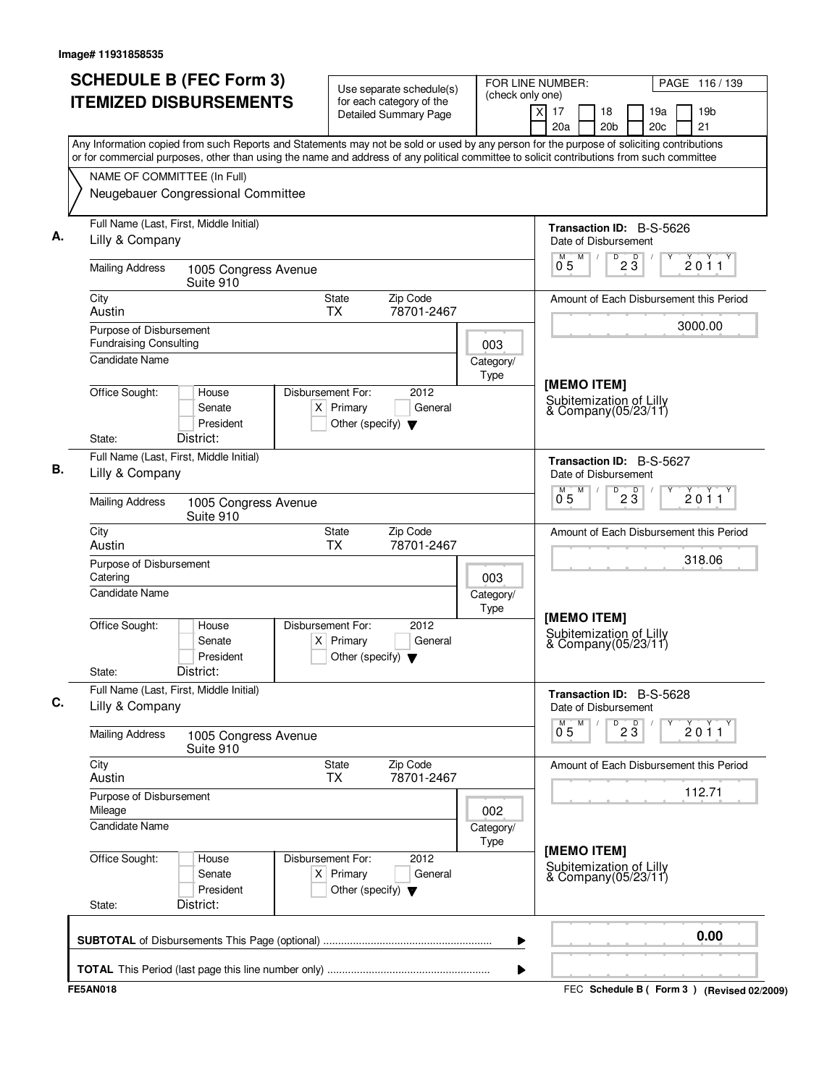|                                                          | <b>SCHEDULE B (FEC Form 3)</b><br><b>ITEMIZED DISBURSEMENTS</b>                                                                           | Use separate schedule(s)<br>for each category of the                                        | (check only one)  | FOR LINE NUMBER:                                                              | PAGE 116/139                                       |
|----------------------------------------------------------|-------------------------------------------------------------------------------------------------------------------------------------------|---------------------------------------------------------------------------------------------|-------------------|-------------------------------------------------------------------------------|----------------------------------------------------|
|                                                          |                                                                                                                                           | <b>Detailed Summary Page</b>                                                                |                   | $\times$<br>17<br>18<br>20a<br>20 <sub>b</sub>                                | 19a<br>19 <sub>b</sub><br>21<br>20c                |
|                                                          | Any Information copied from such Reports and Statements may not be sold or used by any person for the purpose of soliciting contributions |                                                                                             |                   |                                                                               |                                                    |
|                                                          | or for commercial purposes, other than using the name and address of any political committee to solicit contributions from such committee |                                                                                             |                   |                                                                               |                                                    |
|                                                          | NAME OF COMMITTEE (In Full)                                                                                                               |                                                                                             |                   |                                                                               |                                                    |
|                                                          | Neugebauer Congressional Committee                                                                                                        |                                                                                             |                   |                                                                               |                                                    |
|                                                          | Full Name (Last, First, Middle Initial)                                                                                                   |                                                                                             |                   | Transaction ID: B-S-5626                                                      |                                                    |
| Lilly & Company                                          |                                                                                                                                           |                                                                                             |                   | Date of Disbursement<br>M<br>D<br>$2\sqrt{3}$<br>$\sqrt{2}$<br>0 <sub>5</sub> | 2011                                               |
| <b>Mailing Address</b>                                   | 1005 Congress Avenue<br>Suite 910                                                                                                         |                                                                                             |                   |                                                                               |                                                    |
| City<br>Austin                                           |                                                                                                                                           | Zip Code<br>State<br><b>TX</b><br>78701-2467                                                |                   |                                                                               | Amount of Each Disbursement this Period<br>3000.00 |
| Purpose of Disbursement<br><b>Fundraising Consulting</b> |                                                                                                                                           |                                                                                             | 003               |                                                                               |                                                    |
| <b>Candidate Name</b>                                    |                                                                                                                                           |                                                                                             | Category/<br>Type |                                                                               |                                                    |
| Office Sought:                                           | House<br>Senate<br>President                                                                                                              | Disbursement For:<br>2012<br>$X$ Primary<br>General<br>Other (specify) $\blacktriangledown$ |                   | [MEMO ITEM]<br>Subitemization of Lilly<br>& Company(05/23/11)                 |                                                    |
| State:                                                   | District:                                                                                                                                 |                                                                                             |                   |                                                                               |                                                    |
| Lilly & Company                                          | Full Name (Last, First, Middle Initial)                                                                                                   |                                                                                             |                   | Transaction ID: B-S-5627<br>Date of Disbursement                              |                                                    |
| <b>Mailing Address</b>                                   | 1005 Congress Avenue<br>Suite 910                                                                                                         |                                                                                             |                   | M<br>D<br>M<br>$2\overline{3}$<br>05                                          | 2011                                               |
| City<br>Austin                                           |                                                                                                                                           | Zip Code<br>State<br><b>TX</b><br>78701-2467                                                |                   |                                                                               | Amount of Each Disbursement this Period            |
| Purpose of Disbursement<br>Catering                      |                                                                                                                                           |                                                                                             | 003               |                                                                               | 318.06                                             |
| Candidate Name                                           |                                                                                                                                           |                                                                                             | Category/<br>Type | [MEMO ITEM]                                                                   |                                                    |
| Office Sought:<br>State:                                 | House<br>Senate<br>President<br>District:                                                                                                 | Disbursement For:<br>2012<br>$X$ Primary<br>General<br>Other (specify) $\blacktriangledown$ |                   | Subitemization of Lilly<br>& Company(05/23/11)                                |                                                    |
|                                                          | Full Name (Last, First, Middle Initial)                                                                                                   |                                                                                             |                   |                                                                               |                                                    |
| Lilly & Company                                          |                                                                                                                                           |                                                                                             |                   | Transaction ID: B-S-5628<br>Date of Disbursement                              |                                                    |
| <b>Mailing Address</b>                                   | 1005 Congress Avenue<br>Suite 910                                                                                                         |                                                                                             |                   | $\overline{P}$ 2 $\overline{3}$<br>M<br>$0^{M}$ 5                             | 2011                                               |
| City<br>Austin                                           |                                                                                                                                           | State<br>Zip Code<br>78701-2467<br><b>TX</b>                                                |                   |                                                                               | Amount of Each Disbursement this Period            |
| Purpose of Disbursement<br>Mileage                       |                                                                                                                                           |                                                                                             | 002               |                                                                               | 112.71                                             |
| <b>Candidate Name</b>                                    |                                                                                                                                           |                                                                                             | Category/         |                                                                               |                                                    |
| Office Sought:                                           | House<br>Senate<br>President                                                                                                              | Disbursement For:<br>2012<br>$X$ Primary<br>General<br>Other (specify) $\blacktriangledown$ | Type              | [MEMO ITEM]<br>Subitemization of Lilly<br>& Company(05/23/11)                 |                                                    |
| State:                                                   | District:                                                                                                                                 |                                                                                             |                   |                                                                               |                                                    |
|                                                          |                                                                                                                                           |                                                                                             | ▶                 |                                                                               | 0.00                                               |
|                                                          |                                                                                                                                           |                                                                                             | ▶                 |                                                                               |                                                    |
| <b>FE5AN018</b>                                          |                                                                                                                                           |                                                                                             |                   |                                                                               | FEC Schedule B ( Form 3 ) (Revised 02/2009)        |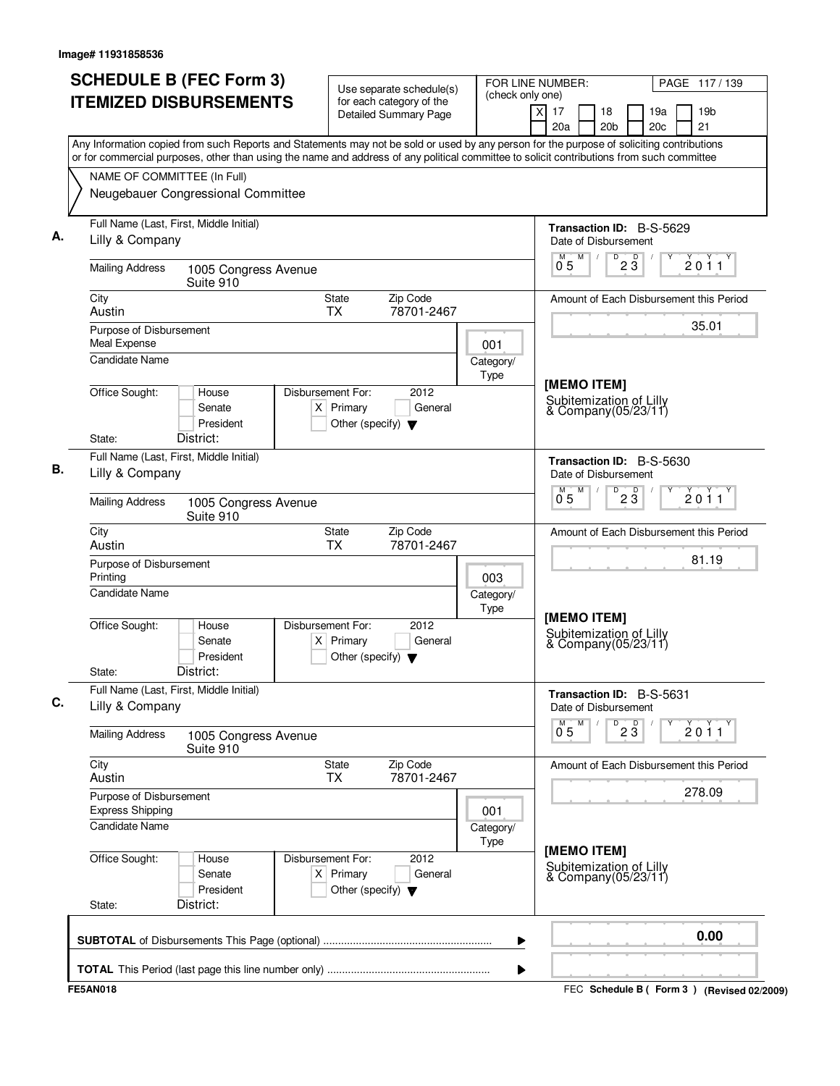| $\times$<br>18<br>19a<br>19 <sub>b</sub><br>17<br><b>Detailed Summary Page</b><br>21<br>20 <sub>b</sub><br>20c<br>20a<br>Any Information copied from such Reports and Statements may not be sold or used by any person for the purpose of soliciting contributions<br>or for commercial purposes, other than using the name and address of any political committee to solicit contributions from such committee<br>NAME OF COMMITTEE (In Full)<br>Neugebauer Congressional Committee<br>Full Name (Last, First, Middle Initial)<br>Transaction ID: B-S-5629<br>Lilly & Company<br>Date of Disbursement<br>M<br>D<br>$2\overline{3}$<br>0 <sub>5</sub><br><b>Mailing Address</b><br>1005 Congress Avenue<br>Suite 910<br>Zip Code<br>City<br>State<br>Amount of Each Disbursement this Period<br><b>TX</b><br>78701-2467<br>Austin<br>35.01<br>Purpose of Disbursement<br>Meal Expense<br>001<br><b>Candidate Name</b><br>Category/<br>Type<br>[MEMO ITEM]<br>Office Sought:<br>Disbursement For:<br>2012<br>House<br>Subitemization of Lilly<br>$X$ Primary<br>General<br>Senate<br>& Company(05/23/11)<br>President<br>Other (specify) $\blacktriangledown$<br>District:<br>State:<br>Full Name (Last, First, Middle Initial)<br>Transaction ID: B-S-5630<br>Lilly & Company<br>Date of Disbursement<br>M<br>$D^{\sim}$<br>$2\overline{3}$<br>0 <sub>5</sub><br><b>Mailing Address</b><br>1005 Congress Avenue<br>Suite 910<br>Zip Code<br>City<br>State<br>Amount of Each Disbursement this Period<br>Austin<br><b>TX</b><br>78701-2467<br>81.19<br>Purpose of Disbursement<br>Printing<br>003<br>Candidate Name<br>Category/<br>Type<br>[MEMO ITEM]<br>Office Sought:<br>Disbursement For:<br>2012<br>House<br>Subitemization of Lilly<br>Senate<br>$X$ Primary<br>General<br>& Company(05/23/11)<br>President<br>Other (specify) $\blacktriangledown$<br>District:<br>State:<br>Full Name (Last, First, Middle Initial)<br>Transaction ID: B-S-5631<br>Lilly & Company<br>Date of Disbursement<br>23<br>M<br>D<br>$0^{M}$ 5<br>2011<br><b>Mailing Address</b><br>1005 Congress Avenue<br>Suite 910<br>City<br>State<br>Zip Code<br>Amount of Each Disbursement this Period<br>78701-2467<br>Austin<br><b>TX</b><br>Purpose of Disbursement<br><b>Express Shipping</b><br>001<br><b>Candidate Name</b><br>Category/<br>Type<br>[MEMO ITEM]<br>Office Sought:<br>Disbursement For:<br>2012<br>House<br>Subitemization of Lilly<br>$X$ Primary<br>Senate<br>General<br>& Company(05/23/11)<br>President<br>Other (specify) $\blacktriangledown$<br>District:<br>State:<br>▶<br>▶ | <b>SCHEDULE B (FEC Form 3)</b><br><b>ITEMIZED DISBURSEMENTS</b> | Use separate schedule(s)<br>for each category of the | (check only one) | FOR LINE NUMBER: |  | PAGE 117/139 |
|-----------------------------------------------------------------------------------------------------------------------------------------------------------------------------------------------------------------------------------------------------------------------------------------------------------------------------------------------------------------------------------------------------------------------------------------------------------------------------------------------------------------------------------------------------------------------------------------------------------------------------------------------------------------------------------------------------------------------------------------------------------------------------------------------------------------------------------------------------------------------------------------------------------------------------------------------------------------------------------------------------------------------------------------------------------------------------------------------------------------------------------------------------------------------------------------------------------------------------------------------------------------------------------------------------------------------------------------------------------------------------------------------------------------------------------------------------------------------------------------------------------------------------------------------------------------------------------------------------------------------------------------------------------------------------------------------------------------------------------------------------------------------------------------------------------------------------------------------------------------------------------------------------------------------------------------------------------------------------------------------------------------------------------------------------------------------------------------------------------------------------------------------------------------------------------------------------------------------------------------------------------------------------------------------------------------------------------------------------------------------------------------------------------------------------------------------------------------------------------------------------------------------------------------------------------------------------------|-----------------------------------------------------------------|------------------------------------------------------|------------------|------------------|--|--------------|
|                                                                                                                                                                                                                                                                                                                                                                                                                                                                                                                                                                                                                                                                                                                                                                                                                                                                                                                                                                                                                                                                                                                                                                                                                                                                                                                                                                                                                                                                                                                                                                                                                                                                                                                                                                                                                                                                                                                                                                                                                                                                                                                                                                                                                                                                                                                                                                                                                                                                                                                                                                                   |                                                                 |                                                      |                  |                  |  |              |
|                                                                                                                                                                                                                                                                                                                                                                                                                                                                                                                                                                                                                                                                                                                                                                                                                                                                                                                                                                                                                                                                                                                                                                                                                                                                                                                                                                                                                                                                                                                                                                                                                                                                                                                                                                                                                                                                                                                                                                                                                                                                                                                                                                                                                                                                                                                                                                                                                                                                                                                                                                                   |                                                                 |                                                      |                  |                  |  |              |
|                                                                                                                                                                                                                                                                                                                                                                                                                                                                                                                                                                                                                                                                                                                                                                                                                                                                                                                                                                                                                                                                                                                                                                                                                                                                                                                                                                                                                                                                                                                                                                                                                                                                                                                                                                                                                                                                                                                                                                                                                                                                                                                                                                                                                                                                                                                                                                                                                                                                                                                                                                                   |                                                                 |                                                      |                  |                  |  |              |
|                                                                                                                                                                                                                                                                                                                                                                                                                                                                                                                                                                                                                                                                                                                                                                                                                                                                                                                                                                                                                                                                                                                                                                                                                                                                                                                                                                                                                                                                                                                                                                                                                                                                                                                                                                                                                                                                                                                                                                                                                                                                                                                                                                                                                                                                                                                                                                                                                                                                                                                                                                                   |                                                                 |                                                      |                  |                  |  |              |
|                                                                                                                                                                                                                                                                                                                                                                                                                                                                                                                                                                                                                                                                                                                                                                                                                                                                                                                                                                                                                                                                                                                                                                                                                                                                                                                                                                                                                                                                                                                                                                                                                                                                                                                                                                                                                                                                                                                                                                                                                                                                                                                                                                                                                                                                                                                                                                                                                                                                                                                                                                                   |                                                                 |                                                      |                  |                  |  |              |
|                                                                                                                                                                                                                                                                                                                                                                                                                                                                                                                                                                                                                                                                                                                                                                                                                                                                                                                                                                                                                                                                                                                                                                                                                                                                                                                                                                                                                                                                                                                                                                                                                                                                                                                                                                                                                                                                                                                                                                                                                                                                                                                                                                                                                                                                                                                                                                                                                                                                                                                                                                                   |                                                                 |                                                      |                  |                  |  | 2011         |
|                                                                                                                                                                                                                                                                                                                                                                                                                                                                                                                                                                                                                                                                                                                                                                                                                                                                                                                                                                                                                                                                                                                                                                                                                                                                                                                                                                                                                                                                                                                                                                                                                                                                                                                                                                                                                                                                                                                                                                                                                                                                                                                                                                                                                                                                                                                                                                                                                                                                                                                                                                                   |                                                                 |                                                      |                  |                  |  |              |
|                                                                                                                                                                                                                                                                                                                                                                                                                                                                                                                                                                                                                                                                                                                                                                                                                                                                                                                                                                                                                                                                                                                                                                                                                                                                                                                                                                                                                                                                                                                                                                                                                                                                                                                                                                                                                                                                                                                                                                                                                                                                                                                                                                                                                                                                                                                                                                                                                                                                                                                                                                                   |                                                                 |                                                      |                  |                  |  |              |
|                                                                                                                                                                                                                                                                                                                                                                                                                                                                                                                                                                                                                                                                                                                                                                                                                                                                                                                                                                                                                                                                                                                                                                                                                                                                                                                                                                                                                                                                                                                                                                                                                                                                                                                                                                                                                                                                                                                                                                                                                                                                                                                                                                                                                                                                                                                                                                                                                                                                                                                                                                                   |                                                                 |                                                      |                  |                  |  |              |
|                                                                                                                                                                                                                                                                                                                                                                                                                                                                                                                                                                                                                                                                                                                                                                                                                                                                                                                                                                                                                                                                                                                                                                                                                                                                                                                                                                                                                                                                                                                                                                                                                                                                                                                                                                                                                                                                                                                                                                                                                                                                                                                                                                                                                                                                                                                                                                                                                                                                                                                                                                                   |                                                                 |                                                      |                  |                  |  |              |
|                                                                                                                                                                                                                                                                                                                                                                                                                                                                                                                                                                                                                                                                                                                                                                                                                                                                                                                                                                                                                                                                                                                                                                                                                                                                                                                                                                                                                                                                                                                                                                                                                                                                                                                                                                                                                                                                                                                                                                                                                                                                                                                                                                                                                                                                                                                                                                                                                                                                                                                                                                                   |                                                                 |                                                      |                  |                  |  |              |
|                                                                                                                                                                                                                                                                                                                                                                                                                                                                                                                                                                                                                                                                                                                                                                                                                                                                                                                                                                                                                                                                                                                                                                                                                                                                                                                                                                                                                                                                                                                                                                                                                                                                                                                                                                                                                                                                                                                                                                                                                                                                                                                                                                                                                                                                                                                                                                                                                                                                                                                                                                                   |                                                                 |                                                      |                  |                  |  |              |
|                                                                                                                                                                                                                                                                                                                                                                                                                                                                                                                                                                                                                                                                                                                                                                                                                                                                                                                                                                                                                                                                                                                                                                                                                                                                                                                                                                                                                                                                                                                                                                                                                                                                                                                                                                                                                                                                                                                                                                                                                                                                                                                                                                                                                                                                                                                                                                                                                                                                                                                                                                                   |                                                                 |                                                      |                  |                  |  | 2011         |
|                                                                                                                                                                                                                                                                                                                                                                                                                                                                                                                                                                                                                                                                                                                                                                                                                                                                                                                                                                                                                                                                                                                                                                                                                                                                                                                                                                                                                                                                                                                                                                                                                                                                                                                                                                                                                                                                                                                                                                                                                                                                                                                                                                                                                                                                                                                                                                                                                                                                                                                                                                                   |                                                                 |                                                      |                  |                  |  |              |
|                                                                                                                                                                                                                                                                                                                                                                                                                                                                                                                                                                                                                                                                                                                                                                                                                                                                                                                                                                                                                                                                                                                                                                                                                                                                                                                                                                                                                                                                                                                                                                                                                                                                                                                                                                                                                                                                                                                                                                                                                                                                                                                                                                                                                                                                                                                                                                                                                                                                                                                                                                                   |                                                                 |                                                      |                  |                  |  |              |
|                                                                                                                                                                                                                                                                                                                                                                                                                                                                                                                                                                                                                                                                                                                                                                                                                                                                                                                                                                                                                                                                                                                                                                                                                                                                                                                                                                                                                                                                                                                                                                                                                                                                                                                                                                                                                                                                                                                                                                                                                                                                                                                                                                                                                                                                                                                                                                                                                                                                                                                                                                                   |                                                                 |                                                      |                  |                  |  |              |
|                                                                                                                                                                                                                                                                                                                                                                                                                                                                                                                                                                                                                                                                                                                                                                                                                                                                                                                                                                                                                                                                                                                                                                                                                                                                                                                                                                                                                                                                                                                                                                                                                                                                                                                                                                                                                                                                                                                                                                                                                                                                                                                                                                                                                                                                                                                                                                                                                                                                                                                                                                                   |                                                                 |                                                      |                  |                  |  |              |
|                                                                                                                                                                                                                                                                                                                                                                                                                                                                                                                                                                                                                                                                                                                                                                                                                                                                                                                                                                                                                                                                                                                                                                                                                                                                                                                                                                                                                                                                                                                                                                                                                                                                                                                                                                                                                                                                                                                                                                                                                                                                                                                                                                                                                                                                                                                                                                                                                                                                                                                                                                                   |                                                                 |                                                      |                  |                  |  |              |
|                                                                                                                                                                                                                                                                                                                                                                                                                                                                                                                                                                                                                                                                                                                                                                                                                                                                                                                                                                                                                                                                                                                                                                                                                                                                                                                                                                                                                                                                                                                                                                                                                                                                                                                                                                                                                                                                                                                                                                                                                                                                                                                                                                                                                                                                                                                                                                                                                                                                                                                                                                                   |                                                                 |                                                      |                  |                  |  |              |
|                                                                                                                                                                                                                                                                                                                                                                                                                                                                                                                                                                                                                                                                                                                                                                                                                                                                                                                                                                                                                                                                                                                                                                                                                                                                                                                                                                                                                                                                                                                                                                                                                                                                                                                                                                                                                                                                                                                                                                                                                                                                                                                                                                                                                                                                                                                                                                                                                                                                                                                                                                                   |                                                                 |                                                      |                  |                  |  |              |
|                                                                                                                                                                                                                                                                                                                                                                                                                                                                                                                                                                                                                                                                                                                                                                                                                                                                                                                                                                                                                                                                                                                                                                                                                                                                                                                                                                                                                                                                                                                                                                                                                                                                                                                                                                                                                                                                                                                                                                                                                                                                                                                                                                                                                                                                                                                                                                                                                                                                                                                                                                                   |                                                                 |                                                      |                  |                  |  |              |
|                                                                                                                                                                                                                                                                                                                                                                                                                                                                                                                                                                                                                                                                                                                                                                                                                                                                                                                                                                                                                                                                                                                                                                                                                                                                                                                                                                                                                                                                                                                                                                                                                                                                                                                                                                                                                                                                                                                                                                                                                                                                                                                                                                                                                                                                                                                                                                                                                                                                                                                                                                                   |                                                                 |                                                      |                  |                  |  | 278.09       |
|                                                                                                                                                                                                                                                                                                                                                                                                                                                                                                                                                                                                                                                                                                                                                                                                                                                                                                                                                                                                                                                                                                                                                                                                                                                                                                                                                                                                                                                                                                                                                                                                                                                                                                                                                                                                                                                                                                                                                                                                                                                                                                                                                                                                                                                                                                                                                                                                                                                                                                                                                                                   |                                                                 |                                                      |                  |                  |  |              |
|                                                                                                                                                                                                                                                                                                                                                                                                                                                                                                                                                                                                                                                                                                                                                                                                                                                                                                                                                                                                                                                                                                                                                                                                                                                                                                                                                                                                                                                                                                                                                                                                                                                                                                                                                                                                                                                                                                                                                                                                                                                                                                                                                                                                                                                                                                                                                                                                                                                                                                                                                                                   |                                                                 |                                                      |                  |                  |  |              |
|                                                                                                                                                                                                                                                                                                                                                                                                                                                                                                                                                                                                                                                                                                                                                                                                                                                                                                                                                                                                                                                                                                                                                                                                                                                                                                                                                                                                                                                                                                                                                                                                                                                                                                                                                                                                                                                                                                                                                                                                                                                                                                                                                                                                                                                                                                                                                                                                                                                                                                                                                                                   |                                                                 |                                                      |                  |                  |  | 0.00         |
|                                                                                                                                                                                                                                                                                                                                                                                                                                                                                                                                                                                                                                                                                                                                                                                                                                                                                                                                                                                                                                                                                                                                                                                                                                                                                                                                                                                                                                                                                                                                                                                                                                                                                                                                                                                                                                                                                                                                                                                                                                                                                                                                                                                                                                                                                                                                                                                                                                                                                                                                                                                   |                                                                 |                                                      |                  |                  |  |              |
| <b>FE5AN018</b><br>FEC Schedule B ( Form 3 ) (Revised 02/2009)                                                                                                                                                                                                                                                                                                                                                                                                                                                                                                                                                                                                                                                                                                                                                                                                                                                                                                                                                                                                                                                                                                                                                                                                                                                                                                                                                                                                                                                                                                                                                                                                                                                                                                                                                                                                                                                                                                                                                                                                                                                                                                                                                                                                                                                                                                                                                                                                                                                                                                                    |                                                                 |                                                      |                  |                  |  |              |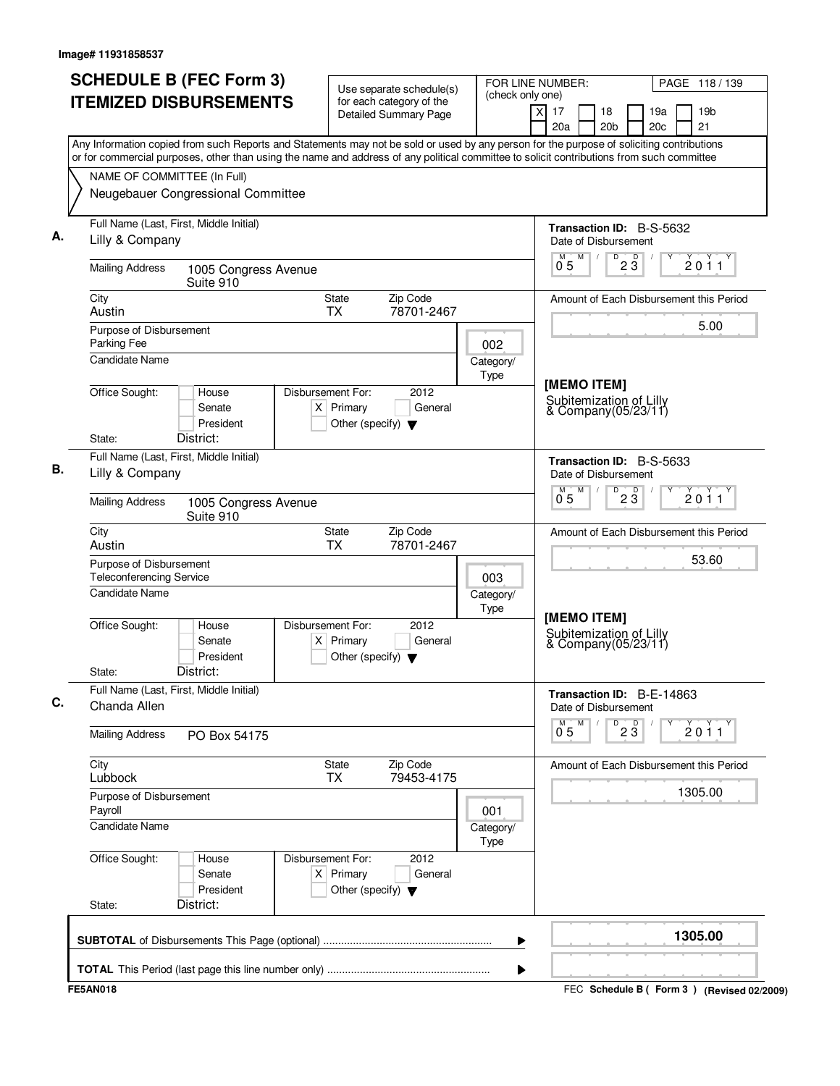|    |                                                                              | <b>SCHEDULE B (FEC Form 3)</b><br><b>ITEMIZED DISBURSEMENTS</b>                                                                                                                                                                                                                                                              |                               |                                                     | Use separate schedule(s)<br>for each category of the<br><b>Detailed Summary Page</b> | FOR LINE NUMBER:<br>(check only one) | ΧI<br>17<br>20a                                                |   | 18<br>20 <sub>b</sub> |                                | 19a<br>20c |  | PAGE 118 / 139<br>19 <sub>b</sub><br>21 |
|----|------------------------------------------------------------------------------|------------------------------------------------------------------------------------------------------------------------------------------------------------------------------------------------------------------------------------------------------------------------------------------------------------------------------|-------------------------------|-----------------------------------------------------|--------------------------------------------------------------------------------------|--------------------------------------|----------------------------------------------------------------|---|-----------------------|--------------------------------|------------|--|-----------------------------------------|
|    | NAME OF COMMITTEE (In Full)                                                  | Any Information copied from such Reports and Statements may not be sold or used by any person for the purpose of soliciting contributions<br>or for commercial purposes, other than using the name and address of any political committee to solicit contributions from such committee<br>Neugebauer Congressional Committee |                               |                                                     |                                                                                      |                                      |                                                                |   |                       |                                |            |  |                                         |
| А. | Lilly & Company                                                              | Full Name (Last, First, Middle Initial)                                                                                                                                                                                                                                                                                      |                               |                                                     |                                                                                      |                                      | <b>Transaction ID: B-S-5632</b><br>Date of Disbursement        |   |                       |                                |            |  |                                         |
|    | <b>Mailing Address</b>                                                       | 1005 Congress Avenue<br>Suite 910                                                                                                                                                                                                                                                                                            |                               |                                                     |                                                                                      |                                      | 0 <sub>5</sub>                                                 | M |                       | $D$ <sub>2</sub> $\frac{D}{3}$ |            |  | 2011                                    |
|    | City<br>Austin                                                               |                                                                                                                                                                                                                                                                                                                              |                               | <b>State</b><br><b>TX</b>                           | Zip Code<br>78701-2467                                                               |                                      |                                                                |   |                       |                                |            |  | Amount of Each Disbursement this Period |
|    | Purpose of Disbursement<br>Parking Fee<br><b>Candidate Name</b>              |                                                                                                                                                                                                                                                                                                                              |                               |                                                     |                                                                                      | 002<br>Category/                     |                                                                |   |                       |                                |            |  | 5.00                                    |
|    | Office Sought:<br>State:                                                     | House<br>Senate<br>President<br>District:                                                                                                                                                                                                                                                                                    | Disbursement For:             | $X$ Primary<br>Other (specify) $\blacktriangledown$ | 2012<br>General                                                                      | Type                                 | [MEMO ITEM]<br>Subitemization of Lilly<br>& Company (05/23/11) |   |                       |                                |            |  |                                         |
| В. | Lilly & Company                                                              | Full Name (Last, First, Middle Initial)                                                                                                                                                                                                                                                                                      |                               |                                                     |                                                                                      |                                      | Transaction ID: B-S-5633<br>Date of Disbursement               |   |                       |                                |            |  |                                         |
|    | <b>Mailing Address</b>                                                       | 1005 Congress Avenue<br>Suite 910                                                                                                                                                                                                                                                                                            |                               |                                                     |                                                                                      |                                      | M <sup>-1</sup><br>0 <sub>5</sub>                              | M | D                     | $2\overline{3}$                |            |  | 2011                                    |
|    | City<br>Austin                                                               |                                                                                                                                                                                                                                                                                                                              |                               | <b>State</b><br><b>TX</b>                           | Zip Code<br>78701-2467                                                               |                                      |                                                                |   |                       |                                |            |  | Amount of Each Disbursement this Period |
|    | Purpose of Disbursement<br><b>Teleconferencing Service</b><br>Candidate Name |                                                                                                                                                                                                                                                                                                                              |                               |                                                     |                                                                                      | 003<br>Category/<br>Type             |                                                                |   |                       |                                |            |  | 53.60                                   |
|    | Office Sought:<br>State:                                                     | House<br>Senate<br>President<br>District:                                                                                                                                                                                                                                                                                    | Disbursement For:<br>$X \mid$ | Primary<br>Other (specify) $\blacktriangledown$     | 2012<br>General                                                                      |                                      | [MEMO ITEM]<br>Subitemization of Lilly<br>& Company(05/23/11)  |   |                       |                                |            |  |                                         |
|    | Chanda Allen                                                                 | Full Name (Last, First, Middle Initial)                                                                                                                                                                                                                                                                                      |                               |                                                     |                                                                                      |                                      | Transaction ID: B-E-14863<br>Date of Disbursement              | M |                       |                                |            |  |                                         |
|    | <b>Mailing Address</b>                                                       | PO Box 54175                                                                                                                                                                                                                                                                                                                 |                               |                                                     |                                                                                      |                                      | М<br>0 <sub>5</sub>                                            |   |                       | $\overline{23}$                |            |  | 2011                                    |
|    | City<br>Lubbock                                                              |                                                                                                                                                                                                                                                                                                                              |                               | <b>State</b><br>ТX                                  | Zip Code<br>79453-4175                                                               |                                      |                                                                |   |                       |                                |            |  | Amount of Each Disbursement this Period |
|    | Purpose of Disbursement<br>Payroll<br>Candidate Name                         |                                                                                                                                                                                                                                                                                                                              |                               |                                                     |                                                                                      | 001<br>Category/                     |                                                                |   |                       |                                |            |  | 1305.00                                 |
|    | Office Sought:<br>State:                                                     | House<br>Senate<br>President<br>District:                                                                                                                                                                                                                                                                                    | Disbursement For:             | $X$ Primary<br>Other (specify) $\blacktriangledown$ | 2012<br>General                                                                      | Type                                 |                                                                |   |                       |                                |            |  |                                         |
|    |                                                                              |                                                                                                                                                                                                                                                                                                                              |                               |                                                     |                                                                                      |                                      |                                                                |   |                       |                                |            |  |                                         |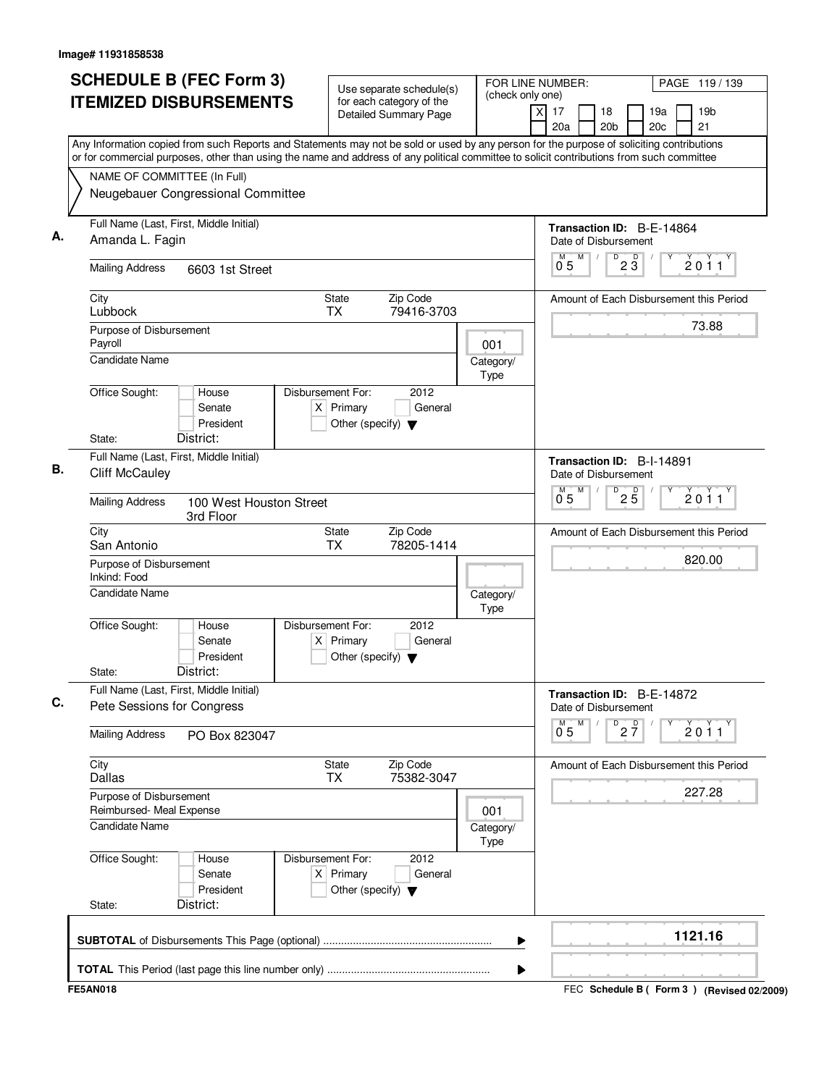| <b>SCHEDULE B (FEC Form 3)</b><br><b>ITEMIZED DISBURSEMENTS</b>                                                                                                                                                                                                                        | Use separate schedule(s)<br>for each category of the<br><b>Detailed Summary Page</b>        | FOR LINE NUMBER:<br>(check only one)<br>$\times$ | PAGE 119/139<br>19 <sub>b</sub><br>17<br>18<br>19a<br>21<br>20a<br>20 <sub>b</sub><br>20c |
|----------------------------------------------------------------------------------------------------------------------------------------------------------------------------------------------------------------------------------------------------------------------------------------|---------------------------------------------------------------------------------------------|--------------------------------------------------|-------------------------------------------------------------------------------------------|
| Any Information copied from such Reports and Statements may not be sold or used by any person for the purpose of soliciting contributions<br>or for commercial purposes, other than using the name and address of any political committee to solicit contributions from such committee |                                                                                             |                                                  |                                                                                           |
| NAME OF COMMITTEE (In Full)<br>Neugebauer Congressional Committee                                                                                                                                                                                                                      |                                                                                             |                                                  |                                                                                           |
| Full Name (Last, First, Middle Initial)<br>Amanda L. Fagin                                                                                                                                                                                                                             |                                                                                             |                                                  | Transaction ID: B-E-14864<br>Date of Disbursement                                         |
| <b>Mailing Address</b><br>6603 1st Street                                                                                                                                                                                                                                              |                                                                                             |                                                  | M<br>$\overline{23}$<br>2011<br>0 <sub>5</sub>                                            |
| City<br>Lubbock                                                                                                                                                                                                                                                                        | State<br>Zip Code<br>TX<br>79416-3703                                                       |                                                  | Amount of Each Disbursement this Period                                                   |
| Purpose of Disbursement<br>Payroll<br>Candidate Name                                                                                                                                                                                                                                   |                                                                                             | 001<br>Category/                                 | 73.88                                                                                     |
| Office Sought:<br>House<br>Senate<br>President<br>District:<br>State:                                                                                                                                                                                                                  | Disbursement For:<br>2012<br>$X$ Primary<br>General<br>Other (specify) $\blacktriangledown$ | Type                                             |                                                                                           |
| Full Name (Last, First, Middle Initial)<br><b>Cliff McCauley</b>                                                                                                                                                                                                                       |                                                                                             |                                                  | Transaction ID: B-I-14891<br>Date of Disbursement<br>M                                    |
| <b>Mailing Address</b><br>100 West Houston Street<br>3rd Floor                                                                                                                                                                                                                         |                                                                                             |                                                  | D<br>$2\overline{5}$<br>2011<br>0 <sub>5</sub>                                            |
| City<br>San Antonio                                                                                                                                                                                                                                                                    | Zip Code<br>State<br><b>TX</b><br>78205-1414                                                |                                                  | Amount of Each Disbursement this Period                                                   |
| Purpose of Disbursement<br>Inkind: Food                                                                                                                                                                                                                                                |                                                                                             |                                                  | 820.00                                                                                    |
| <b>Candidate Name</b>                                                                                                                                                                                                                                                                  |                                                                                             | Category/<br>Type                                |                                                                                           |
| Office Sought:<br>House<br>Senate<br>President<br>District:<br>State:                                                                                                                                                                                                                  | Disbursement For:<br>2012<br>$X$ Primary<br>General<br>Other (specify) $\blacktriangledown$ |                                                  |                                                                                           |
| Full Name (Last, First, Middle Initial)<br>Pete Sessions for Congress                                                                                                                                                                                                                  |                                                                                             |                                                  | Transaction ID: B-E-14872<br>Date of Disbursement                                         |
| <b>Mailing Address</b><br>PO Box 823047                                                                                                                                                                                                                                                |                                                                                             |                                                  | M<br>D<br>$2\frac{D}{7}$<br>$0^{M}$ 5<br>2011                                             |
| City<br>Dallas                                                                                                                                                                                                                                                                         | State<br>Zip Code<br>75382-3047<br>TX                                                       |                                                  | Amount of Each Disbursement this Period                                                   |
| Purpose of Disbursement<br>Reimbursed- Meal Expense<br><b>Candidate Name</b>                                                                                                                                                                                                           |                                                                                             | 001<br>Category/<br>Type                         | 227.28                                                                                    |
| Office Sought:<br>House<br>Senate<br>President<br>District:<br>State:                                                                                                                                                                                                                  | Disbursement For:<br>2012<br>$X$ Primary<br>General<br>Other (specify) $\blacktriangledown$ |                                                  |                                                                                           |
|                                                                                                                                                                                                                                                                                        |                                                                                             | ▶                                                | 1121.16                                                                                   |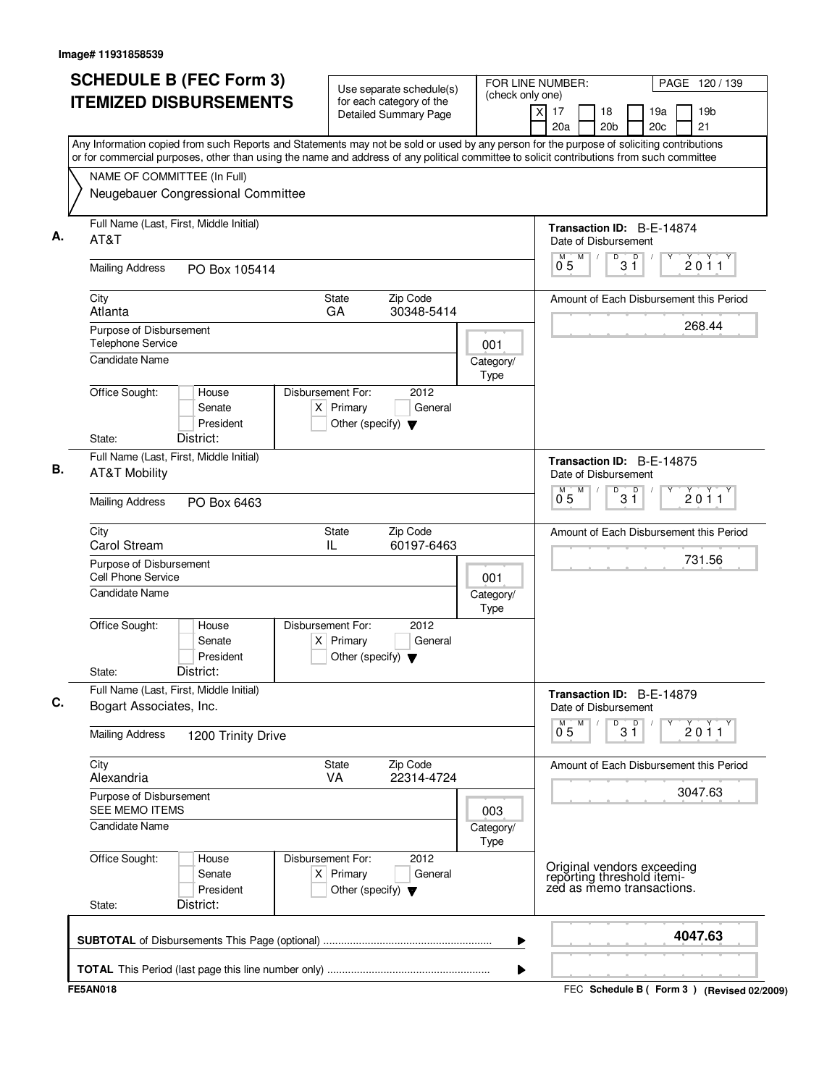| $\overline{x}$<br>19 <sub>b</sub><br>17<br>18<br>19a<br>Detailed Summary Page<br>21<br>20a<br>20 <sub>b</sub><br>20c<br>Any Information copied from such Reports and Statements may not be sold or used by any person for the purpose of soliciting contributions<br>or for commercial purposes, other than using the name and address of any political committee to solicit contributions from such committee<br>NAME OF COMMITTEE (In Full)<br>Neugebauer Congressional Committee<br>Full Name (Last, First, Middle Initial)<br>Transaction ID: B-E-14874<br>AT&T<br>Date of Disbursement<br>M<br>D<br>D<br>2011<br>3 Ĭ<br>0.5<br><b>Mailing Address</b><br>PO Box 105414<br>Zip Code<br>City<br><b>State</b><br>Amount of Each Disbursement this Period<br>GA<br>30348-5414<br>Atlanta<br>268.44<br>Purpose of Disbursement<br>Telephone Service<br>001<br><b>Candidate Name</b><br>Category/<br>Type<br>Office Sought:<br>Disbursement For:<br>2012<br>House<br>$X$ Primary<br>General<br>Senate<br>President<br>Other (specify) $\blacktriangledown$<br>District:<br>State:<br>Full Name (Last, First, Middle Initial)<br>Transaction ID: B-E-14875<br><b>AT&amp;T Mobility</b><br>Date of Disbursement<br>M<br>D<br>$3^{\circ}$<br>2011<br>0.5<br><b>Mailing Address</b><br>PO Box 6463<br>Zip Code<br>City<br>State<br>Amount of Each Disbursement this Period<br>Carol Stream<br>IL<br>60197-6463<br>731.56<br>Purpose of Disbursement<br><b>Cell Phone Service</b><br>001<br><b>Candidate Name</b><br>Category/<br>Type<br>2012<br>Office Sought:<br>Disbursement For:<br>House<br>Senate<br>$X$ Primary<br>General<br>President<br>Other (specify) $\blacktriangledown$<br>District:<br>State:<br>Full Name (Last, First, Middle Initial)<br>Transaction ID: B-E-14879<br>Bogart Associates, Inc.<br>Date of Disbursement<br>$3^{\circ}$<br>M<br>D<br>2011<br>$0^{\degree}5$<br><b>Mailing Address</b><br>1200 Trinity Drive<br>City<br>Zip Code<br><b>State</b><br>Amount of Each Disbursement this Period<br>Alexandria<br><b>VA</b><br>22314-4724<br>3047.63<br>Purpose of Disbursement<br>SEE MEMO ITEMS<br>003<br>Candidate Name<br>Category/<br>Type<br>Office Sought:<br>Disbursement For:<br>2012<br>House<br>Original vendors exceeding<br>reporting threshold itemi-<br>zed as memo transactions.<br>$X$ Primary<br>General<br>Senate<br>President<br>Other (specify) $\blacktriangledown$<br>District:<br>State:<br>4047.63<br>▶ | <b>SCHEDULE B (FEC Form 3)</b> | Use separate schedule(s) | FOR LINE NUMBER:<br>(check only one) | PAGE 120 / 139                              |
|-------------------------------------------------------------------------------------------------------------------------------------------------------------------------------------------------------------------------------------------------------------------------------------------------------------------------------------------------------------------------------------------------------------------------------------------------------------------------------------------------------------------------------------------------------------------------------------------------------------------------------------------------------------------------------------------------------------------------------------------------------------------------------------------------------------------------------------------------------------------------------------------------------------------------------------------------------------------------------------------------------------------------------------------------------------------------------------------------------------------------------------------------------------------------------------------------------------------------------------------------------------------------------------------------------------------------------------------------------------------------------------------------------------------------------------------------------------------------------------------------------------------------------------------------------------------------------------------------------------------------------------------------------------------------------------------------------------------------------------------------------------------------------------------------------------------------------------------------------------------------------------------------------------------------------------------------------------------------------------------------------------------------------------------------------------------------------------------------------------------------------------------------------------------------------------------------------------------------------------------------------------------------------------------------------------------------------------------------------------------------------------------------------------------------------------------------------|--------------------------------|--------------------------|--------------------------------------|---------------------------------------------|
|                                                                                                                                                                                                                                                                                                                                                                                                                                                                                                                                                                                                                                                                                                                                                                                                                                                                                                                                                                                                                                                                                                                                                                                                                                                                                                                                                                                                                                                                                                                                                                                                                                                                                                                                                                                                                                                                                                                                                                                                                                                                                                                                                                                                                                                                                                                                                                                                                                                       | <b>ITEMIZED DISBURSEMENTS</b>  | for each category of the |                                      |                                             |
|                                                                                                                                                                                                                                                                                                                                                                                                                                                                                                                                                                                                                                                                                                                                                                                                                                                                                                                                                                                                                                                                                                                                                                                                                                                                                                                                                                                                                                                                                                                                                                                                                                                                                                                                                                                                                                                                                                                                                                                                                                                                                                                                                                                                                                                                                                                                                                                                                                                       |                                |                          |                                      |                                             |
|                                                                                                                                                                                                                                                                                                                                                                                                                                                                                                                                                                                                                                                                                                                                                                                                                                                                                                                                                                                                                                                                                                                                                                                                                                                                                                                                                                                                                                                                                                                                                                                                                                                                                                                                                                                                                                                                                                                                                                                                                                                                                                                                                                                                                                                                                                                                                                                                                                                       |                                |                          |                                      |                                             |
|                                                                                                                                                                                                                                                                                                                                                                                                                                                                                                                                                                                                                                                                                                                                                                                                                                                                                                                                                                                                                                                                                                                                                                                                                                                                                                                                                                                                                                                                                                                                                                                                                                                                                                                                                                                                                                                                                                                                                                                                                                                                                                                                                                                                                                                                                                                                                                                                                                                       |                                |                          |                                      |                                             |
|                                                                                                                                                                                                                                                                                                                                                                                                                                                                                                                                                                                                                                                                                                                                                                                                                                                                                                                                                                                                                                                                                                                                                                                                                                                                                                                                                                                                                                                                                                                                                                                                                                                                                                                                                                                                                                                                                                                                                                                                                                                                                                                                                                                                                                                                                                                                                                                                                                                       |                                |                          |                                      |                                             |
|                                                                                                                                                                                                                                                                                                                                                                                                                                                                                                                                                                                                                                                                                                                                                                                                                                                                                                                                                                                                                                                                                                                                                                                                                                                                                                                                                                                                                                                                                                                                                                                                                                                                                                                                                                                                                                                                                                                                                                                                                                                                                                                                                                                                                                                                                                                                                                                                                                                       |                                |                          |                                      |                                             |
|                                                                                                                                                                                                                                                                                                                                                                                                                                                                                                                                                                                                                                                                                                                                                                                                                                                                                                                                                                                                                                                                                                                                                                                                                                                                                                                                                                                                                                                                                                                                                                                                                                                                                                                                                                                                                                                                                                                                                                                                                                                                                                                                                                                                                                                                                                                                                                                                                                                       |                                |                          |                                      |                                             |
|                                                                                                                                                                                                                                                                                                                                                                                                                                                                                                                                                                                                                                                                                                                                                                                                                                                                                                                                                                                                                                                                                                                                                                                                                                                                                                                                                                                                                                                                                                                                                                                                                                                                                                                                                                                                                                                                                                                                                                                                                                                                                                                                                                                                                                                                                                                                                                                                                                                       |                                |                          |                                      |                                             |
|                                                                                                                                                                                                                                                                                                                                                                                                                                                                                                                                                                                                                                                                                                                                                                                                                                                                                                                                                                                                                                                                                                                                                                                                                                                                                                                                                                                                                                                                                                                                                                                                                                                                                                                                                                                                                                                                                                                                                                                                                                                                                                                                                                                                                                                                                                                                                                                                                                                       |                                |                          |                                      |                                             |
|                                                                                                                                                                                                                                                                                                                                                                                                                                                                                                                                                                                                                                                                                                                                                                                                                                                                                                                                                                                                                                                                                                                                                                                                                                                                                                                                                                                                                                                                                                                                                                                                                                                                                                                                                                                                                                                                                                                                                                                                                                                                                                                                                                                                                                                                                                                                                                                                                                                       |                                |                          |                                      |                                             |
|                                                                                                                                                                                                                                                                                                                                                                                                                                                                                                                                                                                                                                                                                                                                                                                                                                                                                                                                                                                                                                                                                                                                                                                                                                                                                                                                                                                                                                                                                                                                                                                                                                                                                                                                                                                                                                                                                                                                                                                                                                                                                                                                                                                                                                                                                                                                                                                                                                                       |                                |                          |                                      |                                             |
|                                                                                                                                                                                                                                                                                                                                                                                                                                                                                                                                                                                                                                                                                                                                                                                                                                                                                                                                                                                                                                                                                                                                                                                                                                                                                                                                                                                                                                                                                                                                                                                                                                                                                                                                                                                                                                                                                                                                                                                                                                                                                                                                                                                                                                                                                                                                                                                                                                                       |                                |                          |                                      |                                             |
|                                                                                                                                                                                                                                                                                                                                                                                                                                                                                                                                                                                                                                                                                                                                                                                                                                                                                                                                                                                                                                                                                                                                                                                                                                                                                                                                                                                                                                                                                                                                                                                                                                                                                                                                                                                                                                                                                                                                                                                                                                                                                                                                                                                                                                                                                                                                                                                                                                                       |                                |                          |                                      |                                             |
|                                                                                                                                                                                                                                                                                                                                                                                                                                                                                                                                                                                                                                                                                                                                                                                                                                                                                                                                                                                                                                                                                                                                                                                                                                                                                                                                                                                                                                                                                                                                                                                                                                                                                                                                                                                                                                                                                                                                                                                                                                                                                                                                                                                                                                                                                                                                                                                                                                                       |                                |                          |                                      |                                             |
|                                                                                                                                                                                                                                                                                                                                                                                                                                                                                                                                                                                                                                                                                                                                                                                                                                                                                                                                                                                                                                                                                                                                                                                                                                                                                                                                                                                                                                                                                                                                                                                                                                                                                                                                                                                                                                                                                                                                                                                                                                                                                                                                                                                                                                                                                                                                                                                                                                                       |                                |                          |                                      |                                             |
|                                                                                                                                                                                                                                                                                                                                                                                                                                                                                                                                                                                                                                                                                                                                                                                                                                                                                                                                                                                                                                                                                                                                                                                                                                                                                                                                                                                                                                                                                                                                                                                                                                                                                                                                                                                                                                                                                                                                                                                                                                                                                                                                                                                                                                                                                                                                                                                                                                                       |                                |                          |                                      |                                             |
|                                                                                                                                                                                                                                                                                                                                                                                                                                                                                                                                                                                                                                                                                                                                                                                                                                                                                                                                                                                                                                                                                                                                                                                                                                                                                                                                                                                                                                                                                                                                                                                                                                                                                                                                                                                                                                                                                                                                                                                                                                                                                                                                                                                                                                                                                                                                                                                                                                                       |                                |                          |                                      |                                             |
|                                                                                                                                                                                                                                                                                                                                                                                                                                                                                                                                                                                                                                                                                                                                                                                                                                                                                                                                                                                                                                                                                                                                                                                                                                                                                                                                                                                                                                                                                                                                                                                                                                                                                                                                                                                                                                                                                                                                                                                                                                                                                                                                                                                                                                                                                                                                                                                                                                                       |                                |                          |                                      |                                             |
|                                                                                                                                                                                                                                                                                                                                                                                                                                                                                                                                                                                                                                                                                                                                                                                                                                                                                                                                                                                                                                                                                                                                                                                                                                                                                                                                                                                                                                                                                                                                                                                                                                                                                                                                                                                                                                                                                                                                                                                                                                                                                                                                                                                                                                                                                                                                                                                                                                                       |                                |                          |                                      |                                             |
|                                                                                                                                                                                                                                                                                                                                                                                                                                                                                                                                                                                                                                                                                                                                                                                                                                                                                                                                                                                                                                                                                                                                                                                                                                                                                                                                                                                                                                                                                                                                                                                                                                                                                                                                                                                                                                                                                                                                                                                                                                                                                                                                                                                                                                                                                                                                                                                                                                                       |                                |                          |                                      |                                             |
|                                                                                                                                                                                                                                                                                                                                                                                                                                                                                                                                                                                                                                                                                                                                                                                                                                                                                                                                                                                                                                                                                                                                                                                                                                                                                                                                                                                                                                                                                                                                                                                                                                                                                                                                                                                                                                                                                                                                                                                                                                                                                                                                                                                                                                                                                                                                                                                                                                                       |                                |                          |                                      |                                             |
|                                                                                                                                                                                                                                                                                                                                                                                                                                                                                                                                                                                                                                                                                                                                                                                                                                                                                                                                                                                                                                                                                                                                                                                                                                                                                                                                                                                                                                                                                                                                                                                                                                                                                                                                                                                                                                                                                                                                                                                                                                                                                                                                                                                                                                                                                                                                                                                                                                                       |                                |                          |                                      |                                             |
|                                                                                                                                                                                                                                                                                                                                                                                                                                                                                                                                                                                                                                                                                                                                                                                                                                                                                                                                                                                                                                                                                                                                                                                                                                                                                                                                                                                                                                                                                                                                                                                                                                                                                                                                                                                                                                                                                                                                                                                                                                                                                                                                                                                                                                                                                                                                                                                                                                                       | <b>FE5AN018</b>                |                          |                                      | FEC Schedule B ( Form 3 ) (Revised 02/2009) |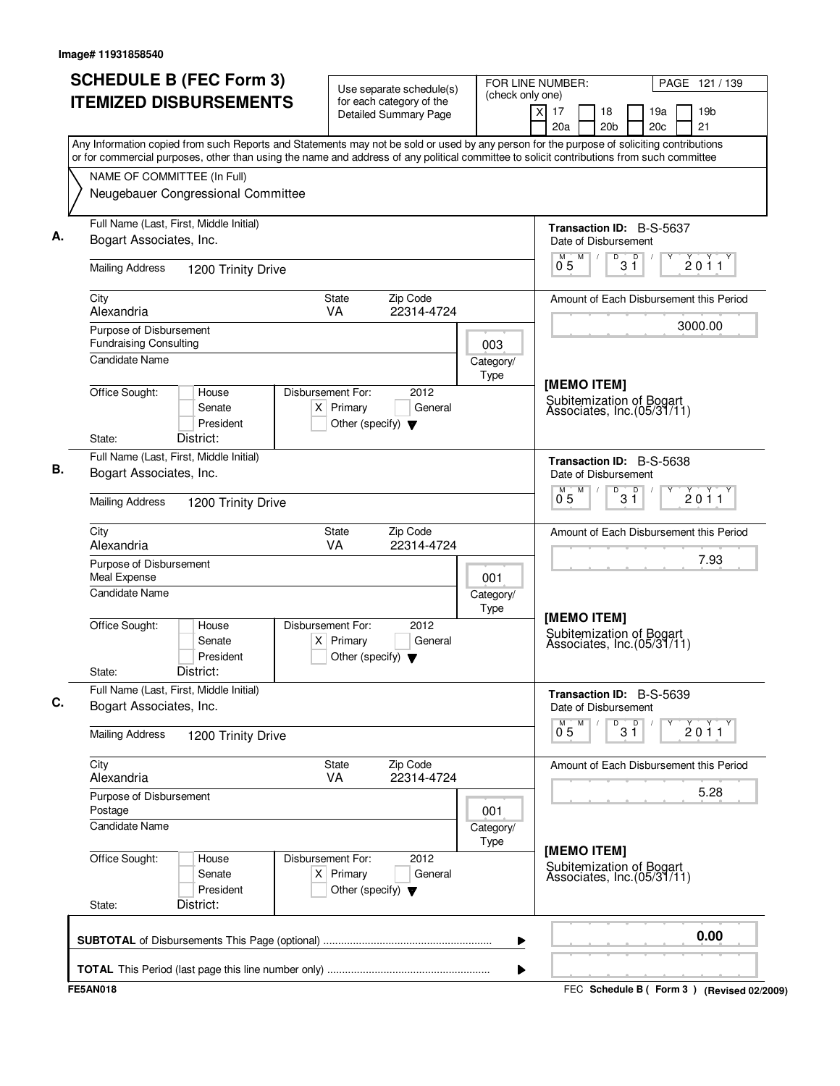| <b>SCHEDULE B (FEC Form 3)</b>                                                                                                                                                                                                                                                         | Use separate schedule(s)                                                                    |                   | FOR LINE NUMBER:<br>PAGE 121 / 139                                                         |  |  |  |  |
|----------------------------------------------------------------------------------------------------------------------------------------------------------------------------------------------------------------------------------------------------------------------------------------|---------------------------------------------------------------------------------------------|-------------------|--------------------------------------------------------------------------------------------|--|--|--|--|
| <b>ITEMIZED DISBURSEMENTS</b>                                                                                                                                                                                                                                                          | for each category of the<br><b>Detailed Summary Page</b>                                    | (check only one)  | x<br>17<br>19 <sub>b</sub><br>18<br>19a<br>20 <sub>c</sub><br>21<br>20a<br>20 <sub>b</sub> |  |  |  |  |
| Any Information copied from such Reports and Statements may not be sold or used by any person for the purpose of soliciting contributions<br>or for commercial purposes, other than using the name and address of any political committee to solicit contributions from such committee |                                                                                             |                   |                                                                                            |  |  |  |  |
| NAME OF COMMITTEE (In Full)                                                                                                                                                                                                                                                            |                                                                                             |                   |                                                                                            |  |  |  |  |
| Neugebauer Congressional Committee                                                                                                                                                                                                                                                     |                                                                                             |                   |                                                                                            |  |  |  |  |
| Full Name (Last, First, Middle Initial)<br>Bogart Associates, Inc.                                                                                                                                                                                                                     |                                                                                             |                   | <b>Transaction ID: B-S-5637</b><br>Date of Disbursement                                    |  |  |  |  |
| <b>Mailing Address</b><br>1200 Trinity Drive                                                                                                                                                                                                                                           |                                                                                             |                   | D<br>M<br>D<br>2011<br>$0^{\degree}5$<br>3 Ĭ                                               |  |  |  |  |
| City<br>Alexandria                                                                                                                                                                                                                                                                     | State<br>Zip Code<br>VA<br>22314-4724                                                       |                   | Amount of Each Disbursement this Period                                                    |  |  |  |  |
| Purpose of Disbursement<br><b>Fundraising Consulting</b>                                                                                                                                                                                                                               |                                                                                             | 003               | 3000.00                                                                                    |  |  |  |  |
| Candidate Name                                                                                                                                                                                                                                                                         |                                                                                             | Category/<br>Type |                                                                                            |  |  |  |  |
| Office Sought:<br>House<br>Senate<br>President<br>District:<br>State:                                                                                                                                                                                                                  | Disbursement For:<br>2012<br>$X$ Primary<br>General<br>Other (specify) $\blacktriangledown$ |                   | [MEMO ITEM]<br>Subitemization of Bogart<br>Associates, Inc.(05/31/11)                      |  |  |  |  |
| Full Name (Last, First, Middle Initial)                                                                                                                                                                                                                                                |                                                                                             |                   | Transaction ID: B-S-5638                                                                   |  |  |  |  |
| Bogart Associates, Inc.<br><b>Mailing Address</b>                                                                                                                                                                                                                                      |                                                                                             |                   | Date of Disbursement<br>M<br>D<br>$3^{\circ}$<br>$0^{M}$ 5<br>2011                         |  |  |  |  |
| 1200 Trinity Drive                                                                                                                                                                                                                                                                     |                                                                                             |                   |                                                                                            |  |  |  |  |
| City<br>Alexandria                                                                                                                                                                                                                                                                     | Zip Code<br>State<br>VA<br>22314-4724                                                       |                   | Amount of Each Disbursement this Period                                                    |  |  |  |  |
| Purpose of Disbursement<br>Meal Expense                                                                                                                                                                                                                                                |                                                                                             | 001               | 7.93                                                                                       |  |  |  |  |
| <b>Candidate Name</b>                                                                                                                                                                                                                                                                  |                                                                                             | Category/<br>Type |                                                                                            |  |  |  |  |
| Office Sought:<br>House<br>Senate<br>President<br>District:<br>State:                                                                                                                                                                                                                  | Disbursement For:<br>2012<br>$X$ Primary<br>General<br>Other (specify) $\blacktriangledown$ |                   | [MEMO ITEM]<br>Subitemization of Bogart<br>Associates, Inc.(05/31/11)                      |  |  |  |  |
| Full Name (Last, First, Middle Initial)<br>Bogart Associates, Inc.                                                                                                                                                                                                                     |                                                                                             |                   | Transaction ID: B-S-5639<br>Date of Disbursement                                           |  |  |  |  |
| <b>Mailing Address</b><br>1200 Trinity Drive                                                                                                                                                                                                                                           |                                                                                             |                   | $3^{\circ}$<br>M<br>D<br>2011<br>0.5                                                       |  |  |  |  |
| City<br>Alexandria                                                                                                                                                                                                                                                                     | Zip Code<br>State<br>VA<br>22314-4724                                                       |                   | Amount of Each Disbursement this Period                                                    |  |  |  |  |
| Purpose of Disbursement<br>Postage                                                                                                                                                                                                                                                     |                                                                                             | 001               | 5.28                                                                                       |  |  |  |  |
| Candidate Name                                                                                                                                                                                                                                                                         |                                                                                             | Category/<br>Type |                                                                                            |  |  |  |  |
| Office Sought:<br>House<br>Senate<br>President<br>District:<br>State:                                                                                                                                                                                                                  | Disbursement For:<br>2012<br>$X$ Primary<br>General<br>Other (specify) $\blacktriangledown$ |                   | [MEMO ITEM]<br>Subitemization of Bogart<br>Associates, Inc. (05/31/11)                     |  |  |  |  |
|                                                                                                                                                                                                                                                                                        |                                                                                             |                   |                                                                                            |  |  |  |  |
|                                                                                                                                                                                                                                                                                        |                                                                                             | ▶                 | 0.00                                                                                       |  |  |  |  |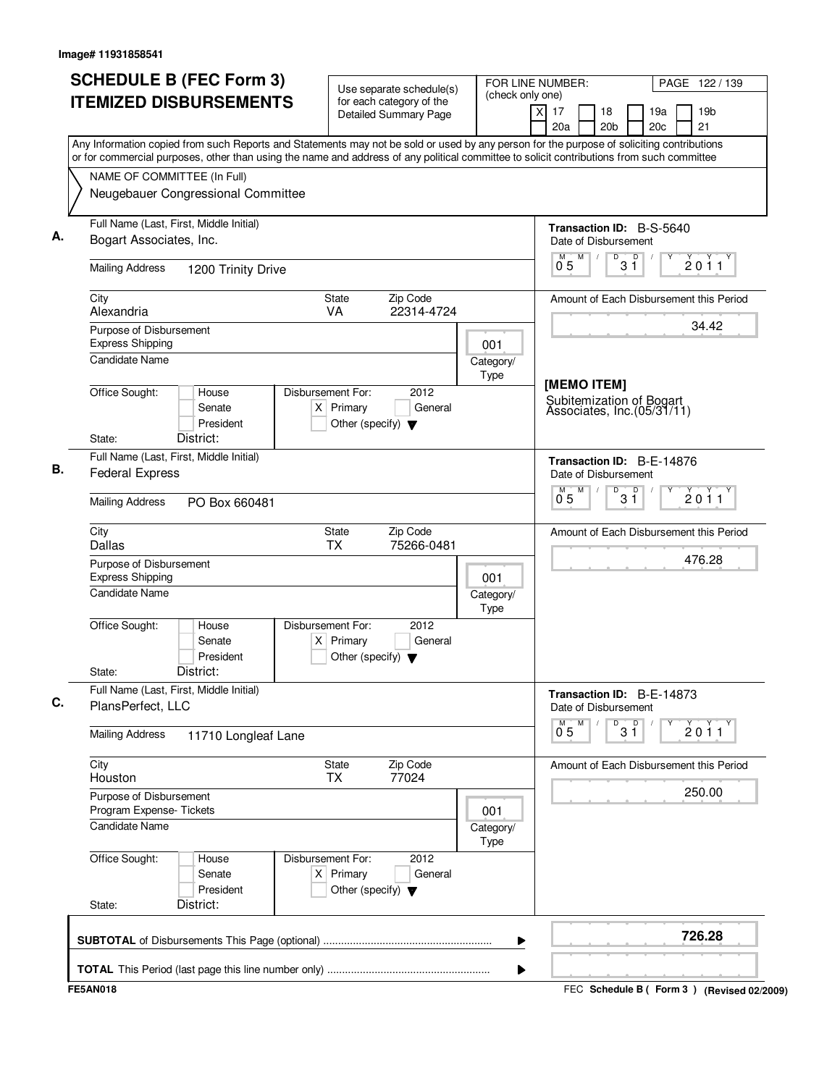| <b>SCHEDULE B (FEC Form 3)</b><br><b>ITEMIZED DISBURSEMENTS</b>                                                                                                                                                                                                                        | Use separate schedule(s)<br>for each category of the<br><b>Detailed Summary Page</b>        | (check only one)  | FOR LINE NUMBER:<br>PAGE 122 / 139<br>$\times$<br>17<br>19 <sub>b</sub><br>18<br>19a<br>21<br>20a<br>20 <sub>b</sub><br>20c |
|----------------------------------------------------------------------------------------------------------------------------------------------------------------------------------------------------------------------------------------------------------------------------------------|---------------------------------------------------------------------------------------------|-------------------|-----------------------------------------------------------------------------------------------------------------------------|
| Any Information copied from such Reports and Statements may not be sold or used by any person for the purpose of soliciting contributions<br>or for commercial purposes, other than using the name and address of any political committee to solicit contributions from such committee |                                                                                             |                   |                                                                                                                             |
| NAME OF COMMITTEE (In Full)                                                                                                                                                                                                                                                            |                                                                                             |                   |                                                                                                                             |
| Neugebauer Congressional Committee                                                                                                                                                                                                                                                     |                                                                                             |                   |                                                                                                                             |
| Full Name (Last, First, Middle Initial)<br>Bogart Associates, Inc.                                                                                                                                                                                                                     |                                                                                             |                   | <b>Transaction ID: B-S-5640</b><br>Date of Disbursement                                                                     |
| <b>Mailing Address</b><br>1200 Trinity Drive                                                                                                                                                                                                                                           |                                                                                             |                   | D<br>$\overline{D}$<br>M<br>M<br>2011<br>3 Ĭ<br>05                                                                          |
| City<br>Alexandria                                                                                                                                                                                                                                                                     | State<br>Zip Code<br>VA<br>22314-4724                                                       |                   | Amount of Each Disbursement this Period                                                                                     |
| Purpose of Disbursement                                                                                                                                                                                                                                                                |                                                                                             |                   | 34.42                                                                                                                       |
| <b>Express Shipping</b>                                                                                                                                                                                                                                                                |                                                                                             | 001               |                                                                                                                             |
| <b>Candidate Name</b>                                                                                                                                                                                                                                                                  |                                                                                             | Category/<br>Type |                                                                                                                             |
| Office Sought:<br>House<br>Senate<br>President                                                                                                                                                                                                                                         | Disbursement For:<br>2012<br>$X$ Primary<br>General<br>Other (specify) $\blacktriangledown$ |                   | [MEMO ITEM]<br>Subitemization of Bogart<br>Associates, Inc.(05/31/11)                                                       |
| District:<br>State:                                                                                                                                                                                                                                                                    |                                                                                             |                   |                                                                                                                             |
| Full Name (Last, First, Middle Initial)<br><b>Federal Express</b>                                                                                                                                                                                                                      |                                                                                             |                   | Transaction ID: B-E-14876<br>Date of Disbursement                                                                           |
| <b>Mailing Address</b><br>PO Box 660481                                                                                                                                                                                                                                                |                                                                                             |                   | M<br>D<br>D<br>м<br>2011<br>3 Ĭ<br>0.5                                                                                      |
| City<br>Dallas                                                                                                                                                                                                                                                                         | Zip Code<br><b>State</b><br><b>TX</b><br>75266-0481                                         |                   | Amount of Each Disbursement this Period                                                                                     |
| Purpose of Disbursement<br><b>Express Shipping</b>                                                                                                                                                                                                                                     |                                                                                             | 001               | 476.28                                                                                                                      |
| Candidate Name                                                                                                                                                                                                                                                                         |                                                                                             | Category/<br>Type |                                                                                                                             |
| Office Sought:<br>House<br>Senate<br>President<br>District:<br>State:                                                                                                                                                                                                                  | Disbursement For:<br>2012<br>$X$ Primary<br>General<br>Other (specify) $\blacktriangledown$ |                   |                                                                                                                             |
| Full Name (Last, First, Middle Initial)                                                                                                                                                                                                                                                |                                                                                             |                   | Transaction ID: B-E-14873                                                                                                   |
| PlansPerfect, LLC                                                                                                                                                                                                                                                                      |                                                                                             |                   | Date of Disbursement<br>M<br>D                                                                                              |
| <b>Mailing Address</b><br>11710 Longleaf Lane                                                                                                                                                                                                                                          |                                                                                             |                   | $3^{\circ}$<br>$0^{M}$ 5<br>$\check{2}$ 0 $\check{1}$ 1                                                                     |
| City<br>Houston                                                                                                                                                                                                                                                                        | Zip Code<br>State<br><b>TX</b><br>77024                                                     |                   | Amount of Each Disbursement this Period                                                                                     |
| Purpose of Disbursement<br>Program Expense- Tickets                                                                                                                                                                                                                                    |                                                                                             | 001               | 250.00                                                                                                                      |
| <b>Candidate Name</b>                                                                                                                                                                                                                                                                  |                                                                                             | Category/<br>Type |                                                                                                                             |
| Office Sought:<br>House<br>Senate<br>President                                                                                                                                                                                                                                         | Disbursement For:<br>2012<br>$X$ Primary<br>General<br>Other (specify) $\blacktriangledown$ |                   |                                                                                                                             |
| District:<br>State:                                                                                                                                                                                                                                                                    |                                                                                             |                   |                                                                                                                             |
|                                                                                                                                                                                                                                                                                        |                                                                                             | ▶                 | 726.28                                                                                                                      |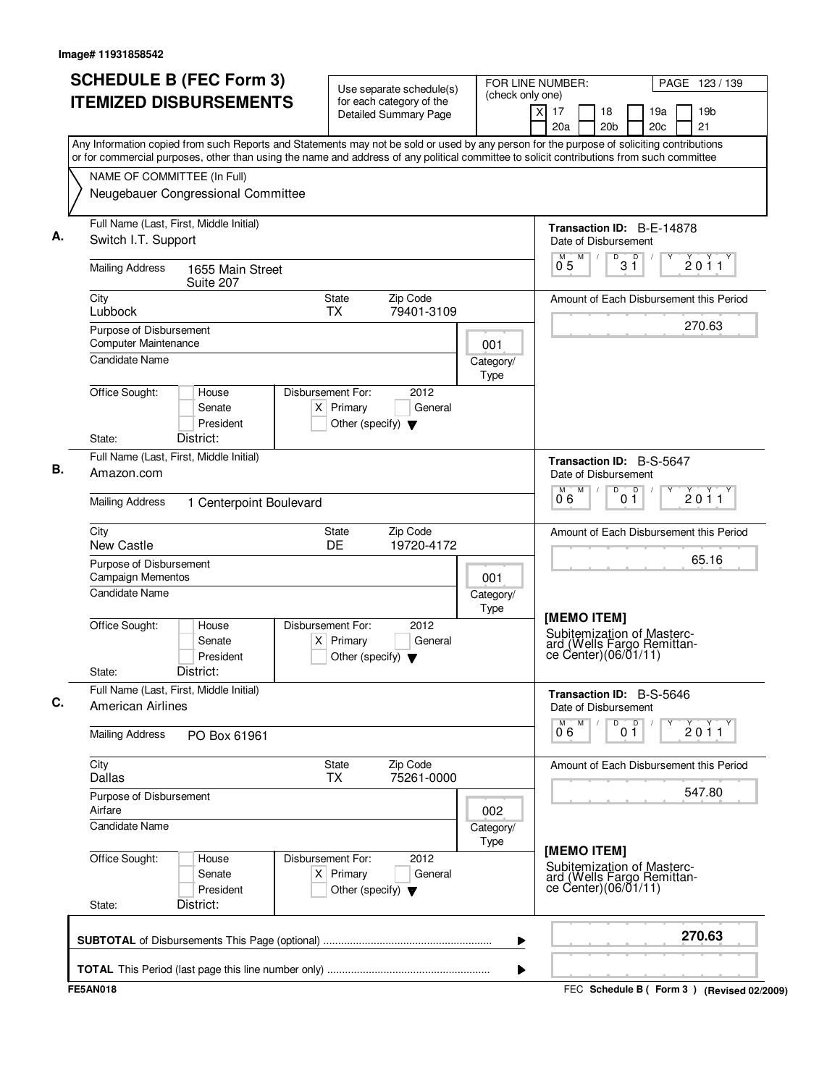| <b>SCHEDULE B (FEC Form 3)</b>                                                                                                                                                                                                                                                         | Use separate schedule(s)                                                                    |                   | FOR LINE NUMBER:<br>PAGE 123 / 139                                                         |                                                 |  |  |  |
|----------------------------------------------------------------------------------------------------------------------------------------------------------------------------------------------------------------------------------------------------------------------------------------|---------------------------------------------------------------------------------------------|-------------------|--------------------------------------------------------------------------------------------|-------------------------------------------------|--|--|--|
| <b>ITEMIZED DISBURSEMENTS</b>                                                                                                                                                                                                                                                          | for each category of the<br><b>Detailed Summary Page</b>                                    | (check only one)  | x<br>17<br>18<br>20a<br>20 <sub>b</sub>                                                    | 19 <sub>b</sub><br>19a<br>20 <sub>c</sub><br>21 |  |  |  |
| Any Information copied from such Reports and Statements may not be sold or used by any person for the purpose of soliciting contributions<br>or for commercial purposes, other than using the name and address of any political committee to solicit contributions from such committee |                                                                                             |                   |                                                                                            |                                                 |  |  |  |
| NAME OF COMMITTEE (In Full)                                                                                                                                                                                                                                                            |                                                                                             |                   |                                                                                            |                                                 |  |  |  |
| Neugebauer Congressional Committee                                                                                                                                                                                                                                                     |                                                                                             |                   |                                                                                            |                                                 |  |  |  |
| Full Name (Last, First, Middle Initial)<br>Switch I.T. Support                                                                                                                                                                                                                         |                                                                                             |                   | Date of Disbursement                                                                       | Transaction ID: B-E-14878                       |  |  |  |
| <b>Mailing Address</b><br>1655 Main Street<br>Suite 207                                                                                                                                                                                                                                |                                                                                             |                   | M<br>D<br>$0^{\degree}5$                                                                   | D<br>2011<br>$3\vert1$                          |  |  |  |
| City<br>Lubbock                                                                                                                                                                                                                                                                        | State<br>Zip Code<br><b>TX</b><br>79401-3109                                                |                   |                                                                                            | Amount of Each Disbursement this Period         |  |  |  |
| Purpose of Disbursement<br>Computer Maintenance                                                                                                                                                                                                                                        |                                                                                             | 001               |                                                                                            | 270.63                                          |  |  |  |
| <b>Candidate Name</b>                                                                                                                                                                                                                                                                  |                                                                                             | Category/<br>Type |                                                                                            |                                                 |  |  |  |
| Office Sought:<br>House<br>Senate<br>President<br>District:<br>State:                                                                                                                                                                                                                  | Disbursement For:<br>2012<br>$X$ Primary<br>General<br>Other (specify) $\blacktriangledown$ |                   |                                                                                            |                                                 |  |  |  |
| Full Name (Last, First, Middle Initial)                                                                                                                                                                                                                                                |                                                                                             |                   | Transaction ID: B-S-5647                                                                   |                                                 |  |  |  |
| Amazon.com                                                                                                                                                                                                                                                                             |                                                                                             |                   | Date of Disbursement<br>M<br>D                                                             |                                                 |  |  |  |
| <b>Mailing Address</b><br>1 Centerpoint Boulevard                                                                                                                                                                                                                                      |                                                                                             |                   | 06                                                                                         | $0^{\circ}$<br>2011                             |  |  |  |
| City<br>New Castle                                                                                                                                                                                                                                                                     | Zip Code<br>State<br>DE<br>19720-4172                                                       |                   |                                                                                            | Amount of Each Disbursement this Period         |  |  |  |
| Purpose of Disbursement<br><b>Campaign Mementos</b>                                                                                                                                                                                                                                    |                                                                                             | 001               |                                                                                            | 65.16                                           |  |  |  |
| <b>Candidate Name</b>                                                                                                                                                                                                                                                                  |                                                                                             | Category/<br>Type |                                                                                            |                                                 |  |  |  |
| Office Sought:<br>House<br>Senate<br>President<br>District:<br>State:                                                                                                                                                                                                                  | Disbursement For:<br>2012<br>$X$ Primary<br>General<br>Other (specify) $\blacktriangledown$ |                   | [MEMO ITEM]<br>Subitemization of Masterc-<br>ard (Wells Fargo Remittance Center)(06/01/11) |                                                 |  |  |  |
| Full Name (Last, First, Middle Initial)<br><b>American Airlines</b>                                                                                                                                                                                                                    |                                                                                             |                   | Transaction ID: B-S-5646<br>Date of Disbursement                                           |                                                 |  |  |  |
| <b>Mailing Address</b><br>PO Box 61961                                                                                                                                                                                                                                                 |                                                                                             |                   | M<br>D<br>06                                                                               | D<br>$\frac{1}{2}$ 0 1 1<br>0 <sub>1</sub>      |  |  |  |
| City<br><b>Dallas</b>                                                                                                                                                                                                                                                                  | Zip Code<br>State<br>75261-0000<br><b>TX</b>                                                |                   |                                                                                            | Amount of Each Disbursement this Period         |  |  |  |
| Purpose of Disbursement<br>Airfare                                                                                                                                                                                                                                                     |                                                                                             | 002               |                                                                                            | 547.80                                          |  |  |  |
| Candidate Name                                                                                                                                                                                                                                                                         |                                                                                             | Category/<br>Type |                                                                                            |                                                 |  |  |  |
| Office Sought:<br>House<br>Senate<br>President<br>District:<br>State:                                                                                                                                                                                                                  | Disbursement For:<br>2012<br>$X$ Primary<br>General<br>Other (specify) $\blacktriangledown$ |                   | [MEMO ITEM]<br>Subitemization of Masterc-<br>ard (Wells Fargo Remittance Center)(06/01/11) |                                                 |  |  |  |
|                                                                                                                                                                                                                                                                                        |                                                                                             | ▶                 |                                                                                            | 270.63                                          |  |  |  |
|                                                                                                                                                                                                                                                                                        |                                                                                             | ▶                 |                                                                                            |                                                 |  |  |  |
| <b>FE5AN018</b>                                                                                                                                                                                                                                                                        |                                                                                             |                   |                                                                                            | FEC Schedule B ( Form 3 ) (Revised 02/2009)     |  |  |  |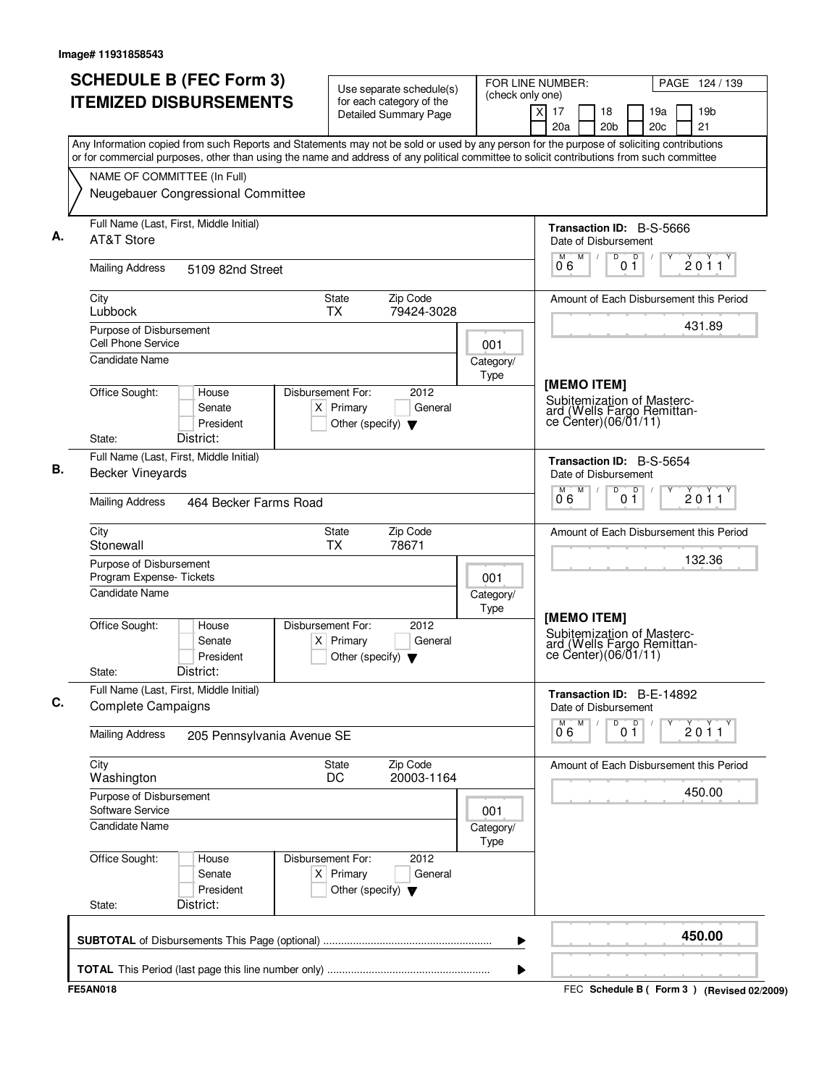| Any Information copied from such Reports and Statements may not be sold or used by any person for the purpose of soliciting contributions<br>or for commercial purposes, other than using the name and address of any political committee to solicit contributions from such committee<br>NAME OF COMMITTEE (In Full)<br>Neugebauer Congressional Committee<br>Full Name (Last, First, Middle Initial)<br><b>Transaction ID: B-S-5666</b><br>AT&T Store<br>Date of Disbursement<br>D<br>$\mathsf D$<br>M<br>M<br>06<br>01<br><b>Mailing Address</b><br>5109 82nd Street<br>State<br>City<br>Zip Code<br>Lubbock<br><b>TX</b><br>79424-3028<br>431.89<br>Purpose of Disbursement<br><b>Cell Phone Service</b><br>001<br><b>Candidate Name</b><br>Category/<br>Type<br>[MEMO ITEM]<br>Office Sought:<br>Disbursement For:<br>2012<br>House<br>Subitemization of Masterc-<br>$X$ Primary<br>General<br>Senate<br>ard (Wells Fargo Remittan-<br>ce Center)(06/01/11)<br>President<br>Other (specify) $\blacktriangledown$<br>District:<br>State:<br>Full Name (Last, First, Middle Initial)<br>Transaction ID: B-S-5654<br><b>Becker Vineyards</b><br>Date of Disbursement<br>M<br>D<br>0 <sup>0</sup><br>06<br><b>Mailing Address</b><br>464 Becker Farms Road<br>City<br>State<br>Zip Code<br>Stonewall<br><b>TX</b><br>78671<br>Purpose of Disbursement<br>Program Expense-Tickets<br>001<br><b>Candidate Name</b><br>Category/<br>Type<br>[MEMO ITEM]<br>Office Sought:<br>Disbursement For:<br>2012<br>House<br>Subitemization of Masterc-<br>Senate<br>$X$ Primary<br>General<br>ard (Wells Fargo Remittan-<br>ce Center) (06/01/11)<br>President<br>Other (specify) $\blacktriangledown$<br>District:<br>State:<br>Full Name (Last, First, Middle Initial)<br>Transaction ID: B-E-14892<br><b>Complete Campaigns</b><br>Date of Disbursement<br>M<br>D<br>0 <sup>0</sup><br>06<br><b>Mailing Address</b><br>205 Pennsylvania Avenue SE<br>City<br><b>State</b><br>Zip Code<br>20003-1164<br>DC<br>Washington<br>450.00<br>Purpose of Disbursement<br>Software Service<br>001<br><b>Candidate Name</b><br>Category/<br>Type<br>Office Sought:<br>Disbursement For:<br>2012<br>House<br>$X$ Primary<br>Senate<br>General<br>President<br>Other (specify) $\blacktriangledown$<br>District:<br>State: | <b>SCHEDULE B (FEC Form 3)</b><br><b>ITEMIZED DISBURSEMENTS</b> | Use separate schedule(s)<br>for each category of the<br><b>Detailed Summary Page</b> | (check only one) | FOR LINE NUMBER:<br>PAGE 124 / 139<br>19 <sub>b</sub><br>$\times$<br>17<br>18<br>19a<br>21<br>20a<br>20 <sub>b</sub><br>20c |
|-------------------------------------------------------------------------------------------------------------------------------------------------------------------------------------------------------------------------------------------------------------------------------------------------------------------------------------------------------------------------------------------------------------------------------------------------------------------------------------------------------------------------------------------------------------------------------------------------------------------------------------------------------------------------------------------------------------------------------------------------------------------------------------------------------------------------------------------------------------------------------------------------------------------------------------------------------------------------------------------------------------------------------------------------------------------------------------------------------------------------------------------------------------------------------------------------------------------------------------------------------------------------------------------------------------------------------------------------------------------------------------------------------------------------------------------------------------------------------------------------------------------------------------------------------------------------------------------------------------------------------------------------------------------------------------------------------------------------------------------------------------------------------------------------------------------------------------------------------------------------------------------------------------------------------------------------------------------------------------------------------------------------------------------------------------------------------------------------------------------------------------------------------------------------------------------------------------------------------------------------------------------------------------------------------|-----------------------------------------------------------------|--------------------------------------------------------------------------------------|------------------|-----------------------------------------------------------------------------------------------------------------------------|
|                                                                                                                                                                                                                                                                                                                                                                                                                                                                                                                                                                                                                                                                                                                                                                                                                                                                                                                                                                                                                                                                                                                                                                                                                                                                                                                                                                                                                                                                                                                                                                                                                                                                                                                                                                                                                                                                                                                                                                                                                                                                                                                                                                                                                                                                                                       |                                                                 |                                                                                      |                  |                                                                                                                             |
|                                                                                                                                                                                                                                                                                                                                                                                                                                                                                                                                                                                                                                                                                                                                                                                                                                                                                                                                                                                                                                                                                                                                                                                                                                                                                                                                                                                                                                                                                                                                                                                                                                                                                                                                                                                                                                                                                                                                                                                                                                                                                                                                                                                                                                                                                                       |                                                                 |                                                                                      |                  |                                                                                                                             |
|                                                                                                                                                                                                                                                                                                                                                                                                                                                                                                                                                                                                                                                                                                                                                                                                                                                                                                                                                                                                                                                                                                                                                                                                                                                                                                                                                                                                                                                                                                                                                                                                                                                                                                                                                                                                                                                                                                                                                                                                                                                                                                                                                                                                                                                                                                       |                                                                 |                                                                                      |                  |                                                                                                                             |
|                                                                                                                                                                                                                                                                                                                                                                                                                                                                                                                                                                                                                                                                                                                                                                                                                                                                                                                                                                                                                                                                                                                                                                                                                                                                                                                                                                                                                                                                                                                                                                                                                                                                                                                                                                                                                                                                                                                                                                                                                                                                                                                                                                                                                                                                                                       |                                                                 |                                                                                      |                  | $\frac{1}{2}$ 0 1 1                                                                                                         |
|                                                                                                                                                                                                                                                                                                                                                                                                                                                                                                                                                                                                                                                                                                                                                                                                                                                                                                                                                                                                                                                                                                                                                                                                                                                                                                                                                                                                                                                                                                                                                                                                                                                                                                                                                                                                                                                                                                                                                                                                                                                                                                                                                                                                                                                                                                       |                                                                 |                                                                                      |                  | Amount of Each Disbursement this Period                                                                                     |
|                                                                                                                                                                                                                                                                                                                                                                                                                                                                                                                                                                                                                                                                                                                                                                                                                                                                                                                                                                                                                                                                                                                                                                                                                                                                                                                                                                                                                                                                                                                                                                                                                                                                                                                                                                                                                                                                                                                                                                                                                                                                                                                                                                                                                                                                                                       |                                                                 |                                                                                      |                  |                                                                                                                             |
|                                                                                                                                                                                                                                                                                                                                                                                                                                                                                                                                                                                                                                                                                                                                                                                                                                                                                                                                                                                                                                                                                                                                                                                                                                                                                                                                                                                                                                                                                                                                                                                                                                                                                                                                                                                                                                                                                                                                                                                                                                                                                                                                                                                                                                                                                                       |                                                                 |                                                                                      |                  |                                                                                                                             |
|                                                                                                                                                                                                                                                                                                                                                                                                                                                                                                                                                                                                                                                                                                                                                                                                                                                                                                                                                                                                                                                                                                                                                                                                                                                                                                                                                                                                                                                                                                                                                                                                                                                                                                                                                                                                                                                                                                                                                                                                                                                                                                                                                                                                                                                                                                       |                                                                 |                                                                                      |                  | 2011                                                                                                                        |
|                                                                                                                                                                                                                                                                                                                                                                                                                                                                                                                                                                                                                                                                                                                                                                                                                                                                                                                                                                                                                                                                                                                                                                                                                                                                                                                                                                                                                                                                                                                                                                                                                                                                                                                                                                                                                                                                                                                                                                                                                                                                                                                                                                                                                                                                                                       |                                                                 |                                                                                      |                  | Amount of Each Disbursement this Period                                                                                     |
|                                                                                                                                                                                                                                                                                                                                                                                                                                                                                                                                                                                                                                                                                                                                                                                                                                                                                                                                                                                                                                                                                                                                                                                                                                                                                                                                                                                                                                                                                                                                                                                                                                                                                                                                                                                                                                                                                                                                                                                                                                                                                                                                                                                                                                                                                                       |                                                                 |                                                                                      |                  | 132.36                                                                                                                      |
|                                                                                                                                                                                                                                                                                                                                                                                                                                                                                                                                                                                                                                                                                                                                                                                                                                                                                                                                                                                                                                                                                                                                                                                                                                                                                                                                                                                                                                                                                                                                                                                                                                                                                                                                                                                                                                                                                                                                                                                                                                                                                                                                                                                                                                                                                                       |                                                                 |                                                                                      |                  |                                                                                                                             |
|                                                                                                                                                                                                                                                                                                                                                                                                                                                                                                                                                                                                                                                                                                                                                                                                                                                                                                                                                                                                                                                                                                                                                                                                                                                                                                                                                                                                                                                                                                                                                                                                                                                                                                                                                                                                                                                                                                                                                                                                                                                                                                                                                                                                                                                                                                       |                                                                 |                                                                                      |                  |                                                                                                                             |
|                                                                                                                                                                                                                                                                                                                                                                                                                                                                                                                                                                                                                                                                                                                                                                                                                                                                                                                                                                                                                                                                                                                                                                                                                                                                                                                                                                                                                                                                                                                                                                                                                                                                                                                                                                                                                                                                                                                                                                                                                                                                                                                                                                                                                                                                                                       |                                                                 |                                                                                      |                  |                                                                                                                             |
|                                                                                                                                                                                                                                                                                                                                                                                                                                                                                                                                                                                                                                                                                                                                                                                                                                                                                                                                                                                                                                                                                                                                                                                                                                                                                                                                                                                                                                                                                                                                                                                                                                                                                                                                                                                                                                                                                                                                                                                                                                                                                                                                                                                                                                                                                                       |                                                                 |                                                                                      |                  | 2011                                                                                                                        |
|                                                                                                                                                                                                                                                                                                                                                                                                                                                                                                                                                                                                                                                                                                                                                                                                                                                                                                                                                                                                                                                                                                                                                                                                                                                                                                                                                                                                                                                                                                                                                                                                                                                                                                                                                                                                                                                                                                                                                                                                                                                                                                                                                                                                                                                                                                       |                                                                 |                                                                                      |                  | Amount of Each Disbursement this Period                                                                                     |
|                                                                                                                                                                                                                                                                                                                                                                                                                                                                                                                                                                                                                                                                                                                                                                                                                                                                                                                                                                                                                                                                                                                                                                                                                                                                                                                                                                                                                                                                                                                                                                                                                                                                                                                                                                                                                                                                                                                                                                                                                                                                                                                                                                                                                                                                                                       |                                                                 |                                                                                      |                  |                                                                                                                             |
|                                                                                                                                                                                                                                                                                                                                                                                                                                                                                                                                                                                                                                                                                                                                                                                                                                                                                                                                                                                                                                                                                                                                                                                                                                                                                                                                                                                                                                                                                                                                                                                                                                                                                                                                                                                                                                                                                                                                                                                                                                                                                                                                                                                                                                                                                                       |                                                                 |                                                                                      |                  |                                                                                                                             |
|                                                                                                                                                                                                                                                                                                                                                                                                                                                                                                                                                                                                                                                                                                                                                                                                                                                                                                                                                                                                                                                                                                                                                                                                                                                                                                                                                                                                                                                                                                                                                                                                                                                                                                                                                                                                                                                                                                                                                                                                                                                                                                                                                                                                                                                                                                       |                                                                 |                                                                                      |                  |                                                                                                                             |
| ▶                                                                                                                                                                                                                                                                                                                                                                                                                                                                                                                                                                                                                                                                                                                                                                                                                                                                                                                                                                                                                                                                                                                                                                                                                                                                                                                                                                                                                                                                                                                                                                                                                                                                                                                                                                                                                                                                                                                                                                                                                                                                                                                                                                                                                                                                                                     |                                                                 |                                                                                      |                  | 450.00                                                                                                                      |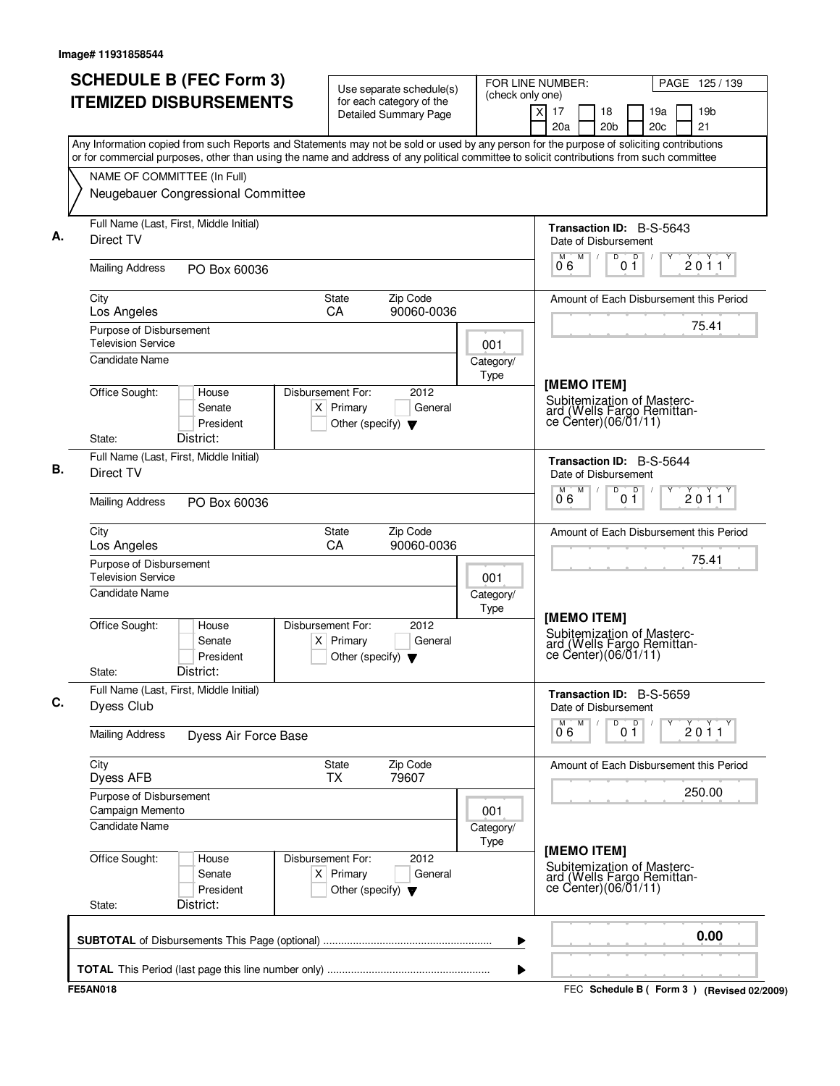| <b>SCHEDULE B (FEC Form 3)</b>                                                                                                                                                                                                                                                         | Use separate schedule(s)                                                                    | FOR LINE NUMBER:  |                                                                                                 | PAGE 125 / 139                              |
|----------------------------------------------------------------------------------------------------------------------------------------------------------------------------------------------------------------------------------------------------------------------------------------|---------------------------------------------------------------------------------------------|-------------------|-------------------------------------------------------------------------------------------------|---------------------------------------------|
| <b>ITEMIZED DISBURSEMENTS</b>                                                                                                                                                                                                                                                          | for each category of the<br><b>Detailed Summary Page</b>                                    | (check only one)  | x<br>17<br>18<br>20a<br>20 <sub>b</sub>                                                         | 19 <sub>b</sub><br>19a<br>20c<br>21         |
| Any Information copied from such Reports and Statements may not be sold or used by any person for the purpose of soliciting contributions<br>or for commercial purposes, other than using the name and address of any political committee to solicit contributions from such committee |                                                                                             |                   |                                                                                                 |                                             |
| NAME OF COMMITTEE (In Full)<br>Neugebauer Congressional Committee                                                                                                                                                                                                                      |                                                                                             |                   |                                                                                                 |                                             |
| Full Name (Last, First, Middle Initial)<br>Direct TV                                                                                                                                                                                                                                   |                                                                                             |                   | <b>Transaction ID: B-S-5643</b><br>Date of Disbursement                                         |                                             |
| <b>Mailing Address</b><br>PO Box 60036                                                                                                                                                                                                                                                 |                                                                                             |                   | $\overline{\mathsf{D}}$<br>M<br>D<br>06<br>01                                                   | 2011                                        |
| City<br>Los Angeles                                                                                                                                                                                                                                                                    | Zip Code<br>State<br>90060-0036<br><b>CA</b>                                                |                   |                                                                                                 | Amount of Each Disbursement this Period     |
| Purpose of Disbursement<br><b>Television Service</b><br><b>Candidate Name</b>                                                                                                                                                                                                          |                                                                                             | 001<br>Category/  |                                                                                                 | 75.41                                       |
| Office Sought:<br>House<br>Senate<br>President<br>District:<br>State:                                                                                                                                                                                                                  | Disbursement For:<br>2012<br>$X$ Primary<br>General<br>Other (specify) $\blacktriangledown$ | Type              | [MEMO ITEM]<br>Subitemization of Masterc-<br>ard (Wells Fargo Remittan-<br>ce Center)(06/01/11) |                                             |
| Full Name (Last, First, Middle Initial)<br>Direct TV                                                                                                                                                                                                                                   |                                                                                             |                   | Transaction ID: B-S-5644<br>Date of Disbursement<br>M<br>D<br>0 <sup>0</sup><br>M               | 2011                                        |
| <b>Mailing Address</b><br>PO Box 60036                                                                                                                                                                                                                                                 |                                                                                             |                   | 06                                                                                              |                                             |
| City<br>Los Angeles                                                                                                                                                                                                                                                                    | Zip Code<br>State<br>CA<br>90060-0036                                                       |                   |                                                                                                 | Amount of Each Disbursement this Period     |
| Purpose of Disbursement<br><b>Television Service</b>                                                                                                                                                                                                                                   |                                                                                             | 001               |                                                                                                 | 75.41                                       |
| Candidate Name<br>Office Sought:<br>House<br>Senate<br>President<br>District:<br>State:                                                                                                                                                                                                | Disbursement For:<br>2012<br>$X$ Primary<br>General<br>Other (specify) $\blacktriangledown$ | Category/<br>Type | [MEMO ITEM]<br>Subitemization of Masterc-<br>ard (Wells Fargo Remittan-<br>ce Center)(06/01/11) |                                             |
| Full Name (Last, First, Middle Initial)<br>Dyess Club                                                                                                                                                                                                                                  |                                                                                             |                   | Transaction ID: B-S-5659<br>Date of Disbursement                                                |                                             |
| <b>Mailing Address</b><br>Dyess Air Force Base                                                                                                                                                                                                                                         |                                                                                             |                   | M<br>D<br>p<br>06<br>01                                                                         | 2011                                        |
| City<br>Dyess AFB                                                                                                                                                                                                                                                                      | Zip Code<br>State<br>79607<br><b>TX</b>                                                     |                   |                                                                                                 | Amount of Each Disbursement this Period     |
| Purpose of Disbursement<br>Campaign Memento                                                                                                                                                                                                                                            |                                                                                             | 001               |                                                                                                 | 250.00                                      |
| <b>Candidate Name</b>                                                                                                                                                                                                                                                                  |                                                                                             | Category/<br>Type |                                                                                                 |                                             |
| Office Sought:<br>House<br>Senate<br>President<br>District:<br>State:                                                                                                                                                                                                                  | Disbursement For:<br>2012<br>$X$ Primary<br>General<br>Other (specify) $\blacktriangledown$ |                   | [MEMO ITEM]<br>Subitemization of Masterc-<br>ard (Wells Fargo Remittan-<br>ce Center)(06/01/11) |                                             |
|                                                                                                                                                                                                                                                                                        |                                                                                             | ▶                 |                                                                                                 | 0.00                                        |
|                                                                                                                                                                                                                                                                                        |                                                                                             | ▶                 |                                                                                                 |                                             |
| <b>FE5AN018</b>                                                                                                                                                                                                                                                                        |                                                                                             |                   |                                                                                                 | FEC Schedule B ( Form 3 ) (Revised 02/2009) |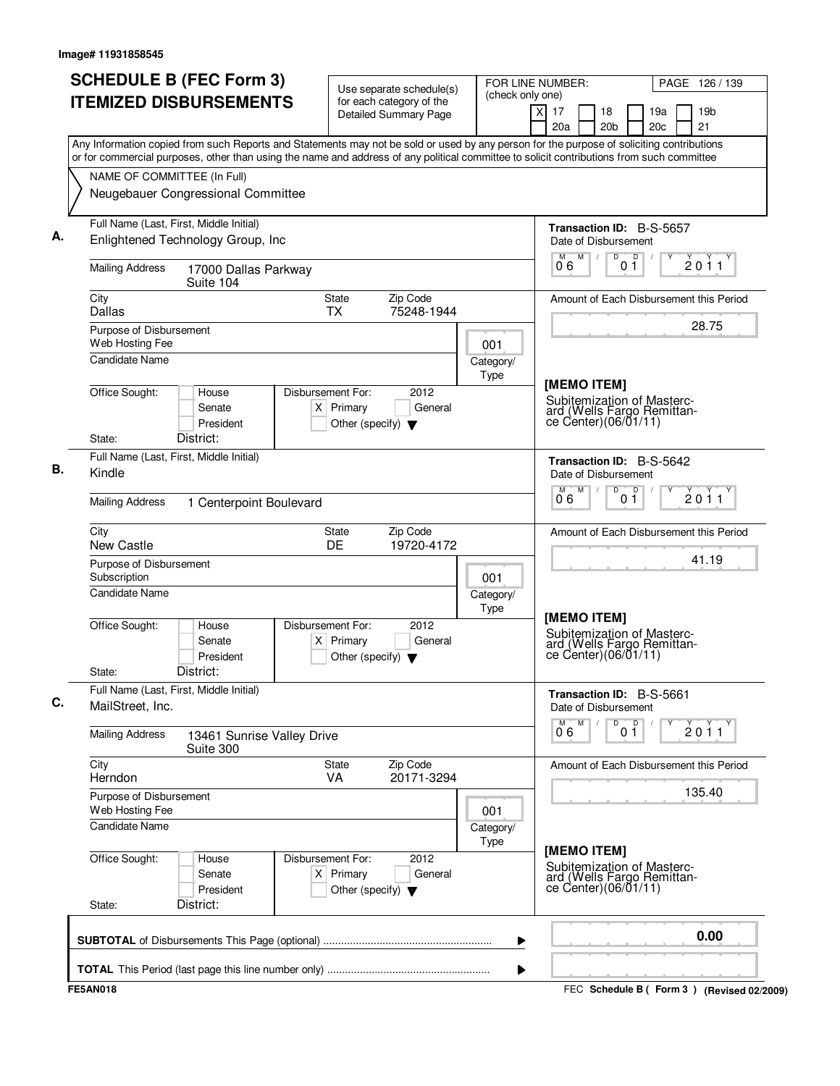| <b>ITEMIZED DISBURSEMENTS</b><br>for each category of the<br>X<br>17<br>18<br>19a<br><b>Detailed Summary Page</b><br>20a<br>20 <sub>c</sub><br>20 <sub>b</sub><br>Any Information copied from such Reports and Statements may not be sold or used by any person for the purpose of soliciting contributions<br>or for commercial purposes, other than using the name and address of any political committee to solicit contributions from such committee<br>NAME OF COMMITTEE (In Full)<br>Neugebauer Congressional Committee<br>Full Name (Last, First, Middle Initial)<br><b>Transaction ID: B-S-5657</b><br>Enlightened Technology Group, Inc.<br>Date of Disbursement<br>M<br>$\overline{D}$<br>D<br>M<br>0 <sub>1</sub><br>06<br><b>Mailing Address</b><br>17000 Dallas Parkway<br>Suite 104<br>City<br>Zip Code<br><b>State</b><br>Amount of Each Disbursement this Period<br>75248-1944<br>Dallas<br><b>TX</b><br>Purpose of Disbursement<br>Web Hosting Fee<br>001<br><b>Candidate Name</b><br>Category/<br>Type<br>[MEMO ITEM]<br>Office Sought:<br>Disbursement For:<br>2012<br>House<br>Subitemization of Masterc-<br>$X$ Primary<br>General<br>Senate<br>ard (Wells Fargo Remittance Center)(06/01/11)<br>President<br>Other (specify) $\blacktriangledown$<br>District:<br>State:<br>Full Name (Last, First, Middle Initial)<br>Transaction ID: B-S-5642<br>Kindle<br>Date of Disbursement<br>M<br>D<br>$\overline{D}$<br>0.6<br>0 <sub>1</sub><br><b>Mailing Address</b><br>1 Centerpoint Boulevard<br>Zip Code<br>City<br>State<br>Amount of Each Disbursement this Period<br>New Castle<br>DE<br>19720-4172<br>Purpose of Disbursement<br>Subscription<br>001<br><b>Candidate Name</b><br>Category/<br>Type<br>[MEMO ITEM]<br>Office Sought:<br>Disbursement For:<br>2012<br>House<br>Subitemization of Masterc-<br>$X$ Primary<br>General<br>Senate<br>ard (Wells Fargo Remittance Center)(06/01/11)<br>President<br>Other (specify) $\blacktriangledown$<br>District:<br>State:<br>Full Name (Last, First, Middle Initial)<br>Transaction ID: B-S-5661<br>MailStreet, Inc.<br>Date of Disbursement<br>M<br>M<br>D<br>D<br>0 <sub>1</sub><br>06<br><b>Mailing Address</b><br>13461 Sunrise Valley Drive<br>Suite 300<br>City<br><b>State</b><br>Zip Code<br>Amount of Each Disbursement this Period<br>Herndon<br><b>VA</b><br>20171-3294<br>Purpose of Disbursement<br>Web Hosting Fee<br>001<br>Candidate Name<br>Category/<br>Type<br>[MEMO ITEM]<br>Office Sought:<br>2012<br>Disbursement For:<br>House<br>Subitemization of Masterc-<br>$X$ Primary<br>Senate<br>General<br>ard (Wells Fargo Remittan-<br>ce Center) (06/01/11)<br>President<br>Other (specify) $\blacktriangledown$<br>District:<br>State: | PAGE 126 / 139        |
|------------------------------------------------------------------------------------------------------------------------------------------------------------------------------------------------------------------------------------------------------------------------------------------------------------------------------------------------------------------------------------------------------------------------------------------------------------------------------------------------------------------------------------------------------------------------------------------------------------------------------------------------------------------------------------------------------------------------------------------------------------------------------------------------------------------------------------------------------------------------------------------------------------------------------------------------------------------------------------------------------------------------------------------------------------------------------------------------------------------------------------------------------------------------------------------------------------------------------------------------------------------------------------------------------------------------------------------------------------------------------------------------------------------------------------------------------------------------------------------------------------------------------------------------------------------------------------------------------------------------------------------------------------------------------------------------------------------------------------------------------------------------------------------------------------------------------------------------------------------------------------------------------------------------------------------------------------------------------------------------------------------------------------------------------------------------------------------------------------------------------------------------------------------------------------------------------------------------------------------------------------------------------------------------------------------------------------------------------------------------------------------------------------------------------------------------------------------------------------------------------------------------------------------------------------------------------------------------------------------------------------------------------------------------------------------------------------------------------------|-----------------------|
|                                                                                                                                                                                                                                                                                                                                                                                                                                                                                                                                                                                                                                                                                                                                                                                                                                                                                                                                                                                                                                                                                                                                                                                                                                                                                                                                                                                                                                                                                                                                                                                                                                                                                                                                                                                                                                                                                                                                                                                                                                                                                                                                                                                                                                                                                                                                                                                                                                                                                                                                                                                                                                                                                                                                    | 19 <sub>b</sub><br>21 |
|                                                                                                                                                                                                                                                                                                                                                                                                                                                                                                                                                                                                                                                                                                                                                                                                                                                                                                                                                                                                                                                                                                                                                                                                                                                                                                                                                                                                                                                                                                                                                                                                                                                                                                                                                                                                                                                                                                                                                                                                                                                                                                                                                                                                                                                                                                                                                                                                                                                                                                                                                                                                                                                                                                                                    |                       |
|                                                                                                                                                                                                                                                                                                                                                                                                                                                                                                                                                                                                                                                                                                                                                                                                                                                                                                                                                                                                                                                                                                                                                                                                                                                                                                                                                                                                                                                                                                                                                                                                                                                                                                                                                                                                                                                                                                                                                                                                                                                                                                                                                                                                                                                                                                                                                                                                                                                                                                                                                                                                                                                                                                                                    |                       |
|                                                                                                                                                                                                                                                                                                                                                                                                                                                                                                                                                                                                                                                                                                                                                                                                                                                                                                                                                                                                                                                                                                                                                                                                                                                                                                                                                                                                                                                                                                                                                                                                                                                                                                                                                                                                                                                                                                                                                                                                                                                                                                                                                                                                                                                                                                                                                                                                                                                                                                                                                                                                                                                                                                                                    |                       |
|                                                                                                                                                                                                                                                                                                                                                                                                                                                                                                                                                                                                                                                                                                                                                                                                                                                                                                                                                                                                                                                                                                                                                                                                                                                                                                                                                                                                                                                                                                                                                                                                                                                                                                                                                                                                                                                                                                                                                                                                                                                                                                                                                                                                                                                                                                                                                                                                                                                                                                                                                                                                                                                                                                                                    |                       |
|                                                                                                                                                                                                                                                                                                                                                                                                                                                                                                                                                                                                                                                                                                                                                                                                                                                                                                                                                                                                                                                                                                                                                                                                                                                                                                                                                                                                                                                                                                                                                                                                                                                                                                                                                                                                                                                                                                                                                                                                                                                                                                                                                                                                                                                                                                                                                                                                                                                                                                                                                                                                                                                                                                                                    |                       |
|                                                                                                                                                                                                                                                                                                                                                                                                                                                                                                                                                                                                                                                                                                                                                                                                                                                                                                                                                                                                                                                                                                                                                                                                                                                                                                                                                                                                                                                                                                                                                                                                                                                                                                                                                                                                                                                                                                                                                                                                                                                                                                                                                                                                                                                                                                                                                                                                                                                                                                                                                                                                                                                                                                                                    | 2011                  |
|                                                                                                                                                                                                                                                                                                                                                                                                                                                                                                                                                                                                                                                                                                                                                                                                                                                                                                                                                                                                                                                                                                                                                                                                                                                                                                                                                                                                                                                                                                                                                                                                                                                                                                                                                                                                                                                                                                                                                                                                                                                                                                                                                                                                                                                                                                                                                                                                                                                                                                                                                                                                                                                                                                                                    |                       |
|                                                                                                                                                                                                                                                                                                                                                                                                                                                                                                                                                                                                                                                                                                                                                                                                                                                                                                                                                                                                                                                                                                                                                                                                                                                                                                                                                                                                                                                                                                                                                                                                                                                                                                                                                                                                                                                                                                                                                                                                                                                                                                                                                                                                                                                                                                                                                                                                                                                                                                                                                                                                                                                                                                                                    | 28.75                 |
|                                                                                                                                                                                                                                                                                                                                                                                                                                                                                                                                                                                                                                                                                                                                                                                                                                                                                                                                                                                                                                                                                                                                                                                                                                                                                                                                                                                                                                                                                                                                                                                                                                                                                                                                                                                                                                                                                                                                                                                                                                                                                                                                                                                                                                                                                                                                                                                                                                                                                                                                                                                                                                                                                                                                    |                       |
|                                                                                                                                                                                                                                                                                                                                                                                                                                                                                                                                                                                                                                                                                                                                                                                                                                                                                                                                                                                                                                                                                                                                                                                                                                                                                                                                                                                                                                                                                                                                                                                                                                                                                                                                                                                                                                                                                                                                                                                                                                                                                                                                                                                                                                                                                                                                                                                                                                                                                                                                                                                                                                                                                                                                    |                       |
|                                                                                                                                                                                                                                                                                                                                                                                                                                                                                                                                                                                                                                                                                                                                                                                                                                                                                                                                                                                                                                                                                                                                                                                                                                                                                                                                                                                                                                                                                                                                                                                                                                                                                                                                                                                                                                                                                                                                                                                                                                                                                                                                                                                                                                                                                                                                                                                                                                                                                                                                                                                                                                                                                                                                    |                       |
|                                                                                                                                                                                                                                                                                                                                                                                                                                                                                                                                                                                                                                                                                                                                                                                                                                                                                                                                                                                                                                                                                                                                                                                                                                                                                                                                                                                                                                                                                                                                                                                                                                                                                                                                                                                                                                                                                                                                                                                                                                                                                                                                                                                                                                                                                                                                                                                                                                                                                                                                                                                                                                                                                                                                    |                       |
|                                                                                                                                                                                                                                                                                                                                                                                                                                                                                                                                                                                                                                                                                                                                                                                                                                                                                                                                                                                                                                                                                                                                                                                                                                                                                                                                                                                                                                                                                                                                                                                                                                                                                                                                                                                                                                                                                                                                                                                                                                                                                                                                                                                                                                                                                                                                                                                                                                                                                                                                                                                                                                                                                                                                    |                       |
|                                                                                                                                                                                                                                                                                                                                                                                                                                                                                                                                                                                                                                                                                                                                                                                                                                                                                                                                                                                                                                                                                                                                                                                                                                                                                                                                                                                                                                                                                                                                                                                                                                                                                                                                                                                                                                                                                                                                                                                                                                                                                                                                                                                                                                                                                                                                                                                                                                                                                                                                                                                                                                                                                                                                    | 2011                  |
|                                                                                                                                                                                                                                                                                                                                                                                                                                                                                                                                                                                                                                                                                                                                                                                                                                                                                                                                                                                                                                                                                                                                                                                                                                                                                                                                                                                                                                                                                                                                                                                                                                                                                                                                                                                                                                                                                                                                                                                                                                                                                                                                                                                                                                                                                                                                                                                                                                                                                                                                                                                                                                                                                                                                    |                       |
|                                                                                                                                                                                                                                                                                                                                                                                                                                                                                                                                                                                                                                                                                                                                                                                                                                                                                                                                                                                                                                                                                                                                                                                                                                                                                                                                                                                                                                                                                                                                                                                                                                                                                                                                                                                                                                                                                                                                                                                                                                                                                                                                                                                                                                                                                                                                                                                                                                                                                                                                                                                                                                                                                                                                    | 41.19                 |
|                                                                                                                                                                                                                                                                                                                                                                                                                                                                                                                                                                                                                                                                                                                                                                                                                                                                                                                                                                                                                                                                                                                                                                                                                                                                                                                                                                                                                                                                                                                                                                                                                                                                                                                                                                                                                                                                                                                                                                                                                                                                                                                                                                                                                                                                                                                                                                                                                                                                                                                                                                                                                                                                                                                                    |                       |
|                                                                                                                                                                                                                                                                                                                                                                                                                                                                                                                                                                                                                                                                                                                                                                                                                                                                                                                                                                                                                                                                                                                                                                                                                                                                                                                                                                                                                                                                                                                                                                                                                                                                                                                                                                                                                                                                                                                                                                                                                                                                                                                                                                                                                                                                                                                                                                                                                                                                                                                                                                                                                                                                                                                                    |                       |
|                                                                                                                                                                                                                                                                                                                                                                                                                                                                                                                                                                                                                                                                                                                                                                                                                                                                                                                                                                                                                                                                                                                                                                                                                                                                                                                                                                                                                                                                                                                                                                                                                                                                                                                                                                                                                                                                                                                                                                                                                                                                                                                                                                                                                                                                                                                                                                                                                                                                                                                                                                                                                                                                                                                                    |                       |
|                                                                                                                                                                                                                                                                                                                                                                                                                                                                                                                                                                                                                                                                                                                                                                                                                                                                                                                                                                                                                                                                                                                                                                                                                                                                                                                                                                                                                                                                                                                                                                                                                                                                                                                                                                                                                                                                                                                                                                                                                                                                                                                                                                                                                                                                                                                                                                                                                                                                                                                                                                                                                                                                                                                                    | $\check{2}$ 0 1 1     |
|                                                                                                                                                                                                                                                                                                                                                                                                                                                                                                                                                                                                                                                                                                                                                                                                                                                                                                                                                                                                                                                                                                                                                                                                                                                                                                                                                                                                                                                                                                                                                                                                                                                                                                                                                                                                                                                                                                                                                                                                                                                                                                                                                                                                                                                                                                                                                                                                                                                                                                                                                                                                                                                                                                                                    |                       |
|                                                                                                                                                                                                                                                                                                                                                                                                                                                                                                                                                                                                                                                                                                                                                                                                                                                                                                                                                                                                                                                                                                                                                                                                                                                                                                                                                                                                                                                                                                                                                                                                                                                                                                                                                                                                                                                                                                                                                                                                                                                                                                                                                                                                                                                                                                                                                                                                                                                                                                                                                                                                                                                                                                                                    | 135.40                |
|                                                                                                                                                                                                                                                                                                                                                                                                                                                                                                                                                                                                                                                                                                                                                                                                                                                                                                                                                                                                                                                                                                                                                                                                                                                                                                                                                                                                                                                                                                                                                                                                                                                                                                                                                                                                                                                                                                                                                                                                                                                                                                                                                                                                                                                                                                                                                                                                                                                                                                                                                                                                                                                                                                                                    |                       |
|                                                                                                                                                                                                                                                                                                                                                                                                                                                                                                                                                                                                                                                                                                                                                                                                                                                                                                                                                                                                                                                                                                                                                                                                                                                                                                                                                                                                                                                                                                                                                                                                                                                                                                                                                                                                                                                                                                                                                                                                                                                                                                                                                                                                                                                                                                                                                                                                                                                                                                                                                                                                                                                                                                                                    |                       |
|                                                                                                                                                                                                                                                                                                                                                                                                                                                                                                                                                                                                                                                                                                                                                                                                                                                                                                                                                                                                                                                                                                                                                                                                                                                                                                                                                                                                                                                                                                                                                                                                                                                                                                                                                                                                                                                                                                                                                                                                                                                                                                                                                                                                                                                                                                                                                                                                                                                                                                                                                                                                                                                                                                                                    |                       |
| ▶                                                                                                                                                                                                                                                                                                                                                                                                                                                                                                                                                                                                                                                                                                                                                                                                                                                                                                                                                                                                                                                                                                                                                                                                                                                                                                                                                                                                                                                                                                                                                                                                                                                                                                                                                                                                                                                                                                                                                                                                                                                                                                                                                                                                                                                                                                                                                                                                                                                                                                                                                                                                                                                                                                                                  | 0.00                  |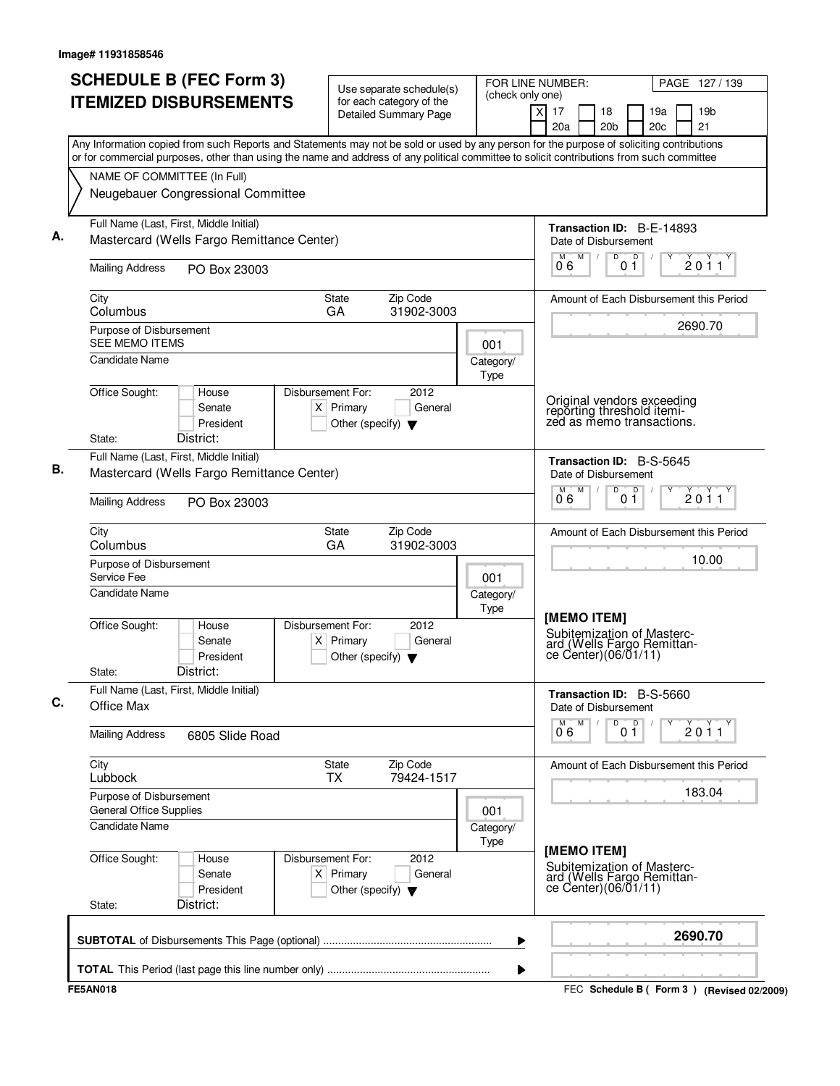| <b>SCHEDULE B (FEC Form 3)</b><br><b>ITEMIZED DISBURSEMENTS</b>                                                                           | Use separate schedule(s)<br>for each category of the<br><b>Detailed Summary Page</b>        | FOR LINE NUMBER:<br>(check only one) | PAGE 127/139<br>$\times$<br>17<br>19 <sub>b</sub><br>18<br>19a<br>20a<br>20 <sub>b</sub><br>20c<br>21 |
|-------------------------------------------------------------------------------------------------------------------------------------------|---------------------------------------------------------------------------------------------|--------------------------------------|-------------------------------------------------------------------------------------------------------|
| Any Information copied from such Reports and Statements may not be sold or used by any person for the purpose of soliciting contributions |                                                                                             |                                      |                                                                                                       |
| or for commercial purposes, other than using the name and address of any political committee to solicit contributions from such committee |                                                                                             |                                      |                                                                                                       |
| NAME OF COMMITTEE (In Full)                                                                                                               |                                                                                             |                                      |                                                                                                       |
| Neugebauer Congressional Committee                                                                                                        |                                                                                             |                                      |                                                                                                       |
| Full Name (Last, First, Middle Initial)<br>Mastercard (Wells Fargo Remittance Center)                                                     |                                                                                             |                                      | Transaction ID: B-E-14893<br>Date of Disbursement                                                     |
| <b>Mailing Address</b><br>PO Box 23003                                                                                                    |                                                                                             |                                      | M<br>$\overline{D}$<br>$\Box$<br>2011<br>$0\bar{1}$<br>06                                             |
| City<br>Columbus                                                                                                                          | Zip Code<br><b>State</b><br>GA<br>31902-3003                                                |                                      | Amount of Each Disbursement this Period                                                               |
| Purpose of Disbursement<br><b>SEE MEMO ITEMS</b>                                                                                          |                                                                                             |                                      | 2690.70                                                                                               |
| <b>Candidate Name</b>                                                                                                                     |                                                                                             | 001<br>Category/                     |                                                                                                       |
|                                                                                                                                           |                                                                                             | Type                                 |                                                                                                       |
| Office Sought:<br>House<br>Senate<br>President<br>District:<br>State:                                                                     | 2012<br>Disbursement For:<br>$X$ Primary<br>General<br>Other (specify) $\blacktriangledown$ |                                      | Original vendors exceeding<br>reporting threshold itemi-<br>zed as memo transactions.                 |
| Full Name (Last, First, Middle Initial)                                                                                                   |                                                                                             |                                      |                                                                                                       |
| Mastercard (Wells Fargo Remittance Center)                                                                                                |                                                                                             |                                      | Transaction ID: B-S-5645<br>Date of Disbursement<br>D<br>M<br>D<br>м                                  |
| <b>Mailing Address</b><br>PO Box 23003                                                                                                    |                                                                                             |                                      | 2011<br>0 <sub>1</sub><br>06                                                                          |
| City<br>Columbus                                                                                                                          | Zip Code<br><b>State</b><br>GA<br>31902-3003                                                |                                      | Amount of Each Disbursement this Period                                                               |
| Purpose of Disbursement<br>Service Fee                                                                                                    |                                                                                             | 001                                  | 10.00                                                                                                 |
| Candidate Name                                                                                                                            |                                                                                             | Category/                            |                                                                                                       |
| Office Sought:<br>House<br>Senate<br>President<br>District:<br>State:                                                                     | Disbursement For:<br>2012<br>$X$ Primary<br>General<br>Other (specify) $\blacktriangledown$ | Type                                 | [MEMO ITEM]<br>Subitemization of Masterc-<br>ard (Wells Fargo Remittance Center)(06/01/11)            |
| Full Name (Last, First, Middle Initial)<br>Office Max                                                                                     |                                                                                             |                                      | Transaction ID: B-S-5660<br>Date of Disbursement                                                      |
| <b>Mailing Address</b><br>6805 Slide Road                                                                                                 |                                                                                             |                                      | M<br>D<br>D<br>2011<br>06<br>01                                                                       |
| City<br>Lubbock                                                                                                                           | Zip Code<br><b>State</b><br><b>TX</b><br>79424-1517                                         |                                      | Amount of Each Disbursement this Period                                                               |
| Purpose of Disbursement<br><b>General Office Supplies</b>                                                                                 |                                                                                             | 001                                  | 183.04                                                                                                |
| Candidate Name                                                                                                                            |                                                                                             | Category/<br><b>Type</b>             |                                                                                                       |
| Office Sought:<br>House<br>Senate<br>President<br>District:<br>State:                                                                     | Disbursement For:<br>2012<br>$X$ Primary<br>General<br>Other (specify) $\blacktriangledown$ |                                      | [MEMO ITEM]<br>Subitemization of Masterc-<br>ard (Wells Fargo Remittan-<br>ce Center)(06/01/11)       |
|                                                                                                                                           |                                                                                             | ▶                                    | 2690.70                                                                                               |
|                                                                                                                                           |                                                                                             |                                      |                                                                                                       |
|                                                                                                                                           |                                                                                             | ▶                                    | FEC Schedule B (Form 3) (Revised 02/2009)                                                             |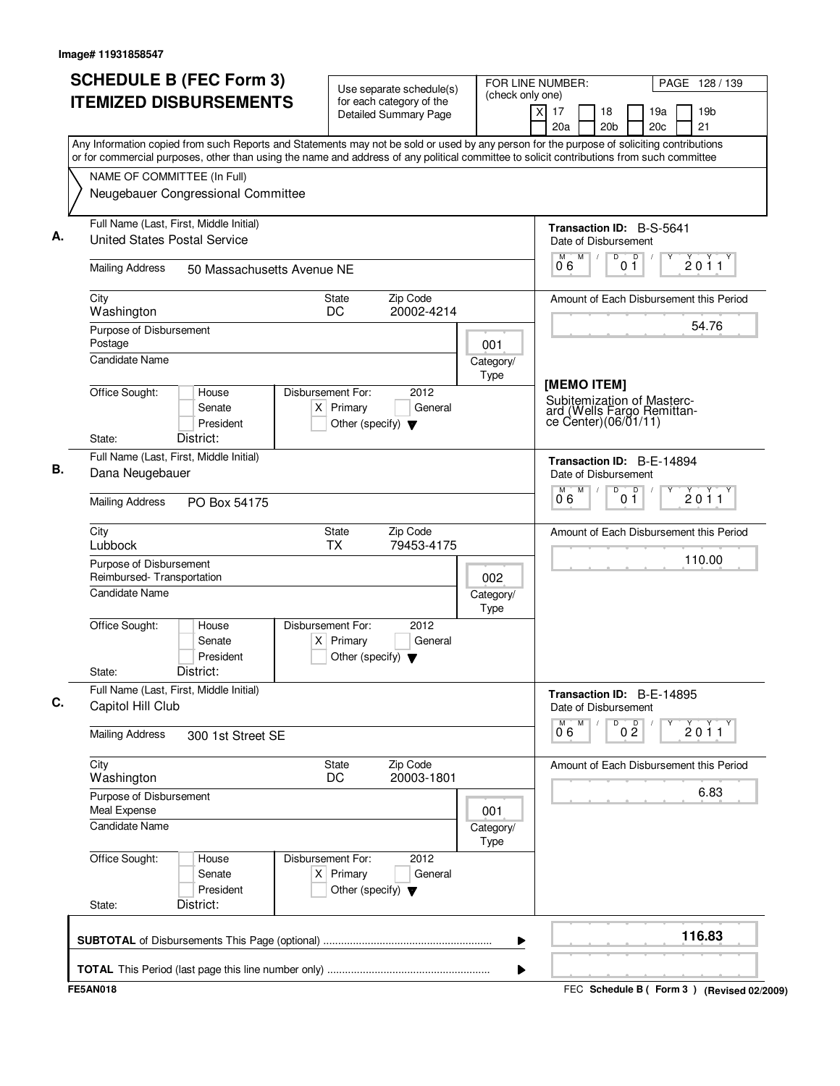| (check only one)<br><b>ITEMIZED DISBURSEMENTS</b><br>for each category of the<br>χI<br>17<br>18<br>19a<br>19 <sub>b</sub><br><b>Detailed Summary Page</b><br>20c<br>21<br>20a<br>20 <sub>b</sub><br>Any Information copied from such Reports and Statements may not be sold or used by any person for the purpose of soliciting contributions<br>or for commercial purposes, other than using the name and address of any political committee to solicit contributions from such committee<br>NAME OF COMMITTEE (In Full)<br>Neugebauer Congressional Committee<br>Full Name (Last, First, Middle Initial)<br>Transaction ID: B-S-5641<br><b>United States Postal Service</b><br>Date of Disbursement<br>D<br>M<br>D<br>M<br>2011<br>01<br>06<br><b>Mailing Address</b><br>50 Massachusetts Avenue NE<br>Zip Code<br>City<br>State<br>Amount of Each Disbursement this Period<br>DC<br>20002-4214<br>Washington<br>54.76<br>Purpose of Disbursement<br>Postage<br>001<br><b>Candidate Name</b><br>Category/<br>Type<br>[MEMO ITEM]<br>Office Sought:<br>House<br>Disbursement For:<br>2012<br>Subitemization of Masterc-<br>$X$ Primary<br>General<br>Senate<br>ard (Wells Fargo Remittan-<br>$ce$ Center) $(06/01/11)$<br>President<br>Other (specify) $\blacktriangledown$<br>District:<br>State:<br>Full Name (Last, First, Middle Initial)<br>Transaction ID: B-E-14894<br>Dana Neugebauer<br>Date of Disbursement<br>M<br>D<br>D<br>м<br>2011<br>06<br>0 <sub>1</sub><br><b>Mailing Address</b><br>PO Box 54175<br>Zip Code<br>City<br><b>State</b><br>Amount of Each Disbursement this Period<br><b>TX</b><br>Lubbock<br>79453-4175<br>110.00<br>Purpose of Disbursement<br>Reimbursed-Transportation<br>002<br><b>Candidate Name</b><br>Category/<br>Type<br>Office Sought:<br>Disbursement For:<br>2012<br>House<br>Senate<br>$X$ Primary<br>General<br>President<br>Other (specify) $\blacktriangledown$<br>District:<br>State:<br>Full Name (Last, First, Middle Initial)<br>Transaction ID: B-E-14895<br>Capitol Hill Club<br>Date of Disbursement<br>M<br>D<br>0 <sup>0</sup><br>M<br>$\sum_{1}^{x}$ 0 1 1<br>06<br><b>Mailing Address</b><br>300 1st Street SE<br>City<br>State<br>Zip Code<br>Amount of Each Disbursement this Period<br>DC<br>20003-1801<br>Washington<br>6.83<br>Purpose of Disbursement<br>Meal Expense<br>001<br>Candidate Name<br>Category/<br>Type<br>Office Sought:<br>2012<br>Disbursement For:<br>House<br>$X$ Primary<br>General<br>Senate<br>President<br>Other (specify) $\blacktriangledown$<br>District:<br>State:<br>116.83<br>▶ |  | <b>SCHEDULE B (FEC Form 3)</b> |  | Use separate schedule(s) | FOR LINE NUMBER: |  |  |  | PAGE 128 / 139 |
|-------------------------------------------------------------------------------------------------------------------------------------------------------------------------------------------------------------------------------------------------------------------------------------------------------------------------------------------------------------------------------------------------------------------------------------------------------------------------------------------------------------------------------------------------------------------------------------------------------------------------------------------------------------------------------------------------------------------------------------------------------------------------------------------------------------------------------------------------------------------------------------------------------------------------------------------------------------------------------------------------------------------------------------------------------------------------------------------------------------------------------------------------------------------------------------------------------------------------------------------------------------------------------------------------------------------------------------------------------------------------------------------------------------------------------------------------------------------------------------------------------------------------------------------------------------------------------------------------------------------------------------------------------------------------------------------------------------------------------------------------------------------------------------------------------------------------------------------------------------------------------------------------------------------------------------------------------------------------------------------------------------------------------------------------------------------------------------------------------------------------------------------------------------------------------------------------------------------------------------------------------------------------------------------------------------------------------------------------------------------------------------------------------------------------------------------------------------------------------------------------------------------------------------------------------------------------------|--|--------------------------------|--|--------------------------|------------------|--|--|--|----------------|
|                                                                                                                                                                                                                                                                                                                                                                                                                                                                                                                                                                                                                                                                                                                                                                                                                                                                                                                                                                                                                                                                                                                                                                                                                                                                                                                                                                                                                                                                                                                                                                                                                                                                                                                                                                                                                                                                                                                                                                                                                                                                                                                                                                                                                                                                                                                                                                                                                                                                                                                                                                               |  |                                |  |                          |                  |  |  |  |                |
|                                                                                                                                                                                                                                                                                                                                                                                                                                                                                                                                                                                                                                                                                                                                                                                                                                                                                                                                                                                                                                                                                                                                                                                                                                                                                                                                                                                                                                                                                                                                                                                                                                                                                                                                                                                                                                                                                                                                                                                                                                                                                                                                                                                                                                                                                                                                                                                                                                                                                                                                                                               |  |                                |  |                          |                  |  |  |  |                |
|                                                                                                                                                                                                                                                                                                                                                                                                                                                                                                                                                                                                                                                                                                                                                                                                                                                                                                                                                                                                                                                                                                                                                                                                                                                                                                                                                                                                                                                                                                                                                                                                                                                                                                                                                                                                                                                                                                                                                                                                                                                                                                                                                                                                                                                                                                                                                                                                                                                                                                                                                                               |  |                                |  |                          |                  |  |  |  |                |
|                                                                                                                                                                                                                                                                                                                                                                                                                                                                                                                                                                                                                                                                                                                                                                                                                                                                                                                                                                                                                                                                                                                                                                                                                                                                                                                                                                                                                                                                                                                                                                                                                                                                                                                                                                                                                                                                                                                                                                                                                                                                                                                                                                                                                                                                                                                                                                                                                                                                                                                                                                               |  |                                |  |                          |                  |  |  |  |                |
|                                                                                                                                                                                                                                                                                                                                                                                                                                                                                                                                                                                                                                                                                                                                                                                                                                                                                                                                                                                                                                                                                                                                                                                                                                                                                                                                                                                                                                                                                                                                                                                                                                                                                                                                                                                                                                                                                                                                                                                                                                                                                                                                                                                                                                                                                                                                                                                                                                                                                                                                                                               |  |                                |  |                          |                  |  |  |  |                |
|                                                                                                                                                                                                                                                                                                                                                                                                                                                                                                                                                                                                                                                                                                                                                                                                                                                                                                                                                                                                                                                                                                                                                                                                                                                                                                                                                                                                                                                                                                                                                                                                                                                                                                                                                                                                                                                                                                                                                                                                                                                                                                                                                                                                                                                                                                                                                                                                                                                                                                                                                                               |  |                                |  |                          |                  |  |  |  |                |
|                                                                                                                                                                                                                                                                                                                                                                                                                                                                                                                                                                                                                                                                                                                                                                                                                                                                                                                                                                                                                                                                                                                                                                                                                                                                                                                                                                                                                                                                                                                                                                                                                                                                                                                                                                                                                                                                                                                                                                                                                                                                                                                                                                                                                                                                                                                                                                                                                                                                                                                                                                               |  |                                |  |                          |                  |  |  |  |                |
|                                                                                                                                                                                                                                                                                                                                                                                                                                                                                                                                                                                                                                                                                                                                                                                                                                                                                                                                                                                                                                                                                                                                                                                                                                                                                                                                                                                                                                                                                                                                                                                                                                                                                                                                                                                                                                                                                                                                                                                                                                                                                                                                                                                                                                                                                                                                                                                                                                                                                                                                                                               |  |                                |  |                          |                  |  |  |  |                |
|                                                                                                                                                                                                                                                                                                                                                                                                                                                                                                                                                                                                                                                                                                                                                                                                                                                                                                                                                                                                                                                                                                                                                                                                                                                                                                                                                                                                                                                                                                                                                                                                                                                                                                                                                                                                                                                                                                                                                                                                                                                                                                                                                                                                                                                                                                                                                                                                                                                                                                                                                                               |  |                                |  |                          |                  |  |  |  |                |
|                                                                                                                                                                                                                                                                                                                                                                                                                                                                                                                                                                                                                                                                                                                                                                                                                                                                                                                                                                                                                                                                                                                                                                                                                                                                                                                                                                                                                                                                                                                                                                                                                                                                                                                                                                                                                                                                                                                                                                                                                                                                                                                                                                                                                                                                                                                                                                                                                                                                                                                                                                               |  |                                |  |                          |                  |  |  |  |                |
|                                                                                                                                                                                                                                                                                                                                                                                                                                                                                                                                                                                                                                                                                                                                                                                                                                                                                                                                                                                                                                                                                                                                                                                                                                                                                                                                                                                                                                                                                                                                                                                                                                                                                                                                                                                                                                                                                                                                                                                                                                                                                                                                                                                                                                                                                                                                                                                                                                                                                                                                                                               |  |                                |  |                          |                  |  |  |  |                |
|                                                                                                                                                                                                                                                                                                                                                                                                                                                                                                                                                                                                                                                                                                                                                                                                                                                                                                                                                                                                                                                                                                                                                                                                                                                                                                                                                                                                                                                                                                                                                                                                                                                                                                                                                                                                                                                                                                                                                                                                                                                                                                                                                                                                                                                                                                                                                                                                                                                                                                                                                                               |  |                                |  |                          |                  |  |  |  |                |
|                                                                                                                                                                                                                                                                                                                                                                                                                                                                                                                                                                                                                                                                                                                                                                                                                                                                                                                                                                                                                                                                                                                                                                                                                                                                                                                                                                                                                                                                                                                                                                                                                                                                                                                                                                                                                                                                                                                                                                                                                                                                                                                                                                                                                                                                                                                                                                                                                                                                                                                                                                               |  |                                |  |                          |                  |  |  |  |                |
|                                                                                                                                                                                                                                                                                                                                                                                                                                                                                                                                                                                                                                                                                                                                                                                                                                                                                                                                                                                                                                                                                                                                                                                                                                                                                                                                                                                                                                                                                                                                                                                                                                                                                                                                                                                                                                                                                                                                                                                                                                                                                                                                                                                                                                                                                                                                                                                                                                                                                                                                                                               |  |                                |  |                          |                  |  |  |  |                |
|                                                                                                                                                                                                                                                                                                                                                                                                                                                                                                                                                                                                                                                                                                                                                                                                                                                                                                                                                                                                                                                                                                                                                                                                                                                                                                                                                                                                                                                                                                                                                                                                                                                                                                                                                                                                                                                                                                                                                                                                                                                                                                                                                                                                                                                                                                                                                                                                                                                                                                                                                                               |  |                                |  |                          |                  |  |  |  |                |
|                                                                                                                                                                                                                                                                                                                                                                                                                                                                                                                                                                                                                                                                                                                                                                                                                                                                                                                                                                                                                                                                                                                                                                                                                                                                                                                                                                                                                                                                                                                                                                                                                                                                                                                                                                                                                                                                                                                                                                                                                                                                                                                                                                                                                                                                                                                                                                                                                                                                                                                                                                               |  |                                |  |                          |                  |  |  |  |                |
|                                                                                                                                                                                                                                                                                                                                                                                                                                                                                                                                                                                                                                                                                                                                                                                                                                                                                                                                                                                                                                                                                                                                                                                                                                                                                                                                                                                                                                                                                                                                                                                                                                                                                                                                                                                                                                                                                                                                                                                                                                                                                                                                                                                                                                                                                                                                                                                                                                                                                                                                                                               |  |                                |  |                          |                  |  |  |  |                |
|                                                                                                                                                                                                                                                                                                                                                                                                                                                                                                                                                                                                                                                                                                                                                                                                                                                                                                                                                                                                                                                                                                                                                                                                                                                                                                                                                                                                                                                                                                                                                                                                                                                                                                                                                                                                                                                                                                                                                                                                                                                                                                                                                                                                                                                                                                                                                                                                                                                                                                                                                                               |  |                                |  |                          |                  |  |  |  |                |
|                                                                                                                                                                                                                                                                                                                                                                                                                                                                                                                                                                                                                                                                                                                                                                                                                                                                                                                                                                                                                                                                                                                                                                                                                                                                                                                                                                                                                                                                                                                                                                                                                                                                                                                                                                                                                                                                                                                                                                                                                                                                                                                                                                                                                                                                                                                                                                                                                                                                                                                                                                               |  |                                |  |                          |                  |  |  |  |                |
|                                                                                                                                                                                                                                                                                                                                                                                                                                                                                                                                                                                                                                                                                                                                                                                                                                                                                                                                                                                                                                                                                                                                                                                                                                                                                                                                                                                                                                                                                                                                                                                                                                                                                                                                                                                                                                                                                                                                                                                                                                                                                                                                                                                                                                                                                                                                                                                                                                                                                                                                                                               |  |                                |  |                          |                  |  |  |  |                |
|                                                                                                                                                                                                                                                                                                                                                                                                                                                                                                                                                                                                                                                                                                                                                                                                                                                                                                                                                                                                                                                                                                                                                                                                                                                                                                                                                                                                                                                                                                                                                                                                                                                                                                                                                                                                                                                                                                                                                                                                                                                                                                                                                                                                                                                                                                                                                                                                                                                                                                                                                                               |  |                                |  |                          |                  |  |  |  |                |
|                                                                                                                                                                                                                                                                                                                                                                                                                                                                                                                                                                                                                                                                                                                                                                                                                                                                                                                                                                                                                                                                                                                                                                                                                                                                                                                                                                                                                                                                                                                                                                                                                                                                                                                                                                                                                                                                                                                                                                                                                                                                                                                                                                                                                                                                                                                                                                                                                                                                                                                                                                               |  |                                |  |                          |                  |  |  |  |                |
|                                                                                                                                                                                                                                                                                                                                                                                                                                                                                                                                                                                                                                                                                                                                                                                                                                                                                                                                                                                                                                                                                                                                                                                                                                                                                                                                                                                                                                                                                                                                                                                                                                                                                                                                                                                                                                                                                                                                                                                                                                                                                                                                                                                                                                                                                                                                                                                                                                                                                                                                                                               |  |                                |  |                          |                  |  |  |  |                |
|                                                                                                                                                                                                                                                                                                                                                                                                                                                                                                                                                                                                                                                                                                                                                                                                                                                                                                                                                                                                                                                                                                                                                                                                                                                                                                                                                                                                                                                                                                                                                                                                                                                                                                                                                                                                                                                                                                                                                                                                                                                                                                                                                                                                                                                                                                                                                                                                                                                                                                                                                                               |  |                                |  |                          |                  |  |  |  |                |
|                                                                                                                                                                                                                                                                                                                                                                                                                                                                                                                                                                                                                                                                                                                                                                                                                                                                                                                                                                                                                                                                                                                                                                                                                                                                                                                                                                                                                                                                                                                                                                                                                                                                                                                                                                                                                                                                                                                                                                                                                                                                                                                                                                                                                                                                                                                                                                                                                                                                                                                                                                               |  |                                |  |                          |                  |  |  |  |                |
|                                                                                                                                                                                                                                                                                                                                                                                                                                                                                                                                                                                                                                                                                                                                                                                                                                                                                                                                                                                                                                                                                                                                                                                                                                                                                                                                                                                                                                                                                                                                                                                                                                                                                                                                                                                                                                                                                                                                                                                                                                                                                                                                                                                                                                                                                                                                                                                                                                                                                                                                                                               |  |                                |  |                          |                  |  |  |  |                |
| ▶                                                                                                                                                                                                                                                                                                                                                                                                                                                                                                                                                                                                                                                                                                                                                                                                                                                                                                                                                                                                                                                                                                                                                                                                                                                                                                                                                                                                                                                                                                                                                                                                                                                                                                                                                                                                                                                                                                                                                                                                                                                                                                                                                                                                                                                                                                                                                                                                                                                                                                                                                                             |  |                                |  |                          |                  |  |  |  |                |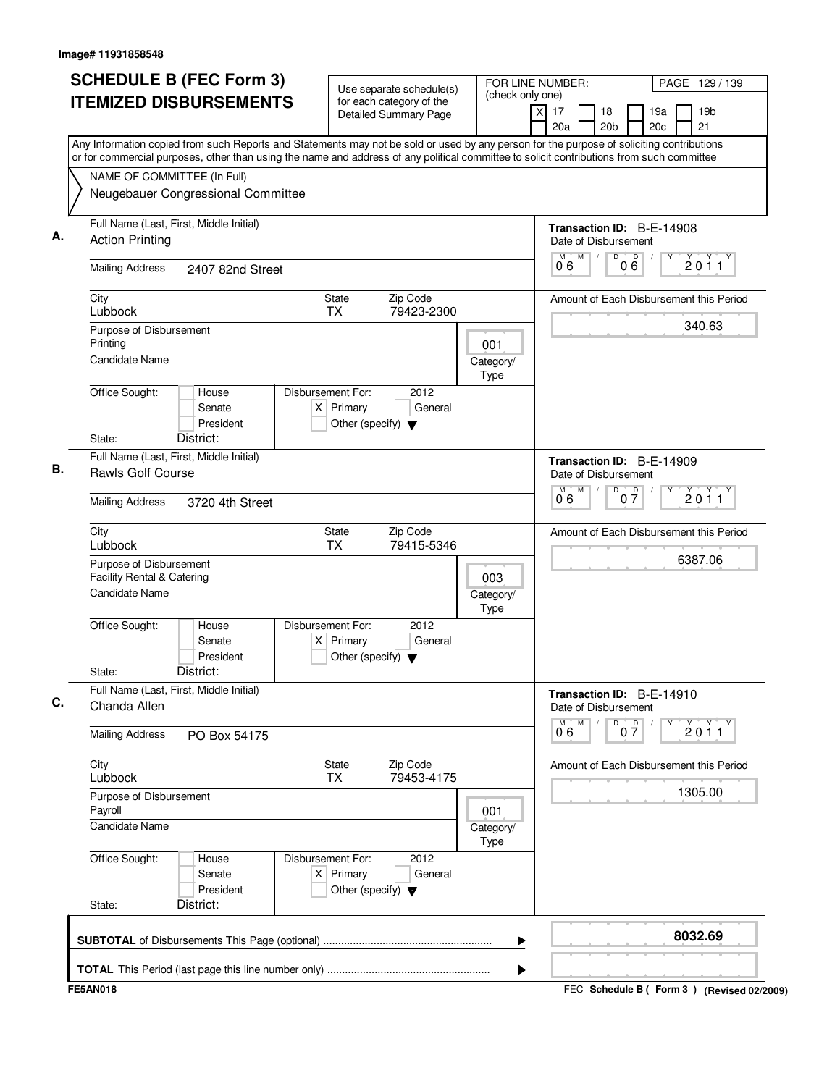| <b>SCHEDULE B (FEC Form 3)</b><br><b>ITEMIZED DISBURSEMENTS</b><br>Any Information copied from such Reports and Statements may not be sold or used by any person for the purpose of soliciting contributions   | Use separate schedule(s)<br>for each category of the<br><b>Detailed Summary Page</b>        | FOR LINE NUMBER:<br>(check only one)<br>$\times$ | PAGE 129 / 139<br>19 <sub>b</sub><br>17<br>18<br>19a<br>21<br>20a<br>20 <sub>b</sub><br>20c       |
|----------------------------------------------------------------------------------------------------------------------------------------------------------------------------------------------------------------|---------------------------------------------------------------------------------------------|--------------------------------------------------|---------------------------------------------------------------------------------------------------|
| or for commercial purposes, other than using the name and address of any political committee to solicit contributions from such committee<br>NAME OF COMMITTEE (In Full)<br>Neugebauer Congressional Committee |                                                                                             |                                                  |                                                                                                   |
| Full Name (Last, First, Middle Initial)<br><b>Action Printing</b>                                                                                                                                              |                                                                                             |                                                  | Transaction ID: B-E-14908<br>Date of Disbursement                                                 |
| <b>Mailing Address</b><br>2407 82nd Street                                                                                                                                                                     |                                                                                             |                                                  | D<br>M<br>000<br>M<br>2011<br>06                                                                  |
| City<br>Lubbock                                                                                                                                                                                                | State<br>Zip Code<br>TX<br>79423-2300                                                       |                                                  | Amount of Each Disbursement this Period                                                           |
| Purpose of Disbursement<br>Printing<br>Candidate Name                                                                                                                                                          |                                                                                             | 001<br>Category/<br><b>Type</b>                  | 340.63                                                                                            |
| Office Sought:<br>House<br>Senate<br>President<br>District:<br>State:                                                                                                                                          | Disbursement For:<br>2012<br>$X$ Primary<br>General<br>Other (specify) $\blacktriangledown$ |                                                  |                                                                                                   |
| Full Name (Last, First, Middle Initial)<br>Rawls Golf Course<br><b>Mailing Address</b><br>3720 4th Street                                                                                                      |                                                                                             |                                                  | Transaction ID: B-E-14909<br>Date of Disbursement<br>M<br>D<br>M<br>$0\overline{7}$<br>2011<br>06 |
| City<br>Lubbock                                                                                                                                                                                                | Zip Code<br>State<br><b>TX</b><br>79415-5346                                                |                                                  | Amount of Each Disbursement this Period                                                           |
| Purpose of Disbursement<br>Facility Rental & Catering<br><b>Candidate Name</b>                                                                                                                                 |                                                                                             | 003<br>Category/<br><b>Type</b>                  | 6387.06                                                                                           |
| Office Sought:<br>House<br>Senate<br>President<br>District:<br>State:                                                                                                                                          | Disbursement For:<br>2012<br>$X$ Primary<br>General<br>Other (specify) $\blacktriangledown$ |                                                  |                                                                                                   |
| Full Name (Last, First, Middle Initial)<br>Chanda Allen                                                                                                                                                        |                                                                                             |                                                  | Transaction ID: B-E-14910<br>Date of Disbursement                                                 |
| <b>Mailing Address</b><br>PO Box 54175                                                                                                                                                                         |                                                                                             |                                                  | M<br>D<br>$0\overline{7}$<br>$\overline{0}^{\overline{M}}$ 6<br>2011                              |
| City<br>Lubbock                                                                                                                                                                                                | State<br>Zip Code<br>79453-4175<br>TX                                                       |                                                  | Amount of Each Disbursement this Period                                                           |
| Purpose of Disbursement<br>Payroll<br><b>Candidate Name</b>                                                                                                                                                    |                                                                                             | 001<br>Category/<br><b>Type</b>                  | 1305.00                                                                                           |
| Office Sought:<br>House<br>Senate<br>President<br>District:<br>State:                                                                                                                                          | Disbursement For:<br>2012<br>$X$ Primary<br>General<br>Other (specify) $\blacktriangledown$ |                                                  |                                                                                                   |
|                                                                                                                                                                                                                |                                                                                             | ▶                                                | 8032.69                                                                                           |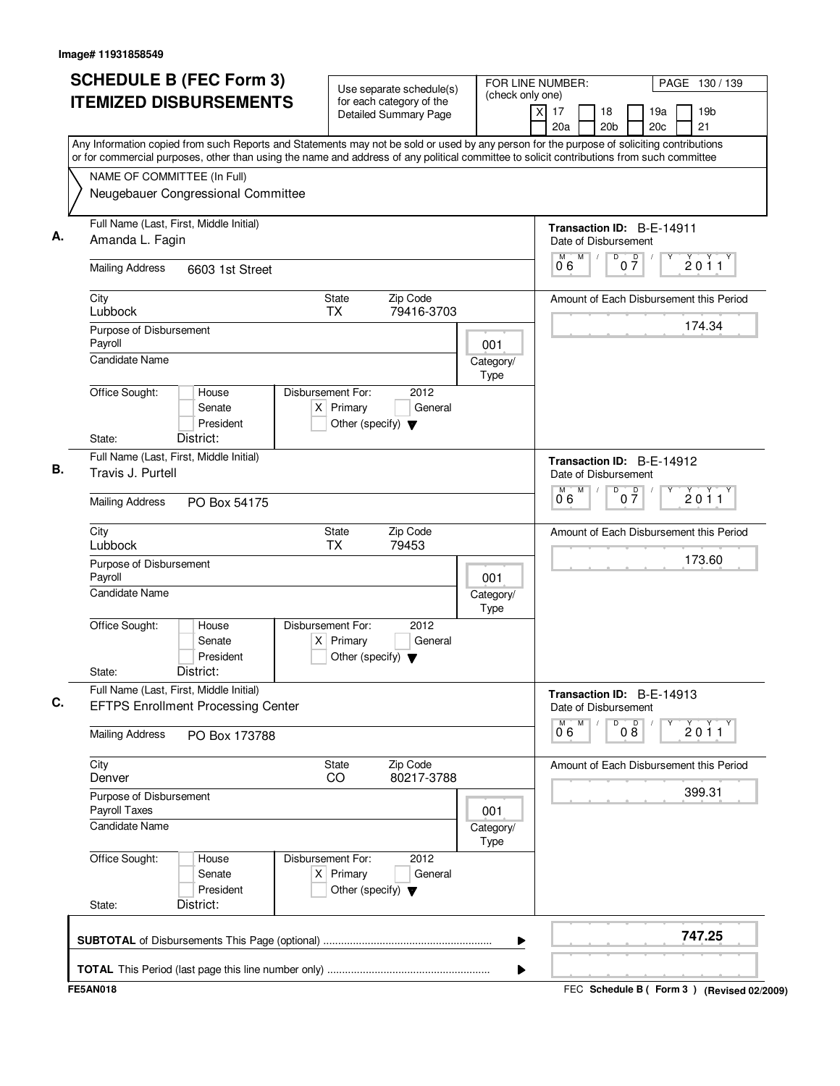| <b>SCHEDULE B (FEC Form 3)</b><br><b>ITEMIZED DISBURSEMENTS</b>                                                                                                                                                                                                                        | Use separate schedule(s)<br>for each category of the<br><b>Detailed Summary Page</b>        | FOR LINE NUMBER:<br>PAGE 130 / 139<br>(check only one)<br>17<br>19 <sub>b</sub><br>X<br>18<br>19a<br>21<br>20a<br>20 <sub>b</sub><br>20c |
|----------------------------------------------------------------------------------------------------------------------------------------------------------------------------------------------------------------------------------------------------------------------------------------|---------------------------------------------------------------------------------------------|------------------------------------------------------------------------------------------------------------------------------------------|
| Any Information copied from such Reports and Statements may not be sold or used by any person for the purpose of soliciting contributions<br>or for commercial purposes, other than using the name and address of any political committee to solicit contributions from such committee |                                                                                             |                                                                                                                                          |
| NAME OF COMMITTEE (In Full)<br>Neugebauer Congressional Committee                                                                                                                                                                                                                      |                                                                                             |                                                                                                                                          |
| Full Name (Last, First, Middle Initial)<br>Amanda L. Fagin                                                                                                                                                                                                                             |                                                                                             | Transaction ID: B-E-14911<br>Date of Disbursement                                                                                        |
| <b>Mailing Address</b><br>6603 1st Street                                                                                                                                                                                                                                              |                                                                                             | M<br>D<br>$0\frac{D}{7}$<br>2011<br>06                                                                                                   |
| City<br>Lubbock                                                                                                                                                                                                                                                                        | <b>State</b><br>Zip Code<br><b>TX</b><br>79416-3703                                         | Amount of Each Disbursement this Period                                                                                                  |
| Purpose of Disbursement<br>Payroll                                                                                                                                                                                                                                                     | 001                                                                                         | 174.34                                                                                                                                   |
| <b>Candidate Name</b><br>Office Sought:<br>House                                                                                                                                                                                                                                       | Category/<br><b>Type</b><br>Disbursement For:<br>2012                                       |                                                                                                                                          |
| Senate<br>President                                                                                                                                                                                                                                                                    | $X$ Primary<br>General<br>Other (specify) $\blacktriangledown$                              |                                                                                                                                          |
| District:<br>State:                                                                                                                                                                                                                                                                    |                                                                                             |                                                                                                                                          |
| Full Name (Last, First, Middle Initial)<br>Travis J. Purtell                                                                                                                                                                                                                           |                                                                                             | Transaction ID: B-E-14912<br>Date of Disbursement<br>M<br>D<br>M                                                                         |
| <b>Mailing Address</b><br>PO Box 54175                                                                                                                                                                                                                                                 |                                                                                             | $0\overline{7}$<br>2011<br>06                                                                                                            |
| City<br>Lubbock                                                                                                                                                                                                                                                                        | Zip Code<br>State<br><b>TX</b><br>79453                                                     | Amount of Each Disbursement this Period                                                                                                  |
| Purpose of Disbursement<br>Payroll                                                                                                                                                                                                                                                     | 001                                                                                         | 173.60                                                                                                                                   |
| <b>Candidate Name</b>                                                                                                                                                                                                                                                                  | Category/<br>Type                                                                           |                                                                                                                                          |
| Office Sought:<br>House<br>Senate<br>President<br>District:<br>State:                                                                                                                                                                                                                  | Disbursement For:<br>2012<br>$X$ Primary<br>General<br>Other (specify) $\blacktriangledown$ |                                                                                                                                          |
| Full Name (Last, First, Middle Initial)<br><b>EFTPS Enrollment Processing Center</b>                                                                                                                                                                                                   |                                                                                             | Transaction ID: B-E-14913<br>Date of Disbursement                                                                                        |
| <b>Mailing Address</b><br>PO Box 173788                                                                                                                                                                                                                                                |                                                                                             | M<br>D<br>08<br>М<br>2011<br>06                                                                                                          |
| City<br>Denver                                                                                                                                                                                                                                                                         | Zip Code<br>State<br>80217-3788<br>CO                                                       | Amount of Each Disbursement this Period                                                                                                  |
| Purpose of Disbursement<br>Payroll Taxes                                                                                                                                                                                                                                               | 001                                                                                         | 399.31                                                                                                                                   |
| <b>Candidate Name</b>                                                                                                                                                                                                                                                                  | Category/<br><b>Type</b>                                                                    |                                                                                                                                          |
| Office Sought:<br>House<br>Senate<br>President                                                                                                                                                                                                                                         | Disbursement For:<br>2012<br>$X$ Primary<br>General<br>Other (specify) $\blacktriangledown$ |                                                                                                                                          |
| District:<br>State:                                                                                                                                                                                                                                                                    |                                                                                             |                                                                                                                                          |
|                                                                                                                                                                                                                                                                                        |                                                                                             | 747.25<br>▶                                                                                                                              |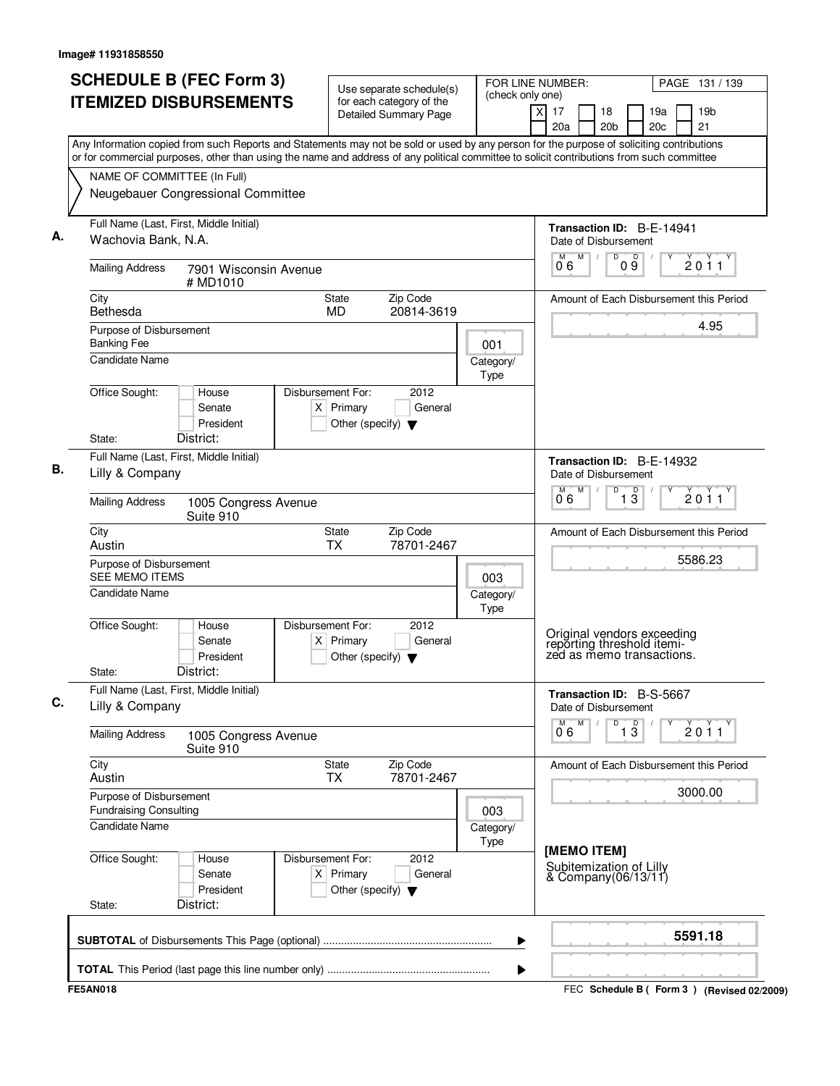|                                                          | <b>SCHEDULE B (FEC Form 3)</b><br><b>ITEMIZED DISBURSEMENTS</b> | Use separate schedule(s)<br>for each category of the                                        | (check only one)  | FOR LINE NUMBER:<br>PAGE 131 / 139<br>$\times$<br>17<br>18<br>19a<br>19 <sub>b</sub>                                                                                                                                                                                                   |
|----------------------------------------------------------|-----------------------------------------------------------------|---------------------------------------------------------------------------------------------|-------------------|----------------------------------------------------------------------------------------------------------------------------------------------------------------------------------------------------------------------------------------------------------------------------------------|
|                                                          |                                                                 | <b>Detailed Summary Page</b>                                                                |                   | 20c<br>21<br>20a<br>20 <sub>b</sub>                                                                                                                                                                                                                                                    |
|                                                          |                                                                 |                                                                                             |                   | Any Information copied from such Reports and Statements may not be sold or used by any person for the purpose of soliciting contributions<br>or for commercial purposes, other than using the name and address of any political committee to solicit contributions from such committee |
| NAME OF COMMITTEE (In Full)                              |                                                                 |                                                                                             |                   |                                                                                                                                                                                                                                                                                        |
|                                                          | Neugebauer Congressional Committee                              |                                                                                             |                   |                                                                                                                                                                                                                                                                                        |
| Wachovia Bank, N.A.                                      | Full Name (Last, First, Middle Initial)                         |                                                                                             |                   | Transaction ID: B-E-14941<br>Date of Disbursement                                                                                                                                                                                                                                      |
| <b>Mailing Address</b>                                   | 7901 Wisconsin Avenue<br># MD1010                               |                                                                                             |                   | M<br>$\overline{D}$<br>M<br>D<br>2011<br>0 9<br>06                                                                                                                                                                                                                                     |
| City<br>Bethesda                                         |                                                                 | Zip Code<br>State<br>MD<br>20814-3619                                                       |                   | Amount of Each Disbursement this Period                                                                                                                                                                                                                                                |
| Purpose of Disbursement<br><b>Banking Fee</b>            |                                                                 |                                                                                             | 001               | 4.95                                                                                                                                                                                                                                                                                   |
| Candidate Name                                           |                                                                 |                                                                                             | Category/<br>Type |                                                                                                                                                                                                                                                                                        |
| Office Sought:<br>State:                                 | House<br>Senate<br>President<br>District:                       | Disbursement For:<br>2012<br>$X$ Primary<br>General<br>Other (specify) $\blacktriangledown$ |                   |                                                                                                                                                                                                                                                                                        |
| Lilly & Company                                          | Full Name (Last, First, Middle Initial)                         |                                                                                             |                   | Transaction ID: B-E-14932<br>Date of Disbursement                                                                                                                                                                                                                                      |
| <b>Mailing Address</b>                                   | 1005 Congress Avenue<br>Suite 910                               |                                                                                             |                   | M<br>D<br>$\overline{1\,3}$<br>2011<br>06                                                                                                                                                                                                                                              |
| City<br>Austin                                           |                                                                 | Zip Code<br>State<br><b>TX</b><br>78701-2467                                                |                   | Amount of Each Disbursement this Period                                                                                                                                                                                                                                                |
| Purpose of Disbursement<br><b>SEE MEMO ITEMS</b>         |                                                                 |                                                                                             | 003               | 5586.23                                                                                                                                                                                                                                                                                |
| Candidate Name                                           |                                                                 |                                                                                             | Category/<br>Type |                                                                                                                                                                                                                                                                                        |
| Office Sought:<br>State:                                 | House<br>Senate<br>President<br>District:                       | Disbursement For:<br>2012<br>General<br>$X$ Primary<br>Other (specify) $\blacktriangledown$ |                   | Original vendors exceeding<br>reporting threshold itemi-<br>zed as memo transactions.                                                                                                                                                                                                  |
| Lilly & Company                                          | Full Name (Last, First, Middle Initial)                         |                                                                                             |                   | Transaction ID: B-S-5667<br>Date of Disbursement                                                                                                                                                                                                                                       |
| <b>Mailing Address</b>                                   | 1005 Congress Avenue<br>Suite 910                               |                                                                                             |                   | $\overline{1}$ $\overline{3}$<br>M<br>D<br>2011<br>06                                                                                                                                                                                                                                  |
| City<br>Austin                                           |                                                                 | State<br>Zip Code<br>78701-2467<br>ТX                                                       |                   | Amount of Each Disbursement this Period                                                                                                                                                                                                                                                |
| Purpose of Disbursement<br><b>Fundraising Consulting</b> |                                                                 |                                                                                             | 003               | 3000.00                                                                                                                                                                                                                                                                                |
| Candidate Name                                           |                                                                 |                                                                                             | Category/<br>Type |                                                                                                                                                                                                                                                                                        |
| Office Sought:<br>State:                                 | House<br>Senate<br>President<br>District:                       | Disbursement For:<br>2012<br>$X$ Primary<br>General<br>Other (specify) $\blacktriangledown$ |                   | [MEMO ITEM]<br>Subitemization of Lilly<br>& Company(06/13/11)                                                                                                                                                                                                                          |
|                                                          |                                                                 |                                                                                             | ▶                 | 5591.18                                                                                                                                                                                                                                                                                |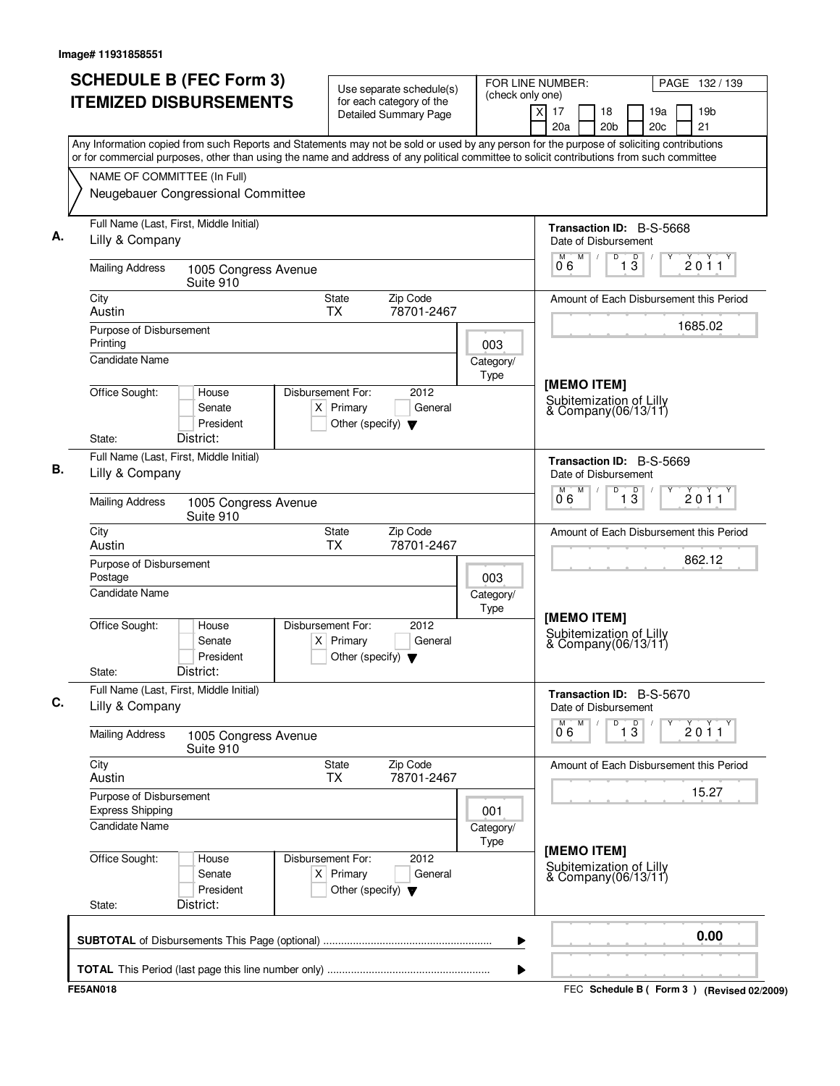| <b>ITEMIZED DISBURSEMENTS</b><br>for each category of the<br>$\overline{\mathsf{x}}$<br>17<br>18<br>19a<br><b>Detailed Summary Page</b><br>20c<br>20 <sub>b</sub><br>20a<br>Any Information copied from such Reports and Statements may not be sold or used by any person for the purpose of soliciting contributions<br>or for commercial purposes, other than using the name and address of any political committee to solicit contributions from such committee<br>NAME OF COMMITTEE (In Full)<br>Neugebauer Congressional Committee<br>Full Name (Last, First, Middle Initial)<br>Transaction ID: B-S-5668 | 19 <sub>b</sub><br>21<br>2011 |
|----------------------------------------------------------------------------------------------------------------------------------------------------------------------------------------------------------------------------------------------------------------------------------------------------------------------------------------------------------------------------------------------------------------------------------------------------------------------------------------------------------------------------------------------------------------------------------------------------------------|-------------------------------|
|                                                                                                                                                                                                                                                                                                                                                                                                                                                                                                                                                                                                                |                               |
|                                                                                                                                                                                                                                                                                                                                                                                                                                                                                                                                                                                                                |                               |
|                                                                                                                                                                                                                                                                                                                                                                                                                                                                                                                                                                                                                |                               |
|                                                                                                                                                                                                                                                                                                                                                                                                                                                                                                                                                                                                                |                               |
| Lilly & Company<br>Date of Disbursement                                                                                                                                                                                                                                                                                                                                                                                                                                                                                                                                                                        |                               |
| M<br>D<br>$1\overline{3}$<br>06<br><b>Mailing Address</b><br>1005 Congress Avenue<br>Suite 910                                                                                                                                                                                                                                                                                                                                                                                                                                                                                                                 |                               |
| Zip Code<br>City<br><b>State</b><br>Amount of Each Disbursement this Period<br><b>TX</b><br>78701-2467<br>Austin                                                                                                                                                                                                                                                                                                                                                                                                                                                                                               |                               |
| Purpose of Disbursement<br>Printing<br>003                                                                                                                                                                                                                                                                                                                                                                                                                                                                                                                                                                     | 1685.02                       |
| Candidate Name<br>Category/<br><b>Type</b>                                                                                                                                                                                                                                                                                                                                                                                                                                                                                                                                                                     |                               |
| [MEMO ITEM]<br>Office Sought:<br>Disbursement For:<br>2012<br>House<br>Subitemization of Lilly<br>$X$ Primary<br>General<br>Senate<br>& Company(06/13/11)<br>President<br>Other (specify) $\blacktriangledown$                                                                                                                                                                                                                                                                                                                                                                                                 |                               |
| District:<br>State:                                                                                                                                                                                                                                                                                                                                                                                                                                                                                                                                                                                            |                               |
| Full Name (Last, First, Middle Initial)<br>Transaction ID: B-S-5669<br>Lilly & Company<br>Date of Disbursement                                                                                                                                                                                                                                                                                                                                                                                                                                                                                                 |                               |
| M<br>D<br>$\overline{1\,3}$<br>06<br><b>Mailing Address</b><br>1005 Congress Avenue<br>Suite 910                                                                                                                                                                                                                                                                                                                                                                                                                                                                                                               | 2011                          |
| <b>State</b><br>Zip Code<br>City<br>Amount of Each Disbursement this Period<br>Austin<br><b>TX</b><br>78701-2467                                                                                                                                                                                                                                                                                                                                                                                                                                                                                               | 862.12                        |
| Purpose of Disbursement<br>Postage<br>003                                                                                                                                                                                                                                                                                                                                                                                                                                                                                                                                                                      |                               |
| Candidate Name<br>Category/<br>Type<br>[MEMO ITEM]                                                                                                                                                                                                                                                                                                                                                                                                                                                                                                                                                             |                               |
| Office Sought:<br>Disbursement For:<br>2012<br>House<br>Subitemization of Lilly<br>Senate<br>$X$ Primary<br>General<br>& Company(06/13/11)<br>President<br>Other (specify) $\blacktriangledown$                                                                                                                                                                                                                                                                                                                                                                                                                |                               |
| District:<br>State:                                                                                                                                                                                                                                                                                                                                                                                                                                                                                                                                                                                            |                               |
| Full Name (Last, First, Middle Initial)<br>Transaction ID: B-S-5670<br>Lilly & Company<br>Date of Disbursement<br>D<br>M                                                                                                                                                                                                                                                                                                                                                                                                                                                                                       |                               |
| $\overline{1\,3}$<br>$\overline{0}^{\overline{M}}$ 6<br><b>Mailing Address</b><br>1005 Congress Avenue<br>Suite 910                                                                                                                                                                                                                                                                                                                                                                                                                                                                                            | 2011                          |
| City<br>State<br>Zip Code<br>Amount of Each Disbursement this Period<br>78701-2467<br>Austin<br><b>TX</b>                                                                                                                                                                                                                                                                                                                                                                                                                                                                                                      | 15.27                         |
| Purpose of Disbursement<br><b>Express Shipping</b><br>001                                                                                                                                                                                                                                                                                                                                                                                                                                                                                                                                                      |                               |
| Candidate Name<br>Category/<br>Type<br>[MEMO ITEM]                                                                                                                                                                                                                                                                                                                                                                                                                                                                                                                                                             |                               |
| Office Sought:<br>Disbursement For:<br>2012<br>House<br>Subitemization of Lilly<br>& Company(06/13/11)<br>$X$ Primary<br>Senate<br>General<br>President<br>Other (specify) $\blacktriangledown$<br>District:<br>State:                                                                                                                                                                                                                                                                                                                                                                                         |                               |
|                                                                                                                                                                                                                                                                                                                                                                                                                                                                                                                                                                                                                | 0.00                          |
| ▶                                                                                                                                                                                                                                                                                                                                                                                                                                                                                                                                                                                                              |                               |
| ▶<br><b>FE5AN018</b><br>FEC Schedule B ( Form 3 ) (Revised 02/2009)                                                                                                                                                                                                                                                                                                                                                                                                                                                                                                                                            |                               |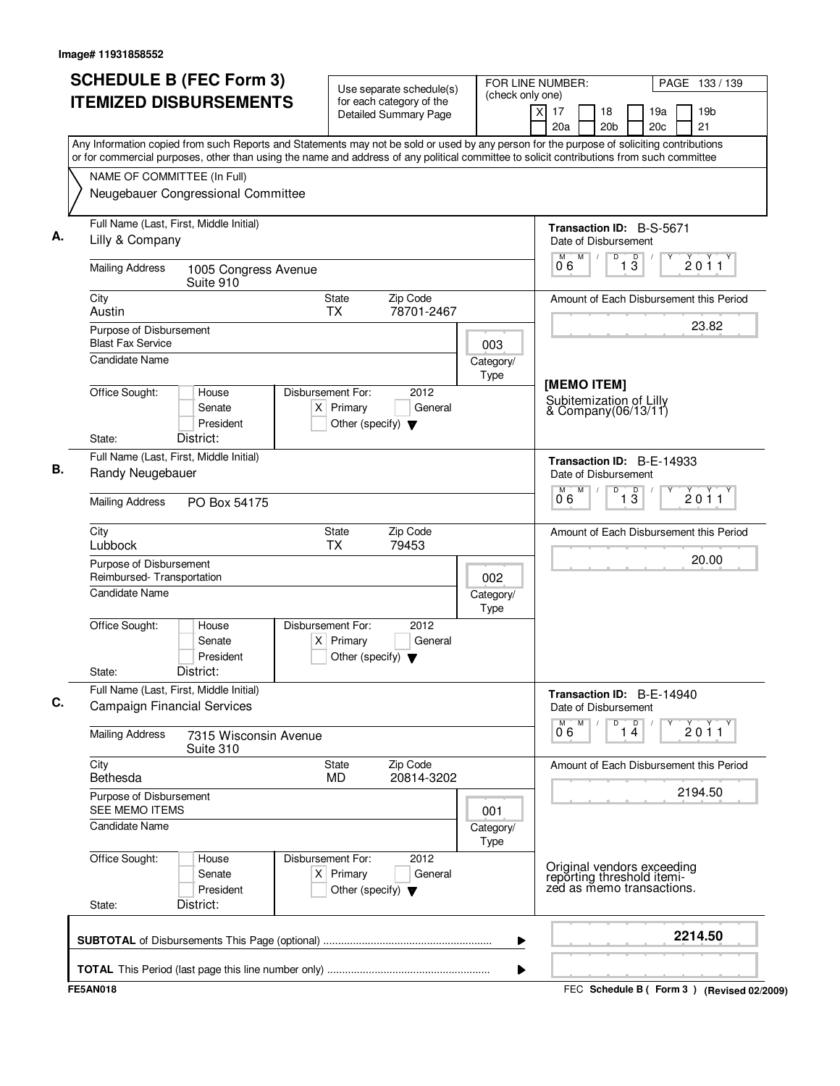| <b>SCHEDULE B (FEC Form 3)</b><br><b>ITEMIZED DISBURSEMENTS</b>                                                                           | Use separate schedule(s)<br>for each category of the                                                | FOR LINE NUMBER:<br>(check only one)                         |                                                                                       | PAGE 133 / 139                            |  |  |  |
|-------------------------------------------------------------------------------------------------------------------------------------------|-----------------------------------------------------------------------------------------------------|--------------------------------------------------------------|---------------------------------------------------------------------------------------|-------------------------------------------|--|--|--|
|                                                                                                                                           | <b>Detailed Summary Page</b>                                                                        | $\overline{X}$                                               | 17<br>18<br>20a<br>20 <sub>b</sub>                                                    | 19a<br>19 <sub>b</sub><br>21<br>20c       |  |  |  |
| Any Information copied from such Reports and Statements may not be sold or used by any person for the purpose of soliciting contributions |                                                                                                     |                                                              |                                                                                       |                                           |  |  |  |
| or for commercial purposes, other than using the name and address of any political committee to solicit contributions from such committee |                                                                                                     |                                                              |                                                                                       |                                           |  |  |  |
| NAME OF COMMITTEE (In Full)<br>Neugebauer Congressional Committee                                                                         |                                                                                                     |                                                              |                                                                                       |                                           |  |  |  |
| Full Name (Last, First, Middle Initial)<br>Lilly & Company                                                                                |                                                                                                     |                                                              | <b>Transaction ID: B-S-5671</b><br>Date of Disbursement                               |                                           |  |  |  |
| <b>Mailing Address</b><br>1005 Congress Avenue<br>Suite 910                                                                               |                                                                                                     |                                                              | M<br>D<br>M<br>13<br>06                                                               | D<br>2011                                 |  |  |  |
| City<br>Austin                                                                                                                            | Zip Code<br>State<br><b>TX</b><br>78701-2467                                                        |                                                              |                                                                                       | Amount of Each Disbursement this Period   |  |  |  |
| Purpose of Disbursement<br><b>Blast Fax Service</b>                                                                                       |                                                                                                     | 003                                                          |                                                                                       | 23.82                                     |  |  |  |
| Candidate Name                                                                                                                            |                                                                                                     | Category/<br>Type                                            | [MEMO ITEM]                                                                           |                                           |  |  |  |
| Office Sought:<br>House<br>Senate<br>President<br>District:<br>State:                                                                     | Disbursement For:<br>2012<br>$X$ Primary<br>General<br>Other (specify) $\blacktriangledown$         |                                                              | Subitemization of Lilly<br>& Company(06/13/11)                                        |                                           |  |  |  |
| Full Name (Last, First, Middle Initial)                                                                                                   |                                                                                                     |                                                              | Transaction ID: B-E-14933                                                             |                                           |  |  |  |
| Randy Neugebauer                                                                                                                          |                                                                                                     |                                                              | Date of Disbursement<br>M<br>D<br>$\overline{1\,3}$<br>M<br>06                        | 2011                                      |  |  |  |
| <b>Mailing Address</b><br>PO Box 54175                                                                                                    |                                                                                                     |                                                              |                                                                                       |                                           |  |  |  |
| City<br>Lubbock                                                                                                                           | Zip Code<br>State<br>ТX<br>79453                                                                    |                                                              |                                                                                       | Amount of Each Disbursement this Period   |  |  |  |
| Purpose of Disbursement<br>Reimbursed-Transportation                                                                                      | 002                                                                                                 |                                                              | 20.00                                                                                 |                                           |  |  |  |
| <b>Candidate Name</b>                                                                                                                     | Category/<br>Type                                                                                   |                                                              |                                                                                       |                                           |  |  |  |
| Office Sought:<br>House<br>Senate<br>President<br>District:<br>State:                                                                     | Disbursement For:<br>2012<br>Primary<br>General<br>$\times$<br>Other (specify) $\blacktriangledown$ |                                                              |                                                                                       |                                           |  |  |  |
| Full Name (Last, First, Middle Initial)<br><b>Campaign Financial Services</b>                                                             |                                                                                                     |                                                              | Transaction ID: B-E-14940<br>Date of Disbursement                                     |                                           |  |  |  |
| <b>Mailing Address</b><br>7315 Wisconsin Avenue<br>Suite 310                                                                              |                                                                                                     | D<br>$\overline{14}$<br>$\overline{0}^{\overline{M}}$ 6<br>M | $\frac{1}{2}$ 0 1 1                                                                   |                                           |  |  |  |
| City<br>Bethesda                                                                                                                          | Zip Code<br>State<br>20814-3202<br><b>MD</b>                                                        |                                                              |                                                                                       | Amount of Each Disbursement this Period   |  |  |  |
| Purpose of Disbursement<br>SEE MEMO ITEMS                                                                                                 | 001                                                                                                 |                                                              | 2194.50                                                                               |                                           |  |  |  |
| <b>Candidate Name</b>                                                                                                                     | Category/<br>Type                                                                                   |                                                              |                                                                                       |                                           |  |  |  |
| Office Sought:<br>House<br>Senate<br>President<br>District:<br>State:                                                                     | Disbursement For:<br>2012<br>$X$ Primary<br>General<br>Other (specify) $\blacktriangledown$         |                                                              | Original vendors exceeding<br>reporting threshold itemi-<br>zed as memo transactions. |                                           |  |  |  |
|                                                                                                                                           |                                                                                                     | ▶                                                            |                                                                                       | 2214.50                                   |  |  |  |
|                                                                                                                                           |                                                                                                     | ▶                                                            |                                                                                       |                                           |  |  |  |
| <b>FE5AN018</b>                                                                                                                           |                                                                                                     |                                                              |                                                                                       | FEC Schedule B (Form 3) (Revised 02/2009) |  |  |  |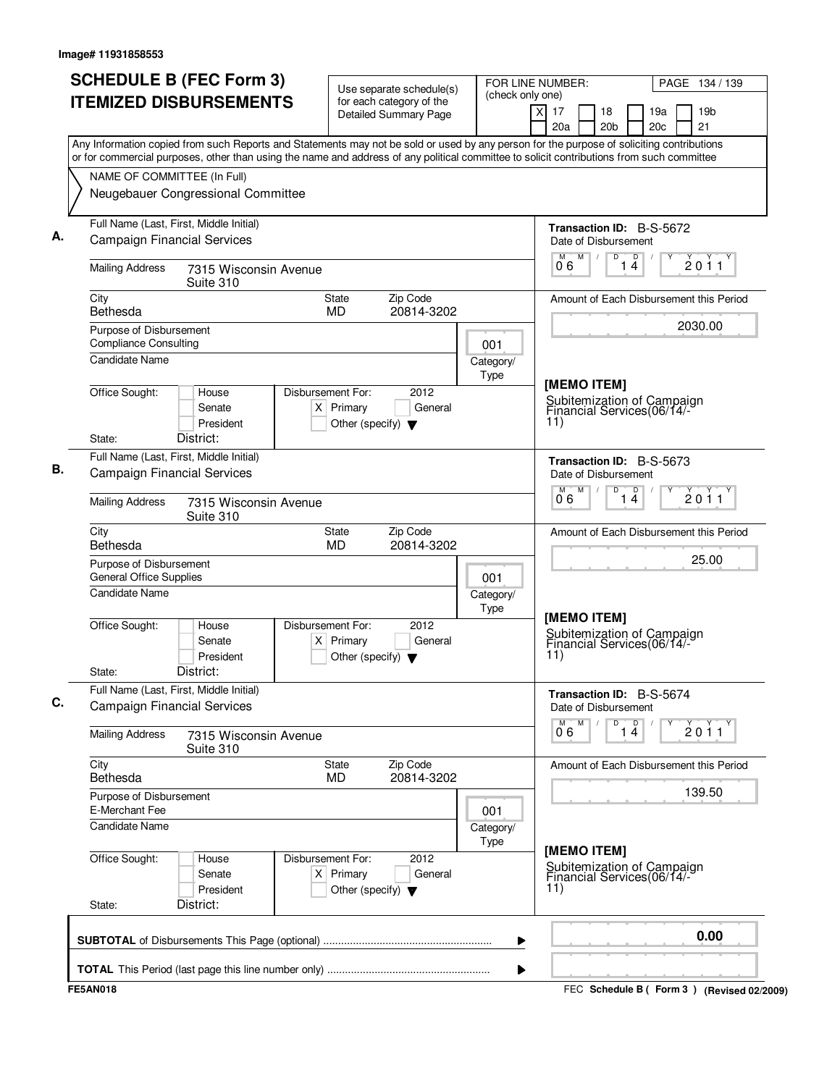| <b>SCHEDULE B (FEC Form 3)</b><br><b>ITEMIZED DISBURSEMENTS</b>                                                                           | Use separate schedule(s)<br>for each category of the<br><b>Detailed Summary Page</b>        | FOR LINE NUMBER:<br>(check only one)            | PAGE 134 / 139<br>$\times$<br>17<br>18<br>19a<br>19 <sub>b</sub> |  |  |  |
|-------------------------------------------------------------------------------------------------------------------------------------------|---------------------------------------------------------------------------------------------|-------------------------------------------------|------------------------------------------------------------------|--|--|--|
| Any Information copied from such Reports and Statements may not be sold or used by any person for the purpose of soliciting contributions |                                                                                             |                                                 | 20c<br>21<br>20a<br>20 <sub>b</sub>                              |  |  |  |
| or for commercial purposes, other than using the name and address of any political committee to solicit contributions from such committee |                                                                                             |                                                 |                                                                  |  |  |  |
| NAME OF COMMITTEE (In Full)<br>Neugebauer Congressional Committee                                                                         |                                                                                             |                                                 |                                                                  |  |  |  |
| Full Name (Last, First, Middle Initial)<br><b>Campaign Financial Services</b>                                                             |                                                                                             |                                                 | Transaction ID: B-S-5672<br>Date of Disbursement                 |  |  |  |
| <b>Mailing Address</b><br>7315 Wisconsin Avenue<br>Suite 310                                                                              |                                                                                             |                                                 | M<br>$\overline{D}$<br>M<br>D<br>2011<br>14<br>06                |  |  |  |
| City<br>Bethesda                                                                                                                          | Zip Code<br>State<br>MD<br>20814-3202                                                       |                                                 | Amount of Each Disbursement this Period                          |  |  |  |
| Purpose of Disbursement<br><b>Compliance Consulting</b>                                                                                   | 001                                                                                         | 2030.00                                         |                                                                  |  |  |  |
| <b>Candidate Name</b>                                                                                                                     |                                                                                             | Category/<br>Type                               | [MEMO ITEM]                                                      |  |  |  |
| Office Sought:<br>House<br>Senate<br>President<br>District:<br>State:                                                                     | Disbursement For:<br>2012<br>$X$ Primary<br>General<br>Other (specify) $\blacktriangledown$ |                                                 | Subitemization of Campaign<br>Financial Services(06/14/-<br>11)  |  |  |  |
| Full Name (Last, First, Middle Initial)<br><b>Campaign Financial Services</b>                                                             |                                                                                             |                                                 |                                                                  |  |  |  |
| <b>Mailing Address</b><br>7315 Wisconsin Avenue<br>Suite 310                                                                              |                                                                                             | M<br>D<br>$D$ /<br>2011<br>06<br>14             |                                                                  |  |  |  |
| City<br>Bethesda                                                                                                                          | Zip Code<br>State<br><b>MD</b><br>20814-3202                                                |                                                 | Amount of Each Disbursement this Period                          |  |  |  |
| Purpose of Disbursement<br><b>General Office Supplies</b>                                                                                 | 001                                                                                         | 25.00                                           |                                                                  |  |  |  |
| <b>Candidate Name</b>                                                                                                                     | Category/<br>Type                                                                           | [MEMO ITEM]                                     |                                                                  |  |  |  |
| Office Sought:<br>House<br>Senate<br>President<br>District:<br>State:                                                                     | Disbursement For:<br>2012<br>$X$ Primary<br>General<br>Other (specify) $\blacktriangledown$ |                                                 | Subitemization of Campaign<br>Financial Services(06/14/-<br>11)  |  |  |  |
| Full Name (Last, First, Middle Initial)<br><b>Campaign Financial Services</b>                                                             |                                                                                             |                                                 | Transaction ID: B-S-5674<br>Date of Disbursement                 |  |  |  |
| <b>Mailing Address</b><br>7315 Wisconsin Avenue<br>Suite 310                                                                              |                                                                                             | p<br>M<br>D<br>$\overline{2}$ 0 1 1<br>06<br>14 |                                                                  |  |  |  |
| City<br>Bethesda                                                                                                                          | State<br>Zip Code<br><b>MD</b><br>20814-3202                                                |                                                 | Amount of Each Disbursement this Period                          |  |  |  |
| Purpose of Disbursement<br>E-Merchant Fee                                                                                                 | 001                                                                                         | 139.50                                          |                                                                  |  |  |  |
| <b>Candidate Name</b>                                                                                                                     |                                                                                             | Category/<br>Type                               | [MEMO ITEM]                                                      |  |  |  |
| Office Sought:<br>House<br>Senate<br>President<br>District:<br>State:                                                                     | 2012<br>Disbursement For:<br>$X$ Primary<br>General<br>Other (specify) $\blacktriangledown$ |                                                 | Subitemization of Campaign<br>Financial Services(06/14/-<br>11)  |  |  |  |
|                                                                                                                                           |                                                                                             | ▶                                               | 0.00                                                             |  |  |  |
|                                                                                                                                           |                                                                                             | ▶                                               |                                                                  |  |  |  |
| <b>FE5AN018</b>                                                                                                                           |                                                                                             |                                                 | FEC Schedule B ( Form 3 ) (Revised 02/2009)                      |  |  |  |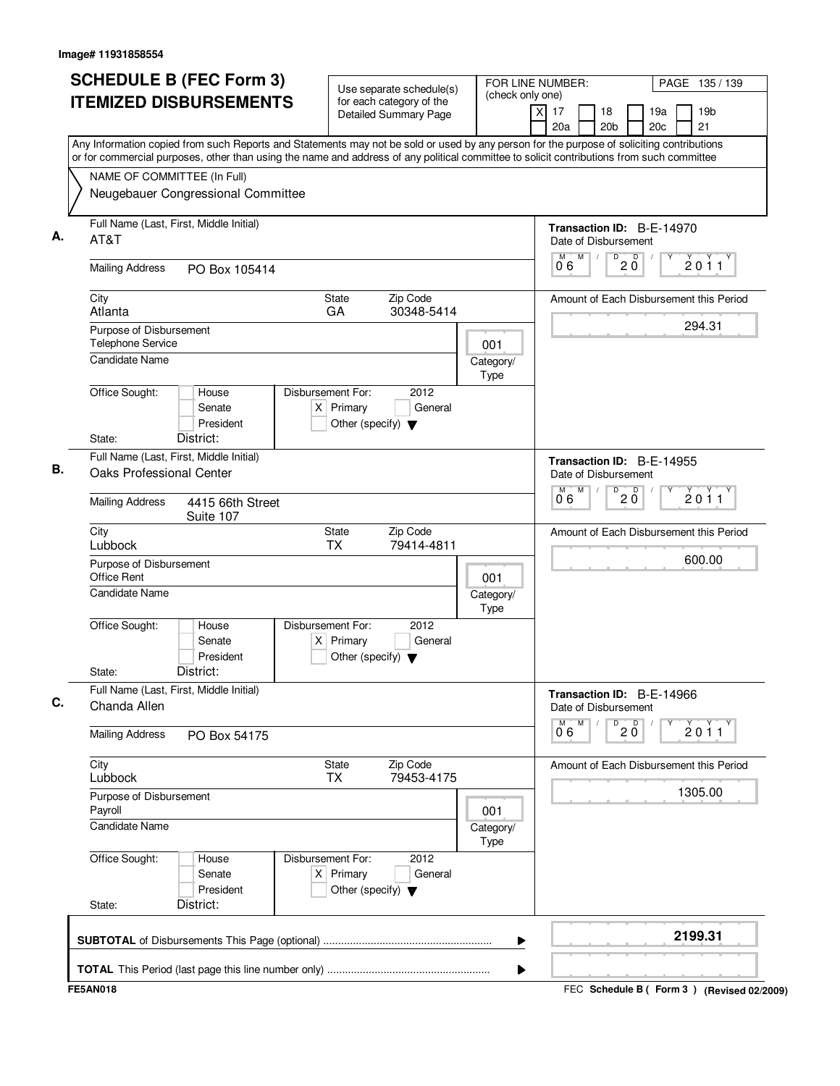| Any Information copied from such Reports and Statements may not be sold or used by any person for the purpose of soliciting contributions<br>or for commercial purposes, other than using the name and address of any political committee to solicit contributions from such committee<br>NAME OF COMMITTEE (In Full)<br>Neugebauer Congressional Committee<br>Full Name (Last, First, Middle Initial)<br>Transaction ID: B-E-14970<br>AT&T<br>Date of Disbursement<br>$\overline{0}$ 2 $\overline{0}$<br>M<br>06<br><b>Mailing Address</b><br>PO Box 105414<br><b>State</b><br>Zip Code<br>City<br>GA<br>30348-5414<br>Atlanta<br>Purpose of Disbursement<br>Telephone Service<br>001<br><b>Candidate Name</b><br>Category/<br><b>Type</b><br>Office Sought:<br>Disbursement For:<br>2012<br>House<br>$X$ Primary<br>Senate<br>General<br>President<br>Other (specify) $\blacktriangledown$<br>District:<br>State:<br>Full Name (Last, First, Middle Initial)<br>Transaction ID: B-E-14955<br><b>Oaks Professional Center</b><br>Date of Disbursement<br>M<br>D<br>$20^{\circ}$<br>M<br>06<br><b>Mailing Address</b><br>4415 66th Street<br>Suite 107<br><b>State</b><br>Zip Code<br>City<br>Lubbock<br><b>TX</b><br>79414-4811<br>Purpose of Disbursement<br>Office Rent<br>001<br><b>Candidate Name</b><br>Category/<br>Type<br>Office Sought:<br>Disbursement For:<br>2012<br>House<br>Senate<br>$X$ Primary<br>General<br>President<br>Other (specify) $\blacktriangledown$<br>District:<br>State:<br>Full Name (Last, First, Middle Initial)<br>Transaction ID: B-E-14966<br>Chanda Allen<br>Date of Disbursement<br>M<br>D<br>$20^{\circ}$<br>М<br>06<br><b>Mailing Address</b><br>PO Box 54175<br>City<br>State<br>Zip Code<br>79453-4175<br>Lubbock<br><b>TX</b><br>Purpose of Disbursement<br>Payroll<br>001<br><b>Candidate Name</b><br>Category/<br>Type<br>Office Sought:<br>Disbursement For:<br>2012<br>House<br>$X$ Primary<br>Senate<br>General<br>President<br>Other (specify) $\blacktriangledown$ | <b>SCHEDULE B (FEC Form 3)</b><br><b>ITEMIZED DISBURSEMENTS</b> | Use separate schedule(s)<br>for each category of the<br><b>Detailed Summary Page</b> | FOR LINE NUMBER:<br>(check only one) | PAGE 135 / 139<br>$\times$<br>17<br>19 <sub>b</sub><br>18<br>19a<br>20c<br>21<br>20a<br>20 <sub>b</sub> |
|-----------------------------------------------------------------------------------------------------------------------------------------------------------------------------------------------------------------------------------------------------------------------------------------------------------------------------------------------------------------------------------------------------------------------------------------------------------------------------------------------------------------------------------------------------------------------------------------------------------------------------------------------------------------------------------------------------------------------------------------------------------------------------------------------------------------------------------------------------------------------------------------------------------------------------------------------------------------------------------------------------------------------------------------------------------------------------------------------------------------------------------------------------------------------------------------------------------------------------------------------------------------------------------------------------------------------------------------------------------------------------------------------------------------------------------------------------------------------------------------------------------------------------------------------------------------------------------------------------------------------------------------------------------------------------------------------------------------------------------------------------------------------------------------------------------------------------------------------------------------------------------------------------------------------------------------------------------------------------------------------------------------------|-----------------------------------------------------------------|--------------------------------------------------------------------------------------|--------------------------------------|---------------------------------------------------------------------------------------------------------|
|                                                                                                                                                                                                                                                                                                                                                                                                                                                                                                                                                                                                                                                                                                                                                                                                                                                                                                                                                                                                                                                                                                                                                                                                                                                                                                                                                                                                                                                                                                                                                                                                                                                                                                                                                                                                                                                                                                                                                                                                                       |                                                                 |                                                                                      |                                      |                                                                                                         |
|                                                                                                                                                                                                                                                                                                                                                                                                                                                                                                                                                                                                                                                                                                                                                                                                                                                                                                                                                                                                                                                                                                                                                                                                                                                                                                                                                                                                                                                                                                                                                                                                                                                                                                                                                                                                                                                                                                                                                                                                                       |                                                                 |                                                                                      |                                      |                                                                                                         |
|                                                                                                                                                                                                                                                                                                                                                                                                                                                                                                                                                                                                                                                                                                                                                                                                                                                                                                                                                                                                                                                                                                                                                                                                                                                                                                                                                                                                                                                                                                                                                                                                                                                                                                                                                                                                                                                                                                                                                                                                                       |                                                                 |                                                                                      |                                      | 2011                                                                                                    |
|                                                                                                                                                                                                                                                                                                                                                                                                                                                                                                                                                                                                                                                                                                                                                                                                                                                                                                                                                                                                                                                                                                                                                                                                                                                                                                                                                                                                                                                                                                                                                                                                                                                                                                                                                                                                                                                                                                                                                                                                                       |                                                                 |                                                                                      |                                      | Amount of Each Disbursement this Period                                                                 |
|                                                                                                                                                                                                                                                                                                                                                                                                                                                                                                                                                                                                                                                                                                                                                                                                                                                                                                                                                                                                                                                                                                                                                                                                                                                                                                                                                                                                                                                                                                                                                                                                                                                                                                                                                                                                                                                                                                                                                                                                                       |                                                                 |                                                                                      |                                      | 294.31                                                                                                  |
|                                                                                                                                                                                                                                                                                                                                                                                                                                                                                                                                                                                                                                                                                                                                                                                                                                                                                                                                                                                                                                                                                                                                                                                                                                                                                                                                                                                                                                                                                                                                                                                                                                                                                                                                                                                                                                                                                                                                                                                                                       |                                                                 |                                                                                      |                                      |                                                                                                         |
|                                                                                                                                                                                                                                                                                                                                                                                                                                                                                                                                                                                                                                                                                                                                                                                                                                                                                                                                                                                                                                                                                                                                                                                                                                                                                                                                                                                                                                                                                                                                                                                                                                                                                                                                                                                                                                                                                                                                                                                                                       |                                                                 |                                                                                      |                                      |                                                                                                         |
|                                                                                                                                                                                                                                                                                                                                                                                                                                                                                                                                                                                                                                                                                                                                                                                                                                                                                                                                                                                                                                                                                                                                                                                                                                                                                                                                                                                                                                                                                                                                                                                                                                                                                                                                                                                                                                                                                                                                                                                                                       |                                                                 |                                                                                      |                                      |                                                                                                         |
|                                                                                                                                                                                                                                                                                                                                                                                                                                                                                                                                                                                                                                                                                                                                                                                                                                                                                                                                                                                                                                                                                                                                                                                                                                                                                                                                                                                                                                                                                                                                                                                                                                                                                                                                                                                                                                                                                                                                                                                                                       |                                                                 |                                                                                      | 2011                                 |                                                                                                         |
|                                                                                                                                                                                                                                                                                                                                                                                                                                                                                                                                                                                                                                                                                                                                                                                                                                                                                                                                                                                                                                                                                                                                                                                                                                                                                                                                                                                                                                                                                                                                                                                                                                                                                                                                                                                                                                                                                                                                                                                                                       |                                                                 |                                                                                      |                                      | Amount of Each Disbursement this Period                                                                 |
|                                                                                                                                                                                                                                                                                                                                                                                                                                                                                                                                                                                                                                                                                                                                                                                                                                                                                                                                                                                                                                                                                                                                                                                                                                                                                                                                                                                                                                                                                                                                                                                                                                                                                                                                                                                                                                                                                                                                                                                                                       |                                                                 |                                                                                      |                                      | 600.00                                                                                                  |
|                                                                                                                                                                                                                                                                                                                                                                                                                                                                                                                                                                                                                                                                                                                                                                                                                                                                                                                                                                                                                                                                                                                                                                                                                                                                                                                                                                                                                                                                                                                                                                                                                                                                                                                                                                                                                                                                                                                                                                                                                       |                                                                 |                                                                                      |                                      |                                                                                                         |
|                                                                                                                                                                                                                                                                                                                                                                                                                                                                                                                                                                                                                                                                                                                                                                                                                                                                                                                                                                                                                                                                                                                                                                                                                                                                                                                                                                                                                                                                                                                                                                                                                                                                                                                                                                                                                                                                                                                                                                                                                       |                                                                 |                                                                                      |                                      |                                                                                                         |
|                                                                                                                                                                                                                                                                                                                                                                                                                                                                                                                                                                                                                                                                                                                                                                                                                                                                                                                                                                                                                                                                                                                                                                                                                                                                                                                                                                                                                                                                                                                                                                                                                                                                                                                                                                                                                                                                                                                                                                                                                       |                                                                 |                                                                                      |                                      | 2011                                                                                                    |
|                                                                                                                                                                                                                                                                                                                                                                                                                                                                                                                                                                                                                                                                                                                                                                                                                                                                                                                                                                                                                                                                                                                                                                                                                                                                                                                                                                                                                                                                                                                                                                                                                                                                                                                                                                                                                                                                                                                                                                                                                       |                                                                 |                                                                                      |                                      | Amount of Each Disbursement this Period                                                                 |
|                                                                                                                                                                                                                                                                                                                                                                                                                                                                                                                                                                                                                                                                                                                                                                                                                                                                                                                                                                                                                                                                                                                                                                                                                                                                                                                                                                                                                                                                                                                                                                                                                                                                                                                                                                                                                                                                                                                                                                                                                       |                                                                 |                                                                                      | 1305.00                              |                                                                                                         |
|                                                                                                                                                                                                                                                                                                                                                                                                                                                                                                                                                                                                                                                                                                                                                                                                                                                                                                                                                                                                                                                                                                                                                                                                                                                                                                                                                                                                                                                                                                                                                                                                                                                                                                                                                                                                                                                                                                                                                                                                                       |                                                                 |                                                                                      |                                      |                                                                                                         |
|                                                                                                                                                                                                                                                                                                                                                                                                                                                                                                                                                                                                                                                                                                                                                                                                                                                                                                                                                                                                                                                                                                                                                                                                                                                                                                                                                                                                                                                                                                                                                                                                                                                                                                                                                                                                                                                                                                                                                                                                                       |                                                                 |                                                                                      |                                      |                                                                                                         |
|                                                                                                                                                                                                                                                                                                                                                                                                                                                                                                                                                                                                                                                                                                                                                                                                                                                                                                                                                                                                                                                                                                                                                                                                                                                                                                                                                                                                                                                                                                                                                                                                                                                                                                                                                                                                                                                                                                                                                                                                                       | District:<br>State:                                             |                                                                                      |                                      | 2199.31                                                                                                 |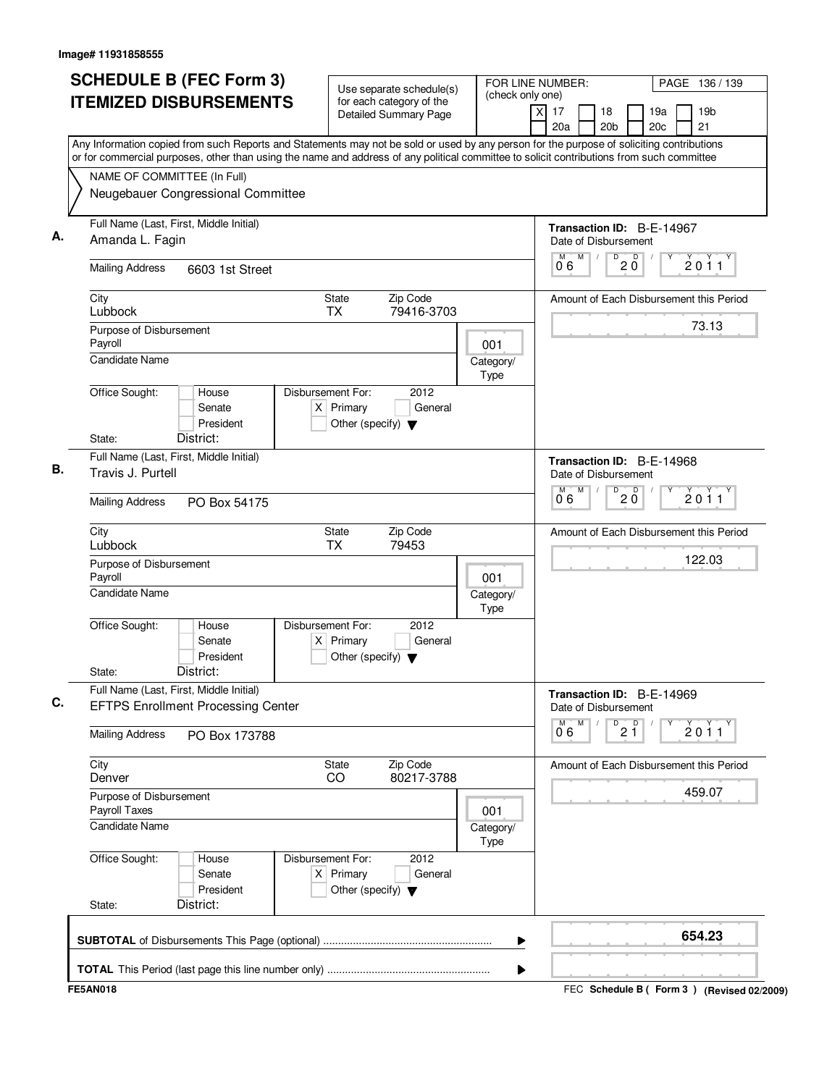| <b>SCHEDULE B (FEC Form 3)</b><br><b>ITEMIZED DISBURSEMENTS</b>                                                                                                                                                                                                                                                       | Use separate schedule(s)<br>for each category of the<br>Detailed Summary Page               | FOR LINE NUMBER:<br>PAGE 136 / 139<br>(check only one)<br>17<br>19 <sub>b</sub><br>X<br>18<br>19a<br>21<br>20a<br>20 <sub>b</sub><br>20c |
|-----------------------------------------------------------------------------------------------------------------------------------------------------------------------------------------------------------------------------------------------------------------------------------------------------------------------|---------------------------------------------------------------------------------------------|------------------------------------------------------------------------------------------------------------------------------------------|
| Any Information copied from such Reports and Statements may not be sold or used by any person for the purpose of soliciting contributions<br>or for commercial purposes, other than using the name and address of any political committee to solicit contributions from such committee<br>NAME OF COMMITTEE (In Full) |                                                                                             |                                                                                                                                          |
| Neugebauer Congressional Committee                                                                                                                                                                                                                                                                                    |                                                                                             |                                                                                                                                          |
| Full Name (Last, First, Middle Initial)<br>Amanda L. Fagin                                                                                                                                                                                                                                                            |                                                                                             | Transaction ID: B-E-14967<br>Date of Disbursement                                                                                        |
| <b>Mailing Address</b><br>6603 1st Street                                                                                                                                                                                                                                                                             |                                                                                             | $D^D$ 2 $D^D$<br>M<br>2011<br>06                                                                                                         |
| City<br>Lubbock                                                                                                                                                                                                                                                                                                       | <b>State</b><br>Zip Code<br><b>TX</b><br>79416-3703                                         | Amount of Each Disbursement this Period                                                                                                  |
| Purpose of Disbursement<br>Payroll                                                                                                                                                                                                                                                                                    | 001                                                                                         | 73.13                                                                                                                                    |
| <b>Candidate Name</b>                                                                                                                                                                                                                                                                                                 | Category/<br><b>Type</b>                                                                    |                                                                                                                                          |
| Office Sought:<br>House<br>Senate<br>President                                                                                                                                                                                                                                                                        | Disbursement For:<br>2012<br>$X$ Primary<br>General<br>Other (specify) $\blacktriangledown$ |                                                                                                                                          |
| District:<br>State:                                                                                                                                                                                                                                                                                                   |                                                                                             |                                                                                                                                          |
| Full Name (Last, First, Middle Initial)<br>Travis J. Purtell                                                                                                                                                                                                                                                          | Transaction ID: B-E-14968<br>Date of Disbursement<br>M<br>D<br>M                            |                                                                                                                                          |
| <b>Mailing Address</b><br>PO Box 54175                                                                                                                                                                                                                                                                                | $20^{\circ}$<br>2011<br>06                                                                  |                                                                                                                                          |
| City<br>Lubbock                                                                                                                                                                                                                                                                                                       | Zip Code<br>State<br><b>TX</b><br>79453                                                     | Amount of Each Disbursement this Period                                                                                                  |
| Purpose of Disbursement<br>Payroll                                                                                                                                                                                                                                                                                    | 001                                                                                         | 122.03                                                                                                                                   |
| <b>Candidate Name</b>                                                                                                                                                                                                                                                                                                 | Category/<br>Type                                                                           |                                                                                                                                          |
| Office Sought:<br>House<br>Senate<br>President<br>District:<br>State:                                                                                                                                                                                                                                                 | Disbursement For:<br>2012<br>$X$ Primary<br>General<br>Other (specify) $\blacktriangledown$ |                                                                                                                                          |
| Full Name (Last, First, Middle Initial)<br><b>EFTPS Enrollment Processing Center</b>                                                                                                                                                                                                                                  | Transaction ID: B-E-14969<br>Date of Disbursement                                           |                                                                                                                                          |
| <b>Mailing Address</b><br>PO Box 173788                                                                                                                                                                                                                                                                               |                                                                                             | M<br>D<br>2 <sup>0</sup><br>М<br>2011<br>06                                                                                              |
| City<br>Denver                                                                                                                                                                                                                                                                                                        | Zip Code<br>State<br>80217-3788<br>CO                                                       | Amount of Each Disbursement this Period                                                                                                  |
| Purpose of Disbursement<br>Payroll Taxes                                                                                                                                                                                                                                                                              | 001                                                                                         | 459.07                                                                                                                                   |
| <b>Candidate Name</b>                                                                                                                                                                                                                                                                                                 | Category/<br>Type                                                                           |                                                                                                                                          |
| Office Sought:<br>House<br>Senate<br>President                                                                                                                                                                                                                                                                        | Disbursement For:<br>2012<br>$X$ Primary<br>General<br>Other (specify) $\blacktriangledown$ |                                                                                                                                          |
| District:<br>State:                                                                                                                                                                                                                                                                                                   |                                                                                             |                                                                                                                                          |
|                                                                                                                                                                                                                                                                                                                       |                                                                                             | 654.23<br>▶                                                                                                                              |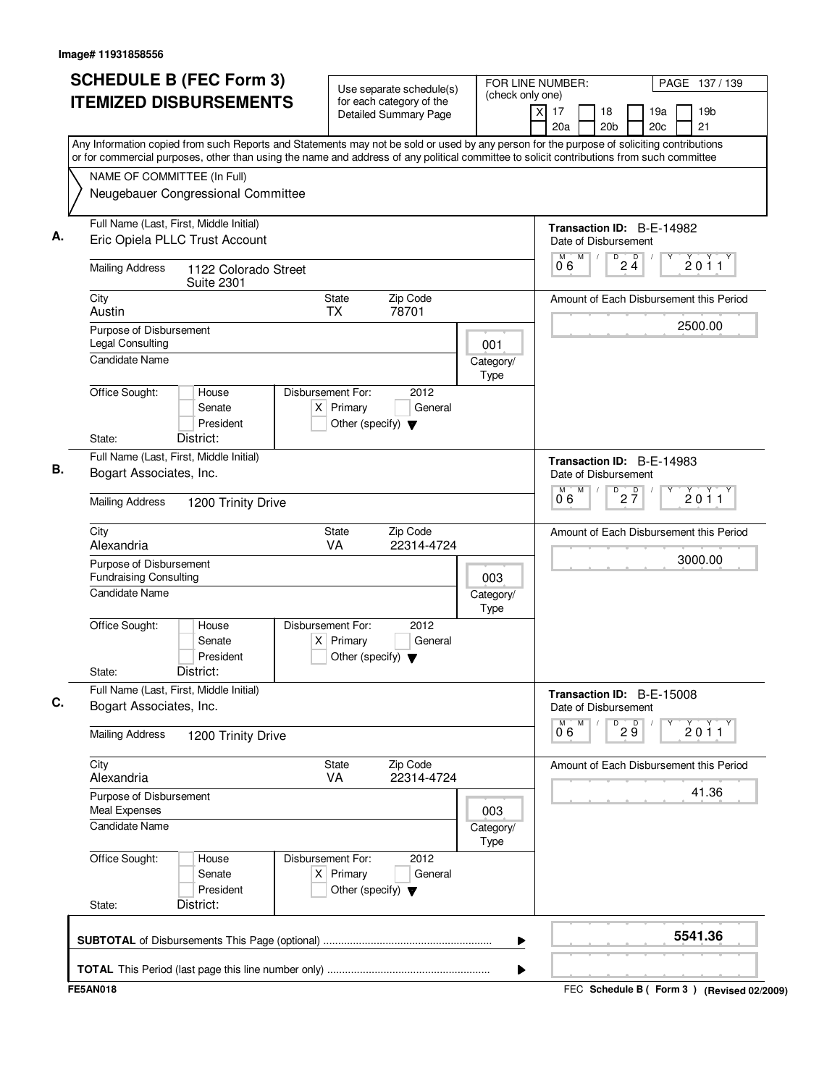|                          |                                                                           |                                                                          | Detailed Summary Page                                       |                   | 19 <sub>b</sub><br>X<br>17<br>19a<br>18<br>20 <sub>c</sub><br>21<br>20a<br>20 <sub>b</sub>                                                                                                                                                                                             |
|--------------------------|---------------------------------------------------------------------------|--------------------------------------------------------------------------|-------------------------------------------------------------|-------------------|----------------------------------------------------------------------------------------------------------------------------------------------------------------------------------------------------------------------------------------------------------------------------------------|
|                          | NAME OF COMMITTEE (In Full)<br>Neugebauer Congressional Committee         |                                                                          |                                                             |                   | Any Information copied from such Reports and Statements may not be sold or used by any person for the purpose of soliciting contributions<br>or for commercial purposes, other than using the name and address of any political committee to solicit contributions from such committee |
|                          |                                                                           |                                                                          |                                                             |                   |                                                                                                                                                                                                                                                                                        |
|                          | Full Name (Last, First, Middle Initial)<br>Eric Opiela PLLC Trust Account |                                                                          |                                                             |                   | Transaction ID: B-E-14982<br>Date of Disbursement<br>D<br>M<br>M<br>$\sqrt{ }$                                                                                                                                                                                                         |
| <b>Mailing Address</b>   | 1122 Colorado Street<br><b>Suite 2301</b>                                 |                                                                          |                                                             |                   | $2\frac{D}{4}$<br>2011<br>06                                                                                                                                                                                                                                                           |
| City<br>Austin           |                                                                           | <b>State</b><br><b>TX</b>                                                | Zip Code<br>78701                                           |                   | Amount of Each Disbursement this Period                                                                                                                                                                                                                                                |
| <b>Legal Consulting</b>  | Purpose of Disbursement                                                   |                                                                          |                                                             | 001               | 2500.00                                                                                                                                                                                                                                                                                |
| <b>Candidate Name</b>    |                                                                           |                                                                          |                                                             | Category/<br>Type |                                                                                                                                                                                                                                                                                        |
| Office Sought:           | House<br>Senate<br>President<br>District:                                 | Disbursement For:<br>$X$ Primary<br>Other (specify) $\blacktriangledown$ | 2012<br>General                                             |                   |                                                                                                                                                                                                                                                                                        |
| State:                   | Full Name (Last, First, Middle Initial)                                   |                                                                          |                                                             |                   |                                                                                                                                                                                                                                                                                        |
|                          | Bogart Associates, Inc.                                                   |                                                                          | Transaction ID: B-E-14983<br>Date of Disbursement<br>M<br>м |                   |                                                                                                                                                                                                                                                                                        |
| <b>Mailing Address</b>   | 1200 Trinity Drive                                                        |                                                                          |                                                             |                   | $D$ <sub>2</sub> $\frac{D}{7}$<br>2011<br>0°6                                                                                                                                                                                                                                          |
| City<br>Alexandria       |                                                                           | <b>State</b><br>VA                                                       | Zip Code<br>22314-4724                                      |                   | Amount of Each Disbursement this Period                                                                                                                                                                                                                                                |
| <b>Candidate Name</b>    | Purpose of Disbursement<br><b>Fundraising Consulting</b>                  |                                                                          |                                                             | 003<br>Category/  | 3000.00                                                                                                                                                                                                                                                                                |
| Office Sought:<br>State: | House<br>Senate<br>President<br>District:                                 | Disbursement For:<br>$X$ Primary<br>Other (specify) $\blacktriangledown$ | 2012<br>General                                             | Type              |                                                                                                                                                                                                                                                                                        |
|                          | Full Name (Last, First, Middle Initial)<br>Bogart Associates, Inc.        |                                                                          |                                                             |                   | Transaction ID: B-E-15008<br>Date of Disbursement                                                                                                                                                                                                                                      |
| <b>Mailing Address</b>   | 1200 Trinity Drive                                                        |                                                                          |                                                             |                   | M<br>M<br>D<br>29<br>2011<br>06                                                                                                                                                                                                                                                        |
| City<br>Alexandria       |                                                                           | <b>State</b><br><b>VA</b>                                                | Zip Code<br>22314-4724                                      |                   | Amount of Each Disbursement this Period                                                                                                                                                                                                                                                |
| Meal Expenses            | Purpose of Disbursement                                                   |                                                                          |                                                             | 003               | 41.36                                                                                                                                                                                                                                                                                  |
| <b>Candidate Name</b>    |                                                                           |                                                                          |                                                             | Category/<br>Type |                                                                                                                                                                                                                                                                                        |
| Office Sought:           | House<br>Senate<br>President                                              | Disbursement For:<br>$X$ Primary<br>Other (specify) $\blacktriangledown$ | 2012<br>General                                             |                   |                                                                                                                                                                                                                                                                                        |
| State:                   | District:                                                                 |                                                                          |                                                             |                   |                                                                                                                                                                                                                                                                                        |
|                          |                                                                           |                                                                          |                                                             | ▶                 | 5541.36                                                                                                                                                                                                                                                                                |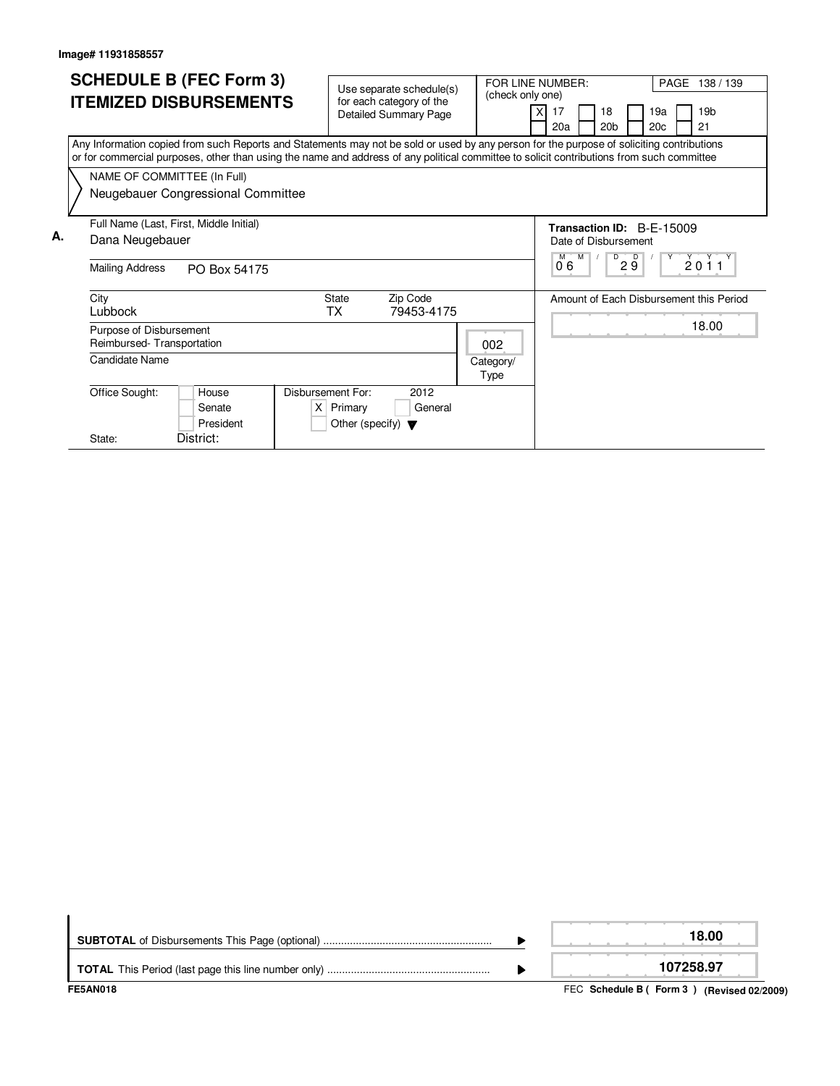|    |                                                                                                                                                                                                                                                                                        | <b>SCHEDULE B (FEC Form 3)</b>          |                                                          |                                      |          |            |                   |                                                                          |                           |    |                 |     |     |                 |                                         |
|----|----------------------------------------------------------------------------------------------------------------------------------------------------------------------------------------------------------------------------------------------------------------------------------------|-----------------------------------------|----------------------------------------------------------|--------------------------------------|----------|------------|-------------------|--------------------------------------------------------------------------|---------------------------|----|-----------------|-----|-----|-----------------|-----------------------------------------|
|    |                                                                                                                                                                                                                                                                                        |                                         | Use separate schedule(s)                                 |                                      |          |            | (check only one)  | FOR LINE NUMBER:                                                         |                           |    |                 |     |     |                 | PAGE 138 / 139                          |
|    |                                                                                                                                                                                                                                                                                        | <b>ITEMIZED DISBURSEMENTS</b>           | for each category of the<br><b>Detailed Summary Page</b> |                                      |          |            |                   | 17                                                                       |                           | 18 |                 | 19a |     | 19 <sub>b</sub> |                                         |
|    |                                                                                                                                                                                                                                                                                        |                                         |                                                          |                                      |          |            |                   |                                                                          | 20a                       |    | 20 <sub>b</sub> |     | 20c |                 | 21                                      |
|    | Any Information copied from such Reports and Statements may not be sold or used by any person for the purpose of soliciting contributions<br>or for commercial purposes, other than using the name and address of any political committee to solicit contributions from such committee |                                         |                                                          |                                      |          |            |                   |                                                                          |                           |    |                 |     |     |                 |                                         |
|    |                                                                                                                                                                                                                                                                                        | NAME OF COMMITTEE (In Full)             |                                                          |                                      |          |            |                   |                                                                          |                           |    |                 |     |     |                 |                                         |
|    |                                                                                                                                                                                                                                                                                        | Neugebauer Congressional Committee      |                                                          |                                      |          |            |                   |                                                                          |                           |    |                 |     |     |                 |                                         |
|    |                                                                                                                                                                                                                                                                                        | Full Name (Last, First, Middle Initial) |                                                          |                                      |          |            |                   |                                                                          | Transaction ID: B-F-15009 |    |                 |     |     |                 |                                         |
| А. |                                                                                                                                                                                                                                                                                        | Dana Neugebauer                         |                                                          |                                      |          |            |                   | Date of Disbursement                                                     |                           |    |                 |     |     |                 |                                         |
|    |                                                                                                                                                                                                                                                                                        | <b>Mailing Address</b><br>PO Box 54175  |                                                          |                                      |          |            |                   | $\overline{D}$<br>$Y^+$<br>2011<br>$M$ $M$<br>$\overline{D}$<br>29<br>06 |                           |    |                 |     |     |                 |                                         |
|    |                                                                                                                                                                                                                                                                                        | City                                    |                                                          | <b>State</b>                         | Zip Code |            |                   |                                                                          |                           |    |                 |     |     |                 | Amount of Each Disbursement this Period |
|    |                                                                                                                                                                                                                                                                                        | Lubbock                                 |                                                          | TX                                   |          | 79453-4175 |                   |                                                                          |                           |    |                 |     |     |                 |                                         |
|    |                                                                                                                                                                                                                                                                                        | Purpose of Disbursement                 |                                                          |                                      |          |            |                   |                                                                          |                           |    |                 |     |     |                 | 18.00                                   |
|    |                                                                                                                                                                                                                                                                                        | Reimbursed-Transportation               |                                                          |                                      |          |            | 002               |                                                                          |                           |    |                 |     |     |                 |                                         |
|    |                                                                                                                                                                                                                                                                                        | Candidate Name                          |                                                          |                                      |          |            | Category/<br>Type |                                                                          |                           |    |                 |     |     |                 |                                         |
|    |                                                                                                                                                                                                                                                                                        | Office Sought:<br>House                 | Disbursement For:                                        |                                      |          | 2012       |                   |                                                                          |                           |    |                 |     |     |                 |                                         |
|    |                                                                                                                                                                                                                                                                                        | Senate                                  |                                                          | $X$ Primary                          |          | General    |                   |                                                                          |                           |    |                 |     |     |                 |                                         |
|    |                                                                                                                                                                                                                                                                                        | President                               |                                                          | Other (specify) $\blacktriangledown$ |          |            |                   |                                                                          |                           |    |                 |     |     |                 |                                         |
|    |                                                                                                                                                                                                                                                                                        | District:<br>State:                     |                                                          |                                      |          |            |                   |                                                                          |                           |    |                 |     |     |                 |                                         |

| <b>FE5AN018</b> | FEC Schedule B (Form 3) (Revised 02/2009) |
|-----------------|-------------------------------------------|
|                 | 107258.97                                 |
|                 | 18.00                                     |